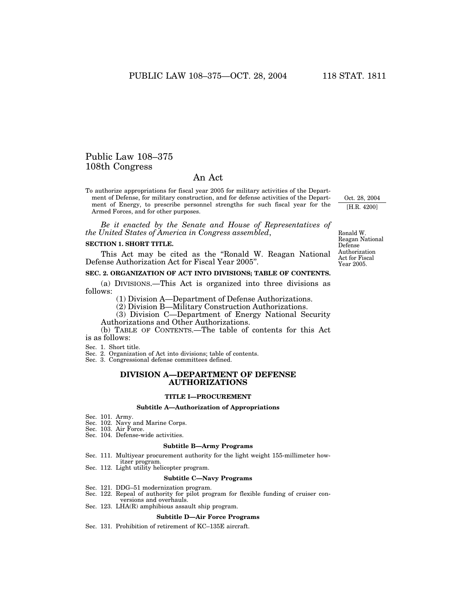## Public Law 108–375 108th Congress

## An Act

To authorize appropriations for fiscal year 2005 for military activities of the Department of Defense, for military construction, and for defense activities of the Department of Energy, to prescribe personnel strengths for such fiscal year for the Armed Forces, and for other purposes.

*Be it enacted by the Senate and House of Representatives of the United States of America in Congress assembled*,

### **SECTION 1. SHORT TITLE.**

This Act may be cited as the ''Ronald W. Reagan National Defense Authorization Act for Fiscal Year 2005''.

## **SEC. 2. ORGANIZATION OF ACT INTO DIVISIONS; TABLE OF CONTENTS.**

(a) DIVISIONS.—This Act is organized into three divisions as follows:

(1) Division A—Department of Defense Authorizations.

(2) Division B—Military Construction Authorizations.

(3) Division C—Department of Energy National Security Authorizations and Other Authorizations.

(b) TABLE OF CONTENTS.—The table of contents for this Act is as follows:

Sec. 1. Short title.

Sec. 2. Organization of Act into divisions; table of contents.

Sec. 3. Congressional defense committees defined.

## **DIVISION A—DEPARTMENT OF DEFENSE AUTHORIZATIONS**

#### **TITLE I—PROCUREMENT**

#### **Subtitle A—Authorization of Appropriations**

Sec. 101. Army.

- Sec. 102. Navy and Marine Corps.
- Sec. 103. Air Force. Sec. 104. Defense-wide activities.

#### **Subtitle B—Army Programs**

Sec. 111. Multiyear procurement authority for the light weight 155-millimeter how-

- itzer program.
- Sec. 112. Light utility helicopter program.

#### **Subtitle C—Navy Programs**

- Sec. 121. DDG–51 modernization program.
- Sec. 122. Repeal of authority for pilot program for flexible funding of cruiser con-
- versions and overhauls.
- Sec. 123. LHA(R) amphibious assault ship program.

#### **Subtitle D—Air Force Programs**

Sec. 131. Prohibition of retirement of KC–135E aircraft.

Ronald W. Reagan National Defense Authorization Act for Fiscal Year 2005.

Oct. 28, 2004 [H.R. 4200]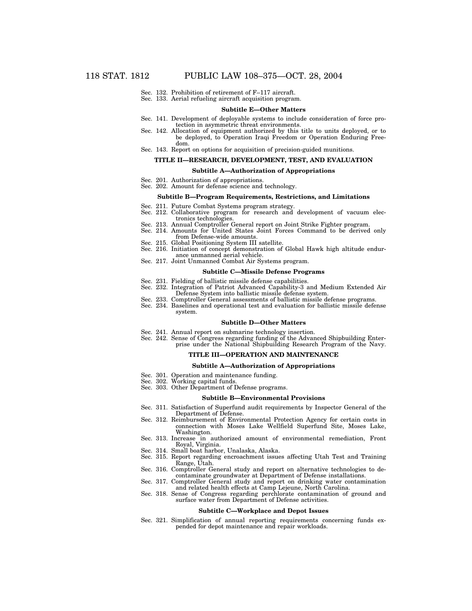- Sec. 132. Prohibition of retirement of F–117 aircraft.
- Sec. 133. Aerial refueling aircraft acquisition program.

#### **Subtitle E—Other Matters**

- Sec. 141. Development of deployable systems to include consideration of force protection in asymmetric threat environments.
- Sec. 142. Allocation of equipment authorized by this title to units deployed, or to be deployed, to Operation Iraqi Freedom or Operation Enduring Freedom.
- Sec. 143. Report on options for acquisition of precision-guided munitions.

## **TITLE II—RESEARCH, DEVELOPMENT, TEST, AND EVALUATION**

#### **Subtitle A—Authorization of Appropriations**

- Sec. 201. Authorization of appropriations.
- Sec. 202. Amount for defense science and technology.

#### **Subtitle B—Program Requirements, Restrictions, and Limitations**

- 
- Sec. 211. Future Combat Systems program strategy. Sec. 212. Collaborative program for research and development of vacuum electronics technologies.
- Sec. 213. Annual Comptroller General report on Joint Strike Fighter program. Sec. 214. Amounts for United States Joint Forces Command to be derived only
- from Defense-wide amounts.
- Sec. 215. Global Positioning System III satellite.
- Sec. 216. Initiation of concept demonstration of Global Hawk high altitude endurance unmanned aerial vehicle.
- Sec. 217. Joint Unmanned Combat Air Systems program.

#### **Subtitle C—Missile Defense Programs**

- Sec. 231. Fielding of ballistic missile defense capabilities.
- Sec. 232. Integration of Patriot Advanced Capability-3 and Medium Extended Air Defense System into ballistic missile defense system.
- Sec. 233. Comptroller General assessments of ballistic missile defense programs.
- Sec. 234. Baselines and operational test and evaluation for ballistic missile defense system.

#### **Subtitle D—Other Matters**

- Sec. 241. Annual report on submarine technology insertion.
- Sec. 242. Sense of Congress regarding funding of the Advanced Shipbuilding Enter-

## prise under the National Shipbuilding Research Program of the Navy.

## **TITLE III—OPERATION AND MAINTENANCE**

#### **Subtitle A—Authorization of Appropriations**

- Sec. 301. Operation and maintenance funding.
- Sec. 302. Working capital funds.
- Sec. 303. Other Department of Defense programs.

#### **Subtitle B—Environmental Provisions**

- Sec. 311. Satisfaction of Superfund audit requirements by Inspector General of the Department of Defense.
- Sec. 312. Reimbursement of Environmental Protection Agency for certain costs in connection with Moses Lake Wellfield Superfund Site, Moses Lake, Washington.
- Sec. 313. Increase in authorized amount of environmental remediation, Front Royal, Virginia.
- Sec. 314. Small boat harbor, Unalaska, Alaska.
- Sec. 315. Report regarding encroachment issues affecting Utah Test and Training Range, Utah.
- Sec. 316. Comptroller General study and report on alternative technologies to decontaminate groundwater at Department of Defense installations.
- Sec. 317. Comptroller General study and report on drinking water contamination and related health effects at Camp Lejeune, North Carolina.
- Sec. 318. Sense of Congress regarding perchlorate contamination of ground and surface water from Department of Defense activities.

#### **Subtitle C—Workplace and Depot Issues**

Sec. 321. Simplification of annual reporting requirements concerning funds expended for depot maintenance and repair workloads.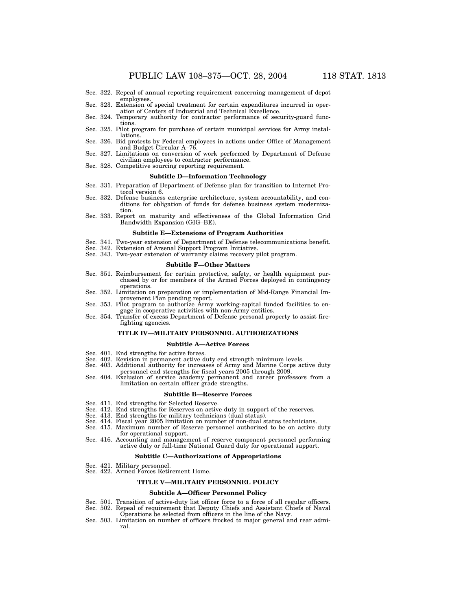- Sec. 322. Repeal of annual reporting requirement concerning management of depot employees.
- Sec. 323. Extension of special treatment for certain expenditures incurred in operation of Centers of Industrial and Technical Excellence.
- Sec. 324. Temporary authority for contractor performance of security-guard functions.
- Sec. 325. Pilot program for purchase of certain municipal services for Army installations.
- Sec. 326. Bid protests by Federal employees in actions under Office of Management and Budget Circular A–76.
- Sec. 327. Limitations on conversion of work performed by Department of Defense civilian employees to contractor performance.
- Sec. 328. Competitive sourcing reporting requirement.

## **Subtitle D—Information Technology**

- Sec. 331. Preparation of Department of Defense plan for transition to Internet Protocol version 6.
- Sec. 332. Defense business enterprise architecture, system accountability, and conditions for obligation of funds for defense business system modernization.
- Sec. 333. Report on maturity and effectiveness of the Global Information Grid Bandwidth Expansion (GIG–BE).

#### **Subtitle E—Extensions of Program Authorities**

- Sec. 341. Two-year extension of Department of Defense telecommunications benefit.
- Sec. 342. Extension of Arsenal Support Program Initiative.
- Sec. 343. Two-year extension of warranty claims recovery pilot program.

#### **Subtitle F—Other Matters**

- Sec. 351. Reimbursement for certain protective, safety, or health equipment purchased by or for members of the Armed Forces deployed in contingency operations.
- Sec. 352. Limitation on preparation or implementation of Mid-Range Financial Improvement Plan pending report.
- Sec. 353. Pilot program to authorize Army working-capital funded facilities to engage in cooperative activities with non-Army entities.
- Sec. 354. Transfer of excess Department of Defense personal property to assist firefighting agencies.

#### **TITLE IV—MILITARY PERSONNEL AUTHORIZATIONS**

#### **Subtitle A—Active Forces**

- Sec. 401. End strengths for active forces.
- Sec. 402. Revision in permanent active duty end strength minimum levels.
- Sec. 403. Additional authority for increases of Army and Marine Corps active duty
- personnel end strengths for fiscal years 2005 through 2009. Sec. 404. Exclusion of service academy permanent and career professors from a
- limitation on certain officer grade strengths.

#### **Subtitle B—Reserve Forces**

- Sec. 411. End strengths for Selected Reserve.
- Sec. 412. End strengths for Reserves on active duty in support of the reserves.
- Sec. 413. End strengths for military technicians (dual status).
- Sec. 414. Fiscal year 2005 limitation on number of non-dual status technicians.
- Sec. 415. Maximum number of Reserve personnel authorized to be on active duty for operational support.
- Sec. 416. Accounting and management of reserve component personnel performing active duty or full-time National Guard duty for operational support.

## **Subtitle C—Authorizations of Appropriations**

- Sec. 421. Military personnel.
- Sec. 422. Armed Forces Retirement Home.

#### **TITLE V—MILITARY PERSONNEL POLICY**

#### **Subtitle A—Officer Personnel Policy**

- Sec. 501. Transition of active-duty list officer force to a force of all regular officers.<br>Sec. 502. Repeal of requirement that Deputy Chiefs and Assistant Chiefs of Naval
- Repeal of requirement that Deputy Chiefs and Assistant Chiefs of Naval Operations be selected from officers in the line of the Navy.
- Sec. 503. Limitation on number of officers frocked to major general and rear admiral.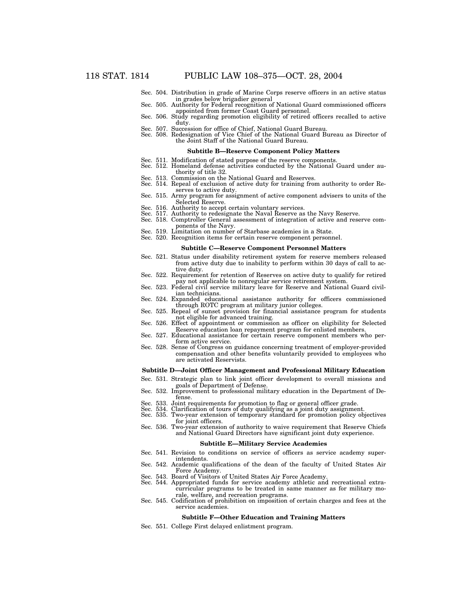- Sec. 504. Distribution in grade of Marine Corps reserve officers in an active status
- Sec. 505. Authority for Federal recognition of National Guard commissioned officers
- appointed from former Coast Guard personnel.<br>Sec. 506. Study regarding promotion eligibility of retired officers recalled to active<br>duty.
- Sec. 507. Succession for office of Chief, National Guard Bureau.
- Sec. 508. Redesignation of Vice Chief of the National Guard Bureau as Director of the Joint Staff of the National Guard Bureau.

#### **Subtitle B—Reserve Component Policy Matters**

- 
- Sec. 511. Modification of stated purpose of the reserve components. Sec. 512. Homeland defense activities conducted by the National Guard under authority of title 32.
- Sec. 513. Commission on the National Guard and Reserves.
- Sec. 514. Repeal of exclusion of active duty for training from authority to order Reserves to active duty.
- Sec. 515. Army program for assignment of active component advisers to units of the Selected Reserve.
- 
- Sec. 516. Authority to accept certain voluntary services. Sec. 517. Authority to redesignate the Naval Reserve as the Navy Reserve.
- Sec. 518. Comptroller General assessment of integration of active and reserve components of the Navy.
- Sec. 519. Limitation on number of Starbase academies in a State.
- Sec. 520. Recognition items for certain reserve component personnel.

#### **Subtitle C—Reserve Component Personnel Matters**

- Sec. 521. Status under disability retirement system for reserve members released from active duty due to inability to perform within 30 days of call to active duty.
- Sec. 522. Requirement for retention of Reserves on active duty to qualify for retired
- pay not applicable to nonregular service retirement system. Sec. 523. Federal civil service military leave for Reserve and National Guard civilian technicians.
- Sec. 524. Expanded educational assistance authority for officers commissioned through ROTC program at military junior colleges.
- Sec. 525. Repeal of sunset provision for financial assistance program for students not eligible for advanced training.
- Sec. 526. Effect of appointment or commission as officer on eligibility for Selected Reserve education loan repayment program for enlisted members.
- Sec. 527. Educational assistance for certain reserve component members who perform active service.
- Sec. 528. Sense of Congress on guidance concerning treatment of employer-provided compensation and other benefits voluntarily provided to employees who are activated Reservists.

#### **Subtitle D—Joint Officer Management and Professional Military Education**

- Sec. 531. Strategic plan to link joint officer development to overall missions and goals of Department of Defense. Sec. 532. Improvement to professional military education in the Department of De-
- fense.
- Sec. 533. Joint requirements for promotion to flag or general officer grade. Sec. 534. Clarification of tours of duty qualifying as a joint duty assignment.
- 
- Sec. 535. Two-year extension of temporary standard for promotion policy objectives for joint officers. Sec. 536. Two-year extension of authority to waive requirement that Reserve Chiefs
- and National Guard Directors have significant joint duty experience.

#### **Subtitle E—Military Service Academies**

- Sec. 541. Revision to conditions on service of officers as service academy superintendents.
- Sec. 542. Academic qualifications of the dean of the faculty of United States Air Force Academy.
- Sec. 543. Board of Visitors of United States Air Force Academy.
- Sec. 544. Appropriated funds for service academy athletic and recreational extracurricular programs to be treated in same manner as for military morale, welfare, and recreation programs.
- Sec. 545. Codification of prohibition on imposition of certain charges and fees at the service academies.

#### **Subtitle F—Other Education and Training Matters**

Sec. 551. College First delayed enlistment program.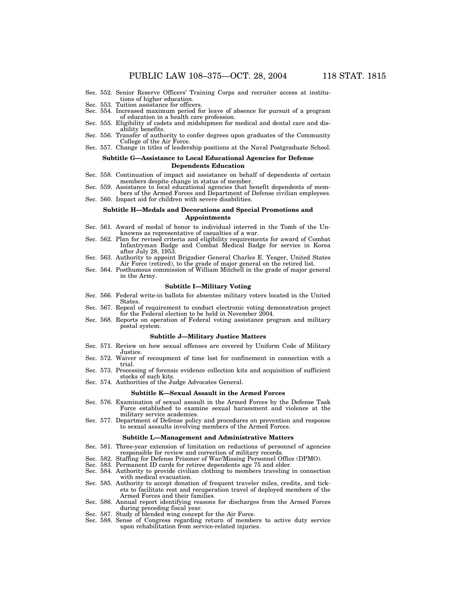- Sec. 552. Senior Reserve Officers' Training Corps and recruiter access at institutions of higher education.
- Sec. 553. Tuition assistance for officers.
- Sec. 554. Increased maximum period for leave of absence for pursuit of a program of education in a health care profession.
- Sec. 555. Eligibility of cadets and midshipmen for medical and dental care and disability benefits.
- Sec. 556. Transfer of authority to confer degrees upon graduates of the Community College of the Air Force.
- Sec. 557. Change in titles of leadership positions at the Naval Postgraduate School.

#### **Subtitle G—Assistance to Local Educational Agencies for Defense Dependents Education**

- Sec. 558. Continuation of impact aid assistance on behalf of dependents of certain members despite change in status of member.
- Sec. 559. Assistance to local educational agencies that benefit dependents of members of the Armed Forces and Department of Defense civilian employees.
- Sec. 560. Impact aid for children with severe disabilities.

#### **Subtitle H—Medals and Decorations and Special Promotions and Appointments**

- Sec. 561. Award of medal of honor to individual interred in the Tomb of the Unknowns as representative of casualties of a war.
- Sec. 562. Plan for revised criteria and eligibility requirements for award of Combat Infantryman Badge and Combat Medical Badge for service in Korea after July 28, 1953.
- Sec. 563. Authority to appoint Brigadier General Charles E. Yeager, United States Air Force (retired), to the grade of major general on the retired list. Sec. 564. Posthumous commission of William Mitchell in the grade of major general
- in the Army.

#### **Subtitle I—Military Voting**

- Sec. 566. Federal write-in ballots for absentee military voters located in the United States.
- Sec. 567. Repeal of requirement to conduct electronic voting demonstration project for the Federal election to be held in November 2004.
- Sec. 568. Reports on operation of Federal voting assistance program and military postal system.

#### **Subtitle J—Military Justice Matters**

- Sec. 571. Review on how sexual offenses are covered by Uniform Code of Military Justice.
- Sec. 572. Waiver of recoupment of time lost for confinement in connection with a trial.
- Sec. 573. Processing of forensic evidence collection kits and acquisition of sufficient stocks of such kits.
- Sec. 574. Authorities of the Judge Advocates General.

#### **Subtitle K—Sexual Assault in the Armed Forces**

- Sec. 576. Examination of sexual assault in the Armed Forces by the Defense Task Force established to examine sexual harassment and violence at the military service academies.
- Sec. 577. Department of Defense policy and procedures on prevention and response to sexual assaults involving members of the Armed Forces.

#### **Subtitle L—Management and Administrative Matters**

- Sec. 581. Three-year extension of limitation on reductions of personnel of agencies responsible for review and correction of military records.
- Sec. 582. Staffing for Defense Prisoner of War/Missing Personnel Office (DPMO).<br>Sec. 583. Permanent ID cards for retiree dependents age 75 and older.
- Permanent ID cards for retiree dependents age 75 and older.
- Sec. 584. Authority to provide civilian clothing to members traveling in connection with medical evacuation. Sec. 585. Authority to accept donation of frequent traveler miles, credits, and tick-
- ets to facilitate rest and recuperation travel of deployed members of the Armed Forces and their families.
- Sec. 586. Annual report identifying reasons for discharges from the Armed Forces during preceding fiscal year.
- Sec. 587. Study of blended wing concept for the Air Force.<br>Sec. 588. Sense of Congress regarding return of membe
- Sense of Congress regarding return of members to active duty service upon rehabilitation from service-related injuries.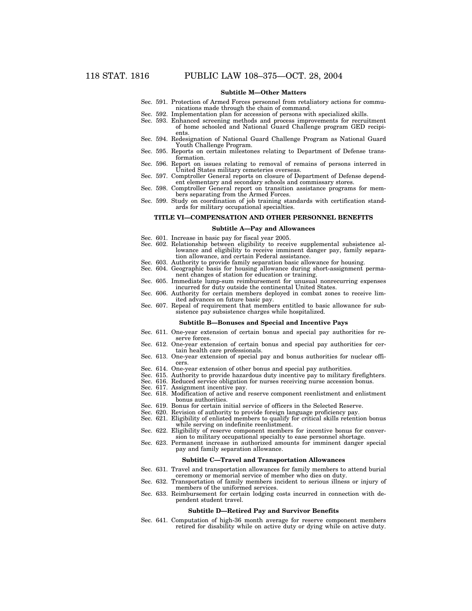## **Subtitle M—Other Matters**

- Sec. 591. Protection of Armed Forces personnel from retaliatory actions for communications made through the chain of command.
- Sec. 592. Implementation plan for accession of persons with specialized skills.
- Sec. 593. Enhanced screening methods and process improvements for recruitment of home schooled and National Guard Challenge program GED recipients.
- Sec. 594. Redesignation of National Guard Challenge Program as National Guard Youth Challenge Program.
- Sec. 595. Reports on certain milestones relating to Department of Defense transformation.
- Sec. 596. Report on issues relating to removal of remains of persons interred in United States military cemeteries overseas.
- Sec. 597. Comptroller General reports on closure of Department of Defense dependent elementary and secondary schools and commissary stores.
- Sec. 598. Comptroller General report on transition assistance programs for members separating from the Armed Forces.
- Sec. 599. Study on coordination of job training standards with certification standards for military occupational specialties.

#### **TITLE VI—COMPENSATION AND OTHER PERSONNEL BENEFITS**

### **Subtitle A—Pay and Allowances**

- Sec. 601. Increase in basic pay for fiscal year 2005.
- Sec. 602. Relationship between eligibility to receive supplemental subsistence allowance and eligibility to receive imminent danger pay, family separation allowance, and certain Federal assistance.
- Sec. 603. Authority to provide family separation basic allowance for housing.
- Sec. 604. Geographic basis for housing allowance during short-assignment permanent changes of station for education or training.
- Sec. 605. Immediate lump-sum reimbursement for unusual nonrecurring expenses incurred for duty outside the continental United States.
- Sec. 606. Authority for certain members deployed in combat zones to receive limited advances on future basic pay.
- Sec. 607. Repeal of requirement that members entitled to basic allowance for subsistence pay subsistence charges while hospitalized.

#### **Subtitle B—Bonuses and Special and Incentive Pays**

- Sec. 611. One-year extension of certain bonus and special pay authorities for reserve forces.
- Sec. 612. One-year extension of certain bonus and special pay authorities for certain health care professionals.
- Sec. 613. One-year extension of special pay and bonus authorities for nuclear officers.
- Sec. 614. One-year extension of other bonus and special pay authorities.
- Sec. 615. Authority to provide hazardous duty incentive pay to military firefighters.
- Sec. 616. Reduced service obligation for nurses receiving nurse accession bonus.
- Sec. 617. Assignment incentive pay.
- Sec. 618. Modification of active and reserve component reenlistment and enlistment bonus authorities.
- Sec. 619. Bonus for certain initial service of officers in the Selected Reserve.
- Sec. 620. Revision of authority to provide foreign language proficiency pay.
- Sec. 621. Eligibility of enlisted members to qualify for critical skills retention bonus while serving on indefinite reenlistment.
- Sec. 622. Eligibility of reserve component members for incentive bonus for conversion to military occupational specialty to ease personnel shortage.
- Sec. 623. Permanent increase in authorized amounts for imminent danger special pay and family separation allowance.

#### **Subtitle C—Travel and Transportation Allowances**

- Sec. 631. Travel and transportation allowances for family members to attend burial ceremony or memorial service of member who dies on duty.
- Sec. 632. Transportation of family members incident to serious illness or injury of members of the uniformed services.
- Sec. 633. Reimbursement for certain lodging costs incurred in connection with dependent student travel.

#### **Subtitle D—Retired Pay and Survivor Benefits**

Sec. 641. Computation of high-36 month average for reserve component members retired for disability while on active duty or dying while on active duty.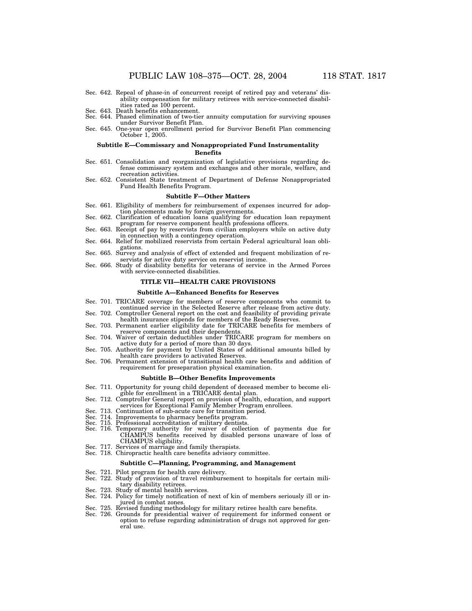- Sec. 642. Repeal of phase-in of concurrent receipt of retired pay and veterans' disability compensation for military retirees with service-connected disabilities rated as 100 percent. Sec. 643. Death benefits enhancement.
- 
- Sec. 644. Phased elimination of two-tier annuity computation for surviving spouses under Survivor Benefit Plan.
- Sec. 645. One-year open enrollment period for Survivor Benefit Plan commencing October 1, 2005.

## **Subtitle E—Commissary and Nonappropriated Fund Instrumentality**

## **Benefits**

- Sec. 651. Consolidation and reorganization of legislative provisions regarding defense commissary system and exchanges and other morale, welfare, and recreation activities.
- Sec. 652. Consistent State treatment of Department of Defense Nonappropriated Fund Health Benefits Program.

## **Subtitle F—Other Matters**

- Sec. 661. Eligibility of members for reimbursement of expenses incurred for adop-
- Sec. 662. Clarification of education loans qualifying for education loan repayment program for reserve component health professions officers.<br>Sec. 663. Receipt of pay by reservists from civilian employers while on active duty
- in connection with a contingency operation. Sec. 664. Relief for mobilized reservists from certain Federal agricultural loan obli-
- gations.<br>Sec. 665. Survey and analysis of effect of extended and frequent mobilization of re-
- servists for active duty service on reservist income. Sec. 666. Study of disability benefits for veterans of service in the Armed Forces
- with service-connected disabilities.

## **TITLE VII—HEALTH CARE PROVISIONS**

## **Subtitle A—Enhanced Benefits for Reserves**

- Sec. 701. TRICARE coverage for members of reserve components who commit to continued service in the Selected Reserve after release from active duty. Sec. 702. Comptroller General report on the cost and feasibility of providing private
- health insurance stipends for members of the Ready Reserves. Sec. 703. Permanent earlier eligibility date for TRICARE benefits for members of
- reserve components and their dependents. Sec. 704. Waiver of certain deductibles under TRICARE program for members on
- active duty for a period of more than 30 days.
- Sec. 705. Authority for payment by United States of additional amounts billed by health care providers to activated Reserves.
- Sec. 706. Permanent extension of transitional health care benefits and addition of requirement for preseparation physical examination.

#### **Subtitle B—Other Benefits Improvements**

- Sec. 711. Opportunity for young child dependent of deceased member to become eligible for enrollment in a TRICARE dental plan.
- Sec. 712. Comptroller General report on provision of health, education, and support services for Exceptional Family Member Program enrollees.
- Sec. 713. Continuation of sub-acute care for transition period.
- Sec. 714. Improvements to pharmacy benefits program.
- Sec. 715. Professional accreditation of military dentists.
- Sec. 716. Temporary authority for waiver of collection of payments due for CHAMPUS benefits received by disabled persons unaware of loss of CHAMPUS eligibility.
- Sec. 717. Services of marriage and family therapists. Sec. 718. Chiropractic health care benefits advisory committee.
- 

#### **Subtitle C—Planning, Programming, and Management**

- Sec. 721. Pilot program for health care delivery.
- Sec. 722. Study of provision of travel reimbursement to hospitals for certain military disability retirees.
- Sec. 723. Study of mental health services.
- Sec. 724. Policy for timely notification of next of kin of members seriously ill or injured in combat zones.
- 
- Sec. 725. Revised funding methodology for military retiree health care benefits. Sec. 726. Grounds for presidential waiver of requirement for informed consent or option to refuse regarding administration of drugs not approved for general use.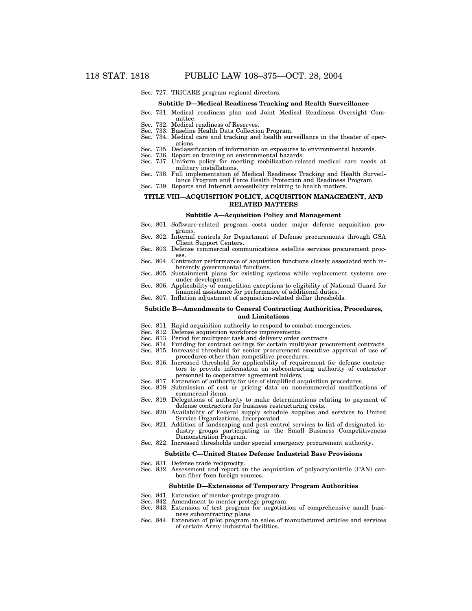Sec. 727. TRICARE program regional directors.

#### **Subtitle D—Medical Readiness Tracking and Health Surveillance**

- Sec. 731. Medical readiness plan and Joint Medical Readiness Oversight Committee.
- Sec. 732. Medical readiness of Reserves. Sec. 733. Baseline Health Data Collection Program.
- 
- Sec. 734. Medical care and tracking and health surveillance in the theater of operations.
- Sec. 735. Declassification of information on exposures to environmental hazards. Sec. 736. Report on training on environmental hazards. Sec. 737. Uniform policy for meeting mobilization-related medical care needs at
- 
- military installations. Sec. 738. Full implementation of Medical Readiness Tracking and Health Surveil-
- lance Program and Force Health Protection and Readiness Program.
- Sec. 739. Reports and Internet accessibility relating to health matters.

### **TITLE VIII—ACQUISITION POLICY, ACQUISITION MANAGEMENT, AND RELATED MATTERS**

#### **Subtitle A—Acquisition Policy and Management**

- Sec. 801. Software-related program costs under major defense acquisition programs.
- Sec. 802. Internal controls for Department of Defense procurements through GSA Client Support Centers.
- Sec. 803. Defense commercial communications satellite services procurement proc-
- ess. Sec. 804. Contractor performance of acquisition functions closely associated with inherently governmental functions.
- Sec. 805. Sustainment plans for existing systems while replacement systems are under development.
- Sec. 806. Applicability of competition exceptions to eligibility of National Guard for financial assistance for performance of additional duties.
- Sec. 807. Inflation adjustment of acquisition-related dollar thresholds.

#### **Subtitle B—Amendments to General Contracting Authorities, Procedures, and Limitations**

- Sec. 811. Rapid acquisition authority to respond to combat emergencies.
- Sec. 812. Defense acquisition workforce improvements.
- Sec. 813. Period for multiyear task and delivery order contracts.
- Sec. 814. Funding for contract ceilings for certain multiyear procurement contracts.
- Sec. 815. Increased threshold for senior procurement executive approval of use of procedures other than competitive procedures.
- Sec. 816. Increased threshold for applicability of requirement for defense contractors to provide information on subcontracting authority of contractor personnel to cooperative agreement holders.
- Sec. 817. Extension of authority for use of simplified acquisition procedures.
- Sec. 818. Submission of cost or pricing data on noncommercial modifications of commercial items.
- Sec. 819. Delegations of authority to make determinations relating to payment of defense contractors for business restructuring costs.
- Sec. 820. Availability of Federal supply schedule supplies and services to United Service Organizations, Incorporated.
- Sec. 821. Addition of landscaping and pest control services to list of designated industry groups participating in the Small Business Competitiveness Demonstration Program.
- Sec. 822. Increased thresholds under special emergency procurement authority.

#### **Subtitle C—United States Defense Industrial Base Provisions**

- Sec. 831. Defense trade reciprocity.
- Sec. 832. Assessment and report on the acquisition of polyacrylonitrile (PAN) carbon fiber from foreign sources.

#### **Subtitle D—Extensions of Temporary Program Authorities**

- Sec. 841. Extension of mentor-protege program.
- Sec. 842. Amendment to mentor-protege program.
- Sec. 843. Extension of test program for negotiation of comprehensive small business subcontracting plans.
- Sec. 844. Extension of pilot program on sales of manufactured articles and services of certain Army industrial facilities.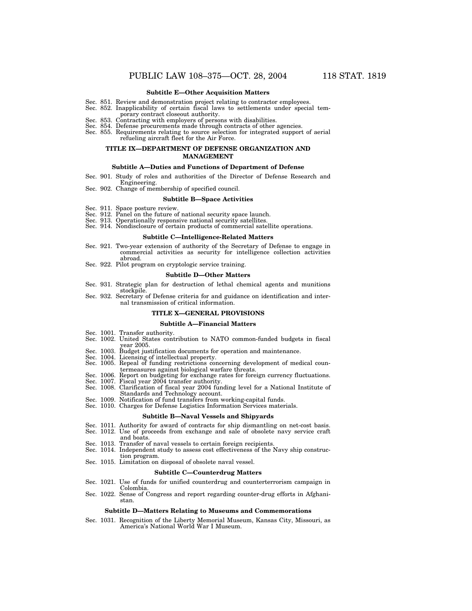#### **Subtitle E—Other Acquisition Matters**

- Sec. 851. Review and demonstration project relating to contractor employees. Sec. 852. Inapplicability of certain fiscal laws to settlements under special tem-
- 
- porary contract closeout authority. Sec. 853. Contracting with employers of persons with disabilities.
- Sec. 854. Defense procurements made through contracts of other agencies.
- Sec. 855. Requirements relating to source selection for integrated support of aerial refueling aircraft fleet for the Air Force.

### **TITLE IX—DEPARTMENT OF DEFENSE ORGANIZATION AND MANAGEMENT**

#### **Subtitle A—Duties and Functions of Department of Defense**

- Sec. 901. Study of roles and authorities of the Director of Defense Research and
- Engineering. Sec. 902. Change of membership of specified council.

## **Subtitle B—Space Activities**

- 
- Sec. 911. Space posture review. Sec. 912. Panel on the future of national security space launch.
- 
- Sec. 913. Operationally responsive national security satellites. Sec. 914. Nondisclosure of certain products of commercial satellite operations.

#### **Subtitle C—Intelligence-Related Matters**

- Sec. 921. Two-year extension of authority of the Secretary of Defense to engage in commercial activities as security for intelligence collection activities abroad.
- Sec. 922. Pilot program on cryptologic service training.

#### **Subtitle D—Other Matters**

- Sec. 931. Strategic plan for destruction of lethal chemical agents and munitions stockpile.
- Sec. 932. Secretary of Defense criteria for and guidance on identification and internal transmission of critical information.

#### **TITLE X—GENERAL PROVISIONS**

#### **Subtitle A—Financial Matters**

- Sec. 1001. Transfer authority.
- Sec. 1002. United States contribution to NATO common-funded budgets in fiscal year 2005.
- Sec. 1003. Budget justification documents for operation and maintenance.
- 
- Sec. 1004. Licensing of intellectual property. Sec. 1005. Repeal of funding restrictions concerning development of medical countermeasures against biological warfare threats.
- Sec. 1006. Report on budgeting for exchange rates for foreign currency fluctuations. Sec. 1007. Fiscal year 2004 transfer authority. Sec. 1008. Clarification of fiscal year 2004 funding level for a National Institute of
- Standards and Technology account.
- Sec. 1009. Notification of fund transfers from working-capital funds.
- Sec. 1010. Charges for Defense Logistics Information Services materials.

## **Subtitle B—Naval Vessels and Shipyards**

- Sec. 1011. Authority for award of contracts for ship dismantling on net-cost basis.
- Sec. 1012. Use of proceeds from exchange and sale of obsolete navy service craft and boats.
- Sec. 1013. Transfer of naval vessels to certain foreign recipients.
- Sec. 1014. Independent study to assess cost effectiveness of the Navy ship construction program.
- Sec. 1015. Limitation on disposal of obsolete naval vessel.

#### **Subtitle C—Counterdrug Matters**

- Sec. 1021. Use of funds for unified counterdrug and counterterrorism campaign in Colombia.
- Sec. 1022. Sense of Congress and report regarding counter-drug efforts in Afghanistan.

#### **Subtitle D—Matters Relating to Museums and Commemorations**

Sec. 1031. Recognition of the Liberty Memorial Museum, Kansas City, Missouri, as America's National World War I Museum.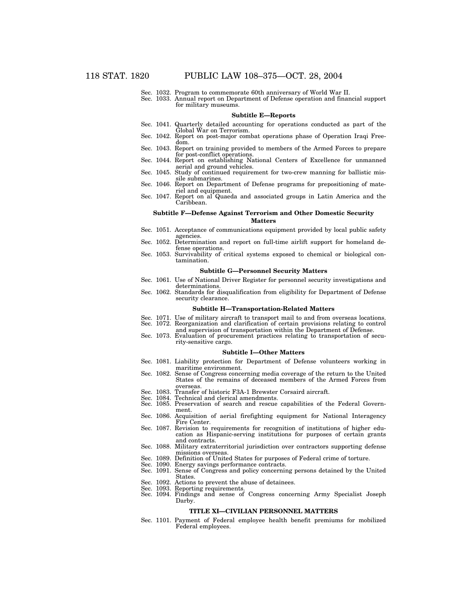- Sec. 1032. Program to commemorate 60th anniversary of World War II.
- Sec. 1033. Annual report on Department of Defense operation and financial support for military museums.

#### **Subtitle E—Reports**

- Sec. 1041. Quarterly detailed accounting for operations conducted as part of the Global War on Terrorism.
- Sec. 1042. Report on post-major combat operations phase of Operation Iraqi Freedom.
- Sec. 1043. Report on training provided to members of the Armed Forces to prepare for post-conflict operations. Sec. 1044. Report on establishing National Centers of Excellence for unmanned
- aerial and ground vehicles.
- Sec. 1045. Study of continued requirement for two-crew manning for ballistic missile submarines.
- Sec. 1046. Report on Department of Defense programs for prepositioning of materiel and equipment.
- Sec. 1047. Report on al Quaeda and associated groups in Latin America and the Caribbean.

#### **Subtitle F—Defense Against Terrorism and Other Domestic Security Matters**

- Sec. 1051. Acceptance of communications equipment provided by local public safety agencies.
- Sec. 1052. Determination and report on full-time airlift support for homeland defense operations.
- Sec. 1053. Survivability of critical systems exposed to chemical or biological contamination.

## **Subtitle G—Personnel Security Matters**

- Sec. 1061. Use of National Driver Register for personnel security investigations and determinations. Sec. 1062. Standards for disqualification from eligibility for Department of Defense
- security clearance.

#### **Subtitle H—Transportation-Related Matters**

- Sec. 1071. Use of military aircraft to transport mail to and from overseas locations. Sec. 1072. Reorganization and clarification of certain provisions relating to control
- and supervision of transportation within the Department of Defense.
- Sec. 1073. Evaluation of procurement practices relating to transportation of security-sensitive cargo.

#### **Subtitle I—Other Matters**

- Sec. 1081. Liability protection for Department of Defense volunteers working in maritime environment.
- Sec. 1082. Sense of Congress concerning media coverage of the return to the United States of the remains of deceased members of the Armed Forces from
- overseas. Sec. 1083. Transfer of historic F3A-1 Brewster Corsaird aircraft. Sec. 1084. Technical and clerical amendments.
- 
- Sec. 1085. Preservation of search and rescue capabilities of the Federal Government.
- Sec. 1086. Acquisition of aerial firefighting equipment for National Interagency Fire Center.
- Sec. 1087. Revision to requirements for recognition of institutions of higher education as Hispanic-serving institutions for purposes of certain grants and contracts.
- Sec. 1088. Military extraterritorial jurisdiction over contractors supporting defense missions overseas.
- Sec. 1089. Definition of United States for purposes of Federal crime of torture.
- Sec. 1090. Energy savings performance contracts.
- Sec. 1091. Sense of Congress and policy concerning persons detained by the United States.
- Sec. 1092. Actions to prevent the abuse of detainees.<br>Sec. 1093. Reporting requirements.
- Reporting requirements.
- Sec. 1094. Findings and sense of Congress concerning Army Specialist Joseph Darby.

#### **TITLE XI—CIVILIAN PERSONNEL MATTERS**

Sec. 1101. Payment of Federal employee health benefit premiums for mobilized Federal employees.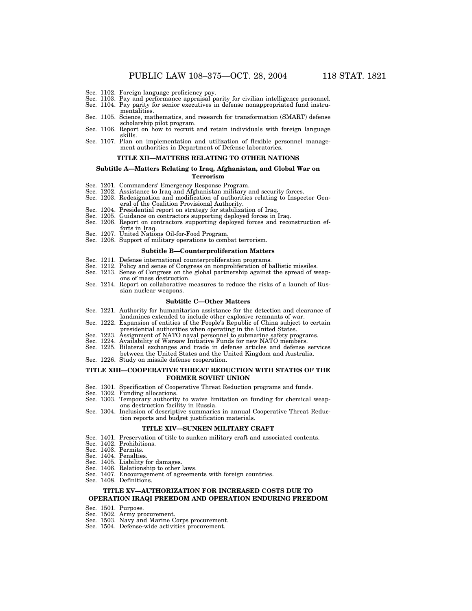- Sec. 1102. Foreign language proficiency pay.
- Sec. 1103. Pay and performance appraisal parity for civilian intelligence personnel.
- Sec. 1104. Pay parity for senior executives in defense nonappropriated fund instrumentalities.
- Sec. 1105. Science, mathematics, and research for transformation (SMART) defense
- scholarship pilot program. Sec. 1106. Report on how to recruit and retain individuals with foreign language skills.
- Sec. 1107. Plan on implementation and utilization of flexible personnel management authorities in Department of Defense laboratories.

#### **TITLE XII—MATTERS RELATING TO OTHER NATIONS**

## **Subtitle A—Matters Relating to Iraq, Afghanistan, and Global War on**

## **Terrorism**

- 
- Sec. 1201. Commanders' Emergency Response Program. Sec. 1202. Assistance to Iraq and Afghanistan military and security forces. Sec. 1203. Redesignation and modification of authorities relating to Inspector Gen-
- eral of the Coalition Provisional Authority.
- Sec. 1204. Presidential report on strategy for stabilization of Iraq.
- 
- Sec. 1205. Guidance on contractors supporting deployed forces in Iraq. Sec. 1206. Report on contractors supporting deployed forces and reconstruction ef-
- forts in Iraq.
- Sec. 1207. United Nations Oil-for-Food Program.
- Sec. 1208. Support of military operations to combat terrorism.

#### **Subtitle B—Counterproliferation Matters**

- Sec. 1211. Defense international counterproliferation programs.
- Sec. 1212. Policy and sense of Congress on nonproliferation of ballistic missiles.
- Sec. 1213. Sense of Congress on the global partnership against the spread of weapons of mass destruction.
- Sec. 1214. Report on collaborative measures to reduce the risks of a launch of Russian nuclear weapons.

#### **Subtitle C—Other Matters**

- Sec. 1221. Authority for humanitarian assistance for the detection and clearance of landmines extended to include other explosive remnants of war.
- Sec. 1222. Expansion of entities of the People's Republic of China subject to certain presidential authorities when operating in the United States.
- Sec. 1223. Assignment of NATO naval personnel to submarine safety programs. Sec. 1224. Availability of Warsaw Initiative Funds for new NATO members.
- 
- Sec. 1225. Bilateral exchanges and trade in defense articles and defense services between the United States and the United Kingdom and Australia.
- Sec. 1226. Study on missile defense cooperation.

#### **TITLE XIII—COOPERATIVE THREAT REDUCTION WITH STATES OF THE FORMER SOVIET UNION**

- Sec. 1301. Specification of Cooperative Threat Reduction programs and funds.
- Sec. 1302. Funding allocations.
- Sec. 1303. Temporary authority to waive limitation on funding for chemical weapons destruction facility in Russia.
- Sec. 1304. Inclusion of descriptive summaries in annual Cooperative Threat Reduction reports and budget justification materials.

### **TITLE XIV—SUNKEN MILITARY CRAFT**

- Sec. 1401. Preservation of title to sunken military craft and associated contents.
- Sec. 1402. Prohibitions.
- Sec. 1403. Permits.
- Sec. 1404. Penalties.
- Sec. 1405. Liability for damages.
- Sec. 1406. Relationship to other laws.
- Sec. 1407. Encouragement of agreements with foreign countries.
- Sec. 1408. Definitions.

## **TITLE XV—AUTHORIZATION FOR INCREASED COSTS DUE TO OPERATION IRAQI FREEDOM AND OPERATION ENDURING FREEDOM**

- Sec. 1501. Purpose.
- Sec. 1502. Army procurement.
- Sec. 1503. Navy and Marine Corps procurement.
- Sec. 1504. Defense-wide activities procurement.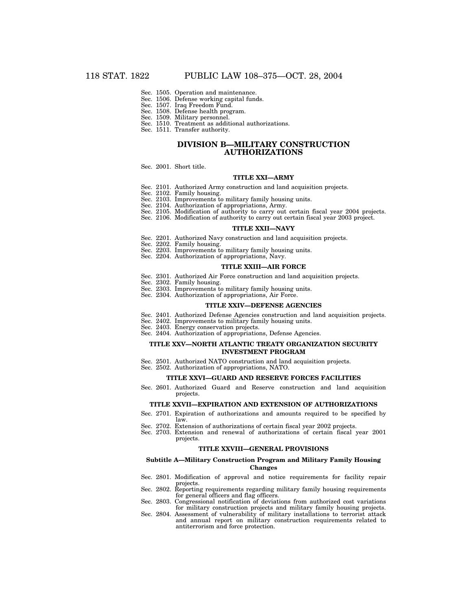- Sec. 1505. Operation and maintenance.
- Sec. 1506. Defense working capital funds. Sec. 1507. Iraq Freedom Fund.
- Sec. 1508. Defense health program.
- Sec. 1509. Military personnel.
- Sec. 1510. Treatment as additional authorizations.
- Sec. 1511. Transfer authority.

## **DIVISION B—MILITARY CONSTRUCTION AUTHORIZATIONS**

Sec. 2001. Short title.

## **TITLE XXI—ARMY**

- Sec. 2101. Authorized Army construction and land acquisition projects.
- Sec. 2102. Family housing.
- Sec. 2103. Improvements to military family housing units.
- Sec. 2104. Authorization of appropriations, Army.
- Sec. 2105. Modification of authority to carry out certain fiscal year 2004 projects.
- Sec. 2106. Modification of authority to carry out certain fiscal year 2003 project.

## **TITLE XXII—NAVY**

- Sec. 2201. Authorized Navy construction and land acquisition projects.
- Sec. 2202. Family housing.
- Sec. 2203. Improvements to military family housing units.
- Sec. 2204. Authorization of appropriations, Navy.

#### **TITLE XXIII—AIR FORCE**

- Sec. 2301. Authorized Air Force construction and land acquisition projects.
- Sec. 2302. Family housing.
- Sec. 2303. Improvements to military family housing units.
- Sec. 2304. Authorization of appropriations, Air Force.

#### **TITLE XXIV—DEFENSE AGENCIES**

- Sec. 2401. Authorized Defense Agencies construction and land acquisition projects.
- Sec. 2402. Improvements to military family housing units.
- Sec. 2403. Energy conservation projects.
- Sec. 2404. Authorization of appropriations, Defense Agencies.

### **TITLE XXV—NORTH ATLANTIC TREATY ORGANIZATION SECURITY INVESTMENT PROGRAM**

- Sec. 2501. Authorized NATO construction and land acquisition projects.
- Sec. 2502. Authorization of appropriations, NATO.

#### **TITLE XXVI—GUARD AND RESERVE FORCES FACILITIES**

Sec. 2601. Authorized Guard and Reserve construction and land acquisition projects.

#### **TITLE XXVII—EXPIRATION AND EXTENSION OF AUTHORIZATIONS**

- Sec. 2701. Expiration of authorizations and amounts required to be specified by law.
- Sec. 2702. Extension of authorizations of certain fiscal year 2002 projects.
- Sec. 2703. Extension and renewal of authorizations of certain fiscal year 2001 projects.

## **TITLE XXVIII—GENERAL PROVISIONS**

### **Subtitle A—Military Construction Program and Military Family Housing Changes**

- Sec. 2801. Modification of approval and notice requirements for facility repair projects.
- Sec. 2802. Reporting requirements regarding military family housing requirements for general officers and flag officers.
- Sec. 2803. Congressional notification of deviations from authorized cost variations for military construction projects and military family housing projects.
- Sec. 2804. Assessment of vulnerability of military installations to terrorist attack and annual report on military construction requirements related to antiterrorism and force protection.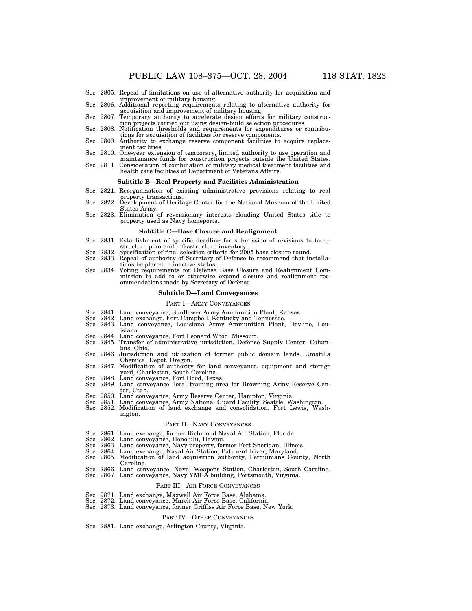- Sec. 2806. Additional reporting requirements relating to alternative authority for acquisition and improvement of military housing.
- Sec. 2807. Temporary authority to accelerate design efforts for military construction projects carried out using design-build selection procedures. Sec. 2808. Notification thresholds and requirements for expenditures or contribu-
- tions for acquisition of facilities for reserve components.
- Sec. 2809. Authority to exchange reserve component facilities to acquire replacement facilities.
- Sec. 2810. One-year extension of temporary, limited authority to use operation and
- maintenance funds for construction projects outside the United States. Sec. 2811. Consideration of combination of military medical treatment facilities and health care facilities of Department of Veterans Affairs.

#### **Subtitle B—Real Property and Facilities Administration**

- Sec. 2821. Reorganization of existing administrative provisions relating to real
- property transactions. Sec. 2822. Development of Heritage Center for the National Museum of the United States Army.
- Sec. 2823. Elimination of reversionary interests clouding United States title to property used as Navy homeports.

## **Subtitle C—Base Closure and Realignment**

- Sec. 2831. Establishment of specific deadline for submission of revisions to forcestructure plan and infrastructure inventory.
- Sec. 2832. Specification of final selection criteria for 2005 base closure round.<br>Sec. 2833. Repeal of authority of Secretary of Defense to recommend that in Repeal of authority of Secretary of Defense to recommend that installations be placed in inactive status.
- Sec. 2834. Voting requirements for Defense Base Closure and Realignment Commission to add to or otherwise expand closure and realignment recommendations made by Secretary of Defense.

### **Subtitle D—Land Conveyances**

#### PART I—ARMY CONVEYANCES

- 
- 
- Sec. 2841. Land conveyance, Sunflower Army Ammunition Plant, Kansas. Sec. 2842. Land exchange, Fort Campbell, Kentucky and Tennessee. Sec. 2843. Land conveyance, Louisiana Army Ammunition Plant, Doyline, Louisiana.
- Sec. 2844. Land conveyance, Fort Leonard Wood, Missouri.
- Sec. 2845. Transfer of administrative jurisdiction, Defense Supply Center, Columbus, Ohio.
- Sec. 2846. Jurisdiction and utilization of former public domain lands, Umatilla Chemical Depot, Oregon.
- Sec. 2847. Modification of authority for land conveyance, equipment and storage
- yard, Charleston, South Carolina. Sec. 2848. Land conveyance, Fort Hood, Texas. Sec. 2849. Land conveyance, local training area for Browning Army Reserve Center, Utah.
- 
- Sec. 2850. Land conveyance, Army Reserve Center, Hampton, Virginia. Sec. 2851. Land conveyance, Army National Guard Facility, Seattle, Washington.
- Sec. 2852. Modification of land exchange and consolidation, Fort Lewis, Washington.

#### PART II—NAVY CONVEYANCES

- Sec. 2861. Land exchange, former Richmond Naval Air Station, Florida.
- 
- Sec. 2862. Land conveyance, Honolulu, Hawaii. Sec. 2863. Land conveyance, Navy property, former Fort Sheridan, Illinois.
- 
- Sec. 2864. Land exchange, Naval Air Station, Patuxent River, Maryland. Sec. 2865. Modification of land acquisition authority, Perquimans County, North Carolina.
- Sec. 2866. Land conveyance, Naval Weapons Station, Charleston, South Carolina. Sec. 2867. Land conveyance, Navy YMCA building, Portsmouth, Virginia.

#### PART III—AIR FORCE CONVEYANCES

- Sec. 2871. Land exchange, Maxwell Air Force Base, Alabama.
- Sec. 2872. Land conveyance, March Air Force Base, California. Sec. 2873. Land conveyance, former Griffiss Air Force Base, New York.
- 

#### PART IV—OTHER CONVEYANCES

Sec. 2881. Land exchange, Arlington County, Virginia.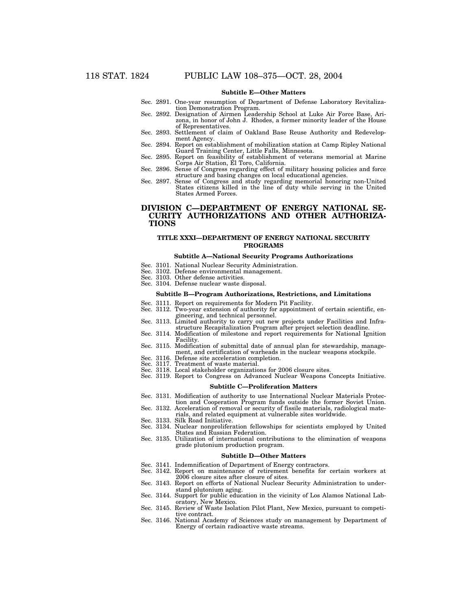## **Subtitle E—Other Matters**

- Sec. 2891. One-year resumption of Department of Defense Laboratory Revitalization Demonstration Program.
- Sec. 2892. Designation of Airmen Leadership School at Luke Air Force Base, Arizona, in honor of John J. Rhodes, a former minority leader of the House of Representatives.
- Sec. 2893. Settlement of claim of Oakland Base Reuse Authority and Redevelopment Agency.
- Sec. 2894. Report on establishment of mobilization station at Camp Ripley National Guard Training Center, Little Falls, Minnesota. Sec. 2895. Report on feasibility of establishment of veterans memorial at Marine
- Corps Air Station, El Toro, California.
- Sec. 2896. Sense of Congress regarding effect of military housing policies and force structure and basing changes on local educational agencies.
- Sec. 2897. Sense of Congress and study regarding memorial honoring non-United States citizens killed in the line of duty while serving in the United States Armed Forces.

## **DIVISION C—DEPARTMENT OF ENERGY NATIONAL SE-CURITY AUTHORIZATIONS AND OTHER AUTHORIZA-TIONS**

## **TITLE XXXI—DEPARTMENT OF ENERGY NATIONAL SECURITY PROGRAMS**

#### **Subtitle A—National Security Programs Authorizations**

- Sec. 3101. National Nuclear Security Administration.
- Sec. 3102. Defense environmental management.
- Sec. 3103. Other defense activities.
- Sec. 3104. Defense nuclear waste disposal.

#### **Subtitle B—Program Authorizations, Restrictions, and Limitations**

- Sec. 3111. Report on requirements for Modern Pit Facility.<br>Sec. 3112. Two-year extension of authority for appointmen Two-year extension of authority for appointment of certain scientific, engineering, and technical personnel.
- Sec. 3113. Limited authority to carry out new projects under Facilities and Infrastructure Recapitalization Program after project selection deadline.
- Sec. 3114. Modification of milestone and report requirements for National Ignition Facility.
- Sec. 3115. Modification of submittal date of annual plan for stewardship, management, and certification of warheads in the nuclear weapons stockpile.
- Sec. 3116. Defense site acceleration completion.
- 
- Sec. 3117. Treatment of waste material. Sec. 3118. Local stakeholder organizations for 2006 closure sites.
- Sec. 3119. Report to Congress on Advanced Nuclear Weapons Concepts Initiative.

#### **Subtitle C—Proliferation Matters**

- Sec. 3131. Modification of authority to use International Nuclear Materials Protection and Cooperation Program funds outside the former Soviet Union.
- Sec. 3132. Acceleration of removal or security of fissile materials, radiological materials, and related equipment at vulnerable sites worldwide.
- Sec. 3133. Silk Road Initiative.
- Sec. 3134. Nuclear nonproliferation fellowships for scientists employed by United States and Russian Federation.
- Sec. 3135. Utilization of international contributions to the elimination of weapons grade plutonium production program.

#### **Subtitle D—Other Matters**

- Sec. 3141. Indemnification of Department of Energy contractors.
- Sec. 3142. Report on maintenance of retirement benefits for certain workers at 2006 closure sites after closure of sites. Sec. 3143. Report on efforts of National Nuclear Security Administration to under-
- stand plutonium aging.
- Sec. 3144. Support for public education in the vicinity of Los Alamos National Laboratory, New Mexico.
- Sec. 3145. Review of Waste Isolation Pilot Plant, New Mexico, pursuant to competitive contract.
- Sec. 3146. National Academy of Sciences study on management by Department of Energy of certain radioactive waste streams.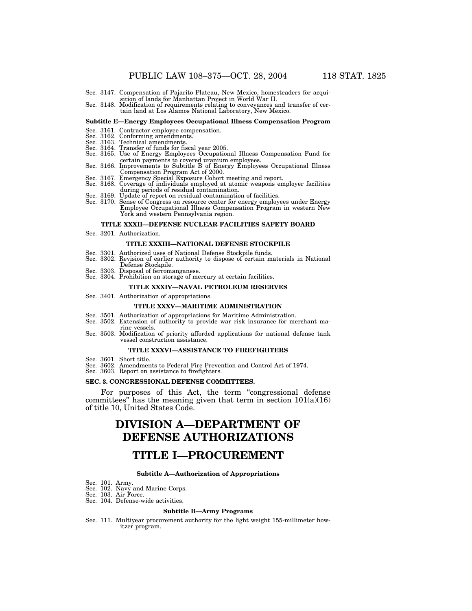- Sec. 3147. Compensation of Pajarito Plateau, New Mexico, homesteaders for acquisition of lands for Manhattan Project in World War II.
- Sec. 3148. Modification of requirements relating to conveyances and transfer of certain land at Los Alamos National Laboratory, New Mexico.

#### **Subtitle E—Energy Employees Occupational Illness Compensation Program**

- Sec. 3161. Contractor employee compensation.
- Sec. 3162. Conforming amendments. Sec. 3163. Technical amendments.
- 
- Sec. 3164. Transfer of funds for fiscal year 2005.
- Sec. 3165. Use of Energy Employees Occupational Illness Compensation Fund for certain payments to covered uranium employees. Sec. 3166. Improvements to Subtitle B of Energy Employees Occupational Illness
- 
- Compensation Program Act of 2000. Sec. 3167. Emergency Special Exposure Cohort meeting and report. Sec. 3168. Coverage of individuals employed at atomic weapons employer facilities
- during periods of residual contamination.
- Sec. 3169. Update of report on residual contamination of facilities.
- Sec. 3170. Sense of Congress on resource center for energy employees under Energy Employee Occupational Illness Compensation Program in western New York and western Pennsylvania region.

#### **TITLE XXXII—DEFENSE NUCLEAR FACILITIES SAFETY BOARD**

Sec. 3201. Authorization.

## **TITLE XXXIII—NATIONAL DEFENSE STOCKPILE**

- Sec. 3301. Authorized uses of National Defense Stockpile funds.
- Sec. 3302. Revision of earlier authority to dispose of certain materials in National Defense Stockpile.
- Sec. 3303. Disposal of ferromanganese.
- Sec. 3304. Prohibition on storage of mercury at certain facilities.

#### **TITLE XXXIV—NAVAL PETROLEUM RESERVES**

Sec. 3401. Authorization of appropriations.

#### **TITLE XXXV—MARITIME ADMINISTRATION**

- Sec. 3501. Authorization of appropriations for Maritime Administration.
- Sec. 3502. Extension of authority to provide war risk insurance for merchant marine vessels.
- Sec. 3503. Modification of priority afforded applications for national defense tank vessel construction assistance.

#### **TITLE XXXVI—ASSISTANCE TO FIREFIGHTERS**

- 
- Sec. 3601. Short title. Sec. 3602. Amendments to Federal Fire Prevention and Control Act of 1974. Sec. 3603. Report on assistance to firefighters.
- 

#### **SEC. 3. CONGRESSIONAL DEFENSE COMMITTEES.**

For purposes of this Act, the term "congressional defense committees" has the meaning given that term in section  $101(a)(16)$ of title 10, United States Code.

## **DIVISION A—DEPARTMENT OF DEFENSE AUTHORIZATIONS**

## **TITLE I—PROCUREMENT**

#### **Subtitle A—Authorization of Appropriations**

- Sec. 101. Army.
- Sec. 102. Navy and Marine Corps.
- Sec. 103. Air Force. Sec. 104. Defense-wide activities.

## **Subtitle B—Army Programs**

Sec. 111. Multiyear procurement authority for the light weight 155-millimeter howitzer program.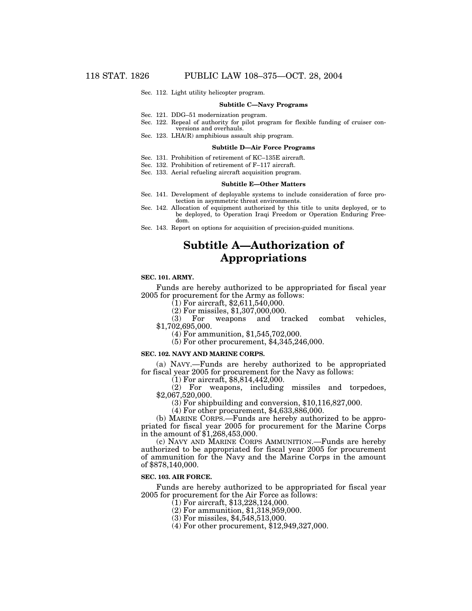Sec. 112. Light utility helicopter program.

#### **Subtitle C—Navy Programs**

- Sec. 121. DDG–51 modernization program.
- Sec. 122. Repeal of authority for pilot program for flexible funding of cruiser conversions and overhauls.
- Sec. 123. LHA(R) amphibious assault ship program.

#### **Subtitle D—Air Force Programs**

- Sec. 131. Prohibition of retirement of KC–135E aircraft.
- Sec. 132. Prohibition of retirement of F–117 aircraft.
- Sec. 133. Aerial refueling aircraft acquisition program.

#### **Subtitle E—Other Matters**

- Sec. 141. Development of deployable systems to include consideration of force protection in asymmetric threat environments.
- Sec. 142. Allocation of equipment authorized by this title to units deployed, or to be deployed, to Operation Iraqi Freedom or Operation Enduring Freedom.
- Sec. 143. Report on options for acquisition of precision-guided munitions.

## **Subtitle A—Authorization of Appropriations**

## **SEC. 101. ARMY.**

Funds are hereby authorized to be appropriated for fiscal year 2005 for procurement for the Army as follows:

(1) For aircraft, \$2,611,540,000.

(2) For missiles, \$1,307,000,000.<br>(3) For weapons and tr weapons and tracked combat vehicles, \$1,702,695,000.

(4) For ammunition, \$1,545,702,000.

(5) For other procurement, \$4,345,246,000.

#### **SEC. 102. NAVY AND MARINE CORPS.**

(a) NAVY.—Funds are hereby authorized to be appropriated for fiscal year 2005 for procurement for the Navy as follows: (1) For aircraft, \$8,814,442,000.

(2) For weapons, including missiles and torpedoes, \$2,067,520,000.

(3) For shipbuilding and conversion, \$10,116,827,000.

(4) For other procurement, \$4,633,886,000.

(b) MARINE CORPS.—Funds are hereby authorized to be appropriated for fiscal year 2005 for procurement for the Marine  $\dot{Cor}$ ps in the amount of \$1,268,453,000.

(c) NAVY AND MARINE CORPS AMMUNITION.—Funds are hereby authorized to be appropriated for fiscal year 2005 for procurement of ammunition for the Navy and the Marine Corps in the amount of \$878,140,000.

### **SEC. 103. AIR FORCE.**

Funds are hereby authorized to be appropriated for fiscal year 2005 for procurement for the Air Force as follows:

- (1) For aircraft, \$13,228,124,000.
- (2) For ammunition, \$1,318,959,000.
- (3) For missiles, \$4,548,513,000.
- (4) For other procurement, \$12,949,327,000.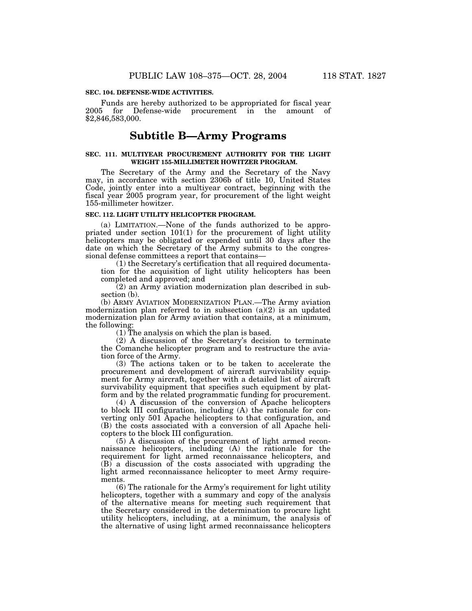### **SEC. 104. DEFENSE-WIDE ACTIVITIES.**

Funds are hereby authorized to be appropriated for fiscal year 2005 for Defense-wide procurement in the amount of \$2,846,583,000.

## **Subtitle B—Army Programs**

#### **SEC. 111. MULTIYEAR PROCUREMENT AUTHORITY FOR THE LIGHT WEIGHT 155-MILLIMETER HOWITZER PROGRAM.**

The Secretary of the Army and the Secretary of the Navy may, in accordance with section 2306b of title 10, United States Code, jointly enter into a multiyear contract, beginning with the fiscal year 2005 program year, for procurement of the light weight 155-millimeter howitzer.

## **SEC. 112. LIGHT UTILITY HELICOPTER PROGRAM.**

(a) LIMITATION.—None of the funds authorized to be appropriated under section 101(1) for the procurement of light utility helicopters may be obligated or expended until 30 days after the date on which the Secretary of the Army submits to the congressional defense committees a report that contains—

(1) the Secretary's certification that all required documentation for the acquisition of light utility helicopters has been completed and approved; and

(2) an Army aviation modernization plan described in subsection (b).

(b) ARMY AVIATION MODERNIZATION PLAN.—The Army aviation modernization plan referred to in subsection  $(a)(2)$  is an updated modernization plan for Army aviation that contains, at a minimum, the following:

(1) The analysis on which the plan is based.

(2) A discussion of the Secretary's decision to terminate the Comanche helicopter program and to restructure the aviation force of the Army.

(3) The actions taken or to be taken to accelerate the procurement and development of aircraft survivability equipment for Army aircraft, together with a detailed list of aircraft survivability equipment that specifies such equipment by platform and by the related programmatic funding for procurement.

(4) A discussion of the conversion of Apache helicopters to block III configuration, including (A) the rationale for converting only 501 Apache helicopters to that configuration, and (B) the costs associated with a conversion of all Apache helicopters to the block III configuration.

(5) A discussion of the procurement of light armed reconnaissance helicopters, including (A) the rationale for the requirement for light armed reconnaissance helicopters, and (B) a discussion of the costs associated with upgrading the light armed reconnaissance helicopter to meet Army requirements.

(6) The rationale for the Army's requirement for light utility helicopters, together with a summary and copy of the analysis of the alternative means for meeting such requirement that the Secretary considered in the determination to procure light utility helicopters, including, at a minimum, the analysis of the alternative of using light armed reconnaissance helicopters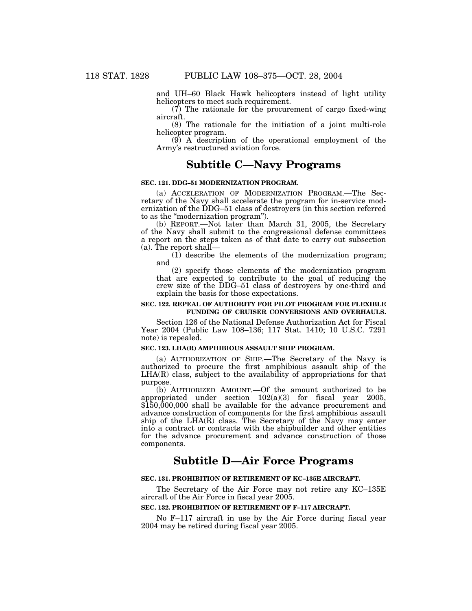and UH–60 Black Hawk helicopters instead of light utility helicopters to meet such requirement.

(7) The rationale for the procurement of cargo fixed-wing aircraft.

(8) The rationale for the initiation of a joint multi-role helicopter program.

(9) A description of the operational employment of the Army's restructured aviation force.

## **Subtitle C—Navy Programs**

## **SEC. 121. DDG–51 MODERNIZATION PROGRAM.**

(a) ACCELERATION OF MODERNIZATION PROGRAM.—The Secretary of the Navy shall accelerate the program for in-service modernization of the DDG-51 class of destroyers (in this section referred to as the ''modernization program'').

(b) REPORT.—Not later than March 31, 2005, the Secretary of the Navy shall submit to the congressional defense committees a report on the steps taken as of that date to carry out subsection (a). The report shall—

(1) describe the elements of the modernization program; and

(2) specify those elements of the modernization program that are expected to contribute to the goal of reducing the crew size of the DDG–51 class of destroyers by one-third and explain the basis for those expectations.

## **SEC. 122. REPEAL OF AUTHORITY FOR PILOT PROGRAM FOR FLEXIBLE FUNDING OF CRUISER CONVERSIONS AND OVERHAULS.**

Section 126 of the National Defense Authorization Act for Fiscal Year 2004 (Public Law 108–136; 117 Stat. 1410; 10 U.S.C. 7291 note) is repealed.

## **SEC. 123. LHA(R) AMPHIBIOUS ASSAULT SHIP PROGRAM.**

(a) AUTHORIZATION OF SHIP.—The Secretary of the Navy is authorized to procure the first amphibious assault ship of the LHA(R) class, subject to the availability of appropriations for that purpose.

(b) AUTHORIZED AMOUNT.—Of the amount authorized to be appropriated under section  $102(a)(3)$  for fiscal year 2005, \$150,000,000 shall be available for the advance procurement and advance construction of components for the first amphibious assault ship of the LHA(R) class. The Secretary of the Navy may enter into a contract or contracts with the shipbuilder and other entities for the advance procurement and advance construction of those components.

## **Subtitle D—Air Force Programs**

## **SEC. 131. PROHIBITION OF RETIREMENT OF KC–135E AIRCRAFT.**

The Secretary of the Air Force may not retire any KC–135E aircraft of the Air Force in fiscal year 2005.

## **SEC. 132. PROHIBITION OF RETIREMENT OF F–117 AIRCRAFT.**

No F–117 aircraft in use by the Air Force during fiscal year 2004 may be retired during fiscal year 2005.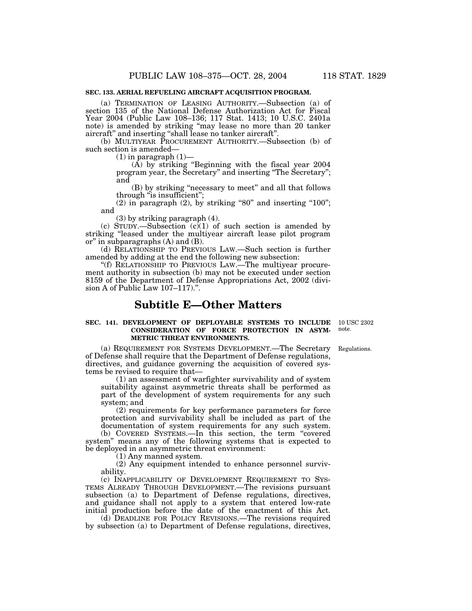### **SEC. 133. AERIAL REFUELING AIRCRAFT ACQUISITION PROGRAM.**

(a) TERMINATION OF LEASING AUTHORITY.—Subsection (a) of section 135 of the National Defense Authorization Act for Fiscal Year 2004 (Public Law 108–136; 117 Stat. 1413; 10 U.S.C. 2401a note) is amended by striking ''may lease no more than 20 tanker aircraft'' and inserting ''shall lease no tanker aircraft''.

(b) MULTIYEAR PROCUREMENT AUTHORITY.—Subsection (b) of such section is amended—

 $(1)$  in paragraph  $(1)$ -

(A) by striking ''Beginning with the fiscal year 2004 program year, the Secretary'' and inserting ''The Secretary''; and

(B) by striking ''necessary to meet'' and all that follows through "is insufficient";

 $(2)$  in paragraph  $(2)$ , by striking "80" and inserting "100"; and

(3) by striking paragraph (4).

(c) STUDY.—Subsection  $(c)(1)$  of such section is amended by striking ''leased under the multiyear aircraft lease pilot program or'' in subparagraphs (A) and (B).

(d) RELATIONSHIP TO PREVIOUS LAW.—Such section is further amended by adding at the end the following new subsection:

''(f) RELATIONSHIP TO PREVIOUS LAW.—The multiyear procurement authority in subsection (b) may not be executed under section 8159 of the Department of Defense Appropriations Act, 2002 (division A of Public Law 107–117).''.

## **Subtitle E—Other Matters**

## **SEC. 141. DEVELOPMENT OF DEPLOYABLE SYSTEMS TO INCLUDE CONSIDERATION OF FORCE PROTECTION IN ASYM-METRIC THREAT ENVIRONMENTS.**

10 USC 2302 note.

Regulations.

(a) REQUIREMENT FOR SYSTEMS DEVELOPMENT.—The Secretary of Defense shall require that the Department of Defense regulations, directives, and guidance governing the acquisition of covered systems be revised to require that—

(1) an assessment of warfighter survivability and of system suitability against asymmetric threats shall be performed as part of the development of system requirements for any such system; and

(2) requirements for key performance parameters for force protection and survivability shall be included as part of the documentation of system requirements for any such system.

(b) COVERED SYSTEMS.—In this section, the term ''covered system'' means any of the following systems that is expected to be deployed in an asymmetric threat environment:

(1) Any manned system.

(2) Any equipment intended to enhance personnel survivability.

(c) INAPPLICABILITY OF DEVELOPMENT REQUIREMENT TO SYS-TEMS ALREADY THROUGH DEVELOPMENT.—The revisions pursuant subsection (a) to Department of Defense regulations, directives, and guidance shall not apply to a system that entered low-rate initial production before the date of the enactment of this Act.

(d) DEADLINE FOR POLICY REVISIONS.—The revisions required by subsection (a) to Department of Defense regulations, directives,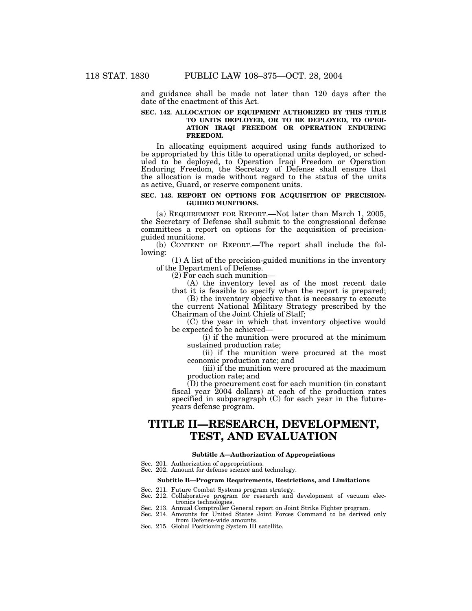and guidance shall be made not later than 120 days after the date of the enactment of this Act.

## **SEC. 142. ALLOCATION OF EQUIPMENT AUTHORIZED BY THIS TITLE TO UNITS DEPLOYED, OR TO BE DEPLOYED, TO OPER-ATION IRAQI FREEDOM OR OPERATION ENDURING FREEDOM.**

In allocating equipment acquired using funds authorized to be appropriated by this title to operational units deployed, or scheduled to be deployed, to Operation Iraqi Freedom or Operation Enduring Freedom, the Secretary of Defense shall ensure that the allocation is made without regard to the status of the units as active, Guard, or reserve component units.

## **SEC. 143. REPORT ON OPTIONS FOR ACQUISITION OF PRECISION-GUIDED MUNITIONS.**

(a) REQUIREMENT FOR REPORT.—Not later than March 1, 2005, the Secretary of Defense shall submit to the congressional defense committees a report on options for the acquisition of precisionguided munitions.

(b) CONTENT OF REPORT.—The report shall include the following:

(1) A list of the precision-guided munitions in the inventory of the Department of Defense.

(2) For each such munition—

(A) the inventory level as of the most recent date that it is feasible to specify when the report is prepared;

(B) the inventory objective that is necessary to execute the current National Military Strategy prescribed by the Chairman of the Joint Chiefs of Staff;

(C) the year in which that inventory objective would be expected to be achieved—

(i) if the munition were procured at the minimum sustained production rate;

(ii) if the munition were procured at the most economic production rate; and

(iii) if the munition were procured at the maximum production rate; and

(D) the procurement cost for each munition (in constant fiscal year 2004 dollars) at each of the production rates specified in subparagraph (C) for each year in the futureyears defense program.

# **TITLE II—RESEARCH, DEVELOPMENT, TEST, AND EVALUATION**

## **Subtitle A—Authorization of Appropriations**

- Sec. 201. Authorization of appropriations.
- Sec. 202. Amount for defense science and technology.

#### **Subtitle B—Program Requirements, Restrictions, and Limitations**

- 
- Sec. 211. Future Combat Systems program strategy. Sec. 212. Collaborative program for research and development of vacuum electronics technologies.
- Sec. 213. Annual Comptroller General report on Joint Strike Fighter program.
- Sec. 214. Amounts for United States Joint Forces Command to be derived only from Defense-wide amounts.
- Sec. 215. Global Positioning System III satellite.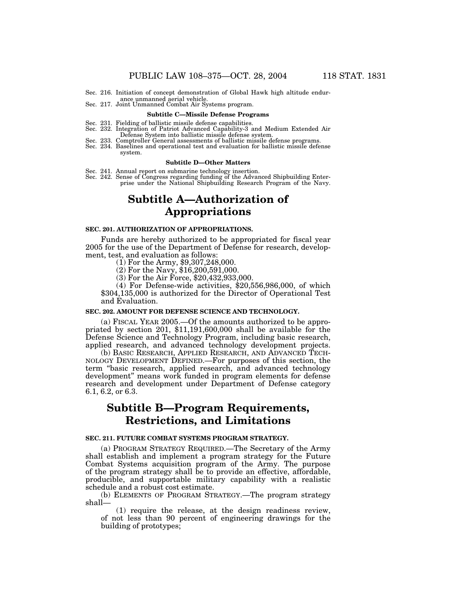- Sec. 216. Initiation of concept demonstration of Global Hawk high altitude endur-
- ance unmanned aerial vehicle. Sec. 217. Joint Unmanned Combat Air Systems program.

#### **Subtitle C—Missile Defense Programs**

- Sec. 231. Fielding of ballistic missile defense capabilities. Sec. 232. Integration of Patriot Advanced Capability-3 and Medium Extended Air
	-
- Defense System into ballistic missile defense system. Sec. 233. Comptroller General assessments of ballistic missile defense programs. Sec. 234. Baselines and operational test and evaluation for ballistic missile defense system.

#### **Subtitle D—Other Matters**

- Sec. 241. Annual report on submarine technology insertion.
- Sec. 242. Sense of Congress regarding funding of the Advanced Shipbuilding Enterprise under the National Shipbuilding Research Program of the Navy.

## **Subtitle A—Authorization of Appropriations**

## **SEC. 201. AUTHORIZATION OF APPROPRIATIONS.**

Funds are hereby authorized to be appropriated for fiscal year 2005 for the use of the Department of Defense for research, development, test, and evaluation as follows:

(1) For the Army, \$9,307,248,000.

 $(2)$  For the Navy, \$16,200,591,000.

(3) For the Air Force, \$20,432,933,000.

(4) For Defense-wide activities, \$20,556,986,000, of which \$304,135,000 is authorized for the Director of Operational Test and Evaluation.

### **SEC. 202. AMOUNT FOR DEFENSE SCIENCE AND TECHNOLOGY.**

(a) FISCAL YEAR 2005.—Of the amounts authorized to be appropriated by section 201, \$11,191,600,000 shall be available for the Defense Science and Technology Program, including basic research, applied research, and advanced technology development projects.

(b) BASIC RESEARCH, APPLIED RESEARCH, AND ADVANCED TECH-NOLOGY DEVELOPMENT DEFINED.—For purposes of this section, the term ''basic research, applied research, and advanced technology development'' means work funded in program elements for defense research and development under Department of Defense category 6.1, 6.2, or 6.3.

## **Subtitle B—Program Requirements, Restrictions, and Limitations**

## **SEC. 211. FUTURE COMBAT SYSTEMS PROGRAM STRATEGY.**

(a) PROGRAM STRATEGY REQUIRED.—The Secretary of the Army shall establish and implement a program strategy for the Future Combat Systems acquisition program of the Army. The purpose of the program strategy shall be to provide an effective, affordable, producible, and supportable military capability with a realistic schedule and a robust cost estimate.

(b) ELEMENTS OF PROGRAM STRATEGY.—The program strategy shall—

(1) require the release, at the design readiness review, of not less than 90 percent of engineering drawings for the building of prototypes;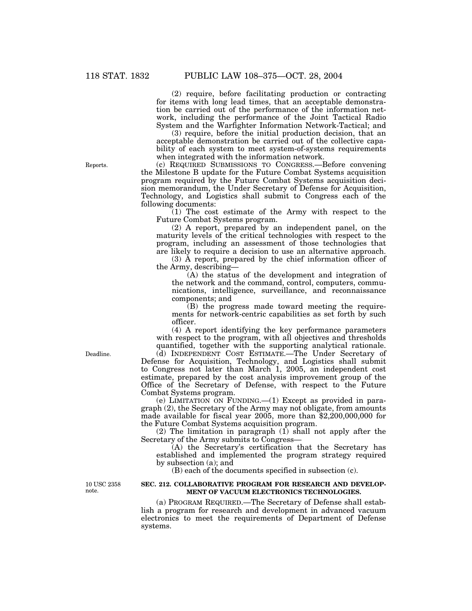(2) require, before facilitating production or contracting for items with long lead times, that an acceptable demonstration be carried out of the performance of the information network, including the performance of the Joint Tactical Radio System and the Warfighter Information Network-Tactical; and

(3) require, before the initial production decision, that an acceptable demonstration be carried out of the collective capability of each system to meet system-of-systems requirements when integrated with the information network.

(c) REQUIRED SUBMISSIONS TO CONGRESS.—Before convening the Milestone B update for the Future Combat Systems acquisition program required by the Future Combat Systems acquisition decision memorandum, the Under Secretary of Defense for Acquisition, Technology, and Logistics shall submit to Congress each of the following documents:

(1) The cost estimate of the Army with respect to the Future Combat Systems program.

(2) A report, prepared by an independent panel, on the maturity levels of the critical technologies with respect to the program, including an assessment of those technologies that are likely to require a decision to use an alternative approach.

(3) A report, prepared by the chief information officer of the Army, describing—

(A) the status of the development and integration of the network and the command, control, computers, communications, intelligence, surveillance, and reconnaissance components; and

(B) the progress made toward meeting the requirements for network-centric capabilities as set forth by such officer.

(4) A report identifying the key performance parameters with respect to the program, with all objectives and thresholds quantified, together with the supporting analytical rationale.

(d) INDEPENDENT COST ESTIMATE.—The Under Secretary of Defense for Acquisition, Technology, and Logistics shall submit to Congress not later than March 1, 2005, an independent cost estimate, prepared by the cost analysis improvement group of the Office of the Secretary of Defense, with respect to the Future Combat Systems program.

(e) LIMITATION ON FUNDING.—(1) Except as provided in paragraph (2), the Secretary of the Army may not obligate, from amounts made available for fiscal year 2005, more than \$2,200,000,000 for the Future Combat Systems acquisition program.

(2) The limitation in paragraph (1) shall not apply after the Secretary of the Army submits to Congress—

(A) the Secretary's certification that the Secretary has established and implemented the program strategy required by subsection (a); and

(B) each of the documents specified in subsection (c).

10 USC 2358 note.

## **SEC. 212. COLLABORATIVE PROGRAM FOR RESEARCH AND DEVELOP-MENT OF VACUUM ELECTRONICS TECHNOLOGIES.**

(a) PROGRAM REQUIRED.—The Secretary of Defense shall establish a program for research and development in advanced vacuum electronics to meet the requirements of Department of Defense systems.

Deadline.

Reports.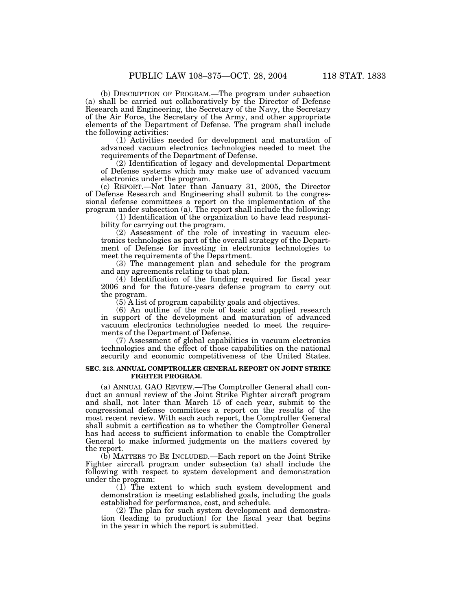(b) DESCRIPTION OF PROGRAM.—The program under subsection (a) shall be carried out collaboratively by the Director of Defense Research and Engineering, the Secretary of the Navy, the Secretary of the Air Force, the Secretary of the Army, and other appropriate elements of the Department of Defense. The program shall include the following activities:

(1) Activities needed for development and maturation of advanced vacuum electronics technologies needed to meet the requirements of the Department of Defense.

(2) Identification of legacy and developmental Department of Defense systems which may make use of advanced vacuum electronics under the program.

(c) REPORT.—Not later than January 31, 2005, the Director of Defense Research and Engineering shall submit to the congressional defense committees a report on the implementation of the program under subsection (a). The report shall include the following:

(1) Identification of the organization to have lead responsibility for carrying out the program.

(2) Assessment of the role of investing in vacuum electronics technologies as part of the overall strategy of the Department of Defense for investing in electronics technologies to meet the requirements of the Department.

(3) The management plan and schedule for the program and any agreements relating to that plan.

(4) Identification of the funding required for fiscal year 2006 and for the future-years defense program to carry out the program.

(5) A list of program capability goals and objectives.

(6) An outline of the role of basic and applied research in support of the development and maturation of advanced vacuum electronics technologies needed to meet the requirements of the Department of Defense.

(7) Assessment of global capabilities in vacuum electronics technologies and the effect of those capabilities on the national security and economic competitiveness of the United States.

## **SEC. 213. ANNUAL COMPTROLLER GENERAL REPORT ON JOINT STRIKE FIGHTER PROGRAM.**

(a) ANNUAL GAO REVIEW.—The Comptroller General shall conduct an annual review of the Joint Strike Fighter aircraft program and shall, not later than March 15 of each year, submit to the congressional defense committees a report on the results of the most recent review. With each such report, the Comptroller General shall submit a certification as to whether the Comptroller General has had access to sufficient information to enable the Comptroller General to make informed judgments on the matters covered by the report.

(b) MATTERS TO BE INCLUDED.—Each report on the Joint Strike Fighter aircraft program under subsection (a) shall include the following with respect to system development and demonstration under the program:

(1) The extent to which such system development and demonstration is meeting established goals, including the goals established for performance, cost, and schedule.

(2) The plan for such system development and demonstration (leading to production) for the fiscal year that begins in the year in which the report is submitted.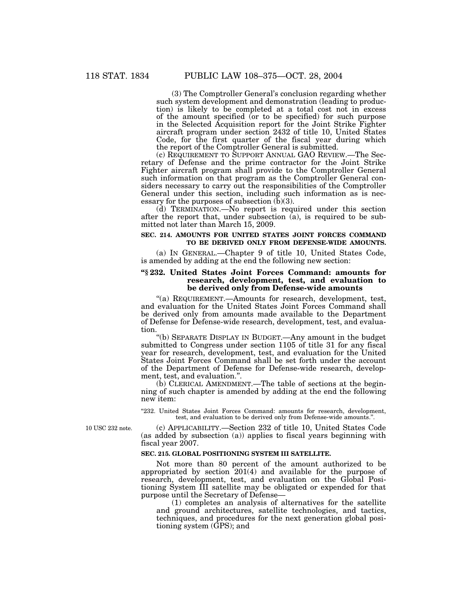(3) The Comptroller General's conclusion regarding whether such system development and demonstration (leading to production) is likely to be completed at a total cost not in excess of the amount specified (or to be specified) for such purpose in the Selected Acquisition report for the Joint Strike Fighter aircraft program under section 2432 of title 10, United States Code, for the first quarter of the fiscal year during which the report of the Comptroller General is submitted.

(c) REQUIREMENT TO SUPPORT ANNUAL GAO REVIEW.—The Secretary of Defense and the prime contractor for the Joint Strike Fighter aircraft program shall provide to the Comptroller General such information on that program as the Comptroller General considers necessary to carry out the responsibilities of the Comptroller General under this section, including such information as is necessary for the purposes of subsection (b)(3).

(d) TERMINATION.—No report is required under this section after the report that, under subsection (a), is required to be submitted not later than March 15, 2009.

## **SEC. 214. AMOUNTS FOR UNITED STATES JOINT FORCES COMMAND TO BE DERIVED ONLY FROM DEFENSE-WIDE AMOUNTS.**

(a) IN GENERAL.—Chapter 9 of title 10, United States Code, is amended by adding at the end the following new section:

## **''§ 232. United States Joint Forces Command: amounts for research, development, test, and evaluation to be derived only from Defense-wide amounts**

''(a) REQUIREMENT.—Amounts for research, development, test, and evaluation for the United States Joint Forces Command shall be derived only from amounts made available to the Department of Defense for Defense-wide research, development, test, and evaluation.

''(b) SEPARATE DISPLAY IN BUDGET.—Any amount in the budget submitted to Congress under section 1105 of title 31 for any fiscal year for research, development, test, and evaluation for the United States Joint Forces Command shall be set forth under the account of the Department of Defense for Defense-wide research, development, test, and evaluation.''.

(b) CLERICAL AMENDMENT.—The table of sections at the beginning of such chapter is amended by adding at the end the following new item:

"232. United States Joint Forces Command: amounts for research, development, test, and evaluation to be derived only from Defense-wide amounts.''.

(c) APPLICABILITY.—Section 232 of title 10, United States Code

10 USC 232 note.

## (as added by subsection (a)) applies to fiscal years beginning with fiscal year 2007.

## **SEC. 215. GLOBAL POSITIONING SYSTEM III SATELLITE.**

Not more than 80 percent of the amount authorized to be appropriated by section 201(4) and available for the purpose of research, development, test, and evaluation on the Global Positioning System III satellite may be obligated or expended for that purpose until the Secretary of Defense—

(1) completes an analysis of alternatives for the satellite and ground architectures, satellite technologies, and tactics, techniques, and procedures for the next generation global positioning system (GPS); and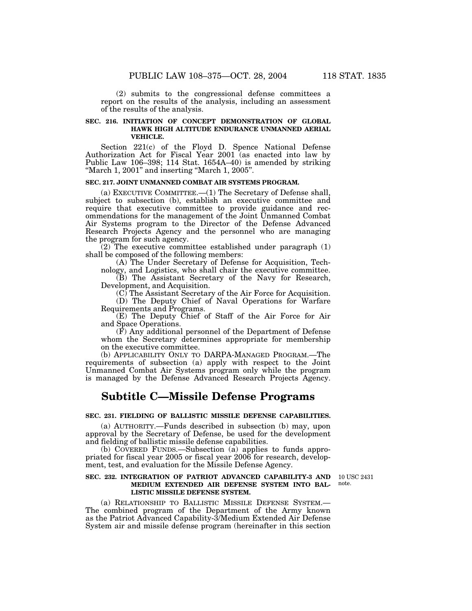(2) submits to the congressional defense committees a report on the results of the analysis, including an assessment of the results of the analysis.

## **SEC. 216. INITIATION OF CONCEPT DEMONSTRATION OF GLOBAL HAWK HIGH ALTITUDE ENDURANCE UNMANNED AERIAL VEHICLE.**

Section 221(c) of the Floyd D. Spence National Defense Authorization Act for Fiscal Year 2001 (as enacted into law by Public Law 106–398; 114 Stat. 1654A–40) is amended by striking "March 1,  $2001$ " and inserting "March 1,  $2005$ ".

## **SEC. 217. JOINT UNMANNED COMBAT AIR SYSTEMS PROGRAM.**

(a) EXECUTIVE COMMITTEE.—(1) The Secretary of Defense shall, subject to subsection (b), establish an executive committee and require that executive committee to provide guidance and recommendations for the management of the Joint Unmanned Combat Air Systems program to the Director of the Defense Advanced Research Projects Agency and the personnel who are managing the program for such agency.

(2) The executive committee established under paragraph (1) shall be composed of the following members:

(A) The Under Secretary of Defense for Acquisition, Technology, and Logistics, who shall chair the executive committee.

(B) The Assistant Secretary of the Navy for Research, Development, and Acquisition.

(C) The Assistant Secretary of the Air Force for Acquisition.

(D) The Deputy Chief of Naval Operations for Warfare Requirements and Programs.

(E) The Deputy Chief of Staff of the Air Force for Air and Space Operations.

 $(\vec{F})$  Any additional personnel of the Department of Defense whom the Secretary determines appropriate for membership on the executive committee.

(b) APPLICABILITY ONLY TO DARPA-MANAGED PROGRAM.—The requirements of subsection (a) apply with respect to the Joint Unmanned Combat Air Systems program only while the program is managed by the Defense Advanced Research Projects Agency.

## **Subtitle C—Missile Defense Programs**

### **SEC. 231. FIELDING OF BALLISTIC MISSILE DEFENSE CAPABILITIES.**

(a) AUTHORITY.—Funds described in subsection (b) may, upon approval by the Secretary of Defense, be used for the development and fielding of ballistic missile defense capabilities.

(b) COVERED FUNDS.—Subsection (a) applies to funds appropriated for fiscal year 2005 or fiscal year 2006 for research, development, test, and evaluation for the Missile Defense Agency.

## **SEC. 232. INTEGRATION OF PATRIOT ADVANCED CAPABILITY-3 AND MEDIUM EXTENDED AIR DEFENSE SYSTEM INTO BAL-LISTIC MISSILE DEFENSE SYSTEM.**

note.

10 USC 2431

(a) RELATIONSHIP TO BALLISTIC MISSILE DEFENSE SYSTEM.— The combined program of the Department of the Army known as the Patriot Advanced Capability-3/Medium Extended Air Defense System air and missile defense program (hereinafter in this section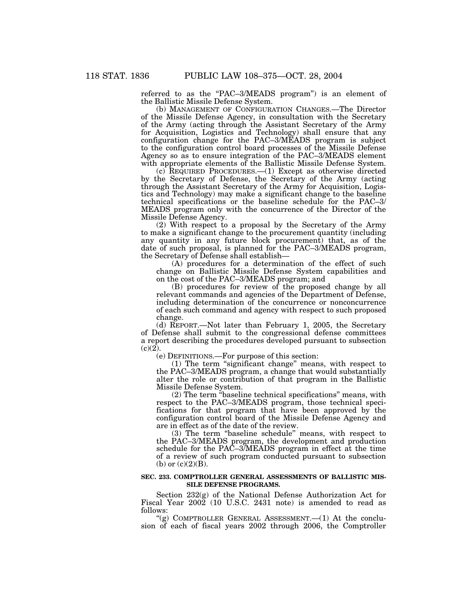referred to as the "PAC-3/MEADS program") is an element of the Ballistic Missile Defense System.

(b) MANAGEMENT OF CONFIGURATION CHANGES.—The Director of the Missile Defense Agency, in consultation with the Secretary of the Army (acting through the Assistant Secretary of the Army for Acquisition, Logistics and Technology) shall ensure that any configuration change for the PAC–3/MEADS program is subject to the configuration control board processes of the Missile Defense Agency so as to ensure integration of the PAC–3/MEADS element with appropriate elements of the Ballistic Missile Defense System.

(c) REQUIRED PROCEDURES.—(1) Except as otherwise directed by the Secretary of Defense, the Secretary of the Army (acting through the Assistant Secretary of the Army for Acquisition, Logistics and Technology) may make a significant change to the baseline technical specifications or the baseline schedule for the PAC–3/ MEADS program only with the concurrence of the Director of the Missile Defense Agency.

(2) With respect to a proposal by the Secretary of the Army to make a significant change to the procurement quantity (including any quantity in any future block procurement) that, as of the date of such proposal, is planned for the PAC–3/MEADS program, the Secretary of Defense shall establish—

(A) procedures for a determination of the effect of such change on Ballistic Missile Defense System capabilities and on the cost of the PAC–3/MEADS program; and

(B) procedures for review of the proposed change by all relevant commands and agencies of the Department of Defense, including determination of the concurrence or nonconcurrence of each such command and agency with respect to such proposed change.

(d) REPORT.—Not later than February 1, 2005, the Secretary of Defense shall submit to the congressional defense committees a report describing the procedures developed pursuant to subsection  $(c)(2)$ .

(e) DEFINITIONS.—For purpose of this section:

(1) The term ''significant change'' means, with respect to the PAC–3/MEADS program, a change that would substantially alter the role or contribution of that program in the Ballistic Missile Defense System.

(2) The term ''baseline technical specifications'' means, with respect to the PAC–3/MEADS program, those technical specifications for that program that have been approved by the configuration control board of the Missile Defense Agency and are in effect as of the date of the review.

(3) The term ''baseline schedule'' means, with respect to the PAC–3/MEADS program, the development and production schedule for the PAC–3/MEADS program in effect at the time of a review of such program conducted pursuant to subsection (b) or  $(c)(2)(B)$ .

## **SEC. 233. COMPTROLLER GENERAL ASSESSMENTS OF BALLISTIC MIS-SILE DEFENSE PROGRAMS.**

Section 232(g) of the National Defense Authorization Act for Fiscal Year 2002 (10 U.S.C. 2431 note) is amended to read as follows:

"(g) COMPTROLLER GENERAL ASSESSMENT. $-(1)$  At the conclusion of each of fiscal years 2002 through 2006, the Comptroller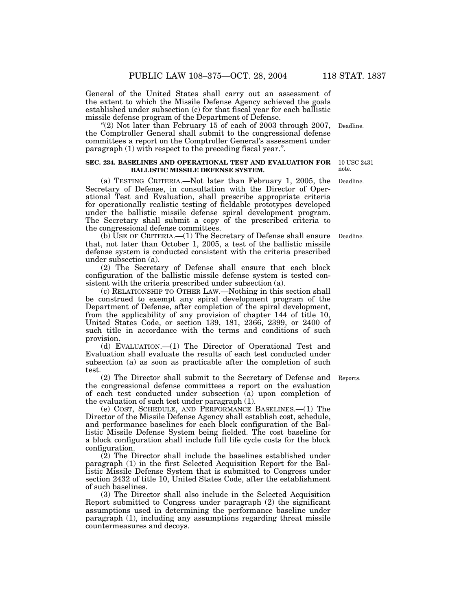General of the United States shall carry out an assessment of the extent to which the Missile Defense Agency achieved the goals established under subsection (c) for that fiscal year for each ballistic missile defense program of the Department of Defense.

"(2) Not later than February 15 of each of 2003 through 2007, Deadline. the Comptroller General shall submit to the congressional defense committees a report on the Comptroller General's assessment under paragraph (1) with respect to the preceding fiscal year.''.

#### **SEC. 234. BASELINES AND OPERATIONAL TEST AND EVALUATION FOR BALLISTIC MISSILE DEFENSE SYSTEM.**

(a) TESTING CRITERIA.—Not later than February 1, 2005, the Secretary of Defense, in consultation with the Director of Operational Test and Evaluation, shall prescribe appropriate criteria for operationally realistic testing of fieldable prototypes developed under the ballistic missile defense spiral development program. The Secretary shall submit a copy of the prescribed criteria to the congressional defense committees.

(b) USE OF CRITERIA.—(1) The Secretary of Defense shall ensure that, not later than October 1, 2005, a test of the ballistic missile defense system is conducted consistent with the criteria prescribed under subsection (a). Deadline.

(2) The Secretary of Defense shall ensure that each block configuration of the ballistic missile defense system is tested consistent with the criteria prescribed under subsection (a).

(c) RELATIONSHIP TO OTHER LAW.—Nothing in this section shall be construed to exempt any spiral development program of the Department of Defense, after completion of the spiral development, from the applicability of any provision of chapter 144 of title 10, United States Code, or section 139, 181, 2366, 2399, or 2400 of such title in accordance with the terms and conditions of such provision.

(d) EVALUATION.—(1) The Director of Operational Test and Evaluation shall evaluate the results of each test conducted under subsection (a) as soon as practicable after the completion of such test.

(2) The Director shall submit to the Secretary of Defense and Reports. the congressional defense committees a report on the evaluation of each test conducted under subsection (a) upon completion of the evaluation of such test under paragraph (1).

(e) COST, SCHEDULE, AND PERFORMANCE BASELINES.—(1) The Director of the Missile Defense Agency shall establish cost, schedule, and performance baselines for each block configuration of the Ballistic Missile Defense System being fielded. The cost baseline for a block configuration shall include full life cycle costs for the block configuration.

(2) The Director shall include the baselines established under paragraph (1) in the first Selected Acquisition Report for the Ballistic Missile Defense System that is submitted to Congress under section 2432 of title 10, United States Code, after the establishment of such baselines.

(3) The Director shall also include in the Selected Acquisition Report submitted to Congress under paragraph (2) the significant assumptions used in determining the performance baseline under paragraph (1), including any assumptions regarding threat missile countermeasures and decoys.

10 USC 2431 note.

Deadline.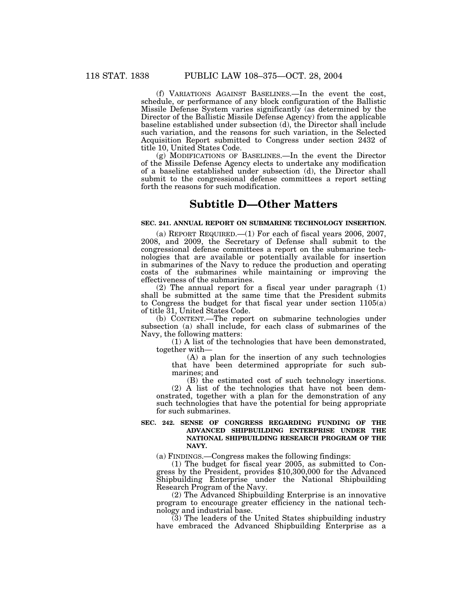(f) VARIATIONS AGAINST BASELINES.—In the event the cost, schedule, or performance of any block configuration of the Ballistic Missile Defense System varies significantly (as determined by the Director of the Ballistic Missile Defense Agency) from the applicable baseline established under subsection (d), the Director shall include such variation, and the reasons for such variation, in the Selected Acquisition Report submitted to Congress under section 2432 of title 10, United States Code.

(g) MODIFICATIONS OF BASELINES.—In the event the Director of the Missile Defense Agency elects to undertake any modification of a baseline established under subsection (d), the Director shall submit to the congressional defense committees a report setting forth the reasons for such modification.

## **Subtitle D—Other Matters**

## **SEC. 241. ANNUAL REPORT ON SUBMARINE TECHNOLOGY INSERTION.**

(a) REPORT REQUIRED.—(1) For each of fiscal years 2006, 2007, 2008, and 2009, the Secretary of Defense shall submit to the congressional defense committees a report on the submarine technologies that are available or potentially available for insertion in submarines of the Navy to reduce the production and operating costs of the submarines while maintaining or improving the effectiveness of the submarines.

(2) The annual report for a fiscal year under paragraph (1) shall be submitted at the same time that the President submits to Congress the budget for that fiscal year under section 1105(a) of title 31, United States Code.

(b) CONTENT.—The report on submarine technologies under subsection (a) shall include, for each class of submarines of the Navy, the following matters:

(1) A list of the technologies that have been demonstrated, together with—

(A) a plan for the insertion of any such technologies that have been determined appropriate for such submarines; and

(B) the estimated cost of such technology insertions.

(2) A list of the technologies that have not been demonstrated, together with a plan for the demonstration of any such technologies that have the potential for being appropriate for such submarines.

## **SEC. 242. SENSE OF CONGRESS REGARDING FUNDING OF THE ADVANCED SHIPBUILDING ENTERPRISE UNDER THE NATIONAL SHIPBUILDING RESEARCH PROGRAM OF THE NAVY.**

(a) FINDINGS.—Congress makes the following findings:

(1) The budget for fiscal year 2005, as submitted to Congress by the President, provides \$10,300,000 for the Advanced Shipbuilding Enterprise under the National Shipbuilding Research Program of the Navy.

(2) The Advanced Shipbuilding Enterprise is an innovative program to encourage greater efficiency in the national technology and industrial base.

(3) The leaders of the United States shipbuilding industry have embraced the Advanced Shipbuilding Enterprise as a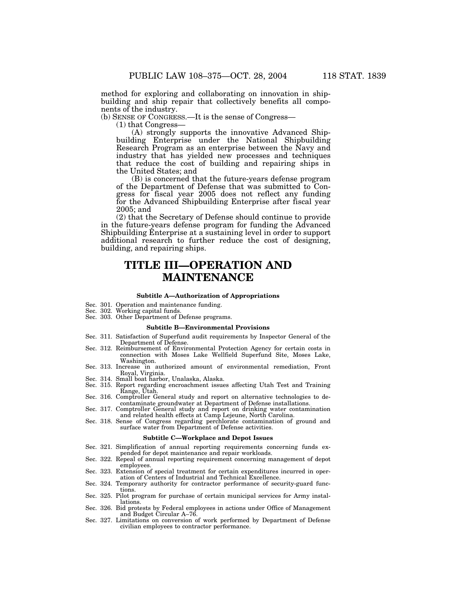method for exploring and collaborating on innovation in shipbuilding and ship repair that collectively benefits all components of the industry.

(b) SENSE OF CONGRESS.—It is the sense of Congress—

(1) that Congress—

(A) strongly supports the innovative Advanced Shipbuilding Enterprise under the National Shipbuilding Research Program as an enterprise between the Navy and industry that has yielded new processes and techniques that reduce the cost of building and repairing ships in the United States; and

(B) is concerned that the future-years defense program of the Department of Defense that was submitted to Congress for fiscal year 2005 does not reflect any funding for the Advanced Shipbuilding Enterprise after fiscal year 2005; and

(2) that the Secretary of Defense should continue to provide in the future-years defense program for funding the Advanced Shipbuilding Enterprise at a sustaining level in order to support additional research to further reduce the cost of designing, building, and repairing ships.

## **TITLE III—OPERATION AND MAINTENANCE**

### **Subtitle A—Authorization of Appropriations**

- Sec. 301. Operation and maintenance funding.
- 
- Sec. 302. Working capital funds. Sec. 303. Other Department of Defense programs.

#### **Subtitle B—Environmental Provisions**

- Sec. 311. Satisfaction of Superfund audit requirements by Inspector General of the Department of Defense.
- Sec. 312. Reimbursement of Environmental Protection Agency for certain costs in connection with Moses Lake Wellfield Superfund Site, Moses Lake, Washington.
- Sec. 313. Increase in authorized amount of environmental remediation, Front Royal, Virginia.
- Sec. 314. Small boat harbor, Unalaska, Alaska.
- Sec. 315. Report regarding encroachment issues affecting Utah Test and Training Range, Utah. Sec. 316. Comptroller General study and report on alternative technologies to de-
- contaminate groundwater at Department of Defense installations. Sec. 317. Comptroller General study and report on drinking water contamination
- and related health effects at Camp Lejeune, North Carolina.
- Sec. 318. Sense of Congress regarding perchlorate contamination of ground and surface water from Department of Defense activities.

#### **Subtitle C—Workplace and Depot Issues**

- Sec. 321. Simplification of annual reporting requirements concerning funds expended for depot maintenance and repair workloads.
- Sec. 322. Repeal of annual reporting requirement concerning management of depot employees.
- Sec. 323. Extension of special treatment for certain expenditures incurred in operation of Centers of Industrial and Technical Excellence.
- Sec. 324. Temporary authority for contractor performance of security-guard functions.
- Sec. 325. Pilot program for purchase of certain municipal services for Army installations.
- Sec. 326. Bid protests by Federal employees in actions under Office of Management and Budget Circular A–76.
- Sec. 327. Limitations on conversion of work performed by Department of Defense civilian employees to contractor performance.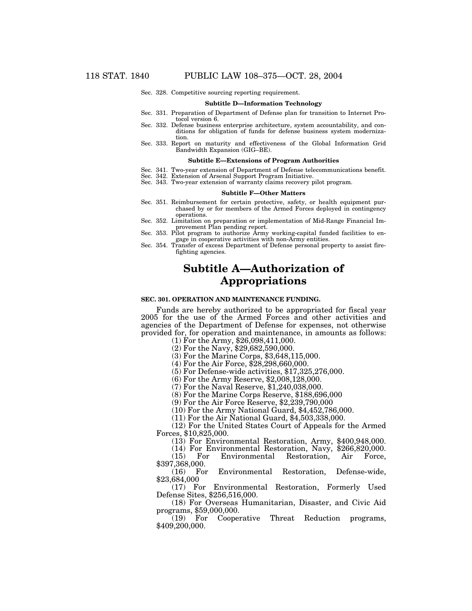Sec. 328. Competitive sourcing reporting requirement.

#### **Subtitle D—Information Technology**

- Sec. 331. Preparation of Department of Defense plan for transition to Internet Protocol version 6.
- Sec. 332. Defense business enterprise architecture, system accountability, and conditions for obligation of funds for defense business system modernization.
- Sec. 333. Report on maturity and effectiveness of the Global Information Grid Bandwidth Expansion (GIG–BE).

#### **Subtitle E—Extensions of Program Authorities**

- Sec. 341. Two-year extension of Department of Defense telecommunications benefit.
- Sec. 342. Extension of Arsenal Support Program Initiative.
- Sec. 343. Two-year extension of warranty claims recovery pilot program.

#### **Subtitle F—Other Matters**

- Sec. 351. Reimbursement for certain protective, safety, or health equipment purchased by or for members of the Armed Forces deployed in contingency operations.
- Sec. 352. Limitation on preparation or implementation of Mid-Range Financial Improvement Plan pending report.
- Sec. 353. Pilot program to authorize Army working-capital funded facilities to engage in cooperative activities with non-Army entities.
- Sec. 354. Transfer of excess Department of Defense personal property to assist firefighting agencies.

## **Subtitle A—Authorization of Appropriations**

#### **SEC. 301. OPERATION AND MAINTENANCE FUNDING.**

Funds are hereby authorized to be appropriated for fiscal year 2005 for the use of the Armed Forces and other activities and agencies of the Department of Defense for expenses, not otherwise provided for, for operation and maintenance, in amounts as follows:

(1) For the Army, \$26,098,411,000. (2) For the Navy, \$29,682,590,000.

(3) For the Marine Corps, \$3,648,115,000.

(4) For the Air Force, \$28,298,660,000.

(5) For Defense-wide activities, \$17,325,276,000.

(6) For the Army Reserve, \$2,008,128,000.

(7) For the Naval Reserve, \$1,240,038,000.

(8) For the Marine Corps Reserve, \$188,696,000

 $(9)$  For the Air Force Reserve, \$2,239,790,000

(10) For the Army National Guard, \$4,452,786,000.

(11) For the Air National Guard, \$4,503,338,000.

(12) For the United States Court of Appeals for the Armed Forces, \$10,825,000.

(13) For Environmental Restoration, Army, \$400,948,000.

(14) For Environmental Restoration, Navy, \$266,820,000.

(15) For Environmental Restoration, Air Force, \$397,368,000.

(16) For Environmental Restoration, Defense-wide, \$23,684,000

(17) For Environmental Restoration, Formerly Used Defense Sites, \$256,516,000.

(18) For Overseas Humanitarian, Disaster, and Civic Aid programs, \$59,000,000.<br>(19) For Coope

(19) For Cooperative Threat Reduction programs, \$409,200,000.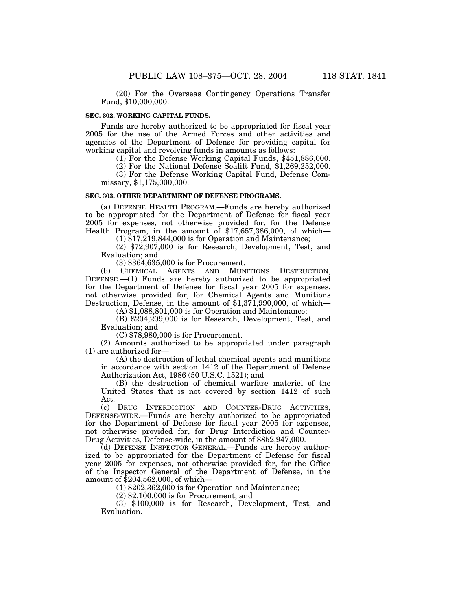(20) For the Overseas Contingency Operations Transfer Fund, \$10,000,000.

## **SEC. 302. WORKING CAPITAL FUNDS.**

Funds are hereby authorized to be appropriated for fiscal year 2005 for the use of the Armed Forces and other activities and agencies of the Department of Defense for providing capital for working capital and revolving funds in amounts as follows:

(1) For the Defense Working Capital Funds, \$451,886,000.

(2) For the National Defense Sealift Fund, \$1,269,252,000.

(3) For the Defense Working Capital Fund, Defense Commissary, \$1,175,000,000.

## **SEC. 303. OTHER DEPARTMENT OF DEFENSE PROGRAMS.**

(a) DEFENSE HEALTH PROGRAM.—Funds are hereby authorized to be appropriated for the Department of Defense for fiscal year 2005 for expenses, not otherwise provided for, for the Defense Health Program, in the amount of \$17,657,386,000, of which—

(1) \$17,219,844,000 is for Operation and Maintenance;

(2) \$72,907,000 is for Research, Development, Test, and Evaluation; and

(3) \$364,635,000 is for Procurement.

(b) CHEMICAL AGENTS AND MUNITIONS DESTRUCTION, DEFENSE.—(1) Funds are hereby authorized to be appropriated for the Department of Defense for fiscal year 2005 for expenses, not otherwise provided for, for Chemical Agents and Munitions Destruction, Defense, in the amount of \$1,371,990,000, of which—

(A) \$1,088,801,000 is for Operation and Maintenance;

(B) \$204,209,000 is for Research, Development, Test, and Evaluation; and

(C) \$78,980,000 is for Procurement.

(2) Amounts authorized to be appropriated under paragraph (1) are authorized for—

(A) the destruction of lethal chemical agents and munitions in accordance with section 1412 of the Department of Defense Authorization Act, 1986 (50 U.S.C. 1521); and

(B) the destruction of chemical warfare materiel of the United States that is not covered by section 1412 of such Act.

(c) DRUG INTERDICTION AND COUNTER-DRUG ACTIVITIES, DEFENSE-WIDE.—Funds are hereby authorized to be appropriated for the Department of Defense for fiscal year 2005 for expenses, not otherwise provided for, for Drug Interdiction and Counter-Drug Activities, Defense-wide, in the amount of \$852,947,000.

(d) DEFENSE INSPECTOR GENERAL.—Funds are hereby authorized to be appropriated for the Department of Defense for fiscal year 2005 for expenses, not otherwise provided for, for the Office of the Inspector General of the Department of Defense, in the amount of \$204,562,000, of which—

 $(1)$  \$202,362,000 is for Operation and Maintenance;

(2) \$2,100,000 is for Procurement; and

(3) \$100,000 is for Research, Development, Test, and Evaluation.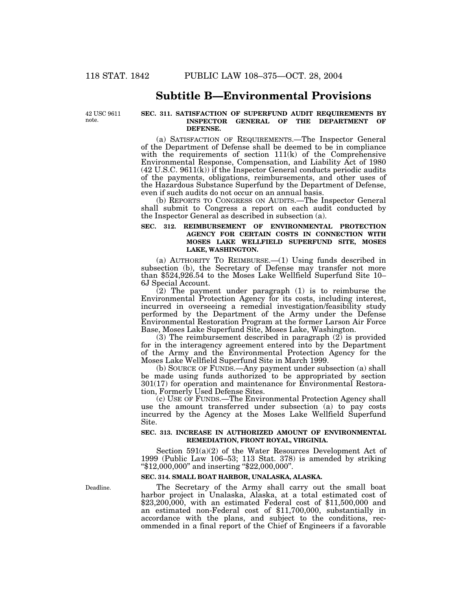## **Subtitle B—Environmental Provisions**

42 USC 9611 note.

## **SEC. 311. SATISFACTION OF SUPERFUND AUDIT REQUIREMENTS BY INSPECTOR GENERAL OF THE DEPARTMENT OF DEFENSE.**

(a) SATISFACTION OF REQUIREMENTS.—The Inspector General of the Department of Defense shall be deemed to be in compliance with the requirements of section 111(k) of the Comprehensive Environmental Response, Compensation, and Liability Act of 1980 (42 U.S.C. 9611(k)) if the Inspector General conducts periodic audits of the payments, obligations, reimbursements, and other uses of the Hazardous Substance Superfund by the Department of Defense, even if such audits do not occur on an annual basis.

(b) REPORTS TO CONGRESS ON AUDITS.—The Inspector General shall submit to Congress a report on each audit conducted by the Inspector General as described in subsection (a).

## **SEC. 312. REIMBURSEMENT OF ENVIRONMENTAL PROTECTION AGENCY FOR CERTAIN COSTS IN CONNECTION WITH MOSES LAKE WELLFIELD SUPERFUND SITE, MOSES LAKE, WASHINGTON.**

(a) AUTHORITY TO REIMBURSE.—(1) Using funds described in subsection (b), the Secretary of Defense may transfer not more than \$524,926.54 to the Moses Lake Wellfield Superfund Site 10– 6J Special Account.

(2) The payment under paragraph (1) is to reimburse the Environmental Protection Agency for its costs, including interest, incurred in overseeing a remedial investigation/feasibility study performed by the Department of the Army under the Defense Environmental Restoration Program at the former Larson Air Force Base, Moses Lake Superfund Site, Moses Lake, Washington.

(3) The reimbursement described in paragraph (2) is provided for in the interagency agreement entered into by the Department of the Army and the Environmental Protection Agency for the Moses Lake Wellfield Superfund Site in March 1999.

(b) SOURCE OF FUNDS.—Any payment under subsection (a) shall be made using funds authorized to be appropriated by section 301(17) for operation and maintenance for Environmental Restoration, Formerly Used Defense Sites.

(c) USE OF FUNDS.—The Environmental Protection Agency shall use the amount transferred under subsection (a) to pay costs incurred by the Agency at the Moses Lake Wellfield Superfund Site.

### **SEC. 313. INCREASE IN AUTHORIZED AMOUNT OF ENVIRONMENTAL REMEDIATION, FRONT ROYAL, VIRGINIA.**

Section 591(a)(2) of the Water Resources Development Act of 1999 (Public Law 106–53; 113 Stat. 378) is amended by striking ''\$12,000,000'' and inserting ''\$22,000,000''.

### **SEC. 314. SMALL BOAT HARBOR, UNALASKA, ALASKA.**

The Secretary of the Army shall carry out the small boat harbor project in Unalaska, Alaska, at a total estimated cost of \$23,200,000, with an estimated Federal cost of \$11,500,000 and an estimated non-Federal cost of \$11,700,000, substantially in accordance with the plans, and subject to the conditions, recommended in a final report of the Chief of Engineers if a favorable

Deadline.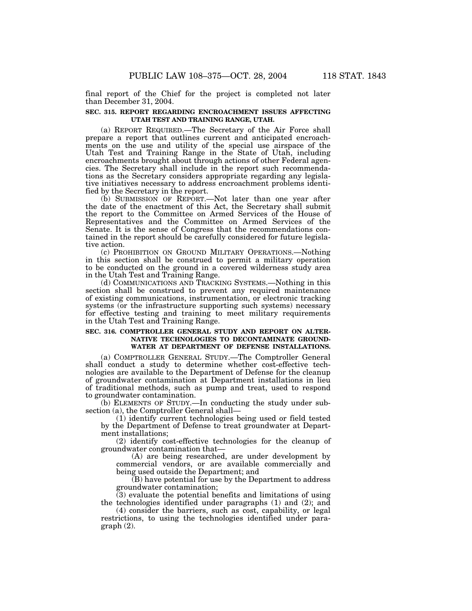final report of the Chief for the project is completed not later than December 31, 2004.

## **SEC. 315. REPORT REGARDING ENCROACHMENT ISSUES AFFECTING UTAH TEST AND TRAINING RANGE, UTAH.**

(a) REPORT REQUIRED.—The Secretary of the Air Force shall prepare a report that outlines current and anticipated encroachments on the use and utility of the special use airspace of the Utah Test and Training Range in the State of Utah, including encroachments brought about through actions of other Federal agencies. The Secretary shall include in the report such recommendations as the Secretary considers appropriate regarding any legislative initiatives necessary to address encroachment problems identified by the Secretary in the report.

(b) SUBMISSION OF REPORT.—Not later than one year after the date of the enactment of this Act, the Secretary shall submit the report to the Committee on Armed Services of the House of Representatives and the Committee on Armed Services of the Senate. It is the sense of Congress that the recommendations contained in the report should be carefully considered for future legislative action.

(c) PROHIBITION ON GROUND MILITARY OPERATIONS.—Nothing in this section shall be construed to permit a military operation to be conducted on the ground in a covered wilderness study area in the Utah Test and Training Range.

(d) COMMUNICATIONS AND TRACKING SYSTEMS.—Nothing in this section shall be construed to prevent any required maintenance of existing communications, instrumentation, or electronic tracking systems (or the infrastructure supporting such systems) necessary for effective testing and training to meet military requirements in the Utah Test and Training Range.

### **SEC. 316. COMPTROLLER GENERAL STUDY AND REPORT ON ALTER-NATIVE TECHNOLOGIES TO DECONTAMINATE GROUND-WATER AT DEPARTMENT OF DEFENSE INSTALLATIONS.**

(a) COMPTROLLER GENERAL STUDY.—The Comptroller General shall conduct a study to determine whether cost-effective technologies are available to the Department of Defense for the cleanup of groundwater contamination at Department installations in lieu of traditional methods, such as pump and treat, used to respond to groundwater contamination.

(b) ELEMENTS OF STUDY.—In conducting the study under subsection (a), the Comptroller General shall-

(1) identify current technologies being used or field tested by the Department of Defense to treat groundwater at Department installations;

(2) identify cost-effective technologies for the cleanup of groundwater contamination that—

(A) are being researched, are under development by commercial vendors, or are available commercially and being used outside the Department; and

 $(B)$  have potential for use by the Department to address groundwater contamination;

(3) evaluate the potential benefits and limitations of using the technologies identified under paragraphs (1) and (2); and

(4) consider the barriers, such as cost, capability, or legal restrictions, to using the technologies identified under paragraph (2).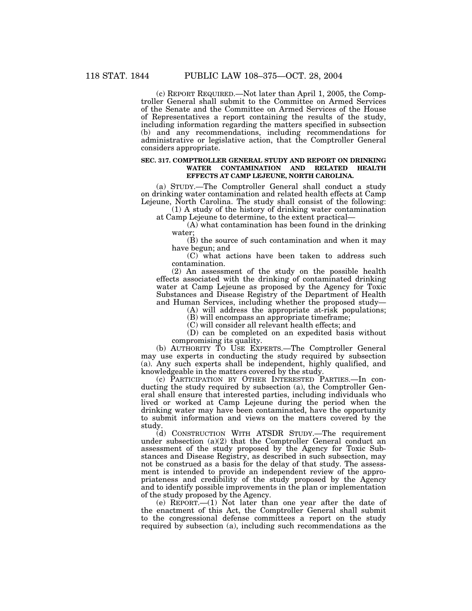(c) REPORT REQUIRED.—Not later than April 1, 2005, the Comptroller General shall submit to the Committee on Armed Services of the Senate and the Committee on Armed Services of the House of Representatives a report containing the results of the study, including information regarding the matters specified in subsection (b) and any recommendations, including recommendations for administrative or legislative action, that the Comptroller General considers appropriate.

## **SEC. 317. COMPTROLLER GENERAL STUDY AND REPORT ON DRINKING WATER CONTAMINATION AND RELATED HEALTH EFFECTS AT CAMP LEJEUNE, NORTH CAROLINA.**

(a) STUDY.—The Comptroller General shall conduct a study on drinking water contamination and related health effects at Camp Lejeune, North Carolina. The study shall consist of the following:

(1) A study of the history of drinking water contamination at Camp Lejeune to determine, to the extent practical—

(A) what contamination has been found in the drinking water;

(B) the source of such contamination and when it may have begun; and

(C) what actions have been taken to address such contamination.

(2) An assessment of the study on the possible health effects associated with the drinking of contaminated drinking water at Camp Lejeune as proposed by the Agency for Toxic Substances and Disease Registry of the Department of Health and Human Services, including whether the proposed study—

(A) will address the appropriate at-risk populations;

(B) will encompass an appropriate timeframe;

(C) will consider all relevant health effects; and

(D) can be completed on an expedited basis without compromising its quality.

(b) AUTHORITY TO USE EXPERTS.—The Comptroller General may use experts in conducting the study required by subsection (a). Any such experts shall be independent, highly qualified, and knowledgeable in the matters covered by the study.

(c) PARTICIPATION BY OTHER INTERESTED PARTIES.—In conducting the study required by subsection (a), the Comptroller General shall ensure that interested parties, including individuals who lived or worked at Camp Lejeune during the period when the drinking water may have been contaminated, have the opportunity to submit information and views on the matters covered by the study.

(d) CONSTRUCTION WITH ATSDR STUDY.—The requirement under subsection (a)(2) that the Comptroller General conduct an assessment of the study proposed by the Agency for Toxic Substances and Disease Registry, as described in such subsection, may not be construed as a basis for the delay of that study. The assessment is intended to provide an independent review of the appropriateness and credibility of the study proposed by the Agency and to identify possible improvements in the plan or implementation of the study proposed by the Agency.

(e) REPORT.—(1) Not later than one year after the date of the enactment of this Act, the Comptroller General shall submit to the congressional defense committees a report on the study required by subsection (a), including such recommendations as the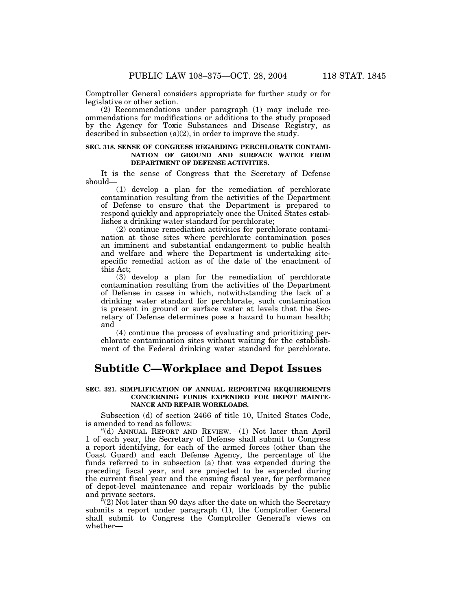Comptroller General considers appropriate for further study or for legislative or other action.

(2) Recommendations under paragraph (1) may include recommendations for modifications or additions to the study proposed by the Agency for Toxic Substances and Disease Registry, as described in subsection  $(a)(2)$ , in order to improve the study.

### **SEC. 318. SENSE OF CONGRESS REGARDING PERCHLORATE CONTAMI-NATION OF GROUND AND SURFACE WATER FROM DEPARTMENT OF DEFENSE ACTIVITIES.**

It is the sense of Congress that the Secretary of Defense should—

(1) develop a plan for the remediation of perchlorate contamination resulting from the activities of the Department of Defense to ensure that the Department is prepared to respond quickly and appropriately once the United States establishes a drinking water standard for perchlorate;

(2) continue remediation activities for perchlorate contamination at those sites where perchlorate contamination poses an imminent and substantial endangerment to public health and welfare and where the Department is undertaking sitespecific remedial action as of the date of the enactment of this Act;

(3) develop a plan for the remediation of perchlorate contamination resulting from the activities of the Department of Defense in cases in which, notwithstanding the lack of a drinking water standard for perchlorate, such contamination is present in ground or surface water at levels that the Secretary of Defense determines pose a hazard to human health; and

(4) continue the process of evaluating and prioritizing perchlorate contamination sites without waiting for the establishment of the Federal drinking water standard for perchlorate.

# **Subtitle C—Workplace and Depot Issues**

## **SEC. 321. SIMPLIFICATION OF ANNUAL REPORTING REQUIREMENTS CONCERNING FUNDS EXPENDED FOR DEPOT MAINTE-NANCE AND REPAIR WORKLOADS.**

Subsection (d) of section 2466 of title 10, United States Code, is amended to read as follows:

''(d) ANNUAL REPORT AND REVIEW.—(1) Not later than April 1 of each year, the Secretary of Defense shall submit to Congress a report identifying, for each of the armed forces (other than the Coast Guard) and each Defense Agency, the percentage of the funds referred to in subsection (a) that was expended during the preceding fiscal year, and are projected to be expended during the current fiscal year and the ensuing fiscal year, for performance of depot-level maintenance and repair workloads by the public and private sectors.

"(2) Not later than 90 days after the date on which the Secretary submits a report under paragraph (1), the Comptroller General shall submit to Congress the Comptroller General's views on whether—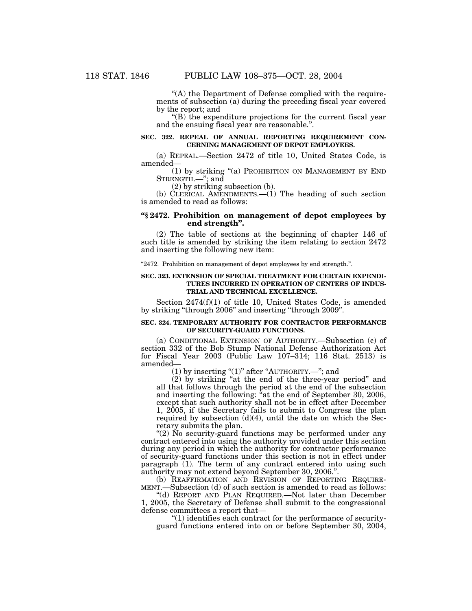"(A) the Department of Defense complied with the requirements of subsection (a) during the preceding fiscal year covered by the report; and

 $f(B)$  the expenditure projections for the current fiscal year and the ensuing fiscal year are reasonable.''.

## **SEC. 322. REPEAL OF ANNUAL REPORTING REQUIREMENT CON-CERNING MANAGEMENT OF DEPOT EMPLOYEES.**

(a) REPEAL.—Section 2472 of title 10, United States Code, is amended—

(1) by striking ''(a) PROHIBITION ON MANAGEMENT BY END STRENGTH.—''; and

(2) by striking subsection (b).

(b) CLERICAL AMENDMENTS.—(1) The heading of such section is amended to read as follows:

## **''§ 2472. Prohibition on management of depot employees by end strength''.**

(2) The table of sections at the beginning of chapter 146 of such title is amended by striking the item relating to section 2472 and inserting the following new item:

''2472. Prohibition on management of depot employees by end strength.''.

## **SEC. 323. EXTENSION OF SPECIAL TREATMENT FOR CERTAIN EXPENDI-TURES INCURRED IN OPERATION OF CENTERS OF INDUS-TRIAL AND TECHNICAL EXCELLENCE.**

Section 2474(f)(1) of title 10, United States Code, is amended by striking ''through 2006'' and inserting ''through 2009''.

## **SEC. 324. TEMPORARY AUTHORITY FOR CONTRACTOR PERFORMANCE OF SECURITY-GUARD FUNCTIONS.**

(a) CONDITIONAL EXTENSION OF AUTHORITY.—Subsection (c) of section 332 of the Bob Stump National Defense Authorization Act for Fiscal Year 2003 (Public Law 107–314; 116 Stat. 2513) is amended—

(1) by inserting "(1)" after "AUTHORITY.—"; and

(2) by striking ''at the end of the three-year period'' and all that follows through the period at the end of the subsection and inserting the following: ''at the end of September 30, 2006, except that such authority shall not be in effect after December 1, 2005, if the Secretary fails to submit to Congress the plan required by subsection  $(d)(4)$ , until the date on which the Secretary submits the plan.

" $(2)$  No security-guard functions may be performed under any contract entered into using the authority provided under this section during any period in which the authority for contractor performance of security-guard functions under this section is not in effect under paragraph (1). The term of any contract entered into using such authority may not extend beyond September 30, 2006.''.

(b) REAFFIRMATION AND REVISION OF REPORTING REQUIREMENT.—Subsection (d) of such section is amended to read as follows:

''(d) REPORT AND PLAN REQUIRED.—Not later than December 1, 2005, the Secretary of Defense shall submit to the congressional defense committees a report that—

 $''(1)$  identifies each contract for the performance of securityguard functions entered into on or before September 30, 2004,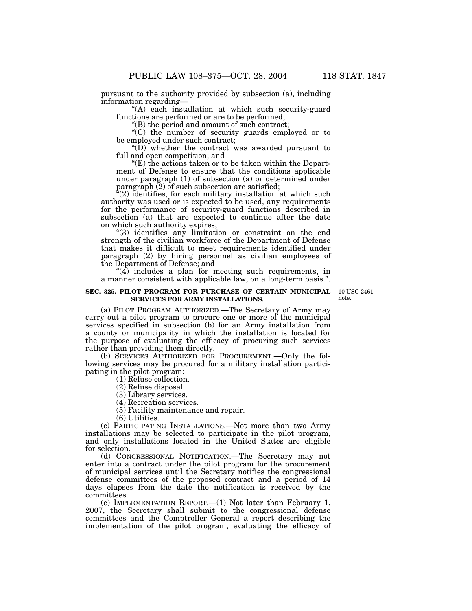pursuant to the authority provided by subsection (a), including information regarding—

"(A) each installation at which such security-guard functions are performed or are to be performed;

''(B) the period and amount of such contract;

''(C) the number of security guards employed or to be employed under such contract;

 $\mathrm{``(D)}$  whether the contract was awarded pursuant to full and open competition; and

 $E(E)$  the actions taken or to be taken within the Department of Defense to ensure that the conditions applicable under paragraph (1) of subsection (a) or determined under paragraph (2) of such subsection are satisfied;

"(2) identifies, for each military installation at which such authority was used or is expected to be used, any requirements for the performance of security-guard functions described in subsection (a) that are expected to continue after the date on which such authority expires;

''(3) identifies any limitation or constraint on the end strength of the civilian workforce of the Department of Defense that makes it difficult to meet requirements identified under paragraph (2) by hiring personnel as civilian employees of the Department of Defense; and

 $\cdot$ (4) includes a plan for meeting such requirements, in a manner consistent with applicable law, on a long-term basis.''.

#### **SEC. 325. PILOT PROGRAM FOR PURCHASE OF CERTAIN MUNICIPAL** 10 USC 2461 **SERVICES FOR ARMY INSTALLATIONS.**

note.

(a) PILOT PROGRAM AUTHORIZED.—The Secretary of Army may carry out a pilot program to procure one or more of the municipal services specified in subsection (b) for an Army installation from a county or municipality in which the installation is located for the purpose of evaluating the efficacy of procuring such services rather than providing them directly.

(b) SERVICES AUTHORIZED FOR PROCUREMENT.—Only the following services may be procured for a military installation participating in the pilot program:

(1) Refuse collection.

(2) Refuse disposal.

(3) Library services.

(4) Recreation services.

(5) Facility maintenance and repair.

(6) Utilities.

(c) PARTICIPATING INSTALLATIONS.—Not more than two Army installations may be selected to participate in the pilot program, and only installations located in the United States are eligible for selection.

(d) CONGRESSIONAL NOTIFICATION.—The Secretary may not enter into a contract under the pilot program for the procurement of municipal services until the Secretary notifies the congressional defense committees of the proposed contract and a period of 14 days elapses from the date the notification is received by the committees.

(e) IMPLEMENTATION REPORT.—(1) Not later than February 1, 2007, the Secretary shall submit to the congressional defense committees and the Comptroller General a report describing the implementation of the pilot program, evaluating the efficacy of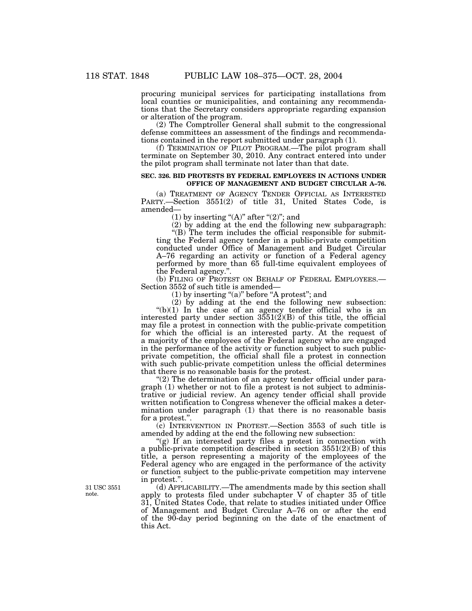procuring municipal services for participating installations from local counties or municipalities, and containing any recommendations that the Secretary considers appropriate regarding expansion or alteration of the program.

(2) The Comptroller General shall submit to the congressional defense committees an assessment of the findings and recommendations contained in the report submitted under paragraph (1).

(f) TERMINATION OF PILOT PROGRAM.—The pilot program shall terminate on September 30, 2010. Any contract entered into under the pilot program shall terminate not later than that date.

## **SEC. 326. BID PROTESTS BY FEDERAL EMPLOYEES IN ACTIONS UNDER OFFICE OF MANAGEMENT AND BUDGET CIRCULAR A–76.**

(a) TREATMENT OF AGENCY TENDER OFFICIAL AS INTERESTED PARTY.—Section 3551(2) of title 31, United States Code, is amended—

(1) by inserting " $(A)$ " after " $(2)$ "; and

(2) by adding at the end the following new subparagraph: ''(B) The term includes the official responsible for submitting the Federal agency tender in a public-private competition conducted under Office of Management and Budget Circular A–76 regarding an activity or function of a Federal agency

performed by more than 65 full-time equivalent employees of the Federal agency.''. (b) FILING OF PROTEST ON BEHALF OF FEDERAL EMPLOYEES.—

Section 3552 of such title is amended—

 $(1)$  by inserting "(a)" before "A protest"; and

(2) by adding at the end the following new subsection:  $*(b)(1)$  In the case of an agency tender official who is an interested party under section  $3551(2)(B)$  of this title, the official may file a protest in connection with the public-private competition for which the official is an interested party. At the request of a majority of the employees of the Federal agency who are engaged in the performance of the activity or function subject to such publicprivate competition, the official shall file a protest in connection with such public-private competition unless the official determines that there is no reasonable basis for the protest.

 $(2)$  The determination of an agency tender official under paragraph (1) whether or not to file a protest is not subject to administrative or judicial review. An agency tender official shall provide written notification to Congress whenever the official makes a determination under paragraph (1) that there is no reasonable basis for a protest.''.

(c) INTERVENTION IN PROTEST.—Section 3553 of such title is amended by adding at the end the following new subsection:

"(g) If an interested party files a protest in connection with a public-private competition described in section  $3551(2)(B)$  of this title, a person representing a majority of the employees of the Federal agency who are engaged in the performance of the activity or function subject to the public-private competition may intervene in protest.''.

(d) APPLICABILITY.—The amendments made by this section shall apply to protests filed under subchapter V of chapter 35 of title 31, United States Code, that relate to studies initiated under Office of Management and Budget Circular A–76 on or after the end of the 90-day period beginning on the date of the enactment of this Act.

31 USC 3551 note.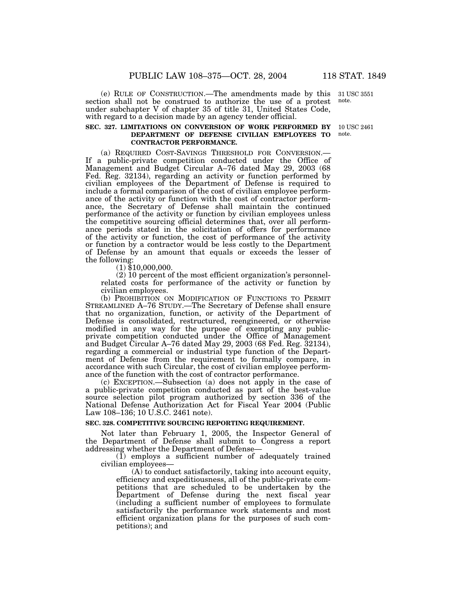(e) RULE OF CONSTRUCTION.—The amendments made by this section shall not be construed to authorize the use of a protest under subchapter V of chapter 35 of title 31, United States Code, with regard to a decision made by an agency tender official.

## **SEC. 327. LIMITATIONS ON CONVERSION OF WORK PERFORMED BY DEPARTMENT OF DEFENSE CIVILIAN EMPLOYEES TO CONTRACTOR PERFORMANCE.**

(a) REQUIRED COST-SAVINGS THRESHOLD FOR CONVERSION.— If a public-private competition conducted under the Office of Management and Budget Circular A–76 dated May 29, 2003 (68 Fed. Reg. 32134), regarding an activity or function performed by civilian employees of the Department of Defense is required to include a formal comparison of the cost of civilian employee performance of the activity or function with the cost of contractor performance, the Secretary of Defense shall maintain the continued performance of the activity or function by civilian employees unless the competitive sourcing official determines that, over all performance periods stated in the solicitation of offers for performance of the activity or function, the cost of performance of the activity or function by a contractor would be less costly to the Department of Defense by an amount that equals or exceeds the lesser of the following:<br>(1) \$10,000,000.

(2) 10 percent of the most efficient organization's personnelrelated costs for performance of the activity or function by civilian employees.

(b) PROHIBITION ON MODIFICATION OF FUNCTIONS TO PERMIT STREAMLINED A–76 STUDY.—The Secretary of Defense shall ensure that no organization, function, or activity of the Department of Defense is consolidated, restructured, reengineered, or otherwise modified in any way for the purpose of exempting any publicprivate competition conducted under the Office of Management and Budget Circular A–76 dated May 29, 2003 (68 Fed. Reg. 32134), regarding a commercial or industrial type function of the Department of Defense from the requirement to formally compare, in accordance with such Circular, the cost of civilian employee performance of the function with the cost of contractor performance.

(c) EXCEPTION.—Subsection (a) does not apply in the case of a public-private competition conducted as part of the best-value source selection pilot program authorized by section 336 of the National Defense Authorization Act for Fiscal Year 2004 (Public Law 108–136; 10 U.S.C. 2461 note).

#### **SEC. 328. COMPETITIVE SOURCING REPORTING REQUIREMENT.**

Not later than February 1, 2005, the Inspector General of the Department of Defense shall submit to Congress a report addressing whether the Department of Defense—

(1) employs a sufficient number of adequately trained civilian employees—

 $(A)$  to conduct satisfactorily, taking into account equity, efficiency and expeditiousness, all of the public-private competitions that are scheduled to be undertaken by the Department of Defense during the next fiscal year (including a sufficient number of employees to formulate satisfactorily the performance work statements and most efficient organization plans for the purposes of such competitions); and

31 USC 3551 note.

10 USC 2461 note.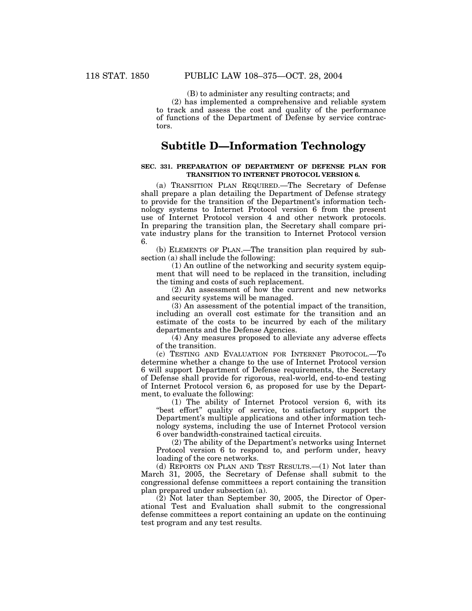(B) to administer any resulting contracts; and

(2) has implemented a comprehensive and reliable system to track and assess the cost and quality of the performance of functions of the Department of Defense by service contractors.

# **Subtitle D—Information Technology**

## **SEC. 331. PREPARATION OF DEPARTMENT OF DEFENSE PLAN FOR TRANSITION TO INTERNET PROTOCOL VERSION 6.**

(a) TRANSITION PLAN REQUIRED.—The Secretary of Defense shall prepare a plan detailing the Department of Defense strategy to provide for the transition of the Department's information technology systems to Internet Protocol version 6 from the present use of Internet Protocol version 4 and other network protocols. In preparing the transition plan, the Secretary shall compare private industry plans for the transition to Internet Protocol version 6.

(b) ELEMENTS OF PLAN.—The transition plan required by subsection (a) shall include the following:

(1) An outline of the networking and security system equipment that will need to be replaced in the transition, including the timing and costs of such replacement.

(2) An assessment of how the current and new networks and security systems will be managed.

(3) An assessment of the potential impact of the transition, including an overall cost estimate for the transition and an estimate of the costs to be incurred by each of the military departments and the Defense Agencies.

(4) Any measures proposed to alleviate any adverse effects of the transition.

(c) TESTING AND EVALUATION FOR INTERNET PROTOCOL.—To determine whether a change to the use of Internet Protocol version 6 will support Department of Defense requirements, the Secretary of Defense shall provide for rigorous, real-world, end-to-end testing of Internet Protocol version 6, as proposed for use by the Department, to evaluate the following:

(1) The ability of Internet Protocol version 6, with its "best effort" quality of service, to satisfactory support the Department's multiple applications and other information technology systems, including the use of Internet Protocol version 6 over bandwidth-constrained tactical circuits.

(2) The ability of the Department's networks using Internet Protocol version 6 to respond to, and perform under, heavy loading of the core networks.

(d) REPORTS ON PLAN AND TEST RESULTS.—(1) Not later than March 31, 2005, the Secretary of Defense shall submit to the congressional defense committees a report containing the transition plan prepared under subsection (a).

(2) Not later than September 30, 2005, the Director of Operational Test and Evaluation shall submit to the congressional defense committees a report containing an update on the continuing test program and any test results.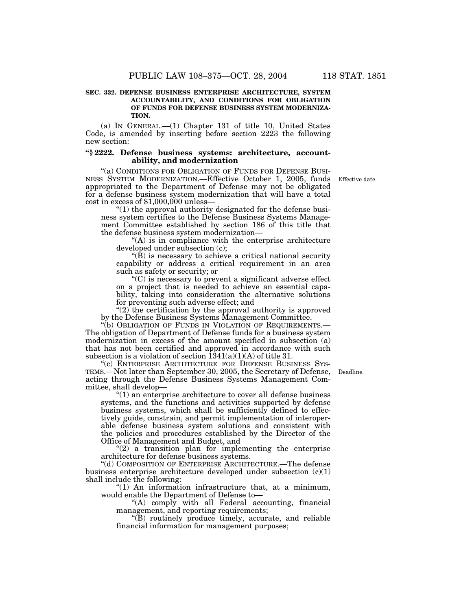#### **SEC. 332. DEFENSE BUSINESS ENTERPRISE ARCHITECTURE, SYSTEM ACCOUNTABILITY, AND CONDITIONS FOR OBLIGATION OF FUNDS FOR DEFENSE BUSINESS SYSTEM MODERNIZA-TION.**

(a) IN GENERAL.—(1) Chapter 131 of title 10, United States Code, is amended by inserting before section 2223 the following new section:

#### **''§ 2222. Defense business systems: architecture, accountability, and modernization**

''(a) CONDITIONS FOR OBLIGATION OF FUNDS FOR DEFENSE BUSI- NESS SYSTEM MODERNIZATION.—Effective October 1, 2005, funds appropriated to the Department of Defense may not be obligated for a defense business system modernization that will have a total cost in excess of \$1,000,000 unless—

" $(1)$  the approval authority designated for the defense business system certifies to the Defense Business Systems Management Committee established by section 186 of this title that the defense business system modernization—

"(A) is in compliance with the enterprise architecture developed under subsection (c);

 $\mathrm{``(B)}$  is necessary to achieve a critical national security capability or address a critical requirement in an area such as safety or security; or

''(C) is necessary to prevent a significant adverse effect on a project that is needed to achieve an essential capability, taking into consideration the alternative solutions for preventing such adverse effect; and

" $(2)$  the certification by the approval authority is approved by the Defense Business Systems Management Committee.

"(b) OBLIGATION OF FUNDS IN VIOLATION OF REQUIREMENTS.-The obligation of Department of Defense funds for a business system modernization in excess of the amount specified in subsection (a) that has not been certified and approved in accordance with such subsection is a violation of section  $\overline{1}341(a)(1)(A)$  of title 31.

''(c) ENTERPRISE ARCHITECTURE FOR DEFENSE BUSINESS SYS-TEMS.—Not later than September 30, 2005, the Secretary of Defense, Deadline. acting through the Defense Business Systems Management Committee, shall develop—

''(1) an enterprise architecture to cover all defense business systems, and the functions and activities supported by defense business systems, which shall be sufficiently defined to effectively guide, constrain, and permit implementation of interoperable defense business system solutions and consistent with the policies and procedures established by the Director of the Office of Management and Budget, and

 $''(2)$  a transition plan for implementing the enterprise architecture for defense business systems.

''(d) COMPOSITION OF ENTERPRISE ARCHITECTURE.—The defense business enterprise architecture developed under subsection  $(c)(1)$ shall include the following:

''(1) An information infrastructure that, at a minimum, would enable the Department of Defense to—

 $(A)$  comply with all Federal accounting, financial management, and reporting requirements;

''(B) routinely produce timely, accurate, and reliable financial information for management purposes;

Effective date.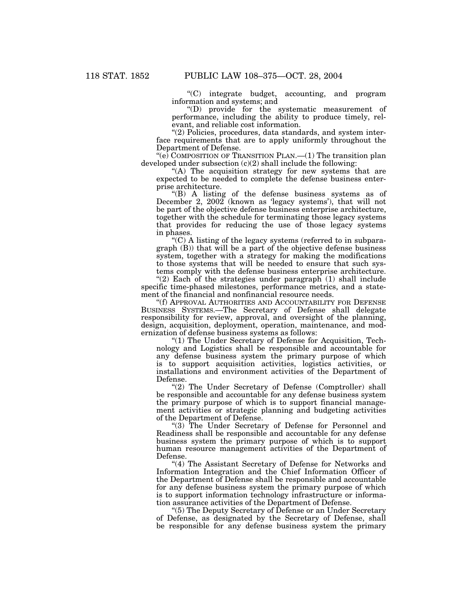''(C) integrate budget, accounting, and program information and systems; and

''(D) provide for the systematic measurement of performance, including the ability to produce timely, relevant, and reliable cost information.

"(2) Policies, procedures, data standards, and system interface requirements that are to apply uniformly throughout the Department of Defense.

"( $e$ ) COMPOSITION OF TRANSITION PLAN.—(1) The transition plan developed under subsection (c)(2) shall include the following:

"(A) The acquisition strategy for new systems that are expected to be needed to complete the defense business enterprise architecture.

''(B) A listing of the defense business systems as of December 2, 2002 (known as 'legacy systems'), that will not be part of the objective defense business enterprise architecture, together with the schedule for terminating those legacy systems that provides for reducing the use of those legacy systems in phases.

''(C) A listing of the legacy systems (referred to in subparagraph (B)) that will be a part of the objective defense business system, together with a strategy for making the modifications to those systems that will be needed to ensure that such systems comply with the defense business enterprise architecture.

" $(2)$  Each of the strategies under paragraph  $(1)$  shall include specific time-phased milestones, performance metrics, and a statement of the financial and nonfinancial resource needs.

''(f) APPROVAL AUTHORITIES AND ACCOUNTABILITY FOR DEFENSE BUSINESS SYSTEMS.—The Secretary of Defense shall delegate responsibility for review, approval, and oversight of the planning, design, acquisition, deployment, operation, maintenance, and modernization of defense business systems as follows:

''(1) The Under Secretary of Defense for Acquisition, Technology and Logistics shall be responsible and accountable for any defense business system the primary purpose of which is to support acquisition activities, logistics activities, or installations and environment activities of the Department of Defense.

''(2) The Under Secretary of Defense (Comptroller) shall be responsible and accountable for any defense business system the primary purpose of which is to support financial management activities or strategic planning and budgeting activities of the Department of Defense.

''(3) The Under Secretary of Defense for Personnel and Readiness shall be responsible and accountable for any defense business system the primary purpose of which is to support human resource management activities of the Department of Defense.

"(4) The Assistant Secretary of Defense for Networks and Information Integration and the Chief Information Officer of the Department of Defense shall be responsible and accountable for any defense business system the primary purpose of which is to support information technology infrastructure or information assurance activities of the Department of Defense.

''(5) The Deputy Secretary of Defense or an Under Secretary of Defense, as designated by the Secretary of Defense, shall be responsible for any defense business system the primary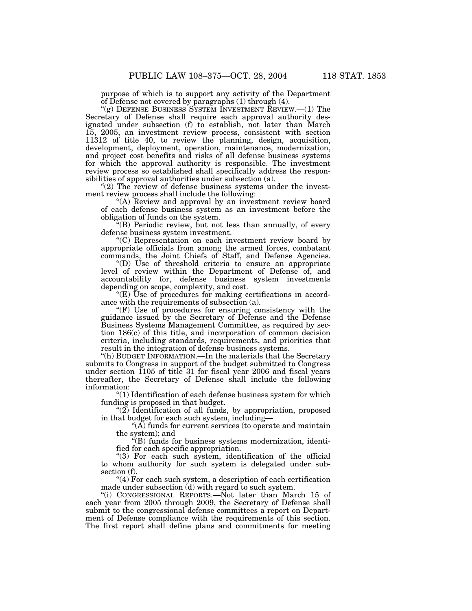purpose of which is to support any activity of the Department of Defense not covered by paragraphs (1) through (4).

''(g) DEFENSE BUSINESS SYSTEM INVESTMENT REVIEW.—(1) The Secretary of Defense shall require each approval authority designated under subsection (f) to establish, not later than March 15, 2005, an investment review process, consistent with section 11312 of title 40, to review the planning, design, acquisition, development, deployment, operation, maintenance, modernization, and project cost benefits and risks of all defense business systems for which the approval authority is responsible. The investment review process so established shall specifically address the responsibilities of approval authorities under subsection (a).

" $(2)$  The review of defense business systems under the investment review process shall include the following:

"(A) Review and approval by an investment review board of each defense business system as an investment before the obligation of funds on the system.

''(B) Periodic review, but not less than annually, of every defense business system investment.

''(C) Representation on each investment review board by appropriate officials from among the armed forces, combatant commands, the Joint Chiefs of Staff, and Defense Agencies.

"(D) Use of threshold criteria to ensure an appropriate level of review within the Department of Defense of, and accountability for, defense business system investments depending on scope, complexity, and cost.

 $E(E)$  Use of procedures for making certifications in accordance with the requirements of subsection (a).

''(F) Use of procedures for ensuring consistency with the guidance issued by the Secretary of Defense and the Defense Business Systems Management Committee, as required by section 186(c) of this title, and incorporation of common decision criteria, including standards, requirements, and priorities that result in the integration of defense business systems.

''(h) BUDGET INFORMATION.—In the materials that the Secretary submits to Congress in support of the budget submitted to Congress under section 1105 of title 31 for fiscal year 2006 and fiscal years thereafter, the Secretary of Defense shall include the following information:

''(1) Identification of each defense business system for which funding is proposed in that budget.

" $(2)$  Identification of all funds, by appropriation, proposed in that budget for each such system, including—

''(A) funds for current services (to operate and maintain the system); and

''(B) funds for business systems modernization, identified for each specific appropriation.

"(3) For each such system, identification of the official to whom authority for such system is delegated under subsection (f).

''(4) For each such system, a description of each certification made under subsection  $(d)$  with regard to such system.

"(i) CONGRESSIONAL REPORTS.—Not later than March 15 of each year from 2005 through 2009, the Secretary of Defense shall submit to the congressional defense committees a report on Department of Defense compliance with the requirements of this section. The first report shall define plans and commitments for meeting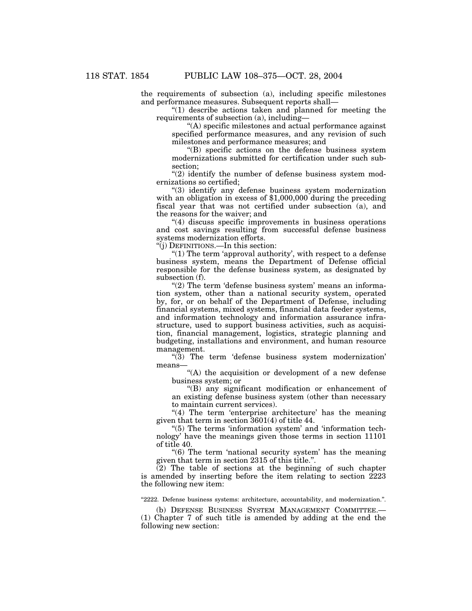the requirements of subsection (a), including specific milestones and performance measures. Subsequent reports shall—

"(1) describe actions taken and planned for meeting the requirements of subsection (a), including—

''(A) specific milestones and actual performance against specified performance measures, and any revision of such milestones and performance measures; and

''(B) specific actions on the defense business system modernizations submitted for certification under such subsection;

 $''(2)$  identify the number of defense business system modernizations so certified;

''(3) identify any defense business system modernization with an obligation in excess of \$1,000,000 during the preceding fiscal year that was not certified under subsection (a), and the reasons for the waiver; and

''(4) discuss specific improvements in business operations and cost savings resulting from successful defense business systems modernization efforts.

''(j) DEFINITIONS.—In this section:

" $(1)$  The term 'approval authority', with respect to a defense business system, means the Department of Defense official responsible for the defense business system, as designated by subsection (f).

" $(2)$  The term 'defense business system' means an information system, other than a national security system, operated by, for, or on behalf of the Department of Defense, including financial systems, mixed systems, financial data feeder systems, and information technology and information assurance infrastructure, used to support business activities, such as acquisition, financial management, logistics, strategic planning and budgeting, installations and environment, and human resource management.

"(3) The term 'defense business system modernization' means—

''(A) the acquisition or development of a new defense business system; or

''(B) any significant modification or enhancement of an existing defense business system (other than necessary to maintain current services).

" $(4)$  The term 'enterprise architecture' has the meaning given that term in section 3601(4) of title 44.

"(5) The terms 'information system' and 'information technology' have the meanings given those terms in section 11101 of title 40.

''(6) The term 'national security system' has the meaning given that term in section 2315 of this title.''.

(2) The table of sections at the beginning of such chapter is amended by inserting before the item relating to section 2223 the following new item:

''2222. Defense business systems: architecture, accountability, and modernization.''.

(b) DEFENSE BUSINESS SYSTEM MANAGEMENT COMMITTEE.— (1) Chapter 7 of such title is amended by adding at the end the following new section: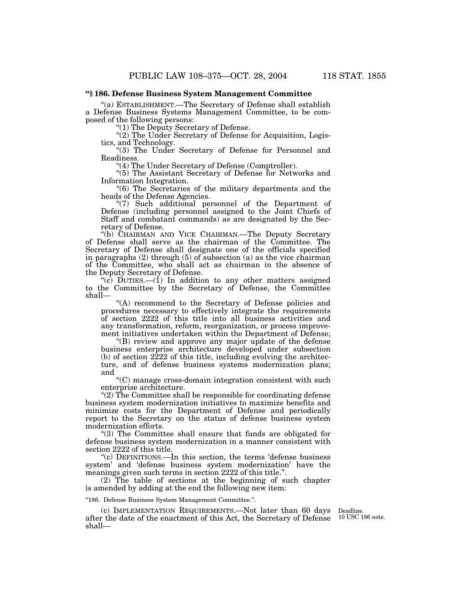## **''§ 186. Defense Business System Management Committee**

''(a) ESTABLISHMENT.—The Secretary of Defense shall establish a Defense Business Systems Management Committee, to be composed of the following persons:

''(1) The Deputy Secretary of Defense.

"(2) The Under Secretary of Defense for Acquisition, Logistics, and Technology.

"(3) The Under Secretary of Defense for Personnel and Readiness.

''(4) The Under Secretary of Defense (Comptroller).

"(5) The Assistant Secretary of Defense for Networks and Information Integration.

''(6) The Secretaries of the military departments and the heads of the Defense Agencies.

''(7) Such additional personnel of the Department of Defense (including personnel assigned to the Joint Chiefs of Staff and combatant commands) as are designated by the Secretary of Defense.

''(b) CHAIRMAN AND VICE CHAIRMAN.—The Deputy Secretary of Defense shall serve as the chairman of the Committee. The Secretary of Defense shall designate one of the officials specified in paragraphs (2) through (5) of subsection (a) as the vice chairman of the Committee, who shall act as chairman in the absence of the Deputy Secretary of Defense.

"(c)  $DUTIES.$  (1) In addition to any other matters assigned to the Committee by the Secretary of Defense, the Committee shall—

''(A) recommend to the Secretary of Defense policies and procedures necessary to effectively integrate the requirements of section 2222 of this title into all business activities and any transformation, reform, reorganization, or process improvement initiatives undertaken within the Department of Defense;

''(B) review and approve any major update of the defense business enterprise architecture developed under subsection  $(b)$  of section  $2222$  of this title, including evolving the architecture, and of defense business systems modernization plans; and

''(C) manage cross-domain integration consistent with such enterprise architecture.

''(2) The Committee shall be responsible for coordinating defense business system modernization initiatives to maximize benefits and minimize costs for the Department of Defense and periodically report to the Secretary on the status of defense business system modernization efforts.

''(3) The Committee shall ensure that funds are obligated for defense business system modernization in a manner consistent with section 2222 of this title.

''(c) DEFINITIONS.—In this section, the terms 'defense business system' and 'defense business system modernization' have the meanings given such terms in section 2222 of this title.''.

(2) The table of sections at the beginning of such chapter is amended by adding at the end the following new item:

''186. Defense Business System Management Committee.''.

(c) IMPLEMENTATION REQUIREMENTS.—Not later than 60 days after the date of the enactment of this Act, the Secretary of Defense 10 USC 186 note. shall—

Deadline.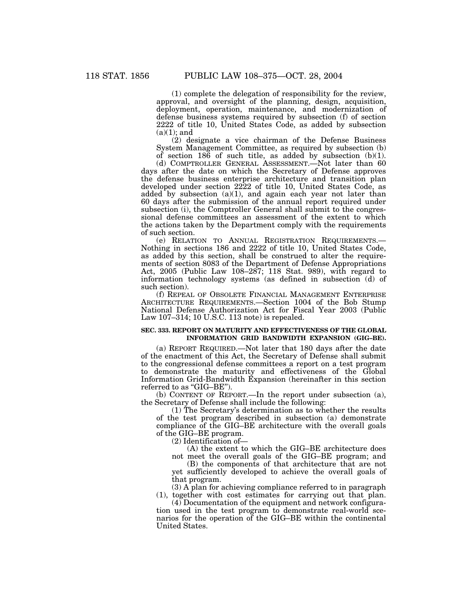(1) complete the delegation of responsibility for the review, approval, and oversight of the planning, design, acquisition, deployment, operation, maintenance, and modernization of defense business systems required by subsection (f) of section 2222 of title 10, United States Code, as added by subsection  $(a)(1)$ ; and

(2) designate a vice chairman of the Defense Business System Management Committee, as required by subsection (b) of section 186 of such title, as added by subsection (b)(1).

(d) COMPTROLLER GENERAL ASSESSMENT.—Not later than 60 days after the date on which the Secretary of Defense approves the defense business enterprise architecture and transition plan developed under section 2222 of title 10, United States Code, as added by subsection  $(a)(1)$ , and again each year not later than 60 days after the submission of the annual report required under subsection (i), the Comptroller General shall submit to the congressional defense committees an assessment of the extent to which the actions taken by the Department comply with the requirements of such section.

(e) RELATION TO ANNUAL REGISTRATION REQUIREMENTS.— Nothing in sections 186 and 2222 of title 10, United States Code, as added by this section, shall be construed to alter the requirements of section 8083 of the Department of Defense Appropriations Act, 2005 (Public Law 108–287; 118 Stat. 989), with regard to information technology systems (as defined in subsection (d) of such section).

(f) REPEAL OF OBSOLETE FINANCIAL MANAGEMENT ENTERPRISE ARCHITECTURE REQUIREMENTS.—Section 1004 of the Bob Stump National Defense Authorization Act for Fiscal Year 2003 (Public Law 107–314; 10 U.S.C. 113 note) is repealed.

## **SEC. 333. REPORT ON MATURITY AND EFFECTIVENESS OF THE GLOBAL INFORMATION GRID BANDWIDTH EXPANSION (GIG–BE).**

(a) REPORT REQUIRED.—Not later that 180 days after the date of the enactment of this Act, the Secretary of Defense shall submit to the congressional defense committees a report on a test program to demonstrate the maturity and effectiveness of the Global Information Grid-Bandwidth Expansion (hereinafter in this section referred to as "GIG-BE").

(b) CONTENT OF REPORT.—In the report under subsection (a), the Secretary of Defense shall include the following:

(1) The Secretary's determination as to whether the results of the test program described in subsection (a) demonstrate compliance of the GIG–BE architecture with the overall goals of the GIG–BE program.

(2) Identification of—

(A) the extent to which the GIG–BE architecture does not meet the overall goals of the GIG–BE program; and

(B) the components of that architecture that are not yet sufficiently developed to achieve the overall goals of that program.

 $(3)$  A plan for achieving compliance referred to in paragraph (1), together with cost estimates for carrying out that plan.

(4) Documentation of the equipment and network configuration used in the test program to demonstrate real-world scenarios for the operation of the GIG–BE within the continental United States.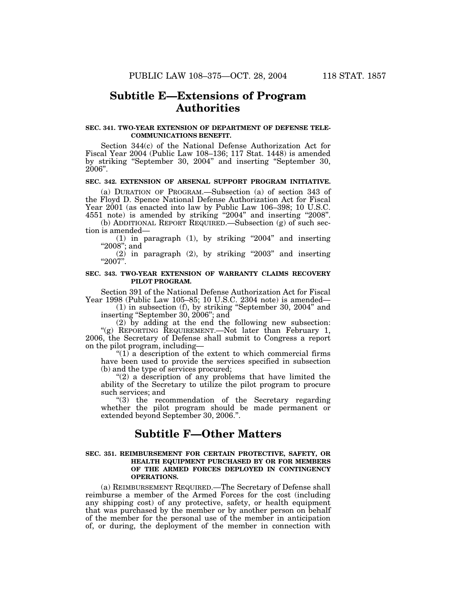# **Subtitle E—Extensions of Program Authorities**

### **SEC. 341. TWO-YEAR EXTENSION OF DEPARTMENT OF DEFENSE TELE-COMMUNICATIONS BENEFIT.**

Section 344(c) of the National Defense Authorization Act for Fiscal Year 2004 (Public Law 108–136; 117 Stat. 1448) is amended by striking ''September 30, 2004'' and inserting ''September 30, 2006''.

#### **SEC. 342. EXTENSION OF ARSENAL SUPPORT PROGRAM INITIATIVE.**

(a) DURATION OF PROGRAM.—Subsection (a) of section 343 of the Floyd D. Spence National Defense Authorization Act for Fiscal Year 2001 (as enacted into law by Public Law 106–398; 10 U.S.C. 4551 note) is amended by striking ''2004'' and inserting ''2008''.

(b) ADDITIONAL REPORT REQUIRED.—Subsection (g) of such section is amended—

(1) in paragraph  $(1)$ , by striking "2004" and inserting "2008"; and

 $(2)$  in paragraph  $(2)$ , by striking "2003" and inserting ''2007''.

### **SEC. 343. TWO-YEAR EXTENSION OF WARRANTY CLAIMS RECOVERY PILOT PROGRAM.**

Section 391 of the National Defense Authorization Act for Fiscal Year 1998 (Public Law 105–85; 10 U.S.C. 2304 note) is amended—

(1) in subsection (f), by striking ''September 30, 2004'' and inserting ''September 30, 2006''; and

(2) by adding at the end the following new subsection: ''(g) REPORTING REQUIREMENT.—Not later than February 1, 2006, the Secretary of Defense shall submit to Congress a report on the pilot program, including—

" $(1)$  a description of the extent to which commercial firms have been used to provide the services specified in subsection (b) and the type of services procured;

"(2) a description of any problems that have limited the ability of the Secretary to utilize the pilot program to procure such services; and

''(3) the recommendation of the Secretary regarding whether the pilot program should be made permanent or extended beyond September 30, 2006.''.

# **Subtitle F—Other Matters**

### **SEC. 351. REIMBURSEMENT FOR CERTAIN PROTECTIVE, SAFETY, OR HEALTH EQUIPMENT PURCHASED BY OR FOR MEMBERS OF THE ARMED FORCES DEPLOYED IN CONTINGENCY OPERATIONS.**

(a) REIMBURSEMENT REQUIRED.—The Secretary of Defense shall reimburse a member of the Armed Forces for the cost (including any shipping cost) of any protective, safety, or health equipment that was purchased by the member or by another person on behalf of the member for the personal use of the member in anticipation of, or during, the deployment of the member in connection with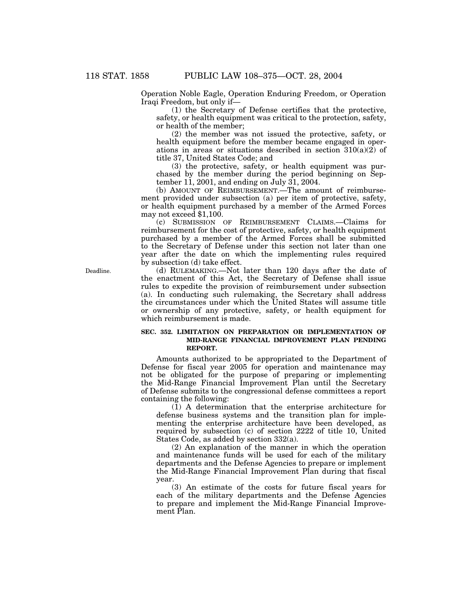Operation Noble Eagle, Operation Enduring Freedom, or Operation Iraqi Freedom, but only if—

(1) the Secretary of Defense certifies that the protective, safety, or health equipment was critical to the protection, safety, or health of the member;

(2) the member was not issued the protective, safety, or health equipment before the member became engaged in operations in areas or situations described in section  $310(a)(2)$  of title 37, United States Code; and

(3) the protective, safety, or health equipment was purchased by the member during the period beginning on September 11, 2001, and ending on July  $31$ , 2004.

(b) AMOUNT OF REIMBURSEMENT.—The amount of reimbursement provided under subsection (a) per item of protective, safety, or health equipment purchased by a member of the Armed Forces may not exceed \$1,100.

(c) SUBMISSION OF REIMBURSEMENT CLAIMS.—Claims for reimbursement for the cost of protective, safety, or health equipment purchased by a member of the Armed Forces shall be submitted to the Secretary of Defense under this section not later than one year after the date on which the implementing rules required by subsection (d) take effect.

(d) RULEMAKING.—Not later than 120 days after the date of the enactment of this Act, the Secretary of Defense shall issue rules to expedite the provision of reimbursement under subsection (a). In conducting such rulemaking, the Secretary shall address the circumstances under which the United States will assume title or ownership of any protective, safety, or health equipment for which reimbursement is made.

## **SEC. 352. LIMITATION ON PREPARATION OR IMPLEMENTATION OF MID-RANGE FINANCIAL IMPROVEMENT PLAN PENDING REPORT.**

Amounts authorized to be appropriated to the Department of Defense for fiscal year 2005 for operation and maintenance may not be obligated for the purpose of preparing or implementing the Mid-Range Financial Improvement Plan until the Secretary of Defense submits to the congressional defense committees a report containing the following:

(1) A determination that the enterprise architecture for defense business systems and the transition plan for implementing the enterprise architecture have been developed, as required by subsection (c) of section 2222 of title 10, United States Code, as added by section 332(a).

(2) An explanation of the manner in which the operation and maintenance funds will be used for each of the military departments and the Defense Agencies to prepare or implement the Mid-Range Financial Improvement Plan during that fiscal year.

(3) An estimate of the costs for future fiscal years for each of the military departments and the Defense Agencies to prepare and implement the Mid-Range Financial Improvement Plan.

Deadline.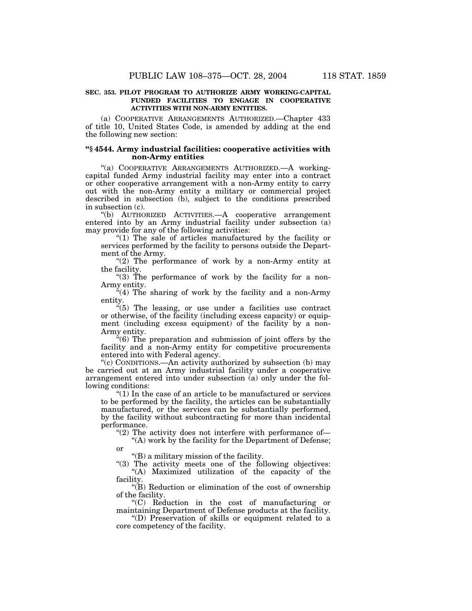## **SEC. 353. PILOT PROGRAM TO AUTHORIZE ARMY WORKING-CAPITAL FUNDED FACILITIES TO ENGAGE IN COOPERATIVE ACTIVITIES WITH NON-ARMY ENTITIES.**

(a) COOPERATIVE ARRANGEMENTS AUTHORIZED.—Chapter 433 of title 10, United States Code, is amended by adding at the end the following new section:

## **''§ 4544. Army industrial facilities: cooperative activities with non-Army entities**

"(a) COOPERATIVE ARRANGEMENTS AUTHORIZED. - A workingcapital funded Army industrial facility may enter into a contract or other cooperative arrangement with a non-Army entity to carry out with the non-Army entity a military or commercial project described in subsection (b), subject to the conditions prescribed in subsection (c).

''(b) AUTHORIZED ACTIVITIES.—A cooperative arrangement entered into by an Army industrial facility under subsection (a) may provide for any of the following activities:

" $(1)$  The sale of articles manufactured by the facility or services performed by the facility to persons outside the Department of the Army.

" $(2)$  The performance of work by a non-Army entity at the facility.

"(3) The performance of work by the facility for a non-Army entity.

"(4) The sharing of work by the facility and a non-Army entity.

 $(5)$  The leasing, or use under a facilities use contract or otherwise, of the facility (including excess capacity) or equipment (including excess equipment) of the facility by a non-Army entity.

 $*(6)$  The preparation and submission of joint offers by the facility and a non-Army entity for competitive procurements entered into with Federal agency.

''(c) CONDITIONS.—An activity authorized by subsection (b) may be carried out at an Army industrial facility under a cooperative arrangement entered into under subsection (a) only under the following conditions:

''(1) In the case of an article to be manufactured or services to be performed by the facility, the articles can be substantially manufactured, or the services can be substantially performed, by the facility without subcontracting for more than incidental performance.

" $(2)$  The activity does not interfere with performance of-"(A) work by the facility for the Department of Defense; or

''(B) a military mission of the facility.

"(3) The activity meets one of the following objectives: ''(A) Maximized utilization of the capacity of the facility.

''(B) Reduction or elimination of the cost of ownership of the facility.

''(C) Reduction in the cost of manufacturing or maintaining Department of Defense products at the facility.

''(D) Preservation of skills or equipment related to a core competency of the facility.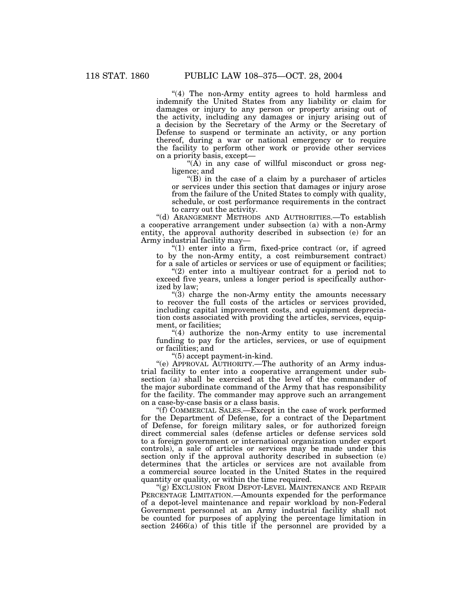"(4) The non-Army entity agrees to hold harmless and indemnify the United States from any liability or claim for damages or injury to any person or property arising out of the activity, including any damages or injury arising out of a decision by the Secretary of the Army or the Secretary of Defense to suspend or terminate an activity, or any portion thereof, during a war or national emergency or to require the facility to perform other work or provide other services on a priority basis, except—

" $(A)$  in any case of willful misconduct or gross negligence; and

 $'(B)$  in the case of a claim by a purchaser of articles or services under this section that damages or injury arose from the failure of the United States to comply with quality, schedule, or cost performance requirements in the contract to carry out the activity.

''(d) ARANGEMENT METHODS AND AUTHORITIES.—To establish a cooperative arrangement under subsection (a) with a non-Army entity, the approval authority described in subsection (e) for an Army industrial facility may—

 $(1)$  enter into a firm, fixed-price contract (or, if agreed to by the non-Army entity, a cost reimbursement contract) for a sale of articles or services or use of equipment or facilities;

" $(2)$  enter into a multiyear contract for a period not to exceed five years, unless a longer period is specifically authorized by law;

''(3) charge the non-Army entity the amounts necessary to recover the full costs of the articles or services provided, including capital improvement costs, and equipment depreciation costs associated with providing the articles, services, equipment, or facilities;

"(4) authorize the non-Army entity to use incremental funding to pay for the articles, services, or use of equipment or facilities; and

''(5) accept payment-in-kind.

''(e) APPROVAL AUTHORITY.—The authority of an Army industrial facility to enter into a cooperative arrangement under subsection (a) shall be exercised at the level of the commander of the major subordinate command of the Army that has responsibility for the facility. The commander may approve such an arrangement on a case-by-case basis or a class basis.

''(f) COMMERCIAL SALES.—Except in the case of work performed for the Department of Defense, for a contract of the Department of Defense, for foreign military sales, or for authorized foreign direct commercial sales (defense articles or defense services sold to a foreign government or international organization under export controls), a sale of articles or services may be made under this section only if the approval authority described in subsection (e) determines that the articles or services are not available from a commercial source located in the United States in the required quantity or quality, or within the time required.

"(g) EXCLUSION FROM DEPOT-LEVEL MAINTENANCE AND REPAIR PERCENTAGE LIMITATION.—Amounts expended for the performance of a depot-level maintenance and repair workload by non-Federal Government personnel at an Army industrial facility shall not be counted for purposes of applying the percentage limitation in section  $2466(a)$  of this title if the personnel are provided by a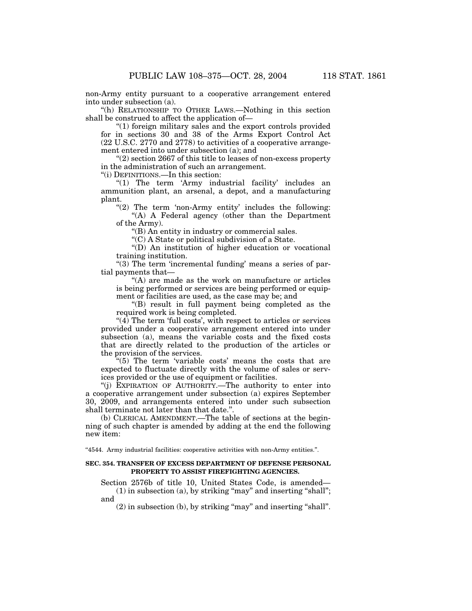non-Army entity pursuant to a cooperative arrangement entered into under subsection (a).

''(h) RELATIONSHIP TO OTHER LAWS.—Nothing in this section shall be construed to affect the application of—

''(1) foreign military sales and the export controls provided for in sections 30 and 38 of the Arms Export Control Act (22 U.S.C. 2770 and 2778) to activities of a cooperative arrangement entered into under subsection (a); and

''(2) section 2667 of this title to leases of non-excess property in the administration of such an arrangement.

''(i) DEFINITIONS.—In this section:

" $(1)$  The term 'Army industrial facility' includes an ammunition plant, an arsenal, a depot, and a manufacturing plant.

" $(2)$  The term 'non-Army entity' includes the following: ''(A) A Federal agency (other than the Department of the Army).

''(B) An entity in industry or commercial sales.

''(C) A State or political subdivision of a State.

''(D) An institution of higher education or vocational training institution.

"(3) The term 'incremental funding' means a series of partial payments that—

''(A) are made as the work on manufacture or articles is being performed or services are being performed or equipment or facilities are used, as the case may be; and

''(B) result in full payment being completed as the required work is being completed.

 $\mathcal{H}(4)$  The term 'full costs', with respect to articles or services provided under a cooperative arrangement entered into under subsection (a), means the variable costs and the fixed costs that are directly related to the production of the articles or the provision of the services.

''(5) The term 'variable costs' means the costs that are expected to fluctuate directly with the volume of sales or services provided or the use of equipment or facilities.

''(j) EXPIRATION OF AUTHORITY.—The authority to enter into a cooperative arrangement under subsection (a) expires September 30, 2009, and arrangements entered into under such subsection shall terminate not later than that date.''.

(b) CLERICAL AMENDMENT.—The table of sections at the beginning of such chapter is amended by adding at the end the following new item:

''4544. Army industrial facilities: cooperative activities with non-Army entities.''.

## **SEC. 354. TRANSFER OF EXCESS DEPARTMENT OF DEFENSE PERSONAL PROPERTY TO ASSIST FIREFIGHTING AGENCIES.**

Section 2576b of title 10, United States Code, is amended—  $(1)$  in subsection  $(a)$ , by striking "may" and inserting "shall"; and

 $(2)$  in subsection  $(b)$ , by striking "may" and inserting "shall".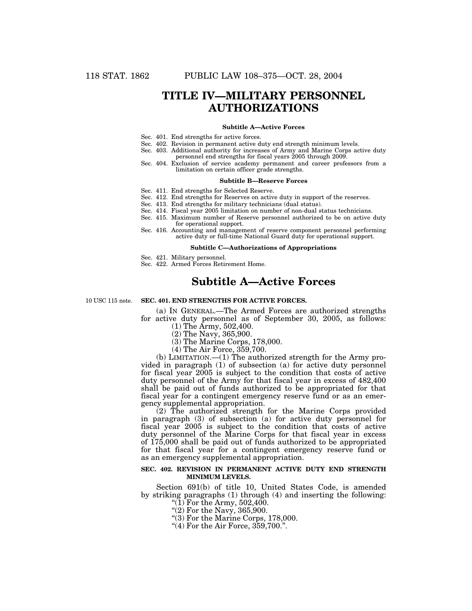# **TITLE IV—MILITARY PERSONNEL AUTHORIZATIONS**

#### **Subtitle A—Active Forces**

- Sec. 401. End strengths for active forces.
- Sec. 402. Revision in permanent active duty end strength minimum levels.
- Sec. 403. Additional authority for increases of Army and Marine Corps active duty personnel end strengths for fiscal years 2005 through 2009.
- Sec. 404. Exclusion of service academy permanent and career professors from a limitation on certain officer grade strengths.

#### **Subtitle B—Reserve Forces**

- Sec. 411. End strengths for Selected Reserve.
- Sec. 412. End strengths for Reserves on active duty in support of the reserves.
- Sec. 413. End strengths for military technicians (dual status).
- Sec. 414. Fiscal year 2005 limitation on number of non-dual status technicians.
- Sec. 415. Maximum number of Reserve personnel authorized to be on active duty for operational support.
- Sec. 416. Accounting and management of reserve component personnel performing active duty or full-time National Guard duty for operational support.

#### **Subtitle C—Authorizations of Appropriations**

Sec. 421. Military personnel.

Sec. 422. Armed Forces Retirement Home.

# **Subtitle A—Active Forces**

10 USC 115 note.

## **SEC. 401. END STRENGTHS FOR ACTIVE FORCES.**

(a) IN GENERAL.—The Armed Forces are authorized strengths for active duty personnel as of September 30, 2005, as follows: (1) The Army, 502,400.

- (2) The Navy, 365,900.
- (3) The Marine Corps, 178,000.
- (4) The Air Force, 359,700.

(b) LIMITATION.—(1) The authorized strength for the Army provided in paragraph (1) of subsection (a) for active duty personnel for fiscal year 2005 is subject to the condition that costs of active duty personnel of the Army for that fiscal year in excess of 482,400 shall be paid out of funds authorized to be appropriated for that fiscal year for a contingent emergency reserve fund or as an emergency supplemental appropriation.

(2) The authorized strength for the Marine Corps provided in paragraph (3) of subsection (a) for active duty personnel for fiscal year 2005 is subject to the condition that costs of active duty personnel of the Marine Corps for that fiscal year in excess of 175,000 shall be paid out of funds authorized to be appropriated for that fiscal year for a contingent emergency reserve fund or as an emergency supplemental appropriation.

### **SEC. 402. REVISION IN PERMANENT ACTIVE DUTY END STRENGTH MINIMUM LEVELS.**

Section 691(b) of title 10, United States Code, is amended by striking paragraphs (1) through (4) and inserting the following: "(1) For the Army,  $502,400$ .

- 
- ''(2) For the Navy, 365,900.
- ''(3) For the Marine Corps, 178,000.
- $(4)$  For the Air Force,  $359,700$ .".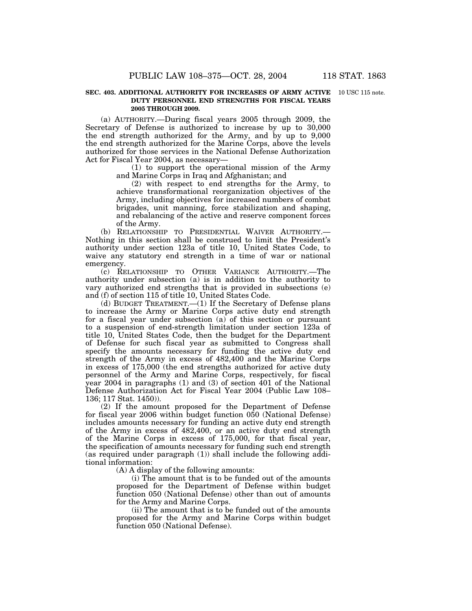#### **SEC. 403. ADDITIONAL AUTHORITY FOR INCREASES OF ARMY ACTIVE** 10 USC 115 note. **DUTY PERSONNEL END STRENGTHS FOR FISCAL YEARS 2005 THROUGH 2009.**

(a) AUTHORITY.—During fiscal years 2005 through 2009, the Secretary of Defense is authorized to increase by up to 30,000 the end strength authorized for the Army, and by up to 9,000 the end strength authorized for the Marine Corps, above the levels authorized for those services in the National Defense Authorization Act for Fiscal Year 2004, as necessary—

> (1) to support the operational mission of the Army and Marine Corps in Iraq and Afghanistan; and

> (2) with respect to end strengths for the Army, to achieve transformational reorganization objectives of the Army, including objectives for increased numbers of combat brigades, unit manning, force stabilization and shaping, and rebalancing of the active and reserve component forces of the Army.

(b) RELATIONSHIP TO PRESIDENTIAL WAIVER AUTHORITY.— Nothing in this section shall be construed to limit the President's authority under section 123a of title 10, United States Code, to waive any statutory end strength in a time of war or national emergency.

(c) RELATIONSHIP TO OTHER VARIANCE AUTHORITY.—The authority under subsection (a) is in addition to the authority to vary authorized end strengths that is provided in subsections (e) and (f) of section 115 of title 10, United States Code.

(d) BUDGET TREATMENT.—(1) If the Secretary of Defense plans to increase the Army or Marine Corps active duty end strength for a fiscal year under subsection (a) of this section or pursuant to a suspension of end-strength limitation under section 123a of title 10, United States Code, then the budget for the Department of Defense for such fiscal year as submitted to Congress shall specify the amounts necessary for funding the active duty end strength of the Army in excess of 482,400 and the Marine Corps in excess of 175,000 (the end strengths authorized for active duty personnel of the Army and Marine Corps, respectively, for fiscal year 2004 in paragraphs  $(1)$  and  $(3)$  of section  $\overline{401}$  of the National Defense Authorization Act for Fiscal Year 2004 (Public Law 108– 136; 117 Stat. 1450)).

(2) If the amount proposed for the Department of Defense for fiscal year 2006 within budget function 050 (National Defense) includes amounts necessary for funding an active duty end strength of the Army in excess of 482,400, or an active duty end strength of the Marine Corps in excess of 175,000, for that fiscal year, the specification of amounts necessary for funding such end strength (as required under paragraph (1)) shall include the following additional information:

(A) A display of the following amounts:

(i) The amount that is to be funded out of the amounts proposed for the Department of Defense within budget function 050 (National Defense) other than out of amounts for the Army and Marine Corps.

(ii) The amount that is to be funded out of the amounts proposed for the Army and Marine Corps within budget function 050 (National Defense).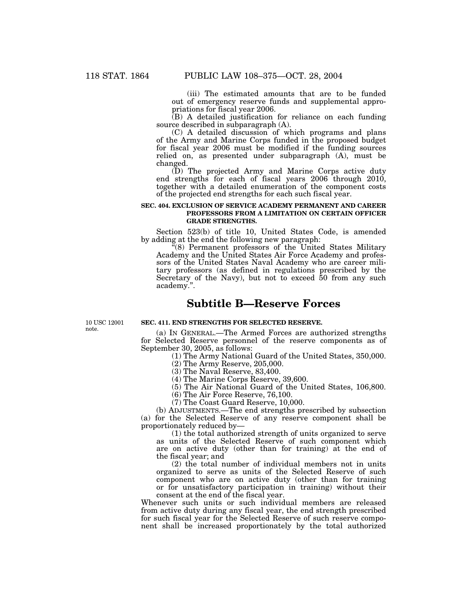(iii) The estimated amounts that are to be funded out of emergency reserve funds and supplemental appropriations for fiscal year 2006.

(B) A detailed justification for reliance on each funding source described in subparagraph (A).

(C) A detailed discussion of which programs and plans of the Army and Marine Corps funded in the proposed budget for fiscal year 2006 must be modified if the funding sources relied on, as presented under subparagraph (A), must be changed.

(D) The projected Army and Marine Corps active duty end strengths for each of fiscal years 2006 through 2010, together with a detailed enumeration of the component costs of the projected end strengths for each such fiscal year.

### **SEC. 404. EXCLUSION OF SERVICE ACADEMY PERMANENT AND CAREER PROFESSORS FROM A LIMITATION ON CERTAIN OFFICER GRADE STRENGTHS.**

Section 523(b) of title 10, United States Code, is amended by adding at the end the following new paragraph:

 $\mathbb{I}(8)$  Permanent professors of the United States Military Academy and the United States Air Force Academy and professors of the United States Naval Academy who are career military professors (as defined in regulations prescribed by the Secretary of the Navy), but not to exceed 50 from any such academy.''.

# **Subtitle B—Reserve Forces**

10 USC 12001 note.

**SEC. 411. END STRENGTHS FOR SELECTED RESERVE.**

(a) IN GENERAL.—The Armed Forces are authorized strengths for Selected Reserve personnel of the reserve components as of September 30, 2005, as follows:

(1) The Army National Guard of the United States, 350,000.

(2) The Army Reserve, 205,000.

(3) The Naval Reserve, 83,400.

(4) The Marine Corps Reserve, 39,600.

(5) The Air National Guard of the United States, 106,800.

(6) The Air Force Reserve, 76,100.

(7) The Coast Guard Reserve, 10,000.

(b) ADJUSTMENTS.—The end strengths prescribed by subsection (a) for the Selected Reserve of any reserve component shall be proportionately reduced by—

(1) the total authorized strength of units organized to serve as units of the Selected Reserve of such component which are on active duty (other than for training) at the end of the fiscal year; and

(2) the total number of individual members not in units organized to serve as units of the Selected Reserve of such component who are on active duty (other than for training or for unsatisfactory participation in training) without their consent at the end of the fiscal year.

Whenever such units or such individual members are released from active duty during any fiscal year, the end strength prescribed for such fiscal year for the Selected Reserve of such reserve component shall be increased proportionately by the total authorized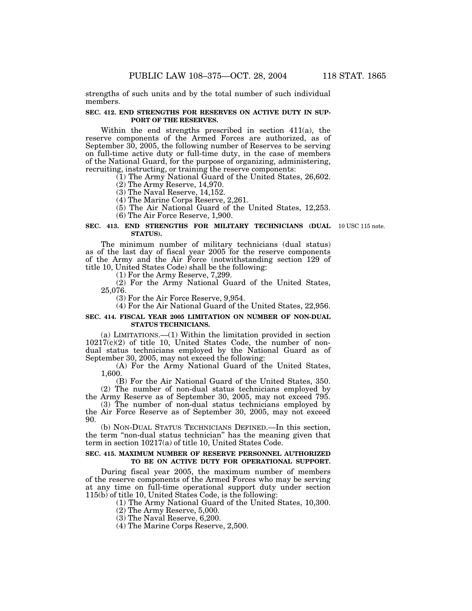strengths of such units and by the total number of such individual members.

#### **SEC. 412. END STRENGTHS FOR RESERVES ON ACTIVE DUTY IN SUP-PORT OF THE RESERVES.**

Within the end strengths prescribed in section 411(a), the reserve components of the Armed Forces are authorized, as of September 30, 2005, the following number of Reserves to be serving on full-time active duty or full-time duty, in the case of members of the National Guard, for the purpose of organizing, administering, recruiting, instructing, or training the reserve components:

(1) The Army National Guard of the United States, 26,602.

(2) The Army Reserve, 14,970.

(3) The Naval Reserve, 14,152.

(4) The Marine Corps Reserve, 2,261.

(5) The Air National Guard of the United States, 12,253.

(6) The Air Force Reserve, 1,900.

#### **SEC. 413. END STRENGTHS FOR MILITARY TECHNICIANS (DUAL** 10 USC 115 note. **STATUS).**

The minimum number of military technicians (dual status) as of the last day of fiscal year 2005 for the reserve components of the Army and the Air Force (notwithstanding section 129 of title 10, United States Code) shall be the following:

(1) For the Army Reserve, 7,299.

(2) For the Army National Guard of the United States, 25,076.

(3) For the Air Force Reserve, 9,954.

(4) For the Air National Guard of the United States, 22,956.

### **SEC. 414. FISCAL YEAR 2005 LIMITATION ON NUMBER OF NON-DUAL STATUS TECHNICIANS.**

(a) LIMITATIONS.—(1) Within the limitation provided in section 10217(c)(2) of title 10, United States Code, the number of nondual status technicians employed by the National Guard as of September 30, 2005, may not exceed the following:

(A) For the Army National Guard of the United States, 1,600.

(B) For the Air National Guard of the United States, 350. (2) The number of non-dual status technicians employed by the Army Reserve as of September 30, 2005, may not exceed 795.

(3) The number of non-dual status technicians employed by the Air Force Reserve as of September 30, 2005, may not exceed

90. (b) NON-DUAL STATUS TECHNICIANS DEFINED.—In this section, the term "non-dual status technician" has the meaning given that term in section 10217(a) of title 10, United States Code.

### **SEC. 415. MAXIMUM NUMBER OF RESERVE PERSONNEL AUTHORIZED TO BE ON ACTIVE DUTY FOR OPERATIONAL SUPPORT.**

During fiscal year 2005, the maximum number of members of the reserve components of the Armed Forces who may be serving at any time on full-time operational support duty under section 115(b) of title 10, United States Code, is the following:

(1) The Army National Guard of the United States, 10,300.

(2) The Army Reserve, 5,000.

(3) The Naval Reserve, 6,200.

(4) The Marine Corps Reserve, 2,500.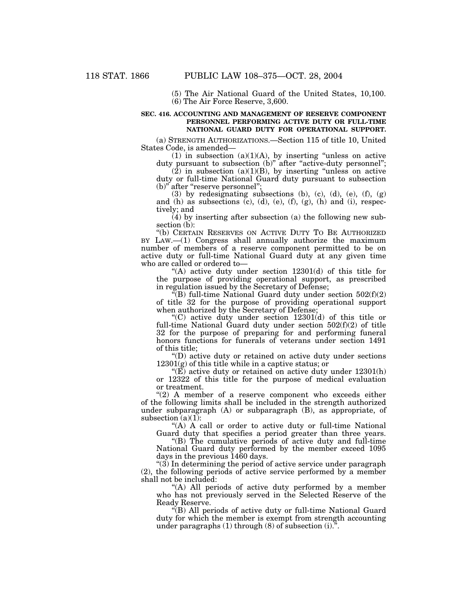(5) The Air National Guard of the United States, 10,100. (6) The Air Force Reserve, 3,600.

### **SEC. 416. ACCOUNTING AND MANAGEMENT OF RESERVE COMPONENT PERSONNEL PERFORMING ACTIVE DUTY OR FULL-TIME NATIONAL GUARD DUTY FOR OPERATIONAL SUPPORT.**

(a) STRENGTH AUTHORIZATIONS.—Section 115 of title 10, United States Code, is amended—

(1) in subsection  $(a)(1)(A)$ , by inserting "unless on active duty pursuant to subsection (b)" after "active-duty personnel";

 $(2)$  in subsection  $(a)(1)(B)$ , by inserting "unless on active duty or full-time National Guard duty pursuant to subsection (b)" after "reserve personnel";

(3) by redesignating subsections (b), (c), (d), (e),  $(f)$ ,  $(g)$ and (h) as subsections  $(c)$ ,  $(d)$ ,  $(e)$ ,  $(f)$ ,  $(g)$ ,  $(h)$  and  $(i)$ , respectively; and

(4) by inserting after subsection (a) the following new subsection (b):

"(b) CERTAIN RESERVES ON ACTIVE DUTY TO BE AUTHORIZED BY LAW.—(1) Congress shall annually authorize the maximum number of members of a reserve component permitted to be on active duty or full-time National Guard duty at any given time who are called or ordered to—

"(A) active duty under section  $12301(d)$  of this title for the purpose of providing operational support, as prescribed in regulation issued by the Secretary of Defense;

 $\sqrt{f(B)}$  full-time National Guard duty under section  $502(f)(2)$ of title 32 for the purpose of providing operational support when authorized by the Secretary of Defense;

''(C) active duty under section 12301(d) of this title or full-time National Guard duty under section 502(f)(2) of title 32 for the purpose of preparing for and performing funeral honors functions for funerals of veterans under section 1491 of this title;

''(D) active duty or retained on active duty under sections  $12301(g)$  of this title while in a captive status; or

" $(E)$  active duty or retained on active duty under 12301(h) or 12322 of this title for the purpose of medical evaluation or treatment.

" $(2)$  A member of a reserve component who exceeds either of the following limits shall be included in the strength authorized under subparagraph (A) or subparagraph (B), as appropriate, of subsection  $(a)(1)$ :

''(A) A call or order to active duty or full-time National Guard duty that specifies a period greater than three years.

''(B) The cumulative periods of active duty and full-time National Guard duty performed by the member exceed 1095 days in the previous 1460 days.

 $(3)$  In determining the period of active service under paragraph (2), the following periods of active service performed by a member shall not be included:

"(A) All periods of active duty performed by a member who has not previously served in the Selected Reserve of the Ready Reserve.

''(B) All periods of active duty or full-time National Guard duty for which the member is exempt from strength accounting under paragraphs  $(1)$  through  $(8)$  of subsection  $(i)$ .".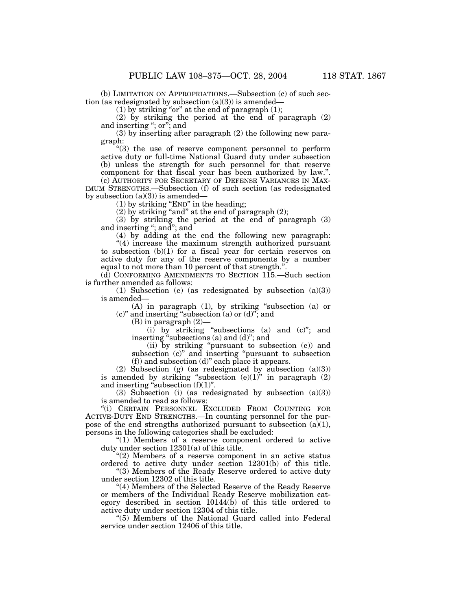(b) LIMITATION ON APPROPRIATIONS.—Subsection (c) of such section (as redesignated by subsection  $(a)(3)$ ) is amended—

(1) by striking "or" at the end of paragraph  $(1)$ ;

(2) by striking the period at the end of paragraph (2) and inserting ''; or''; and

(3) by inserting after paragraph (2) the following new paragraph:

''(3) the use of reserve component personnel to perform active duty or full-time National Guard duty under subsection (b) unless the strength for such personnel for that reserve component for that fiscal year has been authorized by law.''.

(c) AUTHORITY FOR SECRETARY OF DEFENSE VARIANCES IN MAX-IMUM STRENGTHS.—Subsection (f) of such section (as redesignated by subsection  $(a)(3)$  is amended—

 $(1)$  by striking "END" in the heading;

 $(2)$  by striking "and" at the end of paragraph  $(2)$ ;

(3) by striking the period at the end of paragraph (3) and inserting ''; and''; and

(4) by adding at the end the following new paragraph: "(4) increase the maximum strength authorized pursuant to subsection (b)(1) for a fiscal year for certain reserves on active duty for any of the reserve components by a number equal to not more than 10 percent of that strength.''.

(d) CONFORMING AMENDMENTS TO SECTION 115.—Such section is further amended as follows:

(1) Subsection (e) (as redesignated by subsection (a)(3)) is amended—

(A) in paragraph (1), by striking ''subsection (a) or (c)'' and inserting ''subsection (a) or (d)''; and

(B) in paragraph (2)—

(i) by striking ''subsections (a) and (c)''; and inserting "subsections (a) and (d)"; and

(ii) by striking ''pursuant to subsection (e)) and subsection (c)'' and inserting ''pursuant to subsection (f)) and subsection (d)'' each place it appears.

(2) Subsection (g) (as redesignated by subsection (a)(3)) is amended by striking "subsection (e)(1)" in paragraph (2) and inserting "subsection  $(f)(1)$ ".

(3) Subsection (i) (as redesignated by subsection (a)(3)) is amended to read as follows:

''(i) CERTAIN PERSONNEL EXCLUDED FROM COUNTING FOR ACTIVE-DUTY END STRENGTHS.—In counting personnel for the purpose of the end strengths authorized pursuant to subsection  $(a)(1)$ , persons in the following categories shall be excluded:

"(1) Members of a reserve component ordered to active duty under section 12301(a) of this title.

"(2) Members of a reserve component in an active status ordered to active duty under section 12301(b) of this title.

''(3) Members of the Ready Reserve ordered to active duty under section 12302 of this title.

"(4) Members of the Selected Reserve of the Ready Reserve or members of the Individual Ready Reserve mobilization category described in section 10144(b) of this title ordered to active duty under section 12304 of this title.

''(5) Members of the National Guard called into Federal service under section 12406 of this title.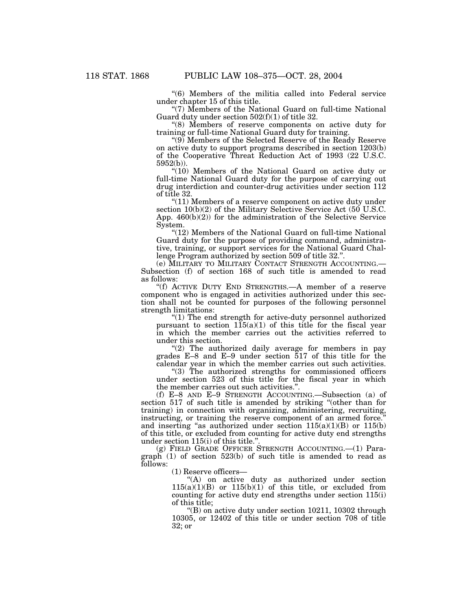''(6) Members of the militia called into Federal service under chapter 15 of this title.

"(7) Members of the National Guard on full-time National Guard duty under section 502(f)(1) of title 32.

''(8) Members of reserve components on active duty for training or full-time National Guard duty for training.

''(9) Members of the Selected Reserve of the Ready Reserve on active duty to support programs described in section 1203(b) of the Cooperative Threat Reduction Act of 1993 (22 U.S.C. 5952(b)).

''(10) Members of the National Guard on active duty or full-time National Guard duty for the purpose of carrying out drug interdiction and counter-drug activities under section 112 of title 32.

''(11) Members of a reserve component on active duty under section  $10(b)(2)$  of the Military Selective Service Act (50 U.S.C. App. 460(b)(2)) for the administration of the Selective Service System.

"(12) Members of the National Guard on full-time National Guard duty for the purpose of providing command, administrative, training, or support services for the National Guard Challenge Program authorized by section 509 of title 32."

(e) MILITARY TO MILITARY CONTACT STRENGTH ACCOUNTING.— Subsection (f) of section 168 of such title is amended to read as follows:

''(f) ACTIVE DUTY END STRENGTHS.—A member of a reserve component who is engaged in activities authorized under this section shall not be counted for purposes of the following personnel strength limitations:

''(1) The end strength for active-duty personnel authorized pursuant to section  $115(a)(1)$  of this title for the fiscal year in which the member carries out the activities referred to under this section.

"(2) The authorized daily average for members in pay grades E–8 and E–9 under section 517 of this title for the calendar year in which the member carries out such activities.

"(3) The authorized strengths for commissioned officers under section 523 of this title for the fiscal year in which the member carries out such activities.''.

(f) E–8 AND E–9 STRENGTH ACCOUNTING.—Subsection (a) of section 517 of such title is amended by striking ''(other than for training) in connection with organizing, administering, recruiting, instructing, or training the reserve component of an armed force. and inserting "as authorized under section  $115(a)(1)(B)$  or  $115(b)$ of this title, or excluded from counting for active duty end strengths under section 115(i) of this title."

(g) FIELD GRADE OFFICER STRENGTH ACCOUNTING.—(1) Paragraph (1) of section 523(b) of such title is amended to read as follows:

(1) Reserve officers—

"(A) on active duty as authorized under section  $115(a)(1)(B)$  or  $115(b)(1)$  of this title, or excluded from counting for active duty end strengths under section 115(i) of this title;

 $\degree$ (B) on active duty under section 10211, 10302 through 10305, or 12402 of this title or under section 708 of title 32; or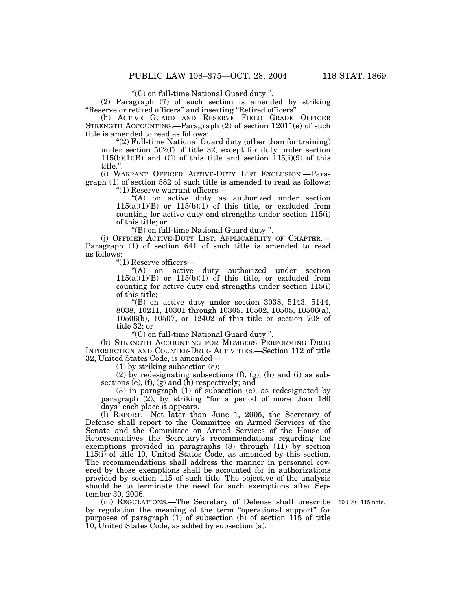''(C) on full-time National Guard duty.''.

(2) Paragraph (7) of such section is amended by striking ''Reserve or retired officers'' and inserting ''Retired officers''.

(h) ACTIVE GUARD AND RESERVE FIELD GRADE OFFICER STRENGTH ACCOUNTING.—Paragraph (2) of section 12011(e) of such title is amended to read as follows:

''(2) Full-time National Guard duty (other than for training) under section 502(f) of title 32, except for duty under section  $115(b)(1)(B)$  and (C) of this title and section  $115(i)(9)$  of this title."

(i) WARRANT OFFICER ACTIVE-DUTY LIST EXCLUSION.—Paragraph (1) of section 582 of such title is amended to read as follows:

''(1) Reserve warrant officers—

"(A) on active duty as authorized under section  $115(a)(1)(B)$  or  $115(b)(1)$  of this title, or excluded from counting for active duty end strengths under section 115(i) of this title; or

''(B) on full-time National Guard duty.''.

(j) OFFICER ACTIVE-DUTY LIST, APPLICABILITY OF CHAPTER.— Paragraph (1) of section 641 of such title is amended to read as follows:

''(1) Reserve officers—

''(A) on active duty authorized under section  $115(a)(1)(B)$  or  $115(b)(1)$  of this title, or excluded from counting for active duty end strengths under section 115(i) of this title;

 $($ <sup>"</sup>(B) on active duty under section 3038, 5143, 5144, 8038, 10211, 10301 through 10305, 10502, 10505, 10506(a), 10506(b), 10507, or 12402 of this title or section 708 of title 32; or

''(C) on full-time National Guard duty.''.

(k) STRENGTH ACCOUNTING FOR MEMBERS PERFORMING DRUG INTERDICTION AND COUNTER-DRUG ACTIVITIES.—Section 112 of title 32, United States Code, is amended—

(1) by striking subsection (e);

(2) by redesignating subsections  $(f)$ ,  $(g)$ ,  $(h)$  and  $(i)$  as subsections (e),  $(f)$ ,  $(g)$  and  $(h)$  respectively; and

(3) in paragraph (1) of subsection (e), as redesignated by paragraph (2), by striking "for a period of more than 180 days'' each place it appears.

(l) REPORT.—Not later than June 1, 2005, the Secretary of Defense shall report to the Committee on Armed Services of the Senate and the Committee on Armed Services of the House of Representatives the Secretary's recommendations regarding the exemptions provided in paragraphs (8) through (11) by section 115(i) of title 10, United States Code, as amended by this section. The recommendations shall address the manner in personnel covered by those exemptions shall be accounted for in authorizations provided by section 115 of such title. The objective of the analysis should be to terminate the need for such exemptions after September 30, 2006.

(m) REGULATIONS.—The Secretary of Defense shall prescribe 10 USC 115 note. by regulation the meaning of the term ''operational support'' for purposes of paragraph  $(1)$  of subsection  $(b)$  of section  $115$  of title 10, United States Code, as added by subsection (a).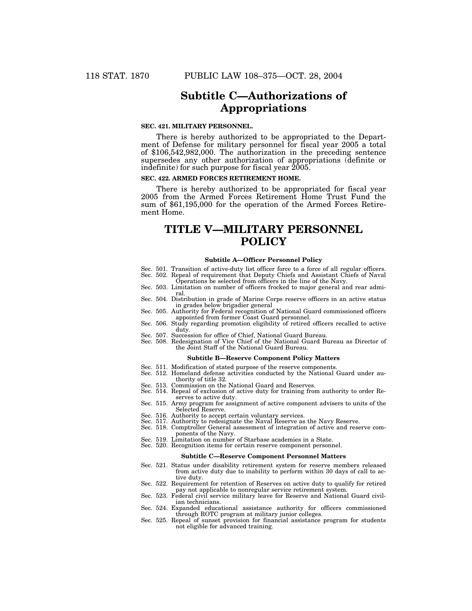# **Subtitle C—Authorizations of Appropriations**

## **SEC. 421. MILITARY PERSONNEL.**

There is hereby authorized to be appropriated to the Department of Defense for military personnel for fiscal year 2005 a total of \$106,542,982,000. The authorization in the preceding sentence supersedes any other authorization of appropriations (definite or indefinite) for such purpose for fiscal year  $2005$ .

## **SEC. 422. ARMED FORCES RETIREMENT HOME.**

There is hereby authorized to be appropriated for fiscal year 2005 from the Armed Forces Retirement Home Trust Fund the sum of \$61,195,000 for the operation of the Armed Forces Retirement Home.

# **TITLE V—MILITARY PERSONNEL POLICY**

#### **Subtitle A—Officer Personnel Policy**

- Sec. 501. Transition of active-duty list officer force to a force of all regular officers. Sec. 502. Repeal of requirement that Deputy Chiefs and Assistant Chiefs of Naval
- Operations be selected from officers in the line of the Navy.
- Sec. 503. Limitation on number of officers frocked to major general and rear admiral.
- Sec. 504. Distribution in grade of Marine Corps reserve officers in an active status in grades below brigadier general
- Sec. 505. Authority for Federal recognition of National Guard commissioned officers appointed from former Coast Guard personnel.
- Sec. 506. Study regarding promotion eligibility of retired officers recalled to active duty.
- Sec. 507. Succession for office of Chief, National Guard Bureau.
- Sec. 508. Redesignation of Vice Chief of the National Guard Bureau as Director of the Joint Staff of the National Guard Bureau.

#### **Subtitle B—Reserve Component Policy Matters**

- Sec. 511. Modification of stated purpose of the reserve components.
- Sec. 512. Homeland defense activities conducted by the National Guard under authority of title 32.
- Sec. 513. Commission on the National Guard and Reserves.
- Sec. 514. Repeal of exclusion of active duty for training from authority to order Reserves to active duty.
- Sec. 515. Army program for assignment of active component advisers to units of the Selected Reserve.
- Sec. 516. Authority to accept certain voluntary services.
- Sec. 517. Authority to redesignate the Naval Reserve as the Navy Reserve.
- Sec. 518. Comptroller General assessment of integration of active and reserve components of the Navy.
- Sec. 519. Limitation on number of Starbase academies in a State.

# Sec. 520. Recognition items for certain reserve component personnel.

#### **Subtitle C—Reserve Component Personnel Matters**

- Sec. 521. Status under disability retirement system for reserve members released from active duty due to inability to perform within 30 days of call to active duty.
- Sec. 522. Requirement for retention of Reserves on active duty to qualify for retired pay not applicable to nonregular service retirement system.
- Sec. 523. Federal civil service military leave for Reserve and National Guard civilian technicians.
- Sec. 524. Expanded educational assistance authority for officers commissioned through ROTC program at military junior colleges.
- Sec. 525. Repeal of sunset provision for financial assistance program for students not eligible for advanced training.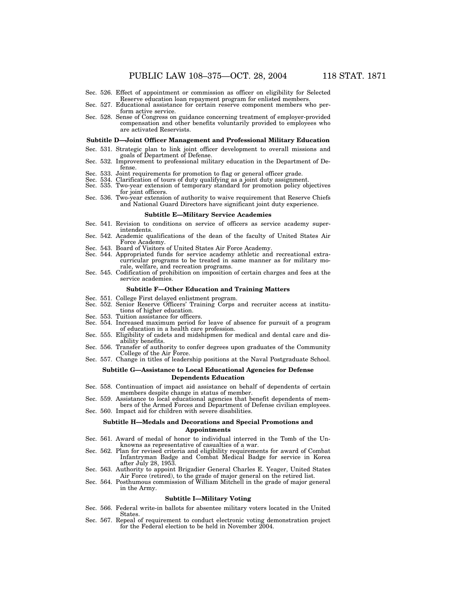- Sec. 526. Effect of appointment or commission as officer on eligibility for Selected Reserve education loan repayment program for enlisted members.
- Sec. 527. Educational assistance for certain reserve component members who perform active service.
- Sec. 528. Sense of Congress on guidance concerning treatment of employer-provided compensation and other benefits voluntarily provided to employees who are activated Reservists.

#### **Subtitle D—Joint Officer Management and Professional Military Education**

- Sec. 531. Strategic plan to link joint officer development to overall missions and goals of Department of Defense.
- Sec. 532. Improvement to professional military education in the Department of Defense.
- 
- 
- Sec. 533. Joint requirements for promotion to flag or general officer grade.<br>Sec. 534. Clarification of tours of duty qualifying as a joint duty assignment.<br>Sec. 535. Two-year extension of temporary standard for promotion for joint officers.
- Sec. 536. Two-year extension of authority to waive requirement that Reserve Chiefs and National Guard Directors have significant joint duty experience.

#### **Subtitle E—Military Service Academies**

- Sec. 541. Revision to conditions on service of officers as service academy superintendents.
- Sec. 542. Academic qualifications of the dean of the faculty of United States Air Force Academy.
- Sec. 543. Board of Visitors of United States Air Force Academy.
- Sec. 544. Appropriated funds for service academy athletic and recreational extracurricular programs to be treated in same manner as for military morale, welfare, and recreation programs.
- Sec. 545. Codification of prohibition on imposition of certain charges and fees at the service academies.

#### **Subtitle F—Other Education and Training Matters**

- 
- Sec. 551. College First delayed enlistment program. Sec. 552. Senior Reserve Officers' Training Corps and recruiter access at institutions of higher education.
- Sec. 553. Tuition assistance for officers.
- Sec. 554. Increased maximum period for leave of absence for pursuit of a program of education in a health care profession.
- Sec. 555. Eligibility of cadets and midshipmen for medical and dental care and disability benefits.
- Sec. 556. Transfer of authority to confer degrees upon graduates of the Community College of the Air Force.
- Sec. 557. Change in titles of leadership positions at the Naval Postgraduate School.

#### **Subtitle G—Assistance to Local Educational Agencies for Defense Dependents Education**

- Sec. 558. Continuation of impact aid assistance on behalf of dependents of certain members despite change in status of member.
- Sec. 559. Assistance to local educational agencies that benefit dependents of members of the Armed Forces and Department of Defense civilian employees.
- Sec. 560. Impact aid for children with severe disabilities.

#### **Subtitle H—Medals and Decorations and Special Promotions and Appointments**

- Sec. 561. Award of medal of honor to individual interred in the Tomb of the Unknowns as representative of casualties of a war. Sec. 562. Plan for revised criteria and eligibility requirements for award of Combat
- Infantryman Badge and Combat Medical Badge for service in Korea after July 28, 1953.
- Sec. 563. Authority to appoint Brigadier General Charles E. Yeager, United States
- Air Force (retired), to the grade of major general on the retired list. Sec. 564. Posthumous commission of William Mitchell in the grade of major general in the Army.

#### **Subtitle I—Military Voting**

- Sec. 566. Federal write-in ballots for absentee military voters located in the United States.
- Sec. 567. Repeal of requirement to conduct electronic voting demonstration project for the Federal election to be held in November 2004.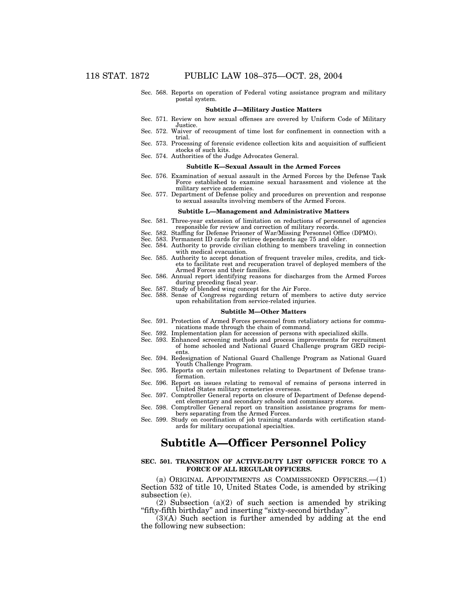Sec. 568. Reports on operation of Federal voting assistance program and military postal system.

#### **Subtitle J—Military Justice Matters**

- Sec. 571. Review on how sexual offenses are covered by Uniform Code of Military Justice.
- Sec. 572. Waiver of recoupment of time lost for confinement in connection with a trial.
- Sec. 573. Processing of forensic evidence collection kits and acquisition of sufficient stocks of such kits.
- Sec. 574. Authorities of the Judge Advocates General.

#### **Subtitle K—Sexual Assault in the Armed Forces**

- Sec. 576. Examination of sexual assault in the Armed Forces by the Defense Task Force established to examine sexual harassment and violence at the military service academies.
- Sec. 577. Department of Defense policy and procedures on prevention and response to sexual assaults involving members of the Armed Forces.

#### **Subtitle L—Management and Administrative Matters**

- Sec. 581. Three-year extension of limitation on reductions of personnel of agencies responsible for review and correction of military records.
- Sec. 582. Staffing for Defense Prisoner of War/Missing Personnel Office (DPMO).
- Sec. 583. Permanent ID cards for retiree dependents age 75 and older.
- Sec. 584. Authority to provide civilian clothing to members traveling in connection with medical evacuation.
- Sec. 585. Authority to accept donation of frequent traveler miles, credits, and tickets to facilitate rest and recuperation travel of deployed members of the Armed Forces and their families.
- Sec. 586. Annual report identifying reasons for discharges from the Armed Forces during preceding fiscal year.
- Sec. 587. Study of blended wing concept for the Air Force.
- Sec. 588. Sense of Congress regarding return of members to active duty service upon rehabilitation from service-related injuries.

#### **Subtitle M—Other Matters**

- Sec. 591. Protection of Armed Forces personnel from retaliatory actions for communications made through the chain of command.
- Sec. 592. Implementation plan for accession of persons with specialized skills.
- Sec. 593. Enhanced screening methods and process improvements for recruitment of home schooled and National Guard Challenge program GED recipients.
- Sec. 594. Redesignation of National Guard Challenge Program as National Guard Youth Challenge Program.
- Sec. 595. Reports on certain milestones relating to Department of Defense transformation.
- Sec. 596. Report on issues relating to removal of remains of persons interred in United States military cemeteries overseas.
- Sec. 597. Comptroller General reports on closure of Department of Defense dependent elementary and secondary schools and commissary stores.
- Sec. 598. Comptroller General report on transition assistance programs for members separating from the Armed Forces.
- Sec. 599. Study on coordination of job training standards with certification standards for military occupational specialties.

# **Subtitle A—Officer Personnel Policy**

#### **SEC. 501. TRANSITION OF ACTIVE-DUTY LIST OFFICER FORCE TO A FORCE OF ALL REGULAR OFFICERS.**

(a) ORIGINAL APPOINTMENTS AS COMMISSIONED OFFICERS.—(1) Section 532 of title 10, United States Code, is amended by striking subsection (e).

 $(2)$  Subsection  $(a)(2)$  of such section is amended by striking ''fifty-fifth birthday'' and inserting ''sixty-second birthday''.

(3)(A) Such section is further amended by adding at the end the following new subsection: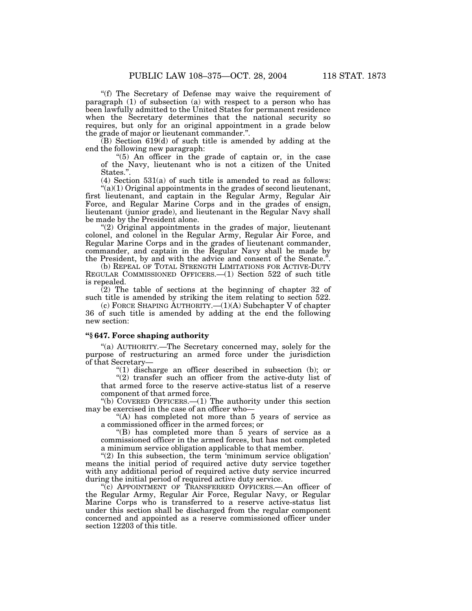''(f) The Secretary of Defense may waive the requirement of paragraph (1) of subsection (a) with respect to a person who has been lawfully admitted to the United States for permanent residence when the Secretary determines that the national security so requires, but only for an original appointment in a grade below the grade of major or lieutenant commander.''.

(B) Section 619(d) of such title is amended by adding at the end the following new paragraph:

" $(5)$  An officer in the grade of captain or, in the case of the Navy, lieutenant who is not a citizen of the United States.''.

(4) Section 531(a) of such title is amended to read as follows:  $\mathcal{L}(a)(1)$  Original appointments in the grades of second lieutenant,

first lieutenant, and captain in the Regular Army, Regular Air Force, and Regular Marine Corps and in the grades of ensign, lieutenant (junior grade), and lieutenant in the Regular Navy shall be made by the President alone.

"(2) Original appointments in the grades of major, lieutenant colonel, and colonel in the Regular Army, Regular Air Force, and Regular Marine Corps and in the grades of lieutenant commander, commander, and captain in the Regular Navy shall be made by the President, by and with the advice and consent of the Senate.''.

(b) REPEAL OF TOTAL STRENGTH LIMITATIONS FOR ACTIVE-DUTY REGULAR COMMISSIONED OFFICERS.—(1) Section 522 of such title is repealed.

 $(2)$  The table of sections at the beginning of chapter 32 of such title is amended by striking the item relating to section 522.

(c) FORCE SHAPING AUTHORITY.—(1)(A) Subchapter V of chapter 36 of such title is amended by adding at the end the following new section:

## **''§ 647. Force shaping authority**

''(a) AUTHORITY.—The Secretary concerned may, solely for the purpose of restructuring an armed force under the jurisdiction of that Secretary—

 $(1)$  discharge an officer described in subsection (b); or "(2) transfer such an officer from the active-duty list of that armed force to the reserve active-status list of a reserve component of that armed force.

''(b) COVERED OFFICERS.—(1) The authority under this section may be exercised in the case of an officer who—

"(A) has completed not more than 5 years of service as a commissioned officer in the armed forces; or

''(B) has completed more than 5 years of service as a commissioned officer in the armed forces, but has not completed a minimum service obligation applicable to that member.

"(2) In this subsection, the term 'minimum service obligation' means the initial period of required active duty service together with any additional period of required active duty service incurred during the initial period of required active duty service.

''(c) APPOINTMENT OF TRANSFERRED OFFICERS.—An officer of the Regular Army, Regular Air Force, Regular Navy, or Regular Marine Corps who is transferred to a reserve active-status list under this section shall be discharged from the regular component concerned and appointed as a reserve commissioned officer under section 12203 of this title.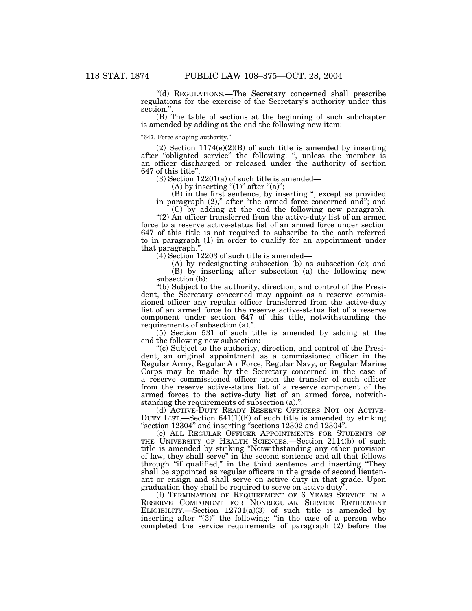''(d) REGULATIONS.—The Secretary concerned shall prescribe regulations for the exercise of the Secretary's authority under this section."

(B) The table of sections at the beginning of such subchapter is amended by adding at the end the following new item:

''647. Force shaping authority.''.

(2) Section  $1174(e)(2)(B)$  of such title is amended by inserting after "obligated service" the following: ", unless the member is an officer discharged or released under the authority of section 647 of this title''.

 $(3)$  Section 12201 $(a)$  of such title is amended—

(A) by inserting " $(1)$ " after " $(a)$ ";

(B) in the first sentence, by inserting '', except as provided in paragraph  $(2)$ ," after "the armed force concerned and"; and

(C) by adding at the end the following new paragraph: "(2) An officer transferred from the active-duty list of an armed force to a reserve active-status list of an armed force under section 647 of this title is not required to subscribe to the oath referred to in paragraph (1) in order to qualify for an appointment under that paragraph.''.

(4) Section 12203 of such title is amended—

(A) by redesignating subsection (b) as subsection (c); and (B) by inserting after subsection (a) the following new subsection (b):

''(b) Subject to the authority, direction, and control of the President, the Secretary concerned may appoint as a reserve commissioned officer any regular officer transferred from the active-duty list of an armed force to the reserve active-status list of a reserve component under section 647 of this title, notwithstanding the requirements of subsection (a).'

(5) Section 531 of such title is amended by adding at the end the following new subsection:

''(c) Subject to the authority, direction, and control of the President, an original appointment as a commissioned officer in the Regular Army, Regular Air Force, Regular Navy, or Regular Marine Corps may be made by the Secretary concerned in the case of a reserve commissioned officer upon the transfer of such officer from the reserve active-status list of a reserve component of the armed forces to the active-duty list of an armed force, notwithstanding the requirements of subsection (a).'

(d) ACTIVE-DUTY READY RESERVE OFFICERS NOT ON ACTIVE-DUTY LIST.—Section 641(1)(F) of such title is amended by striking ''section 12304'' and inserting ''sections 12302 and 12304''.

(e) ALL REGULAR OFFICER APPOINTMENTS FOR STUDENTS OF THE UNIVERSITY OF HEALTH SCIENCES.—Section 2114(b) of such title is amended by striking ''Notwithstanding any other provision of law, they shall serve'' in the second sentence and all that follows through ''if qualified,'' in the third sentence and inserting ''They shall be appointed as regular officers in the grade of second lieutenant or ensign and shall serve on active duty in that grade. Upon graduation they shall be required to serve on active duty''.

(f) TERMINATION OF REQUIREMENT OF 6 YEARS SERVICE IN A RESERVE COMPONENT FOR NONREGULAR SERVICE RETIREMENT ELIGIBILITY.—Section  $12731(a)(3)$  of such title is amended by inserting after " $(3)$ " the following: "in the case of a person who completed the service requirements of paragraph (2) before the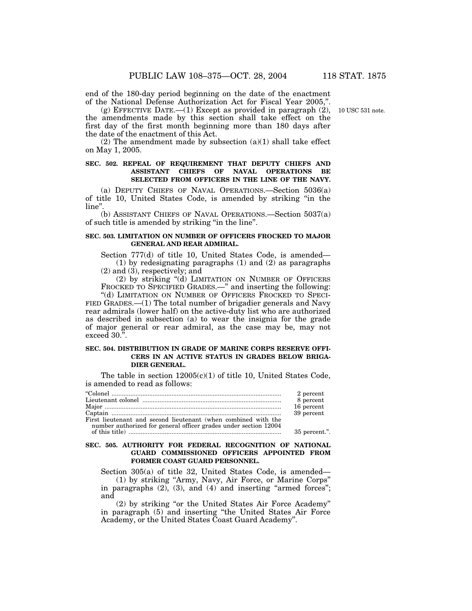end of the 180-day period beginning on the date of the enactment of the National Defense Authorization Act for Fiscal Year 2005,''.

 $(g)$  EFFECTIVE DATE.  $-(1)$  Except as provided in paragraph  $(2)$ , the amendments made by this section shall take effect on the first day of the first month beginning more than 180 days after the date of the enactment of this Act.

 $(2)$  The amendment made by subsection  $(a)(1)$  shall take effect on May 1, 2005.

## **SEC. 502. REPEAL OF REQUIREMENT THAT DEPUTY CHIEFS AND ASSISTANT CHIEFS OF NAVAL OPERATIONS BE SELECTED FROM OFFICERS IN THE LINE OF THE NAVY.**

(a) DEPUTY CHIEFS OF NAVAL OPERATIONS.—Section 5036(a) of title 10, United States Code, is amended by striking ''in the line''.

(b) ASSISTANT CHIEFS OF NAVAL OPERATIONS.—Section 5037(a) of such title is amended by striking ''in the line''.

## **SEC. 503. LIMITATION ON NUMBER OF OFFICERS FROCKED TO MAJOR GENERAL AND REAR ADMIRAL.**

Section 777(d) of title 10, United States Code, is amended— (1) by redesignating paragraphs (1) and (2) as paragraphs (2) and (3), respectively; and

(2) by striking ''(d) LIMITATION ON NUMBER OF OFFICERS FROCKED TO SPECIFIED GRADES.—" and inserting the following:

"(d) LIMITATION ON NUMBER OF OFFICERS FROCKED TO SPECI-FIED GRADES.—(1) The total number of brigadier generals and Navy rear admirals (lower half) on the active-duty list who are authorized as described in subsection (a) to wear the insignia for the grade of major general or rear admiral, as the case may be, may not exceed 30.''.

## **SEC. 504. DISTRIBUTION IN GRADE OF MARINE CORPS RESERVE OFFI-CERS IN AN ACTIVE STATUS IN GRADES BELOW BRIGA-DIER GENERAL.**

The table in section  $12005(c)(1)$  of title 10, United States Code, is amended to read as follows:

|                                                                                                                                    | 2 percent     |
|------------------------------------------------------------------------------------------------------------------------------------|---------------|
|                                                                                                                                    | 8 percent     |
|                                                                                                                                    | 16 percent    |
|                                                                                                                                    | 39 percent    |
| First lieutenant and second lieutenant (when combined with the<br>number authorized for general officer grades under section 12004 |               |
|                                                                                                                                    | 35 percent.". |

## **SEC. 505. AUTHORITY FOR FEDERAL RECOGNITION OF NATIONAL GUARD COMMISSIONED OFFICERS APPOINTED FROM FORMER COAST GUARD PERSONNEL.**

Section 305(a) of title 32, United States Code, is amended— (1) by striking ''Army, Navy, Air Force, or Marine Corps'' in paragraphs  $(2)$ ,  $(3)$ , and  $(4)$  and inserting "armed forces";

and (2) by striking ''or the United States Air Force Academy'' in paragraph (5) and inserting ''the United States Air Force Academy, or the United States Coast Guard Academy''.

10 USC 531 note.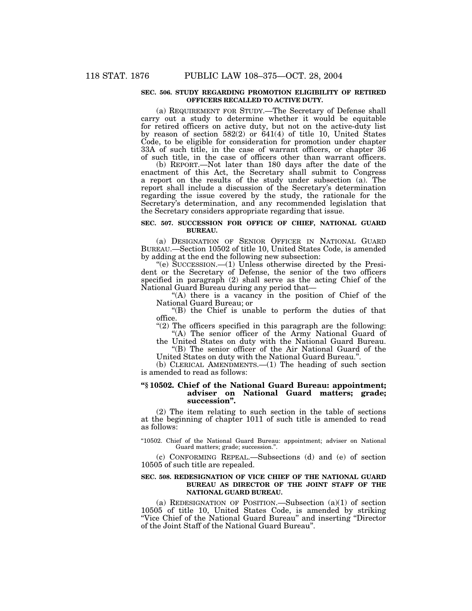## **SEC. 506. STUDY REGARDING PROMOTION ELIGIBILITY OF RETIRED OFFICERS RECALLED TO ACTIVE DUTY.**

(a) REQUIREMENT FOR STUDY.—The Secretary of Defense shall carry out a study to determine whether it would be equitable for retired officers on active duty, but not on the active-duty list by reason of section 582(2) or 641(4) of title 10, United States Code, to be eligible for consideration for promotion under chapter 33A of such title, in the case of warrant officers, or chapter 36 of such title, in the case of officers other than warrant officers.

(b) REPORT.—Not later than 180 days after the date of the enactment of this Act, the Secretary shall submit to Congress a report on the results of the study under subsection (a). The report shall include a discussion of the Secretary's determination regarding the issue covered by the study, the rationale for the Secretary's determination, and any recommended legislation that the Secretary considers appropriate regarding that issue.

## **SEC. 507. SUCCESSION FOR OFFICE OF CHIEF, NATIONAL GUARD BUREAU.**

(a) DESIGNATION OF SENIOR OFFICER IN NATIONAL GUARD BUREAU.—Section 10502 of title 10, United States Code, is amended by adding at the end the following new subsection:

''(e) SUCCESSION.—(1) Unless otherwise directed by the President or the Secretary of Defense, the senior of the two officers specified in paragraph (2) shall serve as the acting Chief of the National Guard Bureau during any period that—

"(A) there is a vacancy in the position of Chief of the National Guard Bureau; or

''(B) the Chief is unable to perform the duties of that office.

"(2) The officers specified in this paragraph are the following: "(A) The senior officer of the Army National Guard of

the United States on duty with the National Guard Bureau. "(B) The senior officer of the Air National Guard of the

United States on duty with the National Guard Bureau.''.

(b) CLERICAL AMENDMENTS.—(1) The heading of such section is amended to read as follows:

## **''§ 10502. Chief of the National Guard Bureau: appointment; adviser on National Guard matters; grade; succession''.**

(2) The item relating to such section in the table of sections at the beginning of chapter 1011 of such title is amended to read as follows:

"10502. Chief of the National Guard Bureau: appointment; adviser on National Guard matters; grade; succession.''.

(c) CONFORMING REPEAL.—Subsections (d) and (e) of section 10505 of such title are repealed.

## **SEC. 508. REDESIGNATION OF VICE CHIEF OF THE NATIONAL GUARD BUREAU AS DIRECTOR OF THE JOINT STAFF OF THE NATIONAL GUARD BUREAU.**

(a) REDESIGNATION OF POSITION.—Subsection (a)(1) of section 10505 of title 10, United States Code, is amended by striking ''Vice Chief of the National Guard Bureau'' and inserting ''Director of the Joint Staff of the National Guard Bureau''.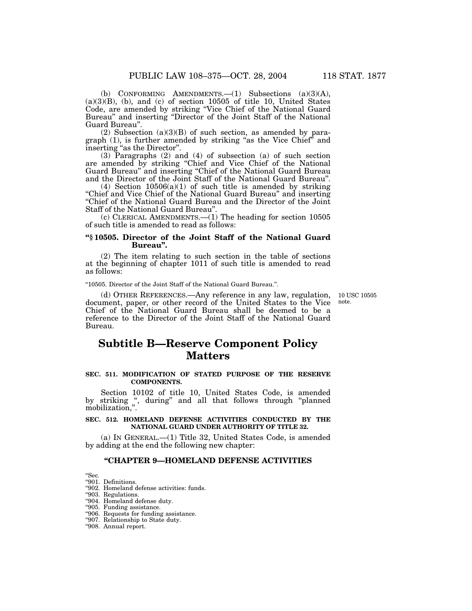10 USC 10505 note.

(b) CONFORMING AMENDMENTS.—(1) Subsections (a)(3)(A),  $(a)(3)(B)$ ,  $(b)$ , and  $(c)$  of section 10505 of title 10, United States Code, are amended by striking ''Vice Chief of the National Guard Bureau'' and inserting ''Director of the Joint Staff of the National Guard Bureau''.

 $(2)$  Subsection  $(a)(3)(B)$  of such section, as amended by paragraph (1), is further amended by striking ''as the Vice Chief'' and inserting ''as the Director''.

(3) Paragraphs (2) and (4) of subsection (a) of such section are amended by striking ''Chief and Vice Chief of the National Guard Bureau'' and inserting ''Chief of the National Guard Bureau and the Director of the Joint Staff of the National Guard Bureau''.

(4) Section  $10506(a)(1)$  of such title is amended by striking ''Chief and Vice Chief of the National Guard Bureau'' and inserting ''Chief of the National Guard Bureau and the Director of the Joint Staff of the National Guard Bureau''.

(c) CLERICAL AMENDMENTS.—(1) The heading for section 10505 of such title is amended to read as follows:

## **''§ 10505. Director of the Joint Staff of the National Guard Bureau''.**

(2) The item relating to such section in the table of sections at the beginning of chapter 1011 of such title is amended to read as follows:

''10505. Director of the Joint Staff of the National Guard Bureau.''.

(d) OTHER REFERENCES.—Any reference in any law, regulation, document, paper, or other record of the United States to the Vice Chief of the National Guard Bureau shall be deemed to be a reference to the Director of the Joint Staff of the National Guard Bureau.

# **Subtitle B—Reserve Component Policy Matters**

## **SEC. 511. MODIFICATION OF STATED PURPOSE OF THE RESERVE COMPONENTS.**

Section 10102 of title 10, United States Code, is amended by striking ", during" and all that follows through "planned mobilization,''.

## **SEC. 512. HOMELAND DEFENSE ACTIVITIES CONDUCTED BY THE NATIONAL GUARD UNDER AUTHORITY OF TITLE 32.**

(a) IN GENERAL.—(1) Title 32, United States Code, is amended by adding at the end the following new chapter:

## **''CHAPTER 9—HOMELAND DEFENSE ACTIVITIES**

''Sec.

''901. Definitions.

"902. Homeland defense activities: funds.

''903. Regulations.

''904. Homeland defense duty.

''905. Funding assistance.

''906. Requests for funding assistance. ''907. Relationship to State duty.

''908. Annual report.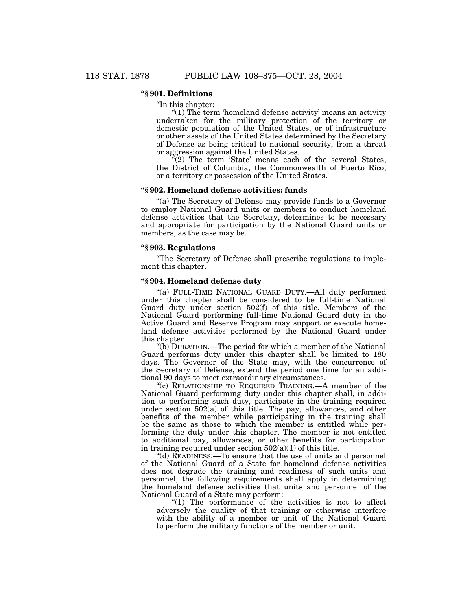## **''§ 901. Definitions**

''In this chapter:

" $(1)$  The term 'homeland defense activity' means an activity undertaken for the military protection of the territory or domestic population of the United States, or of infrastructure or other assets of the United States determined by the Secretary of Defense as being critical to national security, from a threat or aggression against the United States.

"(2) The term 'State' means each of the several States, the District of Columbia, the Commonwealth of Puerto Rico, or a territory or possession of the United States.

## **''§ 902. Homeland defense activities: funds**

''(a) The Secretary of Defense may provide funds to a Governor to employ National Guard units or members to conduct homeland defense activities that the Secretary, determines to be necessary and appropriate for participation by the National Guard units or members, as the case may be.

### **''§ 903. Regulations**

''The Secretary of Defense shall prescribe regulations to implement this chapter.

### **''§ 904. Homeland defense duty**

''(a) FULL-TIME NATIONAL GUARD DUTY.—All duty performed under this chapter shall be considered to be full-time National Guard duty under section 502(f) of this title. Members of the National Guard performing full-time National Guard duty in the Active Guard and Reserve Program may support or execute homeland defense activities performed by the National Guard under this chapter.

''(b) DURATION.—The period for which a member of the National Guard performs duty under this chapter shall be limited to 180 days. The Governor of the State may, with the concurrence of the Secretary of Defense, extend the period one time for an additional 90 days to meet extraordinary circumstances.

"(c) RELATIONSHIP TO REQUIRED TRAINING.—A member of the National Guard performing duty under this chapter shall, in addition to performing such duty, participate in the training required under section  $50\overline{2}(a)$  of this title. The pay, allowances, and other benefits of the member while participating in the training shall be the same as those to which the member is entitled while performing the duty under this chapter. The member is not entitled to additional pay, allowances, or other benefits for participation in training required under section  $502(a)(1)$  of this title.

''(d) READINESS.—To ensure that the use of units and personnel of the National Guard of a State for homeland defense activities does not degrade the training and readiness of such units and personnel, the following requirements shall apply in determining the homeland defense activities that units and personnel of the National Guard of a State may perform:

''(1) The performance of the activities is not to affect adversely the quality of that training or otherwise interfere with the ability of a member or unit of the National Guard to perform the military functions of the member or unit.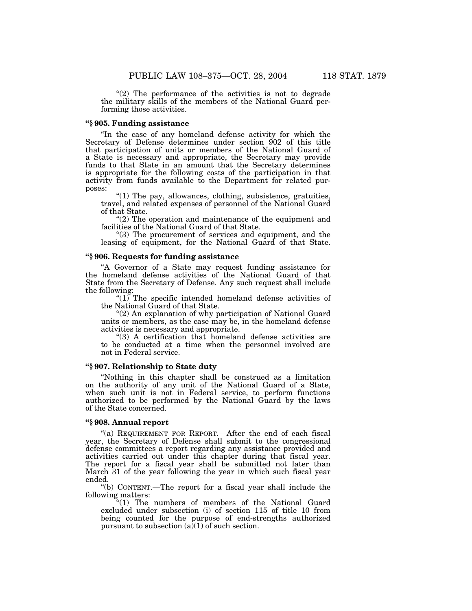" $(2)$  The performance of the activities is not to degrade the military skills of the members of the National Guard performing those activities.

## **''§ 905. Funding assistance**

"In the case of any homeland defense activity for which the Secretary of Defense determines under section 902 of this title that participation of units or members of the National Guard of a State is necessary and appropriate, the Secretary may provide funds to that State in an amount that the Secretary determines is appropriate for the following costs of the participation in that activity from funds available to the Department for related purposes:

" $(1)$  The pay, allowances, clothing, subsistence, gratuities, travel, and related expenses of personnel of the National Guard of that State.

 $''(2)$  The operation and maintenance of the equipment and facilities of the National Guard of that State.

"(3) The procurement of services and equipment, and the leasing of equipment, for the National Guard of that State.

## **''§ 906. Requests for funding assistance**

''A Governor of a State may request funding assistance for the homeland defense activities of the National Guard of that State from the Secretary of Defense. Any such request shall include the following:

" $(1)$  The specific intended homeland defense activities of the National Guard of that State.

''(2) An explanation of why participation of National Guard units or members, as the case may be, in the homeland defense activities is necessary and appropriate.

''(3) A certification that homeland defense activities are to be conducted at a time when the personnel involved are not in Federal service.

## **''§ 907. Relationship to State duty**

''Nothing in this chapter shall be construed as a limitation on the authority of any unit of the National Guard of a State, when such unit is not in Federal service, to perform functions authorized to be performed by the National Guard by the laws of the State concerned.

## **''§ 908. Annual report**

"(a) REQUIREMENT FOR REPORT.—After the end of each fiscal year, the Secretary of Defense shall submit to the congressional defense committees a report regarding any assistance provided and activities carried out under this chapter during that fiscal year. The report for a fiscal year shall be submitted not later than March 31 of the year following the year in which such fiscal year ended.

''(b) CONTENT.—The report for a fiscal year shall include the following matters:

"(1) The numbers of members of the National Guard excluded under subsection (i) of section 115 of title 10 from being counted for the purpose of end-strengths authorized pursuant to subsection  $(a)(1)$  of such section.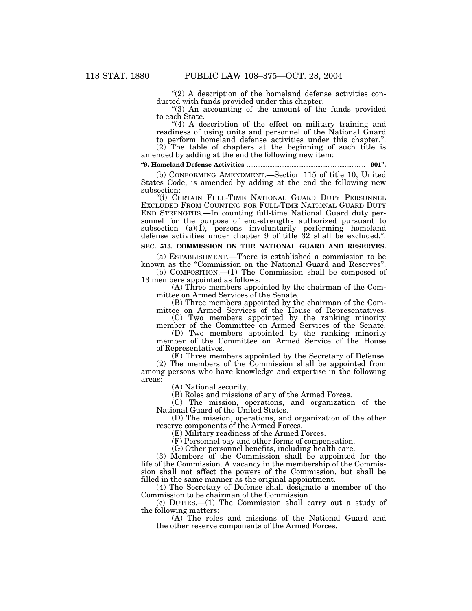" $(2)$  A description of the homeland defense activities conducted with funds provided under this chapter.

"(3) An accounting of the amount of the funds provided to each State.

 $(4)$  A description of the effect on military training and readiness of using units and personnel of the National Guard to perform homeland defense activities under this chapter.''.

(2) The table of chapters at the beginning of such title is amended by adding at the end the following new item:

**''9. Homeland Defense Activities** ..................................................................... **901''.**

(b) CONFORMING AMENDMENT.—Section 115 of title 10, United States Code, is amended by adding at the end the following new subsection:

''(i) CERTAIN FULL-TIME NATIONAL GUARD DUTY PERSONNEL EXCLUDED FROM COUNTING FOR FULL-TIME NATIONAL GUARD DUTY END STRENGTHS.—In counting full-time National Guard duty personnel for the purpose of end-strengths authorized pursuant to subsection  $(a)(1)$ , persons involuntarily performing homeland defense activities under chapter 9 of title 32 shall be excluded.''.

## **SEC. 513. COMMISSION ON THE NATIONAL GUARD AND RESERVES.**

(a) ESTABLISHMENT.—There is established a commission to be known as the "Commission on the National Guard and Reserves".

(b) COMPOSITION.—(1) The Commission shall be composed of 13 members appointed as follows:

(A) Three members appointed by the chairman of the Committee on Armed Services of the Senate.

(B) Three members appointed by the chairman of the Committee on Armed Services of the House of Representatives.

(C) Two members appointed by the ranking minority member of the Committee on Armed Services of the Senate.

(D) Two members appointed by the ranking minority member of the Committee on Armed Service of the House of Representatives.

(E) Three members appointed by the Secretary of Defense. (2) The members of the Commission shall be appointed from among persons who have knowledge and expertise in the following areas:

(A) National security.

(B) Roles and missions of any of the Armed Forces.

(C) The mission, operations, and organization of the National Guard of the United States.

(D) The mission, operations, and organization of the other reserve components of the Armed Forces.

(E) Military readiness of the Armed Forces.

(F) Personnel pay and other forms of compensation.

(G) Other personnel benefits, including health care.

(3) Members of the Commission shall be appointed for the life of the Commission. A vacancy in the membership of the Commission shall not affect the powers of the Commission, but shall be filled in the same manner as the original appointment.

(4) The Secretary of Defense shall designate a member of the Commission to be chairman of the Commission.

(c) DUTIES.—(1) The Commission shall carry out a study of the following matters:

(A) The roles and missions of the National Guard and the other reserve components of the Armed Forces.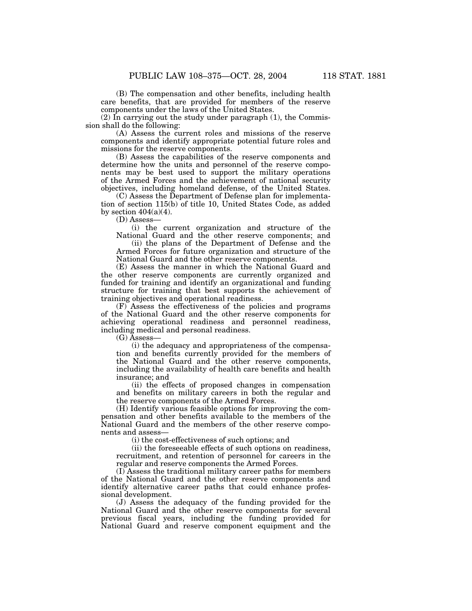(B) The compensation and other benefits, including health care benefits, that are provided for members of the reserve components under the laws of the United States.

(2) In carrying out the study under paragraph (1), the Commission shall do the following:

(A) Assess the current roles and missions of the reserve components and identify appropriate potential future roles and missions for the reserve components.

(B) Assess the capabilities of the reserve components and determine how the units and personnel of the reserve components may be best used to support the military operations of the Armed Forces and the achievement of national security objectives, including homeland defense, of the United States.

(C) Assess the Department of Defense plan for implementation of section 115(b) of title 10, United States Code, as added by section  $404(a)(4)$ .

(D) Assess—

(i) the current organization and structure of the National Guard and the other reserve components; and

(ii) the plans of the Department of Defense and the Armed Forces for future organization and structure of the National Guard and the other reserve components.

(E) Assess the manner in which the National Guard and the other reserve components are currently organized and funded for training and identify an organizational and funding structure for training that best supports the achievement of training objectives and operational readiness.

(F) Assess the effectiveness of the policies and programs of the National Guard and the other reserve components for achieving operational readiness and personnel readiness, including medical and personal readiness.

(G) Assess—

(i) the adequacy and appropriateness of the compensation and benefits currently provided for the members of the National Guard and the other reserve components, including the availability of health care benefits and health insurance; and

(ii) the effects of proposed changes in compensation and benefits on military careers in both the regular and the reserve components of the Armed Forces.

(H) Identify various feasible options for improving the compensation and other benefits available to the members of the National Guard and the members of the other reserve components and assess—

(i) the cost-effectiveness of such options; and

(ii) the foreseeable effects of such options on readiness, recruitment, and retention of personnel for careers in the regular and reserve components the Armed Forces.

(I) Assess the traditional military career paths for members of the National Guard and the other reserve components and identify alternative career paths that could enhance professional development.

(J) Assess the adequacy of the funding provided for the National Guard and the other reserve components for several previous fiscal years, including the funding provided for National Guard and reserve component equipment and the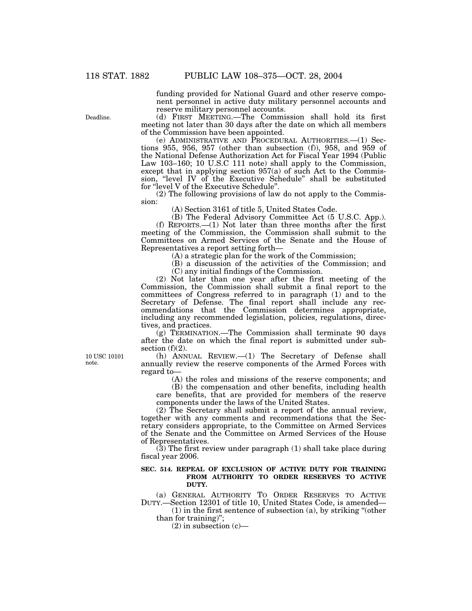funding provided for National Guard and other reserve component personnel in active duty military personnel accounts and reserve military personnel accounts.

(d) FIRST MEETING.—The Commission shall hold its first meeting not later than 30 days after the date on which all members of the Commission have been appointed.

(e) ADMINISTRATIVE AND PROCEDURAL AUTHORITIES.—(1) Sections 955, 956, 957 (other than subsection (f)), 958, and 959 of the National Defense Authorization Act for Fiscal Year 1994 (Public Law 103–160; 10 U.S.C 111 note) shall apply to the Commission, except that in applying section 957(a) of such Act to the Commission, "level IV of the Executive Schedule" shall be substituted for "level V of the Executive Schedule".

(2) The following provisions of law do not apply to the Commission:

(A) Section 3161 of title 5, United States Code.

(B) The Federal Advisory Committee Act (5 U.S.C. App.). (f) REPORTS.—(1) Not later than three months after the first meeting of the Commission, the Commission shall submit to the Committees on Armed Services of the Senate and the House of Representatives a report setting forth—

(A) a strategic plan for the work of the Commission;

(B) a discussion of the activities of the Commission; and (C) any initial findings of the Commission.

(2) Not later than one year after the first meeting of the Commission, the Commission shall submit a final report to the committees of Congress referred to in paragraph (1) and to the Secretary of Defense. The final report shall include any recommendations that the Commission determines appropriate, including any recommended legislation, policies, regulations, directives, and practices.

(g) TERMINATION.—The Commission shall terminate 90 days after the date on which the final report is submitted under subsection  $(f)(2)$ .

(h) ANNUAL REVIEW.—(1) The Secretary of Defense shall annually review the reserve components of the Armed Forces with regard to—

(A) the roles and missions of the reserve components; and

(B) the compensation and other benefits, including health care benefits, that are provided for members of the reserve components under the laws of the United States.

(2) The Secretary shall submit a report of the annual review, together with any comments and recommendations that the Secretary considers appropriate, to the Committee on Armed Services of the Senate and the Committee on Armed Services of the House of Representatives.

(3) The first review under paragraph (1) shall take place during fiscal year 2006.

#### **SEC. 514. REPEAL OF EXCLUSION OF ACTIVE DUTY FOR TRAINING FROM AUTHORITY TO ORDER RESERVES TO ACTIVE DUTY.**

(a) GENERAL AUTHORITY TO ORDER RESERVES TO ACTIVE DUTY.—Section 12301 of title 10, United States Code, is amended—

 $(1)$  in the first sentence of subsection  $(a)$ , by striking "(other than for training)'';

 $(2)$  in subsection  $(c)$ —

Deadline.

10 USC 10101 note.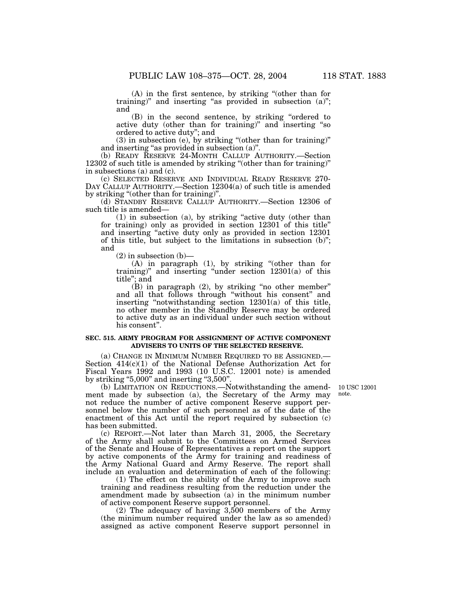(A) in the first sentence, by striking ''(other than for training)" and inserting "as provided in subsection  $(a)$ "; and

(B) in the second sentence, by striking ''ordered to active duty (other than for training)'' and inserting ''so ordered to active duty''; and

(3) in subsection (e), by striking ''(other than for training)'' and inserting "as provided in subsection (a)".

(b) READY RESERVE 24-MONTH CALLUP AUTHORITY.—Section 12302 of such title is amended by striking ''(other than for training)'' in subsections (a) and (c).

(c) SELECTED RESERVE AND INDIVIDUAL READY RESERVE 270- DAY CALLUP AUTHORITY.—Section 12304(a) of such title is amended by striking ''(other than for training)''.

(d) STANDBY RESERVE CALLUP AUTHORITY.—Section 12306 of such title is amended—

 $(1)$  in subsection  $(a)$ , by striking "active duty (other than for training) only as provided in section 12301 of this title'' and inserting "active duty only as provided in section 12301 of this title, but subject to the limitations in subsection (b)''; and

 $(2)$  in subsection  $(b)$ —

(A) in paragraph (1), by striking ''(other than for training)'' and inserting ''under section 12301(a) of this title''; and

(B) in paragraph (2), by striking ''no other member'' and all that follows through ''without his consent'' and inserting "notwithstanding section  $12301(a)$  of this title, no other member in the Standby Reserve may be ordered to active duty as an individual under such section without his consent".

#### **SEC. 515. ARMY PROGRAM FOR ASSIGNMENT OF ACTIVE COMPONENT ADVISERS TO UNITS OF THE SELECTED RESERVE.**

(a) CHANGE IN MINIMUM NUMBER REQUIRED TO BE ASSIGNED.— Section  $414(c)(1)$  of the National Defense Authorization Act for Fiscal Years 1992 and 1993 (10 U.S.C. 12001 note) is amended by striking "5,000" and inserting "3,500".

10 USC 12001 note.

(b) LIMITATION ON REDUCTIONS.—Notwithstanding the amendment made by subsection (a), the Secretary of the Army may not reduce the number of active component Reserve support personnel below the number of such personnel as of the date of the enactment of this Act until the report required by subsection (c) has been submitted.

(c) REPORT.—Not later than March 31, 2005, the Secretary of the Army shall submit to the Committees on Armed Services of the Senate and House of Representatives a report on the support by active components of the Army for training and readiness of the Army National Guard and Army Reserve. The report shall include an evaluation and determination of each of the following:

(1) The effect on the ability of the Army to improve such training and readiness resulting from the reduction under the amendment made by subsection (a) in the minimum number of active component Reserve support personnel.

(2) The adequacy of having 3,500 members of the Army (the minimum number required under the law as so amended) assigned as active component Reserve support personnel in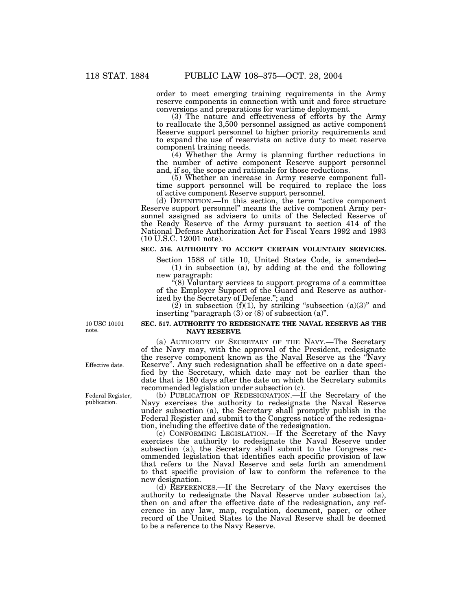order to meet emerging training requirements in the Army reserve components in connection with unit and force structure conversions and preparations for wartime deployment.

(3) The nature and effectiveness of efforts by the Army to reallocate the 3,500 personnel assigned as active component Reserve support personnel to higher priority requirements and to expand the use of reservists on active duty to meet reserve component training needs.

(4) Whether the Army is planning further reductions in the number of active component Reserve support personnel and, if so, the scope and rationale for those reductions.

(5) Whether an increase in Army reserve component fulltime support personnel will be required to replace the loss of active component Reserve support personnel.

(d) DEFINITION.—In this section, the term ''active component Reserve support personnel'' means the active component Army personnel assigned as advisers to units of the Selected Reserve of the Ready Reserve of the Army pursuant to section 414 of the National Defense Authorization Act for Fiscal Years 1992 and 1993 (10 U.S.C. 12001 note).

# **SEC. 516. AUTHORITY TO ACCEPT CERTAIN VOLUNTARY SERVICES.**

Section 1588 of title 10, United States Code, is amended— (1) in subsection (a), by adding at the end the following new paragraph:

''(8) Voluntary services to support programs of a committee of the Employer Support of the Guard and Reserve as authorized by the Secretary of Defense.''; and

 $(2)$  in subsection  $(f)(1)$ , by striking "subsection  $(a)(3)$ " and inserting "paragraph  $(3)$  or  $(8)$  of subsection  $(a)$ ".

10 USC 10101 note.

#### **SEC. 517. AUTHORITY TO REDESIGNATE THE NAVAL RESERVE AS THE NAVY RESERVE.**

(a) AUTHORITY OF SECRETARY OF THE NAVY.—The Secretary of the Navy may, with the approval of the President, redesignate the reserve component known as the Naval Reserve as the ''Navy Reserve''. Any such redesignation shall be effective on a date specified by the Secretary, which date may not be earlier than the date that is 180 days after the date on which the Secretary submits recommended legislation under subsection (c).

(b) PUBLICATION OF REDESIGNATION.—If the Secretary of the Navy exercises the authority to redesignate the Naval Reserve under subsection (a), the Secretary shall promptly publish in the Federal Register and submit to the Congress notice of the redesignation, including the effective date of the redesignation.

(c) CONFORMING LEGISLATION.—If the Secretary of the Navy exercises the authority to redesignate the Naval Reserve under subsection (a), the Secretary shall submit to the Congress recommended legislation that identifies each specific provision of law that refers to the Naval Reserve and sets forth an amendment to that specific provision of law to conform the reference to the new designation.

(d) REFERENCES.—If the Secretary of the Navy exercises the authority to redesignate the Naval Reserve under subsection (a), then on and after the effective date of the redesignation, any reference in any law, map, regulation, document, paper, or other record of the United States to the Naval Reserve shall be deemed to be a reference to the Navy Reserve.

Effective date.

Federal Register, publication.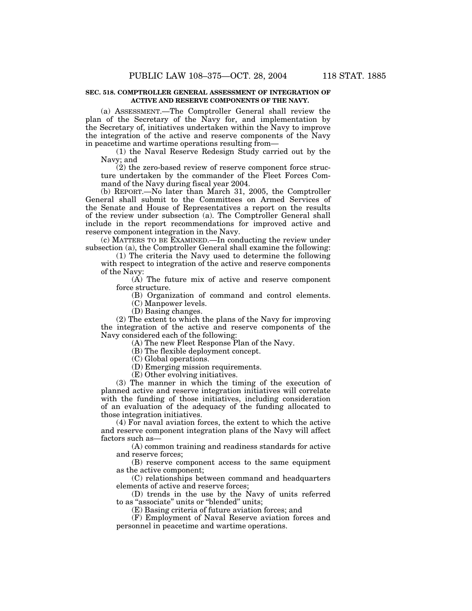### **SEC. 518. COMPTROLLER GENERAL ASSESSMENT OF INTEGRATION OF ACTIVE AND RESERVE COMPONENTS OF THE NAVY.**

(a) ASSESSMENT.—The Comptroller General shall review the plan of the Secretary of the Navy for, and implementation by the Secretary of, initiatives undertaken within the Navy to improve the integration of the active and reserve components of the Navy in peacetime and wartime operations resulting from—

(1) the Naval Reserve Redesign Study carried out by the Navy; and

 $(2)$  the zero-based review of reserve component force structure undertaken by the commander of the Fleet Forces Command of the Navy during fiscal year 2004.

(b) REPORT.—No later than March 31, 2005, the Comptroller General shall submit to the Committees on Armed Services of the Senate and House of Representatives a report on the results of the review under subsection (a). The Comptroller General shall include in the report recommendations for improved active and reserve component integration in the Navy.

(c) MATTERS TO BE EXAMINED.—In conducting the review under subsection (a), the Comptroller General shall examine the following:

(1) The criteria the Navy used to determine the following with respect to integration of the active and reserve components of the Navy:

(A) The future mix of active and reserve component force structure.

(B) Organization of command and control elements.

(C) Manpower levels.

(D) Basing changes.

(2) The extent to which the plans of the Navy for improving the integration of the active and reserve components of the Navy considered each of the following:

(A) The new Fleet Response Plan of the Navy.

(B) The flexible deployment concept.

(C) Global operations.

(D) Emerging mission requirements.

(E) Other evolving initiatives.

(3) The manner in which the timing of the execution of planned active and reserve integration initiatives will correlate with the funding of those initiatives, including consideration of an evaluation of the adequacy of the funding allocated to those integration initiatives.

(4) For naval aviation forces, the extent to which the active and reserve component integration plans of the Navy will affect factors such as-

(A) common training and readiness standards for active and reserve forces;

(B) reserve component access to the same equipment as the active component;

(C) relationships between command and headquarters elements of active and reserve forces;

(D) trends in the use by the Navy of units referred to as "associate" units or "blended" units;

(E) Basing criteria of future aviation forces; and

(F) Employment of Naval Reserve aviation forces and personnel in peacetime and wartime operations.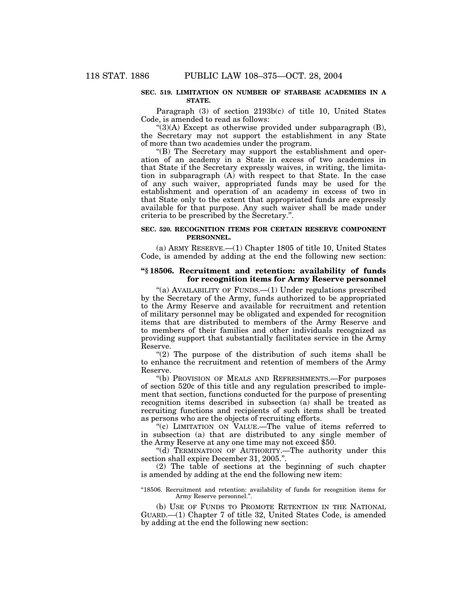#### **SEC. 519. LIMITATION ON NUMBER OF STARBASE ACADEMIES IN A STATE.**

Paragraph (3) of section 2193b(c) of title 10, United States Code, is amended to read as follows:

 $\cdot$ (3)(A) Except as otherwise provided under subparagraph (B), the Secretary may not support the establishment in any State of more than two academies under the program.

''(B) The Secretary may support the establishment and operation of an academy in a State in excess of two academies in that State if the Secretary expressly waives, in writing, the limitation in subparagraph (A) with respect to that State. In the case of any such waiver, appropriated funds may be used for the establishment and operation of an academy in excess of two in that State only to the extent that appropriated funds are expressly available for that purpose. Any such waiver shall be made under criteria to be prescribed by the Secretary.''.

# **SEC. 520. RECOGNITION ITEMS FOR CERTAIN RESERVE COMPONENT PERSONNEL.**

(a) ARMY RESERVE.—(1) Chapter 1805 of title 10, United States Code, is amended by adding at the end the following new section:

# **''§ 18506. Recruitment and retention: availability of funds for recognition items for Army Reserve personnel**

"(a) AVAILABILITY OF FUNDS.-- (1) Under regulations prescribed by the Secretary of the Army, funds authorized to be appropriated to the Army Reserve and available for recruitment and retention of military personnel may be obligated and expended for recognition items that are distributed to members of the Army Reserve and to members of their families and other individuals recognized as providing support that substantially facilitates service in the Army Reserve.

" $(2)$  The purpose of the distribution of such items shall be to enhance the recruitment and retention of members of the Army Reserve.

''(b) PROVISION OF MEALS AND REFRESHMENTS.—For purposes of section 520c of this title and any regulation prescribed to implement that section, functions conducted for the purpose of presenting recognition items described in subsection (a) shall be treated as recruiting functions and recipients of such items shall be treated as persons who are the objects of recruiting efforts.

''(c) LIMITATION ON VALUE.—The value of items referred to in subsection (a) that are distributed to any single member of the Army Reserve at any one time may not exceed \$50.

"(d) TERMINATION OF AUTHORITY.—The authority under this section shall expire December 31, 2005.''.

(2) The table of sections at the beginning of such chapter is amended by adding at the end the following new item:

''18506. Recruitment and retention: availability of funds for recognition items for Army Reserve personnel.'

(b) USE OF FUNDS TO PROMOTE RETENTION IN THE NATIONAL GUARD.—(1) Chapter 7 of title 32, United States Code, is amended by adding at the end the following new section: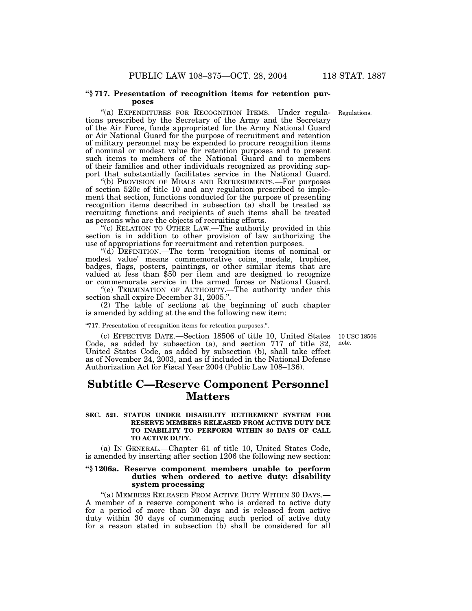#### **''§ 717. Presentation of recognition items for retention purposes**

"(a) EXPENDITURES FOR RECOGNITION ITEMS.—Under regulations prescribed by the Secretary of the Army and the Secretary of the Air Force, funds appropriated for the Army National Guard or Air National Guard for the purpose of recruitment and retention of military personnel may be expended to procure recognition items of nominal or modest value for retention purposes and to present such items to members of the National Guard and to members of their families and other individuals recognized as providing support that substantially facilitates service in the National Guard.

''(b) PROVISION OF MEALS AND REFRESHMENTS.—For purposes of section 520c of title 10 and any regulation prescribed to implement that section, functions conducted for the purpose of presenting recognition items described in subsection (a) shall be treated as recruiting functions and recipients of such items shall be treated as persons who are the objects of recruiting efforts.

''(c) RELATION TO OTHER LAW.—The authority provided in this section is in addition to other provision of law authorizing the use of appropriations for recruitment and retention purposes.

''(d) DEFINITION.—The term 'recognition items of nominal or modest value' means commemorative coins, medals, trophies, badges, flags, posters, paintings, or other similar items that are valued at less than \$50 per item and are designed to recognize or commemorate service in the armed forces or National Guard.

''(e) TERMINATION OF AUTHORITY.—The authority under this section shall expire December 31, 2005.''.

(2) The table of sections at the beginning of such chapter is amended by adding at the end the following new item:

''717. Presentation of recognition items for retention purposes.''.

(c) EFFECTIVE DATE.—Section 18506 of title 10, United States 10 USC 18506 Code, as added by subsection (a), and section 717 of title 32, United States Code, as added by subsection (b), shall take effect as of November 24, 2003, and as if included in the National Defense Authorization Act for Fiscal Year 2004 (Public Law 108–136).

# **Subtitle C—Reserve Component Personnel Matters**

# **SEC. 521. STATUS UNDER DISABILITY RETIREMENT SYSTEM FOR RESERVE MEMBERS RELEASED FROM ACTIVE DUTY DUE TO INABILITY TO PERFORM WITHIN 30 DAYS OF CALL TO ACTIVE DUTY.**

(a) IN GENERAL.—Chapter 61 of title 10, United States Code, is amended by inserting after section 1206 the following new section:

# **''§ 1206a. Reserve component members unable to perform duties when ordered to active duty: disability system processing**

"(a) MEMBERS RELEASED FROM ACTIVE DUTY WITHIN 30 DAYS.— A member of a reserve component who is ordered to active duty for a period of more than 30 days and is released from active duty within 30 days of commencing such period of active duty for a reason stated in subsection (b) shall be considered for all

note.

Regulations.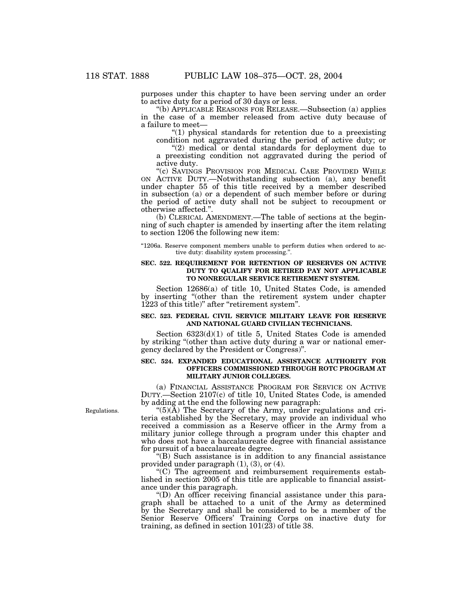purposes under this chapter to have been serving under an order to active duty for a period of 30 days or less.

''(b) APPLICABLE REASONS FOR RELEASE.—Subsection (a) applies in the case of a member released from active duty because of a failure to meet—

 $(1)$  physical standards for retention due to a preexisting condition not aggravated during the period of active duty; or

"(2) medical or dental standards for deployment due to a preexisting condition not aggravated during the period of active duty.

''(c) SAVINGS PROVISION FOR MEDICAL CARE PROVIDED WHILE ON ACTIVE DUTY.—Notwithstanding subsection (a), any benefit under chapter 55 of this title received by a member described in subsection (a) or a dependent of such member before or during the period of active duty shall not be subject to recoupment or otherwise affected.''.

(b) CLERICAL AMENDMENT.—The table of sections at the beginning of such chapter is amended by inserting after the item relating to section 1206 the following new item:

"1206a. Reserve component members unable to perform duties when ordered to active duty: disability system processing."

# **SEC. 522. REQUIREMENT FOR RETENTION OF RESERVES ON ACTIVE DUTY TO QUALIFY FOR RETIRED PAY NOT APPLICABLE TO NONREGULAR SERVICE RETIREMENT SYSTEM.**

Section 12686(a) of title 10, United States Code, is amended by inserting ''(other than the retirement system under chapter 1223 of this title)'' after ''retirement system''.

#### **SEC. 523. FEDERAL CIVIL SERVICE MILITARY LEAVE FOR RESERVE AND NATIONAL GUARD CIVILIAN TECHNICIANS.**

Section 6323(d)(1) of title 5, United States Code is amended by striking ''(other than active duty during a war or national emergency declared by the President or Congress)''.

# **SEC. 524. EXPANDED EDUCATIONAL ASSISTANCE AUTHORITY FOR OFFICERS COMMISSIONED THROUGH ROTC PROGRAM AT MILITARY JUNIOR COLLEGES.**

(a) FINANCIAL ASSISTANCE PROGRAM FOR SERVICE ON ACTIVE DUTY.—Section 2107(c) of title 10, United States Code, is amended by adding at the end the following new paragraph:

" $(5)(\tilde{A})$  The Secretary of the Army, under regulations and criteria established by the Secretary, may provide an individual who received a commission as a Reserve officer in the Army from a military junior college through a program under this chapter and who does not have a baccalaureate degree with financial assistance for pursuit of a baccalaureate degree.

''(B) Such assistance is in addition to any financial assistance provided under paragraph (1), (3), or (4).

''(C) The agreement and reimbursement requirements established in section 2005 of this title are applicable to financial assistance under this paragraph.

''(D) An officer receiving financial assistance under this paragraph shall be attached to a unit of the Army as determined by the Secretary and shall be considered to be a member of the Senior Reserve Officers' Training Corps on inactive duty for training, as defined in section  $101(23)$  of title 38.

Regulations.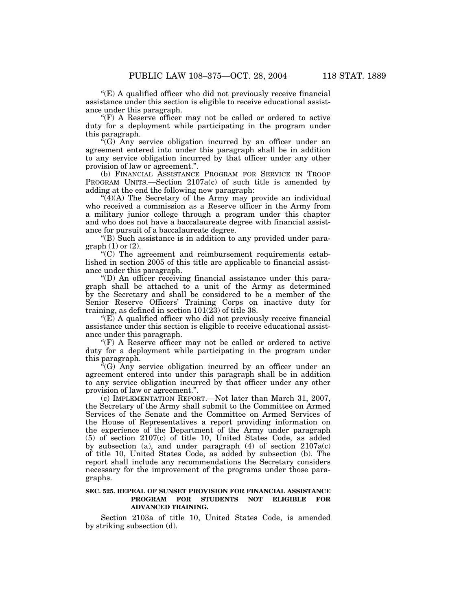''(E) A qualified officer who did not previously receive financial assistance under this section is eligible to receive educational assistance under this paragraph.

"(F) A Reserve officer may not be called or ordered to active duty for a deployment while participating in the program under this paragraph.

''(G) Any service obligation incurred by an officer under an agreement entered into under this paragraph shall be in addition to any service obligation incurred by that officer under any other provision of law or agreement.''.

(b) FINANCIAL ASSISTANCE PROGRAM FOR SERVICE IN TROOP PROGRAM UNITS.—Section 2107a(c) of such title is amended by adding at the end the following new paragraph:

"(4)(A) The Secretary of the Army may provide an individual who received a commission as a Reserve officer in the Army from a military junior college through a program under this chapter and who does not have a baccalaureate degree with financial assistance for pursuit of a baccalaureate degree.

''(B) Such assistance is in addition to any provided under para $graph (1)$  or  $(2)$ .

 $(C)$  The agreement and reimbursement requirements established in section 2005 of this title are applicable to financial assistance under this paragraph.

''(D) An officer receiving financial assistance under this paragraph shall be attached to a unit of the Army as determined by the Secretary and shall be considered to be a member of the Senior Reserve Officers' Training Corps on inactive duty for training, as defined in section 101(23) of title 38.

" $(E)$  A qualified officer who did not previously receive financial assistance under this section is eligible to receive educational assistance under this paragraph.

"(F) A Reserve officer may not be called or ordered to active duty for a deployment while participating in the program under this paragraph.

''(G) Any service obligation incurred by an officer under an agreement entered into under this paragraph shall be in addition to any service obligation incurred by that officer under any other provision of law or agreement.''.

(c) IMPLEMENTATION REPORT.—Not later than March 31, 2007, the Secretary of the Army shall submit to the Committee on Armed Services of the Senate and the Committee on Armed Services of the House of Representatives a report providing information on the experience of the Department of the Army under paragraph (5) of section 2107(c) of title 10, United States Code, as added by subsection (a), and under paragraph  $(4)$  of section  $2107a(c)$ of title 10, United States Code, as added by subsection (b). The report shall include any recommendations the Secretary considers necessary for the improvement of the programs under those paragraphs.

# **SEC. 525. REPEAL OF SUNSET PROVISION FOR FINANCIAL ASSISTANCE PROGRAM FOR STUDENTS NOT ELIGIBLE FOR ADVANCED TRAINING.**

Section 2103a of title 10, United States Code, is amended by striking subsection (d).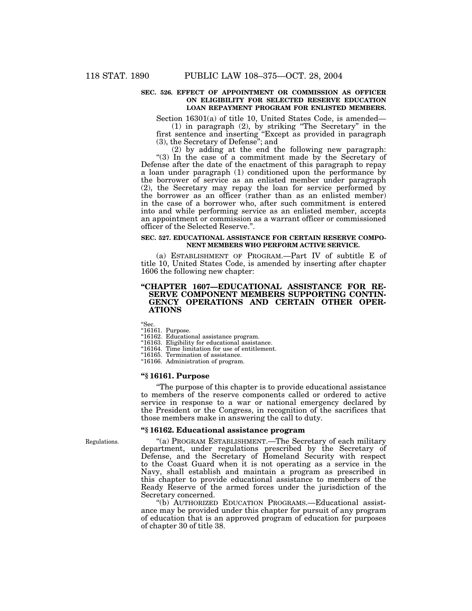# **SEC. 526. EFFECT OF APPOINTMENT OR COMMISSION AS OFFICER ON ELIGIBILITY FOR SELECTED RESERVE EDUCATION LOAN REPAYMENT PROGRAM FOR ENLISTED MEMBERS.**

Section 16301(a) of title 10, United States Code, is amended—

(1) in paragraph (2), by striking ''The Secretary'' in the first sentence and inserting ''Except as provided in paragraph (3), the Secretary of Defense''; and

(2) by adding at the end the following new paragraph: "(3) In the case of a commitment made by the Secretary of Defense after the date of the enactment of this paragraph to repay a loan under paragraph (1) conditioned upon the performance by the borrower of service as an enlisted member under paragraph (2), the Secretary may repay the loan for service performed by the borrower as an officer (rather than as an enlisted member) in the case of a borrower who, after such commitment is entered into and while performing service as an enlisted member, accepts an appointment or commission as a warrant officer or commissioned officer of the Selected Reserve.''.

#### **SEC. 527. EDUCATIONAL ASSISTANCE FOR CERTAIN RESERVE COMPO-NENT MEMBERS WHO PERFORM ACTIVE SERVICE.**

(a) ESTABLISHMENT OF PROGRAM.—Part IV of subtitle E of title 10, United States Code, is amended by inserting after chapter 1606 the following new chapter:

# **''CHAPTER 1607—EDUCATIONAL ASSISTANCE FOR RE-SERVE COMPONENT MEMBERS SUPPORTING CONTIN-GENCY OPERATIONS AND CERTAIN OTHER OPER-ATIONS**

''Sec.

''16161. Purpose.

''16162. Educational assistance program.

''16163. Eligibility for educational assistance.

''16164. Time limitation for use of entitlement.

''16165. Termination of assistance.

''16166. Administration of program.

# **''§ 16161. Purpose**

''The purpose of this chapter is to provide educational assistance to members of the reserve components called or ordered to active service in response to a war or national emergency declared by the President or the Congress, in recognition of the sacrifices that those members make in answering the call to duty.

# **''§ 16162. Educational assistance program**

''(a) PROGRAM ESTABLISHMENT.—The Secretary of each military department, under regulations prescribed by the Secretary of Defense, and the Secretary of Homeland Security with respect to the Coast Guard when it is not operating as a service in the Navy, shall establish and maintain a program as prescribed in this chapter to provide educational assistance to members of the Ready Reserve of the armed forces under the jurisdiction of the Secretary concerned.

''(b) AUTHORIZED EDUCATION PROGRAMS.—Educational assistance may be provided under this chapter for pursuit of any program of education that is an approved program of education for purposes of chapter 30 of title 38.

Regulations.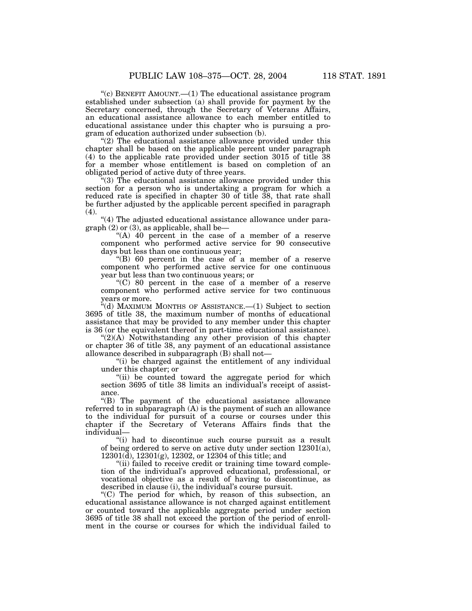"(c) BENEFIT AMOUNT.— $(1)$  The educational assistance program established under subsection (a) shall provide for payment by the Secretary concerned, through the Secretary of Veterans Affairs, an educational assistance allowance to each member entitled to educational assistance under this chapter who is pursuing a program of education authorized under subsection (b).

 $(2)$  The educational assistance allowance provided under this chapter shall be based on the applicable percent under paragraph (4) to the applicable rate provided under section 3015 of title 38 for a member whose entitlement is based on completion of an obligated period of active duty of three years.

''(3) The educational assistance allowance provided under this section for a person who is undertaking a program for which a reduced rate is specified in chapter 30 of title 38, that rate shall be further adjusted by the applicable percent specified in paragraph (4).

"(4) The adjusted educational assistance allowance under paragraph  $(2)$  or  $(3)$ , as applicable, shall be—

''(A) 40 percent in the case of a member of a reserve component who performed active service for 90 consecutive days but less than one continuous year;

''(B) 60 percent in the case of a member of a reserve component who performed active service for one continuous year but less than two continuous years; or

''(C) 80 percent in the case of a member of a reserve component who performed active service for two continuous years or more.

''(d) MAXIMUM MONTHS OF ASSISTANCE.—(1) Subject to section 3695 of title 38, the maximum number of months of educational assistance that may be provided to any member under this chapter is 36 (or the equivalent thereof in part-time educational assistance).

" $(2)(A)$  Notwithstanding any other provision of this chapter or chapter 36 of title 38, any payment of an educational assistance allowance described in subparagraph (B) shall not—

''(i) be charged against the entitlement of any individual under this chapter; or

"(ii) be counted toward the aggregate period for which section 3695 of title 38 limits an individual's receipt of assistance.

''(B) The payment of the educational assistance allowance referred to in subparagraph (A) is the payment of such an allowance to the individual for pursuit of a course or courses under this chapter if the Secretary of Veterans Affairs finds that the individual—

"(i) had to discontinue such course pursuit as a result of being ordered to serve on active duty under section 12301(a), 12301(d), 12301(g), 12302, or 12304 of this title; and

"(ii) failed to receive credit or training time toward completion of the individual's approved educational, professional, or vocational objective as a result of having to discontinue, as described in clause (i), the individual's course pursuit.

''(C) The period for which, by reason of this subsection, an educational assistance allowance is not charged against entitlement or counted toward the applicable aggregate period under section 3695 of title 38 shall not exceed the portion of the period of enrollment in the course or courses for which the individual failed to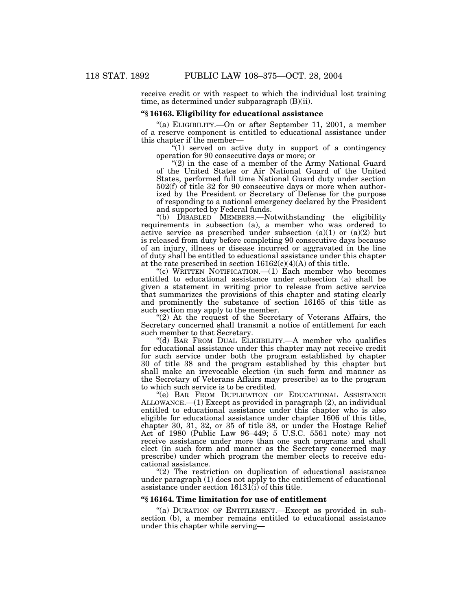receive credit or with respect to which the individual lost training time, as determined under subparagraph (B)(ii).

# **''§ 16163. Eligibility for educational assistance**

''(a) ELIGIBILITY.—On or after September 11, 2001, a member of a reserve component is entitled to educational assistance under this chapter if the member—

"(1) served on active duty in support of a contingency" operation for 90 consecutive days or more; or

"(2) in the case of a member of the Army National Guard of the United States or Air National Guard of the United States, performed full time National Guard duty under section 502(f) of title 32 for 90 consecutive days or more when authorized by the President or Secretary of Defense for the purpose of responding to a national emergency declared by the President and supported by Federal funds.

"(b) DISABLED MEMBERS.—Notwithstanding the eligibility requirements in subsection (a), a member who was ordered to active service as prescribed under subsection  $(a)(1)$  or  $(a)(2)$  but is released from duty before completing 90 consecutive days because of an injury, illness or disease incurred or aggravated in the line of duty shall be entitled to educational assistance under this chapter at the rate prescribed in section  $16162(c)(4)(A)$  of this title.

"(c) WRITTEN NOTIFICATION.— $(1)$  Each member who becomes entitled to educational assistance under subsection (a) shall be given a statement in writing prior to release from active service that summarizes the provisions of this chapter and stating clearly and prominently the substance of section 16165 of this title as such section may apply to the member.

"(2) At the request of the Secretary of Veterans Affairs, the Secretary concerned shall transmit a notice of entitlement for each such member to that Secretary.

''(d) BAR FROM DUAL ELIGIBILITY.—A member who qualifies for educational assistance under this chapter may not receive credit for such service under both the program established by chapter 30 of title 38 and the program established by this chapter but shall make an irrevocable election (in such form and manner as the Secretary of Veterans Affairs may prescribe) as to the program to which such service is to be credited.

''(e) BAR FROM DUPLICATION OF EDUCATIONAL ASSISTANCE ALLOWANCE.—(1) Except as provided in paragraph (2), an individual entitled to educational assistance under this chapter who is also eligible for educational assistance under chapter 1606 of this title, chapter 30, 31, 32, or 35 of title 38, or under the Hostage Relief Act of 1980 (Public Law 96–449; 5 U.S.C. 5561 note) may not receive assistance under more than one such programs and shall elect (in such form and manner as the Secretary concerned may prescribe) under which program the member elects to receive educational assistance.

 $(2)$  The restriction on duplication of educational assistance under paragraph (1) does not apply to the entitlement of educational assistance under section 16131(i) of this title.

#### **''§ 16164. Time limitation for use of entitlement**

"(a) DURATION OF ENTITLEMENT.—Except as provided in subsection (b), a member remains entitled to educational assistance under this chapter while serving—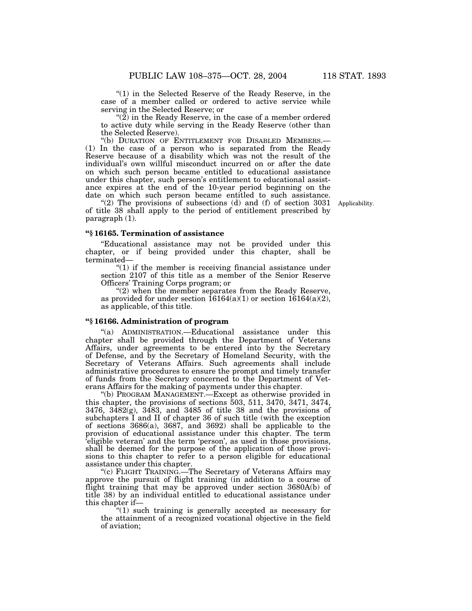$''(1)$  in the Selected Reserve of the Ready Reserve, in the case of a member called or ordered to active service while serving in the Selected Reserve; or

" $(2)$  in the Ready Reserve, in the case of a member ordered to active duty while serving in the Ready Reserve (other than the Selected Reserve).

''(b) DURATION OF ENTITLEMENT FOR DISABLED MEMBERS.— (1) In the case of a person who is separated from the Ready Reserve because of a disability which was not the result of the individual's own willful misconduct incurred on or after the date on which such person became entitled to educational assistance under this chapter, such person's entitlement to educational assistance expires at the end of the 10-year period beginning on the date on which such person became entitled to such assistance.

"(2) The provisions of subsections (d) and (f) of section 3031 of title 38 shall apply to the period of entitlement prescribed by paragraph (1).

Applicability.

# **''§ 16165. Termination of assistance**

''Educational assistance may not be provided under this chapter, or if being provided under this chapter, shall be terminated—

''(1) if the member is receiving financial assistance under section 2107 of this title as a member of the Senior Reserve Officers' Training Corps program; or

" $(2)$  when the member separates from the Ready Reserve, as provided for under section  $16164(a)(1)$  or section  $16164(a)(2)$ , as applicable, of this title.

# **''§ 16166. Administration of program**

''(a) ADMINISTRATION.—Educational assistance under this chapter shall be provided through the Department of Veterans Affairs, under agreements to be entered into by the Secretary of Defense, and by the Secretary of Homeland Security, with the Secretary of Veterans Affairs. Such agreements shall include administrative procedures to ensure the prompt and timely transfer of funds from the Secretary concerned to the Department of Veterans Affairs for the making of payments under this chapter.

''(b) PROGRAM MANAGEMENT.—Except as otherwise provided in this chapter, the provisions of sections 503, 511, 3470, 3471, 3474, 3476, 3482(g), 3483, and 3485 of title 38 and the provisions of subchapters I and II of chapter 36 of such title (with the exception of sections 3686(a), 3687, and 3692) shall be applicable to the provision of educational assistance under this chapter. The term 'eligible veteran' and the term 'person', as used in those provisions, shall be deemed for the purpose of the application of those provisions to this chapter to refer to a person eligible for educational assistance under this chapter.

"(c) FLIGHT TRAINING.-The Secretary of Veterans Affairs may approve the pursuit of flight training (in addition to a course of flight training that may be approved under section 3680A(b) of title 38) by an individual entitled to educational assistance under this chapter if—

''(1) such training is generally accepted as necessary for the attainment of a recognized vocational objective in the field of aviation;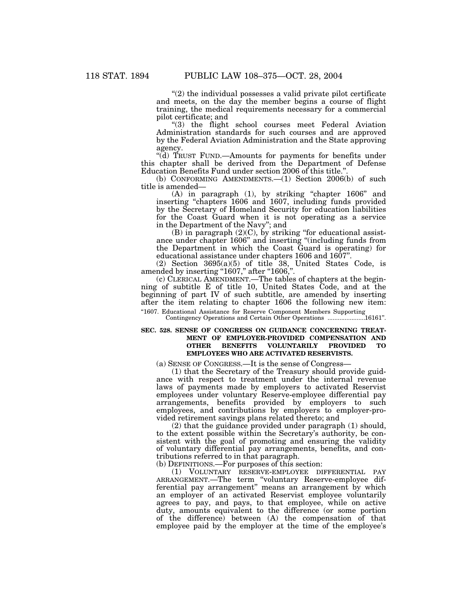" $(2)$  the individual possesses a valid private pilot certificate and meets, on the day the member begins a course of flight training, the medical requirements necessary for a commercial pilot certificate; and

''(3) the flight school courses meet Federal Aviation Administration standards for such courses and are approved by the Federal Aviation Administration and the State approving agency.

''(d) TRUST FUND.—Amounts for payments for benefits under this chapter shall be derived from the Department of Defense Education Benefits Fund under section 2006 of this title.

(b) CONFORMING AMENDMENTS.—(1) Section 2006(b) of such title is amended—

(A) in paragraph (1), by striking "chapter 1606" and inserting ''chapters 1606 and 1607, including funds provided by the Secretary of Homeland Security for education liabilities for the Coast Guard when it is not operating as a service in the Department of the Navy''; and

 $(B)$  in paragraph  $(2)(C)$ , by striking "for educational assistance under chapter 1606'' and inserting ''(including funds from the Department in which the Coast Guard is operating) for educational assistance under chapters 1606 and 1607''.

(2) Section 3695(a)(5) of title 38, United States Code, is amended by inserting "1607," after "1606,".

(c) CLERICAL AMENDMENT.—The tables of chapters at the beginning of subtitle E of title 10, United States Code, and at the beginning of part IV of such subtitle, are amended by inserting after the item relating to chapter 1606 the following new item:

''1607. Educational Assistance for Reserve Component Members Supporting Contingency Operations and Certain Other Operations ......................16161''.

# **SEC. 528. SENSE OF CONGRESS ON GUIDANCE CONCERNING TREAT-MENT OF EMPLOYER-PROVIDED COMPENSATION AND OTHER BENEFITS VOLUNTARILY PROVIDED TO EMPLOYEES WHO ARE ACTIVATED RESERVISTS.**

(a) SENSE OF CONGRESS.—It is the sense of Congress—

(1) that the Secretary of the Treasury should provide guidance with respect to treatment under the internal revenue laws of payments made by employers to activated Reservist employees under voluntary Reserve-employee differential pay arrangements, benefits provided by employers to such employees, and contributions by employers to employer-provided retirement savings plans related thereto; and

(2) that the guidance provided under paragraph (1) should, to the extent possible within the Secretary's authority, be consistent with the goal of promoting and ensuring the validity of voluntary differential pay arrangements, benefits, and contributions referred to in that paragraph.

(b) DEFINITIONS.—For purposes of this section:

(1) VOLUNTARY RESERVE-EMPLOYEE DIFFERENTIAL PAY ARRANGEMENT.—The term ''voluntary Reserve-employee differential pay arrangement'' means an arrangement by which an employer of an activated Reservist employee voluntarily agrees to pay, and pays, to that employee, while on active duty, amounts equivalent to the difference (or some portion of the difference) between (A) the compensation of that employee paid by the employer at the time of the employee's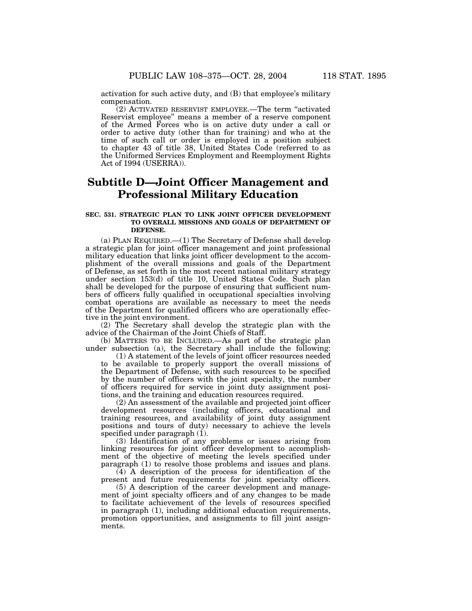activation for such active duty, and (B) that employee's military compensation.

(2) ACTIVATED RESERVIST EMPLOYEE.—The term ''activated Reservist employee'' means a member of a reserve component of the Armed Forces who is on active duty under a call or order to active duty (other than for training) and who at the time of such call or order is employed in a position subject to chapter 43 of title 38, United States Code (referred to as the Uniformed Services Employment and Reemployment Rights Act of 1994 (USERRA)).

# **Subtitle D—Joint Officer Management and Professional Military Education**

# **SEC. 531. STRATEGIC PLAN TO LINK JOINT OFFICER DEVELOPMENT TO OVERALL MISSIONS AND GOALS OF DEPARTMENT OF DEFENSE.**

(a) PLAN REQUIRED.—(1) The Secretary of Defense shall develop a strategic plan for joint officer management and joint professional military education that links joint officer development to the accomplishment of the overall missions and goals of the Department of Defense, as set forth in the most recent national military strategy under section 153(d) of title 10, United States Code. Such plan shall be developed for the purpose of ensuring that sufficient numbers of officers fully qualified in occupational specialties involving combat operations are available as necessary to meet the needs of the Department for qualified officers who are operationally effective in the joint environment.

(2) The Secretary shall develop the strategic plan with the advice of the Chairman of the Joint Chiefs of Staff.

(b) MATTERS TO BE INCLUDED.—As part of the strategic plan under subsection (a), the Secretary shall include the following:

(1) A statement of the levels of joint officer resources needed to be available to properly support the overall missions of the Department of Defense, with such resources to be specified by the number of officers with the joint specialty, the number of officers required for service in joint duty assignment positions, and the training and education resources required.

 $(2)$  An assessment of the available and projected joint officer development resources (including officers, educational and training resources, and availability of joint duty assignment positions and tours of duty) necessary to achieve the levels specified under paragraph (1).

(3) Identification of any problems or issues arising from linking resources for joint officer development to accomplishment of the objective of meeting the levels specified under paragraph (1) to resolve those problems and issues and plans.

(4) A description of the process for identification of the present and future requirements for joint specialty officers.

(5) A description of the career development and management of joint specialty officers and of any changes to be made to facilitate achievement of the levels of resources specified in paragraph (1), including additional education requirements, promotion opportunities, and assignments to fill joint assignments.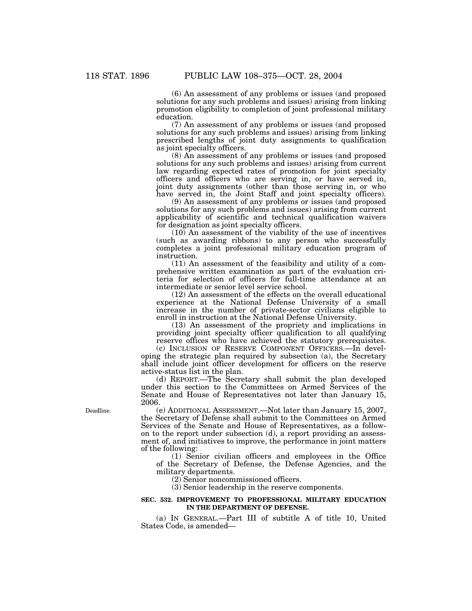(6) An assessment of any problems or issues (and proposed solutions for any such problems and issues) arising from linking promotion eligibility to completion of joint professional military education.

(7) An assessment of any problems or issues (and proposed solutions for any such problems and issues) arising from linking prescribed lengths of joint duty assignments to qualification as joint specialty officers.

(8) An assessment of any problems or issues (and proposed solutions for any such problems and issues) arising from current law regarding expected rates of promotion for joint specialty officers and officers who are serving in, or have served in, joint duty assignments (other than those serving in, or who have served in, the Joint Staff and joint specialty officers).

(9) An assessment of any problems or issues (and proposed solutions for any such problems and issues) arising from current applicability of scientific and technical qualification waivers for designation as joint specialty officers.

(10) An assessment of the viability of the use of incentives (such as awarding ribbons) to any person who successfully completes a joint professional military education program of instruction.

(11) An assessment of the feasibility and utility of a comprehensive written examination as part of the evaluation criteria for selection of officers for full-time attendance at an intermediate or senior level service school.

(12) An assessment of the effects on the overall educational experience at the National Defense University of a small increase in the number of private-sector civilians eligible to enroll in instruction at the National Defense University.

(13) An assessment of the propriety and implications in providing joint specialty officer qualification to all qualifying reserve offices who have achieved the statutory prerequisites.

(c) INCLUSION OF RESERVE COMPONENT OFFICERS.—In developing the strategic plan required by subsection (a), the Secretary shall include joint officer development for officers on the reserve active-status list in the plan.

(d) REPORT.—The Secretary shall submit the plan developed under this section to the Committees on Armed Services of the Senate and House of Representatives not later than January 15, 2006.

Deadline.

(e) ADDITIONAL ASSESSMENT.—Not later than January 15, 2007, the Secretary of Defense shall submit to the Committees on Armed Services of the Senate and House of Representatives, as a followon to the report under subsection (d), a report providing an assessment of, and initiatives to improve, the performance in joint matters of the following:

(1) Senior civilian officers and employees in the Office of the Secretary of Defense, the Defense Agencies, and the military departments.

(2) Senior noncommissioned officers.

(3) Senior leadership in the reserve components.

### **SEC. 532. IMPROVEMENT TO PROFESSIONAL MILITARY EDUCATION IN THE DEPARTMENT OF DEFENSE.**

(a) IN GENERAL.—Part III of subtitle A of title 10, United States Code, is amended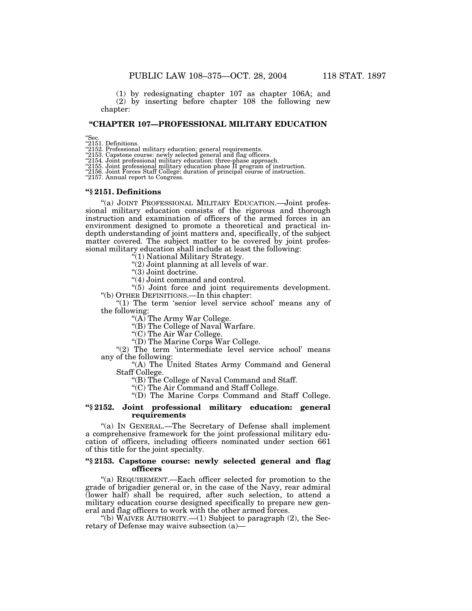(1) by redesignating chapter 107 as chapter 106A; and

(2) by inserting before chapter 108 the following new chapter:

# **''CHAPTER 107—PROFESSIONAL MILITARY EDUCATION**

''Sec. ''2151. Definitions.

''2152. Professional military education: general requirements. ''2153. Capstone course: newly selected general and flag officers.

"2154. Joint professional military education: three-phase approach.<br>"2155. Joint professional military education phase II program of instruction.<br>"2156. Joint Forces Staff College: duration of principal course of instructi

#### **''§ 2151. Definitions**

"(a) JOINT PROFESSIONAL MILITARY EDUCATION.—Joint professional military education consists of the rigorous and thorough instruction and examination of officers of the armed forces in an environment designed to promote a theoretical and practical indepth understanding of joint matters and, specifically, of the subject matter covered. The subject matter to be covered by joint professional military education shall include at least the following:

''(1) National Military Strategy.

 $''(2)$  Joint planning at all levels of war.

"(3) Joint doctrine.

"(4) Joint command and control.

"(5) Joint force and joint requirements development. ''(b) OTHER DEFINITIONS.—In this chapter:

"(1) The term 'senior level service school' means any of the following:

''(A) The Army War College.

''(B) The College of Naval Warfare.

''(C) The Air War College.

''(D) The Marine Corps War College.

"(2) The term 'intermediate level service school' means any of the following:

"(A) The United States Army Command and General Staff College.

''(B) The College of Naval Command and Staff.

''(C) The Air Command and Staff College.

''(D) The Marine Corps Command and Staff College.

#### **''§ 2152. Joint professional military education: general requirements**

''(a) IN GENERAL.—The Secretary of Defense shall implement a comprehensive framework for the joint professional military education of officers, including officers nominated under section 661 of this title for the joint specialty.

# **''§ 2153. Capstone course: newly selected general and flag officers**

''(a) REQUIREMENT.—Each officer selected for promotion to the grade of brigadier general or, in the case of the Navy, rear admiral (lower half) shall be required, after such selection, to attend a military education course designed specifically to prepare new general and flag officers to work with the other armed forces.

"(b) WAIVER AUTHORITY.— $(1)$  Subject to paragraph  $(2)$ , the Secretary of Defense may waive subsection (a)—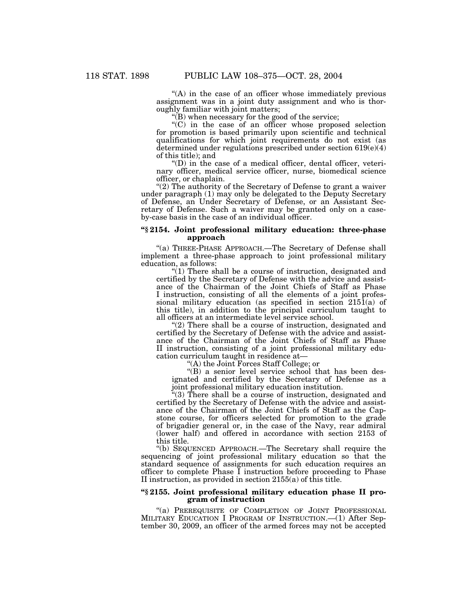''(A) in the case of an officer whose immediately previous assignment was in a joint duty assignment and who is thoroughly familiar with joint matters;

 $'(B)$  when necessary for the good of the service;

''(C) in the case of an officer whose proposed selection for promotion is based primarily upon scientific and technical qualifications for which joint requirements do not exist (as determined under regulations prescribed under section 619(e)(4) of this title); and

 $'(D)$  in the case of a medical officer, dental officer, veterinary officer, medical service officer, nurse, biomedical science officer, or chaplain.

"(2) The authority of the Secretary of Defense to grant a waiver under paragraph (1) may only be delegated to the Deputy Secretary of Defense, an Under Secretary of Defense, or an Assistant Secretary of Defense. Such a waiver may be granted only on a caseby-case basis in the case of an individual officer.

# **''§ 2154. Joint professional military education: three-phase approach**

''(a) THREE-PHASE APPROACH.—The Secretary of Defense shall implement a three-phase approach to joint professional military education, as follows:

 $\tilde{f}(1)$  There shall be a course of instruction, designated and certified by the Secretary of Defense with the advice and assistance of the Chairman of the Joint Chiefs of Staff as Phase I instruction, consisting of all the elements of a joint professional military education (as specified in section  $215\overline{1}(a)$  of this title), in addition to the principal curriculum taught to all officers at an intermediate level service school.

"(2) There shall be a course of instruction, designated and certified by the Secretary of Defense with the advice and assistance of the Chairman of the Joint Chiefs of Staff as Phase II instruction, consisting of a joint professional military education curriculum taught in residence at—

''(A) the Joint Forces Staff College; or

''(B) a senior level service school that has been designated and certified by the Secretary of Defense as a joint professional military education institution.

''(3) There shall be a course of instruction, designated and certified by the Secretary of Defense with the advice and assistance of the Chairman of the Joint Chiefs of Staff as the Capstone course, for officers selected for promotion to the grade of brigadier general or, in the case of the Navy, rear admiral (lower half) and offered in accordance with section 2153 of this title.

''(b) SEQUENCED APPROACH.—The Secretary shall require the sequencing of joint professional military education so that the standard sequence of assignments for such education requires an officer to complete Phase I instruction before proceeding to Phase II instruction, as provided in section 2155(a) of this title.

### **''§ 2155. Joint professional military education phase II program of instruction**

"(a) PREREQUISITE OF COMPLETION OF JOINT PROFESSIONAL MILITARY EDUCATION I PROGRAM OF INSTRUCTION.—(1) After September 30, 2009, an officer of the armed forces may not be accepted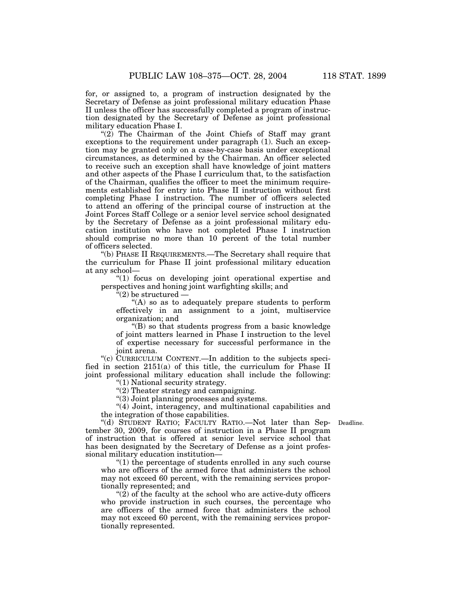for, or assigned to, a program of instruction designated by the Secretary of Defense as joint professional military education Phase II unless the officer has successfully completed a program of instruction designated by the Secretary of Defense as joint professional military education Phase I.

"(2) The Chairman of the Joint Chiefs of Staff may grant exceptions to the requirement under paragraph (1). Such an exception may be granted only on a case-by-case basis under exceptional circumstances, as determined by the Chairman. An officer selected to receive such an exception shall have knowledge of joint matters and other aspects of the Phase I curriculum that, to the satisfaction of the Chairman, qualifies the officer to meet the minimum requirements established for entry into Phase II instruction without first completing Phase I instruction. The number of officers selected to attend an offering of the principal course of instruction at the Joint Forces Staff College or a senior level service school designated by the Secretary of Defense as a joint professional military education institution who have not completed Phase I instruction should comprise no more than 10 percent of the total number of officers selected.

''(b) PHASE II REQUIREMENTS.—The Secretary shall require that the curriculum for Phase II joint professional military education at any school—

''(1) focus on developing joint operational expertise and perspectives and honing joint warfighting skills; and

 $\mathrm{``(2)}$  be structured  $-$ 

 $<sup>4</sup>(A)$  so as to adequately prepare students to perform</sup> effectively in an assignment to a joint, multiservice organization; and

''(B) so that students progress from a basic knowledge of joint matters learned in Phase I instruction to the level of expertise necessary for successful performance in the joint arena.

''(c) CURRICULUM CONTENT.—In addition to the subjects specified in section 2151(a) of this title, the curriculum for Phase II joint professional military education shall include the following:

''(1) National security strategy.

''(2) Theater strategy and campaigning.

"(3) Joint planning processes and systems.

"(4) Joint, interagency, and multinational capabilities and the integration of those capabilities.

Deadline.

''(d) STUDENT RATIO; FACULTY RATIO.—Not later than September 30, 2009, for courses of instruction in a Phase II program of instruction that is offered at senior level service school that has been designated by the Secretary of Defense as a joint professional military education institution—

 $(1)$  the percentage of students enrolled in any such course who are officers of the armed force that administers the school may not exceed 60 percent, with the remaining services proportionally represented; and

" $(2)$  of the faculty at the school who are active-duty officers who provide instruction in such courses, the percentage who are officers of the armed force that administers the school may not exceed 60 percent, with the remaining services proportionally represented.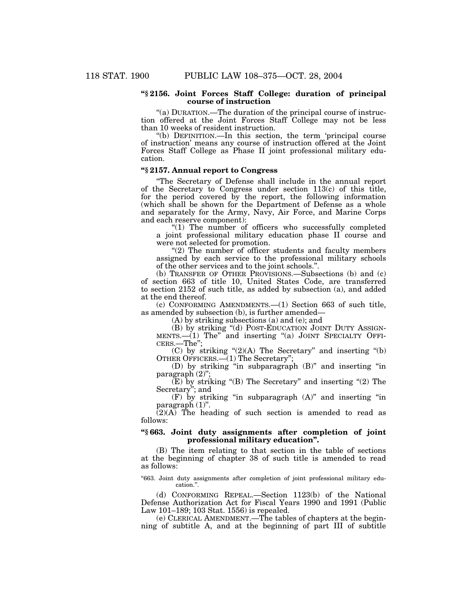# **''§ 2156. Joint Forces Staff College: duration of principal course of instruction**

"(a) DURATION.—The duration of the principal course of instruction offered at the Joint Forces Staff College may not be less than 10 weeks of resident instruction.

''(b) DEFINITION.—In this section, the term 'principal course of instruction' means any course of instruction offered at the Joint Forces Staff College as Phase II joint professional military education.

# **''§ 2157. Annual report to Congress**

''The Secretary of Defense shall include in the annual report of the Secretary to Congress under section  $113(c)$  of this title, for the period covered by the report, the following information (which shall be shown for the Department of Defense as a whole and separately for the Army, Navy, Air Force, and Marine Corps and each reserve component):

"(1) The number of officers who successfully completed a joint professional military education phase II course and were not selected for promotion.

"(2) The number of officer students and faculty members assigned by each service to the professional military schools of the other services and to the joint schools.''.

(b) TRANSFER OF OTHER PROVISIONS.—Subsections (b) and (c) of section 663 of title 10, United States Code, are transferred to section 2152 of such title, as added by subsection (a), and added at the end thereof.

(c) CONFORMING AMENDMENTS.—(1) Section 663 of such title, as amended by subsection (b), is further amended—

(A) by striking subsections (a) and (e); and

(B) by striking ''(d) POST-EDUCATION JOINT DUTY ASSIGN-MENTS.—(1) The" and inserting "(a) JOINT SPECIALTY OFFICERS.—The";

(C) by striking  $(2)(A)$  The Secretary" and inserting  $(4)$ OTHER OFFICERS.—(1) The Secretary'';

(D) by striking ''in subparagraph (B)'' and inserting ''in paragraph $(2)$ 

 $(E)$  by striking "(B) The Secretary" and inserting "(2) The Secretary''; and

 $(F)$  by striking "in subparagraph  $(A)$ " and inserting "in paragraph (1)''.

(2)(A) The heading of such section is amended to read as follows:

# **''§ 663. Joint duty assignments after completion of joint professional military education''.**

(B) The item relating to that section in the table of sections at the beginning of chapter 38 of such title is amended to read as follows:

"663. Joint duty assignments after completion of joint professional military education.''.

(d) CONFORMING REPEAL.—Section 1123(b) of the National Defense Authorization Act for Fiscal Years 1990 and 1991 (Public Law 101–189; 103 Stat. 1556) is repealed.

(e) CLERICAL AMENDMENT.—The tables of chapters at the beginning of subtitle A, and at the beginning of part III of subtitle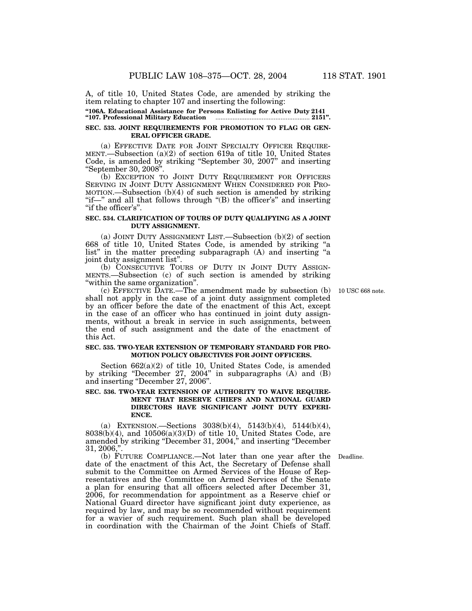A, of title 10, United States Code, are amended by striking the item relating to chapter 107 and inserting the following:

**''106A. Educational Assistance for Persons Enlisting for Active Duty 2141 ''107. Professional Military Education** ....................................................... **2151''.**

#### **SEC. 533. JOINT REQUIREMENTS FOR PROMOTION TO FLAG OR GEN-ERAL OFFICER GRADE.**

(a) EFFECTIVE DATE FOR JOINT SPECIALTY OFFICER REQUIRE-MENT.—Subsection (a)(2) of section 619a of title 10, United States Code, is amended by striking ''September 30, 2007'' and inserting ''September 30, 2008''.

(b) EXCEPTION TO JOINT DUTY REQUIREMENT FOR OFFICERS SERVING IN JOINT DUTY ASSIGNMENT WHEN CONSIDERED FOR PRO-MOTION.—Subsection (b)(4) of such section is amended by striking "if—" and all that follows through "(B) the officer's" and inserting "if the officer's".

# **SEC. 534. CLARIFICATION OF TOURS OF DUTY QUALIFYING AS A JOINT DUTY ASSIGNMENT.**

(a) JOINT DUTY ASSIGNMENT LIST.—Subsection (b)(2) of section 668 of title 10, United States Code, is amended by striking ''a list'' in the matter preceding subparagraph (A) and inserting ''a joint duty assignment list''.

(b) CONSECUTIVE TOURS OF DUTY IN JOINT DUTY ASSIGN-MENTS.—Subsection (c) of such section is amended by striking ''within the same organization''.

10 USC 668 note.

(c) EFFECTIVE DATE.—The amendment made by subsection (b) shall not apply in the case of a joint duty assignment completed by an officer before the date of the enactment of this Act, except in the case of an officer who has continued in joint duty assignments, without a break in service in such assignments, between the end of such assignment and the date of the enactment of this Act.

#### **SEC. 535. TWO-YEAR EXTENSION OF TEMPORARY STANDARD FOR PRO-MOTION POLICY OBJECTIVES FOR JOINT OFFICERS.**

Section 662(a)(2) of title 10, United States Code, is amended by striking "December 27, 2004" in subparagraphs (A) and (B) and inserting ''December 27, 2006''.

# **SEC. 536. TWO-YEAR EXTENSION OF AUTHORITY TO WAIVE REQUIRE-MENT THAT RESERVE CHIEFS AND NATIONAL GUARD DIRECTORS HAVE SIGNIFICANT JOINT DUTY EXPERI-ENCE.**

(a) EXTENSION.—Sections  $3038(b)(4)$ ,  $5143(b)(4)$ ,  $5144(b)(4)$ ,  $8038(b)(4)$ , and  $10506(a)(3)(D)$  of title 10, United States Code, are amended by striking ''December 31, 2004,'' and inserting ''December 31, 2006,''.

(b) FUTURE COMPLIANCE.—Not later than one year after the Deadline. date of the enactment of this Act, the Secretary of Defense shall submit to the Committee on Armed Services of the House of Representatives and the Committee on Armed Services of the Senate a plan for ensuring that all officers selected after December 31, 2006, for recommendation for appointment as a Reserve chief or National Guard director have significant joint duty experience, as required by law, and may be so recommended without requirement for a wavier of such requirement. Such plan shall be developed in coordination with the Chairman of the Joint Chiefs of Staff.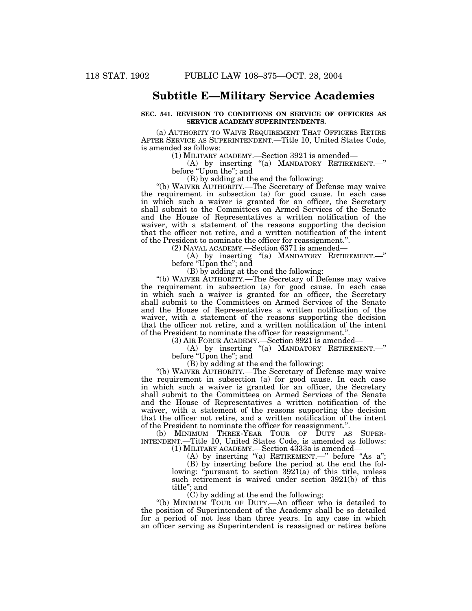# **Subtitle E—Military Service Academies**

# **SEC. 541. REVISION TO CONDITIONS ON SERVICE OF OFFICERS AS SERVICE ACADEMY SUPERINTENDENTS.**

(a) AUTHORITY TO WAIVE REQUIREMENT THAT OFFICERS RETIRE AFTER SERVICE AS SUPERINTENDENT.—Title 10, United States Code, is amended as follows:

(1) MILITARY ACADEMY.—Section 3921 is amended—

(A) by inserting ''(a) MANDATORY RETIREMENT.—'' before "Upon the"; and

(B) by adding at the end the following:

''(b) WAIVER AUTHORITY.—The Secretary of Defense may waive the requirement in subsection (a) for good cause. In each case in which such a waiver is granted for an officer, the Secretary shall submit to the Committees on Armed Services of the Senate and the House of Representatives a written notification of the waiver, with a statement of the reasons supporting the decision that the officer not retire, and a written notification of the intent of the President to nominate the officer for reassignment.''.

(2) NAVAL ACADEMY.—Section 6371 is amended—

(A) by inserting ''(a) MANDATORY RETIREMENT.—'' before "Upon the"; and

(B) by adding at the end the following:

''(b) WAIVER AUTHORITY.—The Secretary of Defense may waive the requirement in subsection (a) for good cause. In each case in which such a waiver is granted for an officer, the Secretary shall submit to the Committees on Armed Services of the Senate and the House of Representatives a written notification of the waiver, with a statement of the reasons supporting the decision that the officer not retire, and a written notification of the intent of the President to nominate the officer for reassignment.''.

(3) AIR FORCE ACADEMY.—Section 8921 is amended—

(A) by inserting "(a) MANDATORY RETIREMENT.—" before "Upon the"; and

(B) by adding at the end the following:

''(b) WAIVER AUTHORITY.—The Secretary of Defense may waive the requirement in subsection (a) for good cause. In each case in which such a waiver is granted for an officer, the Secretary shall submit to the Committees on Armed Services of the Senate and the House of Representatives a written notification of the waiver, with a statement of the reasons supporting the decision that the officer not retire, and a written notification of the intent of the President to nominate the officer for reassignment.''.

(b) MINIMUM THREE-YEAR TOUR OF DUTY AS SUPER-INTENDENT.—Title 10, United States Code, is amended as follows: (1) MILITARY ACADEMY.—Section 4333a is amended—

(A) by inserting "(a) RETIREMENT.—" before "As a";

(B) by inserting before the period at the end the following: "pursuant to section 3921(a) of this title, unless such retirement is waived under section 3921(b) of this title''; and

(C) by adding at the end the following:

''(b) MINIMUM TOUR OF DUTY.—An officer who is detailed to the position of Superintendent of the Academy shall be so detailed for a period of not less than three years. In any case in which an officer serving as Superintendent is reassigned or retires before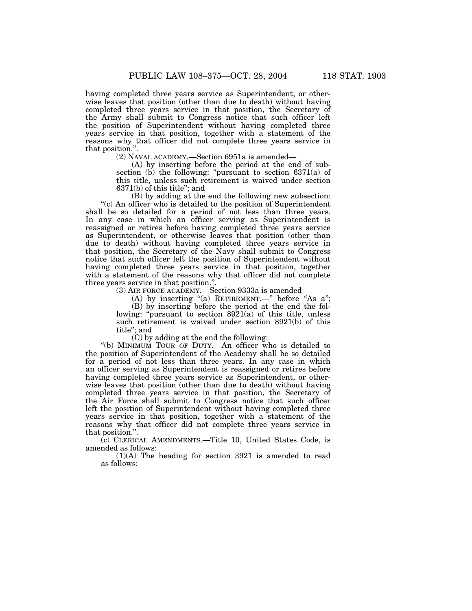having completed three years service as Superintendent, or otherwise leaves that position (other than due to death) without having completed three years service in that position, the Secretary of the Army shall submit to Congress notice that such officer left the position of Superintendent without having completed three years service in that position, together with a statement of the reasons why that officer did not complete three years service in that position."

(2) NAVAL ACADEMY.—Section 6951a is amended—

(A) by inserting before the period at the end of subsection (b) the following: "pursuant to section  $6371(a)$  of this title, unless such retirement is waived under section 6371(b) of this title''; and

(B) by adding at the end the following new subsection: ''(c) An officer who is detailed to the position of Superintendent shall be so detailed for a period of not less than three years. In any case in which an officer serving as Superintendent is reassigned or retires before having completed three years service as Superintendent, or otherwise leaves that position (other than due to death) without having completed three years service in that position, the Secretary of the Navy shall submit to Congress notice that such officer left the position of Superintendent without having completed three years service in that position, together with a statement of the reasons why that officer did not complete three years service in that position.''.

(3) AIR FORCE ACADEMY.—Section 9333a is amended—

(A) by inserting "(a) RETIREMENT.—" before "As  $a$ ";

(B) by inserting before the period at the end the following: "pursuant to section  $8921(a)$  of this title, unless such retirement is waived under section 8921(b) of this title''; and

(C) by adding at the end the following:

''(b) MINIMUM TOUR OF DUTY.—An officer who is detailed to the position of Superintendent of the Academy shall be so detailed for a period of not less than three years. In any case in which an officer serving as Superintendent is reassigned or retires before having completed three years service as Superintendent, or otherwise leaves that position (other than due to death) without having completed three years service in that position, the Secretary of the Air Force shall submit to Congress notice that such officer left the position of Superintendent without having completed three years service in that position, together with a statement of the reasons why that officer did not complete three years service in that position.''.

(c) CLERICAL AMENDMENTS.—Title 10, United States Code, is amended as follows:

(1)(A) The heading for section 3921 is amended to read as follows: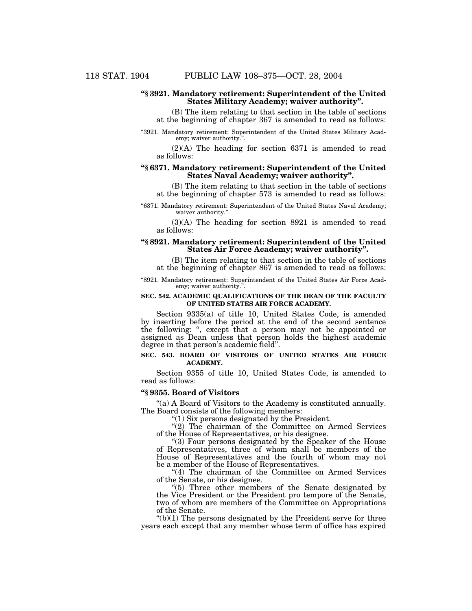# **''§ 3921. Mandatory retirement: Superintendent of the United States Military Academy; waiver authority''.**

(B) The item relating to that section in the table of sections at the beginning of chapter 367 is amended to read as follows:

"3921. Mandatory retirement: Superintendent of the United States Military Academy; waiver authority.''.

(2)(A) The heading for section 6371 is amended to read as follows:

# **''§ 6371. Mandatory retirement: Superintendent of the United States Naval Academy; waiver authority''.**

(B) The item relating to that section in the table of sections at the beginning of chapter 573 is amended to read as follows:

''6371. Mandatory retirement: Superintendent of the United States Naval Academy; waiver authority.".

(3)(A) The heading for section 8921 is amended to read as follows:

# **''§ 8921. Mandatory retirement: Superintendent of the United States Air Force Academy; waiver authority''.**

(B) The item relating to that section in the table of sections at the beginning of chapter 867 is amended to read as follows:

"8921. Mandatory retirement: Superintendent of the United States Air Force Academy; waiver authority.''.

# **SEC. 542. ACADEMIC QUALIFICATIONS OF THE DEAN OF THE FACULTY OF UNITED STATES AIR FORCE ACADEMY.**

Section 9335(a) of title 10, United States Code, is amended by inserting before the period at the end of the second sentence the following: '', except that a person may not be appointed or assigned as Dean unless that person holds the highest academic degree in that person's academic field''.

# **SEC. 543. BOARD OF VISITORS OF UNITED STATES AIR FORCE ACADEMY.**

Section 9355 of title 10, United States Code, is amended to read as follows:

#### **''§ 9355. Board of Visitors**

''(a) A Board of Visitors to the Academy is constituted annually. The Board consists of the following members:

''(1) Six persons designated by the President.

"(2) The chairman of the Committee on Armed Services of the House of Representatives, or his designee.

''(3) Four persons designated by the Speaker of the House of Representatives, three of whom shall be members of the House of Representatives and the fourth of whom may not be a member of the House of Representatives.

"(4) The chairman of the Committee on Armed Services of the Senate, or his designee.

"(5) Three other members of the Senate designated by the Vice President or the President pro tempore of the Senate, two of whom are members of the Committee on Appropriations of the Senate.

 $'(b)(1)$  The persons designated by the President serve for three years each except that any member whose term of office has expired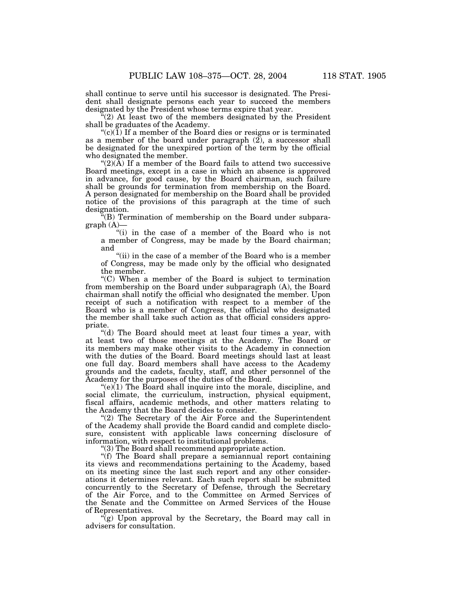shall continue to serve until his successor is designated. The President shall designate persons each year to succeed the members designated by the President whose terms expire that year.

''(2) At least two of the members designated by the President shall be graduates of the Academy.

" $(c)(1)$  If a member of the Board dies or resigns or is terminated as a member of the board under paragraph (2), a successor shall be designated for the unexpired portion of the term by the official who designated the member.

" $(2)(\overline{A})$  If a member of the Board fails to attend two successive Board meetings, except in a case in which an absence is approved in advance, for good cause, by the Board chairman, such failure shall be grounds for termination from membership on the Board. A person designated for membership on the Board shall be provided notice of the provisions of this paragraph at the time of such designation.

 $\mathcal{H}(B)$  Termination of membership on the Board under subpara $graph (A)$ —

"(i) in the case of a member of the Board who is not a member of Congress, may be made by the Board chairman; and

"(ii) in the case of a member of the Board who is a member of Congress, may be made only by the official who designated the member.

''(C) When a member of the Board is subject to termination from membership on the Board under subparagraph (A), the Board chairman shall notify the official who designated the member. Upon receipt of such a notification with respect to a member of the Board who is a member of Congress, the official who designated the member shall take such action as that official considers appropriate.

''(d) The Board should meet at least four times a year, with at least two of those meetings at the Academy. The Board or its members may make other visits to the Academy in connection with the duties of the Board. Board meetings should last at least one full day. Board members shall have access to the Academy grounds and the cadets, faculty, staff, and other personnel of the Academy for the purposes of the duties of the Board.

 $(e)(1)$  The Board shall inquire into the morale, discipline, and social climate, the curriculum, instruction, physical equipment, fiscal affairs, academic methods, and other matters relating to the Academy that the Board decides to consider.

"(2) The Secretary of the Air Force and the Superintendent of the Academy shall provide the Board candid and complete disclosure, consistent with applicable laws concerning disclosure of information, with respect to institutional problems.

''(3) The Board shall recommend appropriate action.

''(f) The Board shall prepare a semiannual report containing its views and recommendations pertaining to the Academy, based on its meeting since the last such report and any other considerations it determines relevant. Each such report shall be submitted concurrently to the Secretary of Defense, through the Secretary of the Air Force, and to the Committee on Armed Services of the Senate and the Committee on Armed Services of the House of Representatives.

 $\hat{f}(g)$  Upon approval by the Secretary, the Board may call in advisers for consultation.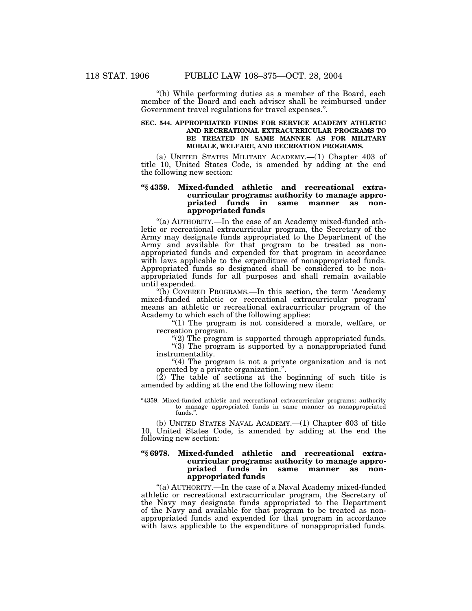"(h) While performing duties as a member of the Board, each member of the Board and each adviser shall be reimbursed under Government travel regulations for travel expenses.''.

# **SEC. 544. APPROPRIATED FUNDS FOR SERVICE ACADEMY ATHLETIC AND RECREATIONAL EXTRACURRICULAR PROGRAMS TO BE TREATED IN SAME MANNER AS FOR MILITARY MORALE, WELFARE, AND RECREATION PROGRAMS.**

(a) UNITED STATES MILITARY ACADEMY.—(1) Chapter 403 of title 10, United States Code, is amended by adding at the end the following new section:

# **''§ 4359. Mixed-funded athletic and recreational extracurricular programs: authority to manage appropriated funds in same manner as nonappropriated funds**

''(a) AUTHORITY.—In the case of an Academy mixed-funded athletic or recreational extracurricular program, the Secretary of the Army may designate funds appropriated to the Department of the Army and available for that program to be treated as nonappropriated funds and expended for that program in accordance with laws applicable to the expenditure of nonappropriated funds. Appropriated funds so designated shall be considered to be nonappropriated funds for all purposes and shall remain available until expended.

''(b) COVERED PROGRAMS.—In this section, the term 'Academy mixed-funded athletic or recreational extracurricular program' means an athletic or recreational extracurricular program of the Academy to which each of the following applies:

"(1) The program is not considered a morale, welfare, or recreation program.

" $(2)$  The program is supported through appropriated funds.

"(3) The program is supported by a nonappropriated fund instrumentality.

"(4) The program is not a private organization and is not operated by a private organization.''.

 $(2)$  The table of sections at the beginning of such title is amended by adding at the end the following new item:

''4359. Mixed-funded athletic and recreational extracurricular programs: authority to manage appropriated funds in same manner as nonappropriated funds.''.

(b) UNITED STATES NAVAL ACADEMY.—(1) Chapter 603 of title 10, United States Code, is amended by adding at the end the following new section:

# **''§ 6978. Mixed-funded athletic and recreational extracurricular programs: authority to manage appropriated funds in same manner as nonappropriated funds**

"(a) AUTHORITY.—In the case of a Naval Academy mixed-funded athletic or recreational extracurricular program, the Secretary of the Navy may designate funds appropriated to the Department of the Navy and available for that program to be treated as nonappropriated funds and expended for that program in accordance with laws applicable to the expenditure of nonappropriated funds.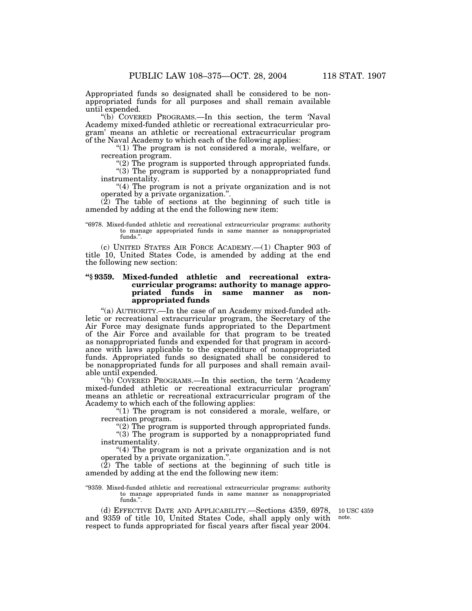Appropriated funds so designated shall be considered to be nonappropriated funds for all purposes and shall remain available until expended.

''(b) COVERED PROGRAMS.—In this section, the term 'Naval Academy mixed-funded athletic or recreational extracurricular program' means an athletic or recreational extracurricular program of the Naval Academy to which each of the following applies:

"(1) The program is not considered a morale, welfare, or recreation program.

"(2) The program is supported through appropriated funds. "(3) The program is supported by a nonappropriated fund instrumentality.

"(4) The program is not a private organization and is not operated by a private organization.''.

(2) The table of sections at the beginning of such title is amended by adding at the end the following new item:

#### ''6978. Mixed-funded athletic and recreational extracurricular programs: authority to manage appropriated funds in same manner as nonappropriated funds.''.

(c) UNITED STATES AIR FORCE ACADEMY.—(1) Chapter 903 of title 10, United States Code, is amended by adding at the end the following new section:

# **''§ 9359. Mixed-funded athletic and recreational extracurricular programs: authority to manage appropriated funds in same manner as nonappropriated funds**

''(a) AUTHORITY.—In the case of an Academy mixed-funded athletic or recreational extracurricular program, the Secretary of the Air Force may designate funds appropriated to the Department of the Air Force and available for that program to be treated as nonappropriated funds and expended for that program in accordance with laws applicable to the expenditure of nonappropriated funds. Appropriated funds so designated shall be considered to be nonappropriated funds for all purposes and shall remain available until expended.

''(b) COVERED PROGRAMS.—In this section, the term 'Academy mixed-funded athletic or recreational extracurricular program' means an athletic or recreational extracurricular program of the Academy to which each of the following applies:

"(1) The program is not considered a morale, welfare, or recreation program.

"(2) The program is supported through appropriated funds.

" $(3)$  The program is supported by a nonappropriated fund instrumentality.

"(4) The program is not a private organization and is not operated by a private organization.''.

(2) The table of sections at the beginning of such title is amended by adding at the end the following new item:

"9359. Mixed-funded athletic and recreational extracurricular programs: authority to manage appropriated funds in same manner as nonappropriated funds.''.

(d) EFFECTIVE DATE AND APPLICABILITY.—Sections 4359, 6978, and 9359 of title 10, United States Code, shall apply only with respect to funds appropriated for fiscal years after fiscal year 2004.

10 USC 4359 note.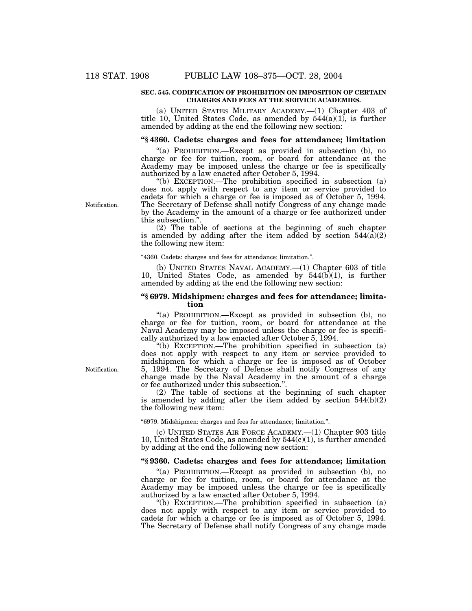# **SEC. 545. CODIFICATION OF PROHIBITION ON IMPOSITION OF CERTAIN CHARGES AND FEES AT THE SERVICE ACADEMIES.**

(a) UNITED STATES MILITARY ACADEMY.—(1) Chapter 403 of title 10, United States Code, as amended by  $544(a)(1)$ , is further amended by adding at the end the following new section:

# **''§ 4360. Cadets: charges and fees for attendance; limitation**

''(a) PROHIBITION.—Except as provided in subsection (b), no charge or fee for tuition, room, or board for attendance at the Academy may be imposed unless the charge or fee is specifically authorized by a law enacted after October 5, 1994.

''(b) EXCEPTION.—The prohibition specified in subsection (a) does not apply with respect to any item or service provided to cadets for which a charge or fee is imposed as of October 5, 1994. The Secretary of Defense shall notify Congress of any change made by the Academy in the amount of a charge or fee authorized under this subsection.''.

(2) The table of sections at the beginning of such chapter is amended by adding after the item added by section  $544(\overline{a})(2)$ the following new item:

''4360. Cadets: charges and fees for attendance; limitation.''.

(b) UNITED STATES NAVAL ACADEMY.—(1) Chapter 603 of title 10, United States Code, as amended by 544(b)(1), is further amended by adding at the end the following new section:

# **''§ 6979. Midshipmen: charges and fees for attendance; limitation**

''(a) PROHIBITION.—Except as provided in subsection (b), no charge or fee for tuition, room, or board for attendance at the Naval Academy may be imposed unless the charge or fee is specifically authorized by a law enacted after October 5, 1994.

''(b) EXCEPTION.—The prohibition specified in subsection (a) does not apply with respect to any item or service provided to midshipmen for which a charge or fee is imposed as of October 5, 1994. The Secretary of Defense shall notify Congress of any change made by the Naval Academy in the amount of a charge or fee authorized under this subsection."

(2) The table of sections at the beginning of such chapter is amended by adding after the item added by section  $544(b)(2)$ the following new item:

''6979. Midshipmen: charges and fees for attendance; limitation.''.

(c) UNITED STATES AIR FORCE ACADEMY.—(1) Chapter 903 title 10, United States Code, as amended by  $544(c)(1)$ , is further amended by adding at the end the following new section:

# **''§ 9360. Cadets: charges and fees for attendance; limitation**

''(a) PROHIBITION.—Except as provided in subsection (b), no charge or fee for tuition, room, or board for attendance at the Academy may be imposed unless the charge or fee is specifically authorized by a law enacted after October 5, 1994.

''(b) EXCEPTION.—The prohibition specified in subsection (a) does not apply with respect to any item or service provided to cadets for which a charge or fee is imposed as of October 5, 1994. The Secretary of Defense shall notify Congress of any change made

Notification.

Notification.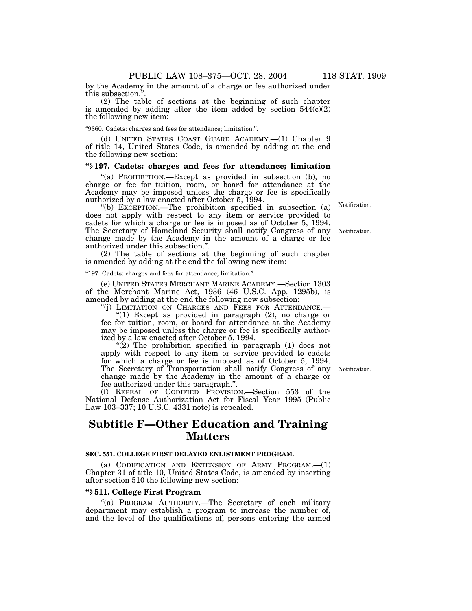by the Academy in the amount of a charge or fee authorized under this subsection.''.

(2) The table of sections at the beginning of such chapter is amended by adding after the item added by section  $544(\bar{c})(2)$ the following new item:

''9360. Cadets: charges and fees for attendance; limitation.''.

(d) UNITED STATES COAST GUARD ACADEMY.—(1) Chapter 9 of title 14, United States Code, is amended by adding at the end the following new section:

# **''§ 197. Cadets: charges and fees for attendance; limitation**

''(a) PROHIBITION.—Except as provided in subsection (b), no charge or fee for tuition, room, or board for attendance at the Academy may be imposed unless the charge or fee is specifically authorized by a law enacted after October 5, 1994.

''(b) EXCEPTION.—The prohibition specified in subsection (a) does not apply with respect to any item or service provided to cadets for which a charge or fee is imposed as of October 5, 1994. The Secretary of Homeland Security shall notify Congress of any change made by the Academy in the amount of a charge or fee authorized under this subsection.''.

(2) The table of sections at the beginning of such chapter is amended by adding at the end the following new item:

''197. Cadets: charges and fees for attendance; limitation.''.

(e) UNITED STATES MERCHANT MARINE ACADEMY.—Section 1303 of the Merchant Marine Act, 1936 (46 U.S.C. App. 1295b), is amended by adding at the end the following new subsection:

''(j) LIMITATION ON CHARGES AND FEES FOR ATTENDANCE.—

" $(1)$  Except as provided in paragraph  $(2)$ , no charge or fee for tuition, room, or board for attendance at the Academy may be imposed unless the charge or fee is specifically authorized by a law enacted after October 5, 1994.

" $(2)$  The prohibition specified in paragraph  $(1)$  does not apply with respect to any item or service provided to cadets for which a charge or fee is imposed as of October 5, 1994. The Secretary of Transportation shall notify Congress of any change made by the Academy in the amount of a charge or fee authorized under this paragraph.''.

(f) REPEAL OF CODIFIED PROVISION.—Section 553 of the National Defense Authorization Act for Fiscal Year 1995 (Public Law 103–337; 10 U.S.C. 4331 note) is repealed.

# **Subtitle F—Other Education and Training Matters**

# **SEC. 551. COLLEGE FIRST DELAYED ENLISTMENT PROGRAM.**

(a) CODIFICATION AND EXTENSION OF ARMY PROGRAM.—(1) Chapter 31 of title 10, United States Code, is amended by inserting after section 510 the following new section:

# **''§ 511. College First Program**

''(a) PROGRAM AUTHORITY.—The Secretary of each military department may establish a program to increase the number of, and the level of the qualifications of, persons entering the armed

Notification.

Notification.

Notification.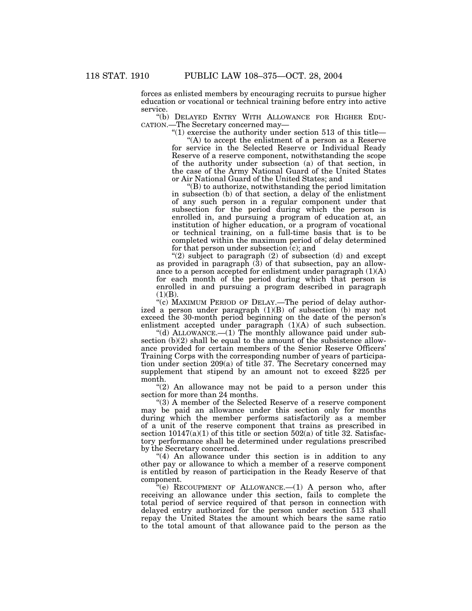forces as enlisted members by encouraging recruits to pursue higher education or vocational or technical training before entry into active service.

''(b) DELAYED ENTRY WITH ALLOWANCE FOR HIGHER EDU- CATION.—The Secretary concerned may—

"(1) exercise the authority under section 513 of this title—

"(A) to accept the enlistment of a person as a Reserve for service in the Selected Reserve or Individual Ready Reserve of a reserve component, notwithstanding the scope of the authority under subsection (a) of that section, in the case of the Army National Guard of the United States or Air National Guard of the United States; and

''(B) to authorize, notwithstanding the period limitation in subsection (b) of that section, a delay of the enlistment of any such person in a regular component under that subsection for the period during which the person is enrolled in, and pursuing a program of education at, an institution of higher education, or a program of vocational or technical training, on a full-time basis that is to be completed within the maximum period of delay determined for that person under subsection (c); and

"(2) subject to paragraph (2) of subsection (d) and except as provided in paragraph (3) of that subsection, pay an allowance to a person accepted for enlistment under paragraph (1)(A) for each month of the period during which that person is enrolled in and pursuing a program described in paragraph  $(1)(B)$ .

''(c) MAXIMUM PERIOD OF DELAY.—The period of delay authorized a person under paragraph (1)(B) of subsection (b) may not exceed the 30-month period beginning on the date of the person's enlistment accepted under paragraph (1)(A) of such subsection.

"(d) ALLOWANCE.—(1) The monthly allowance paid under subsection (b)(2) shall be equal to the amount of the subsistence allowance provided for certain members of the Senior Reserve Officers' Training Corps with the corresponding number of years of participation under section 209(a) of title 37. The Secretary concerned may supplement that stipend by an amount not to exceed \$225 per month.

" $(2)$  An allowance may not be paid to a person under this section for more than 24 months.

''(3) A member of the Selected Reserve of a reserve component may be paid an allowance under this section only for months during which the member performs satisfactorily as a member of a unit of the reserve component that trains as prescribed in section  $10147(a)(1)$  of this title or section  $502(a)$  of title 32. Satisfactory performance shall be determined under regulations prescribed by the Secretary concerned.

''(4) An allowance under this section is in addition to any other pay or allowance to which a member of a reserve component is entitled by reason of participation in the Ready Reserve of that component.

 $E''(e)$  RECOUPMENT OF ALLOWANCE.  $-(1)$  A person who, after receiving an allowance under this section, fails to complete the total period of service required of that person in connection with delayed entry authorized for the person under section 513 shall repay the United States the amount which bears the same ratio to the total amount of that allowance paid to the person as the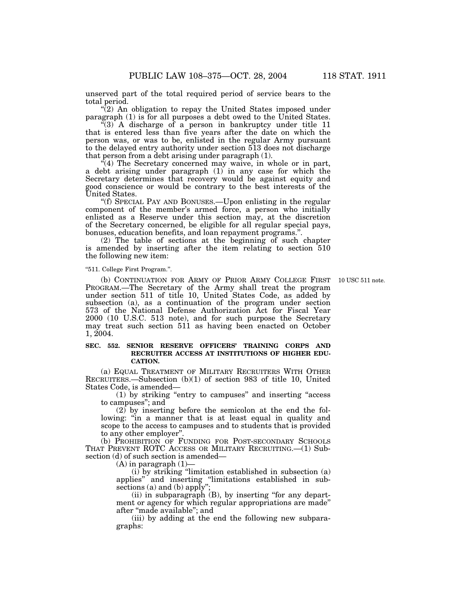unserved part of the total required period of service bears to the total period.

 $\sqrt{\ }$ (2) An obligation to repay the United States imposed under paragraph (1) is for all purposes a debt owed to the United States.

''(3) A discharge of a person in bankruptcy under title 11 that is entered less than five years after the date on which the person was, or was to be, enlisted in the regular Army pursuant to the delayed entry authority under section 513 does not discharge that person from a debt arising under paragraph (1).

''(4) The Secretary concerned may waive, in whole or in part, a debt arising under paragraph (1) in any case for which the Secretary determines that recovery would be against equity and good conscience or would be contrary to the best interests of the United States.

''(f) SPECIAL PAY AND BONUSES.—Upon enlisting in the regular component of the member's armed force, a person who initially enlisted as a Reserve under this section may, at the discretion of the Secretary concerned, be eligible for all regular special pays, bonuses, education benefits, and loan repayment programs.''.

(2) The table of sections at the beginning of such chapter is amended by inserting after the item relating to section 510 the following new item:

#### ''511. College First Program.''.

(b) CONTINUATION FOR ARMY OF PRIOR ARMY COLLEGE FIRST 10 USC 511 note. PROGRAM.—The Secretary of the Army shall treat the program under section 511 of title 10, United States Code, as added by subsection (a), as a continuation of the program under section 573 of the National Defense Authorization Act for Fiscal Year 2000 (10 U.S.C. 513 note), and for such purpose the Secretary may treat such section 511 as having been enacted on October 1, 2004.

# **SEC. 552. SENIOR RESERVE OFFICERS' TRAINING CORPS AND RECRUITER ACCESS AT INSTITUTIONS OF HIGHER EDU-CATION.**

(a) EQUAL TREATMENT OF MILITARY RECRUITERS WITH OTHER RECRUITERS.—Subsection (b)(1) of section 983 of title 10, United States Code, is amended—

(1) by striking ''entry to campuses'' and inserting ''access to campuses''; and

 $(2)$  by inserting before the semicolon at the end the following: "in a manner that is at least equal in quality and scope to the access to campuses and to students that is provided to any other employer''.

(b) PROHIBITION OF FUNDING FOR POST-SECONDARY SCHOOLS THAT PREVENT ROTC ACCESS OR MILITARY RECRUITING.—(1) Subsection (d) of such section is amended—

 $(A)$  in paragraph  $(1)$ -

(i) by striking ''limitation established in subsection (a) applies'' and inserting ''limitations established in subsections (a) and (b) apply'';

(ii) in subparagraph (B), by inserting ''for any department or agency for which regular appropriations are made'' after ''made available''; and

(iii) by adding at the end the following new subparagraphs: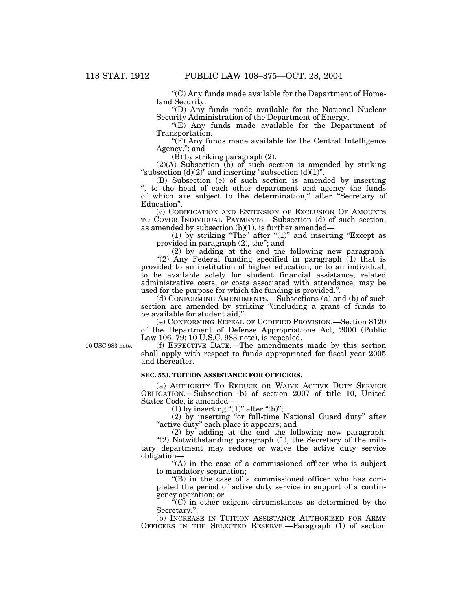''(C) Any funds made available for the Department of Homeland Security.

''(D) Any funds made available for the National Nuclear Security Administration of the Department of Energy.

" $(E)$  Any funds made available for the Department of Transportation.

 $\sqrt{\text{F}}$ ) Any funds made available for the Central Intelligence Agency.''; and

 $(B)$  by striking paragraph  $(2)$ .

 $(2)(A)$  Subsection  $(b)$  of such section is amended by striking "subsection  $(d)(2)$ " and inserting "subsection  $(d)(1)$ ".

(B) Subsection (e) of such section is amended by inserting to the head of each other department and agency the funds of which are subject to the determination,'' after ''Secretary of Education''.

(c) CODIFICATION AND EXTENSION OF EXCLUSION OF AMOUNTS TO COVER INDIVIDUAL PAYMENTS.—Subsection (d) of such section, as amended by subsection  $(b)(1)$ , is further amended—

(1) by striking "The" after " $(1)$ " and inserting "Except as provided in paragraph (2), the''; and

(2) by adding at the end the following new paragraph: "(2) Any Federal funding specified in paragraph (1) that is provided to an institution of higher education, or to an individual, to be available solely for student financial assistance, related administrative costs, or costs associated with attendance, may be used for the purpose for which the funding is provided.''.

(d) CONFORMING AMENDMENTS.—Subsections (a) and (b) of such section are amended by striking "(including a grant of funds to be available for student aid)''.

(e) CONFORMING REPEAL OF CODIFIED PROVISION.—Section 8120 of the Department of Defense Appropriations Act, 2000 (Public Law 106–79; 10 U.S.C. 983 note), is repealed.

10 USC 983 note.

(f) EFFECTIVE DATE.—The amendments made by this section shall apply with respect to funds appropriated for fiscal year 2005 and thereafter.

# **SEC. 553. TUITION ASSISTANCE FOR OFFICERS.**

(a) AUTHORITY TO REDUCE OR WAIVE ACTIVE DUTY SERVICE OBLIGATION.—Subsection (b) of section 2007 of title 10, United States Code, is amended—

(1) by inserting " $(1)$ " after " $(b)$ ";

(2) by inserting ''or full-time National Guard duty'' after "active duty" each place it appears; and

(2) by adding at the end the following new paragraph: "(2) Notwithstanding paragraph (1), the Secretary of the military department may reduce or waive the active duty service obligation—

"(A) in the case of a commissioned officer who is subject to mandatory separation;

''(B) in the case of a commissioned officer who has completed the period of active duty service in support of a contingency operation; or

 $E^{\alpha}(C)$  in other exigent circumstances as determined by the Secretary.''.

(b) INCREASE IN TUITION ASSISTANCE AUTHORIZED FOR ARMY OFFICERS IN THE SELECTED RESERVE.—Paragraph (1) of section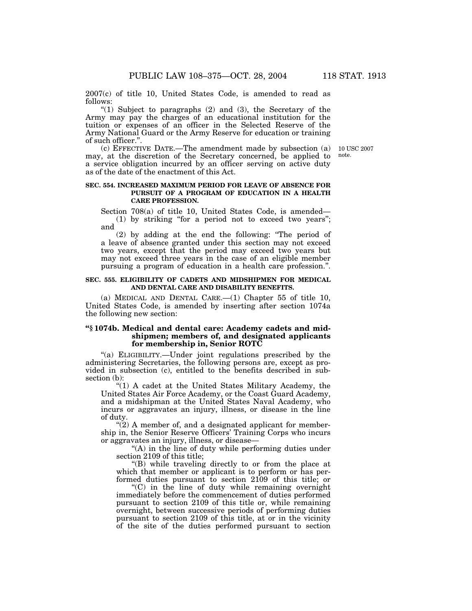2007(c) of title 10, United States Code, is amended to read as follows:

" $(1)$  Subject to paragraphs  $(2)$  and  $(3)$ , the Secretary of the Army may pay the charges of an educational institution for the tuition or expenses of an officer in the Selected Reserve of the Army National Guard or the Army Reserve for education or training of such officer.''.

note.

(c) EFFECTIVE DATE.—The amendment made by subsection (a) 10 USC 2007 may, at the discretion of the Secretary concerned, be applied to a service obligation incurred by an officer serving on active duty as of the date of the enactment of this Act.

# **SEC. 554. INCREASED MAXIMUM PERIOD FOR LEAVE OF ABSENCE FOR PURSUIT OF A PROGRAM OF EDUCATION IN A HEALTH CARE PROFESSION.**

Section 708(a) of title 10, United States Code, is amended— (1) by striking ''for a period not to exceed two years''; and

(2) by adding at the end the following: ''The period of a leave of absence granted under this section may not exceed two years, except that the period may exceed two years but may not exceed three years in the case of an eligible member pursuing a program of education in a health care profession.''.

# **SEC. 555. ELIGIBILITY OF CADETS AND MIDSHIPMEN FOR MEDICAL AND DENTAL CARE AND DISABILITY BENEFITS.**

(a) MEDICAL AND DENTAL CARE.—(1) Chapter 55 of title 10, United States Code, is amended by inserting after section 1074a the following new section:

# **''§ 1074b. Medical and dental care: Academy cadets and midshipmen; members of, and designated applicants for membership in, Senior ROTC**

''(a) ELIGIBILITY.—Under joint regulations prescribed by the administering Secretaries, the following persons are, except as provided in subsection (c), entitled to the benefits described in subsection (b):

"(1) A cadet at the United States Military Academy, the United States Air Force Academy, or the Coast Guard Academy, and a midshipman at the United States Naval Academy, who incurs or aggravates an injury, illness, or disease in the line of duty.

 $\degree$ (2) A member of, and a designated applicant for membership in, the Senior Reserve Officers' Training Corps who incurs or aggravates an injury, illness, or disease—

''(A) in the line of duty while performing duties under section 2109 of this title;

''(B) while traveling directly to or from the place at which that member or applicant is to perform or has performed duties pursuant to section 2109 of this title; or

''(C) in the line of duty while remaining overnight immediately before the commencement of duties performed pursuant to section 2109 of this title or, while remaining overnight, between successive periods of performing duties pursuant to section 2109 of this title, at or in the vicinity of the site of the duties performed pursuant to section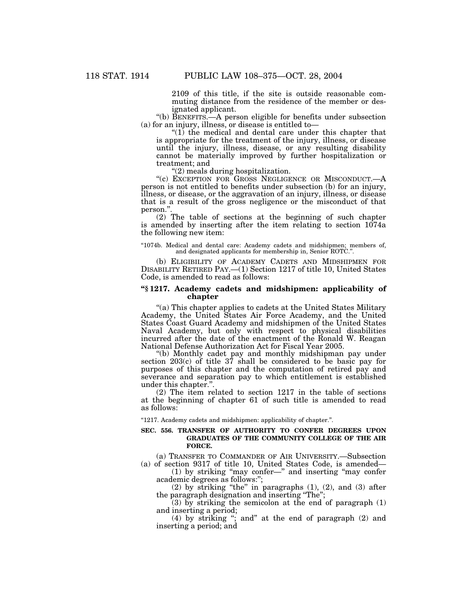2109 of this title, if the site is outside reasonable commuting distance from the residence of the member or designated applicant.

''(b) BENEFITS.—A person eligible for benefits under subsection (a) for an injury, illness, or disease is entitled to—

''(1) the medical and dental care under this chapter that is appropriate for the treatment of the injury, illness, or disease until the injury, illness, disease, or any resulting disability cannot be materially improved by further hospitalization or treatment; and

''(2) meals during hospitalization.

''(c) EXCEPTION FOR GROSS NEGLIGENCE OR MISCONDUCT.—A person is not entitled to benefits under subsection (b) for an injury, illness, or disease, or the aggravation of an injury, illness, or disease that is a result of the gross negligence or the misconduct of that person."

(2) The table of sections at the beginning of such chapter is amended by inserting after the item relating to section 1074a the following new item:

''1074b. Medical and dental care: Academy cadets and midshipmen; members of, and designated applicants for membership in, Senior ROTC.

(b) ELIGIBILITY OF ACADEMY CADETS AND MIDSHIPMEN FOR DISABILITY RETIRED PAY.—(1) Section 1217 of title 10, United States Code, is amended to read as follows:

# **''§ 1217. Academy cadets and midshipmen: applicability of chapter**

"(a) This chapter applies to cadets at the United States Military Academy, the United States Air Force Academy, and the United States Coast Guard Academy and midshipmen of the United States Naval Academy, but only with respect to physical disabilities incurred after the date of the enactment of the Ronald W. Reagan National Defense Authorization Act for Fiscal Year 2005.

''(b) Monthly cadet pay and monthly midshipman pay under section 203(c) of title 37 shall be considered to be basic pay for purposes of this chapter and the computation of retired pay and severance and separation pay to which entitlement is established under this chapter.''.

(2) The item related to section 1217 in the table of sections at the beginning of chapter 61 of such title is amended to read as follows:

''1217. Academy cadets and midshipmen: applicability of chapter.''.

#### **SEC. 556. TRANSFER OF AUTHORITY TO CONFER DEGREES UPON GRADUATES OF THE COMMUNITY COLLEGE OF THE AIR FORCE.**

(a) TRANSFER TO COMMANDER OF AIR UNIVERSITY.—Subsection (a) of section 9317 of title 10, United States Code, is amended—

(1) by striking ''may confer—'' and inserting ''may confer academic degrees as follows:'';

(2) by striking "the" in paragraphs  $(1)$ ,  $(2)$ , and  $(3)$  after the paragraph designation and inserting ''The'';

 $(3)$  by striking the semicolon at the end of paragraph  $(1)$ and inserting a period;

(4) by striking ''; and'' at the end of paragraph (2) and inserting a period; and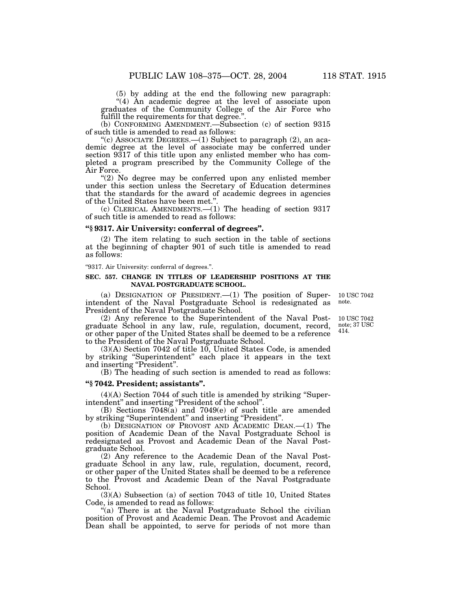(5) by adding at the end the following new paragraph: "(4) An academic degree at the level of associate upon graduates of the Community College of the Air Force who

fulfill the requirements for that degree.''.

(b) CONFORMING AMENDMENT.—Subsection (c) of section 9315 of such title is amended to read as follows:

"(c) ASSOCIATE DEGREES.— $(1)$  Subject to paragraph  $(2)$ , an academic degree at the level of associate may be conferred under section 9317 of this title upon any enlisted member who has completed a program prescribed by the Community College of the Air Force.

"(2) No degree may be conferred upon any enlisted member under this section unless the Secretary of Education determines that the standards for the award of academic degrees in agencies of the United States have been met.''.

(c) CLERICAL AMENDMENTS.—(1) The heading of section 9317 of such title is amended to read as follows:

#### **''§ 9317. Air University: conferral of degrees''.**

(2) The item relating to such section in the table of sections at the beginning of chapter 901 of such title is amended to read as follows:

''9317. Air University: conferral of degrees.''.

# **SEC. 557. CHANGE IN TITLES OF LEADERSHIP POSITIONS AT THE NAVAL POSTGRADUATE SCHOOL.**

(a) DESIGNATION OF PRESIDENT.  $-(1)$  The position of Superintendent of the Naval Postgraduate School is redesignated as President of the Naval Postgraduate School. 10 USC 7042 note.

(2) Any reference to the Superintendent of the Naval Postgraduate School in any law, rule, regulation, document, record, or other paper of the United States shall be deemed to be a reference to the President of the Naval Postgraduate School.

(3)(A) Section 7042 of title 10, United States Code, is amended by striking ''Superintendent'' each place it appears in the text and inserting "President".

(B) The heading of such section is amended to read as follows:

# **''§ 7042. President; assistants''.**

(4)(A) Section 7044 of such title is amended by striking ''Superintendent'' and inserting ''President of the school''.

(B) Sections 7048(a) and 7049(e) of such title are amended by striking "Superintendent" and inserting "President".

(b) DESIGNATION OF PROVOST AND ACADEMIC DEAN.—(1) The position of Academic Dean of the Naval Postgraduate School is redesignated as Provost and Academic Dean of the Naval Postgraduate School.

(2) Any reference to the Academic Dean of the Naval Postgraduate School in any law, rule, regulation, document, record, or other paper of the United States shall be deemed to be a reference to the Provost and Academic Dean of the Naval Postgraduate School.

(3)(A) Subsection (a) of section 7043 of title 10, United States Code, is amended to read as follows:

"(a) There is at the Naval Postgraduate School the civilian position of Provost and Academic Dean. The Provost and Academic Dean shall be appointed, to serve for periods of not more than

10 USC 7042

note; 37 USC 414.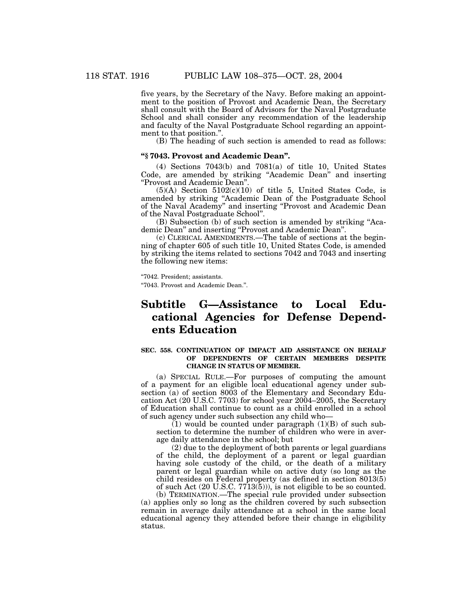five years, by the Secretary of the Navy. Before making an appointment to the position of Provost and Academic Dean, the Secretary shall consult with the Board of Advisors for the Naval Postgraduate School and shall consider any recommendation of the leadership and faculty of the Naval Postgraduate School regarding an appointment to that position.''.

(B) The heading of such section is amended to read as follows:

# **''§ 7043. Provost and Academic Dean''.**

(4) Sections 7043(b) and 7081(a) of title 10, United States Code, are amended by striking ''Academic Dean'' and inserting ''Provost and Academic Dean''.

 $(5)(A)$  Section  $5102(c)(10)$  of title 5, United States Code, is amended by striking ''Academic Dean of the Postgraduate School of the Naval Academy'' and inserting ''Provost and Academic Dean of the Naval Postgraduate School''.

(B) Subsection (b) of such section is amended by striking ''Academic Dean'' and inserting ''Provost and Academic Dean''.

(c) CLERICAL AMENDMENTS.—The table of sections at the beginning of chapter 605 of such title 10, United States Code, is amended by striking the items related to sections 7042 and 7043 and inserting the following new items:

''7042. President; assistants.

''7043. Provost and Academic Dean.''.

# **Subtitle G—Assistance to Local Educational Agencies for Defense Dependents Education**

#### **SEC. 558. CONTINUATION OF IMPACT AID ASSISTANCE ON BEHALF OF DEPENDENTS OF CERTAIN MEMBERS DESPITE CHANGE IN STATUS OF MEMBER.**

(a) SPECIAL RULE.—For purposes of computing the amount of a payment for an eligible local educational agency under subsection (a) of section 8003 of the Elementary and Secondary Education Act (20 U.S.C. 7703) for school year 2004–2005, the Secretary of Education shall continue to count as a child enrolled in a school of such agency under such subsection any child who—

 $(1)$  would be counted under paragraph  $(1)(B)$  of such subsection to determine the number of children who were in average daily attendance in the school; but

(2) due to the deployment of both parents or legal guardians of the child, the deployment of a parent or legal guardian having sole custody of the child, or the death of a military parent or legal guardian while on active duty (so long as the child resides on Federal property (as defined in section 8013(5) of such Act (20 U.S.C. 7713(5))), is not eligible to be so counted. (b) TERMINATION.—The special rule provided under subsection

(a) applies only so long as the children covered by such subsection remain in average daily attendance at a school in the same local educational agency they attended before their change in eligibility status.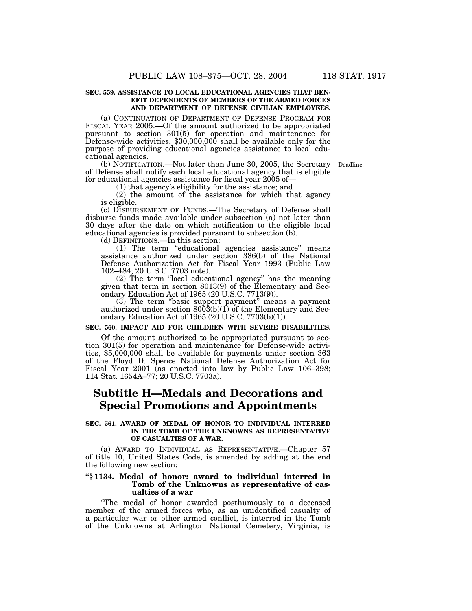#### **SEC. 559. ASSISTANCE TO LOCAL EDUCATIONAL AGENCIES THAT BEN-EFIT DEPENDENTS OF MEMBERS OF THE ARMED FORCES AND DEPARTMENT OF DEFENSE CIVILIAN EMPLOYEES.**

(a) CONTINUATION OF DEPARTMENT OF DEFENSE PROGRAM FOR FISCAL YEAR 2005.—Of the amount authorized to be appropriated pursuant to section 301(5) for operation and maintenance for Defense-wide activities, \$30,000,000 shall be available only for the purpose of providing educational agencies assistance to local educational agencies.

(b) NOTIFICATION.—Not later than June 30, 2005, the Secretary Deadline. of Defense shall notify each local educational agency that is eligible for educational agencies assistance for fiscal year 2005 of-

(1) that agency's eligibility for the assistance; and

(2) the amount of the assistance for which that agency

is eligible.

(c) DISBURSEMENT OF FUNDS.—The Secretary of Defense shall disburse funds made available under subsection (a) not later than 30 days after the date on which notification to the eligible local educational agencies is provided pursuant to subsection (b).

(d) DEFINITIONS.—In this section:

(1) The term ''educational agencies assistance'' means assistance authorized under section 386(b) of the National Defense Authorization Act for Fiscal Year 1993 (Public Law 102–484; 20 U.S.C. 7703 note).

(2) The term ''local educational agency'' has the meaning given that term in section 8013(9) of the Elementary and Secondary Education Act of 1965 (20 U.S.C. 7713(9)).

(3) The term "basic support payment" means a payment authorized under section 8003(b)(1) of the Elementary and Secondary Education Act of 1965 (20 U.S.C. 7703(b)(1)).

#### **SEC. 560. IMPACT AID FOR CHILDREN WITH SEVERE DISABILITIES.**

Of the amount authorized to be appropriated pursuant to section 301(5) for operation and maintenance for Defense-wide activities, \$5,000,000 shall be available for payments under section 363 of the Floyd D. Spence National Defense Authorization Act for Fiscal Year 2001 (as enacted into law by Public Law 106–398; 114 Stat. 1654A–77; 20 U.S.C. 7703a).

# **Subtitle H—Medals and Decorations and Special Promotions and Appointments**

# **SEC. 561. AWARD OF MEDAL OF HONOR TO INDIVIDUAL INTERRED IN THE TOMB OF THE UNKNOWNS AS REPRESENTATIVE OF CASUALTIES OF A WAR.**

(a) AWARD TO INDIVIDUAL AS REPRESENTATIVE.—Chapter 57 of title 10, United States Code, is amended by adding at the end the following new section:

# **''§ 1134. Medal of honor: award to individual interred in Tomb of the Unknowns as representative of casualties of a war**

''The medal of honor awarded posthumously to a deceased member of the armed forces who, as an unidentified casualty of a particular war or other armed conflict, is interred in the Tomb of the Unknowns at Arlington National Cemetery, Virginia, is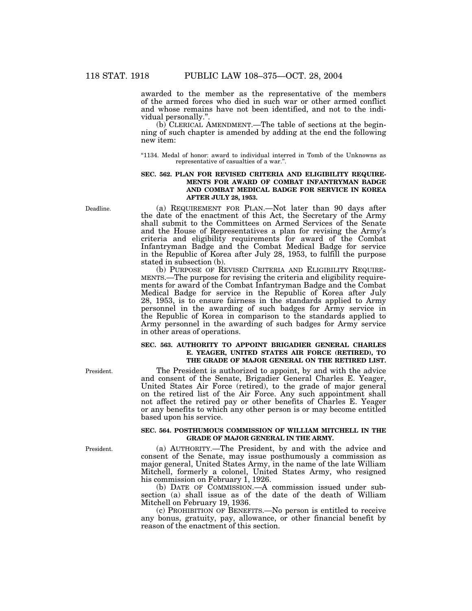awarded to the member as the representative of the members of the armed forces who died in such war or other armed conflict and whose remains have not been identified, and not to the individual personally."

(b) CLERICAL AMENDMENT.—The table of sections at the beginning of such chapter is amended by adding at the end the following new item:

''1134. Medal of honor: award to individual interred in Tomb of the Unknowns as representative of casualties of a war.''.

# **SEC. 562. PLAN FOR REVISED CRITERIA AND ELIGIBILITY REQUIRE-MENTS FOR AWARD OF COMBAT INFANTRYMAN BADGE AND COMBAT MEDICAL BADGE FOR SERVICE IN KOREA AFTER JULY 28, 1953.**

(a) REQUIREMENT FOR PLAN.—Not later than 90 days after the date of the enactment of this Act, the Secretary of the Army shall submit to the Committees on Armed Services of the Senate and the House of Representatives a plan for revising the Army's criteria and eligibility requirements for award of the Combat Infantryman Badge and the Combat Medical Badge for service in the Republic of Korea after July 28, 1953, to fulfill the purpose stated in subsection (b).

(b) PURPOSE OF REVISED CRITERIA AND ELIGIBILITY REQUIRE-MENTS.—The purpose for revising the criteria and eligibility requirements for award of the Combat Infantryman Badge and the Combat Medical Badge for service in the Republic of Korea after July 28, 1953, is to ensure fairness in the standards applied to Army personnel in the awarding of such badges for Army service in the Republic of Korea in comparison to the standards applied to Army personnel in the awarding of such badges for Army service in other areas of operations.

# **SEC. 563. AUTHORITY TO APPOINT BRIGADIER GENERAL CHARLES E. YEAGER, UNITED STATES AIR FORCE (RETIRED), TO THE GRADE OF MAJOR GENERAL ON THE RETIRED LIST.**

The President is authorized to appoint, by and with the advice and consent of the Senate, Brigadier General Charles E. Yeager, United States Air Force (retired), to the grade of major general on the retired list of the Air Force. Any such appointment shall not affect the retired pay or other benefits of Charles E. Yeager or any benefits to which any other person is or may become entitled based upon his service.

# **SEC. 564. POSTHUMOUS COMMISSION OF WILLIAM MITCHELL IN THE GRADE OF MAJOR GENERAL IN THE ARMY.**

(a) AUTHORITY.—The President, by and with the advice and consent of the Senate, may issue posthumously a commission as major general, United States Army, in the name of the late William Mitchell, formerly a colonel, United States Army, who resigned his commission on February 1, 1926.

(b) DATE OF COMMISSION.—A commission issued under subsection (a) shall issue as of the date of the death of William Mitchell on February 19, 1936.

(c) PROHIBITION OF BENEFITS.—No person is entitled to receive any bonus, gratuity, pay, allowance, or other financial benefit by reason of the enactment of this section.

Deadline.

President.

President.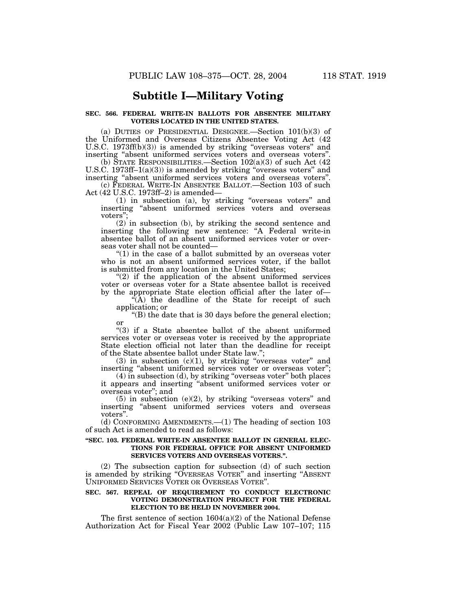# **Subtitle I—Military Voting**

## **SEC. 566. FEDERAL WRITE-IN BALLOTS FOR ABSENTEE MILITARY VOTERS LOCATED IN THE UNITED STATES.**

(a) DUTIES OF PRESIDENTIAL DESIGNEE.—Section 101(b)(3) of the Uniformed and Overseas Citizens Absentee Voting Act (42 U.S.C. 1973ff(b)(3)) is amended by striking "overseas voters" and inserting ''absent uniformed services voters and overseas voters''.

(b) STATE RESPONSIBILITIES.—Section  $102(a)(3)$  of such Act  $(42)$ U.S.C. 1973ff-1(a)(3)) is amended by striking "overseas voters" and inserting ''absent uniformed services voters and overseas voters''.

(c) FEDERAL WRITE-IN ABSENTEE BALLOT.—Section 103 of such Act (42 U.S.C. 1973ff–2) is amended—

(1) in subsection (a), by striking ''overseas voters'' and inserting ''absent uniformed services voters and overseas voters'';

(2) in subsection (b), by striking the second sentence and inserting the following new sentence: "A Federal write-in absentee ballot of an absent uniformed services voter or overseas voter shall not be counted—

" $(1)$  in the case of a ballot submitted by an overseas voter who is not an absent uniformed services voter, if the ballot is submitted from any location in the United States;

"(2) if the application of the absent uniformed services voter or overseas voter for a State absentee ballot is received by the appropriate State election official after the later of—

 $\sqrt{(\mathbf{A})}$  the deadline of the State for receipt of such application; or

 $\degree$ (B) the date that is 30 days before the general election; or

"(3) if a State absentee ballot of the absent uniformed services voter or overseas voter is received by the appropriate State election official not later than the deadline for receipt of the State absentee ballot under State law.'';

(3) in subsection  $(c)(1)$ , by striking "overseas voter" and inserting "absent uniformed services voter or overseas voter";

(4) in subsection (d), by striking ''overseas voter'' both places it appears and inserting ''absent uniformed services voter or overseas voter''; and

 $(5)$  in subsection  $(e)(2)$ , by striking "overseas voters" and inserting ''absent uniformed services voters and overseas voters''.

(d) CONFORMING AMENDMENTS.—(1) The heading of section 103 of such Act is amended to read as follows:

## **''SEC. 103. FEDERAL WRITE-IN ABSENTEE BALLOT IN GENERAL ELEC-TIONS FOR FEDERAL OFFICE FOR ABSENT UNIFORMED SERVICES VOTERS AND OVERSEAS VOTERS.''.**

(2) The subsection caption for subsection (d) of such section is amended by striking ''OVERSEAS VOTER'' and inserting ''ABSENT UNIFORMED SERVICES VOTER OR OVERSEAS VOTER''.

# **SEC. 567. REPEAL OF REQUIREMENT TO CONDUCT ELECTRONIC VOTING DEMONSTRATION PROJECT FOR THE FEDERAL ELECTION TO BE HELD IN NOVEMBER 2004.**

The first sentence of section  $1604(a)(2)$  of the National Defense Authorization Act for Fiscal Year 2002 (Public Law 107–107; 115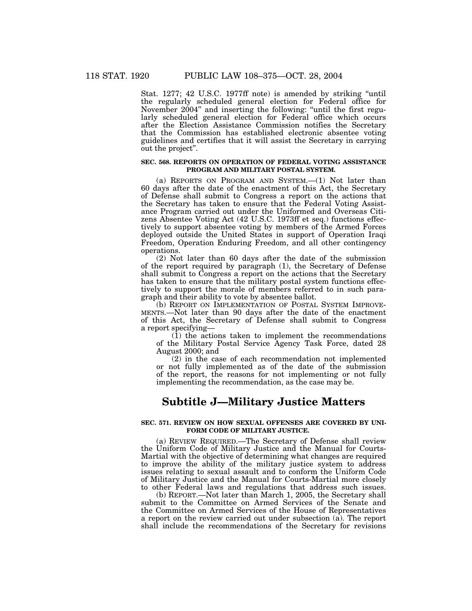Stat. 1277; 42 U.S.C. 1977ff note) is amended by striking "until the regularly scheduled general election for Federal office for November 2004'' and inserting the following: ''until the first regularly scheduled general election for Federal office which occurs after the Election Assistance Commission notifies the Secretary that the Commission has established electronic absentee voting guidelines and certifies that it will assist the Secretary in carrying out the project''.

## **SEC. 568. REPORTS ON OPERATION OF FEDERAL VOTING ASSISTANCE PROGRAM AND MILITARY POSTAL SYSTEM.**

(a) REPORTS ON PROGRAM AND SYSTEM.—(1) Not later than 60 days after the date of the enactment of this Act, the Secretary of Defense shall submit to Congress a report on the actions that the Secretary has taken to ensure that the Federal Voting Assistance Program carried out under the Uniformed and Overseas Citizens Absentee Voting Act (42 U.S.C. 1973ff et seq.) functions effectively to support absentee voting by members of the Armed Forces deployed outside the United States in support of Operation Iraqi Freedom, Operation Enduring Freedom, and all other contingency operations.

(2) Not later than 60 days after the date of the submission of the report required by paragraph (1), the Secretary of Defense shall submit to Congress a report on the actions that the Secretary has taken to ensure that the military postal system functions effectively to support the morale of members referred to in such paragraph and their ability to vote by absentee ballot.<br>
(b) REPORT ON IMPLEMENTATION OF POSTAL SYSTEM IMPROVE-

MENTS.—Not later than 90 days after the date of the enactment of this Act, the Secretary of Defense shall submit to Congress a report specifying—

(1) the actions taken to implement the recommendations of the Military Postal Service Agency Task Force, dated 28 August 2000; and

(2) in the case of each recommendation not implemented or not fully implemented as of the date of the submission of the report, the reasons for not implementing or not fully implementing the recommendation, as the case may be.

# **Subtitle J—Military Justice Matters**

## **SEC. 571. REVIEW ON HOW SEXUAL OFFENSES ARE COVERED BY UNI-FORM CODE OF MILITARY JUSTICE.**

(a) REVIEW REQUIRED.—The Secretary of Defense shall review the Uniform Code of Military Justice and the Manual for Courts-Martial with the objective of determining what changes are required to improve the ability of the military justice system to address issues relating to sexual assault and to conform the Uniform Code of Military Justice and the Manual for Courts-Martial more closely to other Federal laws and regulations that address such issues.

(b) REPORT.—Not later than March 1, 2005, the Secretary shall submit to the Committee on Armed Services of the Senate and the Committee on Armed Services of the House of Representatives a report on the review carried out under subsection (a). The report shall include the recommendations of the Secretary for revisions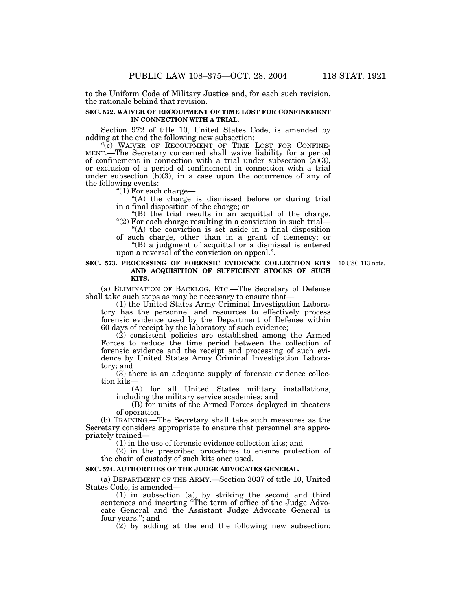to the Uniform Code of Military Justice and, for each such revision, the rationale behind that revision.

## **SEC. 572. WAIVER OF RECOUPMENT OF TIME LOST FOR CONFINEMENT IN CONNECTION WITH A TRIAL.**

Section 972 of title 10, United States Code, is amended by adding at the end the following new subsection:<br>"(c) WAIVER OF RECOUPMENT OF TIME LOST FOR CONFINE-

MENT.—The Secretary concerned shall waive liability for a period of confinement in connection with a trial under subsection  $(a)(3)$ , or exclusion of a period of confinement in connection with a trial under subsection  $(b)(3)$ , in a case upon the occurrence of any of the following events:

''(1) For each charge—

"(A) the charge is dismissed before or during trial in a final disposition of the charge; or

''(B) the trial results in an acquittal of the charge. " $(2)$  For each charge resulting in a conviction in such trial—

''(A) the conviction is set aside in a final disposition of such charge, other than in a grant of clemency; or

''(B) a judgment of acquittal or a dismissal is entered upon a reversal of the conviction on appeal.''.

### **SEC. 573. PROCESSING OF FORENSIC EVIDENCE COLLECTION KITS** 10 USC 113 note. **AND ACQUISITION OF SUFFICIENT STOCKS OF SUCH KITS.**

(a) ELIMINATION OF BACKLOG, ETC.—The Secretary of Defense shall take such steps as may be necessary to ensure that—

(1) the United States Army Criminal Investigation Laboratory has the personnel and resources to effectively process forensic evidence used by the Department of Defense within 60 days of receipt by the laboratory of such evidence;

(2) consistent policies are established among the Armed Forces to reduce the time period between the collection of forensic evidence and the receipt and processing of such evidence by United States Army Criminal Investigation Laboratory; and

 $(3)$  there is an adequate supply of forensic evidence collection kits—

(A) for all United States military installations, including the military service academies; and

(B) for units of the Armed Forces deployed in theaters of operation.

(b) TRAINING.—The Secretary shall take such measures as the Secretary considers appropriate to ensure that personnel are appropriately trained—

(1) in the use of forensic evidence collection kits; and

(2) in the prescribed procedures to ensure protection of the chain of custody of such kits once used.

# **SEC. 574. AUTHORITIES OF THE JUDGE ADVOCATES GENERAL.**

(a) DEPARTMENT OF THE ARMY.—Section 3037 of title 10, United States Code, is amended—

(1) in subsection (a), by striking the second and third sentences and inserting ''The term of office of the Judge Advocate General and the Assistant Judge Advocate General is four years.''; and

(2) by adding at the end the following new subsection: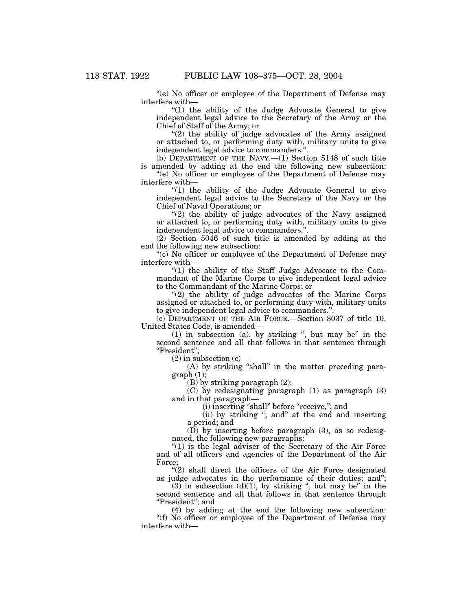''(e) No officer or employee of the Department of Defense may interfere with—

" $(1)$  the ability of the Judge Advocate General to give independent legal advice to the Secretary of the Army or the Chief of Staff of the Army; or

 $''(2)$  the ability of judge advocates of the Army assigned or attached to, or performing duty with, military units to give independent legal advice to commanders."

(b) DEPARTMENT OF THE NAVY.— $(1)$  Section 5148 of such title is amended by adding at the end the following new subsection:

''(e) No officer or employee of the Department of Defense may interfere with—

"(1) the ability of the Judge Advocate General to give independent legal advice to the Secretary of the Navy or the Chief of Naval Operations; or

" $(2)$  the ability of judge advocates of the Navy assigned or attached to, or performing duty with, military units to give independent legal advice to commanders.''.

(2) Section 5046 of such title is amended by adding at the end the following new subsection:

''(c) No officer or employee of the Department of Defense may interfere with—

" $(1)$  the ability of the Staff Judge Advocate to the Commandant of the Marine Corps to give independent legal advice to the Commandant of the Marine Corps; or

''(2) the ability of judge advocates of the Marine Corps assigned or attached to, or performing duty with, military units to give independent legal advice to commanders.''.

(c) DEPARTMENT OF THE AIR FORCE.—Section 8037 of title 10, United States Code, is amended—

 $(1)$  in subsection  $(a)$ , by striking ", but may be" in the second sentence and all that follows in that sentence through ''President'';

 $(2)$  in subsection  $(c)$ —

(A) by striking "shall" in the matter preceding para $graph (1);$ 

(B) by striking paragraph (2);

(C) by redesignating paragraph (1) as paragraph (3) and in that paragraph—

(i) inserting ''shall'' before ''receive,''; and

(ii) by striking "; and" at the end and inserting a period; and

(D) by inserting before paragraph (3), as so redesignated, the following new paragraphs:

" $(1)$  is the legal adviser of the Secretary of the Air Force and of all officers and agencies of the Department of the Air Force;

 $(2)$  shall direct the officers of the Air Force designated as judge advocates in the performance of their duties; and'';

 $(3)$  in subsection  $(d)(1)$ , by striking ", but may be" in the second sentence and all that follows in that sentence through ''President''; and

(4) by adding at the end the following new subsection: ''(f) No officer or employee of the Department of Defense may interfere with—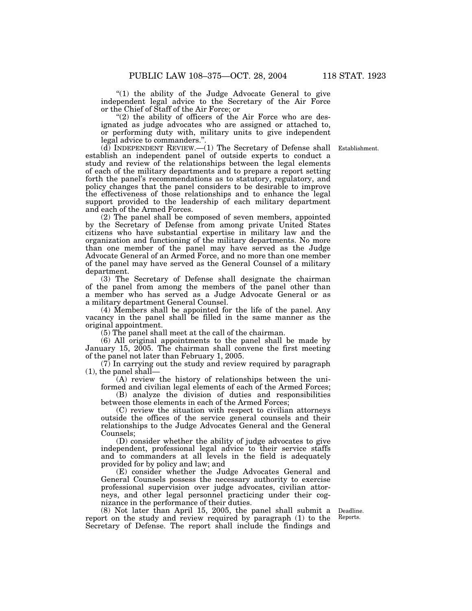"(1) the ability of the Judge Advocate General to give independent legal advice to the Secretary of the Air Force or the Chief of Staff of the Air Force; or

" $(2)$  the ability of officers of the Air Force who are designated as judge advocates who are assigned or attached to, or performing duty with, military units to give independent legal advice to commanders.''.

(d) INDEPENDENT REVIEW.—(1) The Secretary of Defense shall Establishment. establish an independent panel of outside experts to conduct a study and review of the relationships between the legal elements of each of the military departments and to prepare a report setting forth the panel's recommendations as to statutory, regulatory, and policy changes that the panel considers to be desirable to improve the effectiveness of those relationships and to enhance the legal support provided to the leadership of each military department and each of the Armed Forces.

(2) The panel shall be composed of seven members, appointed by the Secretary of Defense from among private United States citizens who have substantial expertise in military law and the organization and functioning of the military departments. No more than one member of the panel may have served as the Judge Advocate General of an Armed Force, and no more than one member of the panel may have served as the General Counsel of a military department.

(3) The Secretary of Defense shall designate the chairman of the panel from among the members of the panel other than a member who has served as a Judge Advocate General or as a military department General Counsel.

(4) Members shall be appointed for the life of the panel. Any vacancy in the panel shall be filled in the same manner as the original appointment.

(5) The panel shall meet at the call of the chairman.

(6) All original appointments to the panel shall be made by January 15, 2005. The chairman shall convene the first meeting of the panel not later than February 1, 2005.

 $(7)$  In carrying out the study and review required by paragraph (1), the panel shall—

(A) review the history of relationships between the uniformed and civilian legal elements of each of the Armed Forces;

(B) analyze the division of duties and responsibilities between those elements in each of the Armed Forces;

(C) review the situation with respect to civilian attorneys outside the offices of the service general counsels and their relationships to the Judge Advocates General and the General Counsels;

(D) consider whether the ability of judge advocates to give independent, professional legal advice to their service staffs and to commanders at all levels in the field is adequately provided for by policy and law; and

(E) consider whether the Judge Advocates General and General Counsels possess the necessary authority to exercise professional supervision over judge advocates, civilian attorneys, and other legal personnel practicing under their cognizance in the performance of their duties.

(8) Not later than April 15, 2005, the panel shall submit a report on the study and review required by paragraph (1) to the Secretary of Defense. The report shall include the findings and

Deadline. Reports.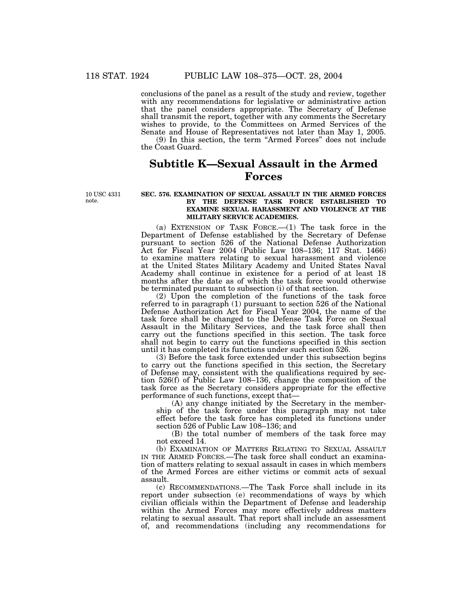conclusions of the panel as a result of the study and review, together with any recommendations for legislative or administrative action that the panel considers appropriate. The Secretary of Defense shall transmit the report, together with any comments the Secretary wishes to provide, to the Committees on Armed Services of the Senate and House of Representatives not later than May 1, 2005. (9) In this section, the term ''Armed Forces'' does not include the Coast Guard.

**Subtitle K—Sexual Assault in the Armed Forces**

10 USC 4331 note.

## **SEC. 576. EXAMINATION OF SEXUAL ASSAULT IN THE ARMED FORCES BY THE DEFENSE TASK FORCE ESTABLISHED TO EXAMINE SEXUAL HARASSMENT AND VIOLENCE AT THE MILITARY SERVICE ACADEMIES.**

(a) EXTENSION OF TASK FORCE.—(1) The task force in the Department of Defense established by the Secretary of Defense pursuant to section 526 of the National Defense Authorization Act for Fiscal Year 2004 (Public Law 108–136; 117 Stat. 1466) to examine matters relating to sexual harassment and violence at the United States Military Academy and United States Naval Academy shall continue in existence for a period of at least 18 months after the date as of which the task force would otherwise be terminated pursuant to subsection (i) of that section.

(2) Upon the completion of the functions of the task force referred to in paragraph (1) pursuant to section 526 of the National Defense Authorization Act for Fiscal Year 2004, the name of the task force shall be changed to the Defense Task Force on Sexual Assault in the Military Services, and the task force shall then carry out the functions specified in this section. The task force shall not begin to carry out the functions specified in this section until it has completed its functions under such section 526.

(3) Before the task force extended under this subsection begins to carry out the functions specified in this section, the Secretary of Defense may, consistent with the qualifications required by section 526(f) of Public Law 108–136, change the composition of the task force as the Secretary considers appropriate for the effective performance of such functions, except that—

(A) any change initiated by the Secretary in the membership of the task force under this paragraph may not take effect before the task force has completed its functions under section 526 of Public Law 108–136; and

(B) the total number of members of the task force may not exceed 14.

(b) EXAMINATION OF MATTERS RELATING TO SEXUAL ASSAULT IN THE ARMED FORCES.—The task force shall conduct an examination of matters relating to sexual assault in cases in which members of the Armed Forces are either victims or commit acts of sexual assault.

(c) RECOMMENDATIONS.—The Task Force shall include in its report under subsection (e) recommendations of ways by which civilian officials within the Department of Defense and leadership within the Armed Forces may more effectively address matters relating to sexual assault. That report shall include an assessment of, and recommendations (including any recommendations for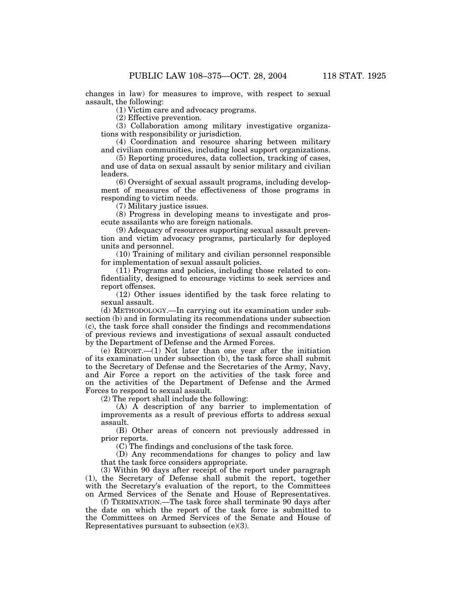changes in law) for measures to improve, with respect to sexual assault, the following:

(1) Victim care and advocacy programs.

(2) Effective prevention.

(3) Collaboration among military investigative organizations with responsibility or jurisdiction.

(4) Coordination and resource sharing between military and civilian communities, including local support organizations.

(5) Reporting procedures, data collection, tracking of cases, and use of data on sexual assault by senior military and civilian leaders.

(6) Oversight of sexual assault programs, including development of measures of the effectiveness of those programs in responding to victim needs.

(7) Military justice issues.

(8) Progress in developing means to investigate and prosecute assailants who are foreign nationals.

(9) Adequacy of resources supporting sexual assault prevention and victim advocacy programs, particularly for deployed units and personnel.

(10) Training of military and civilian personnel responsible for implementation of sexual assault policies.

(11) Programs and policies, including those related to confidentiality, designed to encourage victims to seek services and report offenses.

(12) Other issues identified by the task force relating to sexual assault.

(d) METHODOLOGY.—In carrying out its examination under subsection (b) and in formulating its recommendations under subsection (c), the task force shall consider the findings and recommendations of previous reviews and investigations of sexual assault conducted by the Department of Defense and the Armed Forces.

(e) REPORT.—(1) Not later than one year after the initiation of its examination under subsection (b), the task force shall submit to the Secretary of Defense and the Secretaries of the Army, Navy, and Air Force a report on the activities of the task force and on the activities of the Department of Defense and the Armed Forces to respond to sexual assault.

(2) The report shall include the following:

 $(A)$   $\hat{A}$  description of any barrier to implementation of improvements as a result of previous efforts to address sexual assault.

(B) Other areas of concern not previously addressed in prior reports.

(C) The findings and conclusions of the task force.

(D) Any recommendations for changes to policy and law that the task force considers appropriate.

(3) Within 90 days after receipt of the report under paragraph (1), the Secretary of Defense shall submit the report, together with the Secretary's evaluation of the report, to the Committees on Armed Services of the Senate and House of Representatives.

(f) TERMINATION.—The task force shall terminate 90 days after the date on which the report of the task force is submitted to the Committees on Armed Services of the Senate and House of Representatives pursuant to subsection (e)(3).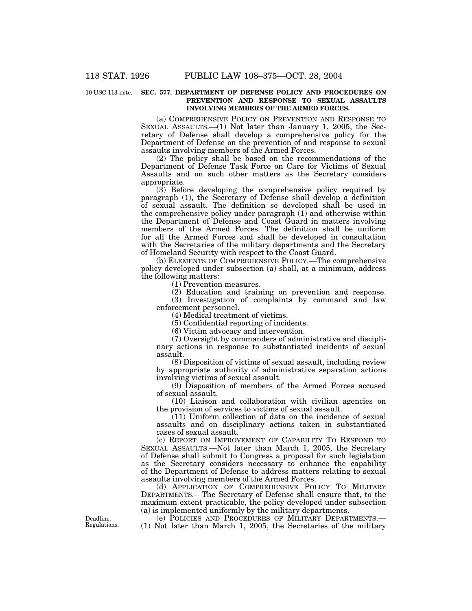#### 10 USC 113 note. SEC. 577. DEPARTMENT OF DEFENSE POLICY AND PROCEDURES ON **PREVENTION AND RESPONSE TO SEXUAL ASSAULTS INVOLVING MEMBERS OF THE ARMED FORCES.**

(a) COMPREHENSIVE POLICY ON PREVENTION AND RESPONSE TO SEXUAL ASSAULTS.—(1) Not later than January 1, 2005, the Secretary of Defense shall develop a comprehensive policy for the Department of Defense on the prevention of and response to sexual assaults involving members of the Armed Forces.

(2) The policy shall be based on the recommendations of the Department of Defense Task Force on Care for Victims of Sexual Assaults and on such other matters as the Secretary considers appropriate.

(3) Before developing the comprehensive policy required by paragraph (1), the Secretary of Defense shall develop a definition of sexual assault. The definition so developed shall be used in the comprehensive policy under paragraph (1) and otherwise within the Department of Defense and Coast Guard in matters involving members of the Armed Forces. The definition shall be uniform for all the Armed Forces and shall be developed in consultation with the Secretaries of the military departments and the Secretary of Homeland Security with respect to the Coast Guard.

(b) ELEMENTS OF COMPREHENSIVE POLICY.—The comprehensive policy developed under subsection (a) shall, at a minimum, address the following matters:

(1) Prevention measures.

(2) Education and training on prevention and response.

(3) Investigation of complaints by command and law

enforcement personnel.

(4) Medical treatment of victims.

(5) Confidential reporting of incidents.

(6) Victim advocacy and intervention.

(7) Oversight by commanders of administrative and disciplinary actions in response to substantiated incidents of sexual assault.

(8) Disposition of victims of sexual assault, including review by appropriate authority of administrative separation actions involving victims of sexual assault.

(9) Disposition of members of the Armed Forces accused of sexual assault.

(10) Liaison and collaboration with civilian agencies on the provision of services to victims of sexual assault.

(11) Uniform collection of data on the incidence of sexual assaults and on disciplinary actions taken in substantiated cases of sexual assault.

(c) REPORT ON IMPROVEMENT OF CAPABILITY TO RESPOND TO SEXUAL ASSAULTS.—Not later than March 1, 2005, the Secretary of Defense shall submit to Congress a proposal for such legislation as the Secretary considers necessary to enhance the capability of the Department of Defense to address matters relating to sexual assaults involving members of the Armed Forces.

(d) APPLICATION OF COMPREHENSIVE POLICY TO MILITARY DEPARTMENTS.—The Secretary of Defense shall ensure that, to the maximum extent practicable, the policy developed under subsection (a) is implemented uniformly by the military departments.

(e) POLICIES AND PROCEDURES OF MILITARY DEPARTMENTS.— (1) Not later than March 1, 2005, the Secretaries of the military

Deadline. Regulations.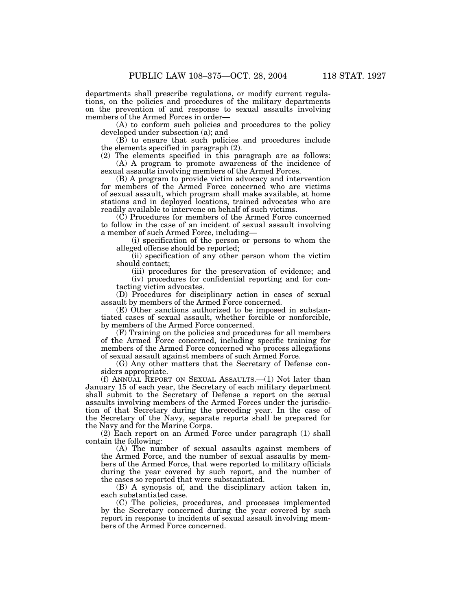departments shall prescribe regulations, or modify current regulations, on the policies and procedures of the military departments on the prevention of and response to sexual assaults involving members of the Armed Forces in order—

(A) to conform such policies and procedures to the policy developed under subsection (a); and

(B) to ensure that such policies and procedures include the elements specified in paragraph (2).

(2) The elements specified in this paragraph are as follows: (A) A program to promote awareness of the incidence of sexual assaults involving members of the Armed Forces.

(B) A program to provide victim advocacy and intervention for members of the Armed Force concerned who are victims of sexual assault, which program shall make available, at home stations and in deployed locations, trained advocates who are readily available to intervene on behalf of such victims.

(C) Procedures for members of the Armed Force concerned to follow in the case of an incident of sexual assault involving a member of such Armed Force, including—

(i) specification of the person or persons to whom the alleged offense should be reported;

(ii) specification of any other person whom the victim should contact;

(iii) procedures for the preservation of evidence; and (iv) procedures for confidential reporting and for contacting victim advocates.

(D) Procedures for disciplinary action in cases of sexual assault by members of the Armed Force concerned.

(E) Other sanctions authorized to be imposed in substantiated cases of sexual assault, whether forcible or nonforcible, by members of the Armed Force concerned.

(F) Training on the policies and procedures for all members of the Armed Force concerned, including specific training for members of the Armed Force concerned who process allegations of sexual assault against members of such Armed Force.

(G) Any other matters that the Secretary of Defense considers appropriate.

(f) ANNUAL REPORT ON SEXUAL ASSAULTS.—(1) Not later than January 15 of each year, the Secretary of each military department shall submit to the Secretary of Defense a report on the sexual assaults involving members of the Armed Forces under the jurisdiction of that Secretary during the preceding year. In the case of the Secretary of the Navy, separate reports shall be prepared for the Navy and for the Marine Corps.

(2) Each report on an Armed Force under paragraph (1) shall contain the following:

(A) The number of sexual assaults against members of the Armed Force, and the number of sexual assaults by members of the Armed Force, that were reported to military officials during the year covered by such report, and the number of the cases so reported that were substantiated.

(B) A synopsis of, and the disciplinary action taken in, each substantiated case.

(C) The policies, procedures, and processes implemented by the Secretary concerned during the year covered by such report in response to incidents of sexual assault involving members of the Armed Force concerned.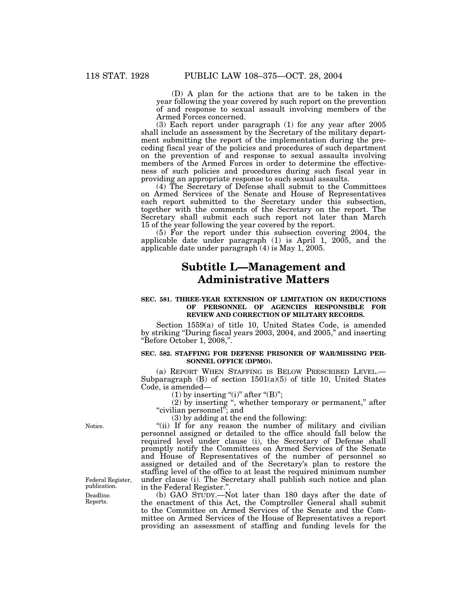(D) A plan for the actions that are to be taken in the year following the year covered by such report on the prevention of and response to sexual assault involving members of the Armed Forces concerned.

(3) Each report under paragraph (1) for any year after 2005 shall include an assessment by the Secretary of the military department submitting the report of the implementation during the preceding fiscal year of the policies and procedures of such department on the prevention of and response to sexual assaults involving members of the Armed Forces in order to determine the effectiveness of such policies and procedures during such fiscal year in providing an appropriate response to such sexual assaults.

(4) The Secretary of Defense shall submit to the Committees on Armed Services of the Senate and House of Representatives each report submitted to the Secretary under this subsection, together with the comments of the Secretary on the report. The Secretary shall submit each such report not later than March 15 of the year following the year covered by the report.

(5) For the report under this subsection covering 2004, the applicable date under paragraph (1) is April 1, 2005, and the applicable date under paragraph (4) is May 1, 2005.

# **Subtitle L—Management and Administrative Matters**

## **SEC. 581. THREE-YEAR EXTENSION OF LIMITATION ON REDUCTIONS OF PERSONNEL OF AGENCIES RESPONSIBLE FOR REVIEW AND CORRECTION OF MILITARY RECORDS.**

Section 1559(a) of title 10, United States Code, is amended by striking ''During fiscal years 2003, 2004, and 2005,'' and inserting ''Before October 1, 2008,''.

## **SEC. 582. STAFFING FOR DEFENSE PRISONER OF WAR/MISSING PER-SONNEL OFFICE (DPMO).**

(a) REPORT WHEN STAFFING IS BELOW PRESCRIBED LEVEL.— Subparagraph (B) of section 1501(a)(5) of title 10, United States Code, is amended—

 $(1)$  by inserting "(i)" after "(B)";

(2) by inserting ", whether temporary or permanent," after ''civilian personnel''; and

(3) by adding at the end the following:

"(ii) If for any reason the number of military and civilian personnel assigned or detailed to the office should fall below the required level under clause (i), the Secretary of Defense shall promptly notify the Committees on Armed Services of the Senate and House of Representatives of the number of personnel so assigned or detailed and of the Secretary's plan to restore the staffing level of the office to at least the required minimum number under clause (i). The Secretary shall publish such notice and plan in the Federal Register.''.

(b) GAO STUDY.—Not later than 180 days after the date of the enactment of this Act, the Comptroller General shall submit to the Committee on Armed Services of the Senate and the Committee on Armed Services of the House of Representatives a report providing an assessment of staffing and funding levels for the

Notice.

Deadline. Reports. Federal Register, publication.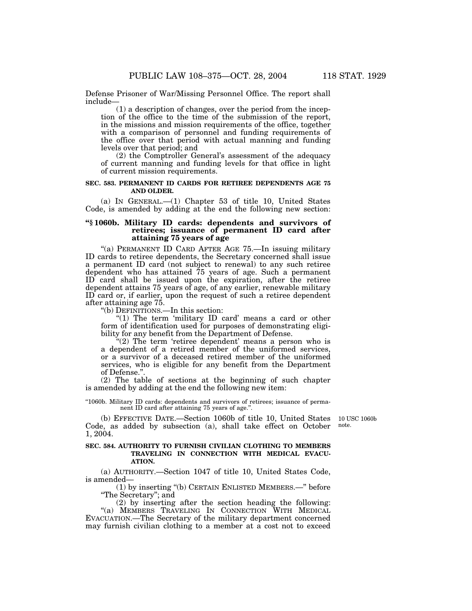Defense Prisoner of War/Missing Personnel Office. The report shall include—

(1) a description of changes, over the period from the inception of the office to the time of the submission of the report, in the missions and mission requirements of the office, together with a comparison of personnel and funding requirements of the office over that period with actual manning and funding levels over that period; and

(2) the Comptroller General's assessment of the adequacy of current manning and funding levels for that office in light of current mission requirements.

## **SEC. 583. PERMANENT ID CARDS FOR RETIREE DEPENDENTS AGE 75 AND OLDER.**

(a) IN GENERAL.—(1) Chapter 53 of title 10, United States Code, is amended by adding at the end the following new section:

# **''§ 1060b. Military ID cards: dependents and survivors of retirees; issuance of permanent ID card after attaining 75 years of age**

''(a) PERMANENT ID CARD AFTER AGE 75.—In issuing military ID cards to retiree dependents, the Secretary concerned shall issue a permanent ID card (not subject to renewal) to any such retiree dependent who has attained 75 years of age. Such a permanent ID card shall be issued upon the expiration, after the retiree dependent attains 75 years of age, of any earlier, renewable military ID card or, if earlier, upon the request of such a retiree dependent after attaining age 75.

''(b) DEFINITIONS.—In this section:

"(1) The term 'military ID card' means a card or other form of identification used for purposes of demonstrating eligibility for any benefit from the Department of Defense.

"(2) The term 'retiree dependent' means a person who is a dependent of a retired member of the uniformed services, or a survivor of a deceased retired member of the uniformed services, who is eligible for any benefit from the Department of Defense."

(2) The table of sections at the beginning of such chapter is amended by adding at the end the following new item:

''1060b. Military ID cards: dependents and survivors of retirees; issuance of permanent ID card after attaining 75 years of age.''.

(b) EFFECTIVE DATE.—Section 1060b of title 10, United States 10 USC 1060b Code, as added by subsection (a), shall take effect on October note. 1, 2004.

# **SEC. 584. AUTHORITY TO FURNISH CIVILIAN CLOTHING TO MEMBERS TRAVELING IN CONNECTION WITH MEDICAL EVACU-ATION.**

(a) AUTHORITY.—Section 1047 of title 10, United States Code, is amended—

(1) by inserting ''(b) CERTAIN ENLISTED MEMBERS.—'' before ''The Secretary''; and

(2) by inserting after the section heading the following: "(a) MEMBERS TRAVELING IN CONNECTION WITH MEDICAL EVACUATION.—The Secretary of the military department concerned may furnish civilian clothing to a member at a cost not to exceed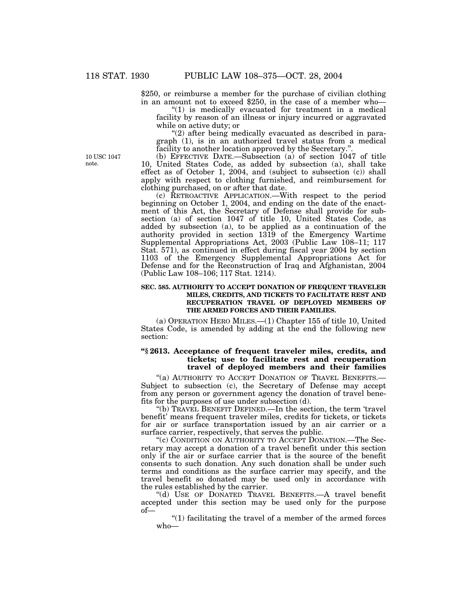\$250, or reimburse a member for the purchase of civilian clothing in an amount not to exceed \$250, in the case of a member who—

" $(1)$  is medically evacuated for treatment in a medical facility by reason of an illness or injury incurred or aggravated while on active duty; or

''(2) after being medically evacuated as described in paragraph (1), is in an authorized travel status from a medical facility to another location approved by the Secretary."

(b) EFFECTIVE DATE.—Subsection (a) of section 1047 of title 10, United States Code, as added by subsection (a), shall take effect as of October 1, 2004, and (subject to subsection (c)) shall apply with respect to clothing furnished, and reimbursement for clothing purchased, on or after that date.

(c) RETROACTIVE APPLICATION.—With respect to the period beginning on October 1, 2004, and ending on the date of the enactment of this Act, the Secretary of Defense shall provide for subsection (a) of section 1047 of title 10, United States Code, as added by subsection (a), to be applied as a continuation of the authority provided in section 1319 of the Emergency Wartime Supplemental Appropriations Act, 2003 (Public Law 108–11; 117 Stat. 571), as continued in effect during fiscal year 2004 by section 1103 of the Emergency Supplemental Appropriations Act for Defense and for the Reconstruction of Iraq and Afghanistan, 2004 (Public Law 108–106; 117 Stat. 1214).

## **SEC. 585. AUTHORITY TO ACCEPT DONATION OF FREQUENT TRAVELER MILES, CREDITS, AND TICKETS TO FACILITATE REST AND RECUPERATION TRAVEL OF DEPLOYED MEMBERS OF THE ARMED FORCES AND THEIR FAMILIES.**

(a) OPERATION HERO MILES.—(1) Chapter 155 of title 10, United States Code, is amended by adding at the end the following new section:

# **''§ 2613. Acceptance of frequent traveler miles, credits, and tickets; use to facilitate rest and recuperation travel of deployed members and their families**

"(a) AUTHORITY TO ACCEPT DONATION OF TRAVEL BENEFITS.-Subject to subsection (c), the Secretary of Defense may accept from any person or government agency the donation of travel benefits for the purposes of use under subsection (d).

''(b) TRAVEL BENEFIT DEFINED.—In the section, the term 'travel benefit' means frequent traveler miles, credits for tickets, or tickets for air or surface transportation issued by an air carrier or a surface carrier, respectively, that serves the public.

"(c) CONDITION ON AUTHORITY TO ACCEPT DONATION.—The Secretary may accept a donation of a travel benefit under this section only if the air or surface carrier that is the source of the benefit consents to such donation. Any such donation shall be under such terms and conditions as the surface carrier may specify, and the travel benefit so donated may be used only in accordance with the rules established by the carrier.

''(d) USE OF DONATED TRAVEL BENEFITS.—A travel benefit accepted under this section may be used only for the purpose of—

"(1) facilitating the travel of a member of the armed forces who—

10 USC 1047 note.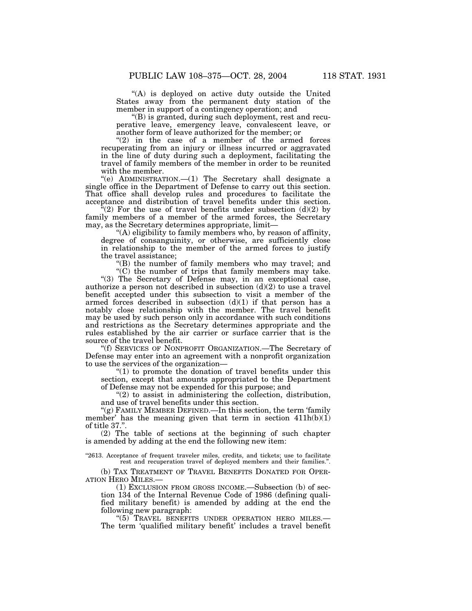"(A) is deployed on active duty outside the United States away from the permanent duty station of the member in support of a contingency operation; and

''(B) is granted, during such deployment, rest and recuperative leave, emergency leave, convalescent leave, or another form of leave authorized for the member; or

" $(2)$  in the case of a member of the armed forces recuperating from an injury or illness incurred or aggravated in the line of duty during such a deployment, facilitating the travel of family members of the member in order to be reunited with the member.

''(e) ADMINISTRATION.—(1) The Secretary shall designate a single office in the Department of Defense to carry out this section. That office shall develop rules and procedures to facilitate the acceptance and distribution of travel benefits under this section.

 $\sqrt[4]{(2)}$  For the use of travel benefits under subsection (d)(2) by family members of a member of the armed forces, the Secretary may, as the Secretary determines appropriate, limit—

"(A) eligibility to family members who, by reason of affinity, degree of consanguinity, or otherwise, are sufficiently close in relationship to the member of the armed forces to justify the travel assistance;

''(B) the number of family members who may travel; and  $(C)$  the number of trips that family members may take.

"(3) The Secretary of Defense may, in an exceptional case, authorize a person not described in subsection  $(d)(2)$  to use a travel benefit accepted under this subsection to visit a member of the armed forces described in subsection  $(d)(1)$  if that person has a notably close relationship with the member. The travel benefit may be used by such person only in accordance with such conditions and restrictions as the Secretary determines appropriate and the rules established by the air carrier or surface carrier that is the source of the travel benefit.

''(f) SERVICES OF NONPROFIT ORGANIZATION.—The Secretary of Defense may enter into an agreement with a nonprofit organization to use the services of the organization—

"(1) to promote the donation of travel benefits under this section, except that amounts appropriated to the Department of Defense may not be expended for this purpose; and

 $(2)$  to assist in administering the collection, distribution, and use of travel benefits under this section.

"(g) FAMILY MEMBER DEFINED.—In this section, the term 'family member' has the meaning given that term in section 411h(b)(1) of title 37.''.

(2) The table of sections at the beginning of such chapter is amended by adding at the end the following new item:

"2613. Acceptance of frequent traveler miles, credits, and tickets; use to facilitate rest and recuperation travel of deployed members and their families.''.

(b) TAX TREATMENT OF TRAVEL BENEFITS DONATED FOR OPERATION HERO MILES.—

 $(1)$  Exclusion FROM GROSS INCOME.—Subsection  $(b)$  of section 134 of the Internal Revenue Code of 1986 (defining qualified military benefit) is amended by adding at the end the

following new paragraph:<br>"(5) TRAVEL BENEFITS UNDER OPERATION HERO MILES.— The term 'qualified military benefit' includes a travel benefit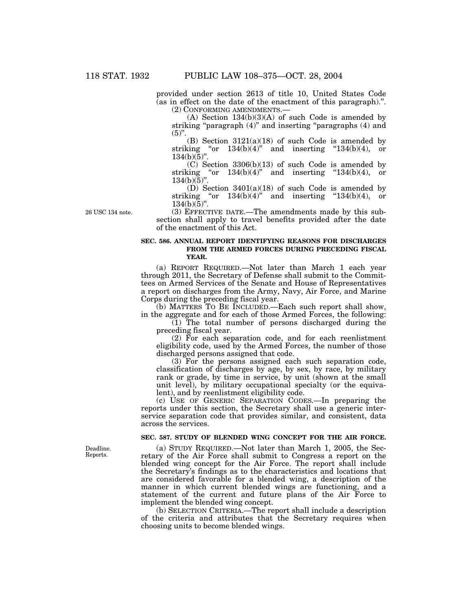provided under section 2613 of title 10, United States Code (as in effect on the date of the enactment of this paragraph).''. (2) CONFORMING AMENDMENTS.—

 $(A)$  Section 134 $(b)(3)(A)$  of such Code is amended by striking "paragraph  $(4)$ " and inserting "paragraphs  $(4)$  and  $(5)$ ".

 $(B)$  Section 3121(a)(18) of such Code is amended by striking "or  $134(b)(4)$ " and inserting " $134(b)(4)$ , or  $134(b)(\overline{5})"$ .

(C) Section 3306(b)(13) of such Code is amended by striking "or  $134(b)(4)$ " and inserting " $134(b)(4)$ , or  $134(b)(5)$ ".

(D) Section 3401(a)(18) of such Code is amended by striking "or  $134(b)(4)$ " and inserting " $134(b)(4)$ , or  $134(b)(5)$ ".

26 USC 134 note.

# (3) EFFECTIVE DATE.—The amendments made by this subsection shall apply to travel benefits provided after the date of the enactment of this Act.

# **SEC. 586. ANNUAL REPORT IDENTIFYING REASONS FOR DISCHARGES FROM THE ARMED FORCES DURING PRECEDING FISCAL YEAR.**

(a) REPORT REQUIRED.—Not later than March 1 each year through 2011, the Secretary of Defense shall submit to the Committees on Armed Services of the Senate and House of Representatives a report on discharges from the Army, Navy, Air Force, and Marine Corps during the preceding fiscal year.

(b) MATTERS TO BE INCLUDED.—Each such report shall show, in the aggregate and for each of those Armed Forces, the following:

 $(1)$  The total number of persons discharged during the preceding fiscal year.

(2) For each separation code, and for each reenlistment eligibility code, used by the Armed Forces, the number of those discharged persons assigned that code.

(3) For the persons assigned each such separation code, classification of discharges by age, by sex, by race, by military rank or grade, by time in service, by unit (shown at the small unit level), by military occupational specialty (or the equivalent), and by reenlistment eligibility code.

(c) USE OF GENERIC SEPARATION CODES.—In preparing the reports under this section, the Secretary shall use a generic interservice separation code that provides similar, and consistent, data across the services.

# **SEC. 587. STUDY OF BLENDED WING CONCEPT FOR THE AIR FORCE.**

(a) STUDY REQUIRED.—Not later than March 1, 2005, the Secretary of the Air Force shall submit to Congress a report on the blended wing concept for the Air Force. The report shall include the Secretary's findings as to the characteristics and locations that are considered favorable for a blended wing, a description of the manner in which current blended wings are functioning, and a statement of the current and future plans of the Air Force to implement the blended wing concept.

(b) SELECTION CRITERIA.—The report shall include a description of the criteria and attributes that the Secretary requires when choosing units to become blended wings.

Deadline. Reports.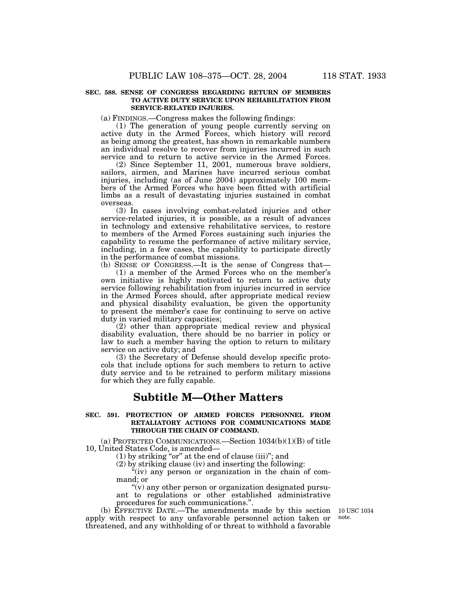## **SEC. 588. SENSE OF CONGRESS REGARDING RETURN OF MEMBERS TO ACTIVE DUTY SERVICE UPON REHABILITATION FROM SERVICE-RELATED INJURIES.**

(a) FINDINGS.—Congress makes the following findings:

(1) The generation of young people currently serving on active duty in the Armed Forces, which history will record as being among the greatest, has shown in remarkable numbers an individual resolve to recover from injuries incurred in such service and to return to active service in the Armed Forces.

(2) Since September 11, 2001, numerous brave soldiers, sailors, airmen, and Marines have incurred serious combat injuries, including (as of June 2004) approximately 100 members of the Armed Forces who have been fitted with artificial limbs as a result of devastating injuries sustained in combat overseas.

(3) In cases involving combat-related injuries and other service-related injuries, it is possible, as a result of advances in technology and extensive rehabilitative services, to restore to members of the Armed Forces sustaining such injuries the capability to resume the performance of active military service, including, in a few cases, the capability to participate directly in the performance of combat missions.

(b) SENSE OF CONGRESS.—It is the sense of Congress that— (1) a member of the Armed Forces who on the member's own initiative is highly motivated to return to active duty service following rehabilitation from injuries incurred in service in the Armed Forces should, after appropriate medical review and physical disability evaluation, be given the opportunity to present the member's case for continuing to serve on active duty in varied military capacities;

(2) other than appropriate medical review and physical disability evaluation, there should be no barrier in policy or law to such a member having the option to return to military service on active duty; and

(3) the Secretary of Defense should develop specific protocols that include options for such members to return to active duty service and to be retrained to perform military missions for which they are fully capable.

# **Subtitle M—Other Matters**

# **SEC. 591. PROTECTION OF ARMED FORCES PERSONNEL FROM RETALIATORY ACTIONS FOR COMMUNICATIONS MADE THROUGH THE CHAIN OF COMMAND.**

(a) PROTECTED COMMUNICATIONS.—Section 1034(b)(1)(B) of title 10, United States Code, is amended—

(1) by striking ''or'' at the end of clause (iii)''; and

(2) by striking clause (iv) and inserting the following:

"(iv) any person or organization in the chain of command; or

''(v) any other person or organization designated pursuant to regulations or other established administrative procedures for such communications.''.

(b) EFFECTIVE DATE.—The amendments made by this section apply with respect to any unfavorable personnel action taken or threatened, and any withholding of or threat to withhold a favorable

10 USC 1034 note.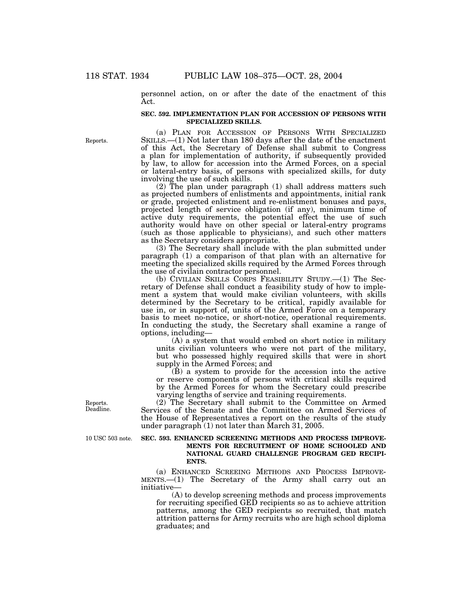personnel action, on or after the date of the enactment of this Act.

## **SEC. 592. IMPLEMENTATION PLAN FOR ACCESSION OF PERSONS WITH SPECIALIZED SKILLS.**

(a) PLAN FOR ACCESSION OF PERSONS WITH SPECIALIZED SKILLS.—(1) Not later than 180 days after the date of the enactment of this Act, the Secretary of Defense shall submit to Congress a plan for implementation of authority, if subsequently provided by law, to allow for accession into the Armed Forces, on a special or lateral-entry basis, of persons with specialized skills, for duty involving the use of such skills.

(2) The plan under paragraph (1) shall address matters such as projected numbers of enlistments and appointments, initial rank or grade, projected enlistment and re-enlistment bonuses and pays, projected length of service obligation (if any), minimum time of active duty requirements, the potential effect the use of such authority would have on other special or lateral-entry programs (such as those applicable to physicians), and such other matters as the Secretary considers appropriate.

(3) The Secretary shall include with the plan submitted under paragraph (1) a comparison of that plan with an alternative for meeting the specialized skills required by the Armed Forces through the use of civilain contractor personnel.

(b) CIVILIAN SKILLS CORPS FEASIBILITY STUDY.—(1) The Secretary of Defense shall conduct a feasibility study of how to implement a system that would make civilian volunteers, with skills determined by the Secretary to be critical, rapidly available for use in, or in support of, units of the Armed Force on a temporary basis to meet no-notice, or short-notice, operational requirements. In conducting the study, the Secretary shall examine a range of options, including—

(A) a system that would embed on short notice in military units civilian volunteers who were not part of the military, but who possessed highly required skills that were in short supply in the Armed Forces; and

(B) a system to provide for the accession into the active or reserve components of persons with critical skills required by the Armed Forces for whom the Secretary could prescribe varying lengths of service and training requirements.

(2) The Secretary shall submit to the Committee on Armed Services of the Senate and the Committee on Armed Services of the House of Representatives a report on the results of the study under paragraph (1) not later than March 31, 2005.

10 USC 503 note.

## **SEC. 593. ENHANCED SCREENING METHODS AND PROCESS IMPROVE-MENTS FOR RECRUITMENT OF HOME SCHOOLED AND NATIONAL GUARD CHALLENGE PROGRAM GED RECIPI-ENTS.**

(a) ENHANCED SCREEING METHODS AND PROCESS IMPROVE- MENTS.—(1) The Secretary of the Army shall carry out an initiative—

(A) to develop screening methods and process improvements for recruiting specified GED recipients so as to achieve attrition patterns, among the GED recipients so recruited, that match attrition patterns for Army recruits who are high school diploma graduates; and

Reports. Deadline.

Reports.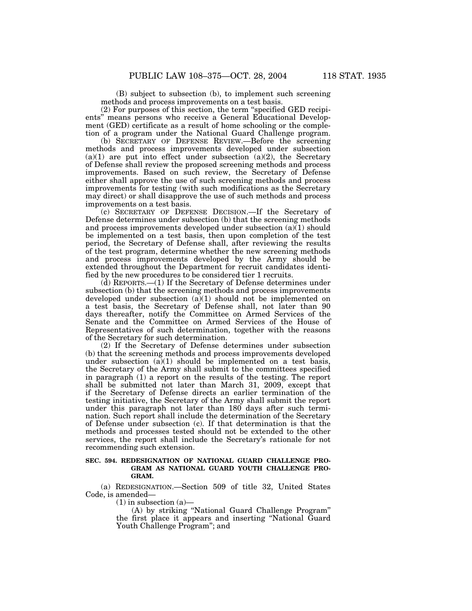(B) subject to subsection (b), to implement such screening methods and process improvements on a test basis.

(2) For purposes of this section, the term ''specified GED recipients'' means persons who receive a General Educational Development (GED) certificate as a result of home schooling or the completion of a program under the National Guard Challenge program.

(b) SECRETARY OF DEFENSE REVIEW.—Before the screening methods and process improvements developed under subsection  $(a)(1)$  are put into effect under subsection  $(a)(2)$ , the Secretary of Defense shall review the proposed screening methods and process improvements. Based on such review, the Secretary of Defense either shall approve the use of such screening methods and process improvements for testing (with such modifications as the Secretary may direct) or shall disapprove the use of such methods and process improvements on a test basis.

(c) SECRETARY OF DEFENSE DECISION.—If the Secretary of Defense determines under subsection (b) that the screening methods and process improvements developed under subsection  $(a)(1)$  should be implemented on a test basis, then upon completion of the test period, the Secretary of Defense shall, after reviewing the results of the test program, determine whether the new screening methods and process improvements developed by the Army should be extended throughout the Department for recruit candidates identified by the new procedures to be considered tier 1 recruits.

(d) REPORTS.—(1) If the Secretary of Defense determines under subsection (b) that the screening methods and process improvements developed under subsection (a)(1) should not be implemented on a test basis, the Secretary of Defense shall, not later than 90 days thereafter, notify the Committee on Armed Services of the Senate and the Committee on Armed Services of the House of Representatives of such determination, together with the reasons of the Secretary for such determination.

(2) If the Secretary of Defense determines under subsection (b) that the screening methods and process improvements developed under subsection  $(a)(1)$  should be implemented on a test basis, the Secretary of the Army shall submit to the committees specified in paragraph (1) a report on the results of the testing. The report shall be submitted not later than March 31, 2009, except that if the Secretary of Defense directs an earlier termination of the testing initiative, the Secretary of the Army shall submit the report under this paragraph not later than 180 days after such termination. Such report shall include the determination of the Secretary of Defense under subsection (c). If that determination is that the methods and processes tested should not be extended to the other services, the report shall include the Secretary's rationale for not recommending such extension.

# **SEC. 594. REDESIGNATION OF NATIONAL GUARD CHALLENGE PRO-GRAM AS NATIONAL GUARD YOUTH CHALLENGE PRO-GRAM.**

(a) REDESIGNATION.—Section 509 of title 32, United States Code, is amended—

 $(1)$  in subsection  $(a)$ —

(A) by striking ''National Guard Challenge Program'' the first place it appears and inserting ''National Guard Youth Challenge Program''; and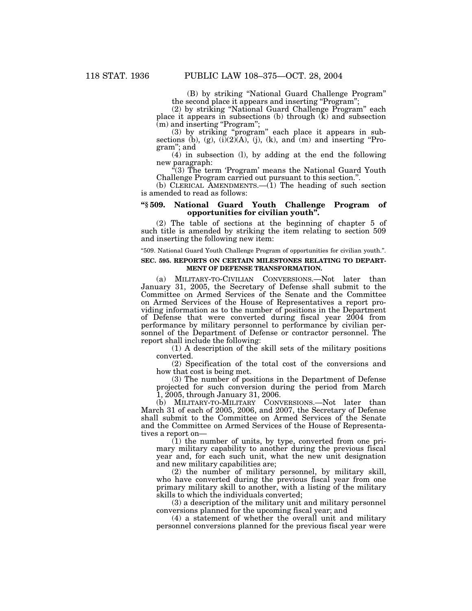(B) by striking ''National Guard Challenge Program'' the second place it appears and inserting "Program";

(2) by striking ''National Guard Challenge Program'' each place it appears in subsections (b) through (k) and subsection  $(m)$  and inserting "Program";

(3) by striking ''program'' each place it appears in subsections (b), (g),  $(i)(2)(A)$ , (j), (k), and (m) and inserting "Program''; and

(4) in subsection (l), by adding at the end the following new paragraph:

"(3) The term 'Program' means the National Guard Youth Challenge Program carried out pursuant to this section.''.

(b) CLERICAL AMENDMENTS.—(1) The heading of such section is amended to read as follows:

## **''§ 509. National Guard Youth Challenge Program of opportunities for civilian youth''.**

(2) The table of sections at the beginning of chapter 5 of such title is amended by striking the item relating to section 509 and inserting the following new item:

''509. National Guard Youth Challenge Program of opportunities for civilian youth.''.

## **SEC. 595. REPORTS ON CERTAIN MILESTONES RELATING TO DEPART-MENT OF DEFENSE TRANSFORMATION.**

(a) MILITARY-TO-CIVILIAN CONVERSIONS.—Not later than January 31, 2005, the Secretary of Defense shall submit to the Committee on Armed Services of the Senate and the Committee on Armed Services of the House of Representatives a report providing information as to the number of positions in the Department of Defense that were converted during fiscal year 2004 from performance by military personnel to performance by civilian personnel of the Department of Defense or contractor personnel. The report shall include the following:

(1) A description of the skill sets of the military positions converted.

(2) Specification of the total cost of the conversions and how that cost is being met.

(3) The number of positions in the Department of Defense projected for such conversion during the period from March 1, 2005, through January 31, 2006.

(b) MILITARY-TO-MILITARY CONVERSIONS.—Not later than March 31 of each of 2005, 2006, and 2007, the Secretary of Defense shall submit to the Committee on Armed Services of the Senate and the Committee on Armed Services of the House of Representatives a report on—

(1) the number of units, by type, converted from one primary military capability to another during the previous fiscal year and, for each such unit, what the new unit designation and new military capabilities are;

(2) the number of military personnel, by military skill, who have converted during the previous fiscal year from one primary military skill to another, with a listing of the military skills to which the individuals converted;

(3) a description of the military unit and military personnel conversions planned for the upcoming fiscal year; and

(4) a statement of whether the overall unit and military personnel conversions planned for the previous fiscal year were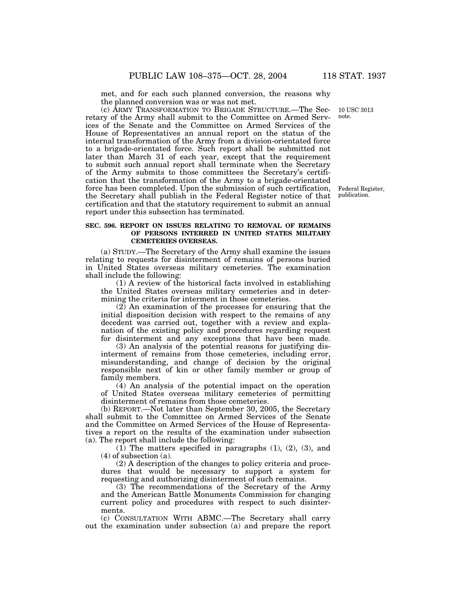met, and for each such planned conversion, the reasons why the planned conversion was or was not met.

(c) ARMY TRANSFORMATION TO BRIGADE STRUCTURE.—The Secretary of the Army shall submit to the Committee on Armed Services of the Senate and the Committee on Armed Services of the House of Representatives an annual report on the status of the internal transformation of the Army from a division-orientated force to a brigade-orientated force. Such report shall be submitted not later than March 31 of each year, except that the requirement to submit such annual report shall terminate when the Secretary of the Army submits to those committees the Secretary's certification that the transformation of the Army to a brigade-orientated force has been completed. Upon the submission of such certification, Federal Register, the Secretary shall publish in the Federal Register notice of that certification and that the statutory requirement to submit an annual report under this subsection has terminated.

## **SEC. 596. REPORT ON ISSUES RELATING TO REMOVAL OF REMAINS OF PERSONS INTERRED IN UNITED STATES MILITARY CEMETERIES OVERSEAS.**

(a) STUDY.—The Secretary of the Army shall examine the issues relating to requests for disinterment of remains of persons buried in United States overseas military cemeteries. The examination shall include the following:

(1) A review of the historical facts involved in establishing the United States overseas military cemeteries and in determining the criteria for interment in those cemeteries.

(2) An examination of the processes for ensuring that the initial disposition decision with respect to the remains of any decedent was carried out, together with a review and explanation of the existing policy and procedures regarding request for disinterment and any exceptions that have been made.

(3) An analysis of the potential reasons for justifying disinterment of remains from those cemeteries, including error, misunderstanding, and change of decision by the original responsible next of kin or other family member or group of family members.

(4) An analysis of the potential impact on the operation of United States overseas military cemeteries of permitting disinterment of remains from those cemeteries.

(b) REPORT.—Not later than September 30, 2005, the Secretary shall submit to the Committee on Armed Services of the Senate and the Committee on Armed Services of the House of Representatives a report on the results of the examination under subsection (a). The report shall include the following:

(1) The matters specified in paragraphs (1), (2), (3), and (4) of subsection (a).

(2) A description of the changes to policy criteria and procedures that would be necessary to support a system for requesting and authorizing disinterment of such remains.

(3) The recommendations of the Secretary of the Army and the American Battle Monuments Commission for changing current policy and procedures with respect to such disinterments.

(c) CONSULTATION WITH ABMC.—The Secretary shall carry out the examination under subsection (a) and prepare the report

10 USC 3013 note.

publication.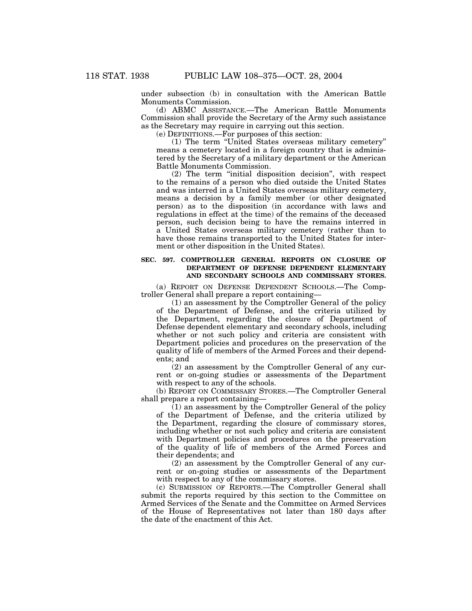under subsection (b) in consultation with the American Battle Monuments Commission.

(d) ABMC ASSISTANCE.—The American Battle Monuments Commission shall provide the Secretary of the Army such assistance as the Secretary may require in carrying out this section.

(e) DEFINITIONS.—For purposes of this section:

(1) The term ''United States overseas military cemetery'' means a cemetery located in a foreign country that is administered by the Secretary of a military department or the American Battle Monuments Commission.

(2) The term ''initial disposition decision'', with respect to the remains of a person who died outside the United States and was interred in a United States overseas military cemetery, means a decision by a family member (or other designated person) as to the disposition (in accordance with laws and regulations in effect at the time) of the remains of the deceased person, such decision being to have the remains interred in a United States overseas military cemetery (rather than to have those remains transported to the United States for interment or other disposition in the United States).

# **SEC. 597. COMPTROLLER GENERAL REPORTS ON CLOSURE OF DEPARTMENT OF DEFENSE DEPENDENT ELEMENTARY AND SECONDARY SCHOOLS AND COMMISSARY STORES.**

(a) REPORT ON DEFENSE DEPENDENT SCHOOLS.—The Comptroller General shall prepare a report containing—

(1) an assessment by the Comptroller General of the policy of the Department of Defense, and the criteria utilized by the Department, regarding the closure of Department of Defense dependent elementary and secondary schools, including whether or not such policy and criteria are consistent with Department policies and procedures on the preservation of the quality of life of members of the Armed Forces and their dependents; and

(2) an assessment by the Comptroller General of any current or on-going studies or assessments of the Department with respect to any of the schools.

(b) REPORT ON COMMISSARY STORES.—The Comptroller General shall prepare a report containing—

(1) an assessment by the Comptroller General of the policy of the Department of Defense, and the criteria utilized by the Department, regarding the closure of commissary stores, including whether or not such policy and criteria are consistent with Department policies and procedures on the preservation of the quality of life of members of the Armed Forces and their dependents; and

(2) an assessment by the Comptroller General of any current or on-going studies or assessments of the Department with respect to any of the commissary stores.

(c) SUBMISSION OF REPORTS.—The Comptroller General shall submit the reports required by this section to the Committee on Armed Services of the Senate and the Committee on Armed Services of the House of Representatives not later than 180 days after the date of the enactment of this Act.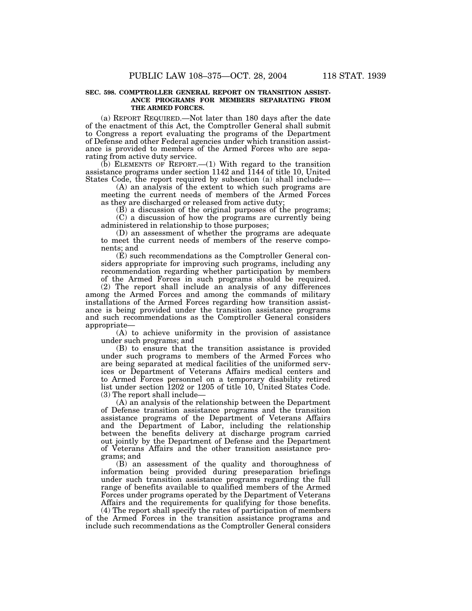## **SEC. 598. COMPTROLLER GENERAL REPORT ON TRANSITION ASSIST-ANCE PROGRAMS FOR MEMBERS SEPARATING FROM THE ARMED FORCES.**

(a) REPORT REQUIRED.—Not later than 180 days after the date of the enactment of this Act, the Comptroller General shall submit to Congress a report evaluating the programs of the Department of Defense and other Federal agencies under which transition assistance is provided to members of the Armed Forces who are separating from active duty service.

 $(b)$  ELEMENTS OF REPORT.  $-(1)$  With regard to the transition assistance programs under section  $1142$  and  $1144$  of title 10, United States Code, the report required by subsection (a) shall include—

(A) an analysis of the extent to which such programs are meeting the current needs of members of the Armed Forces as they are discharged or released from active duty;

(B) a discussion of the original purposes of the programs; (C) a discussion of how the programs are currently being administered in relationship to those purposes;

(D) an assessment of whether the programs are adequate to meet the current needs of members of the reserve components; and

(E) such recommendations as the Comptroller General considers appropriate for improving such programs, including any recommendation regarding whether participation by members of the Armed Forces in such programs should be required.

(2) The report shall include an analysis of any differences among the Armed Forces and among the commands of military installations of the Armed Forces regarding how transition assistance is being provided under the transition assistance programs and such recommendations as the Comptroller General considers appropriate—

(A) to achieve uniformity in the provision of assistance under such programs; and

(B) to ensure that the transition assistance is provided under such programs to members of the Armed Forces who are being separated at medical facilities of the uniformed services or Department of Veterans Affairs medical centers and to Armed Forces personnel on a temporary disability retired list under section 1202 or 1205 of title 10, United States Code. (3) The report shall include—

(A) an analysis of the relationship between the Department of Defense transition assistance programs and the transition assistance programs of the Department of Veterans Affairs and the Department of Labor, including the relationship between the benefits delivery at discharge program carried out jointly by the Department of Defense and the Department of Veterans Affairs and the other transition assistance programs; and

(B) an assessment of the quality and thoroughness of information being provided during preseparation briefings under such transition assistance programs regarding the full range of benefits available to qualified members of the Armed Forces under programs operated by the Department of Veterans Affairs and the requirements for qualifying for those benefits.

(4) The report shall specify the rates of participation of members of the Armed Forces in the transition assistance programs and include such recommendations as the Comptroller General considers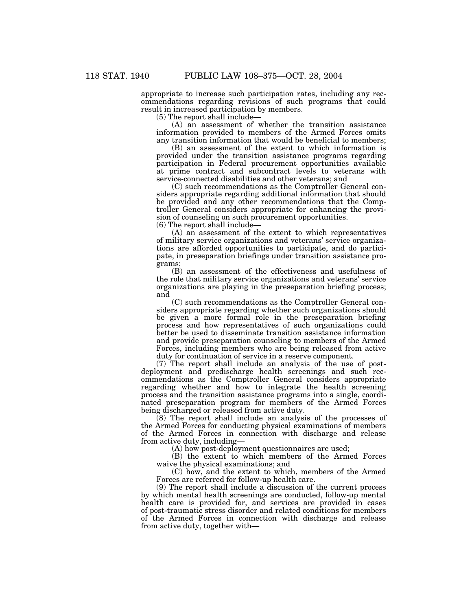appropriate to increase such participation rates, including any recommendations regarding revisions of such programs that could result in increased participation by members.

(5) The report shall include—

(A) an assessment of whether the transition assistance information provided to members of the Armed Forces omits any transition information that would be beneficial to members;

(B) an assessment of the extent to which information is provided under the transition assistance programs regarding participation in Federal procurement opportunities available at prime contract and subcontract levels to veterans with service-connected disabilities and other veterans; and

(C) such recommendations as the Comptroller General considers appropriate regarding additional information that should be provided and any other recommendations that the Comptroller General considers appropriate for enhancing the provision of counseling on such procurement opportunities.

(6) The report shall include—

(A) an assessment of the extent to which representatives of military service organizations and veterans' service organizations are afforded opportunities to participate, and do participate, in preseparation briefings under transition assistance programs;

(B) an assessment of the effectiveness and usefulness of the role that military service organizations and veterans' service organizations are playing in the preseparation briefing process; and

(C) such recommendations as the Comptroller General considers appropriate regarding whether such organizations should be given a more formal role in the preseparation briefing process and how representatives of such organizations could better be used to disseminate transition assistance information and provide preseparation counseling to members of the Armed Forces, including members who are being released from active duty for continuation of service in a reserve component.

(7) The report shall include an analysis of the use of postdeployment and predischarge health screenings and such recommendations as the Comptroller General considers appropriate regarding whether and how to integrate the health screening process and the transition assistance programs into a single, coordinated preseparation program for members of the Armed Forces being discharged or released from active duty.

(8) The report shall include an analysis of the processes of the Armed Forces for conducting physical examinations of members of the Armed Forces in connection with discharge and release from active duty, including—

(A) how post-deployment questionnaires are used;

(B) the extent to which members of the Armed Forces waive the physical examinations; and

(C) how, and the extent to which, members of the Armed Forces are referred for follow-up health care.

(9) The report shall include a discussion of the current process by which mental health screenings are conducted, follow-up mental health care is provided for, and services are provided in cases of post-traumatic stress disorder and related conditions for members of the Armed Forces in connection with discharge and release from active duty, together with—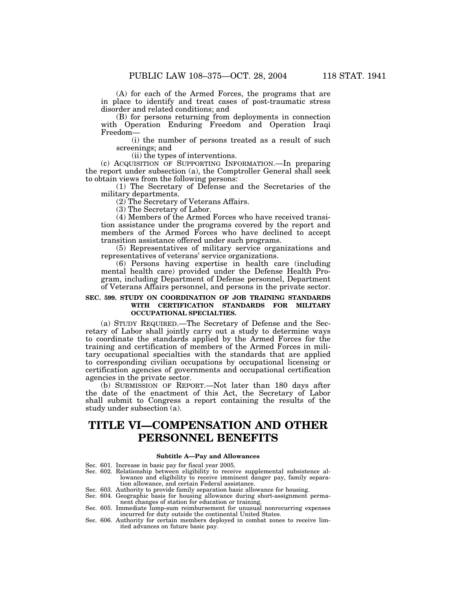(A) for each of the Armed Forces, the programs that are in place to identify and treat cases of post-traumatic stress disorder and related conditions; and

(B) for persons returning from deployments in connection with Operation Enduring Freedom and Operation Iraqi Freedom—

(i) the number of persons treated as a result of such screenings; and

(ii) the types of interventions.

(c) ACQUISITION OF SUPPORTING INFORMATION.—In preparing the report under subsection (a), the Comptroller General shall seek to obtain views from the following persons:

(1) The Secretary of Defense and the Secretaries of the military departments.

(2) The Secretary of Veterans Affairs.

(3) The Secretary of Labor.

(4) Members of the Armed Forces who have received transition assistance under the programs covered by the report and members of the Armed Forces who have declined to accept transition assistance offered under such programs.

(5) Representatives of military service organizations and representatives of veterans' service organizations.

(6) Persons having expertise in health care (including mental health care) provided under the Defense Health Program, including Department of Defense personnel, Department of Veterans Affairs personnel, and persons in the private sector.

# **SEC. 599. STUDY ON COORDINATION OF JOB TRAINING STANDARDS WITH CERTIFICATION STANDARDS FOR MILITARY OCCUPATIONAL SPECIALTIES.**

(a) STUDY REQUIRED.—The Secretary of Defense and the Secretary of Labor shall jointly carry out a study to determine ways to coordinate the standards applied by the Armed Forces for the training and certification of members of the Armed Forces in military occupational specialties with the standards that are applied to corresponding civilian occupations by occupational licensing or certification agencies of governments and occupational certification agencies in the private sector.

(b) SUBMISSION OF REPORT.—Not later than 180 days after the date of the enactment of this Act, the Secretary of Labor shall submit to Congress a report containing the results of the study under subsection (a).

# **TITLE VI—COMPENSATION AND OTHER PERSONNEL BENEFITS**

#### **Subtitle A—Pay and Allowances**

Sec. 601. Increase in basic pay for fiscal year 2005.

- Sec. 602. Relationship between eligibility to receive supplemental subsistence allowance and eligibility to receive imminent danger pay, family separa-
- tion allowance, and certain Federal assistance. Sec. 603. Authority to provide family separation basic allowance for housing.
- Sec. 604. Geographic basis for housing allowance during short-assignment permanent changes of station for education or training. Sec. 605. Immediate lump-sum reimbursement for unusual nonrecurring expenses
- incurred for duty outside the continental United States.
- Sec. 606. Authority for certain members deployed in combat zones to receive limited advances on future basic pay.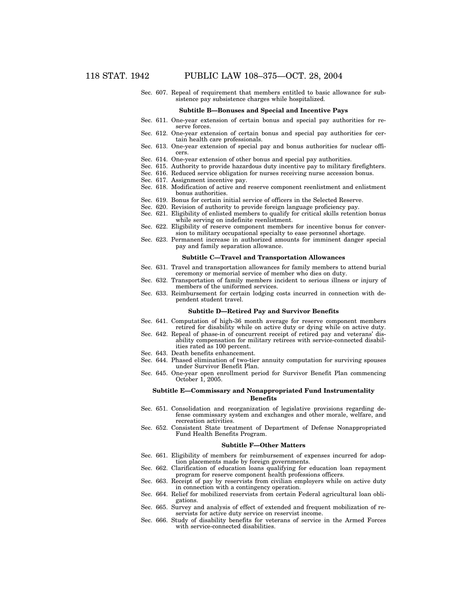Sec. 607. Repeal of requirement that members entitled to basic allowance for subsistence pay subsistence charges while hospitalized.

### **Subtitle B—Bonuses and Special and Incentive Pays**

- Sec. 611. One-year extension of certain bonus and special pay authorities for reserve forces.
- Sec. 612. One-year extension of certain bonus and special pay authorities for certain health care professionals.
- Sec. 613. One-year extension of special pay and bonus authorities for nuclear officers.
- Sec. 614. One-year extension of other bonus and special pay authorities.
- Sec. 615. Authority to provide hazardous duty incentive pay to military firefighters.
- Sec. 616. Reduced service obligation for nurses receiving nurse accession bonus.
- Sec. 617. Assignment incentive pay.
- Sec. 618. Modification of active and reserve component reenlistment and enlistment bonus authorities.
- Sec. 619. Bonus for certain initial service of officers in the Selected Reserve.
- Sec. 620. Revision of authority to provide foreign language proficiency pay.
- Sec. 621. Eligibility of enlisted members to qualify for critical skills retention bonus while serving on indefinite reenlistment.
- Sec. 622. Eligibility of reserve component members for incentive bonus for conversion to military occupational specialty to ease personnel shortage.
- Sec. 623. Permanent increase in authorized amounts for imminent danger special pay and family separation allowance.

#### **Subtitle C—Travel and Transportation Allowances**

- Sec. 631. Travel and transportation allowances for family members to attend burial ceremony or memorial service of member who dies on duty.
- Sec. 632. Transportation of family members incident to serious illness or injury of members of the uniformed services.
- Sec. 633. Reimbursement for certain lodging costs incurred in connection with dependent student travel.

#### **Subtitle D—Retired Pay and Survivor Benefits**

- Sec. 641. Computation of high-36 month average for reserve component members retired for disability while on active duty or dying while on active duty.
- Sec. 642. Repeal of phase-in of concurrent receipt of retired pay and veterans' disability compensation for military retirees with service-connected disabilities rated as 100 percent.
- Sec. 643. Death benefits enhancement.
- Sec. 644. Phased elimination of two-tier annuity computation for surviving spouses under Survivor Benefit Plan.
- Sec. 645. One-year open enrollment period for Survivor Benefit Plan commencing October 1, 2005.

## **Subtitle E—Commissary and Nonappropriated Fund Instrumentality Benefits**

- Sec. 651. Consolidation and reorganization of legislative provisions regarding defense commissary system and exchanges and other morale, welfare, and recreation activities.
- Sec. 652. Consistent State treatment of Department of Defense Nonappropriated Fund Health Benefits Program.

#### **Subtitle F—Other Matters**

- Sec. 661. Eligibility of members for reimbursement of expenses incurred for adoption placements made by foreign governments.
- Sec. 662. Clarification of education loans qualifying for education loan repayment program for reserve component health professions officers.
- Sec. 663. Receipt of pay by reservists from civilian employers while on active duty in connection with a contingency operation.
- Sec. 664. Relief for mobilized reservists from certain Federal agricultural loan obligations.
- Sec. 665. Survey and analysis of effect of extended and frequent mobilization of reservists for active duty service on reservist income.
- Sec. 666. Study of disability benefits for veterans of service in the Armed Forces with service-connected disabilities.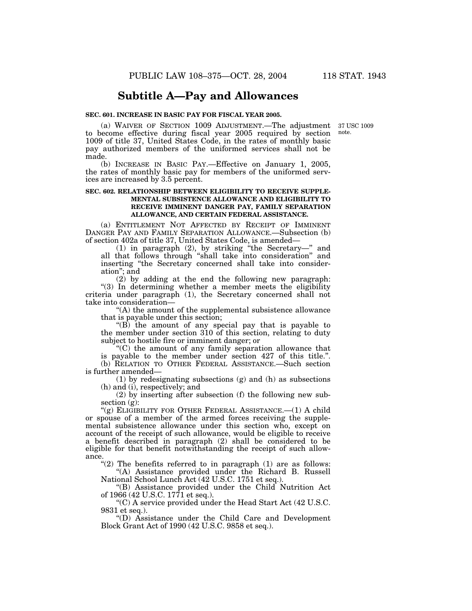# **Subtitle A—Pay and Allowances**

# **SEC. 601. INCREASE IN BASIC PAY FOR FISCAL YEAR 2005.**

note.

(a) WAIVER OF SECTION 1009 ADJUSTMENT.—The adjustment 37 USC 1009 to become effective during fiscal year 2005 required by section 1009 of title 37, United States Code, in the rates of monthly basic pay authorized members of the uniformed services shall not be made.

(b) INCREASE IN BASIC PAY.—Effective on January 1, 2005, the rates of monthly basic pay for members of the uniformed services are increased by 3.5 percent.

# **SEC. 602. RELATIONSHIP BETWEEN ELIGIBILITY TO RECEIVE SUPPLE-MENTAL SUBSISTENCE ALLOWANCE AND ELIGIBILITY TO RECEIVE IMMINENT DANGER PAY, FAMILY SEPARATION ALLOWANCE, AND CERTAIN FEDERAL ASSISTANCE.**

(a) ENTITLEMENT NOT AFFECTED BY RECEIPT OF IMMINENT DANGER PAY AND FAMILY SEPARATION ALLOWANCE.—Subsection (b) of section 402a of title 37, United States Code, is amended—

(1) in paragraph (2), by striking ''the Secretary—'' and all that follows through ''shall take into consideration'' and inserting ''the Secretary concerned shall take into consideration''; and

(2) by adding at the end the following new paragraph: ''(3) In determining whether a member meets the eligibility criteria under paragraph (1), the Secretary concerned shall not take into consideration—

''(A) the amount of the supplemental subsistence allowance that is payable under this section;

''(B) the amount of any special pay that is payable to the member under section 310 of this section, relating to duty subject to hostile fire or imminent danger; or

''(C) the amount of any family separation allowance that is payable to the member under section 427 of this title.''. (b) RELATION TO OTHER FEDERAL ASSISTANCE.—Such section is further amended—

(1) by redesignating subsections (g) and (h) as subsections (h) and (i), respectively; and

(2) by inserting after subsection (f) the following new subsection  $(g)$ :

" $(g)$  ELIGIBILITY FOR OTHER FEDERAL ASSISTANCE.— $(1)$  A child or spouse of a member of the armed forces receiving the supplemental subsistence allowance under this section who, except on account of the receipt of such allowance, would be eligible to receive a benefit described in paragraph (2) shall be considered to be eligible for that benefit notwithstanding the receipt of such allowance.

" $(2)$  The benefits referred to in paragraph  $(1)$  are as follows: ''(A) Assistance provided under the Richard B. Russell

National School Lunch Act (42 U.S.C. 1751 et seq.).

''(B) Assistance provided under the Child Nutrition Act of 1966 (42 U.S.C. 1771 et seq.).

 $C$ ) A service provided under the Head Start Act (42 U.S.C. 9831 et seq.).

''(D) Assistance under the Child Care and Development Block Grant Act of 1990 (42 U.S.C. 9858 et seq.).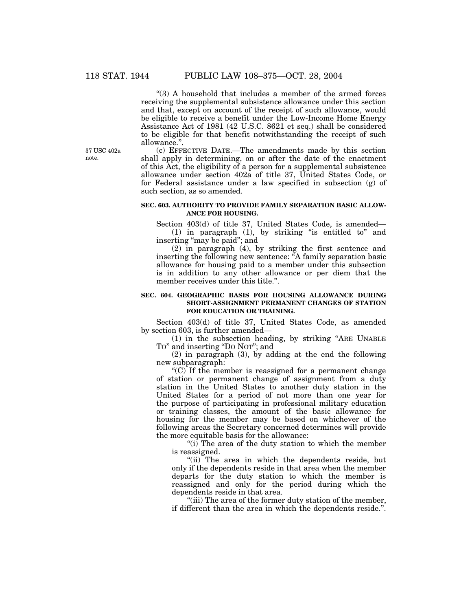"(3) A household that includes a member of the armed forces receiving the supplemental subsistence allowance under this section and that, except on account of the receipt of such allowance, would be eligible to receive a benefit under the Low-Income Home Energy Assistance Act of 1981 (42 U.S.C. 8621 et seq.) shall be considered to be eligible for that benefit notwithstanding the receipt of such allowance.''.

(c) EFFECTIVE DATE.—The amendments made by this section shall apply in determining, on or after the date of the enactment of this Act, the eligibility of a person for a supplemental subsistence allowance under section 402a of title 37, United States Code, or for Federal assistance under a law specified in subsection (g) of such section, as so amended.

## **SEC. 603. AUTHORITY TO PROVIDE FAMILY SEPARATION BASIC ALLOW-ANCE FOR HOUSING.**

Section 403(d) of title 37, United States Code, is amended— (1) in paragraph (1), by striking ''is entitled to'' and inserting "may be paid"; and

(2) in paragraph (4), by striking the first sentence and inserting the following new sentence: "A family separation basic allowance for housing paid to a member under this subsection is in addition to any other allowance or per diem that the member receives under this title.''.

## **SEC. 604. GEOGRAPHIC BASIS FOR HOUSING ALLOWANCE DURING SHORT-ASSIGNMENT PERMANENT CHANGES OF STATION FOR EDUCATION OR TRAINING.**

Section 403(d) of title 37, United States Code, as amended by section 603, is further amended—

(1) in the subsection heading, by striking ''ARE UNABLE To" and inserting "Do Nor"; and

(2) in paragraph (3), by adding at the end the following new subparagraph:

 $(C)$  If the member is reassigned for a permanent change of station or permanent change of assignment from a duty station in the United States to another duty station in the United States for a period of not more than one year for the purpose of participating in professional military education or training classes, the amount of the basic allowance for housing for the member may be based on whichever of the following areas the Secretary concerned determines will provide the more equitable basis for the allowance:

''(i) The area of the duty station to which the member is reassigned.

"(ii) The area in which the dependents reside, but only if the dependents reside in that area when the member departs for the duty station to which the member is reassigned and only for the period during which the dependents reside in that area.

''(iii) The area of the former duty station of the member, if different than the area in which the dependents reside.''.

37 USC 402a note.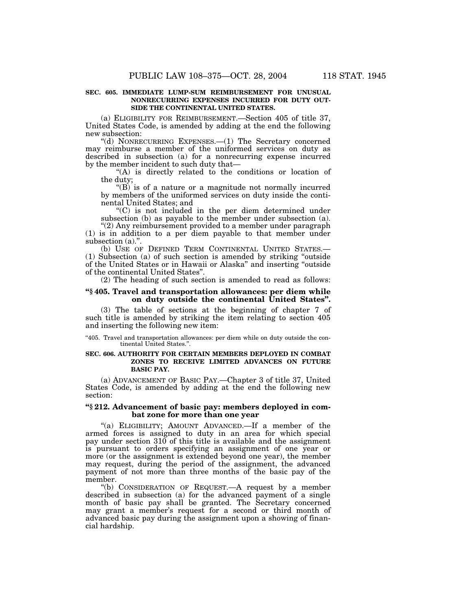### **SEC. 605. IMMEDIATE LUMP-SUM REIMBURSEMENT FOR UNUSUAL NONRECURRING EXPENSES INCURRED FOR DUTY OUT-SIDE THE CONTINENTAL UNITED STATES.**

(a) ELIGIBILITY FOR REIMBURSEMENT.—Section 405 of title 37, United States Code, is amended by adding at the end the following new subsection:

''(d) NONRECURRING EXPENSES.—(1) The Secretary concerned may reimburse a member of the uniformed services on duty as described in subsection (a) for a nonrecurring expense incurred by the member incident to such duty that—

''(A) is directly related to the conditions or location of the duty;

 $'(B)$  is of a nature or a magnitude not normally incurred by members of the uniformed services on duty inside the continental United States; and

''(C) is not included in the per diem determined under subsection (b) as payable to the member under subsection (a).

''(2) Any reimbursement provided to a member under paragraph (1) is in addition to a per diem payable to that member under subsection (a).".

(b) USE OF DEFINED TERM CONTINENTAL UNITED STATES.— (1) Subsection (a) of such section is amended by striking ''outside of the United States or in Hawaii or Alaska'' and inserting ''outside of the continental United States''.

(2) The heading of such section is amended to read as follows:

# **''§ 405. Travel and transportation allowances: per diem while on duty outside the continental United States''.**

(3) The table of sections at the beginning of chapter 7 of such title is amended by striking the item relating to section 405 and inserting the following new item:

''405. Travel and transportation allowances: per diem while on duty outside the continental United States."

## **SEC. 606. AUTHORITY FOR CERTAIN MEMBERS DEPLOYED IN COMBAT ZONES TO RECEIVE LIMITED ADVANCES ON FUTURE BASIC PAY.**

(a) ADVANCEMENT OF BASIC PAY.—Chapter 3 of title 37, United States Code, is amended by adding at the end the following new section:

## **''§ 212. Advancement of basic pay: members deployed in combat zone for more than one year**

"(a) ELIGIBILITY; AMOUNT ADVANCED.—If a member of the armed forces is assigned to duty in an area for which special pay under section 310 of this title is available and the assignment is pursuant to orders specifying an assignment of one year or more (or the assignment is extended beyond one year), the member may request, during the period of the assignment, the advanced payment of not more than three months of the basic pay of the member.

''(b) CONSIDERATION OF REQUEST.—A request by a member described in subsection (a) for the advanced payment of a single month of basic pay shall be granted. The Secretary concerned may grant a member's request for a second or third month of advanced basic pay during the assignment upon a showing of financial hardship.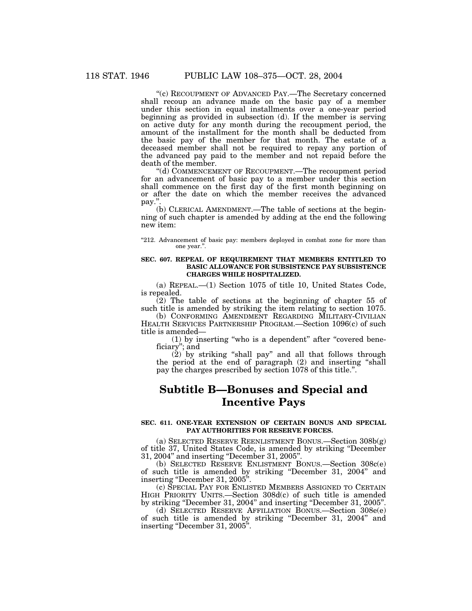''(c) RECOUPMENT OF ADVANCED PAY.—The Secretary concerned shall recoup an advance made on the basic pay of a member under this section in equal installments over a one-year period beginning as provided in subsection (d). If the member is serving on active duty for any month during the recoupment period, the amount of the installment for the month shall be deducted from the basic pay of the member for that month. The estate of a deceased member shall not be required to repay any portion of the advanced pay paid to the member and not repaid before the death of the member.

''(d) COMMENCEMENT OF RECOUPMENT.—The recoupment period for an advancement of basic pay to a member under this section shall commence on the first day of the first month beginning on or after the date on which the member receives the advanced pay.''.

(b) CLERICAL AMENDMENT.—The table of sections at the beginning of such chapter is amended by adding at the end the following new item:

''212. Advancement of basic pay: members deployed in combat zone for more than one year.''.

## **SEC. 607. REPEAL OF REQUIREMENT THAT MEMBERS ENTITLED TO BASIC ALLOWANCE FOR SUBSISTENCE PAY SUBSISTENCE CHARGES WHILE HOSPITALIZED.**

(a) REPEAL.—(1) Section 1075 of title 10, United States Code, is repealed.

 $(2)$  The table of sections at the beginning of chapter 55 of such title is amended by striking the item relating to section 1075.

(b) CONFORMING AMENDMENT REGARDING MILITARY-CIVILIAN HEALTH SERVICES PARTNERSHIP PROGRAM.—Section 1096(c) of such title is amended—

(1) by inserting "who is a dependent" after "covered beneficiary''; and

(2) by striking ''shall pay'' and all that follows through the period at the end of paragraph (2) and inserting ''shall pay the charges prescribed by section 1078 of this title.''.

# **Subtitle B—Bonuses and Special and Incentive Pays**

### **SEC. 611. ONE-YEAR EXTENSION OF CERTAIN BONUS AND SPECIAL PAY AUTHORITIES FOR RESERVE FORCES.**

(a) SELECTED RESERVE REENLISTMENT BONUS.—Section 308b(g) of title 37, United States Code, is amended by striking ''December 31, 2004'' and inserting ''December 31, 2005''.

(b) SELECTED RESERVE ENLISTMENT BONUS.—Section 308c(e) of such title is amended by striking ''December 31, 2004'' and inserting ''December 31, 2005''.

(c) SPECIAL PAY FOR ENLISTED MEMBERS ASSIGNED TO CERTAIN HIGH PRIORITY UNITS.—Section 308d(c) of such title is amended by striking ''December 31, 2004'' and inserting ''December 31, 2005''.

(d) SELECTED RESERVE AFFILIATION BONUS.—Section 308e(e) of such title is amended by striking ''December 31, 2004'' and inserting "December 31, 2005".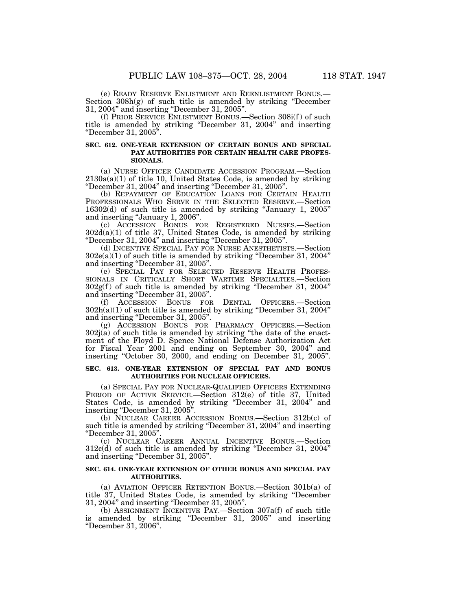(e) READY RESERVE ENLISTMENT AND REENLISTMENT BONUS.— Section 308h(g) of such title is amended by striking ''December 31, 2004'' and inserting ''December 31, 2005''.

(f) PRIOR SERVICE ENLISTMENT BONUS.—Section 308i(f ) of such title is amended by striking ''December 31, 2004'' and inserting ''December 31, 2005''.

## **SEC. 612. ONE-YEAR EXTENSION OF CERTAIN BONUS AND SPECIAL PAY AUTHORITIES FOR CERTAIN HEALTH CARE PROFES-SIONALS.**

(a) NURSE OFFICER CANDIDATE ACCESSION PROGRAM.—Section  $2130a(a)(1)$  of title 10, United States Code, is amended by striking ''December 31, 2004'' and inserting ''December 31, 2005''.

(b) REPAYMENT OF EDUCATION LOANS FOR CERTAIN HEALTH PROFESSIONALS WHO SERVE IN THE SELECTED RESERVE.—Section 16302(d) of such title is amended by striking ''January 1, 2005'' and inserting ''January 1, 2006''.

(c) ACCESSION BONUS FOR REGISTERED NURSES.—Section 302d(a)(1) of title 37, United States Code, is amended by striking ''December 31, 2004'' and inserting ''December 31, 2005''.

(d) INCENTIVE SPECIAL PAY FOR NURSE ANESTHETISTS.—Section  $302e(a)(1)$  of such title is amended by striking "December 31, 2004" and inserting ''December 31, 2005''.

(e) SPECIAL PAY FOR SELECTED RESERVE HEALTH PROFES-SIONALS IN CRITICALLY SHORT WARTIME SPECIALTIES.—Section  $302g(f)$  of such title is amended by striking "December 31, 2004" and inserting ''December 31, 2005''.

(f) ACCESSION BONUS FOR DENTAL OFFICERS.—Section  $302h(a)(1)$  of such title is amended by striking "December 31, 2004" and inserting ''December 31, 2005''.

(g) ACCESSION BONUS FOR PHARMACY OFFICERS.—Section  $302j(a)$  of such title is amended by striking "the date of the enactment of the Floyd D. Spence National Defense Authorization Act for Fiscal Year 2001 and ending on September 30, 2004'' and inserting "October 30, 2000, and ending on December 31, 2005".

## **SEC. 613. ONE-YEAR EXTENSION OF SPECIAL PAY AND BONUS AUTHORITIES FOR NUCLEAR OFFICERS.**

(a) SPECIAL PAY FOR NUCLEAR-QUALIFIED OFFICERS EXTENDING PERIOD OF ACTIVE SERVICE.—Section 312(e) of title 37, United States Code, is amended by striking ''December 31, 2004'' and inserting ''December 31, 2005''.

(b) NUCLEAR CAREER ACCESSION BONUS.—Section 312b(c) of such title is amended by striking ''December 31, 2004'' and inserting ''December 31, 2005''.

(c) NUCLEAR CAREER ANNUAL INCENTIVE BONUS.—Section 312c(d) of such title is amended by striking ''December 31, 2004'' and inserting ''December 31, 2005''.

# **SEC. 614. ONE-YEAR EXTENSION OF OTHER BONUS AND SPECIAL PAY AUTHORITIES.**

(a) AVIATION OFFICER RETENTION BONUS.—Section 301b(a) of title 37, United States Code, is amended by striking ''December 31, 2004'' and inserting ''December 31, 2005''.

(b) ASSIGNMENT INCENTIVE PAY.—Section 307a(f) of such title is amended by striking ''December 31, 2005'' and inserting ''December 31, 2006''.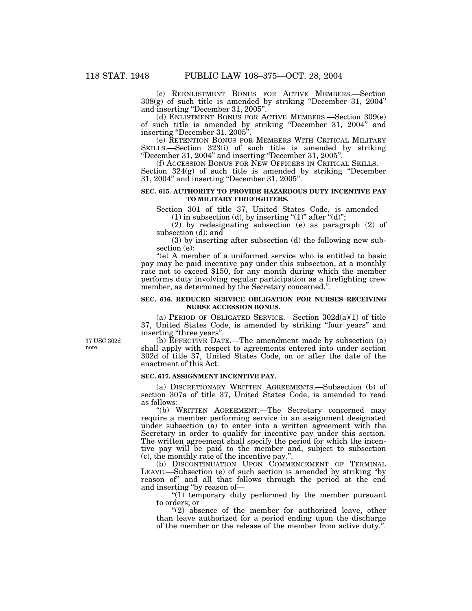(c) REENLISTMENT BONUS FOR ACTIVE MEMBERS.—Section 308(g) of such title is amended by striking ''December 31, 2004'' and inserting ''December 31, 2005''.

(d) ENLISTMENT BONUS FOR ACTIVE MEMBERS.—Section 309(e) of such title is amended by striking ''December 31, 2004'' and inserting ''December 31, 2005''.

(e) RETENTION BONUS FOR MEMBERS WITH CRITICAL MILITARY SKILLS.—Section 323(i) of such title is amended by striking ''December 31, 2004'' and inserting ''December 31, 2005''.

(f) ACCESSION BONUS FOR NEW OFFICERS IN CRITICAL SKILLS.— Section 324(g) of such title is amended by striking ''December 31, 2004'' and inserting ''December 31, 2005''.

## **SEC. 615. AUTHORITY TO PROVIDE HAZARDOUS DUTY INCENTIVE PAY TO MILITARY FIREFIGHTERS.**

Section 301 of title 37, United States Code, is amended— (1) in subsection (d), by inserting " $(1)$ " after " $(d)$ ";

(2) by redesignating subsection (e) as paragraph (2) of subsection (d); and

(3) by inserting after subsection (d) the following new subsection (e):

''(e) A member of a uniformed service who is entitled to basic pay may be paid incentive pay under this subsection, at a monthly rate not to exceed \$150, for any month during which the member performs duty involving regular participation as a firefighting crew member, as determined by the Secretary concerned.''.

### **SEC. 616. REDUCED SERVICE OBLIGATION FOR NURSES RECEIVING NURSE ACCESSION BONUS.**

(a) PERIOD OF OBLIGATED SERVICE.—Section  $302d(a)(1)$  of title 37, United States Code, is amended by striking ''four years'' and inserting "three years".

(b) EFFECTIVE DATE.—The amendment made by subsection (a) shall apply with respect to agreements entered into under section 302d of title 37, United States Code, on or after the date of the enactment of this Act.

## **SEC. 617. ASSIGNMENT INCENTIVE PAY.**

(a) DISCRETIONARY WRITTEN AGREEMENTS.—Subsection (b) of section 307a of title 37, United States Code, is amended to read as follows:

''(b) WRITTEN AGREEMENT.—The Secretary concerned may require a member performing service in an assignment designated under subsection (a) to enter into a written agreement with the Secretary in order to qualify for incentive pay under this section. The written agreement shall specify the period for which the incentive pay will be paid to the member and, subject to subsection (c), the monthly rate of the incentive pay.''.

(b) DISCONTINUATION UPON COMMENCEMENT OF TERMINAL LEAVE.—Subsection (e) of such section is amended by striking ''by reason of'' and all that follows through the period at the end and inserting ''by reason of—

" $(1)$  temporary duty performed by the member pursuant to orders; or

" $(2)$  absence of the member for authorized leave, other than leave authorized for a period ending upon the discharge of the member or the release of the member from active duty.''.

37 USC 302d note.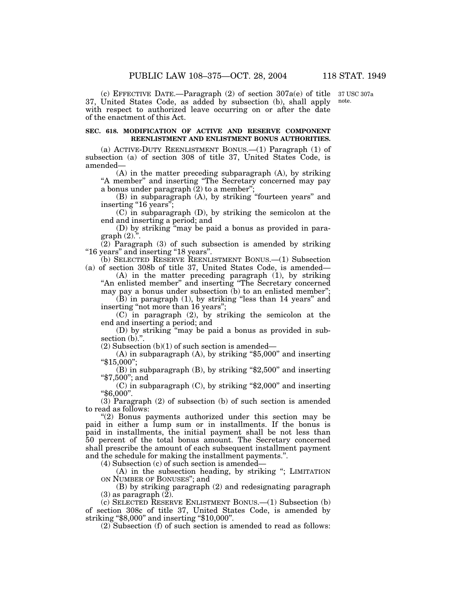37 USC 307a note.

(c) EFFECTIVE DATE.—Paragraph (2) of section 307a(e) of title 37, United States Code, as added by subsection (b), shall apply with respect to authorized leave occurring on or after the date of the enactment of this Act.

# **SEC. 618. MODIFICATION OF ACTIVE AND RESERVE COMPONENT REENLISTMENT AND ENLISTMENT BONUS AUTHORITIES.**

(a) ACTIVE-DUTY REENLISTMENT BONUS.—(1) Paragraph (1) of subsection (a) of section 308 of title 37, United States Code, is amended—

(A) in the matter preceding subparagraph (A), by striking "A member" and inserting "The Secretary concerned may pay a bonus under paragraph  $(2)$  to a member";

(B) in subparagraph (A), by striking ''fourteen years'' and inserting "16 years";

(C) in subparagraph (D), by striking the semicolon at the end and inserting a period; and

(D) by striking ''may be paid a bonus as provided in paragraph (2).''.

(2) Paragraph (3) of such subsection is amended by striking ''16 years'' and inserting ''18 years''.

(b) SELECTED RESERVE REENLISTMENT BONUS.—(1) Subsection (a) of section 308b of title 37, United States Code, is amended—

(A) in the matter preceding paragraph (1), by striking "An enlisted member" and inserting "The Secretary concerned may pay a bonus under subsection (b) to an enlisted member'';

(B) in paragraph (1), by striking ''less than 14 years'' and inserting "not more than 16 years";

(C) in paragraph (2), by striking the semicolon at the end and inserting a period; and

(D) by striking ''may be paid a bonus as provided in subsection (b).".

 $(2)$  Subsection  $(b)(1)$  of such section is amended—

(A) in subparagraph (A), by striking ''\$5,000'' and inserting ''\$15,000'';

(B) in subparagraph (B), by striking ''\$2,500'' and inserting ''\$7,500''; and

 $(C)$  in subparagraph  $(C)$ , by striking "\$2,000" and inserting ''\$6,000''.

(3) Paragraph (2) of subsection (b) of such section is amended to read as follows:

''(2) Bonus payments authorized under this section may be paid in either a lump sum or in installments. If the bonus is paid in installments, the initial payment shall be not less than 50 percent of the total bonus amount. The Secretary concerned shall prescribe the amount of each subsequent installment payment and the schedule for making the installment payments.''.

(4) Subsection (c) of such section is amended—

(A) in the subsection heading, by striking ''; LIMITATION ON NUMBER OF BONUSES''; and

(B) by striking paragraph (2) and redesignating paragraph  $(3)$  as paragraph  $(2)$ .

(c) SELECTED RESERVE ENLISTMENT BONUS.—(1) Subsection (b) of section 308c of title 37, United States Code, is amended by striking "\$8,000" and inserting "\$10,000".

(2) Subsection (f) of such section is amended to read as follows: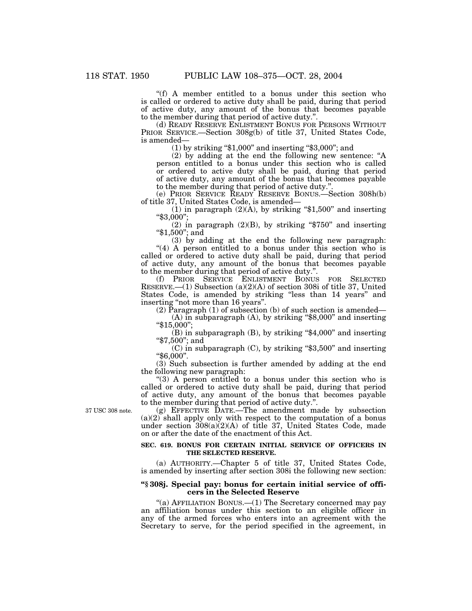''(f) A member entitled to a bonus under this section who is called or ordered to active duty shall be paid, during that period of active duty, any amount of the bonus that becomes payable to the member during that period of active duty.''.

(d) READY RESERVE ENLISTMENT BONUS FOR PERSONS WITHOUT PRIOR SERVICE.—Section 308g(b) of title 37, United States Code, is amended—

 $(1)$  by striking "\$1,000" and inserting "\$3,000"; and

(2) by adding at the end the following new sentence: ''A person entitled to a bonus under this section who is called or ordered to active duty shall be paid, during that period of active duty, any amount of the bonus that becomes payable to the member during that period of active duty.''.

(e) PRIOR SERVICE READY RESERVE BONUS.—Section 308h(b) of title 37, United States Code, is amended—

(1) in paragraph (2)(A), by striking "\$1,500" and inserting "\$3,000";

(2) in paragraph (2)(B), by striking "\$750" and inserting "\$1,500"; and

(3) by adding at the end the following new paragraph: "(4) A person entitled to a bonus under this section who is called or ordered to active duty shall be paid, during that period of active duty, any amount of the bonus that becomes payable to the member during that period of active duty.''.

(f) PRIOR SERVICE ENLISTMENT BONUS FOR SELECTED RESERVE.—(1) Subsection (a)(2)(A) of section 308i of title 37, United States Code, is amended by striking "less than 14 years" and inserting ''not more than 16 years''.

(2) Paragraph (1) of subsection (b) of such section is amended— (A) in subparagraph (A), by striking ''\$8,000'' and inserting

''\$15,000'';

(B) in subparagraph (B), by striking ''\$4,000'' and inserting ''\$7,500''; and

 $(C)$  in subparagraph  $(C)$ , by striking "\$3,500" and inserting ''\$6,000''.

(3) Such subsection is further amended by adding at the end the following new paragraph:

''(3) A person entitled to a bonus under this section who is called or ordered to active duty shall be paid, during that period of active duty, any amount of the bonus that becomes payable to the member during that period of active duty.''.

37 USC 308 note.

(g) EFFECTIVE DATE.—The amendment made by subsection  $(a)(2)$  shall apply only with respect to the computation of a bonus under section  $308(a)(2)(A)$  of title 37, United States Code, made on or after the date of the enactment of this Act.

## **SEC. 619. BONUS FOR CERTAIN INITIAL SERVICE OF OFFICERS IN THE SELECTED RESERVE.**

(a) AUTHORITY.—Chapter 5 of title 37, United States Code, is amended by inserting after section 308i the following new section:

# **''§ 308j. Special pay: bonus for certain initial service of officers in the Selected Reserve**

''(a) AFFILIATION BONUS.—(1) The Secretary concerned may pay an affiliation bonus under this section to an eligible officer in any of the armed forces who enters into an agreement with the Secretary to serve, for the period specified in the agreement, in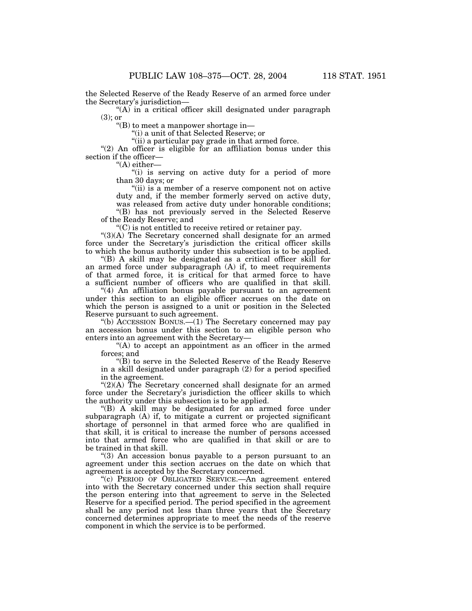the Selected Reserve of the Ready Reserve of an armed force under the Secretary's jurisdiction—

"(A) in a critical officer skill designated under paragraph (3); or

''(B) to meet a manpower shortage in—

''(i) a unit of that Selected Reserve; or

"(ii) a particular pay grade in that armed force.

"(2) An officer is eligible for an affiliation bonus under this section if the officer—

 $H(A)$  either—

"(i) is serving on active duty for a period of more than 30 days; or

"(ii) is a member of a reserve component not on active duty and, if the member formerly served on active duty, was released from active duty under honorable conditions;

''(B) has not previously served in the Selected Reserve of the Ready Reserve; and

 $C$ ) is not entitled to receive retired or retainer pay.

''(3)(A) The Secretary concerned shall designate for an armed force under the Secretary's jurisdiction the critical officer skills to which the bonus authority under this subsection is to be applied.

''(B) A skill may be designated as a critical officer skill for an armed force under subparagraph (A) if, to meet requirements of that armed force, it is critical for that armed force to have a sufficient number of officers who are qualified in that skill.

''(4) An affiliation bonus payable pursuant to an agreement under this section to an eligible officer accrues on the date on which the person is assigned to a unit or position in the Selected Reserve pursuant to such agreement.

''(b) ACCESSION BONUS.—(1) The Secretary concerned may pay an accession bonus under this section to an eligible person who enters into an agreement with the Secretary—

"(A) to accept an appointment as an officer in the armed forces; and

''(B) to serve in the Selected Reserve of the Ready Reserve in a skill designated under paragraph (2) for a period specified in the agreement.

 $\Gamma(2)(A)$  The Secretary concerned shall designate for an armed force under the Secretary's jurisdiction the officer skills to which the authority under this subsection is to be applied.

''(B) A skill may be designated for an armed force under subparagraph (A) if, to mitigate a current or projected significant shortage of personnel in that armed force who are qualified in that skill, it is critical to increase the number of persons accessed into that armed force who are qualified in that skill or are to be trained in that skill.

''(3) An accession bonus payable to a person pursuant to an agreement under this section accrues on the date on which that agreement is accepted by the Secretary concerned.

''(c) PERIOD OF OBLIGATED SERVICE.—An agreement entered into with the Secretary concerned under this section shall require the person entering into that agreement to serve in the Selected Reserve for a specified period. The period specified in the agreement shall be any period not less than three years that the Secretary concerned determines appropriate to meet the needs of the reserve component in which the service is to be performed.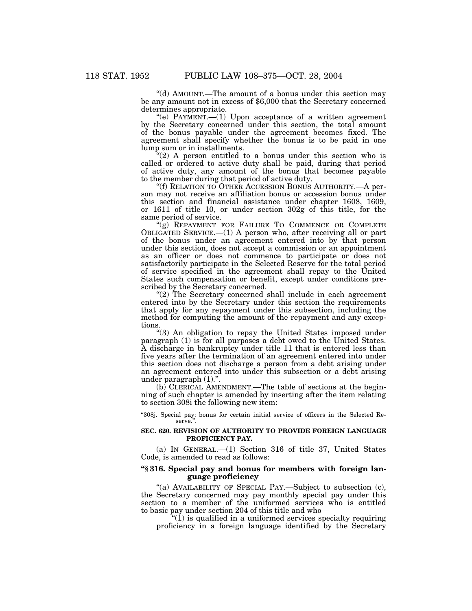''(d) AMOUNT.—The amount of a bonus under this section may be any amount not in excess of \$6,000 that the Secretary concerned determines appropriate.

 $(e)$  PAYMENT.—(1) Upon acceptance of a written agreement by the Secretary concerned under this section, the total amount of the bonus payable under the agreement becomes fixed. The agreement shall specify whether the bonus is to be paid in one lump sum or in installments.

 $(2)$  A person entitled to a bonus under this section who is called or ordered to active duty shall be paid, during that period of active duty, any amount of the bonus that becomes payable to the member during that period of active duty.

''(f) RELATION TO OTHER ACCESSION BONUS AUTHORITY.—A person may not receive an affiliation bonus or accession bonus under this section and financial assistance under chapter 1608, 1609, or 1611 of title 10, or under section 302g of this title, for the same period of service.

"(g) REPAYMENT FOR FAILURE TO COMMENCE OR COMPLETE OBLIGATED SERVICE.—(1) A person who, after receiving all or part of the bonus under an agreement entered into by that person under this section, does not accept a commission or an appointment as an officer or does not commence to participate or does not satisfactorily participate in the Selected Reserve for the total period of service specified in the agreement shall repay to the United States such compensation or benefit, except under conditions prescribed by the Secretary concerned.

"(2) The Secretary concerned shall include in each agreement entered into by the Secretary under this section the requirements that apply for any repayment under this subsection, including the method for computing the amount of the repayment and any exceptions.

''(3) An obligation to repay the United States imposed under paragraph (1) is for all purposes a debt owed to the United States. A discharge in bankruptcy under title 11 that is entered less than five years after the termination of an agreement entered into under this section does not discharge a person from a debt arising under an agreement entered into under this subsection or a debt arising under paragraph (1).''.

(b) CLERICAL AMENDMENT.—The table of sections at the beginning of such chapter is amended by inserting after the item relating to section 308i the following new item:

''308j. Special pay: bonus for certain initial service of officers in the Selected Reserve.'

### **SEC. 620. REVISION OF AUTHORITY TO PROVIDE FOREIGN LANGUAGE PROFICIENCY PAY.**

(a) IN GENERAL.—(1) Section 316 of title 37, United States Code, is amended to read as follows:

# **''§ 316. Special pay and bonus for members with foreign language proficiency**

"(a) AVAILABILITY OF SPECIAL PAY.—Subject to subsection (c), the Secretary concerned may pay monthly special pay under this section to a member of the uniformed services who is entitled to basic pay under section 204 of this title and who—

" $(1)$  is qualified in a uniformed services specialty requiring proficiency in a foreign language identified by the Secretary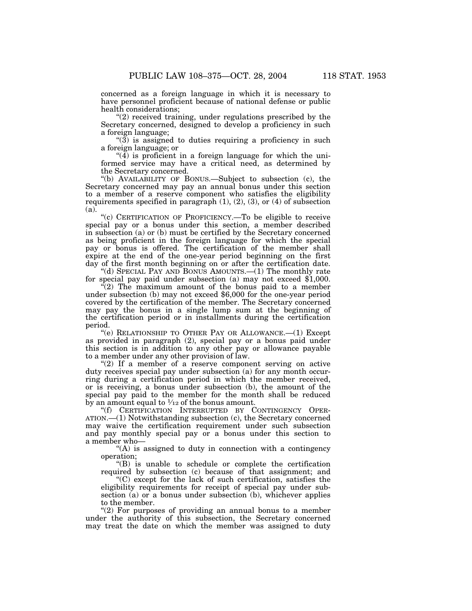concerned as a foreign language in which it is necessary to have personnel proficient because of national defense or public health considerations;

"(2) received training, under regulations prescribed by the Secretary concerned, designed to develop a proficiency in such a foreign language;

 $\degree$ (3) is assigned to duties requiring a proficiency in such a foreign language; or

 $\mathcal{A}(\bar{4})$  is proficient in a foreign language for which the uniformed service may have a critical need, as determined by the Secretary concerned.

''(b) AVAILABILITY OF BONUS.—Subject to subsection (c), the Secretary concerned may pay an annual bonus under this section to a member of a reserve component who satisfies the eligibility requirements specified in paragraph  $(1)$ ,  $(2)$ ,  $(3)$ , or  $(4)$  of subsection (a).

''(c) CERTIFICATION OF PROFICIENCY.—To be eligible to receive special pay or a bonus under this section, a member described in subsection (a) or (b) must be certified by the Secretary concerned as being proficient in the foreign language for which the special pay or bonus is offered. The certification of the member shall expire at the end of the one-year period beginning on the first day of the first month beginning on or after the certification date. "(d) SPECIAL PAY AND BONUS AMOUNTS.—(1) The monthly rate

for special pay paid under subsection (a) may not exceed \$1,000.

''(2) The maximum amount of the bonus paid to a member under subsection (b) may not exceed \$6,000 for the one-year period covered by the certification of the member. The Secretary concerned may pay the bonus in a single lump sum at the beginning of the certification period or in installments during the certification period.

''(e) RELATIONSHIP TO OTHER PAY OR ALLOWANCE.—(1) Except as provided in paragraph (2), special pay or a bonus paid under this section is in addition to any other pay or allowance payable to a member under any other provision of law.

" $(2)$  If a member of a reserve component serving on active duty receives special pay under subsection (a) for any month occurring during a certification period in which the member received, or is receiving, a bonus under subsection (b), the amount of the special pay paid to the member for the month shall be reduced by an amount equal to  $\frac{1}{12}$  of the bonus amount.

"(f) CERTIFICATION INTERRUPTED BY CONTINGENCY OPER-ATION.—(1) Notwithstanding subsection (c), the Secretary concerned may waive the certification requirement under such subsection and pay monthly special pay or a bonus under this section to a member who—

"(A) is assigned to duty in connection with a contingency operation;

''(B) is unable to schedule or complete the certification required by subsection (c) because of that assignment; and

''(C) except for the lack of such certification, satisfies the eligibility requirements for receipt of special pay under subsection (a) or a bonus under subsection (b), whichever applies to the member.

" $(2)$  For purposes of providing an annual bonus to a member under the authority of this subsection, the Secretary concerned may treat the date on which the member was assigned to duty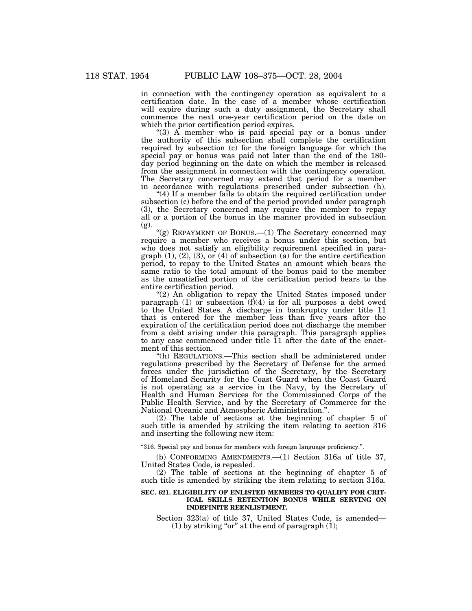in connection with the contingency operation as equivalent to a certification date. In the case of a member whose certification will expire during such a duty assignment, the Secretary shall commence the next one-year certification period on the date on which the prior certification period expires.

" $(3)$  A member who is paid special pay or a bonus under the authority of this subsection shall complete the certification required by subsection (c) for the foreign language for which the special pay or bonus was paid not later than the end of the 180 day period beginning on the date on which the member is released from the assignment in connection with the contingency operation. The Secretary concerned may extend that period for a member in accordance with regulations prescribed under subsection (h).

" $(4)$  If a member fails to obtain the required certification under subsection (c) before the end of the period provided under paragraph (3), the Secretary concerned may require the member to repay all or a portion of the bonus in the manner provided in subsection (g).

"(g) REPAYMENT OF BONUS.—(1) The Secretary concerned may require a member who receives a bonus under this section, but who does not satisfy an eligibility requirement specified in paragraph  $(1)$ ,  $(2)$ ,  $(3)$ , or  $(4)$  of subsection  $(a)$  for the entire certification period, to repay to the United States an amount which bears the same ratio to the total amount of the bonus paid to the member as the unsatisfied portion of the certification period bears to the entire certification period.

"(2) An obligation to repay the United States imposed under paragraph  $(1)$  or subsection  $(f)(4)$  is for all purposes a debt owed to the United States. A discharge in bankruptcy under title 11 that is entered for the member less than five years after the expiration of the certification period does not discharge the member from a debt arising under this paragraph. This paragraph applies to any case commenced under title 11 after the date of the enactment of this section.

''(h) REGULATIONS.—This section shall be administered under regulations prescribed by the Secretary of Defense for the armed forces under the jurisdiction of the Secretary, by the Secretary of Homeland Security for the Coast Guard when the Coast Guard is not operating as a service in the Navy, by the Secretary of Health and Human Services for the Commissioned Corps of the Public Health Service, and by the Secretary of Commerce for the National Oceanic and Atmospheric Administration.''.

(2) The table of sections at the beginning of chapter 5 of such title is amended by striking the item relating to section 316 and inserting the following new item:

''316. Special pay and bonus for members with foreign language proficiency.''.

(b) CONFORMING AMENDMENTS.—(1) Section 316a of title 37, United States Code, is repealed.

(2) The table of sections at the beginning of chapter 5 of such title is amended by striking the item relating to section 316a.

## **SEC. 621. ELIGIBILITY OF ENLISTED MEMBERS TO QUALIFY FOR CRIT-ICAL SKILLS RETENTION BONUS WHILE SERVING ON INDEFINITE REENLISTMENT.**

Section 323(a) of title 37, United States Code, is amended— (1) by striking "or" at the end of paragraph  $(1)$ ;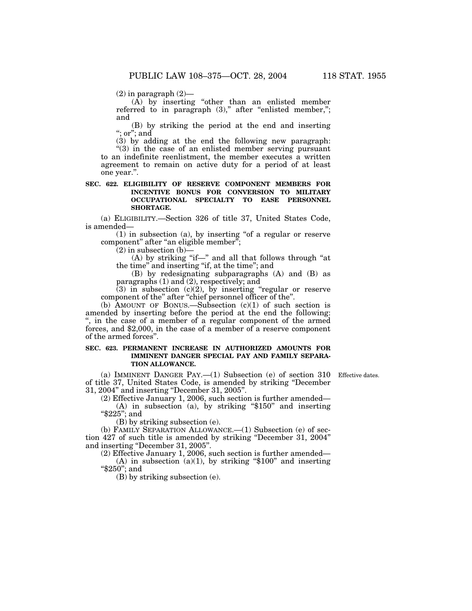$(2)$  in paragraph  $(2)$ —

 $(A)$  by inserting "other than an enlisted member referred to in paragraph  $(3)$ ," after "enlisted member,"; and

(B) by striking the period at the end and inserting ''; or''; and

(3) by adding at the end the following new paragraph: "(3) in the case of an enlisted member serving pursuant to an indefinite reenlistment, the member executes a written agreement to remain on active duty for a period of at least one year.''.

## **SEC. 622. ELIGIBILITY OF RESERVE COMPONENT MEMBERS FOR INCENTIVE BONUS FOR CONVERSION TO MILITARY OCCUPATIONAL SPECIALTY TO EASE PERSONNEL SHORTAGE.**

(a) ELIGIBILITY.—Section 326 of title 37, United States Code, is amended—

 $(1)$  in subsection  $(a)$ , by inserting "of a regular or reserve component" after "an eligible member";

 $(2)$  in subsection  $(b)$ —

 $(A)$  by striking "if—" and all that follows through "at the time'' and inserting ''if, at the time''; and

(B) by redesignating subparagraphs (A) and (B) as paragraphs (1) and (2), respectively; and

 $(3)$  in subsection  $(c)(2)$ , by inserting "regular or reserve component of the'' after ''chief personnel officer of the''.

(b) AMOUNT OF BONUS.—Subsection  $(c)(1)$  of such section is amended by inserting before the period at the end the following: '', in the case of a member of a regular component of the armed forces, and \$2,000, in the case of a member of a reserve component of the armed forces''.

## **SEC. 623. PERMANENT INCREASE IN AUTHORIZED AMOUNTS FOR IMMINENT DANGER SPECIAL PAY AND FAMILY SEPARA-TION ALLOWANCE.**

Effective dates.

(a) IMMINENT DANGER PAY.—(1) Subsection (e) of section 310 of title 37, United States Code, is amended by striking ''December 31, 2004'' and inserting ''December 31, 2005''.

(2) Effective January 1, 2006, such section is further amended— (A) in subsection (a), by striking " $$150"$  and inserting

''\$225''; and

(B) by striking subsection (e).

(b) FAMILY SEPARATION ALLOWANCE.—(1) Subsection (e) of section 427 of such title is amended by striking ''December 31, 2004'' and inserting ''December 31, 2005''.

(2) Effective January 1, 2006, such section is further amended— (A) in subsection (a)(1), by striking " $$100"$  and inserting ''\$250''; and

(B) by striking subsection (e).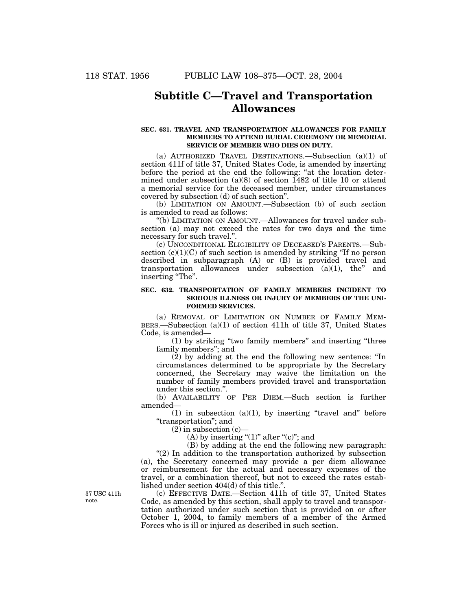# **Subtitle C—Travel and Transportation Allowances**

## **SEC. 631. TRAVEL AND TRANSPORTATION ALLOWANCES FOR FAMILY MEMBERS TO ATTEND BURIAL CEREMONY OR MEMORIAL SERVICE OF MEMBER WHO DIES ON DUTY.**

(a) AUTHORIZED TRAVEL DESTINATIONS.—Subsection (a)(1) of section 411f of title 37, United States Code, is amended by inserting before the period at the end the following: ''at the location determined under subsection (a)(8) of section 1482 of title 10 or attend a memorial service for the deceased member, under circumstances covered by subsection (d) of such section''.

(b) LIMITATION ON AMOUNT.—Subsection (b) of such section is amended to read as follows:

''(b) LIMITATION ON AMOUNT.—Allowances for travel under subsection (a) may not exceed the rates for two days and the time necessary for such travel.''.

(c) UNCONDITIONAL ELIGIBILITY OF DECEASED'S PARENTS.—Subsection  $(c)(1)(C)$  of such section is amended by striking "If no person described in subparagraph (A) or (B) is provided travel and transportation allowances under subsection (a)(1), the'' and inserting "The".

## **SEC. 632. TRANSPORTATION OF FAMILY MEMBERS INCIDENT TO SERIOUS ILLNESS OR INJURY OF MEMBERS OF THE UNI-FORMED SERVICES.**

(a) REMOVAL OF LIMITATION ON NUMBER OF FAMILY MEM-BERS.—Subsection (a)(1) of section 411h of title 37, United States Code, is amended—

(1) by striking ''two family members'' and inserting ''three family members''; and

(2) by adding at the end the following new sentence: ''In circumstances determined to be appropriate by the Secretary concerned, the Secretary may waive the limitation on the number of family members provided travel and transportation under this section.''.

(b) AVAILABILITY OF PER DIEM.—Such section is further amended—

 $(1)$  in subsection  $(a)(1)$ , by inserting "travel and" before ''transportation''; and

 $(2)$  in subsection  $(c)$ —

(A) by inserting " $(1)$ " after " $(c)$ "; and

(B) by adding at the end the following new paragraph: " $(2)$  In addition to the transportation authorized by subsection (a), the Secretary concerned may provide a per diem allowance or reimbursement for the actual and necessary expenses of the travel, or a combination thereof, but not to exceed the rates established under section 404(d) of this title.''.

(c) EFFECTIVE DATE.—Section 411h of title 37, United States Code, as amended by this section, shall apply to travel and transportation authorized under such section that is provided on or after October 1, 2004, to family members of a member of the Armed Forces who is ill or injured as described in such section.

37 USC 411h note.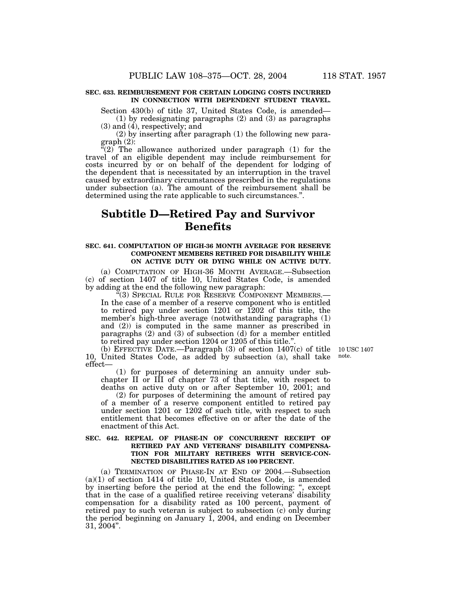## **SEC. 633. REIMBURSEMENT FOR CERTAIN LODGING COSTS INCURRED IN CONNECTION WITH DEPENDENT STUDENT TRAVEL.**

Section 430(b) of title 37, United States Code, is amended— (1) by redesignating paragraphs (2) and (3) as paragraphs

(3) and (4), respectively; and

(2) by inserting after paragraph (1) the following new paragraph (2):

 $(2)$  The allowance authorized under paragraph  $(1)$  for the travel of an eligible dependent may include reimbursement for costs incurred by or on behalf of the dependent for lodging of the dependent that is necessitated by an interruption in the travel caused by extraordinary circumstances prescribed in the regulations under subsection (a). The amount of the reimbursement shall be determined using the rate applicable to such circumstances.''.

## **Subtitle D—Retired Pay and Survivor Benefits**

#### **SEC. 641. COMPUTATION OF HIGH-36 MONTH AVERAGE FOR RESERVE COMPONENT MEMBERS RETIRED FOR DISABILITY WHILE ON ACTIVE DUTY OR DYING WHILE ON ACTIVE DUTY.**

(a) COMPUTATION OF HIGH-36 MONTH AVERAGE.—Subsection (c) of section 1407 of title 10, United States Code, is amended by adding at the end the following new paragraph:

"(3) SPECIAL RULE FOR RESERVE COMPONENT MEMBERS.— In the case of a member of a reserve component who is entitled to retired pay under section 1201 or 1202 of this title, the member's high-three average (notwithstanding paragraphs (1) and (2)) is computed in the same manner as prescribed in paragraphs (2) and (3) of subsection (d) for a member entitled to retired pay under section 1204 or 1205 of this title."

(b) EFFECTIVE DATE.—Paragraph (3) of section 1407(c) of title 10, United States Code, as added by subsection (a), shall take effect—

(1) for purposes of determining an annuity under subchapter II or III of chapter 73 of that title, with respect to deaths on active duty on or after September 10, 2001; and

(2) for purposes of determining the amount of retired pay of a member of a reserve component entitled to retired pay under section 1201 or 1202 of such title, with respect to such entitlement that becomes effective on or after the date of the enactment of this Act.

## **SEC. 642. REPEAL OF PHASE-IN OF CONCURRENT RECEIPT OF RETIRED PAY AND VETERANS' DISABILITY COMPENSA-TION FOR MILITARY RETIREES WITH SERVICE-CON-NECTED DISABILITIES RATED AS 100 PERCENT.**

(a) TERMINATION OF PHASE-IN AT END OF 2004.—Subsection (a)(1) of section 1414 of title 10, United States Code, is amended by inserting before the period at the end the following: '', except that in the case of a qualified retiree receiving veterans' disability compensation for a disability rated as 100 percent, payment of retired pay to such veteran is subject to subsection (c) only during the period beginning on January 1, 2004, and ending on December 31, 2004''.

10 USC 1407 note.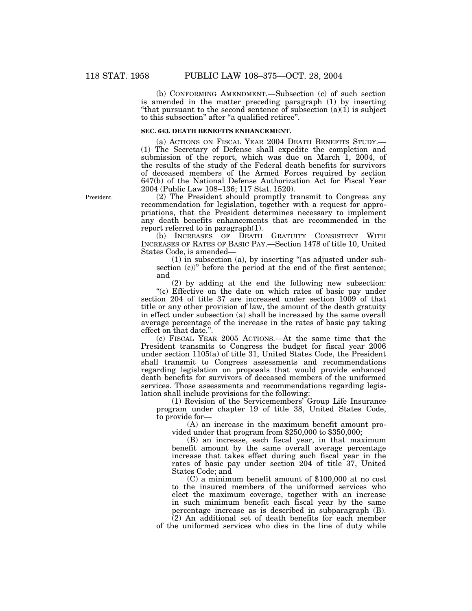(b) CONFORMING AMENDMENT.—Subsection (c) of such section is amended in the matter preceding paragraph (1) by inserting "that pursuant to the second sentence of subsection  $(a)(1)$  is subject to this subsection" after "a qualified retiree".

## **SEC. 643. DEATH BENEFITS ENHANCEMENT.**

(a) ACTIONS ON FISCAL YEAR 2004 DEATH BENEFITS STUDY.— (1) The Secretary of Defense shall expedite the completion and submission of the report, which was due on March 1, 2004, of the results of the study of the Federal death benefits for survivors of deceased members of the Armed Forces required by section 647(b) of the National Defense Authorization Act for Fiscal Year 2004 (Public Law 108–136; 117 Stat. 1520).

(2) The President should promptly transmit to Congress any recommendation for legislation, together with a request for appropriations, that the President determines necessary to implement any death benefits enhancements that are recommended in the report referred to in paragraph(1).

(b) INCREASES OF DEATH GRATUITY CONSISTENT WITH INCREASES OF RATES OF BASIC PAY.—Section 1478 of title 10, United States Code, is amended—

 $(1)$  in subsection (a), by inserting "(as adjusted under subsection (c))" before the period at the end of the first sentence; and

(2) by adding at the end the following new subsection: "(c) Effective on the date on which rates of basic pay under section 204 of title 37 are increased under section 1009 of that title or any other provision of law, the amount of the death gratuity in effect under subsection (a) shall be increased by the same overall average percentage of the increase in the rates of basic pay taking effect on that date.''.

(c) FISCAL YEAR 2005 ACTIONS.—At the same time that the President transmits to Congress the budget for fiscal year 2006 under section 1105(a) of title 31, United States Code, the President shall transmit to Congress assessments and recommendations regarding legislation on proposals that would provide enhanced death benefits for survivors of deceased members of the uniformed services. Those assessments and recommendations regarding legislation shall include provisions for the following:

(1) Revision of the Servicemembers' Group Life Insurance program under chapter 19 of title 38, United States Code, to provide for—

(A) an increase in the maximum benefit amount provided under that program from \$250,000 to \$350,000;

(B) an increase, each fiscal year, in that maximum benefit amount by the same overall average percentage increase that takes effect during such fiscal year in the rates of basic pay under section 204 of title 37, United States Code; and

(C) a minimum benefit amount of \$100,000 at no cost to the insured members of the uniformed services who elect the maximum coverage, together with an increase in such minimum benefit each fiscal year by the same percentage increase as is described in subparagraph (B). (2) An additional set of death benefits for each member

of the uniformed services who dies in the line of duty while

President.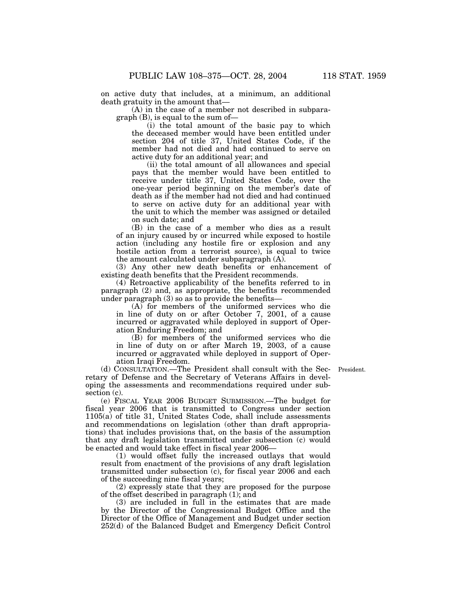on active duty that includes, at a minimum, an additional death gratuity in the amount that—

(A) in the case of a member not described in subparagraph (B), is equal to the sum of—

(i) the total amount of the basic pay to which the deceased member would have been entitled under section 204 of title 37, United States Code, if the member had not died and had continued to serve on active duty for an additional year; and

(ii) the total amount of all allowances and special pays that the member would have been entitled to receive under title 37, United States Code, over the one-year period beginning on the member's date of death as if the member had not died and had continued to serve on active duty for an additional year with the unit to which the member was assigned or detailed on such date; and

(B) in the case of a member who dies as a result of an injury caused by or incurred while exposed to hostile action (including any hostile fire or explosion and any hostile action from a terrorist source), is equal to twice the amount calculated under subparagraph  $(A)$ .

(3) Any other new death benefits or enhancement of existing death benefits that the President recommends.

(4) Retroactive applicability of the benefits referred to in paragraph (2) and, as appropriate, the benefits recommended under paragraph (3) so as to provide the benefits—

(A) for members of the uniformed services who die in line of duty on or after October 7, 2001, of a cause incurred or aggravated while deployed in support of Operation Enduring Freedom; and

(B) for members of the uniformed services who die in line of duty on or after March 19, 2003, of a cause incurred or aggravated while deployed in support of Operation Iraqi Freedom.

(d) CONSULTATION.—The President shall consult with the Sec-President. retary of Defense and the Secretary of Veterans Affairs in developing the assessments and recommendations required under subsection  $(c)$ .

(e) FISCAL YEAR 2006 BUDGET SUBMISSION.—The budget for fiscal year 2006 that is transmitted to Congress under section 1105(a) of title 31, United States Code, shall include assessments and recommendations on legislation (other than draft appropriations) that includes provisions that, on the basis of the assumption that any draft legislation transmitted under subsection (c) would be enacted and would take effect in fiscal year 2006—

(1) would offset fully the increased outlays that would result from enactment of the provisions of any draft legislation transmitted under subsection (c), for fiscal year 2006 and each of the succeeding nine fiscal years;

(2) expressly state that they are proposed for the purpose of the offset described in paragraph (1); and

(3) are included in full in the estimates that are made by the Director of the Congressional Budget Office and the Director of the Office of Management and Budget under section 252(d) of the Balanced Budget and Emergency Deficit Control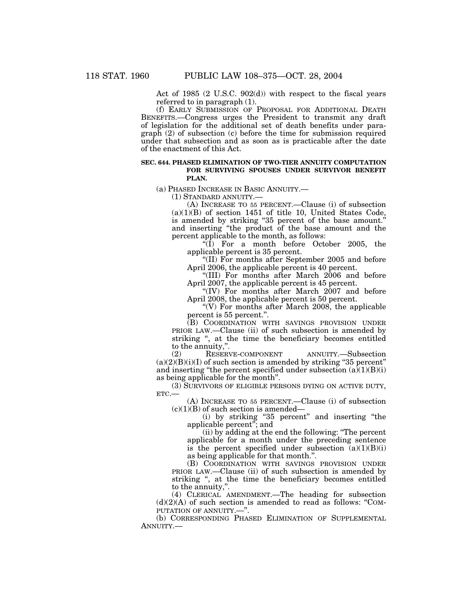Act of 1985 (2 U.S.C. 902(d)) with respect to the fiscal years referred to in paragraph (1).

(f) EARLY SUBMISSION OF PROPOSAL FOR ADDITIONAL DEATH BENEFITS.—Congress urges the President to transmit any draft of legislation for the additional set of death benefits under paragraph (2) of subsection (c) before the time for submission required under that subsection and as soon as is practicable after the date of the enactment of this Act.

#### **SEC. 644. PHASED ELIMINATION OF TWO-TIER ANNUITY COMPUTATION FOR SURVIVING SPOUSES UNDER SURVIVOR BENEFIT PLAN.**

(a) PHASED INCREASE IN BASIC ANNUITY.—

(1) STANDARD ANNUITY.—

(A) INCREASE TO 55 PERCENT.—Clause (i) of subsection  $(a)(1)(B)$  of section 1451 of title 10, United States Code, is amended by striking ''35 percent of the base amount.'' and inserting ''the product of the base amount and the percent applicable to the month, as follows:

 $\sqrt[6]{(I)}$  For a month before October 2005, the applicable percent is 35 percent.

''(II) For months after September 2005 and before April 2006, the applicable percent is 40 percent.

''(III) For months after March 2006 and before April 2007, the applicable percent is 45 percent.

"(IV) For months after March 2007 and before April 2008, the applicable percent is 50 percent.

"(V) For months after March 2008, the applicable" percent is 55 percent.''.

(B) COORDINATION WITH SAVINGS PROVISION UNDER PRIOR LAW.—Clause (ii) of such subsection is amended by striking '', at the time the beneficiary becomes entitled to the annuity,''.

(2) RESERVE-COMPONENT ANNUITY.—Subsection  $(a)(2)(B)(i)(I)$  of such section is amended by striking "35 percent" and inserting "the percent specified under subsection  $(a)(1)(B)(i)$ as being applicable for the month''.

(3) SURVIVORS OF ELIGIBLE PERSONS DYING ON ACTIVE DUTY, ETC.—

(A) INCREASE TO 55 PERCENT.—Clause (i) of subsection  $(c)(1)(B)$  of such section is amended—

(i) by striking ''35 percent'' and inserting ''the applicable percent''; and

(ii) by adding at the end the following: ''The percent applicable for a month under the preceding sentence is the percent specified under subsection  $(a)(1)(B)(i)$ as being applicable for that month.''.

(B) COORDINATION WITH SAVINGS PROVISION UNDER PRIOR LAW.—Clause (ii) of such subsection is amended by striking '', at the time the beneficiary becomes entitled to the annuity,''.

(4) CLERICAL AMENDMENT.—The heading for subsection  $(d)(2)(A)$  of such section is amended to read as follows: "COM-PUTATION OF ANNUITY.—''.

(b) CORRESPONDING PHASED ELIMINATION OF SUPPLEMENTAL ANNUITY.—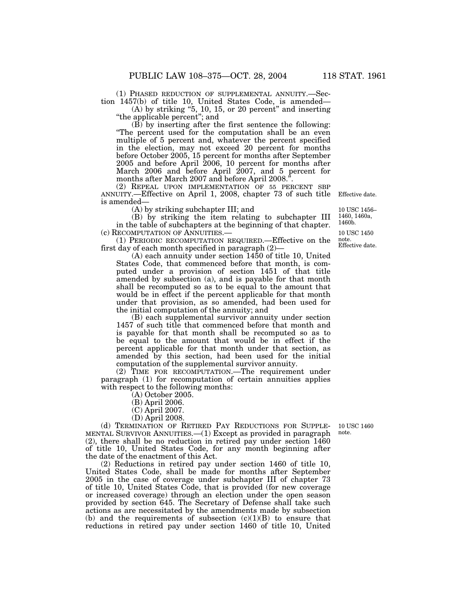(1) PHASED REDUCTION OF SUPPLEMENTAL ANNUITY.—Section 1457(b) of title 10, United States Code, is amended—

 $(A)$  by striking "5, 10, 15, or 20 percent" and inserting ''the applicable percent''; and

(B) by inserting after the first sentence the following: ''The percent used for the computation shall be an even multiple of 5 percent and, whatever the percent specified in the election, may not exceed 20 percent for months before October 2005, 15 percent for months after September 2005 and before April 2006, 10 percent for months after March 2006 and before April 2007, and 5 percent for months after March 2007 and before April 2008.

(2) REPEAL UPON IMPLEMENTATION OF 55 PERCENT SBP ANNUITY.—Effective on April 1, 2008, chapter 73 of such title is amended—

(A) by striking subchapter III; and

(B) by striking the item relating to subchapter III in the table of subchapters at the beginning of that chapter. (c) RECOMPUTATION OF ANNUITIES.—

(1) PERIODIC RECOMPUTATION REQUIRED.—Effective on the first day of each month specified in paragraph (2)—

(A) each annuity under section 1450 of title 10, United States Code, that commenced before that month, is computed under a provision of section 1451 of that title amended by subsection (a), and is payable for that month shall be recomputed so as to be equal to the amount that would be in effect if the percent applicable for that month under that provision, as so amended, had been used for the initial computation of the annuity; and

(B) each supplemental survivor annuity under section 1457 of such title that commenced before that month and is payable for that month shall be recomputed so as to be equal to the amount that would be in effect if the percent applicable for that month under that section, as amended by this section, had been used for the initial computation of the supplemental survivor annuity.

(2) TIME FOR RECOMPUTATION.—The requirement under paragraph (1) for recomputation of certain annuities applies with respect to the following months:

(A) October 2005.

(B) April 2006.

(C) April 2007.

(D) April 2008.

(d) TERMINATION OF RETIRED PAY REDUCTIONS FOR SUPPLE-10 USC 1460 MENTAL SURVIVOR ANNUITIES.—(1) Except as provided in paragraph (2), there shall be no reduction in retired pay under section 1460 of title 10, United States Code, for any month beginning after the date of the enactment of this Act.

(2) Reductions in retired pay under section 1460 of title 10, United States Code, shall be made for months after September 2005 in the case of coverage under subchapter III of chapter 73 of title 10, United States Code, that is provided (for new coverage or increased coverage) through an election under the open season provided by section 645. The Secretary of Defense shall take such actions as are necessitated by the amendments made by subsection (b) and the requirements of subsection  $(c)(1)(B)$  to ensure that reductions in retired pay under section 1460 of title 10, United

note.

10 USC 1456– 1460, 1460a, 1460b.

10 USC 1450 note. Effective date.

Effective date.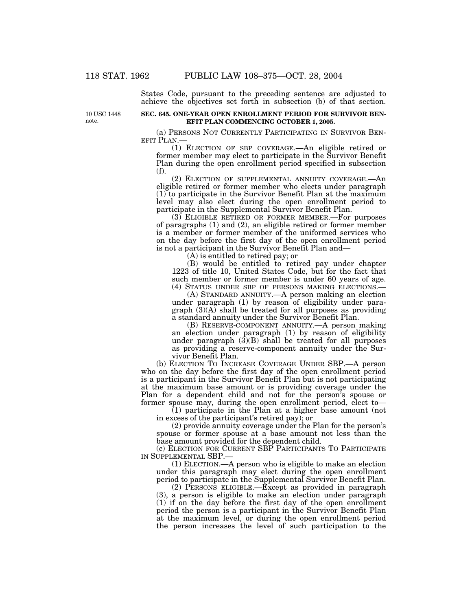States Code, pursuant to the preceding sentence are adjusted to achieve the objectives set forth in subsection (b) of that section.

10 USC 1448 note.

## **SEC. 645. ONE-YEAR OPEN ENROLLMENT PERIOD FOR SURVIVOR BEN-EFIT PLAN COMMENCING OCTOBER 1, 2005.**

(a) PERSONS NOT CURRENTLY PARTICIPATING IN SURVIVOR BEN- EFIT PLAN.—

(1) ELECTION OF SBP COVERAGE.—An eligible retired or former member may elect to participate in the Survivor Benefit Plan during the open enrollment period specified in subsection (f).

(2) ELECTION OF SUPPLEMENTAL ANNUITY COVERAGE.—An eligible retired or former member who elects under paragraph (1) to participate in the Survivor Benefit Plan at the maximum level may also elect during the open enrollment period to participate in the Supplemental Survivor Benefit Plan.

 $(3)$  ELIGIBLE RETIRED OR FORMER MEMBER.—For purposes of paragraphs (1) and (2), an eligible retired or former member is a member or former member of the uniformed services who on the day before the first day of the open enrollment period is not a participant in the Survivor Benefit Plan and—

(A) is entitled to retired pay; or

(B) would be entitled to retired pay under chapter 1223 of title 10, United States Code, but for the fact that such member or former member is under 60 years of age. (4) STATUS UNDER SBP OF PERSONS MAKING ELECTIONS.—

(A) STANDARD ANNUITY.—A person making an election under paragraph (1) by reason of eligibility under paragraph (3)(A) shall be treated for all purposes as providing a standard annuity under the Survivor Benefit Plan.

(B) RESERVE-COMPONENT ANNUITY.—A person making an election under paragraph (1) by reason of eligibility under paragraph  $(3)(B)$  shall be treated for all purposes as providing a reserve-component annuity under the Survivor Benefit Plan.

(b) ELECTION TO INCREASE COVERAGE UNDER SBP.—A person who on the day before the first day of the open enrollment period is a participant in the Survivor Benefit Plan but is not participating at the maximum base amount or is providing coverage under the Plan for a dependent child and not for the person's spouse or former spouse may, during the open enrollment period, elect to—

(1) participate in the Plan at a higher base amount (not in excess of the participant's retired pay); or

(2) provide annuity coverage under the Plan for the person's spouse or former spouse at a base amount not less than the base amount provided for the dependent child.

(c) ELECTION FOR CURRENT SBP PARTICIPANTS TO PARTICIPATE IN SUPPLEMENTAL SBP.—

(1) ELECTION.—A person who is eligible to make an election under this paragraph may elect during the open enrollment period to participate in the Supplemental Survivor Benefit Plan.

(2) PERSONS ELIGIBLE.—Except as provided in paragraph (3), a person is eligible to make an election under paragraph (1) if on the day before the first day of the open enrollment period the person is a participant in the Survivor Benefit Plan at the maximum level, or during the open enrollment period the person increases the level of such participation to the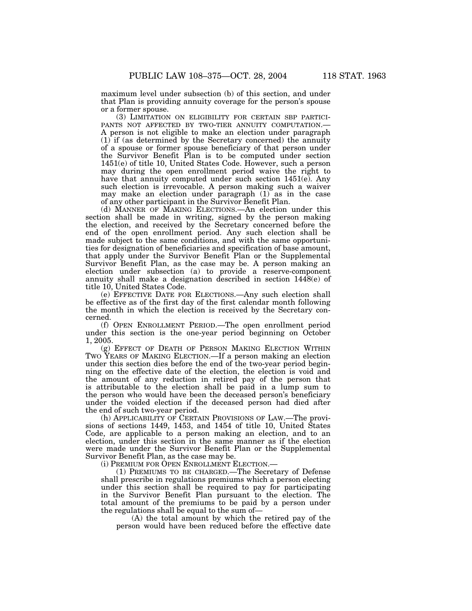maximum level under subsection (b) of this section, and under that Plan is providing annuity coverage for the person's spouse or a former spouse.

(3) LIMITATION ON ELIGIBILITY FOR CERTAIN SBP PARTICI- PANTS NOT AFFECTED BY TWO-TIER ANNUITY COMPUTATION.— A person is not eligible to make an election under paragraph (1) if (as determined by the Secretary concerned) the annuity of a spouse or former spouse beneficiary of that person under the Survivor Benefit Plan is to be computed under section 1451(e) of title 10, United States Code. However, such a person may during the open enrollment period waive the right to have that annuity computed under such section 1451(e). Any such election is irrevocable. A person making such a waiver may make an election under paragraph (1) as in the case of any other participant in the Survivor Benefit Plan.

(d) MANNER OF MAKING ELECTIONS.—An election under this section shall be made in writing, signed by the person making the election, and received by the Secretary concerned before the end of the open enrollment period. Any such election shall be made subject to the same conditions, and with the same opportunities for designation of beneficiaries and specification of base amount, that apply under the Survivor Benefit Plan or the Supplemental Survivor Benefit Plan, as the case may be. A person making an election under subsection (a) to provide a reserve-component annuity shall make a designation described in section 1448(e) of title 10, United States Code.

(e) EFFECTIVE DATE FOR ELECTIONS.—Any such election shall be effective as of the first day of the first calendar month following the month in which the election is received by the Secretary concerned.

(f) OPEN ENROLLMENT PERIOD.—The open enrollment period under this section is the one-year period beginning on October 1, 2005.

(g) EFFECT OF DEATH OF PERSON MAKING ELECTION WITHIN TWO YEARS OF MAKING ELECTION.—If a person making an election under this section dies before the end of the two-year period beginning on the effective date of the election, the election is void and the amount of any reduction in retired pay of the person that is attributable to the election shall be paid in a lump sum to the person who would have been the deceased person's beneficiary under the voided election if the deceased person had died after the end of such two-year period.

(h) APPLICABILITY OF CERTAIN PROVISIONS OF LAW.—The provisions of sections 1449, 1453, and 1454 of title 10, United States Code, are applicable to a person making an election, and to an election, under this section in the same manner as if the election were made under the Survivor Benefit Plan or the Supplemental Survivor Benefit Plan, as the case may be.

(i) PREMIUM FOR OPEN ENROLLMENT ELECTION.—

(1) PREMIUMS TO BE CHARGED.—The Secretary of Defense shall prescribe in regulations premiums which a person electing under this section shall be required to pay for participating in the Survivor Benefit Plan pursuant to the election. The total amount of the premiums to be paid by a person under the regulations shall be equal to the sum of—

(A) the total amount by which the retired pay of the person would have been reduced before the effective date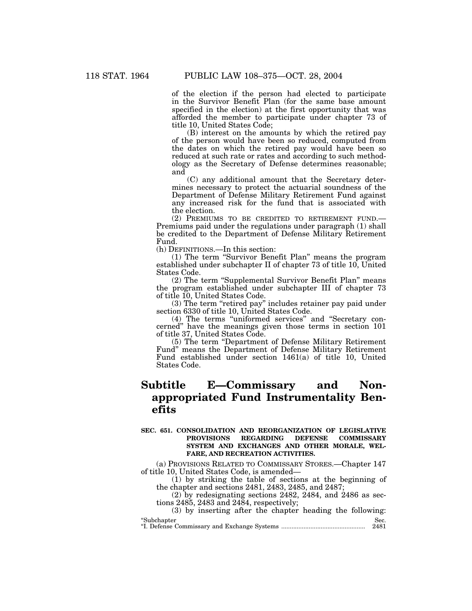of the election if the person had elected to participate in the Survivor Benefit Plan (for the same base amount specified in the election) at the first opportunity that was afforded the member to participate under chapter 73 of title 10, United States Code;

(B) interest on the amounts by which the retired pay of the person would have been so reduced, computed from the dates on which the retired pay would have been so reduced at such rate or rates and according to such methodology as the Secretary of Defense determines reasonable; and

(C) any additional amount that the Secretary determines necessary to protect the actuarial soundness of the Department of Defense Military Retirement Fund against any increased risk for the fund that is associated with the election.

(2) PREMIUMS TO BE CREDITED TO RETIREMENT FUND.— Premiums paid under the regulations under paragraph (1) shall be credited to the Department of Defense Military Retirement Fund.

(h) DEFINITIONS.—In this section:

(1) The term ''Survivor Benefit Plan'' means the program established under subchapter II of chapter 73 of title 10, United States Code.

(2) The term ''Supplemental Survivor Benefit Plan'' means the program established under subchapter III of chapter 73 of title 10, United States Code.

(3) The term ''retired pay'' includes retainer pay paid under section 6330 of title 10, United States Code.

(4) The terms ''uniformed services'' and ''Secretary concerned'' have the meanings given those terms in section 101 of title 37, United States Code.

(5) The term ''Department of Defense Military Retirement Fund'' means the Department of Defense Military Retirement Fund established under section 1461(a) of title 10, United States Code.

# **Subtitle E—Commissary and Nonappropriated Fund Instrumentality Benefits**

## **SEC. 651. CONSOLIDATION AND REORGANIZATION OF LEGISLATIVE PROVISIONS REGARDING DEFENSE COMMISSARY SYSTEM AND EXCHANGES AND OTHER MORALE, WEL-FARE, AND RECREATION ACTIVITIES.**

(a) PROVISIONS RELATED TO COMMISSARY STORES.—Chapter 147 of title 10, United States Code, is amended—

(1) by striking the table of sections at the beginning of the chapter and sections 2481, 2483, 2485, and 2487;

(2) by redesignating sections 2482, 2484, and 2486 as sections 2485, 2483 and 2484, respectively;

(3) by inserting after the chapter heading the following: ''Subchapter Sec.

''I. Defense Commissary and Exchange Systems ................................................. 2481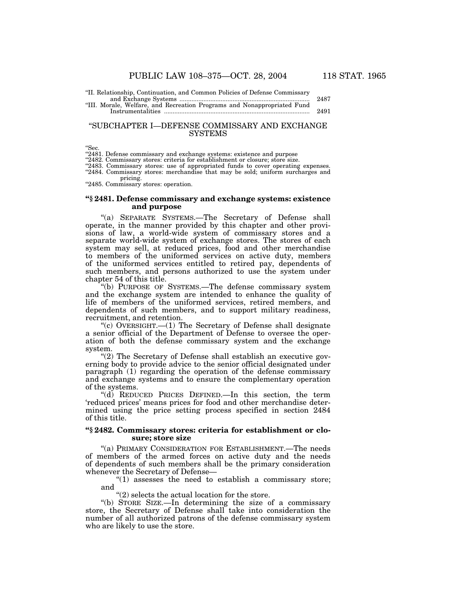''II. Relationship, Continuation, and Common Policies of Defense Commissary

and Exchange Systems ............................................................................ 2487 ''III. Morale, Welfare, and Recreation Programs and Nonappropriated Fund Instrumentalities ..................................................................................... 2491

## ''SUBCHAPTER I—DEFENSE COMMISSARY AND EXCHANGE SYSTEMS

"Sec.<br>"2481. Defense commissary and exchange systems: existence and purpose

''2482. Commissary stores: criteria for establishment or closure; store size.

"2483. Commissary stores: use of appropriated funds to cover operating expenses. "2484. Commissary stores: merchandise that may be sold; uniform surcharges and pricing.

"2485. Commissary stores: operation.

## **''§ 2481. Defense commissary and exchange systems: existence and purpose**

''(a) SEPARATE SYSTEMS.—The Secretary of Defense shall operate, in the manner provided by this chapter and other provisions of law, a world-wide system of commissary stores and a separate world-wide system of exchange stores. The stores of each system may sell, at reduced prices, food and other merchandise to members of the uniformed services on active duty, members of the uniformed services entitled to retired pay, dependents of such members, and persons authorized to use the system under chapter 54 of this title.

''(b) PURPOSE OF SYSTEMS.—The defense commissary system and the exchange system are intended to enhance the quality of life of members of the uniformed services, retired members, and dependents of such members, and to support military readiness, recruitment, and retention.

"(c) OVERSIGHT. $-$ (1) The Secretary of Defense shall designate a senior official of the Department of Defense to oversee the operation of both the defense commissary system and the exchange system.

" $(2)$  The Secretary of Defense shall establish an executive governing body to provide advice to the senior official designated under paragraph (1) regarding the operation of the defense commissary and exchange systems and to ensure the complementary operation of the systems.

(d) REDUCED PRICES DEFINED.—In this section, the term 'reduced prices' means prices for food and other merchandise determined using the price setting process specified in section 2484 of this title.

### **''§ 2482. Commissary stores: criteria for establishment or closure; store size**

"(a) PRIMARY CONSIDERATION FOR ESTABLISHMENT.—The needs of members of the armed forces on active duty and the needs of dependents of such members shall be the primary consideration whenever the Secretary of Defense—

" $(1)$  assesses the need to establish a commissary store; and

"(2) selects the actual location for the store.

''(b) STORE SIZE.—In determining the size of a commissary store, the Secretary of Defense shall take into consideration the number of all authorized patrons of the defense commissary system who are likely to use the store.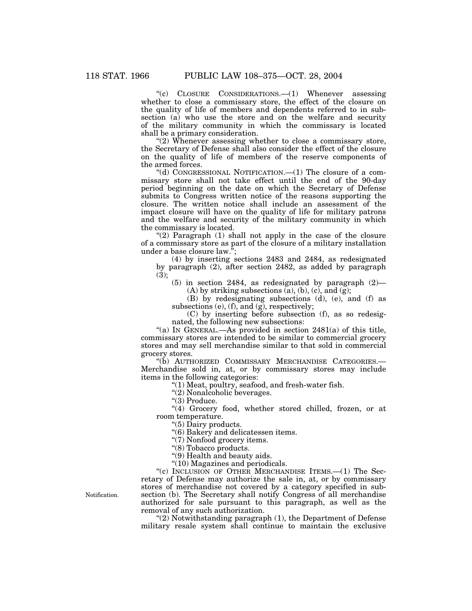''(c) CLOSURE CONSIDERATIONS.—(1) Whenever assessing whether to close a commissary store, the effect of the closure on the quality of life of members and dependents referred to in subsection (a) who use the store and on the welfare and security of the military community in which the commissary is located shall be a primary consideration.

"(2) Whenever assessing whether to close a commissary store, the Secretary of Defense shall also consider the effect of the closure on the quality of life of members of the reserve components of the armed forces.

''(d) CONGRESSIONAL NOTIFICATION.—(1) The closure of a commissary store shall not take effect until the end of the 90-day period beginning on the date on which the Secretary of Defense submits to Congress written notice of the reasons supporting the closure. The written notice shall include an assessment of the impact closure will have on the quality of life for military patrons and the welfare and security of the military community in which the commissary is located.

" $(2)$  Paragraph  $(1)$  shall not apply in the case of the closure of a commissary store as part of the closure of a military installation under a base closure law.'';

(4) by inserting sections 2483 and 2484, as redesignated by paragraph (2), after section 2482, as added by paragraph  $(3):$ 

 $(5)$  in section 2484, as redesignated by paragraph  $(2)$ —  $(A)$  by striking subsections  $(a)$ ,  $(b)$ ,  $(c)$ , and  $(g)$ ;

(B) by redesignating subsections (d), (e), and (f) as subsections (e), (f), and (g), respectively;

(C) by inserting before subsection (f), as so redesignated, the following new subsections:

"(a) IN GENERAL.—As provided in section  $2481(a)$  of this title, commissary stores are intended to be similar to commercial grocery stores and may sell merchandise similar to that sold in commercial grocery stores.

''(b) AUTHORIZED COMMISSARY MERCHANDISE CATEGORIES.— Merchandise sold in, at, or by commissary stores may include items in the following categories:

''(1) Meat, poultry, seafood, and fresh-water fish.

"(2) Nonalcoholic beverages.

"(3) Produce.

"(4) Grocery food, whether stored chilled, frozen, or at room temperature.

''(5) Dairy products.

''(6) Bakery and delicatessen items.

"(7) Nonfood grocery items.

''(8) Tobacco products.

"(9) Health and beauty aids.

''(10) Magazines and periodicals.

"(c) INCLUSION OF OTHER MERCHANDISE ITEMS.—(1) The Secretary of Defense may authorize the sale in, at, or by commissary stores of merchandise not covered by a category specified in subsection (b). The Secretary shall notify Congress of all merchandise authorized for sale pursuant to this paragraph, as well as the removal of any such authorization.

''(2) Notwithstanding paragraph (1), the Department of Defense military resale system shall continue to maintain the exclusive

Notification.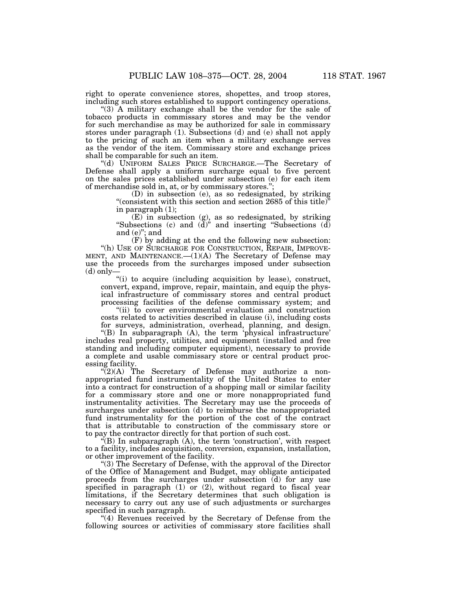right to operate convenience stores, shopettes, and troop stores, including such stores established to support contingency operations.

''(3) A military exchange shall be the vendor for the sale of tobacco products in commissary stores and may be the vendor for such merchandise as may be authorized for sale in commissary stores under paragraph (1). Subsections (d) and (e) shall not apply to the pricing of such an item when a military exchange serves as the vendor of the item. Commissary store and exchange prices shall be comparable for such an item.

''(d) UNIFORM SALES PRICE SURCHARGE.—The Secretary of Defense shall apply a uniform surcharge equal to five percent on the sales prices established under subsection (e) for each item of merchandise sold in, at, or by commissary stores.'';

(D) in subsection (e), as so redesignated, by striking "(consistent with this section and section 2685 of this title)" in paragraph (1);

(E) in subsection (g), as so redesignated, by striking "Subsections (c) and (d)" and inserting "Subsections (d) and (e)''; and

(F) by adding at the end the following new subsection: ''(h) USE OF SURCHARGE FOR CONSTRUCTION, REPAIR, IMPROVE-MENT, AND MAINTENANCE.—(1)(A) The Secretary of Defense may use the proceeds from the surcharges imposed under subsection (d) only—

"(i) to acquire (including acquisition by lease), construct, convert, expand, improve, repair, maintain, and equip the physical infrastructure of commissary stores and central product processing facilities of the defense commissary system; and

''(ii) to cover environmental evaluation and construction costs related to activities described in clause (i), including costs for surveys, administration, overhead, planning, and design.

''(B) In subparagraph (A), the term 'physical infrastructure' includes real property, utilities, and equipment (installed and free standing and including computer equipment), necessary to provide a complete and usable commissary store or central product processing facility.

 $\sqrt{\frac{2}{2}}$ (A) The Secretary of Defense may authorize a nonappropriated fund instrumentality of the United States to enter into a contract for construction of a shopping mall or similar facility for a commissary store and one or more nonappropriated fund instrumentality activities. The Secretary may use the proceeds of surcharges under subsection (d) to reimburse the nonappropriated fund instrumentality for the portion of the cost of the contract that is attributable to construction of the commissary store or to pay the contractor directly for that portion of such cost.

 $\mathcal{L}(B)$  In subparagraph  $(A)$ , the term 'construction', with respect to a facility, includes acquisition, conversion, expansion, installation, or other improvement of the facility.

''(3) The Secretary of Defense, with the approval of the Director of the Office of Management and Budget, may obligate anticipated proceeds from the surcharges under subsection (d) for any use specified in paragraph  $(1)$  or  $(2)$ , without regard to fiscal year limitations, if the Secretary determines that such obligation is necessary to carry out any use of such adjustments or surcharges specified in such paragraph.

"(4) Revenues received by the Secretary of Defense from the following sources or activities of commissary store facilities shall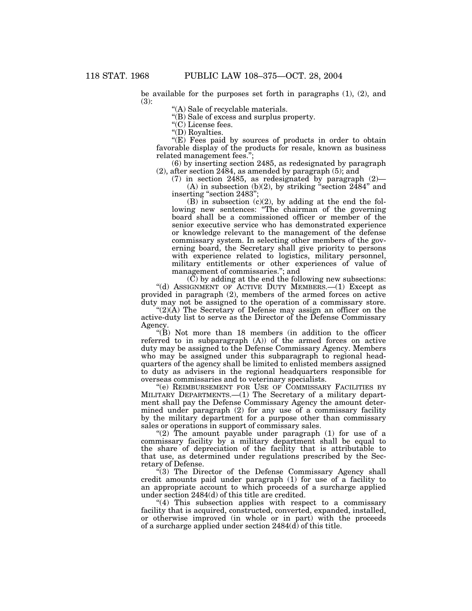be available for the purposes set forth in paragraphs (1), (2), and (3):

''(A) Sale of recyclable materials.

''(B) Sale of excess and surplus property.

''(C) License fees.

''(D) Royalties.

"(E) Fees paid by sources of products in order to obtain favorable display of the products for resale, known as business related management fees.'';

(6) by inserting section 2485, as redesignated by paragraph (2), after section 2484, as amended by paragraph (5); and

(7) in section 2485, as redesignated by paragraph (2)—

(A) in subsection (b)(2), by striking "section  $2484"$  and inserting "section 2483";

(B) in subsection  $(c)(2)$ , by adding at the end the following new sentences: "The chairman of the governing board shall be a commissioned officer or member of the senior executive service who has demonstrated experience or knowledge relevant to the management of the defense commissary system. In selecting other members of the governing board, the Secretary shall give priority to persons with experience related to logistics, military personnel, military entitlements or other experiences of value of management of commissaries.''; and

 $(\tilde{C})$  by adding at the end the following new subsections: "(d) ASSIGNMENT OF ACTIVE DUTY MEMBERS.—(1) Except as provided in paragraph (2), members of the armed forces on active duty may not be assigned to the operation of a commissary store.

'(2)( $\AA$ ) The Secretary of Defense may assign an officer on the active-duty list to serve as the Director of the Defense Commissary Agency.

" $(B)$  Not more than 18 members (in addition to the officer referred to in subparagraph (A)) of the armed forces on active duty may be assigned to the Defense Commissary Agency. Members who may be assigned under this subparagraph to regional headquarters of the agency shall be limited to enlisted members assigned to duty as advisers in the regional headquarters responsible for overseas commissaries and to veterinary specialists.

''(e) REIMBURSEMENT FOR USE OF COMMISSARY FACILITIES BY MILITARY DEPARTMENTS.—(1) The Secretary of a military department shall pay the Defense Commissary Agency the amount determined under paragraph (2) for any use of a commissary facility by the military department for a purpose other than commissary sales or operations in support of commissary sales.

" $(2)$  The amount payable under paragraph  $(1)$  for use of a commissary facility by a military department shall be equal to the share of depreciation of the facility that is attributable to that use, as determined under regulations prescribed by the Secretary of Defense.

"(3) The Director of the Defense Commissary Agency shall credit amounts paid under paragraph (1) for use of a facility to an appropriate account to which proceeds of a surcharge applied under section 2484(d) of this title are credited.

 $(4)$  This subsection applies with respect to a commissary facility that is acquired, constructed, converted, expanded, installed, or otherwise improved (in whole or in part) with the proceeds of a surcharge applied under section  $2484(\overline{d})$  of this title.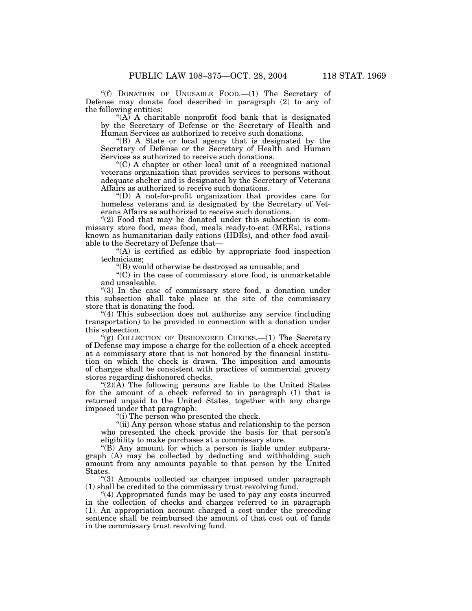''(f) DONATION OF UNUSABLE FOOD.—(1) The Secretary of Defense may donate food described in paragraph (2) to any of the following entities:

"(A) A charitable nonprofit food bank that is designated by the Secretary of Defense or the Secretary of Health and Human Services as authorized to receive such donations.

''(B) A State or local agency that is designated by the Secretary of Defense or the Secretary of Health and Human Services as authorized to receive such donations.

''(C) A chapter or other local unit of a recognized national veterans organization that provides services to persons without adequate shelter and is designated by the Secretary of Veterans Affairs as authorized to receive such donations.

 $\mathrm{``(D)}$  A not-for-profit organization that provides care for homeless veterans and is designated by the Secretary of Veterans Affairs as authorized to receive such donations.

"(2) Food that may be donated under this subsection is commissary store food, mess food, meals ready-to-eat (MREs), rations known as humanitarian daily rations (HDRs), and other food available to the Secretary of Defense that—

''(A) is certified as edible by appropriate food inspection technicians;

''(B) would otherwise be destroyed as unusable; and

 $\mathcal{C}(C)$  in the case of commissary store food, is unmarketable and unsaleable.

"(3) In the case of commissary store food, a donation under this subsection shall take place at the site of the commissary store that is donating the food.

"(4) This subsection does not authorize any service (including transportation) to be provided in connection with a donation under this subsection.

 $'(g)$  COLLECTION OF DISHONORED CHECKS.— $(1)$  The Secretary of Defense may impose a charge for the collection of a check accepted at a commissary store that is not honored by the financial institution on which the check is drawn. The imposition and amounts of charges shall be consistent with practices of commercial grocery stores regarding dishonored checks.

" $(2)(\overline{A})$  The following persons are liable to the United States for the amount of a check referred to in paragraph (1) that is returned unpaid to the United States, together with any charge imposed under that paragraph:

''(i) The person who presented the check.

"(ii) Any person whose status and relationship to the person who presented the check provide the basis for that person's eligibility to make purchases at a commissary store.

''(B) Any amount for which a person is liable under subparagraph (A) may be collected by deducting and withholding such amount from any amounts payable to that person by the United States.

''(3) Amounts collected as charges imposed under paragraph  $(1)$  shall be credited to the commissary trust revolving fund.

''(4) Appropriated funds may be used to pay any costs incurred in the collection of checks and charges referred to in paragraph (1). An appropriation account charged a cost under the preceding sentence shall be reimbursed the amount of that cost out of funds in the commissary trust revolving fund.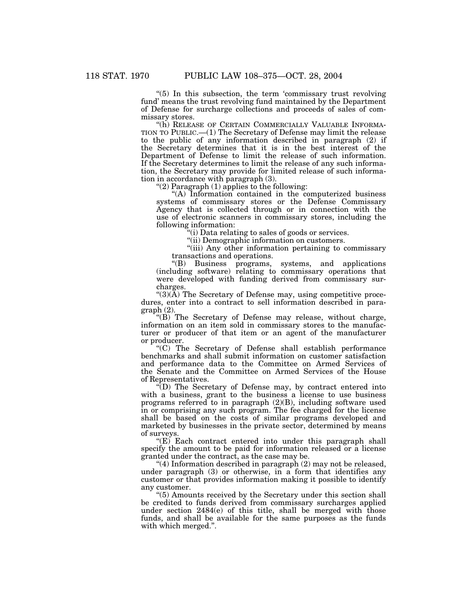"(5) In this subsection, the term 'commissary trust revolving fund' means the trust revolving fund maintained by the Department of Defense for surcharge collections and proceeds of sales of commissary stores.

"(h) RELEASE OF CERTAIN COMMERCIALLY VALUABLE INFORMA-TION TO PUBLIC.—(1) The Secretary of Defense may limit the release to the public of any information described in paragraph (2) if the Secretary determines that it is in the best interest of the Department of Defense to limit the release of such information. If the Secretary determines to limit the release of any such information, the Secretary may provide for limited release of such information in accordance with paragraph (3).

''(2) Paragraph (1) applies to the following:

"(A) Information contained in the computerized business systems of commissary stores or the Defense Commissary Agency that is collected through or in connection with the use of electronic scanners in commissary stores, including the following information:

(i) Data relating to sales of goods or services.

"(ii) Demographic information on customers.

"(iii) Any other information pertaining to commissary transactions and operations.

''(B) Business programs, systems, and applications (including software) relating to commissary operations that were developed with funding derived from commissary surcharges.

" $(3)(\tilde{A})$  The Secretary of Defense may, using competitive procedures, enter into a contract to sell information described in paragraph (2).

"(B) The Secretary of Defense may release, without charge, information on an item sold in commissary stores to the manufacturer or producer of that item or an agent of the manufacturer or producer.

''(C) The Secretary of Defense shall establish performance benchmarks and shall submit information on customer satisfaction and performance data to the Committee on Armed Services of the Senate and the Committee on Armed Services of the House of Representatives.

 $\mathcal{F}(D)$  The Secretary of Defense may, by contract entered into with a business, grant to the business a license to use business programs referred to in paragraph (2)(B), including software used in or comprising any such program. The fee charged for the license shall be based on the costs of similar programs developed and marketed by businesses in the private sector, determined by means of surveys.

"(E) Each contract entered into under this paragraph shall specify the amount to be paid for information released or a license granted under the contract, as the case may be.

''(4) Information described in paragraph (2) may not be released, under paragraph (3) or otherwise, in a form that identifies any customer or that provides information making it possible to identify any customer.

''(5) Amounts received by the Secretary under this section shall be credited to funds derived from commissary surcharges applied under section 2484(e) of this title, shall be merged with those funds, and shall be available for the same purposes as the funds with which merged.''.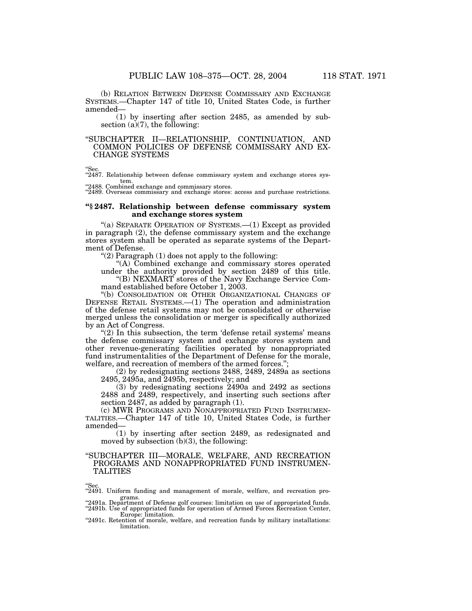(b) RELATION BETWEEN DEFENSE COMMISSARY AND EXCHANGE SYSTEMS.—Chapter 147 of title 10, United States Code, is further amended—

(1) by inserting after section 2485, as amended by subsection  $(a)(7)$ , the following:

## ''SUBCHAPTER II—RELATIONSHIP, CONTINUATION, AND COMMON POLICIES OF DEFENSE COMMISSARY AND EX-CHANGE SYSTEMS

"Sec.<br>"2487. Relationship between defense commissary system and exchange stores system.

''2488. Combined exchange and commissary stores. ''2489. Overseas commissary and exchange stores: access and purchase restrictions.

## **''§ 2487. Relationship between defense commissary system and exchange stores system**

"(a) SEPARATE OPERATION OF SYSTEMS.—(1) Except as provided in paragraph (2), the defense commissary system and the exchange stores system shall be operated as separate systems of the Department of Defense.

" $(2)$  Paragraph  $(1)$  does not apply to the following:

"(A) Combined exchange and commissary stores operated under the authority provided by section 2489 of this title.

''(B) NEXMART stores of the Navy Exchange Service Command established before October 1, 2003.

''(b) CONSOLIDATION OR OTHER ORGANIZATIONAL CHANGES OF DEFENSE RETAIL SYSTEMS.—(1) The operation and administration of the defense retail systems may not be consolidated or otherwise merged unless the consolidation or merger is specifically authorized by an Act of Congress.

 $(2)$  In this subsection, the term 'defense retail systems' means the defense commissary system and exchange stores system and other revenue-generating facilities operated by nonappropriated fund instrumentalities of the Department of Defense for the morale, welfare, and recreation of members of the armed forces.'';

(2) by redesignating sections 2488, 2489, 2489a as sections 2495, 2495a, and 2495b, respectively; and

(3) by redesignating sections 2490a and 2492 as sections 2488 and 2489, respectively, and inserting such sections after section 2487, as added by paragraph (1).

(c) MWR PROGRAMS AND NONAPPROPRIATED FUND INSTRUMEN-TALITIES.—Chapter 147 of title 10, United States Code, is further amended—

(1) by inserting after section 2489, as redesignated and moved by subsection (b)(3), the following:

## ''SUBCHAPTER III—MORALE, WELFARE, AND RECREATION PROGRAMS AND NONAPPROPRIATED FUND INSTRUMEN-TALITIES

''Sec.

"2491. Uniform funding and management of morale, welfare, and recreation programs.

grams. ''2491a. Department of Defense golf courses: limitation on use of appropriated funds. ''2491b. Use of appropriated funds for operation of Armed Forces Recreation Center,

Europe: limitation. ''2491c. Retention of morale, welfare, and recreation funds by military installations: limitation.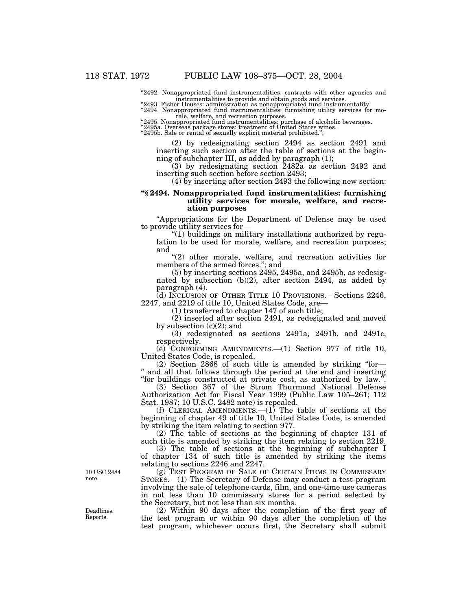"2492. Nonappropriated fund instrumentalities: contracts with other agencies and instrumentalities to provide and obtain goods and services. ''2493. Fisher Houses: administration as nonappropriated fund instrumentality.

''2494. Nonappropriated fund instrumentalities: furnishing utility services for mo-

rale, welfare, and recreation purposes.<br>"2495. Nonappropriated fund instrumentalities: purchase of alcoholic beverages.<br>"2495a. Overseas package stores: treatment of United States wines.<br>"2495b. Sale or rental of sexually

(2) by redesignating section 2494 as section 2491 and inserting such section after the table of sections at the beginning of subchapter III, as added by paragraph (1);

(3) by redesignating section 2482a as section 2492 and inserting such section before section 2493;

(4) by inserting after section 2493 the following new section:

## **''§ 2494. Nonappropriated fund instrumentalities: furnishing utility services for morale, welfare, and recreation purposes**

''Appropriations for the Department of Defense may be used to provide utility services for—

''(1) buildings on military installations authorized by regulation to be used for morale, welfare, and recreation purposes; and

"(2) other morale, welfare, and recreation activities for members of the armed forces.''; and

(5) by inserting sections 2495, 2495a, and 2495b, as redesignated by subsection (b)(2), after section 2494, as added by paragraph (4).

(d) INCLUSION OF OTHER TITLE 10 PROVISIONS.—Sections 2246, 2247, and 2219 of title 10, United States Code, are—

(1) transferred to chapter 147 of such title;

(2) inserted after section 2491, as redesignated and moved by subsection  $(c)(2)$ ; and

(3) redesignated as sections 2491a, 2491b, and 2491c, respectively.

(e) CONFORMING AMENDMENTS.—(1) Section 977 of title 10, United States Code, is repealed.

 $(2)$  Section 2868 of such title is amended by striking "for-'' and all that follows through the period at the end and inserting "for buildings constructed at private cost, as authorized by law.".

(3) Section 367 of the Strom Thurmond National Defense Authorization Act for Fiscal Year 1999 (Public Law 105–261; 112 Stat. 1987; 10 U.S.C. 2482 note) is repealed.

(f) CLERICAL AMENDMENTS.— $(1)$  The table of sections at the beginning of chapter 49 of title 10, United States Code, is amended by striking the item relating to section 977.

(2) The table of sections at the beginning of chapter 131 of such title is amended by striking the item relating to section 2219.

(3) The table of sections at the beginning of subchapter I of chapter 134 of such title is amended by striking the items relating to sections 2246 and 2247.

(g) TEST PROGRAM OF SALE OF CERTAIN ITEMS IN COMMISSARY STORES.—(1) The Secretary of Defense may conduct a test program involving the sale of telephone cards, film, and one-time use cameras in not less than 10 commissary stores for a period selected by the Secretary, but not less than six months.

(2) Within 90 days after the completion of the first year of the test program or within 90 days after the completion of the test program, whichever occurs first, the Secretary shall submit

10 USC 2484 note.

Deadlines. Reports.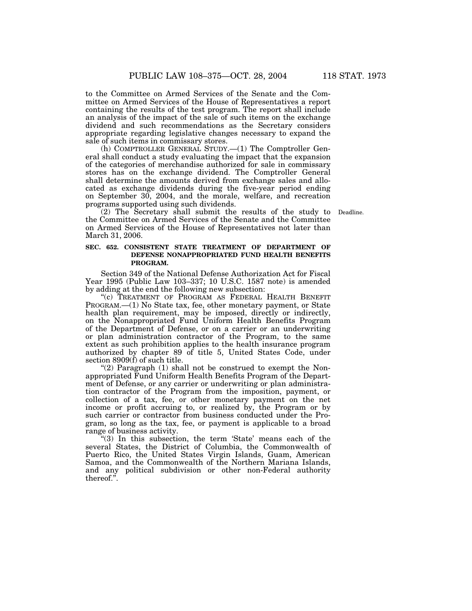to the Committee on Armed Services of the Senate and the Committee on Armed Services of the House of Representatives a report containing the results of the test program. The report shall include an analysis of the impact of the sale of such items on the exchange dividend and such recommendations as the Secretary considers appropriate regarding legislative changes necessary to expand the sale of such items in commissary stores.

(h) COMPTROLLER GENERAL STUDY.—(1) The Comptroller General shall conduct a study evaluating the impact that the expansion of the categories of merchandise authorized for sale in commissary stores has on the exchange dividend. The Comptroller General shall determine the amounts derived from exchange sales and allocated as exchange dividends during the five-year period ending on September 30, 2004, and the morale, welfare, and recreation programs supported using such dividends.

(2) The Secretary shall submit the results of the study to Deadline. the Committee on Armed Services of the Senate and the Committee on Armed Services of the House of Representatives not later than March 31, 2006.

## **SEC. 652. CONSISTENT STATE TREATMENT OF DEPARTMENT OF DEFENSE NONAPPROPRIATED FUND HEALTH BENEFITS PROGRAM.**

Section 349 of the National Defense Authorization Act for Fiscal Year 1995 (Public Law 103–337; 10 U.S.C. 1587 note) is amended by adding at the end the following new subsection:

"(c) TREATMENT OF PROGRAM AS FEDERAL HEALTH BENEFIT PROGRAM.—(1) No State tax, fee, other monetary payment, or State health plan requirement, may be imposed, directly or indirectly, on the Nonappropriated Fund Uniform Health Benefits Program of the Department of Defense, or on a carrier or an underwriting or plan administration contractor of the Program, to the same extent as such prohibition applies to the health insurance program authorized by chapter 89 of title 5, United States Code, under section 8909(f) of such title.

"(2) Paragraph  $(1)$  shall not be construed to exempt the Nonappropriated Fund Uniform Health Benefits Program of the Department of Defense, or any carrier or underwriting or plan administration contractor of the Program from the imposition, payment, or collection of a tax, fee, or other monetary payment on the net income or profit accruing to, or realized by, the Program or by such carrier or contractor from business conducted under the Program, so long as the tax, fee, or payment is applicable to a broad range of business activity.

"(3) In this subsection, the term 'State' means each of the several States, the District of Columbia, the Commonwealth of Puerto Rico, the United States Virgin Islands, Guam, American Samoa, and the Commonwealth of the Northern Mariana Islands, and any political subdivision or other non-Federal authority thereof.''.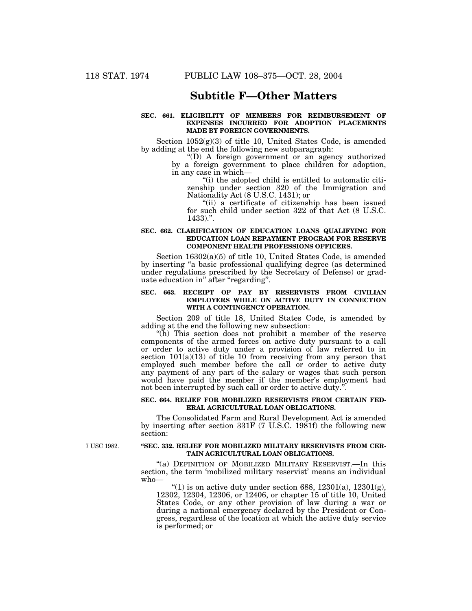## **Subtitle F—Other Matters**

## **SEC. 661. ELIGIBILITY OF MEMBERS FOR REIMBURSEMENT OF EXPENSES INCURRED FOR ADOPTION PLACEMENTS MADE BY FOREIGN GOVERNMENTS.**

Section  $1052(g)(3)$  of title 10, United States Code, is amended by adding at the end the following new subparagraph:

''(D) A foreign government or an agency authorized by a foreign government to place children for adoption, in any case in which—

''(i) the adopted child is entitled to automatic citizenship under section 320 of the Immigration and Nationality Act (8 U.S.C. 1431); or

''(ii) a certificate of citizenship has been issued for such child under section 322 of that Act (8 U.S.C.  $1433$ .".

#### **SEC. 662. CLARIFICATION OF EDUCATION LOANS QUALIFYING FOR EDUCATION LOAN REPAYMENT PROGRAM FOR RESERVE COMPONENT HEALTH PROFESSIONS OFFICERS.**

Section 16302(a)(5) of title 10, United States Code, is amended by inserting "a basic professional qualifying degree (as determined under regulations prescribed by the Secretary of Defense) or graduate education in'' after ''regarding''.

## **SEC. 663. RECEIPT OF PAY BY RESERVISTS FROM CIVILIAN EMPLOYERS WHILE ON ACTIVE DUTY IN CONNECTION WITH A CONTINGENCY OPERATION.**

Section 209 of title 18, United States Code, is amended by adding at the end the following new subsection:

''(h) This section does not prohibit a member of the reserve components of the armed forces on active duty pursuant to a call or order to active duty under a provision of law referred to in section  $101(a)(13)$  of title 10 from receiving from any person that employed such member before the call or order to active duty any payment of any part of the salary or wages that such person would have paid the member if the member's employment had not been interrupted by such call or order to active duty.''.

#### **SEC. 664. RELIEF FOR MOBILIZED RESERVISTS FROM CERTAIN FED-ERAL AGRICULTURAL LOAN OBLIGATIONS.**

The Consolidated Farm and Rural Development Act is amended by inserting after section 331F (7 U.S.C. 1981f) the following new section:

7 USC 1982.

#### **''SEC. 332. RELIEF FOR MOBILIZED MILITARY RESERVISTS FROM CER-TAIN AGRICULTURAL LOAN OBLIGATIONS.**

"(a) DEFINITION OF MOBILIZED MILITARY RESERVIST.—In this section, the term 'mobilized military reservist' means an individual who—

 $(1)$  is on active duty under section 688, 12301(a), 12301(g), 12302, 12304, 12306, or 12406, or chapter 15 of title 10, United States Code, or any other provision of law during a war or during a national emergency declared by the President or Congress, regardless of the location at which the active duty service is performed; or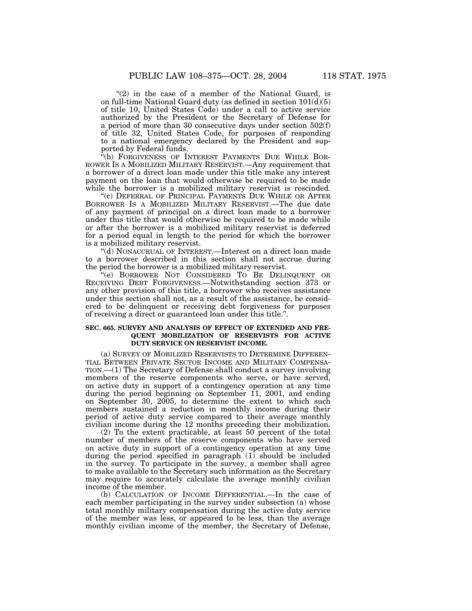" $(2)$  in the case of a member of the National Guard, is on full-time National Guard duty (as defined in section 101(d)(5) of title 10, United States Code) under a call to active service authorized by the President or the Secretary of Defense for a period of more than 30 consecutive days under section 502(f) of title 32, United States Code, for purposes of responding to a national emergency declared by the President and supported by Federal funds.

''(b) FORGIVENESS OF INTEREST PAYMENTS DUE WHILE BOR-ROWER IS A MOBILIZED MILITARY RESERVIST.—Any requirement that a borrower of a direct loan made under this title make any interest payment on the loan that would otherwise be required to be made while the borrower is a mobilized military reservist is rescinded.

''(c) DEFERRAL OF PRINCIPAL PAYMENTS DUE WHILE OR AFTER BORROWER IS A MOBILIZED MILITARY RESERVIST.—The due date of any payment of principal on a direct loan made to a borrower under this title that would otherwise be required to be made while or after the borrower is a mobilized military reservist is deferred for a period equal in length to the period for which the borrower is a mobilized military reservist.

''(d) NONACCRUAL OF INTEREST.—Interest on a direct loan made to a borrower described in this section shall not accrue during the period the borrower is a mobilized military reservist.

''(e) BORROWER NOT CONSIDERED TO BE DELINQUENT OR RECEIVING DEBT FORGIVENESS.—Notwithstanding section 373 or any other provision of this title, a borrower who receives assistance under this section shall not, as a result of the assistance, be considered to be delinquent or receiving debt forgiveness for purposes of receiving a direct or guaranteed loan under this title.''.

## **SEC. 665. SURVEY AND ANALYSIS OF EFFECT OF EXTENDED AND FRE-QUENT MOBILIZATION OF RESERVISTS FOR ACTIVE DUTY SERVICE ON RESERVIST INCOME.**

(a) SURVEY OF MOBILIZED RESERVISTS TO DETERMINE DIFFEREN-TIAL BETWEEN PRIVATE SECTOR INCOME AND MILITARY COMPENSA-TION.—(1) The Secretary of Defense shall conduct a survey involving members of the reserve components who serve, or have served, on active duty in support of a contingency operation at any time during the period beginning on September 11, 2001, and ending on September 30, 2005, to determine the extent to which such members sustained a reduction in monthly income during their period of active duty service compared to their average monthly civilian income during the 12 months preceding their mobilization.

(2) To the extent practicable, at least 50 percent of the total number of members of the reserve components who have served on active duty in support of a contingency operation at any time during the period specified in paragraph (1) should be included in the survey. To participate in the survey, a member shall agree to make available to the Secretary such information as the Secretary may require to accurately calculate the average monthly civilian income of the member.

(b) CALCULATION OF INCOME DIFFERENTIAL.—In the case of each member participating in the survey under subsection (a) whose total monthly military compensation during the active duty service of the member was less, or appeared to be less, than the average monthly civilian income of the member, the Secretary of Defense,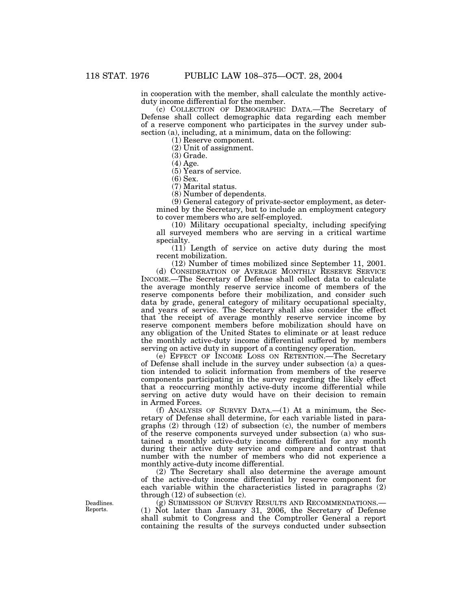in cooperation with the member, shall calculate the monthly activeduty income differential for the member.

(c) COLLECTION OF DEMOGRAPHIC DATA.—The Secretary of Defense shall collect demographic data regarding each member of a reserve component who participates in the survey under subsection (a), including, at a minimum, data on the following:

(1) Reserve component.

(2) Unit of assignment.

(3) Grade.

(4) Age.

(5) Years of service.

(6) Sex.

(7) Marital status.

(8) Number of dependents.

(9) General category of private-sector employment, as determined by the Secretary, but to include an employment category to cover members who are self-employed.

(10) Military occupational specialty, including specifying all surveyed members who are serving in a critical wartime specialty.

(11) Length of service on active duty during the most recent mobilization.

(12) Number of times mobilized since September 11, 2001.

(d) CONSIDERATION OF AVERAGE MONTHLY RESERVE SERVICE INCOME.—The Secretary of Defense shall collect data to calculate the average monthly reserve service income of members of the reserve components before their mobilization, and consider such data by grade, general category of military occupational specialty, and years of service. The Secretary shall also consider the effect that the receipt of average monthly reserve service income by reserve component members before mobilization should have on any obligation of the United States to eliminate or at least reduce the monthly active-duty income differential suffered by members serving on active duty in support of a contingency operation.

(e) EFFECT OF INCOME LOSS ON RETENTION.—The Secretary of Defense shall include in the survey under subsection (a) a question intended to solicit information from members of the reserve components participating in the survey regarding the likely effect that a reoccurring monthly active-duty income differential while serving on active duty would have on their decision to remain in Armed Forces.

(f) ANALYSIS OF SURVEY DATA.—(1) At a minimum, the Secretary of Defense shall determine, for each variable listed in paragraphs (2) through (12) of subsection (c), the number of members of the reserve components surveyed under subsection (a) who sustained a monthly active-duty income differential for any month during their active duty service and compare and contrast that number with the number of members who did not experience a monthly active-duty income differential.

(2) The Secretary shall also determine the average amount of the active-duty income differential by reserve component for each variable within the characteristics listed in paragraphs (2) through (12) of subsection (c).

(g) SUBMISSION OF SURVEY RESULTS AND RECOMMENDATIONS.— (1) Not later than January 31, 2006, the Secretary of Defense shall submit to Congress and the Comptroller General a report containing the results of the surveys conducted under subsection

Deadlines. Reports.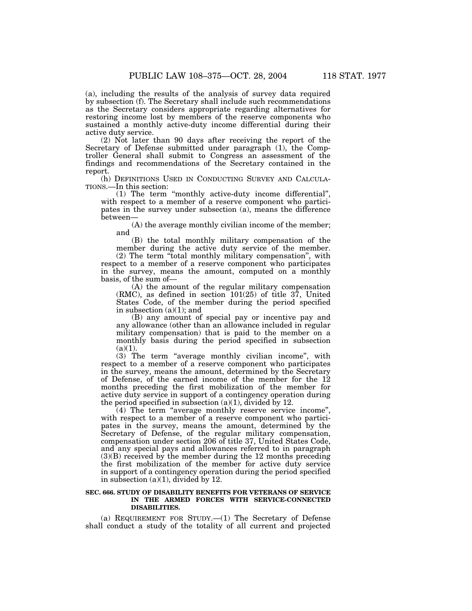(a), including the results of the analysis of survey data required by subsection (f). The Secretary shall include such recommendations as the Secretary considers appropriate regarding alternatives for restoring income lost by members of the reserve components who sustained a monthly active-duty income differential during their active duty service.

(2) Not later than 90 days after receiving the report of the Secretary of Defense submitted under paragraph (1), the Comptroller General shall submit to Congress an assessment of the findings and recommendations of the Secretary contained in the report.

(h) DEFINITIONS USED IN CONDUCTING SURVEY AND CALCULA- TIONS.—In this section:

(1) The term ''monthly active-duty income differential'', with respect to a member of a reserve component who participates in the survey under subsection (a), means the difference between—

(A) the average monthly civilian income of the member; and

(B) the total monthly military compensation of the member during the active duty service of the member.

(2) The term ''total monthly military compensation'', with respect to a member of a reserve component who participates in the survey, means the amount, computed on a monthly basis, of the sum of—

(A) the amount of the regular military compensation (RMC), as defined in section 101(25) of title 37, United States Code, of the member during the period specified in subsection  $(a)(1)$ ; and

(B) any amount of special pay or incentive pay and any allowance (other than an allowance included in regular military compensation) that is paid to the member on a monthly basis during the period specified in subsection  $(a)(1)$ .

(3) The term ''average monthly civilian income'', with respect to a member of a reserve component who participates in the survey, means the amount, determined by the Secretary of Defense, of the earned income of the member for the 12 months preceding the first mobilization of the member for active duty service in support of a contingency operation during the period specified in subsection  $(a)(1)$ , divided by 12.

(4) The term ''average monthly reserve service income'', with respect to a member of a reserve component who participates in the survey, means the amount, determined by the Secretary of Defense, of the regular military compensation, compensation under section 206 of title 37, United States Code, and any special pays and allowances referred to in paragraph (3)(B) received by the member during the 12 months preceding the first mobilization of the member for active duty service in support of a contingency operation during the period specified in subsection  $(a)(1)$ , divided by 12.

#### **SEC. 666. STUDY OF DISABILITY BENEFITS FOR VETERANS OF SERVICE IN THE ARMED FORCES WITH SERVICE-CONNECTED DISABILITIES.**

(a) REQUIREMENT FOR STUDY.—(1) The Secretary of Defense shall conduct a study of the totality of all current and projected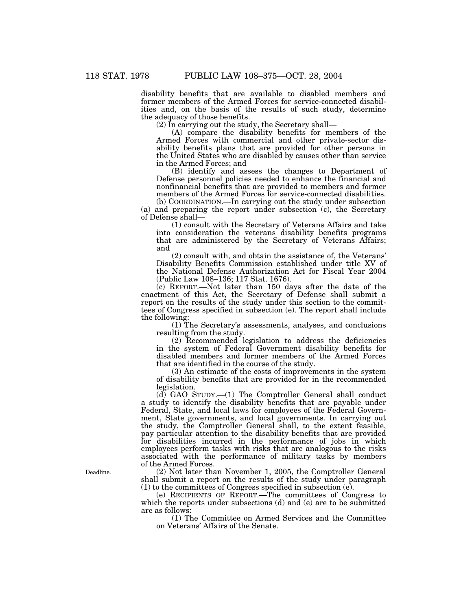disability benefits that are available to disabled members and former members of the Armed Forces for service-connected disabilities and, on the basis of the results of such study, determine the adequacy of those benefits.

 $(2)$  In carrying out the study, the Secretary shall—

(A) compare the disability benefits for members of the Armed Forces with commercial and other private-sector disability benefits plans that are provided for other persons in the United States who are disabled by causes other than service in the Armed Forces; and

(B) identify and assess the changes to Department of Defense personnel policies needed to enhance the financial and nonfinancial benefits that are provided to members and former members of the Armed Forces for service-connected disabilities. (b) COORDINATION.—In carrying out the study under subsection

(a) and preparing the report under subsection (c), the Secretary of Defense shall—

(1) consult with the Secretary of Veterans Affairs and take into consideration the veterans disability benefits programs that are administered by the Secretary of Veterans Affairs; and

(2) consult with, and obtain the assistance of, the Veterans' Disability Benefits Commission established under title XV of the National Defense Authorization Act for Fiscal Year 2004 (Public Law 108–136; 117 Stat. 1676).

(c) REPORT.—Not later than 150 days after the date of the enactment of this Act, the Secretary of Defense shall submit a report on the results of the study under this section to the committees of Congress specified in subsection (e). The report shall include the following:

(1) The Secretary's assessments, analyses, and conclusions resulting from the study.

(2) Recommended legislation to address the deficiencies in the system of Federal Government disability benefits for disabled members and former members of the Armed Forces that are identified in the course of the study.

(3) An estimate of the costs of improvements in the system of disability benefits that are provided for in the recommended legislation.

(d) GAO STUDY.—(1) The Comptroller General shall conduct a study to identify the disability benefits that are payable under Federal, State, and local laws for employees of the Federal Government, State governments, and local governments. In carrying out the study, the Comptroller General shall, to the extent feasible, pay particular attention to the disability benefits that are provided for disabilities incurred in the performance of jobs in which employees perform tasks with risks that are analogous to the risks associated with the performance of military tasks by members of the Armed Forces.

(2) Not later than November 1, 2005, the Comptroller General shall submit a report on the results of the study under paragraph (1) to the committees of Congress specified in subsection (e).

(e) RECIPIENTS OF REPORT.—The committees of Congress to which the reports under subsections (d) and (e) are to be submitted are as follows:

(1) The Committee on Armed Services and the Committee on Veterans' Affairs of the Senate.

Deadline.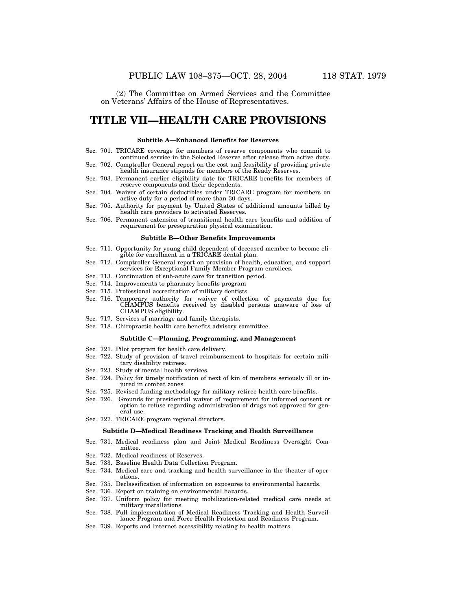(2) The Committee on Armed Services and the Committee on Veterans' Affairs of the House of Representatives.

## **TITLE VII—HEALTH CARE PROVISIONS**

#### **Subtitle A—Enhanced Benefits for Reserves**

- Sec. 701. TRICARE coverage for members of reserve components who commit to continued service in the Selected Reserve after release from active duty.
- Sec. 702. Comptroller General report on the cost and feasibility of providing private health insurance stipends for members of the Ready Reserves.
- Sec. 703. Permanent earlier eligibility date for TRICARE benefits for members of reserve components and their dependents.
- Sec. 704. Waiver of certain deductibles under TRICARE program for members on active duty for a period of more than 30 days.
- Sec. 705. Authority for payment by United States of additional amounts billed by health care providers to activated Reserves.
- Sec. 706. Permanent extension of transitional health care benefits and addition of requirement for preseparation physical examination.

#### **Subtitle B—Other Benefits Improvements**

- Sec. 711. Opportunity for young child dependent of deceased member to become eligible for enrollment in a TRICARE dental plan.
- Sec. 712. Comptroller General report on provision of health, education, and support services for Exceptional Family Member Program enrollees.
- Sec. 713. Continuation of sub-acute care for transition period.
- Sec. 714. Improvements to pharmacy benefits program
- Sec. 715. Professional accreditation of military dentists.
- Sec. 716. Temporary authority for waiver of collection of payments due for CHAMPUS benefits received by disabled persons unaware of loss of CHAMPUS eligibility.
- Sec. 717. Services of marriage and family therapists.
- Sec. 718. Chiropractic health care benefits advisory committee.

#### **Subtitle C—Planning, Programming, and Management**

- Sec. 721. Pilot program for health care delivery.
- Sec. 722. Study of provision of travel reimbursement to hospitals for certain military disability retirees.
- Sec. 723. Study of mental health services.
- Sec. 724. Policy for timely notification of next of kin of members seriously ill or injured in combat zones.
- Sec. 725. Revised funding methodology for military retiree health care benefits.
- Sec. 726. Grounds for presidential waiver of requirement for informed consent or option to refuse regarding administration of drugs not approved for general use.
- Sec. 727. TRICARE program regional directors.

#### **Subtitle D—Medical Readiness Tracking and Health Surveillance**

- Sec. 731. Medical readiness plan and Joint Medical Readiness Oversight Committee.
- Sec. 732. Medical readiness of Reserves.
- Sec. 733. Baseline Health Data Collection Program.
- Sec. 734. Medical care and tracking and health surveillance in the theater of operations.
- Sec. 735. Declassification of information on exposures to environmental hazards.
- Sec. 736. Report on training on environmental hazards.
- Sec. 737. Uniform policy for meeting mobilization-related medical care needs at military installations.
- Sec. 738. Full implementation of Medical Readiness Tracking and Health Surveillance Program and Force Health Protection and Readiness Program.
- Sec. 739. Reports and Internet accessibility relating to health matters.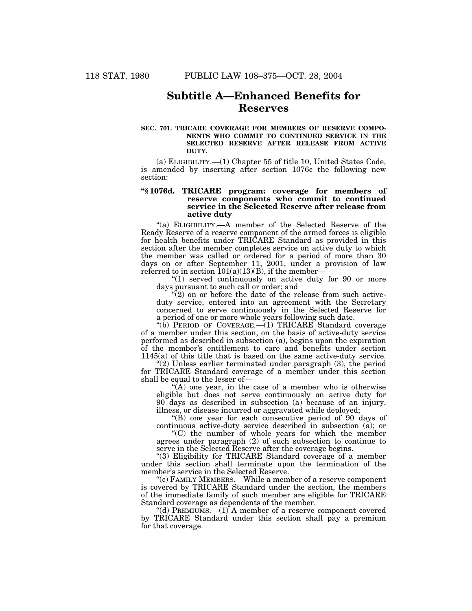## **Subtitle A—Enhanced Benefits for Reserves**

#### **SEC. 701. TRICARE COVERAGE FOR MEMBERS OF RESERVE COMPO-NENTS WHO COMMIT TO CONTINUED SERVICE IN THE SELECTED RESERVE AFTER RELEASE FROM ACTIVE DUTY.**

(a) ELIGIBILITY.—(1) Chapter 55 of title 10, United States Code, is amended by inserting after section 1076c the following new section:

## **''§ 1076d. TRICARE program: coverage for members of reserve components who commit to continued service in the Selected Reserve after release from active duty**

"(a) ELIGIBILITY.—A member of the Selected Reserve of the Ready Reserve of a reserve component of the armed forces is eligible for health benefits under TRICARE Standard as provided in this section after the member completes service on active duty to which the member was called or ordered for a period of more than 30 days on or after September 11, 2001, under a provision of law referred to in section  $101(a)(13)(B)$ , if the member-

"(1) served continuously on active duty for 90 or more days pursuant to such call or order; and

" $(2)$  on or before the date of the release from such activeduty service, entered into an agreement with the Secretary concerned to serve continuously in the Selected Reserve for a period of one or more whole years following such date.

''(b) PERIOD OF COVERAGE.—(1) TRICARE Standard coverage of a member under this section, on the basis of active-duty service performed as described in subsection (a), begins upon the expiration of the member's entitlement to care and benefits under section 1145(a) of this title that is based on the same active-duty service.

" $(2)$  Unless earlier terminated under paragraph  $(3)$ , the period for TRICARE Standard coverage of a member under this section shall be equal to the lesser of—

" $(A)$  one year, in the case of a member who is otherwise eligible but does not serve continuously on active duty for 90 days as described in subsection (a) because of an injury, illness, or disease incurred or aggravated while deployed;

''(B) one year for each consecutive period of 90 days of continuous active-duty service described in subsection (a); or

 $C$ ) the number of whole years for which the member agrees under paragraph (2) of such subsection to continue to serve in the Selected Reserve after the coverage begins.

"(3) Eligibility for TRICARE Standard coverage of a member under this section shall terminate upon the termination of the member's service in the Selected Reserve.

''(c) FAMILY MEMBERS.—While a member of a reserve component is covered by TRICARE Standard under the section, the members of the immediate family of such member are eligible for TRICARE Standard coverage as dependents of the member.

"(d) PREMIUMS.—(1) A member of a reserve component covered by TRICARE Standard under this section shall pay a premium for that coverage.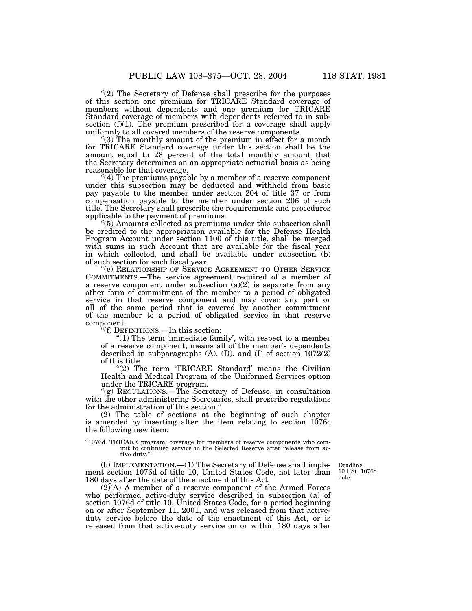"(2) The Secretary of Defense shall prescribe for the purposes of this section one premium for TRICARE Standard coverage of members without dependents and one premium for TRICARE Standard coverage of members with dependents referred to in subsection  $(f)(1)$ . The premium prescribed for a coverage shall apply uniformly to all covered members of the reserve components.

"(3) The monthly amount of the premium in effect for a month for TRICARE Standard coverage under this section shall be the amount equal to 28 percent of the total monthly amount that the Secretary determines on an appropriate actuarial basis as being reasonable for that coverage.

" $(4)$  The premiums payable by a member of a reserve component under this subsection may be deducted and withheld from basic pay payable to the member under section 204 of title 37 or from compensation payable to the member under section 206 of such title. The Secretary shall prescribe the requirements and procedures applicable to the payment of premiums.

''(5) Amounts collected as premiums under this subsection shall be credited to the appropriation available for the Defense Health Program Account under section 1100 of this title, shall be merged with sums in such Account that are available for the fiscal year in which collected, and shall be available under subsection (b) of such section for such fiscal year.

"(e) RELATIONSHIP OF SERVICE AGREEMENT TO OTHER SERVICE COMMITMENTS.—The service agreement required of a member of a reserve component under subsection  $(a)(2)$  is separate from any other form of commitment of the member to a period of obligated service in that reserve component and may cover any part or all of the same period that is covered by another commitment of the member to a period of obligated service in that reserve component.

''(f) DEFINITIONS.—In this section:

"(1) The term 'immediate family', with respect to a member of a reserve component, means all of the member's dependents described in subparagraphs  $(A)$ ,  $(D)$ , and  $(I)$  of section  $1072(2)$ of this title.

"(2) The term 'TRICARE Standard' means the Civilian Health and Medical Program of the Uniformed Services option under the TRICARE program.

"(g) REGULATIONS.—The Secretary of Defense, in consultation with the other administering Secretaries, shall prescribe regulations for the administration of this section.''.

(2) The table of sections at the beginning of such chapter is amended by inserting after the item relating to section  $1076c$ the following new item:

''1076d. TRICARE program: coverage for members of reserve components who commit to continued service in the Selected Reserve after release from active duty.''.

(b) IMPLEMENTATION.—(1) The Secretary of Defense shall implement section 1076d of title 10, United States Code, not later than 180 days after the date of the enactment of this Act.

Deadline. 10 USC 1076d note.

 $(2)$  $(A)$  A member of a reserve component of the Armed Forces who performed active-duty service described in subsection (a) of section 1076d of title 10, United States Code, for a period beginning on or after September 11, 2001, and was released from that activeduty service before the date of the enactment of this Act, or is released from that active-duty service on or within 180 days after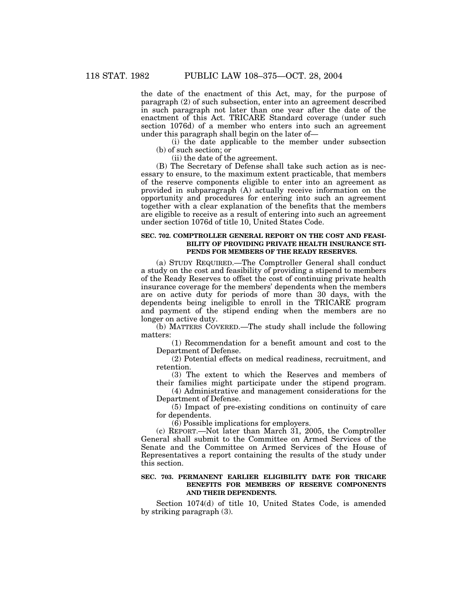the date of the enactment of this Act, may, for the purpose of paragraph (2) of such subsection, enter into an agreement described in such paragraph not later than one year after the date of the enactment of this Act. TRICARE Standard coverage (under such section 1076d) of a member who enters into such an agreement under this paragraph shall begin on the later of—

(i) the date applicable to the member under subsection (b) of such section; or

(ii) the date of the agreement.

(B) The Secretary of Defense shall take such action as is necessary to ensure, to the maximum extent practicable, that members of the reserve components eligible to enter into an agreement as provided in subparagraph (A) actually receive information on the opportunity and procedures for entering into such an agreement together with a clear explanation of the benefits that the members are eligible to receive as a result of entering into such an agreement under section 1076d of title 10, United States Code.

## **SEC. 702. COMPTROLLER GENERAL REPORT ON THE COST AND FEASI-BILITY OF PROVIDING PRIVATE HEALTH INSURANCE STI-PENDS FOR MEMBERS OF THE READY RESERVES.**

(a) STUDY REQUIRED.—The Comptroller General shall conduct a study on the cost and feasibility of providing a stipend to members of the Ready Reserves to offset the cost of continuing private health insurance coverage for the members' dependents when the members are on active duty for periods of more than 30 days, with the dependents being ineligible to enroll in the TRICARE program and payment of the stipend ending when the members are no longer on active duty.

(b) MATTERS COVERED.—The study shall include the following matters:

(1) Recommendation for a benefit amount and cost to the Department of Defense.

(2) Potential effects on medical readiness, recruitment, and retention.

(3) The extent to which the Reserves and members of their families might participate under the stipend program.

(4) Administrative and management considerations for the Department of Defense.

(5) Impact of pre-existing conditions on continuity of care for dependents.

(6) Possible implications for employers.

(c) REPORT.—Not later than March 31, 2005, the Comptroller General shall submit to the Committee on Armed Services of the Senate and the Committee on Armed Services of the House of Representatives a report containing the results of the study under this section.

## **SEC. 703. PERMANENT EARLIER ELIGIBILITY DATE FOR TRICARE BENEFITS FOR MEMBERS OF RESERVE COMPONENTS AND THEIR DEPENDENTS.**

Section 1074(d) of title 10, United States Code, is amended by striking paragraph (3).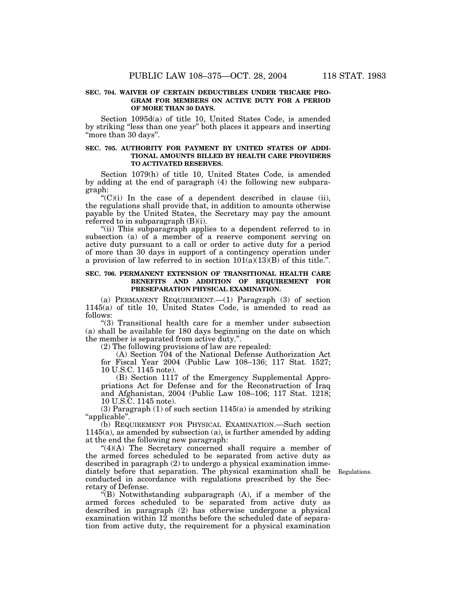## **SEC. 704. WAIVER OF CERTAIN DEDUCTIBLES UNDER TRICARE PRO-GRAM FOR MEMBERS ON ACTIVE DUTY FOR A PERIOD OF MORE THAN 30 DAYS.**

Section 1095d(a) of title 10, United States Code, is amended by striking ''less than one year'' both places it appears and inserting "more than 30 days".

## **SEC. 705. AUTHORITY FOR PAYMENT BY UNITED STATES OF ADDI-TIONAL AMOUNTS BILLED BY HEALTH CARE PROVIDERS TO ACTIVATED RESERVES.**

Section 1079(h) of title 10, United States Code, is amended by adding at the end of paragraph (4) the following new subparagraph:

 $C'(C)(i)$  In the case of a dependent described in clause (ii), the regulations shall provide that, in addition to amounts otherwise payable by the United States, the Secretary may pay the amount referred to in subparagraph  $(B)(i)$ .

"(ii) This subparagraph applies to a dependent referred to in subsection (a) of a member of a reserve component serving on active duty pursuant to a call or order to active duty for a period of more than 30 days in support of a contingency operation under a provision of law referred to in section  $101(a)(13)(B)$  of this title.".

#### **SEC. 706. PERMANENT EXTENSION OF TRANSITIONAL HEALTH CARE BENEFITS AND ADDITION OF REQUIREMENT FOR PRESEPARATION PHYSICAL EXAMINATION.**

(a) PERMANENT REQUIREMENT.—(1) Paragraph (3) of section 1145(a) of title 10, United States Code, is amended to read as follows:

''(3) Transitional health care for a member under subsection (a) shall be available for 180 days beginning on the date on which the member is separated from active duty.''.

(2) The following provisions of law are repealed:

(A) Section 704 of the National Defense Authorization Act for Fiscal Year 2004 (Public Law 108–136; 117 Stat. 1527; 10 U.S.C. 1145 note).

(B) Section 1117 of the Emergency Supplemental Appropriations Act for Defense and for the Reconstruction of Iraq and Afghanistan, 2004 (Public Law 108–106; 117 Stat. 1218; 10 U.S.C. 1145 note).

 $(3)$  Paragraph  $(1)$  of such section 1145(a) is amended by striking ''applicable''.

(b) REQUIREMENT FOR PHYSICAL EXAMINATION.—Such section 1145(a), as amended by subsection (a), is further amended by adding at the end the following new paragraph:

" $(4)(A)$  The Secretary concerned shall require a member of the armed forces scheduled to be separated from active duty as described in paragraph (2) to undergo a physical examination immediately before that separation. The physical examination shall be conducted in accordance with regulations prescribed by the Secretary of Defense.

Regulations.

''(B) Notwithstanding subparagraph (A), if a member of the armed forces scheduled to be separated from active duty as described in paragraph (2) has otherwise undergone a physical examination within 12 months before the scheduled date of separation from active duty, the requirement for a physical examination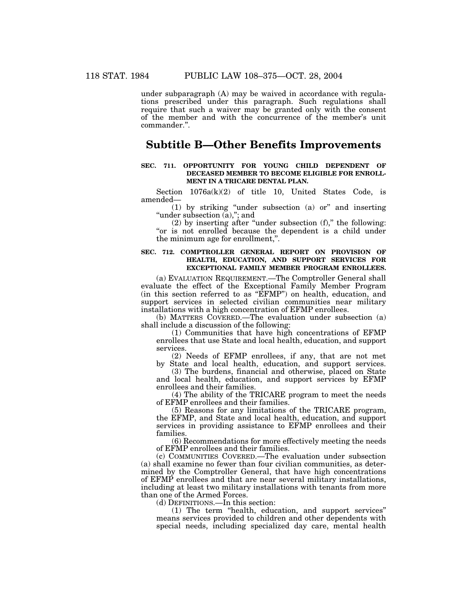under subparagraph (A) may be waived in accordance with regulations prescribed under this paragraph. Such regulations shall require that such a waiver may be granted only with the consent of the member and with the concurrence of the member's unit commander.''.

## **Subtitle B—Other Benefits Improvements**

### **SEC. 711. OPPORTUNITY FOR YOUNG CHILD DEPENDENT OF DECEASED MEMBER TO BECOME ELIGIBLE FOR ENROLL-MENT IN A TRICARE DENTAL PLAN.**

Section  $1076a(k)(2)$  of title 10, United States Code, is amended—

(1) by striking ''under subsection (a) or'' and inserting ''under subsection (a),''; and

 $(2)$  by inserting after "under subsection  $(f)$ ," the following: "or is not enrolled because the dependent is a child under the minimum age for enrollment,''.

#### **SEC. 712. COMPTROLLER GENERAL REPORT ON PROVISION OF HEALTH, EDUCATION, AND SUPPORT SERVICES FOR EXCEPTIONAL FAMILY MEMBER PROGRAM ENROLLEES.**

(a) EVALUATION REQUIREMENT.—The Comptroller General shall evaluate the effect of the Exceptional Family Member Program (in this section referred to as ''EFMP'') on health, education, and support services in selected civilian communities near military installations with a high concentration of EFMP enrollees.

(b) MATTERS COVERED.—The evaluation under subsection (a) shall include a discussion of the following:

(1) Communities that have high concentrations of EFMP enrollees that use State and local health, education, and support services.

(2) Needs of EFMP enrollees, if any, that are not met by State and local health, education, and support services.

(3) The burdens, financial and otherwise, placed on State and local health, education, and support services by EFMP enrollees and their families.

(4) The ability of the TRICARE program to meet the needs of EFMP enrollees and their families.

(5) Reasons for any limitations of the TRICARE program, the EFMP, and State and local health, education, and support services in providing assistance to EFMP enrollees and their families.

(6) Recommendations for more effectively meeting the needs of EFMP enrollees and their families.

(c) COMMUNITIES COVERED.—The evaluation under subsection (a) shall examine no fewer than four civilian communities, as determined by the Comptroller General, that have high concentrations of EFMP enrollees and that are near several military installations, including at least two military installations with tenants from more than one of the Armed Forces.

(d) DEFINITIONS.—In this section:

(1) The term ''health, education, and support services'' means services provided to children and other dependents with special needs, including specialized day care, mental health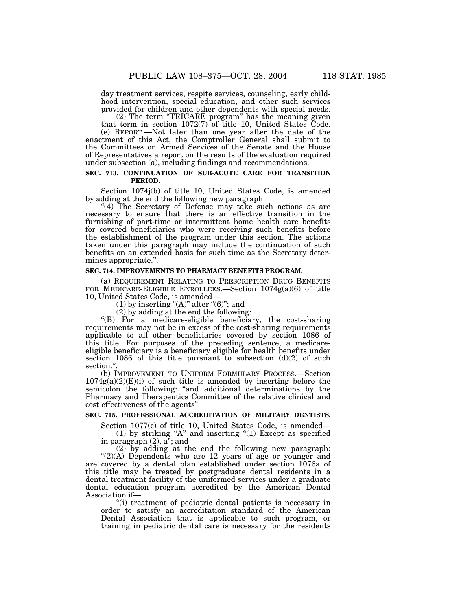day treatment services, respite services, counseling, early childhood intervention, special education, and other such services provided for children and other dependents with special needs.

(2) The term ''TRICARE program'' has the meaning given that term in section  $1072(7)$  of title 10, United States Code.

(e) REPORT.—Not later than one year after the date of the enactment of this Act, the Comptroller General shall submit to the Committees on Armed Services of the Senate and the House of Representatives a report on the results of the evaluation required under subsection (a), including findings and recommendations.

## **SEC. 713. CONTINUATION OF SUB-ACUTE CARE FOR TRANSITION PERIOD.**

Section 1074j(b) of title 10, United States Code, is amended by adding at the end the following new paragraph:

"(4) The Secretary of Defense may take such actions as are necessary to ensure that there is an effective transition in the furnishing of part-time or intermittent home health care benefits for covered beneficiaries who were receiving such benefits before the establishment of the program under this section. The actions taken under this paragraph may include the continuation of such benefits on an extended basis for such time as the Secretary determines appropriate.''.

## **SEC. 714. IMPROVEMENTS TO PHARMACY BENEFITS PROGRAM.**

(a) REQUIREMENT RELATING TO PRESCRIPTION DRUG BENEFITS FOR MEDICARE-ELIGIBLE ENROLLEES.—Section  $1074g(a)(6)$  of title 10, United States Code, is amended—

(1) by inserting " $(A)$ " after " $(6)$ "; and

 $(2)$  by adding at the end the following:

''(B) For a medicare-eligible beneficiary, the cost-sharing requirements may not be in excess of the cost-sharing requirements applicable to all other beneficiaries covered by section 1086 of this title. For purposes of the preceding sentence, a medicareeligible beneficiary is a beneficiary eligible for health benefits under section 1086 of this title pursuant to subsection  $(d)(2)$  of such section."

(b) IMPROVEMENT TO UNIFORM FORMULARY PROCESS.—Section  $1074g(a)(2)(E)(i)$  of such title is amended by inserting before the semicolon the following: "and additional determinations by the Pharmacy and Therapeutics Committee of the relative clinical and cost effectiveness of the agents''.

## **SEC. 715. PROFESSIONAL ACCREDITATION OF MILITARY DENTISTS.**

Section 1077(c) of title 10, United States Code, is amended—

(1) by striking "A" and inserting " $(1)$  Except as specified in paragraph  $(2)$ ,  $a$ <sup>"</sup>; and

(2) by adding at the end the following new paragraph:  $!(2)(A)$  Dependents who are 12 years of age or younger and are covered by a dental plan established under section 1076a of this title may be treated by postgraduate dental residents in a dental treatment facility of the uniformed services under a graduate dental education program accredited by the American Dental Association if—

''(i) treatment of pediatric dental patients is necessary in order to satisfy an accreditation standard of the American Dental Association that is applicable to such program, or training in pediatric dental care is necessary for the residents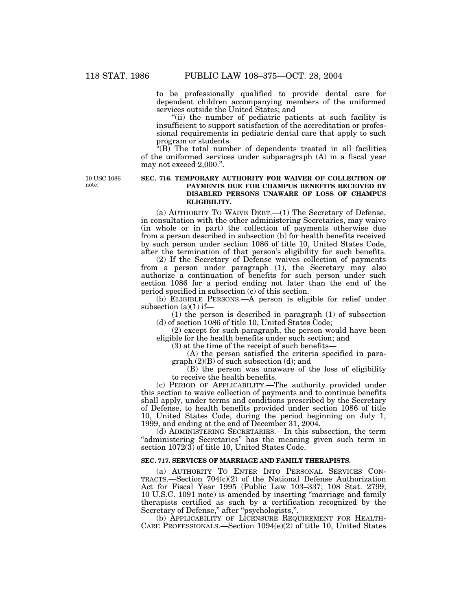to be professionally qualified to provide dental care for dependent children accompanying members of the uniformed services outside the United States; and

"(ii) the number of pediatric patients at such facility is insufficient to support satisfaction of the accreditation or professional requirements in pediatric dental care that apply to such program or students.

 $\sqrt{(\text{B})}$  The total number of dependents treated in all facilities of the uniformed services under subparagraph (A) in a fiscal year may not exceed 2,000.''.

10 USC 1086 note.

## **SEC. 716. TEMPORARY AUTHORITY FOR WAIVER OF COLLECTION OF PAYMENTS DUE FOR CHAMPUS BENEFITS RECEIVED BY DISABLED PERSONS UNAWARE OF LOSS OF CHAMPUS ELIGIBILITY.**

(a) AUTHORITY TO WAIVE DEBT.—(1) The Secretary of Defense, in consultation with the other administering Secretaries, may waive (in whole or in part) the collection of payments otherwise due from a person described in subsection (b) for health benefits received by such person under section 1086 of title 10, United States Code, after the termination of that person's eligibility for such benefits.

(2) If the Secretary of Defense waives collection of payments from a person under paragraph (1), the Secretary may also authorize a continuation of benefits for such person under such section 1086 for a period ending not later than the end of the period specified in subsection (c) of this section.

(b) ELIGIBLE PERSONS.—A person is eligible for relief under subsection  $(a)(1)$  if-

(1) the person is described in paragraph (1) of subsection (d) of section 1086 of title 10, United States Code;

(2) except for such paragraph, the person would have been eligible for the health benefits under such section; and

(3) at the time of the receipt of such benefits—

(A) the person satisfied the criteria specified in para $graph (2)(B)$  of such subsection (d); and

(B) the person was unaware of the loss of eligibility to receive the health benefits.

(c) PERIOD OF APPLICABILITY.—The authority provided under this section to waive collection of payments and to continue benefits shall apply, under terms and conditions prescribed by the Secretary of Defense, to health benefits provided under section 1086 of title 10, United States Code, during the period beginning on July 1, 1999, and ending at the end of December 31, 2004.

(d) ADMINISTERING SECRETARIES.—In this subsection, the term "administering Secretaries" has the meaning given such term in section 1072(3) of title 10, United States Code.

#### **SEC. 717. SERVICES OF MARRIAGE AND FAMILY THERAPISTS.**

(a) AUTHORITY TO ENTER INTO PERSONAL SERVICES CON-TRACTS.—Section 704(c)(2) of the National Defense Authorization Act for Fiscal Year 1995 (Public Law 103–337; 108 Stat. 2799; 10 U.S.C. 1091 note) is amended by inserting ''marriage and family therapists certified as such by a certification recognized by the Secretary of Defense," after "psychologists,".

(b) APPLICABILITY OF LICENSURE REQUIREMENT FOR HEALTH-CARE PROFESSIONALS.—Section 1094(e)(2) of title 10, United States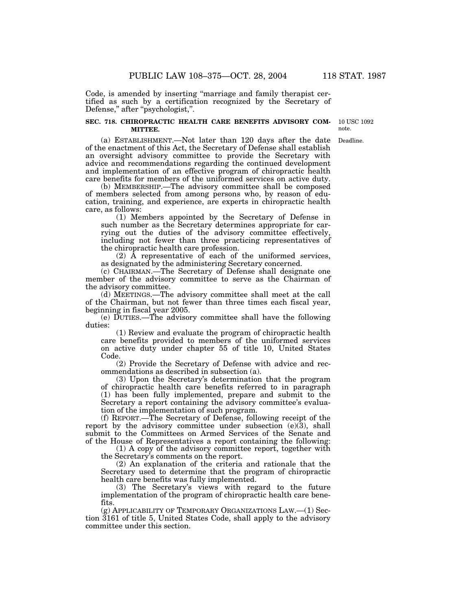Code, is amended by inserting ''marriage and family therapist certified as such by a certification recognized by the Secretary of Defense," after "psychologist,".

#### **SEC. 718. CHIROPRACTIC HEALTH CARE BENEFITS ADVISORY COM-MITTEE.**

10 USC 1092 note.

(a) ESTABLISHMENT.—Not later than 120 days after the date of the enactment of this Act, the Secretary of Defense shall establish an oversight advisory committee to provide the Secretary with advice and recommendations regarding the continued development and implementation of an effective program of chiropractic health care benefits for members of the uniformed services on active duty. Deadline.

(b) MEMBERSHIP.—The advisory committee shall be composed of members selected from among persons who, by reason of education, training, and experience, are experts in chiropractic health care, as follows:

(1) Members appointed by the Secretary of Defense in such number as the Secretary determines appropriate for carrying out the duties of the advisory committee effectively, including not fewer than three practicing representatives of the chiropractic health care profession.

 $(2)$  Å representative of each of the uniformed services, as designated by the administering Secretary concerned.

(c) CHAIRMAN.—The Secretary of Defense shall designate one member of the advisory committee to serve as the Chairman of the advisory committee.

(d) MEETINGS.—The advisory committee shall meet at the call of the Chairman, but not fewer than three times each fiscal year, beginning in fiscal year 2005.

(e) DUTIES.—The advisory committee shall have the following duties:

(1) Review and evaluate the program of chiropractic health care benefits provided to members of the uniformed services on active duty under chapter 55 of title 10, United States Code.

(2) Provide the Secretary of Defense with advice and recommendations as described in subsection (a).

(3) Upon the Secretary's determination that the program of chiropractic health care benefits referred to in paragraph (1) has been fully implemented, prepare and submit to the Secretary a report containing the advisory committee's evaluation of the implementation of such program.

(f) REPORT.—The Secretary of Defense, following receipt of the report by the advisory committee under subsection  $(e)(3)$ , shall submit to the Committees on Armed Services of the Senate and of the House of Representatives a report containing the following:

(1) A copy of the advisory committee report, together with the Secretary's comments on the report.

(2) An explanation of the criteria and rationale that the Secretary used to determine that the program of chiropractic health care benefits was fully implemented.

(3) The Secretary's views with regard to the future implementation of the program of chiropractic health care benefits.

(g) APPLICABILITY OF TEMPORARY ORGANIZATIONS LAW.—(1) Section 3161 of title 5, United States Code, shall apply to the advisory committee under this section.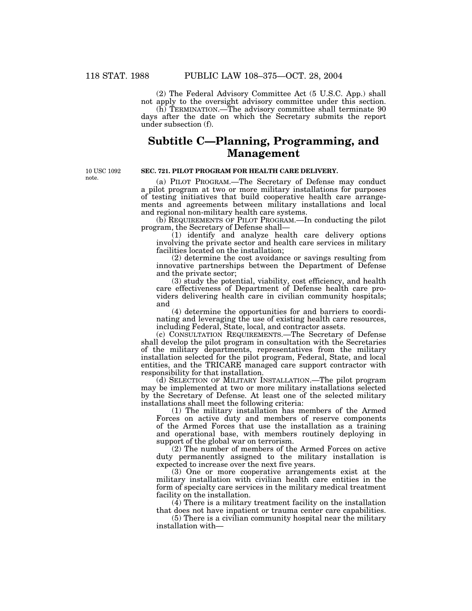(2) The Federal Advisory Committee Act (5 U.S.C. App.) shall not apply to the oversight advisory committee under this section.

(h) TERMINATION.—The advisory committee shall terminate 90 days after the date on which the Secretary submits the report under subsection (f).

# **Subtitle C—Planning, Programming, and Management**

10 USC 1092 note.

## **SEC. 721. PILOT PROGRAM FOR HEALTH CARE DELIVERY.**

(a) PILOT PROGRAM.—The Secretary of Defense may conduct a pilot program at two or more military installations for purposes of testing initiatives that build cooperative health care arrangements and agreements between military installations and local and regional non-military health care systems.

(b) REQUIREMENTS OF PILOT PROGRAM.—In conducting the pilot program, the Secretary of Defense shall—

(1) identify and analyze health care delivery options involving the private sector and health care services in military facilities located on the installation;

(2) determine the cost avoidance or savings resulting from innovative partnerships between the Department of Defense and the private sector;

(3) study the potential, viability, cost efficiency, and health care effectiveness of Department of Defense health care providers delivering health care in civilian community hospitals; and

(4) determine the opportunities for and barriers to coordinating and leveraging the use of existing health care resources, including Federal, State, local, and contractor assets.

(c) CONSULTATION REQUIREMENTS.—The Secretary of Defense shall develop the pilot program in consultation with the Secretaries of the military departments, representatives from the military installation selected for the pilot program, Federal, State, and local entities, and the TRICARE managed care support contractor with responsibility for that installation.

(d) SELECTION OF MILITARY INSTALLATION.—The pilot program may be implemented at two or more military installations selected by the Secretary of Defense. At least one of the selected military installations shall meet the following criteria:

(1) The military installation has members of the Armed Forces on active duty and members of reserve components of the Armed Forces that use the installation as a training and operational base, with members routinely deploying in support of the global war on terrorism.

(2) The number of members of the Armed Forces on active duty permanently assigned to the military installation is expected to increase over the next five years.

(3) One or more cooperative arrangements exist at the military installation with civilian health care entities in the form of specialty care services in the military medical treatment facility on the installation.

(4) There is a military treatment facility on the installation that does not have inpatient or trauma center care capabilities.

(5) There is a civilian community hospital near the military installation with—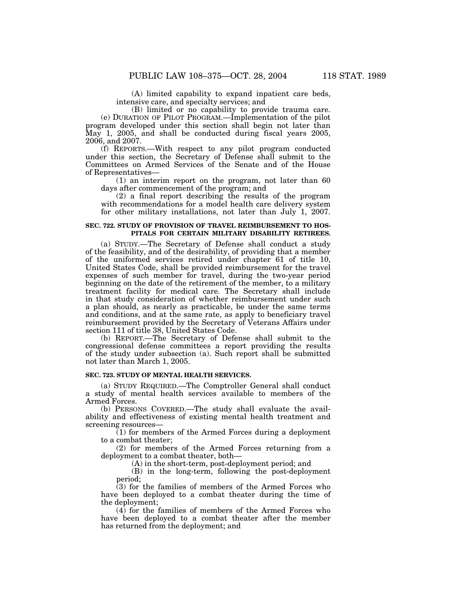(A) limited capability to expand inpatient care beds, intensive care, and specialty services; and

(B) limited or no capability to provide trauma care. (e) DURATION OF PILOT PROGRAM.—Implementation of the pilot program developed under this section shall begin not later than May 1, 2005, and shall be conducted during fiscal years 2005, 2006, and 2007.

(f) REPORTS.—With respect to any pilot program conducted under this section, the Secretary of Defense shall submit to the Committees on Armed Services of the Senate and of the House of Representatives—

(1) an interim report on the program, not later than 60 days after commencement of the program; and

(2) a final report describing the results of the program with recommendations for a model health care delivery system for other military installations, not later than July 1, 2007.

## **SEC. 722. STUDY OF PROVISION OF TRAVEL REIMBURSEMENT TO HOS-PITALS FOR CERTAIN MILITARY DISABILITY RETIREES.**

(a) STUDY.—The Secretary of Defense shall conduct a study of the feasibility, and of the desirability, of providing that a member of the uniformed services retired under chapter 61 of title 10, United States Code, shall be provided reimbursement for the travel expenses of such member for travel, during the two-year period beginning on the date of the retirement of the member, to a military treatment facility for medical care. The Secretary shall include in that study consideration of whether reimbursement under such a plan should, as nearly as practicable, be under the same terms and conditions, and at the same rate, as apply to beneficiary travel reimbursement provided by the Secretary of Veterans Affairs under section 111 of title 38, United States Code.

(b) REPORT.—The Secretary of Defense shall submit to the congressional defense committees a report providing the results of the study under subsection (a). Such report shall be submitted not later than March 1, 2005.

## **SEC. 723. STUDY OF MENTAL HEALTH SERVICES.**

(a) STUDY REQUIRED.—The Comptroller General shall conduct a study of mental health services available to members of the Armed Forces.

(b) PERSONS COVERED.—The study shall evaluate the availability and effectiveness of existing mental health treatment and screening resources—

(1) for members of the Armed Forces during a deployment to a combat theater;

(2) for members of the Armed Forces returning from a deployment to a combat theater, both—

(A) in the short-term, post-deployment period; and

(B) in the long-term, following the post-deployment period;

(3) for the families of members of the Armed Forces who have been deployed to a combat theater during the time of the deployment;

(4) for the families of members of the Armed Forces who have been deployed to a combat theater after the member has returned from the deployment; and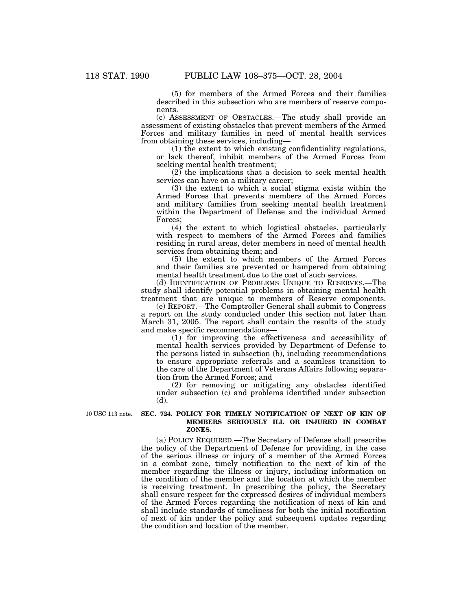(5) for members of the Armed Forces and their families described in this subsection who are members of reserve components.

(c) ASSESSMENT OF OBSTACLES.—The study shall provide an assessment of existing obstacles that prevent members of the Armed Forces and military families in need of mental health services from obtaining these services, including—

(1) the extent to which existing confidentiality regulations, or lack thereof, inhibit members of the Armed Forces from seeking mental health treatment;

(2) the implications that a decision to seek mental health services can have on a military career;

(3) the extent to which a social stigma exists within the Armed Forces that prevents members of the Armed Forces and military families from seeking mental health treatment within the Department of Defense and the individual Armed Forces;

(4) the extent to which logistical obstacles, particularly with respect to members of the Armed Forces and families residing in rural areas, deter members in need of mental health services from obtaining them; and

(5) the extent to which members of the Armed Forces and their families are prevented or hampered from obtaining mental health treatment due to the cost of such services.

(d) IDENTIFICATION OF PROBLEMS UNIQUE TO RESERVES.—The study shall identify potential problems in obtaining mental health treatment that are unique to members of Reserve components.

(e) REPORT.—The Comptroller General shall submit to Congress a report on the study conducted under this section not later than March 31, 2005. The report shall contain the results of the study and make specific recommendations—

(1) for improving the effectiveness and accessibility of mental health services provided by Department of Defense to the persons listed in subsection (b), including recommendations to ensure appropriate referrals and a seamless transition to the care of the Department of Veterans Affairs following separation from the Armed Forces; and

(2) for removing or mitigating any obstacles identified under subsection (c) and problems identified under subsection (d).

10 USC 113 note.

## **SEC. 724. POLICY FOR TIMELY NOTIFICATION OF NEXT OF KIN OF MEMBERS SERIOUSLY ILL OR INJURED IN COMBAT ZONES.**

(a) POLICY REQUIRED.—The Secretary of Defense shall prescribe the policy of the Department of Defense for providing, in the case of the serious illness or injury of a member of the Armed Forces in a combat zone, timely notification to the next of kin of the member regarding the illness or injury, including information on the condition of the member and the location at which the member is receiving treatment. In prescribing the policy, the Secretary shall ensure respect for the expressed desires of individual members of the Armed Forces regarding the notification of next of kin and shall include standards of timeliness for both the initial notification of next of kin under the policy and subsequent updates regarding the condition and location of the member.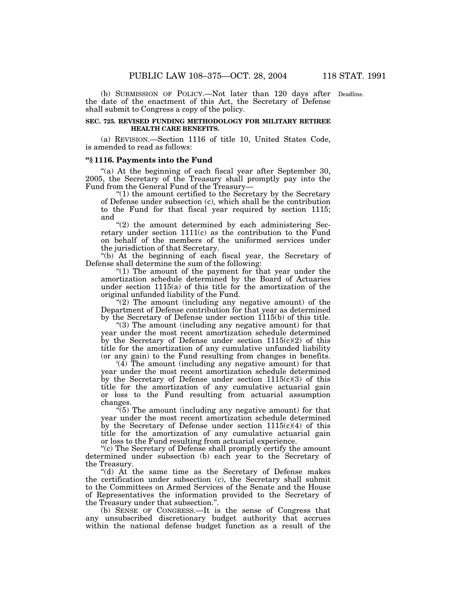(b) SUBMISSION OF POLICY.—Not later than 120 days after Deadline. the date of the enactment of this Act, the Secretary of Defense shall submit to Congress a copy of the policy.

## **SEC. 725. REVISED FUNDING METHODOLOGY FOR MILITARY RETIREE HEALTH CARE BENEFITS.**

(a) REVISION.—Section 1116 of title 10, United States Code, is amended to read as follows:

#### **''§ 1116. Payments into the Fund**

"(a) At the beginning of each fiscal year after September 30, 2005, the Secretary of the Treasury shall promptly pay into the Fund from the General Fund of the Treasury—

''(1) the amount certified to the Secretary by the Secretary of Defense under subsection (c), which shall be the contribution to the Fund for that fiscal year required by section 1115; and

 $*(2)$  the amount determined by each administering Secretary under section 1111(c) as the contribution to the Fund on behalf of the members of the uniformed services under the jurisdiction of that Secretary.

''(b) At the beginning of each fiscal year, the Secretary of Defense shall determine the sum of the following:

" $(1)$  The amount of the payment for that year under the amortization schedule determined by the Board of Actuaries under section 1115(a) of this title for the amortization of the original unfunded liability of the Fund.

" $(2)$  The amount (including any negative amount) of the Department of Defense contribution for that year as determined by the Secretary of Defense under section 1115(b) of this title.

''(3) The amount (including any negative amount) for that year under the most recent amortization schedule determined by the Secretary of Defense under section 1115(c)(2) of this title for the amortization of any cumulative unfunded liability (or any gain) to the Fund resulting from changes in benefits.

'(4) The amount (including any negative amount) for that year under the most recent amortization schedule determined by the Secretary of Defense under section 1115(c)(3) of this title for the amortization of any cumulative actuarial gain or loss to the Fund resulting from actuarial assumption changes.

 $\sqrt[4]{5}$ ) The amount (including any negative amount) for that year under the most recent amortization schedule determined by the Secretary of Defense under section  $1115(c)(4)$  of this title for the amortization of any cumulative actuarial gain or loss to the Fund resulting from actuarial experience.

''(c) The Secretary of Defense shall promptly certify the amount determined under subsection (b) each year to the Secretary of the Treasury.

"(d) At the same time as the Secretary of Defense makes the certification under subsection (c), the Secretary shall submit to the Committees on Armed Services of the Senate and the House of Representatives the information provided to the Secretary of the Treasury under that subsection.''.

(b) SENSE OF CONGRESS.—It is the sense of Congress that any unsubscribed discretionary budget authority that accrues within the national defense budget function as a result of the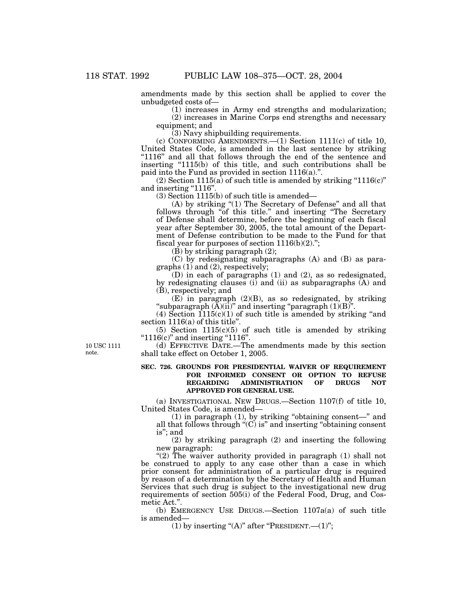amendments made by this section shall be applied to cover the unbudgeted costs of—

(1) increases in Army end strengths and modularization; (2) increases in Marine Corps end strengths and necessary

equipment; and

(3) Navy shipbuilding requirements.

(c) CONFORMING AMENDMENTS.—(1) Section 1111(c) of title 10, United States Code, is amended in the last sentence by striking ''1116'' and all that follows through the end of the sentence and inserting  $1115(b)$  of this title, and such contributions shall be paid into the Fund as provided in section 1116(a).''.

 $(2)$  Section 1115(a) of such title is amended by striking "1116(c)" and inserting "1116".

(3) Section 1115(b) of such title is amended—

(A) by striking ''(1) The Secretary of Defense'' and all that follows through "of this title." and inserting "The Secretary of Defense shall determine, before the beginning of each fiscal year after September 30, 2005, the total amount of the Department of Defense contribution to be made to the Fund for that fiscal year for purposes of section  $1116(b)(2)$ .";

(B) by striking paragraph (2);

(C) by redesignating subparagraphs (A) and (B) as paragraphs  $(1)$  and  $(2)$ , respectively;

(D) in each of paragraphs (1) and (2), as so redesignated, by redesignating clauses (i) and (ii) as subparagraphs (A) and (B), respectively; and

 $(E)$  in paragraph  $(2)(B)$ , as so redesignated, by striking "subparagraph  $(\tilde{A})(ii)$ " and inserting "paragraph  $(1)(B)$ ".

(4) Section  $1115(c)(1)$  of such title is amended by striking "and section 1116(a) of this title''.

(5) Section 1115(c)(5) of such title is amended by striking " $1116(c)$ " and inserting " $1116$ ".

(d) EFFECTIVE DATE.—The amendments made by this section shall take effect on October 1, 2005.

## **SEC. 726. GROUNDS FOR PRESIDENTIAL WAIVER OF REQUIREMENT FOR INFORMED CONSENT OR OPTION TO REFUSE REGARDING ADMINISTRATION OF DRUGS NOT APPROVED FOR GENERAL USE.**

(a) INVESTIGATIONAL NEW DRUGS.—Section 1107(f) of title 10, United States Code, is amended—

(1) in paragraph (1), by striking ''obtaining consent—'' and all that follows through  $\mathrm{H}(C)$  is" and inserting "obtaining consent is''; and

(2) by striking paragraph (2) and inserting the following new paragraph:

"(2) The waiver authority provided in paragraph  $(1)$  shall not be construed to apply to any case other than a case in which prior consent for administration of a particular drug is required by reason of a determination by the Secretary of Health and Human Services that such drug is subject to the investigational new drug requirements of section 505(i) of the Federal Food, Drug, and Cosmetic Act.''.

(b) EMERGENCY USE DRUGS.—Section 1107a(a) of such title is amended—

(1) by inserting " $(A)$ " after "PRESIDENT.— $(1)$ ";

10 USC 1111 note.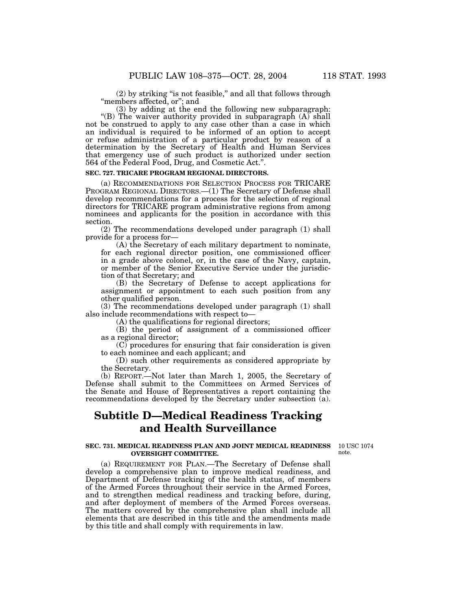(2) by striking ''is not feasible,'' and all that follows through ''members affected, or''; and

(3) by adding at the end the following new subparagraph: "(B) The waiver authority provided in subparagraph  $(A)$  shall not be construed to apply to any case other than a case in which an individual is required to be informed of an option to accept or refuse administration of a particular product by reason of a determination by the Secretary of Health and Human Services that emergency use of such product is authorized under section 564 of the Federal Food, Drug, and Cosmetic Act.''.

## **SEC. 727. TRICARE PROGRAM REGIONAL DIRECTORS.**

(a) RECOMMENDATIONS FOR SELECTION PROCESS FOR TRICARE PROGRAM REGIONAL DIRECTORS.—(1) The Secretary of Defense shall develop recommendations for a process for the selection of regional directors for TRICARE program administrative regions from among nominees and applicants for the position in accordance with this section.

(2) The recommendations developed under paragraph (1) shall provide for a process for—

(A) the Secretary of each military department to nominate, for each regional director position, one commissioned officer in a grade above colonel, or, in the case of the Navy, captain, or member of the Senior Executive Service under the jurisdiction of that Secretary; and

(B) the Secretary of Defense to accept applications for assignment or appointment to each such position from any other qualified person.

(3) The recommendations developed under paragraph (1) shall also include recommendations with respect to—

(A) the qualifications for regional directors;

(B) the period of assignment of a commissioned officer as a regional director;

(C) procedures for ensuring that fair consideration is given to each nominee and each applicant; and

(D) such other requirements as considered appropriate by the Secretary.

(b) REPORT.—Not later than March 1, 2005, the Secretary of Defense shall submit to the Committees on Armed Services of the Senate and House of Representatives a report containing the recommendations developed by the Secretary under subsection (a).

# **Subtitle D—Medical Readiness Tracking and Health Surveillance**

#### **SEC. 731. MEDICAL READINESS PLAN AND JOINT MEDICAL READINESS OVERSIGHT COMMITTEE.**

10 USC 1074 note.

(a) REQUIREMENT FOR PLAN.—The Secretary of Defense shall develop a comprehensive plan to improve medical readiness, and Department of Defense tracking of the health status, of members of the Armed Forces throughout their service in the Armed Forces, and to strengthen medical readiness and tracking before, during, and after deployment of members of the Armed Forces overseas. The matters covered by the comprehensive plan shall include all elements that are described in this title and the amendments made by this title and shall comply with requirements in law.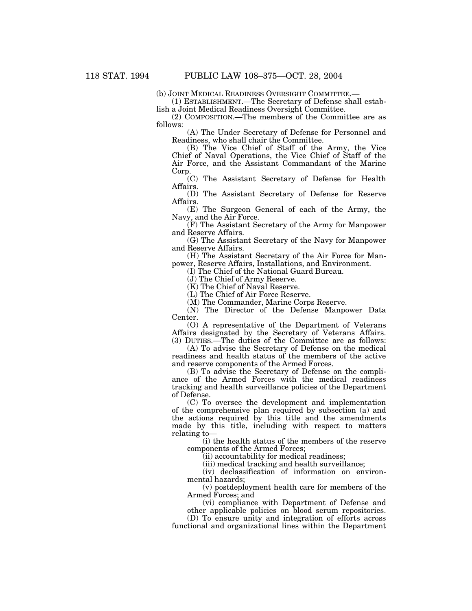(b) JOINT MEDICAL READINESS OVERSIGHT COMMITTEE.— (1) ESTABLISHMENT.—The Secretary of Defense shall establish a Joint Medical Readiness Oversight Committee.

(2) COMPOSITION.—The members of the Committee are as follows:

(A) The Under Secretary of Defense for Personnel and Readiness, who shall chair the Committee.

(B) The Vice Chief of Staff of the Army, the Vice Chief of Naval Operations, the Vice Chief of Staff of the Air Force, and the Assistant Commandant of the Marine Corp.

(C) The Assistant Secretary of Defense for Health Affairs.

(D) The Assistant Secretary of Defense for Reserve Affairs.

(E) The Surgeon General of each of the Army, the Navy, and the Air Force.

(F) The Assistant Secretary of the Army for Manpower and Reserve Affairs.

(G) The Assistant Secretary of the Navy for Manpower and Reserve Affairs.

(H) The Assistant Secretary of the Air Force for Manpower, Reserve Affairs, Installations, and Environment.

(I) The Chief of the National Guard Bureau.

(J) The Chief of Army Reserve.

(K) The Chief of Naval Reserve.

(L) The Chief of Air Force Reserve.

(M) The Commander, Marine Corps Reserve.

(N) The Director of the Defense Manpower Data Center.

(O) A representative of the Department of Veterans Affairs designated by the Secretary of Veterans Affairs. (3) DUTIES.—The duties of the Committee are as follows:

(A) To advise the Secretary of Defense on the medical readiness and health status of the members of the active and reserve components of the Armed Forces.

(B) To advise the Secretary of Defense on the compliance of the Armed Forces with the medical readiness tracking and health surveillance policies of the Department of Defense.

(C) To oversee the development and implementation of the comprehensive plan required by subsection (a) and the actions required by this title and the amendments made by this title, including with respect to matters relating to—

(i) the health status of the members of the reserve components of the Armed Forces;

(ii) accountability for medical readiness;

(iii) medical tracking and health surveillance;

(iv) declassification of information on environmental hazards;

(v) postdeployment health care for members of the Armed Forces; and

(vi) compliance with Department of Defense and other applicable policies on blood serum repositories.

(D) To ensure unity and integration of efforts across functional and organizational lines within the Department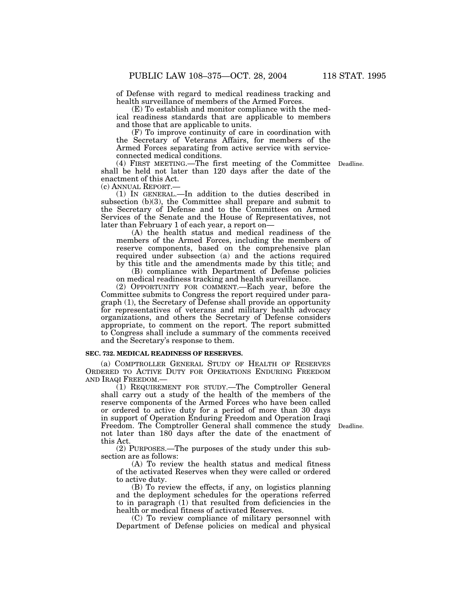of Defense with regard to medical readiness tracking and health surveillance of members of the Armed Forces.

(E) To establish and monitor compliance with the medical readiness standards that are applicable to members and those that are applicable to units.

(F) To improve continuity of care in coordination with the Secretary of Veterans Affairs, for members of the Armed Forces separating from active service with serviceconnected medical conditions.

(4) FIRST MEETING.—The first meeting of the Committee Deadline. shall be held not later than 120 days after the date of the enactment of this Act.

(c) ANNUAL REPORT.— (1) IN GENERAL.—In addition to the duties described in subsection (b)(3), the Committee shall prepare and submit to the Secretary of Defense and to the Committees on Armed Services of the Senate and the House of Representatives, not later than February 1 of each year, a report on—

(A) the health status and medical readiness of the members of the Armed Forces, including the members of reserve components, based on the comprehensive plan required under subsection (a) and the actions required by this title and the amendments made by this title; and

(B) compliance with Department of Defense policies on medical readiness tracking and health surveillance.

(2) OPPORTUNITY FOR COMMENT.—Each year, before the Committee submits to Congress the report required under paragraph (1), the Secretary of Defense shall provide an opportunity for representatives of veterans and military health advocacy organizations, and others the Secretary of Defense considers appropriate, to comment on the report. The report submitted to Congress shall include a summary of the comments received and the Secretary's response to them.

#### **SEC. 732. MEDICAL READINESS OF RESERVES.**

(a) COMPTROLLER GENERAL STUDY OF HEALTH OF RESERVES ORDERED TO ACTIVE DUTY FOR OPERATIONS ENDURING FREEDOM AND IRAQI FREEDOM.—

(1) REQUIREMENT FOR STUDY.—The Comptroller General shall carry out a study of the health of the members of the reserve components of the Armed Forces who have been called or ordered to active duty for a period of more than 30 days in support of Operation Enduring Freedom and Operation Iraqi Freedom. The Comptroller General shall commence the study not later than 180 days after the date of the enactment of this Act.

(2) PURPOSES.—The purposes of the study under this subsection are as follows:

(A) To review the health status and medical fitness of the activated Reserves when they were called or ordered to active duty.

(B) To review the effects, if any, on logistics planning and the deployment schedules for the operations referred to in paragraph (1) that resulted from deficiencies in the health or medical fitness of activated Reserves.

(C) To review compliance of military personnel with Department of Defense policies on medical and physical

Deadline.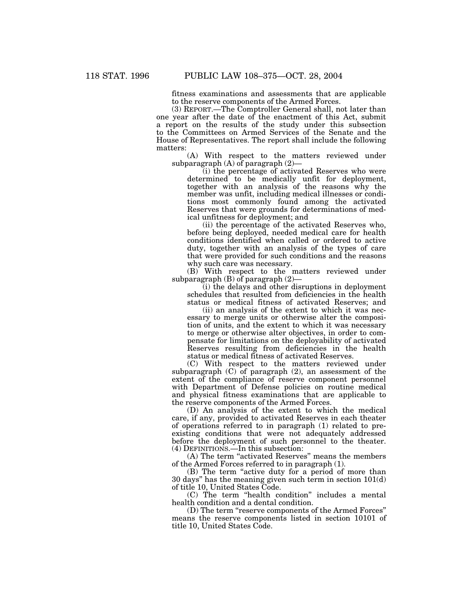fitness examinations and assessments that are applicable to the reserve components of the Armed Forces.

(3) REPORT.—The Comptroller General shall, not later than one year after the date of the enactment of this Act, submit a report on the results of the study under this subsection to the Committees on Armed Services of the Senate and the House of Representatives. The report shall include the following matters:

(A) With respect to the matters reviewed under subparagraph (A) of paragraph (2)—

(i) the percentage of activated Reserves who were determined to be medically unfit for deployment, together with an analysis of the reasons why the member was unfit, including medical illnesses or conditions most commonly found among the activated Reserves that were grounds for determinations of medical unfitness for deployment; and

(ii) the percentage of the activated Reserves who, before being deployed, needed medical care for health conditions identified when called or ordered to active duty, together with an analysis of the types of care that were provided for such conditions and the reasons why such care was necessary.

(B) With respect to the matters reviewed under subparagraph (B) of paragraph (2)—

(i) the delays and other disruptions in deployment schedules that resulted from deficiencies in the health status or medical fitness of activated Reserves; and

(ii) an analysis of the extent to which it was necessary to merge units or otherwise alter the composition of units, and the extent to which it was necessary to merge or otherwise alter objectives, in order to compensate for limitations on the deployability of activated Reserves resulting from deficiencies in the health status or medical fitness of activated Reserves.

(C) With respect to the matters reviewed under subparagraph (C) of paragraph (2), an assessment of the extent of the compliance of reserve component personnel with Department of Defense policies on routine medical and physical fitness examinations that are applicable to the reserve components of the Armed Forces.

(D) An analysis of the extent to which the medical care, if any, provided to activated Reserves in each theater of operations referred to in paragraph (1) related to preexisting conditions that were not adequately addressed before the deployment of such personnel to the theater. (4) DEFINITIONS.—In this subsection:

(A) The term ''activated Reserves'' means the members of the Armed Forces referred to in paragraph (1).

(B) The term ''active duty for a period of more than 30 days'' has the meaning given such term in section 101(d) of title 10, United States Code.

(C) The term ''health condition'' includes a mental health condition and a dental condition.

(D) The term ''reserve components of the Armed Forces'' means the reserve components listed in section 10101 of title 10, United States Code.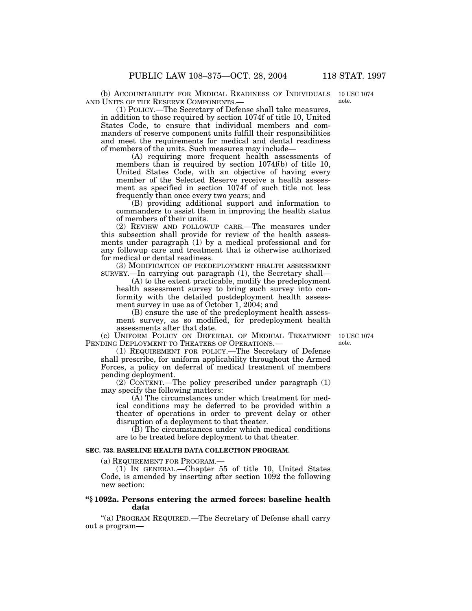(b) ACCOUNTABILITY FOR MEDICAL READINESS OF INDIVIDUALS AND UNITS OF THE RESERVE COMPONENTS.—

(1) POLICY.—The Secretary of Defense shall take measures, in addition to those required by section 1074f of title 10, United States Code, to ensure that individual members and commanders of reserve component units fulfill their responsibilities and meet the requirements for medical and dental readiness of members of the units. Such measures may include—

(A) requiring more frequent health assessments of members than is required by section 1074f(b) of title 10, United States Code, with an objective of having every member of the Selected Reserve receive a health assessment as specified in section 1074f of such title not less frequently than once every two years; and

(B) providing additional support and information to commanders to assist them in improving the health status of members of their units.

(2) REVIEW AND FOLLOWUP CARE.—The measures under this subsection shall provide for review of the health assessments under paragraph (1) by a medical professional and for any followup care and treatment that is otherwise authorized for medical or dental readiness.

(3) MODIFICATION OF PREDEPLOYMENT HEALTH ASSESSMENT SURVEY.—In carrying out paragraph (1), the Secretary shall—

(A) to the extent practicable, modify the predeployment health assessment survey to bring such survey into conformity with the detailed postdeployment health assessment survey in use as of October 1, 2004; and

(B) ensure the use of the predeployment health assessment survey, as so modified, for predeployment health assessments after that date.

(c) UNIFORM POLICY ON DEFERRAL OF MEDICAL TREATMENT PENDING DEPLOYMENT TO THEATERS OF OPERATIONS.

(1) REQUIREMENT FOR POLICY.—The Secretary of Defense shall prescribe, for uniform applicability throughout the Armed Forces, a policy on deferral of medical treatment of members pending deployment.

(2) CONTENT.—The policy prescribed under paragraph (1) may specify the following matters:

(A) The circumstances under which treatment for medical conditions may be deferred to be provided within a theater of operations in order to prevent delay or other disruption of a deployment to that theater.

(B) The circumstances under which medical conditions are to be treated before deployment to that theater.

# **SEC. 733. BASELINE HEALTH DATA COLLECTION PROGRAM.**

(a) REQUIREMENT FOR PROGRAM.—

(1) IN GENERAL.—Chapter 55 of title 10, United States Code, is amended by inserting after section 1092 the following new section:

# **''§ 1092a. Persons entering the armed forces: baseline health data**

''(a) PROGRAM REQUIRED.—The Secretary of Defense shall carry out a program—

10 USC 1074 note.

10 USC 1074 note.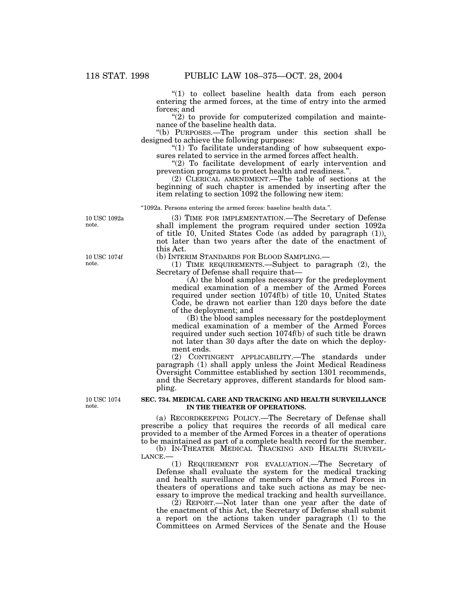''(1) to collect baseline health data from each person entering the armed forces, at the time of entry into the armed forces; and

" $(2)$  to provide for computerized compilation and maintenance of the baseline health data.

''(b) PURPOSES.—The program under this section shall be designed to achieve the following purposes:

" $(1)$  To facilitate understanding of how subsequent exposures related to service in the armed forces affect health.

"(2) To facilitate development of early intervention and prevention programs to protect health and readiness.''.

(2) CLERICAL AMENDMENT.—The table of sections at the beginning of such chapter is amended by inserting after the item relating to section 1092 the following new item:

''1092a. Persons entering the armed forces: baseline health data.''.

10 USC 1092a note.

(3) TIME FOR IMPLEMENTATION.—The Secretary of Defense shall implement the program required under section 1092a of title  $10$ , United States Code (as added by paragraph  $(1)$ ), not later than two years after the date of the enactment of this Act.

(b) INTERIM STANDARDS FOR BLOOD SAMPLING.—

(1) TIME REQUIREMENTS.—Subject to paragraph (2), the Secretary of Defense shall require that—

(A) the blood samples necessary for the predeployment medical examination of a member of the Armed Forces required under section 1074f(b) of title 10, United States Code, be drawn not earlier than 120 days before the date of the deployment; and

(B) the blood samples necessary for the postdeployment medical examination of a member of the Armed Forces required under such section 1074f(b) of such title be drawn not later than 30 days after the date on which the deployment ends.

(2) CONTINGENT APPLICABILITY.—The standards under paragraph (1) shall apply unless the Joint Medical Readiness Oversight Committee established by section 1301 recommends, and the Secretary approves, different standards for blood sampling.

10 USC 1074 note.

### **SEC. 734. MEDICAL CARE AND TRACKING AND HEALTH SURVEILLANCE IN THE THEATER OF OPERATIONS.**

(a) RECORDKEEPING POLICY.—The Secretary of Defense shall prescribe a policy that requires the records of all medical care provided to a member of the Armed Forces in a theater of operations to be maintained as part of a complete health record for the member.

(b) IN-THEATER MEDICAL TRACKING AND HEALTH SURVEIL-<br>LANCE.—

(1) REQUIREMENT FOR EVALUATION.—The Secretary of Defense shall evaluate the system for the medical tracking and health surveillance of members of the Armed Forces in theaters of operations and take such actions as may be necessary to improve the medical tracking and health surveillance.

(2) REPORT.—Not later than one year after the date of the enactment of this Act, the Secretary of Defense shall submit a report on the actions taken under paragraph (1) to the Committees on Armed Services of the Senate and the House

10 USC 1074f note.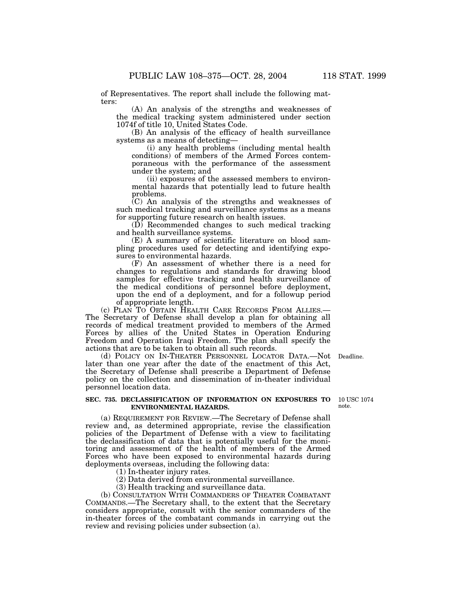of Representatives. The report shall include the following matters:

(A) An analysis of the strengths and weaknesses of the medical tracking system administered under section 1074f of title 10, United States Code.

(B) An analysis of the efficacy of health surveillance systems as a means of detecting—

(i) any health problems (including mental health conditions) of members of the Armed Forces contemporaneous with the performance of the assessment under the system; and

(ii) exposures of the assessed members to environmental hazards that potentially lead to future health problems.

(C) An analysis of the strengths and weaknesses of such medical tracking and surveillance systems as a means for supporting future research on health issues.

(D) Recommended changes to such medical tracking and health surveillance systems.

(E) A summary of scientific literature on blood sampling procedures used for detecting and identifying exposures to environmental hazards.

(F) An assessment of whether there is a need for changes to regulations and standards for drawing blood samples for effective tracking and health surveillance of the medical conditions of personnel before deployment, upon the end of a deployment, and for a followup period of appropriate length.

(c) PLAN TO OBTAIN HEALTH CARE RECORDS FROM ALLIES.— The Secretary of Defense shall develop a plan for obtaining all records of medical treatment provided to members of the Armed Forces by allies of the United States in Operation Enduring Freedom and Operation Iraqi Freedom. The plan shall specify the actions that are to be taken to obtain all such records.

(d) POLICY ON IN-THEATER PERSONNEL LOCATOR DATA.—Not Deadline. later than one year after the date of the enactment of this Act, the Secretary of Defense shall prescribe a Department of Defense policy on the collection and dissemination of in-theater individual personnel location data.

### **SEC. 735. DECLASSIFICATION OF INFORMATION ON EXPOSURES TO ENVIRONMENTAL HAZARDS.**

10 USC 1074 note.

(a) REQUIREMENT FOR REVIEW.—The Secretary of Defense shall review and, as determined appropriate, revise the classification policies of the Department of Defense with a view to facilitating the declassification of data that is potentially useful for the monitoring and assessment of the health of members of the Armed Forces who have been exposed to environmental hazards during deployments overseas, including the following data:

(1) In-theater injury rates.

(2) Data derived from environmental surveillance.

(3) Health tracking and surveillance data.

(b) CONSULTATION WITH COMMANDERS OF THEATER COMBATANT COMMANDS.—The Secretary shall, to the extent that the Secretary considers appropriate, consult with the senior commanders of the in-theater forces of the combatant commands in carrying out the review and revising policies under subsection (a).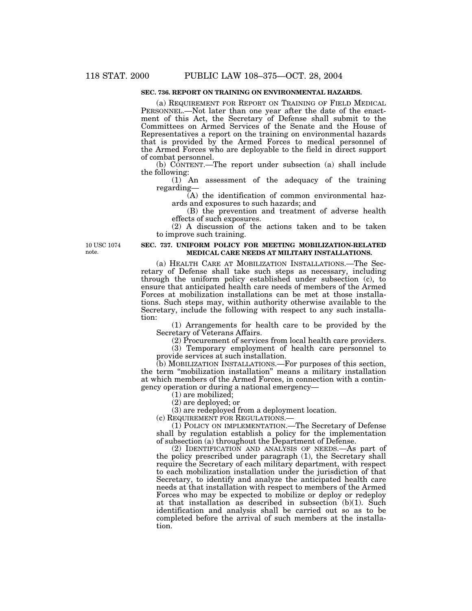# **SEC. 736. REPORT ON TRAINING ON ENVIRONMENTAL HAZARDS.**

(a) REQUIREMENT FOR REPORT ON TRAINING OF FIELD MEDICAL PERSONNEL.—Not later than one year after the date of the enactment of this Act, the Secretary of Defense shall submit to the Committees on Armed Services of the Senate and the House of Representatives a report on the training on environmental hazards that is provided by the Armed Forces to medical personnel of the Armed Forces who are deployable to the field in direct support of combat personnel.

(b) CONTENT.—The report under subsection (a) shall include the following:

(1) An assessment of the adequacy of the training regarding—

(A) the identification of common environmental hazards and exposures to such hazards; and

(B) the prevention and treatment of adverse health effects of such exposures.

(2) A discussion of the actions taken and to be taken to improve such training.

10 USC 1074 note.

### **SEC. 737. UNIFORM POLICY FOR MEETING MOBILIZATION-RELATED MEDICAL CARE NEEDS AT MILITARY INSTALLATIONS.**

(a) HEALTH CARE AT MOBILIZATION INSTALLATIONS.—The Secretary of Defense shall take such steps as necessary, including through the uniform policy established under subsection (c), to ensure that anticipated health care needs of members of the Armed Forces at mobilization installations can be met at those installations. Such steps may, within authority otherwise available to the Secretary, include the following with respect to any such installation:

(1) Arrangements for health care to be provided by the Secretary of Veterans Affairs.

(2) Procurement of services from local health care providers.

(3) Temporary employment of health care personnel to provide services at such installation.

(b) MOBILIZATION INSTALLATIONS.—For purposes of this section, the term ''mobilization installation'' means a military installation at which members of the Armed Forces, in connection with a contingency operation or during a national emergency—

(1) are mobilized;

(2) are deployed; or

(3) are redeployed from a deployment location.

(c) REQUIREMENT FOR REGULATIONS.—

(1) POLICY ON IMPLEMENTATION.—The Secretary of Defense shall by regulation establish a policy for the implementation of subsection (a) throughout the Department of Defense.

(2) IDENTIFICATION AND ANALYSIS OF NEEDS.—As part of the policy prescribed under paragraph (1), the Secretary shall require the Secretary of each military department, with respect to each mobilization installation under the jurisdiction of that Secretary, to identify and analyze the anticipated health care needs at that installation with respect to members of the Armed Forces who may be expected to mobilize or deploy or redeploy at that installation as described in subsection (b)(1). Such identification and analysis shall be carried out so as to be completed before the arrival of such members at the installation.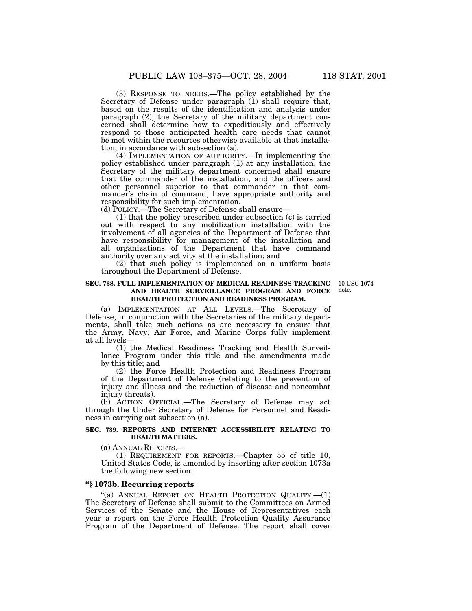(3) RESPONSE TO NEEDS.—The policy established by the Secretary of Defense under paragraph (1) shall require that, based on the results of the identification and analysis under paragraph (2), the Secretary of the military department concerned shall determine how to expeditiously and effectively respond to those anticipated health care needs that cannot be met within the resources otherwise available at that installation, in accordance with subsection (a).

(4) IMPLEMENTATION OF AUTHORITY.—In implementing the policy established under paragraph (1) at any installation, the Secretary of the military department concerned shall ensure that the commander of the installation, and the officers and other personnel superior to that commander in that commander's chain of command, have appropriate authority and responsibility for such implementation.

(d) POLICY.—The Secretary of Defense shall ensure—

(1) that the policy prescribed under subsection (c) is carried out with respect to any mobilization installation with the involvement of all agencies of the Department of Defense that have responsibility for management of the installation and all organizations of the Department that have command authority over any activity at the installation; and

(2) that such policy is implemented on a uniform basis throughout the Department of Defense.

### **SEC. 738. FULL IMPLEMENTATION OF MEDICAL READINESS TRACKING AND HEALTH SURVEILLANCE PROGRAM AND FORCE HEALTH PROTECTION AND READINESS PROGRAM.**

10 USC 1074 note.

(a) IMPLEMENTATION AT ALL LEVELS.—The Secretary of Defense, in conjunction with the Secretaries of the military departments, shall take such actions as are necessary to ensure that the Army, Navy, Air Force, and Marine Corps fully implement at all levels—

(1) the Medical Readiness Tracking and Health Surveillance Program under this title and the amendments made by this title; and

(2) the Force Health Protection and Readiness Program of the Department of Defense (relating to the prevention of injury and illness and the reduction of disease and noncombat injury threats).

(b) ACTION OFFICIAL.—The Secretary of Defense may act through the Under Secretary of Defense for Personnel and Readiness in carrying out subsection (a).

### **SEC. 739. REPORTS AND INTERNET ACCESSIBILITY RELATING TO HEALTH MATTERS.**

(a) ANNUAL REPORTS.— (1) REQUIREMENT FOR REPORTS.—Chapter 55 of title 10, United States Code, is amended by inserting after section 1073a the following new section:

# **''§ 1073b. Recurring reports**

"(a) ANNUAL REPORT ON HEALTH PROTECTION QUALITY. $-(1)$ The Secretary of Defense shall submit to the Committees on Armed Services of the Senate and the House of Representatives each year a report on the Force Health Protection Quality Assurance Program of the Department of Defense. The report shall cover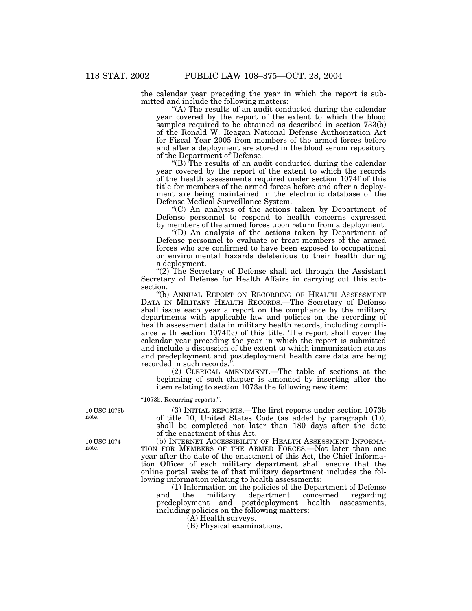the calendar year preceding the year in which the report is submitted and include the following matters:

"(A) The results of an audit conducted during the calendar year covered by the report of the extent to which the blood samples required to be obtained as described in section 733(b) of the Ronald W. Reagan National Defense Authorization Act for Fiscal Year 2005 from members of the armed forces before and after a deployment are stored in the blood serum repository of the Department of Defense.

" $(B)$  The results of an audit conducted during the calendar year covered by the report of the extent to which the records of the health assessments required under section 1074f of this title for members of the armed forces before and after a deployment are being maintained in the electronic database of the Defense Medical Surveillance System.

''(C) An analysis of the actions taken by Department of Defense personnel to respond to health concerns expressed by members of the armed forces upon return from a deployment.

''(D) An analysis of the actions taken by Department of Defense personnel to evaluate or treat members of the armed forces who are confirmed to have been exposed to occupational or environmental hazards deleterious to their health during a deployment.

"(2) The Secretary of Defense shall act through the Assistant Secretary of Defense for Health Affairs in carrying out this subsection.

''(b) ANNUAL REPORT ON RECORDING OF HEALTH ASSESSMENT DATA IN MILITARY HEALTH RECORDS.—The Secretary of Defense shall issue each year a report on the compliance by the military departments with applicable law and policies on the recording of health assessment data in military health records, including compliance with section 1074f(c) of this title. The report shall cover the calendar year preceding the year in which the report is submitted and include a discussion of the extent to which immunization status and predeployment and postdeployment health care data are being recorded in such records.''.

(2) CLERICAL AMENDMENT.—The table of sections at the beginning of such chapter is amended by inserting after the item relating to section 1073a the following new item:

''1073b. Recurring reports.''.

(3) INITIAL REPORTS.—The first reports under section 1073b of title 10, United States Code (as added by paragraph (1)), shall be completed not later than 180 days after the date of the enactment of this Act.

(b) INTERNET ACCESSIBILITY OF HEALTH ASSESSMENT INFORMA-TION FOR MEMBERS OF THE ARMED FORCES.—Not later than one year after the date of the enactment of this Act, the Chief Information Officer of each military department shall ensure that the online portal website of that military department includes the following information relating to health assessments:

(1) Information on the policies of the Department of Defense and the military department concerned regarding predeployment and postdeployment health assessments, including policies on the following matters:

(A) Health surveys.

(B) Physical examinations.

10 USC 1073b note.

10 USC 1074 note.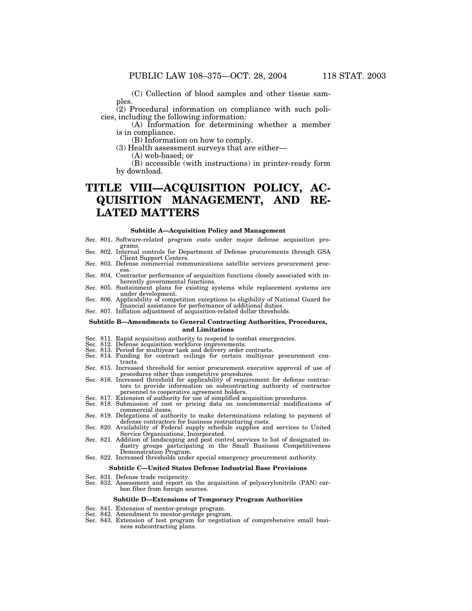(C) Collection of blood samples and other tissue samples.

(2) Procedural information on compliance with such policies, including the following information:

(A) Information for determining whether a member is in compliance.

(B) Information on how to comply.

(3) Health assessment surveys that are either—

(A) web-based; or

(B) accessible (with instructions) in printer-ready form by download.

# **TITLE VIII—ACQUISITION POLICY, AC-QUISITION MANAGEMENT, AND RE-LATED MATTERS**

#### **Subtitle A—Acquisition Policy and Management**

- Sec. 801. Software-related program costs under major defense acquisition pro-
- Sec. 802. Internal controls for Department of Defense procurements through GSA<br>Client Support Centers.
- Sec. 803. Defense commercial communications satellite services procurement proc-
- ess.<br>
Sec. 804. Contractor performance of acquisition functions closely associated with in-<br>
contractor performance of acquisition functions.
- Sec. 805. Sustainment plans for existing systems while replacement systems are
- under development.<br>Sec. 806. Applicability of competition exceptions to eligibility of National Guard for<br>financial assistance for performance of additional duties.
- Sec. 807. Inflation adjustment of acquisition-related dollar thresholds.

#### **Subtitle B—Amendments to General Contracting Authorities, Procedures, and Limitations**

- Sec. 811. Rapid acquisition authority to respond to combat emergencies. Sec. 812. Defense acquisition workforce improvements. Sec. 813. Period for multiyear task and delivery order contracts.
- 
- 
- Sec. 814. Funding for contract ceilings for certain multiyear procurement contracts.
- Sec. 815. Increased threshold for senior procurement executive approval of use of
- Sec. 816. Increased threshold for applicability of requirement for defense contractors to provide information on subcontracting authority of contractor personnel to cooperative agreement holders. Sec. 817. Extension of authority for use of simplified acquisition procedures.
- 
- Sec. 818. Submission of cost or pricing data on noncommercial modifications of commercial items.
- Sec. 819. Delegations of authority to make determinations relating to payment of
- defense contractors for business restructuring costs.<br>Sec. 820. Availability of Federal supply schedule supplies and services to United<br>Service Organizations, Incorporated.
- Sec. 821. Addition of landscaping and pest control services to list of designated industry groups participating in the Small Business Competitiveness<br>Demonstration Program.

# Sec. 822. Increased thresholds under special emergency procurement authority.

## **Subtitle C—United States Defense Industrial Base Provisions**

- Sec. 831. Defense trade reciprocity.
- Sec. 832. Assessment and report on the acquisition of polyacrylonitrile (PAN) carbon fiber from foreign sources.

#### **Subtitle D—Extensions of Temporary Program Authorities**

- Sec. 841. Extension of mentor-protege program.
- Sec. 842. Amendment to mentor-protege program.
- Sec. 843. Extension of test program for negotiation of comprehensive small business subcontracting plans.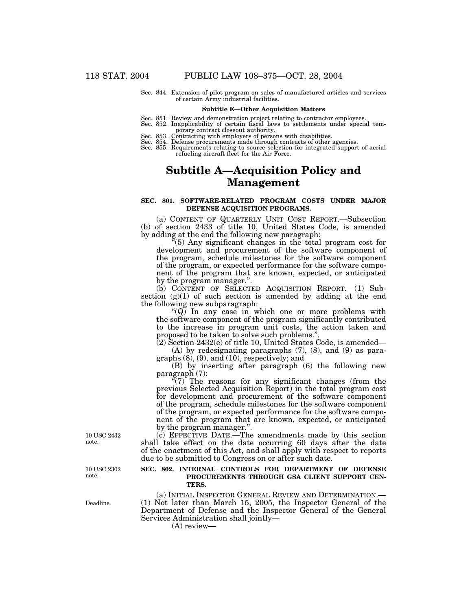Sec. 844. Extension of pilot program on sales of manufactured articles and services of certain Army industrial facilities.

#### **Subtitle E—Other Acquisition Matters**

- 
- Sec. 851. Review and demonstration project relating to contractor employees. Sec. 852. Inapplicability of certain fiscal laws to settlements under special temporary contract closeout authority. Sec. 853. Contracting with employers of persons with disabilities.
- 
- Sec. 854. Defense procurements made through contracts of other agencies.
- Sec. 855. Requirements relating to source selection for integrated support of aerial refueling aircraft fleet for the Air Force.

# **Subtitle A—Acquisition Policy and Management**

## **SEC. 801. SOFTWARE-RELATED PROGRAM COSTS UNDER MAJOR DEFENSE ACQUISITION PROGRAMS.**

(a) CONTENT OF QUARTERLY UNIT COST REPORT.—Subsection (b) of section 2433 of title 10, United States Code, is amended by adding at the end the following new paragraph:

 $^{5}(5)$  Any significant changes in the total program cost for development and procurement of the software component of the program, schedule milestones for the software component of the program, or expected performance for the software component of the program that are known, expected, or anticipated by the program manager.''.

(b) CONTENT OF SELECTED ACQUISITION REPORT.—(1) Subsection  $(g)(1)$  of such section is amended by adding at the end the following new subparagraph:

" $(Q)$  In any case in which one or more problems with the software component of the program significantly contributed to the increase in program unit costs, the action taken and proposed to be taken to solve such problems."

(2) Section 2432(e) of title 10, United States Code, is amended—

(A) by redesignating paragraphs (7), (8), and (9) as paragraphs (8), (9), and (10), respectively; and

(B) by inserting after paragraph (6) the following new paragraph (7):

 $\mathcal{L}(7)$  The reasons for any significant changes (from the previous Selected Acquisition Report) in the total program cost for development and procurement of the software component of the program, schedule milestones for the software component of the program, or expected performance for the software component of the program that are known, expected, or anticipated by the program manager.''.

(c) EFFECTIVE DATE.—The amendments made by this section shall take effect on the date occurring 60 days after the date of the enactment of this Act, and shall apply with respect to reports due to be submitted to Congress on or after such date.

#### **SEC. 802. INTERNAL CONTROLS FOR DEPARTMENT OF DEFENSE PROCUREMENTS THROUGH GSA CLIENT SUPPORT CEN-TERS.**

(a) INITIAL INSPECTOR GENERAL REVIEW AND DETERMINATION.— (1) Not later than March 15, 2005, the Inspector General of the Department of Defense and the Inspector General of the General Services Administration shall jointly—

(A) review—

10 USC 2432 note.

10 USC 2302 note.

Deadline.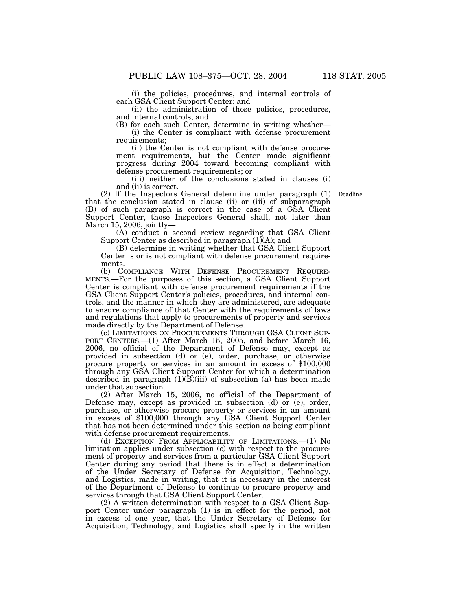(i) the policies, procedures, and internal controls of each GSA Client Support Center; and

(ii) the administration of those policies, procedures, and internal controls; and

(B) for each such Center, determine in writing whether— (i) the Center is compliant with defense procurement requirements;

(ii) the Center is not compliant with defense procurement requirements, but the Center made significant progress during 2004 toward becoming compliant with defense procurement requirements; or

(iii) neither of the conclusions stated in clauses (i) and (ii) is correct.

Deadline.

(2) If the Inspectors General determine under paragraph (1) that the conclusion stated in clause (ii) or (iii) of subparagraph (B) of such paragraph is correct in the case of a GSA Client Support Center, those Inspectors General shall, not later than March 15, 2006, jointly—

(A) conduct a second review regarding that GSA Client Support Center as described in paragraph  $(1)(A)$ ; and

(B) determine in writing whether that GSA Client Support Center is or is not compliant with defense procurement requirements.

(b) COMPLIANCE WITH DEFENSE PROCUREMENT REQUIRE-MENTS.—For the purposes of this section, a GSA Client Support Center is compliant with defense procurement requirements if the GSA Client Support Center's policies, procedures, and internal controls, and the manner in which they are administered, are adequate to ensure compliance of that Center with the requirements of laws and regulations that apply to procurements of property and services made directly by the Department of Defense.

(c) LIMITATIONS ON PROCUREMENTS THROUGH GSA CLIENT SUP-PORT CENTERS.—(1) After March 15, 2005, and before March 16, 2006, no official of the Department of Defense may, except as provided in subsection (d) or (e), order, purchase, or otherwise procure property or services in an amount in excess of \$100,000 through any GSA Client Support Center for which a determination described in paragraph (1)(B)(iii) of subsection (a) has been made under that subsection.

(2) After March 15, 2006, no official of the Department of Defense may, except as provided in subsection (d) or (e), order, purchase, or otherwise procure property or services in an amount in excess of \$100,000 through any GSA Client Support Center that has not been determined under this section as being compliant with defense procurement requirements.

(d) EXCEPTION FROM APPLICABILITY OF LIMITATIONS.—(1) No limitation applies under subsection (c) with respect to the procurement of property and services from a particular GSA Client Support Center during any period that there is in effect a determination of the Under Secretary of Defense for Acquisition, Technology, and Logistics, made in writing, that it is necessary in the interest of the Department of Defense to continue to procure property and services through that GSA Client Support Center.

(2) A written determination with respect to a GSA Client Support Center under paragraph (1) is in effect for the period, not in excess of one year, that the Under Secretary of Defense for Acquisition, Technology, and Logistics shall specify in the written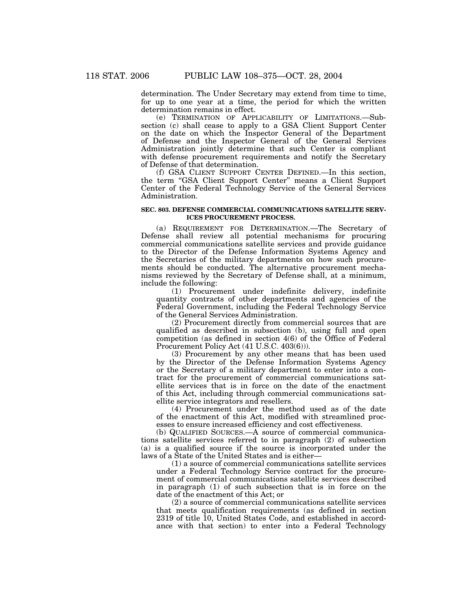determination. The Under Secretary may extend from time to time, for up to one year at a time, the period for which the written determination remains in effect.

(e) TERMINATION OF APPLICABILITY OF LIMITATIONS.—Subsection (c) shall cease to apply to a GSA Client Support Center on the date on which the Inspector General of the Department of Defense and the Inspector General of the General Services Administration jointly determine that such Center is compliant with defense procurement requirements and notify the Secretary of Defense of that determination.

(f) GSA CLIENT SUPPORT CENTER DEFINED.—In this section, the term ''GSA Client Support Center'' means a Client Support Center of the Federal Technology Service of the General Services Administration.

#### **SEC. 803. DEFENSE COMMERCIAL COMMUNICATIONS SATELLITE SERV-ICES PROCUREMENT PROCESS.**

(a) REQUIREMENT FOR DETERMINATION.—The Secretary of Defense shall review all potential mechanisms for procuring commercial communications satellite services and provide guidance to the Director of the Defense Information Systems Agency and the Secretaries of the military departments on how such procurements should be conducted. The alternative procurement mechanisms reviewed by the Secretary of Defense shall, at a minimum, include the following:

(1) Procurement under indefinite delivery, indefinite quantity contracts of other departments and agencies of the Federal Government, including the Federal Technology Service of the General Services Administration.

(2) Procurement directly from commercial sources that are qualified as described in subsection (b), using full and open competition (as defined in section 4(6) of the Office of Federal Procurement Policy Act (41 U.S.C. 403(6))).

(3) Procurement by any other means that has been used by the Director of the Defense Information Systems Agency or the Secretary of a military department to enter into a contract for the procurement of commercial communications satellite services that is in force on the date of the enactment of this Act, including through commercial communications satellite service integrators and resellers.

(4) Procurement under the method used as of the date of the enactment of this Act, modified with streamlined processes to ensure increased efficiency and cost effectiveness.

(b) QUALIFIED SOURCES.—A source of commercial communications satellite services referred to in paragraph (2) of subsection (a) is a qualified source if the source is incorporated under the laws of a State of the United States and is either—

(1) a source of commercial communications satellite services under a Federal Technology Service contract for the procurement of commercial communications satellite services described in paragraph (1) of such subsection that is in force on the date of the enactment of this Act; or

(2) a source of commercial communications satellite services that meets qualification requirements (as defined in section 2319 of title 10, United States Code, and established in accordance with that section) to enter into a Federal Technology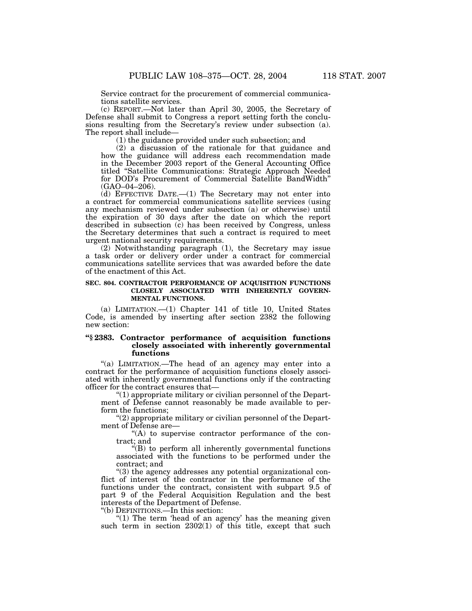Service contract for the procurement of commercial communications satellite services.

(c) REPORT.—Not later than April 30, 2005, the Secretary of Defense shall submit to Congress a report setting forth the conclusions resulting from the Secretary's review under subsection (a). The report shall include—

(1) the guidance provided under such subsection; and

(2) a discussion of the rationale for that guidance and how the guidance will address each recommendation made in the December 2003 report of the General Accounting Office titled ''Satellite Communications: Strategic Approach Needed for DOD's Procurement of Commercial Satellite BandWidth'' (GAO–04–206).

(d) EFFECTIVE DATE.—(1) The Secretary may not enter into a contract for commercial communications satellite services (using any mechanism reviewed under subsection (a) or otherwise) until the expiration of 30 days after the date on which the report described in subsection (c) has been received by Congress, unless the Secretary determines that such a contract is required to meet urgent national security requirements.

(2) Notwithstanding paragraph (1), the Secretary may issue a task order or delivery order under a contract for commercial communications satellite services that was awarded before the date of the enactment of this Act.

#### **SEC. 804. CONTRACTOR PERFORMANCE OF ACQUISITION FUNCTIONS CLOSELY ASSOCIATED WITH INHERENTLY GOVERN-MENTAL FUNCTIONS.**

(a) LIMITATION.—(1) Chapter 141 of title 10, United States Code, is amended by inserting after section 2382 the following new section:

## **''§ 2383. Contractor performance of acquisition functions closely associated with inherently governmental functions**

"(a) LIMITATION.—The head of an agency may enter into a contract for the performance of acquisition functions closely associated with inherently governmental functions only if the contracting officer for the contract ensures that—

''(1) appropriate military or civilian personnel of the Department of Defense cannot reasonably be made available to perform the functions;

''(2) appropriate military or civilian personnel of the Department of Defense are—

 $f(A)$  to supervise contractor performance of the contract; and

''(B) to perform all inherently governmental functions associated with the functions to be performed under the contract; and

''(3) the agency addresses any potential organizational conflict of interest of the contractor in the performance of the functions under the contract, consistent with subpart 9.5 of part 9 of the Federal Acquisition Regulation and the best interests of the Department of Defense.

''(b) DEFINITIONS.—In this section:

" $(1)$  The term 'head of an agency' has the meaning given such term in section 2302(1) of this title, except that such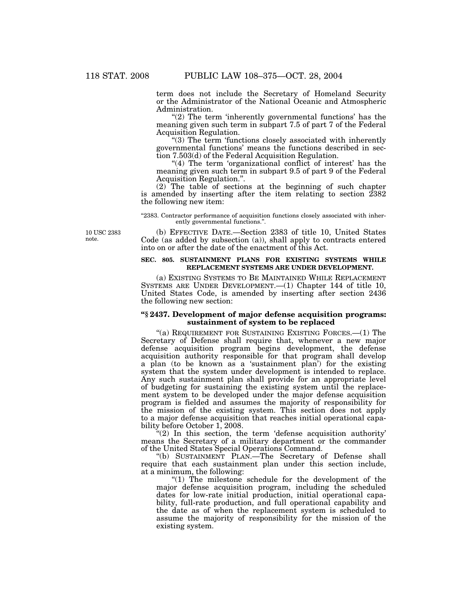term does not include the Secretary of Homeland Security or the Administrator of the National Oceanic and Atmospheric Administration.

" $(2)$  The term 'inherently governmental functions' has the meaning given such term in subpart 7.5 of part 7 of the Federal Acquisition Regulation.

''(3) The term 'functions closely associated with inherently governmental functions' means the functions described in section 7.503(d) of the Federal Acquisition Regulation.

"(4) The term 'organizational conflict of interest' has the meaning given such term in subpart 9.5 of part 9 of the Federal Acquisition Regulation.''.

(2) The table of sections at the beginning of such chapter is amended by inserting after the item relating to section 2382 the following new item:

"2383. Contractor performance of acquisition functions closely associated with inherently governmental functions.''.

10 USC 2383 note.

(b) EFFECTIVE DATE.—Section 2383 of title 10, United States Code (as added by subsection (a)), shall apply to contracts entered into on or after the date of the enactment of this Act.

## **SEC. 805. SUSTAINMENT PLANS FOR EXISTING SYSTEMS WHILE REPLACEMENT SYSTEMS ARE UNDER DEVELOPMENT.**

(a) EXISTING SYSTEMS TO BE MAINTAINED WHILE REPLACEMENT SYSTEMS ARE UNDER DEVELOPMENT.—(1) Chapter 144 of title 10, United States Code, is amended by inserting after section 2436 the following new section:

### **''§ 2437. Development of major defense acquisition programs: sustainment of system to be replaced**

"(a) REQUIREMENT FOR SUSTAINING EXISTING FORCES.—(1) The Secretary of Defense shall require that, whenever a new major defense acquisition program begins development, the defense acquisition authority responsible for that program shall develop a plan (to be known as a 'sustainment plan') for the existing system that the system under development is intended to replace. Any such sustainment plan shall provide for an appropriate level of budgeting for sustaining the existing system until the replacement system to be developed under the major defense acquisition program is fielded and assumes the majority of responsibility for the mission of the existing system. This section does not apply to a major defense acquisition that reaches initial operational capability before October 1, 2008.

 $(2)$  In this section, the term 'defense acquisition authority' means the Secretary of a military department or the commander of the United States Special Operations Command.

''(b) SUSTAINMENT PLAN.—The Secretary of Defense shall require that each sustainment plan under this section include, at a minimum, the following:

"(1) The milestone schedule for the development of the major defense acquisition program, including the scheduled dates for low-rate initial production, initial operational capability, full-rate production, and full operational capability and the date as of when the replacement system is scheduled to assume the majority of responsibility for the mission of the existing system.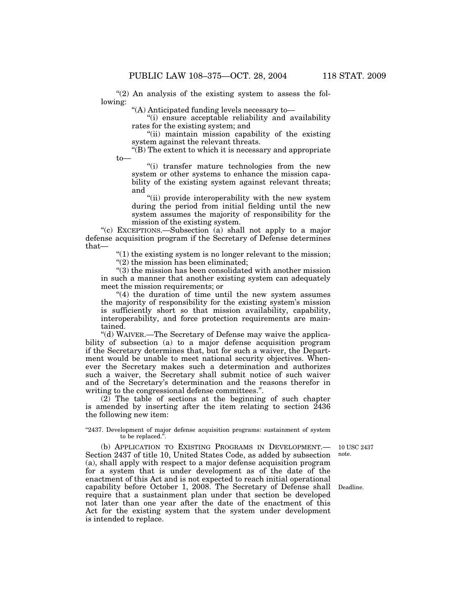" $(2)$  An analysis of the existing system to assess the following:

''(A) Anticipated funding levels necessary to—

''(i) ensure acceptable reliability and availability rates for the existing system; and

''(ii) maintain mission capability of the existing system against the relevant threats.

 $\tilde{f}(B)$  The extent to which it is necessary and appropriate to—

''(i) transfer mature technologies from the new system or other systems to enhance the mission capability of the existing system against relevant threats; and

"(ii) provide interoperability with the new system during the period from initial fielding until the new system assumes the majority of responsibility for the mission of the existing system.

''(c) EXCEPTIONS.—Subsection (a) shall not apply to a major defense acquisition program if the Secretary of Defense determines that—

> $''(1)$  the existing system is no longer relevant to the mission; ''(2) the mission has been eliminated;

''(3) the mission has been consolidated with another mission in such a manner that another existing system can adequately meet the mission requirements; or

"(4) the duration of time until the new system assumes the majority of responsibility for the existing system's mission is sufficiently short so that mission availability, capability, interoperability, and force protection requirements are maintained.

"(d) WAIVER.—The Secretary of Defense may waive the applicability of subsection (a) to a major defense acquisition program if the Secretary determines that, but for such a waiver, the Department would be unable to meet national security objectives. Whenever the Secretary makes such a determination and authorizes such a waiver, the Secretary shall submit notice of such waiver and of the Secretary's determination and the reasons therefor in writing to the congressional defense committees.''.

(2) The table of sections at the beginning of such chapter is amended by inserting after the item relating to section 2436 the following new item:

#### ''2437. Development of major defense acquisition programs: sustainment of system to be replaced.''.

10 USC 2437 note.

(b) APPLICATION TO EXISTING PROGRAMS IN DEVELOPMENT.— Section 2437 of title 10, United States Code, as added by subsection (a), shall apply with respect to a major defense acquisition program for a system that is under development as of the date of the enactment of this Act and is not expected to reach initial operational capability before October 1, 2008. The Secretary of Defense shall require that a sustainment plan under that section be developed not later than one year after the date of the enactment of this Act for the existing system that the system under development is intended to replace.

Deadline.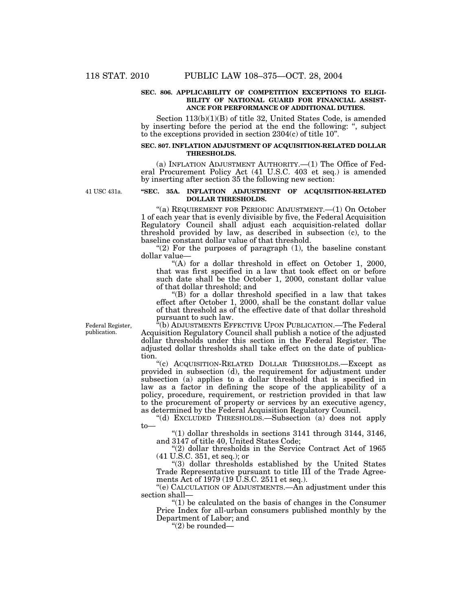#### **SEC. 806. APPLICABILITY OF COMPETITION EXCEPTIONS TO ELIGI-BILITY OF NATIONAL GUARD FOR FINANCIAL ASSIST-ANCE FOR PERFORMANCE OF ADDITIONAL DUTIES.**

Section 113(b)(1)(B) of title 32, United States Code, is amended by inserting before the period at the end the following: '', subject to the exceptions provided in section 2304(c) of title 10''.

#### **SEC. 807. INFLATION ADJUSTMENT OF ACQUISITION-RELATED DOLLAR THRESHOLDS.**

(a) INFLATION ADJUSTMENT AUTHORITY.—(1) The Office of Federal Procurement Policy Act (41 U.S.C. 403 et seq.) is amended by inserting after section 35 the following new section:

41 USC 431a.

### **''SEC. 35A. INFLATION ADJUSTMENT OF ACQUISITION-RELATED DOLLAR THRESHOLDS.**

''(a) REQUIREMENT FOR PERIODIC ADJUSTMENT.—(1) On October 1 of each year that is evenly divisible by five, the Federal Acquisition Regulatory Council shall adjust each acquisition-related dollar threshold provided by law, as described in subsection (c), to the baseline constant dollar value of that threshold.

"(2) For the purposes of paragraph  $(1)$ , the baseline constant dollar value—

"(A) for a dollar threshold in effect on October 1, 2000, that was first specified in a law that took effect on or before such date shall be the October 1, 2000, constant dollar value of that dollar threshold; and

''(B) for a dollar threshold specified in a law that takes effect after October 1, 2000, shall be the constant dollar value of that threshold as of the effective date of that dollar threshold pursuant to such law.

Federal Register, publication.

<sup>"</sup>(b) ADJUSTMENTS EFFECTIVE UPON PUBLICATION.—The Federal Acquisition Regulatory Council shall publish a notice of the adjusted dollar thresholds under this section in the Federal Register. The adjusted dollar thresholds shall take effect on the date of publication.

''(c) ACQUISITION-RELATED DOLLAR THRESHOLDS.—Except as provided in subsection (d), the requirement for adjustment under subsection (a) applies to a dollar threshold that is specified in law as a factor in defining the scope of the applicability of a policy, procedure, requirement, or restriction provided in that law to the procurement of property or services by an executive agency, as determined by the Federal Acquisition Regulatory Council.

''(d) EXCLUDED THRESHOLDS.—Subsection (a) does not apply to—

" $(1)$  dollar thresholds in sections 3141 through 3144, 3146, and 3147 of title 40, United States Code;

''(2) dollar thresholds in the Service Contract Act of 1965 (41 U.S.C. 351, et seq.); or

''(3) dollar thresholds established by the United States Trade Representative pursuant to title III of the Trade Agreements Act of 1979 (19 U.S.C. 2511 et seq.).

''(e) CALCULATION OF ADJUSTMENTS.—An adjustment under this section shall—

 $(1)$  be calculated on the basis of changes in the Consumer Price Index for all-urban consumers published monthly by the Department of Labor; and

"(2) be rounded— $\overline{ }$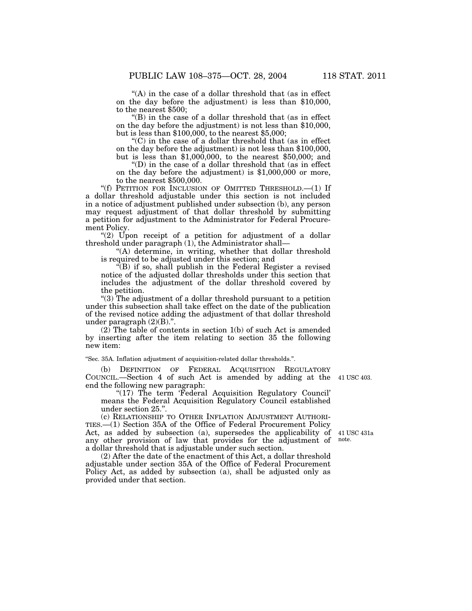"(A) in the case of a dollar threshold that (as in effect) on the day before the adjustment) is less than \$10,000, to the nearest \$500;

''(B) in the case of a dollar threshold that (as in effect on the day before the adjustment) is not less than \$10,000, but is less than \$100,000, to the nearest \$5,000;

 $(C)$  in the case of a dollar threshold that (as in effect on the day before the adjustment) is not less than \$100,000, but is less than \$1,000,000, to the nearest \$50,000; and

 $\mathrm{``(D)}$  in the case of a dollar threshold that (as in effect on the day before the adjustment) is \$1,000,000 or more, to the nearest \$500,000.

''(f) PETITION FOR INCLUSION OF OMITTED THRESHOLD.—(1) If a dollar threshold adjustable under this section is not included in a notice of adjustment published under subsection (b), any person may request adjustment of that dollar threshold by submitting a petition for adjustment to the Administrator for Federal Procurement Policy.

" $(2)$  Upon receipt of a petition for adjustment of a dollar threshold under paragraph (1), the Administrator shall—

''(A) determine, in writing, whether that dollar threshold is required to be adjusted under this section; and

 $\hat{H}(B)$  if so, shall publish in the Federal Register a revised notice of the adjusted dollar thresholds under this section that includes the adjustment of the dollar threshold covered by the petition.

''(3) The adjustment of a dollar threshold pursuant to a petition under this subsection shall take effect on the date of the publication of the revised notice adding the adjustment of that dollar threshold under paragraph (2)(B).''.

(2) The table of contents in section 1(b) of such Act is amended by inserting after the item relating to section 35 the following new item:

''Sec. 35A. Inflation adjustment of acquisition-related dollar thresholds.''.

(b) DEFINITION OF FEDERAL ACQUISITION REGULATORY COUNCIL.—Section 4 of such Act is amended by adding at the 41 USC 403. end the following new paragraph:

"(17) The term 'Federal Acquisition Regulatory Council' means the Federal Acquisition Regulatory Council established under section 25.''.

(c) RELATIONSHIP TO OTHER INFLATION ADJUSTMENT AUTHORI-TIES.—(1) Section 35A of the Office of Federal Procurement Policy Act, as added by subsection (a), supersedes the applicability of 41 USC 431a any other provision of law that provides for the adjustment of note. a dollar threshold that is adjustable under such section.

(2) After the date of the enactment of this Act, a dollar threshold adjustable under section 35A of the Office of Federal Procurement Policy Act, as added by subsection (a), shall be adjusted only as provided under that section.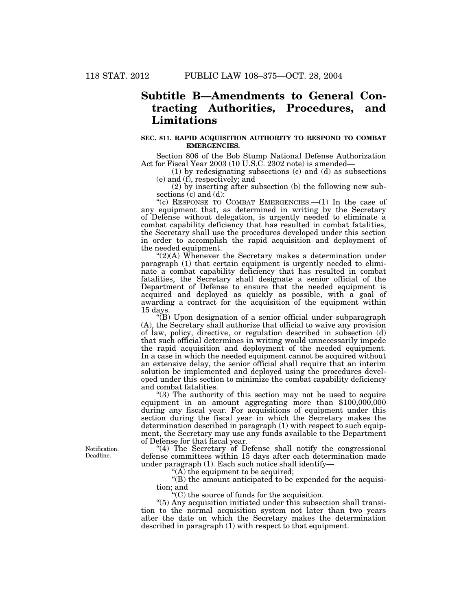# **Subtitle B—Amendments to General Contracting Authorities, Procedures, and Limitations**

#### **SEC. 811. RAPID ACQUISITION AUTHORITY TO RESPOND TO COMBAT EMERGENCIES.**

Section 806 of the Bob Stump National Defense Authorization Act for Fiscal Year 2003 (10 U.S.C. 2302 note) is amended—

(1) by redesignating subsections (c) and (d) as subsections (e) and (f), respectively; and

(2) by inserting after subsection (b) the following new subsections  $(c)$  and  $(d)$ :

"(c) RESPONSE TO COMBAT EMERGENCIES.— $(1)$  In the case of any equipment that, as determined in writing by the Secretary of Defense without delegation, is urgently needed to eliminate a combat capability deficiency that has resulted in combat fatalities, the Secretary shall use the procedures developed under this section in order to accomplish the rapid acquisition and deployment of the needed equipment.

 $\mathcal{L}(2)(A)$  Whenever the Secretary makes a determination under paragraph (1) that certain equipment is urgently needed to eliminate a combat capability deficiency that has resulted in combat fatalities, the Secretary shall designate a senior official of the Department of Defense to ensure that the needed equipment is acquired and deployed as quickly as possible, with a goal of awarding a contract for the acquisition of the equipment within 15 days.

''(B) Upon designation of a senior official under subparagraph (A), the Secretary shall authorize that official to waive any provision of law, policy, directive, or regulation described in subsection (d) that such official determines in writing would unnecessarily impede the rapid acquisition and deployment of the needed equipment. In a case in which the needed equipment cannot be acquired without an extensive delay, the senior official shall require that an interim solution be implemented and deployed using the procedures developed under this section to minimize the combat capability deficiency and combat fatalities.

''(3) The authority of this section may not be used to acquire equipment in an amount aggregating more than \$100,000,000 during any fiscal year. For acquisitions of equipment under this section during the fiscal year in which the Secretary makes the determination described in paragraph (1) with respect to such equipment, the Secretary may use any funds available to the Department of Defense for that fiscal year.

"(4) The Secretary of Defense shall notify the congressional defense committees within 15 days after each determination made under paragraph (1). Each such notice shall identify—

"(A) the equipment to be acquired;

''(B) the amount anticipated to be expended for the acquisition; and

''(C) the source of funds for the acquisition.

''(5) Any acquisition initiated under this subsection shall transition to the normal acquisition system not later than two years after the date on which the Secretary makes the determination described in paragraph (1) with respect to that equipment.

Notification. Deadline.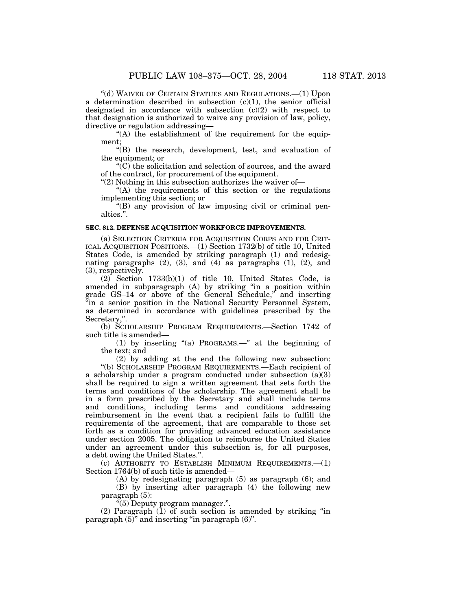''(d) WAIVER OF CERTAIN STATUES AND REGULATIONS.—(1) Upon a determination described in subsection  $(c)(1)$ , the senior official designated in accordance with subsection  $(c)(2)$  with respect to that designation is authorized to waive any provision of law, policy, directive or regulation addressing—

 $(A)$  the establishment of the requirement for the equipment;

''(B) the research, development, test, and evaluation of the equipment; or

 $\sqrt{\text{C}}$  the solicitation and selection of sources, and the award of the contract, for procurement of the equipment.

" $(2)$  Nothing in this subsection authorizes the waiver of-

"(A) the requirements of this section or the regulations implementing this section; or

''(B) any provision of law imposing civil or criminal penalties.''.

## **SEC. 812. DEFENSE ACQUISITION WORKFORCE IMPROVEMENTS.**

(a) SELECTION CRITERIA FOR ACQUISITION CORPS AND FOR CRIT-ICAL ACQUISITION POSITIONS.—(1) Section 1732(b) of title 10, United States Code, is amended by striking paragraph (1) and redesignating paragraphs  $(2)$ ,  $(3)$ , and  $(4)$  as paragraphs  $(1)$ ,  $(2)$ , and (3), respectively.

 $(2)$  Section 1733 $(b)(1)$  of title 10, United States Code, is amended in subparagraph (A) by striking ''in a position within grade GS–14 or above of the General Schedule,'' and inserting ''in a senior position in the National Security Personnel System, as determined in accordance with guidelines prescribed by the Secretary,''.

(b) SCHOLARSHIP PROGRAM REQUIREMENTS.—Section 1742 of such title is amended—

(1) by inserting ''(a) PROGRAMS.—'' at the beginning of the text; and

(2) by adding at the end the following new subsection: ''(b) SCHOLARSHIP PROGRAM REQUIREMENTS.—Each recipient of

a scholarship under a program conducted under subsection (a)(3) shall be required to sign a written agreement that sets forth the terms and conditions of the scholarship. The agreement shall be in a form prescribed by the Secretary and shall include terms and conditions, including terms and conditions addressing reimbursement in the event that a recipient fails to fulfill the requirements of the agreement, that are comparable to those set forth as a condition for providing advanced education assistance under section 2005. The obligation to reimburse the United States under an agreement under this subsection is, for all purposes, a debt owing the United States.''.

(c) AUTHORITY TO ESTABLISH MINIMUM REQUIREMENTS.—(1) Section 1764(b) of such title is amended—

(A) by redesignating paragraph (5) as paragraph (6); and (B) by inserting after paragraph (4) the following new paragraph (5):

 $\sqrt{5}$ ) Deputy program manager.".

 $(2)$  Paragraph  $(1)$  of such section is amended by striking "in paragraph  $(5)$ " and inserting "in paragraph  $(6)$ ".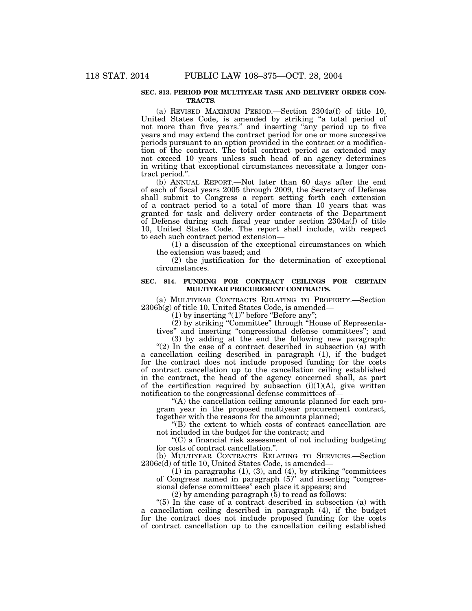#### **SEC. 813. PERIOD FOR MULTIYEAR TASK AND DELIVERY ORDER CON-TRACTS.**

(a) REVISED MAXIMUM PERIOD.—Section 2304a(f) of title 10, United States Code, is amended by striking ''a total period of not more than five years.'' and inserting ''any period up to five years and may extend the contract period for one or more successive periods pursuant to an option provided in the contract or a modification of the contract. The total contract period as extended may not exceed 10 years unless such head of an agency determines in writing that exceptional circumstances necessitate a longer contract period.''.

(b) ANNUAL REPORT.—Not later than 60 days after the end of each of fiscal years 2005 through 2009, the Secretary of Defense shall submit to Congress a report setting forth each extension of a contract period to a total of more than 10 years that was granted for task and delivery order contracts of the Department of Defense during such fiscal year under section  $2304a(\bar{f})$  of title 10, United States Code. The report shall include, with respect to each such contract period extension—

(1) a discussion of the exceptional circumstances on which the extension was based; and

(2) the justification for the determination of exceptional circumstances.

### **SEC. 814. FUNDING FOR CONTRACT CEILINGS FOR CERTAIN MULTIYEAR PROCUREMENT CONTRACTS.**

(a) MULTIYEAR CONTRACTS RELATING TO PROPERTY.—Section  $2306b(g)$  of title 10, United States Code, is amended-

 $(1)$  by inserting " $(1)$ " before "Before any";

(2) by striking ''Committee'' through ''House of Representa-

tives'' and inserting ''congressional defense committees''; and (3) by adding at the end the following new paragraph:

" $(2)$  In the case of a contract described in subsection  $(a)$  with a cancellation ceiling described in paragraph (1), if the budget for the contract does not include proposed funding for the costs of contract cancellation up to the cancellation ceiling established in the contract, the head of the agency concerned shall, as part of the certification required by subsection (i)(1)(A), give written notification to the congressional defense committees of—

''(A) the cancellation ceiling amounts planned for each program year in the proposed multiyear procurement contract, together with the reasons for the amounts planned;

''(B) the extent to which costs of contract cancellation are not included in the budget for the contract; and

''(C) a financial risk assessment of not including budgeting for costs of contract cancellation.''.

(b) MULTIYEAR CONTRACTS RELATING TO SERVICES.—Section 2306c(d) of title 10, United States Code, is amended—

 $(1)$  in paragraphs  $(1)$ ,  $(3)$ , and  $(4)$ , by striking "committees" of Congress named in paragraph (5)'' and inserting ''congressional defense committees'' each place it appears; and

 $(2)$  by amending paragraph  $(5)$  to read as follows:

''(5) In the case of a contract described in subsection (a) with a cancellation ceiling described in paragraph (4), if the budget for the contract does not include proposed funding for the costs of contract cancellation up to the cancellation ceiling established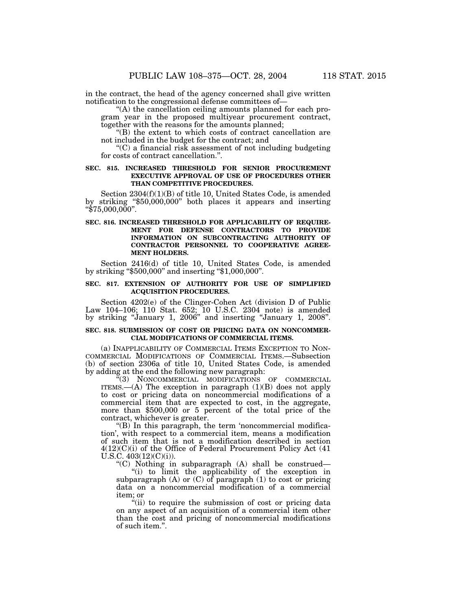in the contract, the head of the agency concerned shall give written notification to the congressional defense committees of—

"(A) the cancellation ceiling amounts planned for each program year in the proposed multiyear procurement contract, together with the reasons for the amounts planned;

''(B) the extent to which costs of contract cancellation are not included in the budget for the contract; and

''(C) a financial risk assessment of not including budgeting for costs of contract cancellation.''.

### **SEC. 815. INCREASED THRESHOLD FOR SENIOR PROCUREMENT EXECUTIVE APPROVAL OF USE OF PROCEDURES OTHER THAN COMPETITIVE PROCEDURES.**

Section 2304(f)(1)(B) of title 10, United States Code, is amended by striking ''\$50,000,000'' both places it appears and inserting " $$75,000,000$ ".

## **SEC. 816. INCREASED THRESHOLD FOR APPLICABILITY OF REQUIRE-MENT FOR DEFENSE CONTRACTORS TO PROVIDE INFORMATION ON SUBCONTRACTING AUTHORITY OF CONTRACTOR PERSONNEL TO COOPERATIVE AGREE-MENT HOLDERS.**

Section 2416(d) of title 10, United States Code, is amended by striking ''\$500,000'' and inserting ''\$1,000,000''.

## **SEC. 817. EXTENSION OF AUTHORITY FOR USE OF SIMPLIFIED ACQUISITION PROCEDURES.**

Section 4202(e) of the Clinger-Cohen Act (division D of Public Law 104–106; 110 Stat. 652; 10 U.S.C. 2304 note) is amended by striking ''January 1, 2006'' and inserting ''January 1, 2008''.

### **SEC. 818. SUBMISSION OF COST OR PRICING DATA ON NONCOMMER-CIAL MODIFICATIONS OF COMMERCIAL ITEMS.**

(a) INAPPLICABILITY OF COMMERCIAL ITEMS EXCEPTION TO NON-COMMERCIAL MODIFICATIONS OF COMMERCIAL ITEMS.—Subsection (b) of section 2306a of title 10, United States Code, is amended by adding at the end the following new paragraph:

''(3) NONCOMMERCIAL MODIFICATIONS OF COMMERCIAL ITEMS.— $(A)$  The exception in paragraph  $(1)(B)$  does not apply to cost or pricing data on noncommercial modifications of a commercial item that are expected to cost, in the aggregate, more than \$500,000 or 5 percent of the total price of the contract, whichever is greater.

''(B) In this paragraph, the term 'noncommercial modification', with respect to a commercial item, means a modification of such item that is not a modification described in section 4(12)(C)(i) of the Office of Federal Procurement Policy Act (41 U.S.C. 403(12)(C)(i)).

''(C) Nothing in subparagraph (A) shall be construed—

''(i) to limit the applicability of the exception in subparagraph (A) or (C) of paragraph (1) to cost or pricing data on a noncommercial modification of a commercial item; or

"(ii) to require the submission of cost or pricing data on any aspect of an acquisition of a commercial item other than the cost and pricing of noncommercial modifications of such item.''.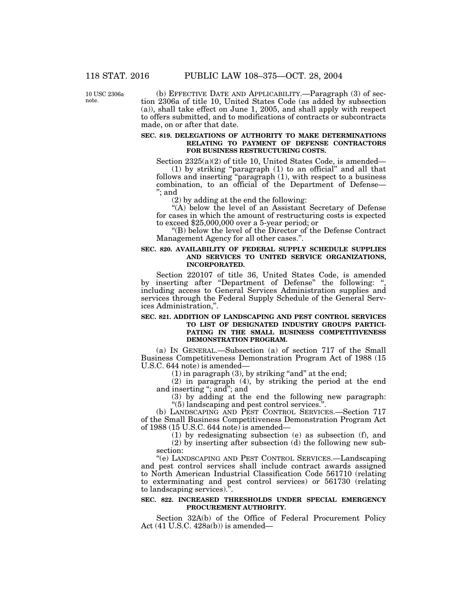10 USC 2306a note.

(b) EFFECTIVE DATE AND APPLICABILITY.—Paragraph (3) of section 2306a of title 10, United States Code (as added by subsection (a)), shall take effect on June 1, 2005, and shall apply with respect to offers submitted, and to modifications of contracts or subcontracts made, on or after that date.

### **SEC. 819. DELEGATIONS OF AUTHORITY TO MAKE DETERMINATIONS RELATING TO PAYMENT OF DEFENSE CONTRACTORS FOR BUSINESS RESTRUCTURING COSTS.**

Section 2325(a)(2) of title 10, United States Code, is amended—

(1) by striking ''paragraph (1) to an official'' and all that follows and inserting "paragraph (1), with respect to a business combination, to an official of the Department of Defense— ''; and

(2) by adding at the end the following:

''(A) below the level of an Assistant Secretary of Defense for cases in which the amount of restructuring costs is expected to exceed \$25,000,000 over a 5-year period; or

''(B) below the level of the Director of the Defense Contract Management Agency for all other cases.''.

#### **SEC. 820. AVAILABILITY OF FEDERAL SUPPLY SCHEDULE SUPPLIES AND SERVICES TO UNITED SERVICE ORGANIZATIONS, INCORPORATED.**

Section 220107 of title 36, United States Code, is amended by inserting after "Department of Defense" the following: ", including access to General Services Administration supplies and services through the Federal Supply Schedule of the General Services Administration,''.

#### **SEC. 821. ADDITION OF LANDSCAPING AND PEST CONTROL SERVICES TO LIST OF DESIGNATED INDUSTRY GROUPS PARTICI-PATING IN THE SMALL BUSINESS COMPETITIVENESS DEMONSTRATION PROGRAM.**

(a) IN GENERAL.—Subsection (a) of section 717 of the Small Business Competitiveness Demonstration Program Act of 1988 (15 U.S.C. 644 note) is amended—

 $(1)$  in paragraph  $(3)$ , by striking "and" at the end;

(2) in paragraph (4), by striking the period at the end and inserting ''; and''; and

(3) by adding at the end the following new paragraph: ''(5) landscaping and pest control services.''.

(b) LANDSCAPING AND PEST CONTROL SERVICES.—Section 717 of the Small Business Competitiveness Demonstration Program Act of 1988 (15 U.S.C. 644 note) is amended—

(1) by redesignating subsection (e) as subsection (f), and

(2) by inserting after subsection (d) the following new subsection:

''(e) LANDSCAPING AND PEST CONTROL SERVICES.—Landscaping and pest control services shall include contract awards assigned to North American Industrial Classification Code 561710 (relating to exterminating and pest control services) or 561730 (relating to landscaping services).''.

### **SEC. 822. INCREASED THRESHOLDS UNDER SPECIAL EMERGENCY PROCUREMENT AUTHORITY.**

Section 32A(b) of the Office of Federal Procurement Policy Act (41 U.S.C. 428a(b)) is amended—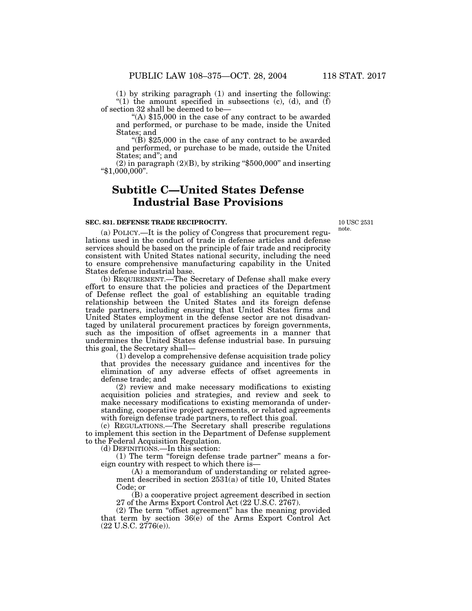(1) by striking paragraph (1) and inserting the following: "(1) the amount specified in subsections  $(c)$ ,  $(d)$ , and  $(f)$ of section 32 shall be deemed to be—

''(A) \$15,000 in the case of any contract to be awarded and performed, or purchase to be made, inside the United States; and

"(B)  $$25,000$  in the case of any contract to be awarded and performed, or purchase to be made, outside the United States; and''; and

 $(2)$  in paragraph  $(2)(B)$ , by striking "\$500,000" and inserting ''\$1,000,000''.

# **Subtitle C—United States Defense Industrial Base Provisions**

#### **SEC. 831. DEFENSE TRADE RECIPROCITY.**

10 USC 2531 note.

(a) POLICY.—It is the policy of Congress that procurement regulations used in the conduct of trade in defense articles and defense services should be based on the principle of fair trade and reciprocity consistent with United States national security, including the need to ensure comprehensive manufacturing capability in the United States defense industrial base.

(b) REQUIREMENT.—The Secretary of Defense shall make every effort to ensure that the policies and practices of the Department of Defense reflect the goal of establishing an equitable trading relationship between the United States and its foreign defense trade partners, including ensuring that United States firms and United States employment in the defense sector are not disadvantaged by unilateral procurement practices by foreign governments, such as the imposition of offset agreements in a manner that undermines the United States defense industrial base. In pursuing this goal, the Secretary shall—

(1) develop a comprehensive defense acquisition trade policy that provides the necessary guidance and incentives for the elimination of any adverse effects of offset agreements in defense trade; and

(2) review and make necessary modifications to existing acquisition policies and strategies, and review and seek to make necessary modifications to existing memoranda of understanding, cooperative project agreements, or related agreements with foreign defense trade partners, to reflect this goal.

(c) REGULATIONS.—The Secretary shall prescribe regulations to implement this section in the Department of Defense supplement to the Federal Acquisition Regulation.

(d) DEFINITIONS.—In this section:

(1) The term ''foreign defense trade partner'' means a foreign country with respect to which there is—

(A) a memorandum of understanding or related agreement described in section 2531(a) of title 10, United States Code; or

(B) a cooperative project agreement described in section 27 of the Arms Export Control Act (22 U.S.C. 2767).

(2) The term ''offset agreement'' has the meaning provided that term by section 36(e) of the Arms Export Control Act (22 U.S.C. 2776(e)).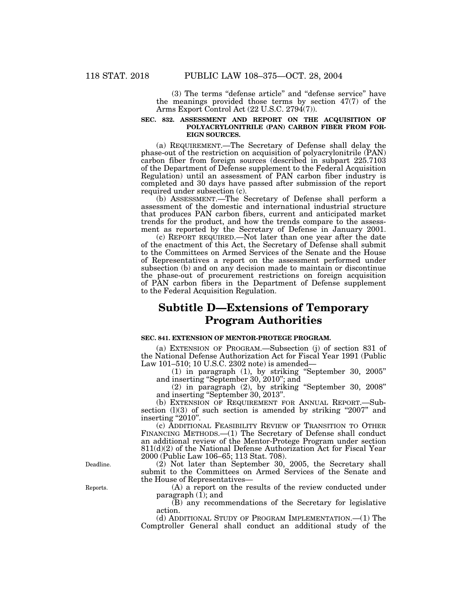(3) The terms ''defense article'' and ''defense service'' have the meanings provided those terms by section 47(7) of the Arms Export Control Act (22 U.S.C. 2794(7)).

#### **SEC. 832. ASSESSMENT AND REPORT ON THE ACQUISITION OF POLYACRYLONITRILE (PAN) CARBON FIBER FROM FOR-EIGN SOURCES.**

(a) REQUIREMENT.—The Secretary of Defense shall delay the phase-out of the restriction on acquisition of polyacrylonitrile (PAN) carbon fiber from foreign sources (described in subpart 225.7103 of the Department of Defense supplement to the Federal Acquisition Regulation) until an assessment of PAN carbon fiber industry is completed and 30 days have passed after submission of the report required under subsection (c).

(b) ASSESSMENT.—The Secretary of Defense shall perform a assessment of the domestic and international industrial structure that produces PAN carbon fibers, current and anticipated market trends for the product, and how the trends compare to the assessment as reported by the Secretary of Defense in January 2001.

(c) REPORT REQUIRED.—Not later than one year after the date of the enactment of this Act, the Secretary of Defense shall submit to the Committees on Armed Services of the Senate and the House of Representatives a report on the assessment performed under subsection (b) and on any decision made to maintain or discontinue the phase-out of procurement restrictions on foreign acquisition of PAN carbon fibers in the Department of Defense supplement to the Federal Acquisition Regulation.

# **Subtitle D—Extensions of Temporary Program Authorities**

#### **SEC. 841. EXTENSION OF MENTOR-PROTEGE PROGRAM.**

(a) EXTENSION OF PROGRAM.—Subsection (j) of section 831 of the National Defense Authorization Act for Fiscal Year 1991 (Public Law 101–510; 10 U.S.C. 2302 note) is amended—

(1) in paragraph (1), by striking ''September 30, 2005'' and inserting ''September 30, 2010''; and

(2) in paragraph (2), by striking ''September 30, 2008'' and inserting ''September 30, 2013''.

(b) EXTENSION OF REQUIREMENT FOR ANNUAL REPORT.—Subsection  $(l)(3)$  of such section is amended by striking "2007" and inserting "2010".

(c) ADDITIONAL FEASIBILITY REVIEW OF TRANSITION TO OTHER FINANCING METHODS.—(1) The Secretary of Defense shall conduct an additional review of the Mentor-Protege Program under section 811(d)(2) of the National Defense Authorization Act for Fiscal Year 2000 (Public Law 106–65; 113 Stat. 708).

(2) Not later than September 30, 2005, the Secretary shall submit to the Committees on Armed Services of the Senate and the House of Representatives—

(A) a report on the results of the review conducted under paragraph (1); and

(B) any recommendations of the Secretary for legislative action.

(d) ADDITIONAL STUDY OF PROGRAM IMPLEMENTATION.—(1) The Comptroller General shall conduct an additional study of the

Deadline.

Reports.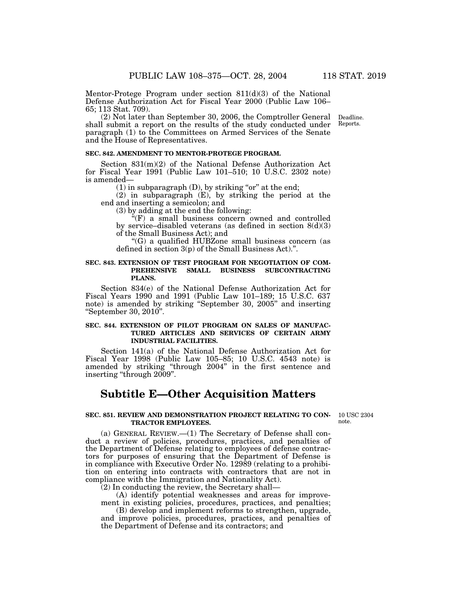Mentor-Protege Program under section 811(d)(3) of the National Defense Authorization Act for Fiscal Year 2000 (Public Law 106– 65; 113 Stat. 709).

> Deadline. Reports.

(2) Not later than September 30, 2006, the Comptroller General shall submit a report on the results of the study conducted under paragraph (1) to the Committees on Armed Services of the Senate and the House of Representatives.

#### **SEC. 842. AMENDMENT TO MENTOR-PROTEGE PROGRAM.**

Section 831(m)(2) of the National Defense Authorization Act for Fiscal Year 1991 (Public Law 101–510; 10 U.S.C. 2302 note) is amended—

 $(1)$  in subparagraph  $(D)$ , by striking "or" at the end;

(2) in subparagraph (E), by striking the period at the end and inserting a semicolon; and

(3) by adding at the end the following:

 $E(F)$  a small business concern owned and controlled by service–disabled veterans (as defined in section  $8(d)(3)$ of the Small Business Act); and

''(G) a qualified HUBZone small business concern (as defined in section 3(p) of the Small Business Act).''.

### **SEC. 843. EXTENSION OF TEST PROGRAM FOR NEGOTIATION OF COM-PREHENSIVE SMALL BUSINESS SUBCONTRACTING PLANS.**

Section 834(e) of the National Defense Authorization Act for Fiscal Years 1990 and 1991 (Public Law 101–189; 15 U.S.C. 637 note) is amended by striking ''September 30, 2005'' and inserting ''September 30, 2010''.

### **SEC. 844. EXTENSION OF PILOT PROGRAM ON SALES OF MANUFAC-TURED ARTICLES AND SERVICES OF CERTAIN ARMY INDUSTRIAL FACILITIES.**

Section 141(a) of the National Defense Authorization Act for Fiscal Year 1998 (Public Law 105–85; 10 U.S.C. 4543 note) is amended by striking ''through 2004'' in the first sentence and inserting ''through 2009''.

# **Subtitle E—Other Acquisition Matters**

**SEC. 851. REVIEW AND DEMONSTRATION PROJECT RELATING TO CON-TRACTOR EMPLOYEES.**

10 USC 2304 note.

(a) GENERAL REVIEW.—(1) The Secretary of Defense shall conduct a review of policies, procedures, practices, and penalties of the Department of Defense relating to employees of defense contractors for purposes of ensuring that the Department of Defense is in compliance with Executive Order No. 12989 (relating to a prohibition on entering into contracts with contractors that are not in compliance with the Immigration and Nationality Act).

(2) In conducting the review, the Secretary shall—

(A) identify potential weaknesses and areas for improvement in existing policies, procedures, practices, and penalties;

(B) develop and implement reforms to strengthen, upgrade, and improve policies, procedures, practices, and penalties of the Department of Defense and its contractors; and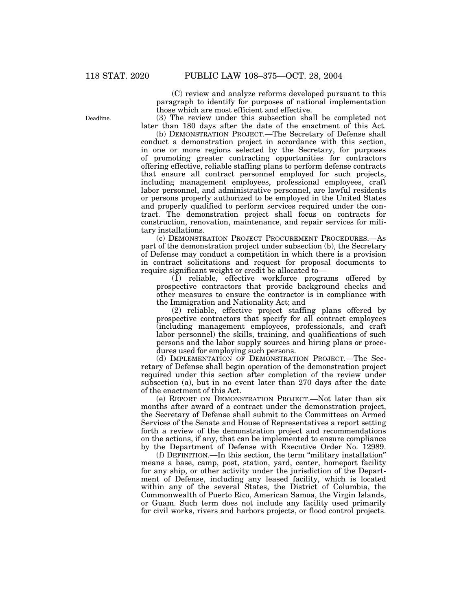(C) review and analyze reforms developed pursuant to this paragraph to identify for purposes of national implementation those which are most efficient and effective.

(3) The review under this subsection shall be completed not later than 180 days after the date of the enactment of this Act.

(b) DEMONSTRATION PROJECT.—The Secretary of Defense shall conduct a demonstration project in accordance with this section, in one or more regions selected by the Secretary, for purposes of promoting greater contracting opportunities for contractors offering effective, reliable staffing plans to perform defense contracts that ensure all contract personnel employed for such projects, including management employees, professional employees, craft labor personnel, and administrative personnel, are lawful residents or persons properly authorized to be employed in the United States and properly qualified to perform services required under the contract. The demonstration project shall focus on contracts for construction, renovation, maintenance, and repair services for military installations.

(c) DEMONSTRATION PROJECT PROCUREMENT PROCEDURES.—As part of the demonstration project under subsection (b), the Secretary of Defense may conduct a competition in which there is a provision in contract solicitations and request for proposal documents to require significant weight or credit be allocated to—

(1) reliable, effective workforce programs offered by prospective contractors that provide background checks and other measures to ensure the contractor is in compliance with the Immigration and Nationality Act; and

(2) reliable, effective project staffing plans offered by prospective contractors that specify for all contract employees (including management employees, professionals, and craft labor personnel) the skills, training, and qualifications of such persons and the labor supply sources and hiring plans or procedures used for employing such persons.

(d) IMPLEMENTATION OF DEMONSTRATION PROJECT.—The Secretary of Defense shall begin operation of the demonstration project required under this section after completion of the review under subsection (a), but in no event later than 270 days after the date of the enactment of this Act.

(e) REPORT ON DEMONSTRATION PROJECT.—Not later than six months after award of a contract under the demonstration project, the Secretary of Defense shall submit to the Committees on Armed Services of the Senate and House of Representatives a report setting forth a review of the demonstration project and recommendations on the actions, if any, that can be implemented to ensure compliance by the Department of Defense with Executive Order No. 12989.

(f) DEFINITION.—In this section, the term ''military installation'' means a base, camp, post, station, yard, center, homeport facility for any ship, or other activity under the jurisdiction of the Department of Defense, including any leased facility, which is located within any of the several States, the District of Columbia, the Commonwealth of Puerto Rico, American Samoa, the Virgin Islands, or Guam. Such term does not include any facility used primarily for civil works, rivers and harbors projects, or flood control projects.

Deadline.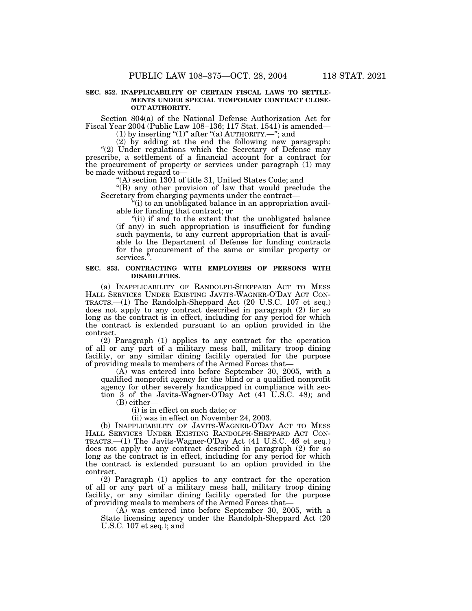#### **SEC. 852. INAPPLICABILITY OF CERTAIN FISCAL LAWS TO SETTLE-MENTS UNDER SPECIAL TEMPORARY CONTRACT CLOSE-OUT AUTHORITY.**

Section 804(a) of the National Defense Authorization Act for Fiscal Year 2004 (Public Law 108–136; 117 Stat. 1541) is amended—

(1) by inserting "(1)" after "(a) AUTHORITY.—"; and

(2) by adding at the end the following new paragraph: "(2) Under regulations which the Secretary of Defense may prescribe, a settlement of a financial account for a contract for the procurement of property or services under paragraph (1) may be made without regard to—

''(A) section 1301 of title 31, United States Code; and

''(B) any other provision of law that would preclude the Secretary from charging payments under the contract—

 $\ddot{a}$  (i) to an unobligated balance in an appropriation available for funding that contract; or

"(ii) if and to the extent that the unobligated balance (if any) in such appropriation is insufficient for funding such payments, to any current appropriation that is available to the Department of Defense for funding contracts for the procurement of the same or similar property or services.'

#### **SEC. 853. CONTRACTING WITH EMPLOYERS OF PERSONS WITH DISABILITIES.**

(a) INAPPLICABILITY OF RANDOLPH-SHEPPARD ACT TO MESS HALL SERVICES UNDER EXISTING JAVITS-WAGNER-O'DAY ACT CON-TRACTS.—(1) The Randolph-Sheppard Act (20 U.S.C. 107 et seq.) does not apply to any contract described in paragraph (2) for so long as the contract is in effect, including for any period for which the contract is extended pursuant to an option provided in the contract.

(2) Paragraph (1) applies to any contract for the operation of all or any part of a military mess hall, military troop dining facility, or any similar dining facility operated for the purpose of providing meals to members of the Armed Forces that—

(A) was entered into before September 30, 2005, with a qualified nonprofit agency for the blind or a qualified nonprofit agency for other severely handicapped in compliance with section 3 of the Javits-Wagner-O'Day Act (41 U.S.C. 48); and

(B) either—

(i) is in effect on such date; or

(ii) was in effect on November 24, 2003.

(b) INAPPLICABILITY OF JAVITS-WAGNER-O'DAY ACT TO MESS HALL SERVICES UNDER EXISTING RANDOLPH-SHEPPARD ACT CON-TRACTS.—(1) The Javits-Wagner-O'Day Act (41 U.S.C. 46 et seq.) does not apply to any contract described in paragraph (2) for so long as the contract is in effect, including for any period for which the contract is extended pursuant to an option provided in the contract.

(2) Paragraph (1) applies to any contract for the operation of all or any part of a military mess hall, military troop dining facility, or any similar dining facility operated for the purpose of providing meals to members of the Armed Forces that—

(A) was entered into before September 30, 2005, with a State licensing agency under the Randolph-Sheppard Act (20 U.S.C. 107 et seq.); and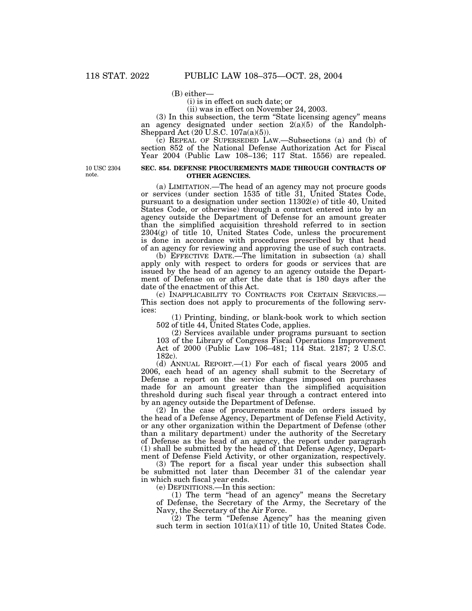(B) either—

(i) is in effect on such date; or

(ii) was in effect on November 24, 2003.

(3) In this subsection, the term ''State licensing agency'' means an agency designated under section 2(a)(5) of the Randolph-Sheppard Act  $(20 \text{ U.S.C. } 107a(a)(5))$ .

(c) REPEAL OF SUPERSEDED LAW.—Subsections (a) and (b) of section 852 of the National Defense Authorization Act for Fiscal Year 2004 (Public Law 108–136; 117 Stat. 1556) are repealed.

10 USC 2304 note.

### **SEC. 854. DEFENSE PROCUREMENTS MADE THROUGH CONTRACTS OF OTHER AGENCIES.**

(a) LIMITATION.—The head of an agency may not procure goods or services (under section 1535 of title 31, United States Code, pursuant to a designation under section 11302(e) of title 40, United States Code, or otherwise) through a contract entered into by an agency outside the Department of Defense for an amount greater than the simplified acquisition threshold referred to in section 2304(g) of title 10, United States Code, unless the procurement is done in accordance with procedures prescribed by that head of an agency for reviewing and approving the use of such contracts.

(b) EFFECTIVE DATE.—The limitation in subsection (a) shall apply only with respect to orders for goods or services that are issued by the head of an agency to an agency outside the Department of Defense on or after the date that is 180 days after the date of the enactment of this Act.

(c) INAPPLICABILITY TO CONTRACTS FOR CERTAIN SERVICES.— This section does not apply to procurements of the following services:

(1) Printing, binding, or blank-book work to which section 502 of title 44, United States Code, applies.

(2) Services available under programs pursuant to section 103 of the Library of Congress Fiscal Operations Improvement Act of 2000 (Public Law 106–481; 114 Stat. 2187; 2 U.S.C. 182c).

(d) ANNUAL REPORT.—(1) For each of fiscal years 2005 and 2006, each head of an agency shall submit to the Secretary of Defense a report on the service charges imposed on purchases made for an amount greater than the simplified acquisition threshold during such fiscal year through a contract entered into by an agency outside the Department of Defense.

(2) In the case of procurements made on orders issued by the head of a Defense Agency, Department of Defense Field Activity, or any other organization within the Department of Defense (other than a military department) under the authority of the Secretary of Defense as the head of an agency, the report under paragraph (1) shall be submitted by the head of that Defense Agency, Department of Defense Field Activity, or other organization, respectively.

(3) The report for a fiscal year under this subsection shall be submitted not later than December 31 of the calendar year in which such fiscal year ends.

(e) DEFINITIONS.—In this section:

(1) The term ''head of an agency'' means the Secretary of Defense, the Secretary of the Army, the Secretary of the Navy, the Secretary of the Air Force.

(2) The term ''Defense Agency'' has the meaning given such term in section  $101(a)(11)$  of title 10, United States Code.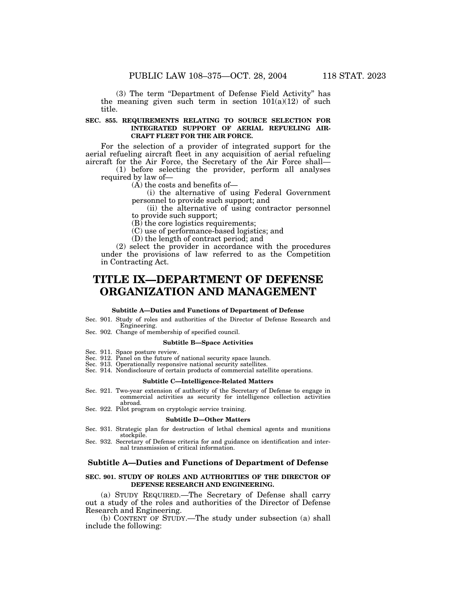(3) The term ''Department of Defense Field Activity'' has the meaning given such term in section  $101(a)(12)$  of such title.

## **SEC. 855. REQUIREMENTS RELATING TO SOURCE SELECTION FOR INTEGRATED SUPPORT OF AERIAL REFUELING AIR-CRAFT FLEET FOR THE AIR FORCE.**

For the selection of a provider of integrated support for the aerial refueling aircraft fleet in any acquisition of aerial refueling aircraft for the Air Force, the Secretary of the Air Force shall—

(1) before selecting the provider, perform all analyses required by law of—

(A) the costs and benefits of—

(i) the alternative of using Federal Government personnel to provide such support; and

(ii) the alternative of using contractor personnel to provide such support;

 $(B)$  the core logistics requirements;

(C) use of performance-based logistics; and

(D) the length of contract period; and

(2) select the provider in accordance with the procedures under the provisions of law referred to as the Competition in Contracting Act.

# **TITLE IX—DEPARTMENT OF DEFENSE ORGANIZATION AND MANAGEMENT**

#### **Subtitle A—Duties and Functions of Department of Defense**

Sec. 901. Study of roles and authorities of the Director of Defense Research and Engineering.

Sec. 902. Change of membership of specified council.

#### **Subtitle B—Space Activities**

- Sec. 911. Space posture review.
- Sec. 912. Panel on the future of national security space launch.
- Sec. 913. Operationally responsive national security satellites.
- Sec. 914. Nondisclosure of certain products of commercial satellite operations.

# **Subtitle C—Intelligence-Related Matters**

- Sec. 921. Two-year extension of authority of the Secretary of Defense to engage in commercial activities as security for intelligence collection activities abroad.
- Sec. 922. Pilot program on cryptologic service training.

#### **Subtitle D—Other Matters**

- Sec. 931. Strategic plan for destruction of lethal chemical agents and munitions stockpile.
- Sec. 932. Secretary of Defense criteria for and guidance on identification and internal transmission of critical information.

# **Subtitle A—Duties and Functions of Department of Defense**

#### **SEC. 901. STUDY OF ROLES AND AUTHORITIES OF THE DIRECTOR OF DEFENSE RESEARCH AND ENGINEERING.**

(a) STUDY REQUIRED.—The Secretary of Defense shall carry out a study of the roles and authorities of the Director of Defense Research and Engineering.

(b) CONTENT OF STUDY.—The study under subsection (a) shall include the following: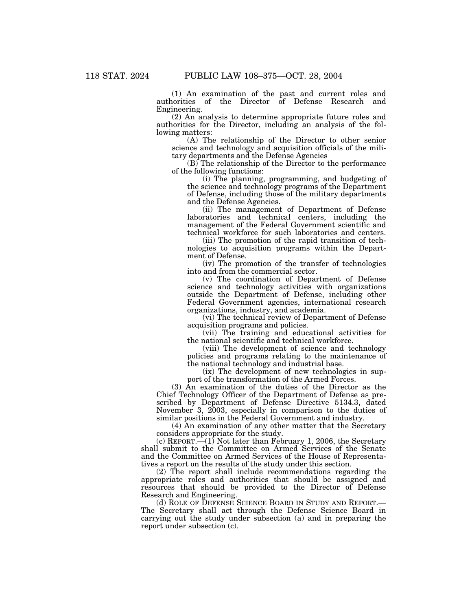(1) An examination of the past and current roles and authorities of the Director of Defense Research and Engineering.

(2) An analysis to determine appropriate future roles and authorities for the Director, including an analysis of the following matters:

(A) The relationship of the Director to other senior science and technology and acquisition officials of the military departments and the Defense Agencies

(B) The relationship of the Director to the performance of the following functions:

(i) The planning, programming, and budgeting of the science and technology programs of the Department of Defense, including those of the military departments and the Defense Agencies.

(ii) The management of Department of Defense laboratories and technical centers, including the management of the Federal Government scientific and technical workforce for such laboratories and centers.

(iii) The promotion of the rapid transition of technologies to acquisition programs within the Department of Defense.

(iv) The promotion of the transfer of technologies into and from the commercial sector.

(v) The coordination of Department of Defense science and technology activities with organizations outside the Department of Defense, including other Federal Government agencies, international research organizations, industry, and academia.

(vi) The technical review of Department of Defense acquisition programs and policies.

(vii) The training and educational activities for the national scientific and technical workforce.

(viii) The development of science and technology policies and programs relating to the maintenance of the national technology and industrial base.

(ix) The development of new technologies in support of the transformation of the Armed Forces.

(3) An examination of the duties of the Director as the Chief Technology Officer of the Department of Defense as prescribed by Department of Defense Directive 5134.3, dated November 3, 2003, especially in comparison to the duties of similar positions in the Federal Government and industry.

(4) An examination of any other matter that the Secretary considers appropriate for the study.

 $(c)$  REPORT.— $(1)$  Not later than February 1, 2006, the Secretary shall submit to the Committee on Armed Services of the Senate and the Committee on Armed Services of the House of Representatives a report on the results of the study under this section.

(2) The report shall include recommendations regarding the appropriate roles and authorities that should be assigned and resources that should be provided to the Director of Defense Research and Engineering.

(d) ROLE OF DEFENSE SCIENCE BOARD IN STUDY AND REPORT.— The Secretary shall act through the Defense Science Board in carrying out the study under subsection (a) and in preparing the report under subsection (c).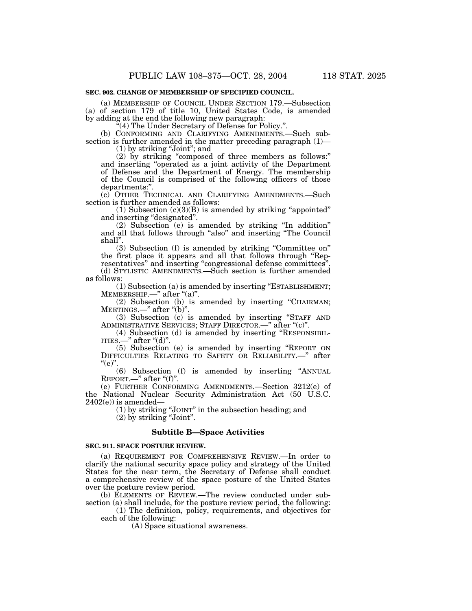#### **SEC. 902. CHANGE OF MEMBERSHIP OF SPECIFIED COUNCIL.**

(a) MEMBERSHIP OF COUNCIL UNDER SECTION 179.—Subsection (a) of section 179 of title 10, United States Code, is amended by adding at the end the following new paragraph:

''(4) The Under Secretary of Defense for Policy.''.

(b) CONFORMING AND CLARIFYING AMENDMENTS.—Such subsection is further amended in the matter preceding paragraph (1)—

 $(1)$  by striking "Joint"; and

(2) by striking ''composed of three members as follows:'' and inserting ''operated as a joint activity of the Department of Defense and the Department of Energy. The membership of the Council is comprised of the following officers of those departments:''.

(c) OTHER TECHNICAL AND CLARIFYING AMENDMENTS.—Such section is further amended as follows:

(1) Subsection  $(c)(3)(B)$  is amended by striking "appointed" and inserting "designated".

(2) Subsection (e) is amended by striking ''In addition'' and all that follows through "also" and inserting "The Council shall''.

(3) Subsection (f) is amended by striking ''Committee on'' the first place it appears and all that follows through ''Representatives'' and inserting ''congressional defense committees''. (d) STYLISTIC AMENDMENTS.—Such section is further amended as follows:

(1) Subsection (a) is amended by inserting ''ESTABLISHMENT; MEMBERSHIP.—" after "(a)".

(2) Subsection (b) is amended by inserting ''CHAIRMAN; MEETINGS.—'' after ''(b)''.

(3) Subsection (c) is amended by inserting ''STAFF AND ADMINISTRATIVE SERVICES; STAFF DIRECTOR.—" after "(c)".

(4) Subsection (d) is amended by inserting ''RESPONSIBIL-ITIES.— $"$  after " $(d)"$ .

(5) Subsection (e) is amended by inserting ''REPORT ON DIFFICULTIES RELATING TO SAFETY OR RELIABILITY.—'' after " $(e)$ ".

(6) Subsection (f) is amended by inserting ''ANNUAL REPORT.—" after "(f)".

(e) FURTHER CONFORMING AMENDMENTS.—Section 3212(e) of the National Nuclear Security Administration Act (50 U.S.C. 2402(e)) is amended—

(1) by striking ''JOINT'' in the subsection heading; and

 $(2)$  by striking "Joint".

## **Subtitle B—Space Activities**

## **SEC. 911. SPACE POSTURE REVIEW.**

(a) REQUIREMENT FOR COMPREHENSIVE REVIEW.—In order to clarify the national security space policy and strategy of the United States for the near term, the Secretary of Defense shall conduct a comprehensive review of the space posture of the United States over the posture review period.

(b) ELEMENTS OF REVIEW.—The review conducted under subsection (a) shall include, for the posture review period, the following:

(1) The definition, policy, requirements, and objectives for each of the following:

(A) Space situational awareness.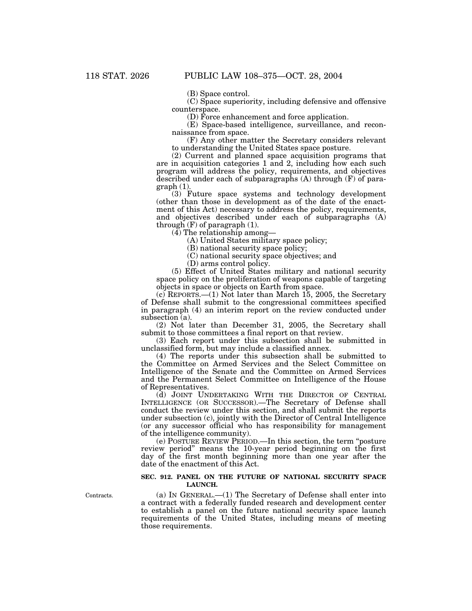(B) Space control.

(C) Space superiority, including defensive and offensive counterspace.

(D) Force enhancement and force application.

(E) Space-based intelligence, surveillance, and reconnaissance from space.

(F) Any other matter the Secretary considers relevant to understanding the United States space posture.

(2) Current and planned space acquisition programs that are in acquisition categories 1 and 2, including how each such program will address the policy, requirements, and objectives described under each of subparagraphs (A) through (F) of para $graph(1)$ 

(3) Future space systems and technology development (other than those in development as of the date of the enactment of this Act) necessary to address the policy, requirements, and objectives described under each of subparagraphs (A) through (F) of paragraph (1).

(4) The relationship among—

(A) United States military space policy;

(B) national security space policy;

(C) national security space objectives; and

(D) arms control policy.

(5) Effect of United States military and national security space policy on the proliferation of weapons capable of targeting objects in space or objects on Earth from space.

(c) REPORTS.—(1) Not later than March 15, 2005, the Secretary of Defense shall submit to the congressional committees specified in paragraph (4) an interim report on the review conducted under subsection (a).

(2) Not later than December 31, 2005, the Secretary shall submit to those committees a final report on that review.

(3) Each report under this subsection shall be submitted in unclassified form, but may include a classified annex.

(4) The reports under this subsection shall be submitted to the Committee on Armed Services and the Select Committee on Intelligence of the Senate and the Committee on Armed Services and the Permanent Select Committee on Intelligence of the House of Representatives.

(d) JOINT UNDERTAKING WITH THE DIRECTOR OF CENTRAL INTELLIGENCE (OR SUCCESSOR).—The Secretary of Defense shall conduct the review under this section, and shall submit the reports under subsection (c), jointly with the Director of Central Intelligence (or any successor official who has responsibility for management of the intelligence community).

(e) POSTURE REVIEW PERIOD.—In this section, the term ''posture review period'' means the 10-year period beginning on the first day of the first month beginning more than one year after the date of the enactment of this Act.

### **SEC. 912. PANEL ON THE FUTURE OF NATIONAL SECURITY SPACE LAUNCH.**

(a) IN GENERAL.—(1) The Secretary of Defense shall enter into a contract with a federally funded research and development center to establish a panel on the future national security space launch requirements of the United States, including means of meeting those requirements.

Contracts.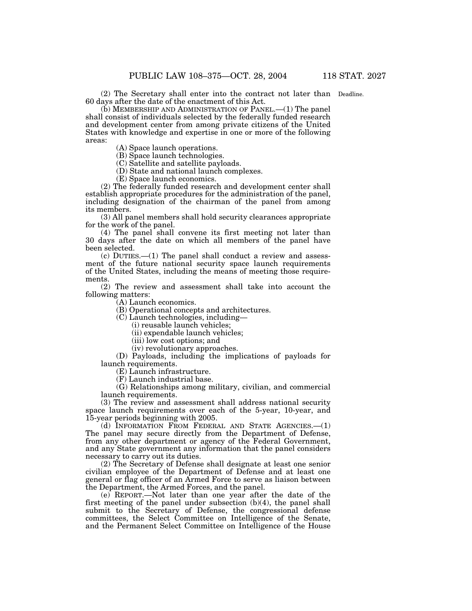(2) The Secretary shall enter into the contract not later than Deadline. 60 days after the date of the enactment of this Act.

(b) MEMBERSHIP AND ADMINISTRATION OF PANEL.—(1) The panel shall consist of individuals selected by the federally funded research and development center from among private citizens of the United States with knowledge and expertise in one or more of the following

(A) Space launch operations.

areas:

(B) Space launch technologies.

(C) Satellite and satellite payloads.

(D) State and national launch complexes.

(E) Space launch economics.

(2) The federally funded research and development center shall establish appropriate procedures for the administration of the panel, including designation of the chairman of the panel from among its members.

(3) All panel members shall hold security clearances appropriate for the work of the panel.

(4) The panel shall convene its first meeting not later than 30 days after the date on which all members of the panel have been selected.

(c) DUTIES.—(1) The panel shall conduct a review and assessment of the future national security space launch requirements of the United States, including the means of meeting those requirements.

(2) The review and assessment shall take into account the following matters:

(A) Launch economics.

(B) Operational concepts and architectures.

(C) Launch technologies, including—

(i) reusable launch vehicles;

(ii) expendable launch vehicles;

(iii) low cost options; and

(iv) revolutionary approaches.

(D) Payloads, including the implications of payloads for launch requirements.

(E) Launch infrastructure.

(F) Launch industrial base.

(G) Relationships among military, civilian, and commercial launch requirements.

(3) The review and assessment shall address national security space launch requirements over each of the 5-year, 10-year, and 15-year periods beginning with 2005.

(d) INFORMATION FROM FEDERAL AND STATE AGENCIES.—(1) The panel may secure directly from the Department of Defense, from any other department or agency of the Federal Government, and any State government any information that the panel considers necessary to carry out its duties.

(2) The Secretary of Defense shall designate at least one senior civilian employee of the Department of Defense and at least one general or flag officer of an Armed Force to serve as liaison between the Department, the Armed Forces, and the panel.

(e) REPORT.—Not later than one year after the date of the first meeting of the panel under subsection (b)(4), the panel shall submit to the Secretary of Defense, the congressional defense committees, the Select Committee on Intelligence of the Senate, and the Permanent Select Committee on Intelligence of the House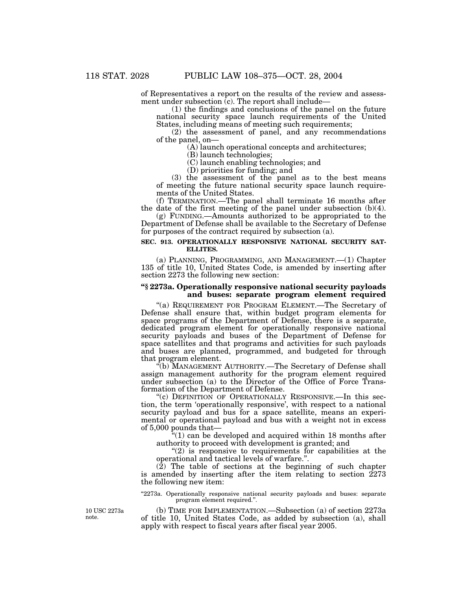of Representatives a report on the results of the review and assessment under subsection  $(c)$ . The report shall include—

(1) the findings and conclusions of the panel on the future national security space launch requirements of the United States, including means of meeting such requirements;

(2) the assessment of panel, and any recommendations of the panel, on—

(A) launch operational concepts and architectures;

(B) launch technologies;

(C) launch enabling technologies; and

(D) priorities for funding; and

(3) the assessment of the panel as to the best means of meeting the future national security space launch requirements of the United States.

(f) TERMINATION.—The panel shall terminate 16 months after the date of the first meeting of the panel under subsection (b)(4).

(g) FUNDING.—Amounts authorized to be appropriated to the Department of Defense shall be available to the Secretary of Defense for purposes of the contract required by subsection (a).

## **SEC. 913. OPERATIONALLY RESPONSIVE NATIONAL SECURITY SAT-ELLITES.**

(a) PLANNING, PROGRAMMING, AND MANAGEMENT.—(1) Chapter 135 of title 10, United States Code, is amended by inserting after section 2273 the following new section:

# **''§ 2273a. Operationally responsive national security payloads and buses: separate program element required**

"(a) REQUIREMENT FOR PROGRAM ELEMENT.—The Secretary of Defense shall ensure that, within budget program elements for space programs of the Department of Defense, there is a separate, dedicated program element for operationally responsive national security payloads and buses of the Department of Defense for space satellites and that programs and activities for such payloads and buses are planned, programmed, and budgeted for through that program element.

''(b) MANAGEMENT AUTHORITY.—The Secretary of Defense shall assign management authority for the program element required under subsection (a) to the Director of the Office of Force Transformation of the Department of Defense.

"(c) DEFINITION OF OPERATIONALLY RESPONSIVE.—In this section, the term 'operationally responsive', with respect to a national security payload and bus for a space satellite, means an experimental or operational payload and bus with a weight not in excess of 5,000 pounds that—

"(1) can be developed and acquired within 18 months after authority to proceed with development is granted; and

 $''(2)$  is responsive to requirements for capabilities at the operational and tactical levels of warfare.''.

 $(2)$  The table of sections at the beginning of such chapter is amended by inserting after the item relating to section 2273 the following new item:

"2273a. Operationally responsive national security payloads and buses: separate program element required.''.

10 USC 2273a note.

(b) TIME FOR IMPLEMENTATION.—Subsection (a) of section 2273a of title 10, United States Code, as added by subsection (a), shall apply with respect to fiscal years after fiscal year 2005.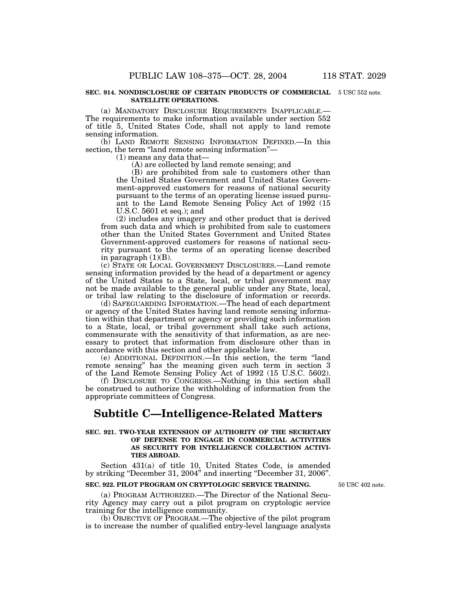#### **SEC. 914. NONDISCLOSURE OF CERTAIN PRODUCTS OF COMMERCIAL** 5 USC 552 note. **SATELLITE OPERATIONS.**

(a) MANDATORY DISCLOSURE REQUIREMENTS INAPPLICABLE.— The requirements to make information available under section 552 of title 5, United States Code, shall not apply to land remote sensing information.

(b) LAND REMOTE SENSING INFORMATION DEFINED.—In this section, the term "land remote sensing information"—

(1) means any data that—

(A) are collected by land remote sensing; and

(B) are prohibited from sale to customers other than the United States Government and United States Government-approved customers for reasons of national security pursuant to the terms of an operating license issued pursuant to the Land Remote Sensing Policy Act of 1992 (15 U.S.C. 5601 et seq.); and

(2) includes any imagery and other product that is derived from such data and which is prohibited from sale to customers other than the United States Government and United States Government-approved customers for reasons of national security pursuant to the terms of an operating license described in paragraph  $(1)(B)$ .

(c) STATE OR LOCAL GOVERNMENT DISCLOSURES.—Land remote sensing information provided by the head of a department or agency of the United States to a State, local, or tribal government may not be made available to the general public under any State, local, or tribal law relating to the disclosure of information or records.

(d) SAFEGUARDING INFORMATION.—The head of each department or agency of the United States having land remote sensing information within that department or agency or providing such information to a State, local, or tribal government shall take such actions, commensurate with the sensitivity of that information, as are necessary to protect that information from disclosure other than in accordance with this section and other applicable law.

(e) ADDITIONAL DEFINITION.—In this section, the term ''land remote sensing" has the meaning given such term in section 3 of the Land Remote Sensing Policy Act of 1992 (15 U.S.C. 5602).

(f) DISCLOSURE TO CONGRESS.—Nothing in this section shall be construed to authorize the withholding of information from the appropriate committees of Congress.

# **Subtitle C—Intelligence-Related Matters**

# **SEC. 921. TWO-YEAR EXTENSION OF AUTHORITY OF THE SECRETARY OF DEFENSE TO ENGAGE IN COMMERCIAL ACTIVITIES AS SECURITY FOR INTELLIGENCE COLLECTION ACTIVI-TIES ABROAD.**

Section 431(a) of title 10, United States Code, is amended by striking ''December 31, 2004'' and inserting ''December 31, 2006''.

# **SEC. 922. PILOT PROGRAM ON CRYPTOLOGIC SERVICE TRAINING.**

(a) PROGRAM AUTHORIZED.—The Director of the National Security Agency may carry out a pilot program on cryptologic service training for the intelligence community.

(b) OBJECTIVE OF PROGRAM.—The objective of the pilot program is to increase the number of qualified entry-level language analysts

50 USC 402 note.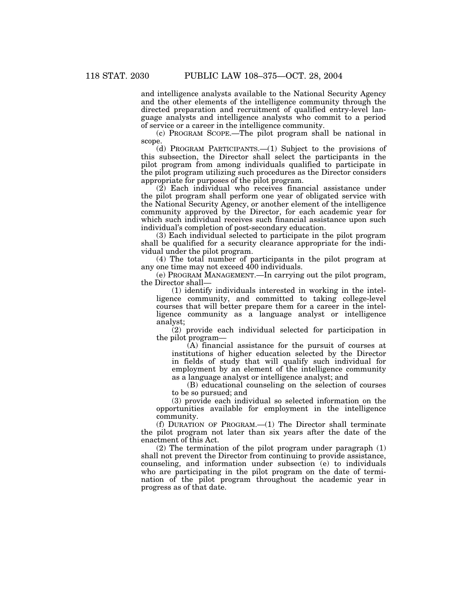and intelligence analysts available to the National Security Agency and the other elements of the intelligence community through the directed preparation and recruitment of qualified entry-level language analysts and intelligence analysts who commit to a period of service or a career in the intelligence community.

(c) PROGRAM SCOPE.—The pilot program shall be national in scope.

(d) PROGRAM PARTICIPANTS.—(1) Subject to the provisions of this subsection, the Director shall select the participants in the pilot program from among individuals qualified to participate in the pilot program utilizing such procedures as the Director considers appropriate for purposes of the pilot program.

(2) Each individual who receives financial assistance under the pilot program shall perform one year of obligated service with the National Security Agency, or another element of the intelligence community approved by the Director, for each academic year for which such individual receives such financial assistance upon such individual's completion of post-secondary education.

(3) Each individual selected to participate in the pilot program shall be qualified for a security clearance appropriate for the individual under the pilot program.

(4) The total number of participants in the pilot program at any one time may not exceed 400 individuals.

(e) PROGRAM MANAGEMENT.—In carrying out the pilot program, the Director shall—

(1) identify individuals interested in working in the intelligence community, and committed to taking college-level courses that will better prepare them for a career in the intelligence community as a language analyst or intelligence analyst;

(2) provide each individual selected for participation in the pilot program—

(A) financial assistance for the pursuit of courses at institutions of higher education selected by the Director in fields of study that will qualify such individual for employment by an element of the intelligence community as a language analyst or intelligence analyst; and

(B) educational counseling on the selection of courses to be so pursued; and

(3) provide each individual so selected information on the opportunities available for employment in the intelligence community.

(f) DURATION OF PROGRAM.—(1) The Director shall terminate the pilot program not later than six years after the date of the enactment of this Act.

(2) The termination of the pilot program under paragraph (1) shall not prevent the Director from continuing to provide assistance, counseling, and information under subsection (e) to individuals who are participating in the pilot program on the date of termination of the pilot program throughout the academic year in progress as of that date.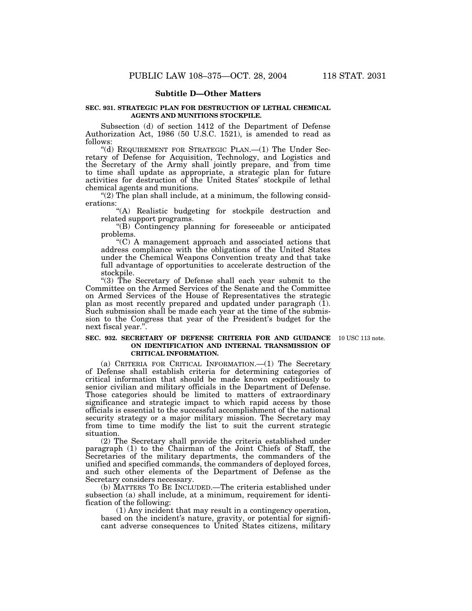# **Subtitle D—Other Matters**

## **SEC. 931. STRATEGIC PLAN FOR DESTRUCTION OF LETHAL CHEMICAL AGENTS AND MUNITIONS STOCKPILE.**

Subsection (d) of section 1412 of the Department of Defense Authorization Act, 1986 (50 U.S.C. 1521), is amended to read as follows:

"(d) REQUIREMENT FOR STRATEGIC PLAN.—(1) The Under Secretary of Defense for Acquisition, Technology, and Logistics and the Secretary of the Army shall jointly prepare, and from time to time shall update as appropriate, a strategic plan for future activities for destruction of the United States' stockpile of lethal chemical agents and munitions.

" $(2)$  The plan shall include, at a minimum, the following considerations:

''(A) Realistic budgeting for stockpile destruction and related support programs.

''(B) Contingency planning for foreseeable or anticipated problems.

''(C) A management approach and associated actions that address compliance with the obligations of the United States under the Chemical Weapons Convention treaty and that take full advantage of opportunities to accelerate destruction of the stockpile.

"(3) The Secretary of Defense shall each year submit to the Committee on the Armed Services of the Senate and the Committee on Armed Services of the House of Representatives the strategic plan as most recently prepared and updated under paragraph  $(1)$ . Such submission shall be made each year at the time of the submission to the Congress that year of the President's budget for the next fiscal year.''.

#### **SEC. 932. SECRETARY OF DEFENSE CRITERIA FOR AND GUIDANCE** 10 USC 113 note. **ON IDENTIFICATION AND INTERNAL TRANSMISSION OF CRITICAL INFORMATION.**

(a) CRITERIA FOR CRITICAL INFORMATION.—(1) The Secretary of Defense shall establish criteria for determining categories of critical information that should be made known expeditiously to senior civilian and military officials in the Department of Defense. Those categories should be limited to matters of extraordinary significance and strategic impact to which rapid access by those officials is essential to the successful accomplishment of the national security strategy or a major military mission. The Secretary may from time to time modify the list to suit the current strategic situation.

(2) The Secretary shall provide the criteria established under paragraph (1) to the Chairman of the Joint Chiefs of Staff, the Secretaries of the military departments, the commanders of the unified and specified commands, the commanders of deployed forces, and such other elements of the Department of Defense as the Secretary considers necessary.

(b) MATTERS TO BE INCLUDED.—The criteria established under subsection (a) shall include, at a minimum, requirement for identification of the following:

(1) Any incident that may result in a contingency operation, based on the incident's nature, gravity, or potential for significant adverse consequences to United States citizens, military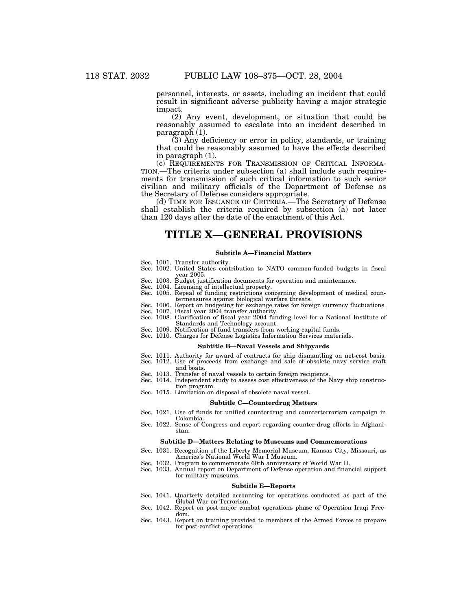personnel, interests, or assets, including an incident that could result in significant adverse publicity having a major strategic impact.

(2) Any event, development, or situation that could be reasonably assumed to escalate into an incident described in paragraph (1).

(3) Any deficiency or error in policy, standards, or training that could be reasonably assumed to have the effects described in paragraph (1).<br>(c) REQUIREMENTS FOR TRANSMISSION OF CRITICAL INFORMA-

TION.—The criteria under subsection (a) shall include such requirements for transmission of such critical information to such senior civilian and military officials of the Department of Defense as the Secretary of Defense considers appropriate.

(d) TIME FOR ISSUANCE OF CRITERIA.—The Secretary of Defense shall establish the criteria required by subsection (a) not later than 120 days after the date of the enactment of this Act.

# **TITLE X—GENERAL PROVISIONS**

#### **Subtitle A—Financial Matters**

- Sec. 1001. Transfer authority.
- Sec. 1002. United States contribution to NATO common-funded budgets in fiscal year 2005.
- Sec. 1003. Budget justification documents for operation and maintenance.
- Sec. 1004. Licensing of intellectual property.
- Sec. 1005. Repeal of funding restrictions concerning development of medical countermeasures against biological warfare threats.
- Sec. 1006. Report on budgeting for exchange rates for foreign currency fluctuations.
- Sec. 1007. Fiscal year 2004 transfer authority.
- Sec. 1008. Clarification of fiscal year 2004 funding level for a National Institute of Standards and Technology account.
- Sec. 1009. Notification of fund transfers from working-capital funds.
- Sec. 1010. Charges for Defense Logistics Information Services materials.

## **Subtitle B—Naval Vessels and Shipyards**

- Sec. 1011. Authority for award of contracts for ship dismantling on net-cost basis.
- Sec. 1012. Use of proceeds from exchange and sale of obsolete navy service craft
- and boats.
- Sec. 1013. Transfer of naval vessels to certain foreign recipients.
- Sec. 1014. Independent study to assess cost effectiveness of the Navy ship construction program.
- Sec. 1015. Limitation on disposal of obsolete naval vessel.

#### **Subtitle C—Counterdrug Matters**

- Sec. 1021. Use of funds for unified counterdrug and counterterrorism campaign in **Colombia**
- Sec. 1022. Sense of Congress and report regarding counter-drug efforts in Afghanistan.

#### **Subtitle D—Matters Relating to Museums and Commemorations**

- Sec. 1031. Recognition of the Liberty Memorial Museum, Kansas City, Missouri, as America's National World War I Museum.
- Sec. 1032. Program to commemorate 60th anniversary of World War II.
- Sec. 1033. Annual report on Department of Defense operation and financial support for military museums.

#### **Subtitle E—Reports**

- Sec. 1041. Quarterly detailed accounting for operations conducted as part of the Global War on Terrorism.
- Sec. 1042. Report on post-major combat operations phase of Operation Iraqi Freedom.
- Sec. 1043. Report on training provided to members of the Armed Forces to prepare for post-conflict operations.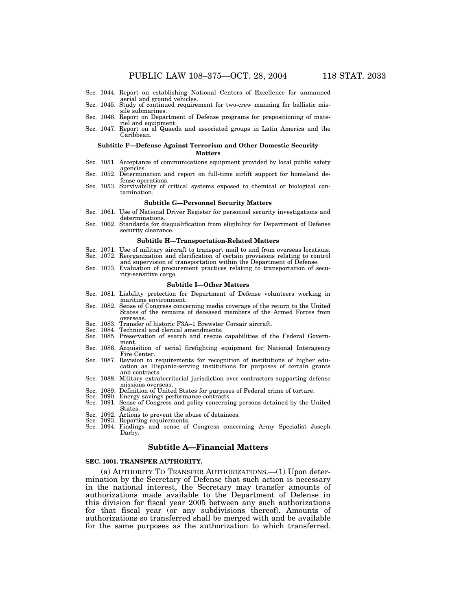- Sec. 1044. Report on establishing National Centers of Excellence for unmanned aerial and ground vehicles. Sec. 1045. Study of continued requirement for two-crew manning for ballistic mis-
- sile submarines.
- Sec. 1046. Report on Department of Defense programs for prepositioning of mate-
- riel and equipment. Sec. 1047. Report on al Quaeda and associated groups in Latin America and the Caribbean.

#### **Subtitle F—Defense Against Terrorism and Other Domestic Security**

#### **Matters**

- Sec. 1051. Acceptance of communications equipment provided by local public safety agencies. Sec. 1052. Determination and report on full-time airlift support for homeland de-
- fense operations.
- Sec. 1053. Survivability of critical systems exposed to chemical or biological contamination.

#### **Subtitle G—Personnel Security Matters**

- Sec. 1061. Use of National Driver Register for personnel security investigations and determinations.
- Sec. 1062. Standards for disqualification from eligibility for Department of Defense security clearance.

# **Subtitle H—Transportation-Related Matters**

- Sec. 1071. Use of military aircraft to transport mail to and from overseas locations. Sec. 1072. Reorganization and clarification of certain provisions relating to control
- and supervision of transportation within the Department of Defense. Sec. 1073. Evaluation of procurement practices relating to transportation of security-sensitive cargo.

# **Subtitle I—Other Matters**

- Sec. 1081. Liability protection for Department of Defense volunteers working in maritime environment.
- Sec. 1082. Sense of Congress concerning media coverage of the return to the United States of the remains of deceased members of the Armed Forces from overseas.<br>Sec. 1083. Transfer of historic F3A–1 Brewster Corsair aircraft.<br>Sec. 1084. Technical and clerical amendments.
- 
- Technical and clerical amendments.
- Sec. 1085. Preservation of search and rescue capabilities of the Federal Government.
- Sec. 1086. Acquisition of aerial firefighting equipment for National Interagency Fire Center.
- Sec. 1087. Revision to requirements for recognition of institutions of higher education as Hispanic-serving institutions for purposes of certain grants and contracts.
- Sec. 1088. Military extraterritorial jurisdiction over contractors supporting defense missions overseas.
- Sec. 1089. Definition of United States for purposes of Federal crime of torture.
- Sec. 1090. Energy savings performance contracts.<br>Sec. 1091. Sense of Congress and policy concerning
- Sense of Congress and policy concerning persons detained by the United States.
- Sec. 1092. Actions to prevent the abuse of detainees.
- 
- Sec. 1093. Reporting requirements. Sec. 1094. Findings and sense of Congress concerning Army Specialist Joseph Darby.

# **Subtitle A—Financial Matters**

## **SEC. 1001. TRANSFER AUTHORITY.**

(a) AUTHORITY TO TRANSFER AUTHORIZATIONS.—(1) Upon determination by the Secretary of Defense that such action is necessary in the national interest, the Secretary may transfer amounts of authorizations made available to the Department of Defense in this division for fiscal year 2005 between any such authorizations for that fiscal year (or any subdivisions thereof). Amounts of authorizations so transferred shall be merged with and be available for the same purposes as the authorization to which transferred.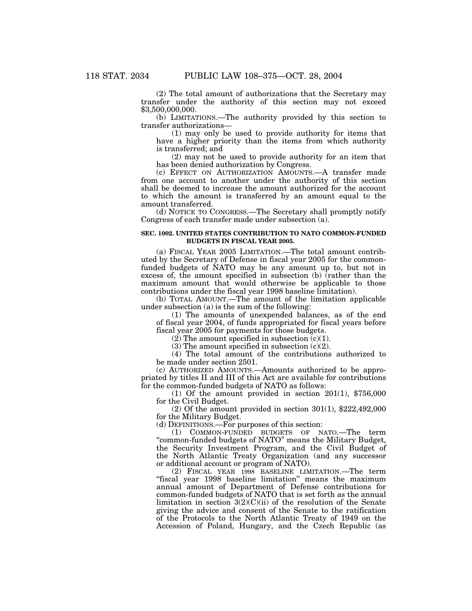(2) The total amount of authorizations that the Secretary may transfer under the authority of this section may not exceed \$3,500,000,000.

(b) LIMITATIONS.—The authority provided by this section to transfer authorizations—

(1) may only be used to provide authority for items that have a higher priority than the items from which authority is transferred; and

(2) may not be used to provide authority for an item that has been denied authorization by Congress.

(c) EFFECT ON AUTHORIZATION AMOUNTS.—A transfer made from one account to another under the authority of this section shall be deemed to increase the amount authorized for the account to which the amount is transferred by an amount equal to the amount transferred.

(d) NOTICE TO CONGRESS.—The Secretary shall promptly notify Congress of each transfer made under subsection (a).

# **SEC. 1002. UNITED STATES CONTRIBUTION TO NATO COMMON-FUNDED BUDGETS IN FISCAL YEAR 2005.**

(a) FISCAL YEAR 2005 LIMITATION.—The total amount contributed by the Secretary of Defense in fiscal year 2005 for the commonfunded budgets of NATO may be any amount up to, but not in excess of, the amount specified in subsection (b) (rather than the maximum amount that would otherwise be applicable to those contributions under the fiscal year 1998 baseline limitation).

(b) TOTAL AMOUNT.—The amount of the limitation applicable under subsection (a) is the sum of the following:

(1) The amounts of unexpended balances, as of the end of fiscal year 2004, of funds appropriated for fiscal years before fiscal year 2005 for payments for those budgets.

 $(2)$  The amount specified in subsection  $(c)(1)$ .

(3) The amount specified in subsection  $(c)(2)$ .

(4) The total amount of the contributions authorized to be made under section 2501.

(c) AUTHORIZED AMOUNTS.—Amounts authorized to be appropriated by titles II and III of this Act are available for contributions for the common-funded budgets of NATO as follows:

(1) Of the amount provided in section  $201(1)$ , \$756,000 for the Civil Budget.

(2) Of the amount provided in section 301(1), \$222,492,000 for the Military Budget.

(d) DEFINITIONS.—For purposes of this section:

(1) COMMON-FUNDED BUDGETS OF NATO.—The term ''common-funded budgets of NATO'' means the Military Budget, the Security Investment Program, and the Civil Budget of the North Atlantic Treaty Organization (and any successor or additional account or program of NATO).

(2) FISCAL YEAR 1998 BASELINE LIMITATION.—The term ''fiscal year 1998 baseline limitation'' means the maximum annual amount of Department of Defense contributions for common-funded budgets of NATO that is set forth as the annual limitation in section  $3(2)(C)(ii)$  of the resolution of the Senate giving the advice and consent of the Senate to the ratification of the Protocols to the North Atlantic Treaty of 1949 on the Accession of Poland, Hungary, and the Czech Republic (as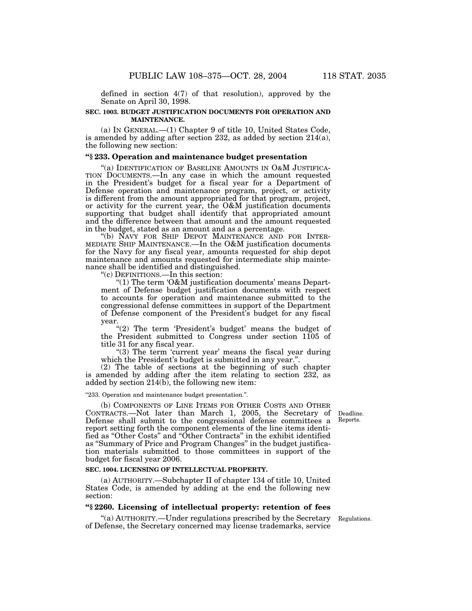defined in section 4(7) of that resolution), approved by the Senate on April 30, 1998.

# **SEC. 1003. BUDGET JUSTIFICATION DOCUMENTS FOR OPERATION AND MAINTENANCE.**

(a) IN GENERAL.—(1) Chapter 9 of title 10, United States Code, is amended by adding after section 232, as added by section 214(a), the following new section:

# **''§ 233. Operation and maintenance budget presentation**

"(a) IDENTIFICATION OF BASELINE AMOUNTS IN O&M JUSTIFICA-TION DOCUMENTS.—In any case in which the amount requested in the President's budget for a fiscal year for a Department of Defense operation and maintenance program, project, or activity is different from the amount appropriated for that program, project, or activity for the current year, the O&M justification documents supporting that budget shall identify that appropriated amount and the difference between that amount and the amount requested in the budget, stated as an amount and as a percentage.

''(b) NAVY FOR SHIP DEPOT MAINTENANCE AND FOR INTER- MEDIATE SHIP MAINTENANCE.—In the O&M justification documents for the Navy for any fiscal year, amounts requested for ship depot maintenance and amounts requested for intermediate ship maintenance shall be identified and distinguished.

''(c) DEFINITIONS.—In this section:

"(1) The term 'O&M justification documents' means Department of Defense budget justification documents with respect to accounts for operation and maintenance submitted to the congressional defense committees in support of the Department of Defense component of the President's budget for any fiscal year.

"(2) The term 'President's budget' means the budget of the President submitted to Congress under section 1105 of title 31 for any fiscal year.

" $(3)$  The term 'current year' means the fiscal year during which the President's budget is submitted in any year.".

(2) The table of sections at the beginning of such chapter is amended by adding after the item relating to section 232, as added by section 214(b), the following new item:

#### ''233. Operation and maintenance budget presentation.''.

(b) COMPONENTS OF LINE ITEMS FOR OTHER COSTS AND OTHER CONTRACTS.—Not later than March 1, 2005, the Secretary of Defense shall submit to the congressional defense committees a report setting forth the component elements of the line items identified as ''Other Costs'' and ''Other Contracts'' in the exhibit identified as ''Summary of Price and Program Changes'' in the budget justification materials submitted to those committees in support of the budget for fiscal year 2006.

# **SEC. 1004. LICENSING OF INTELLECTUAL PROPERTY.**

(a) AUTHORITY.—Subchapter II of chapter 134 of title 10, United States Code, is amended by adding at the end the following new section:

# **''§ 2260. Licensing of intellectual property: retention of fees**

''(a) AUTHORITY.—Under regulations prescribed by the Secretary Regulations. of Defense, the Secretary concerned may license trademarks, service

Deadline. Reports.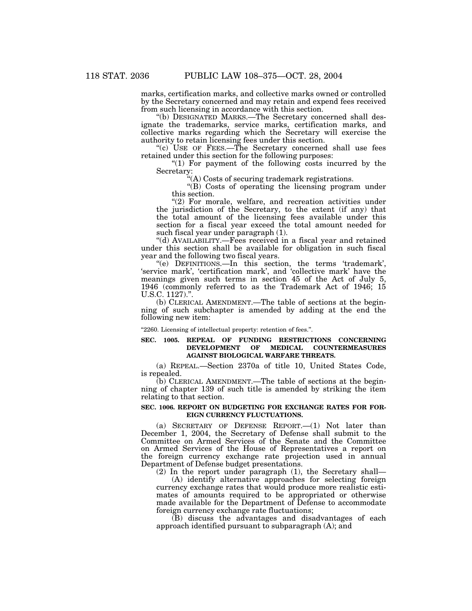marks, certification marks, and collective marks owned or controlled by the Secretary concerned and may retain and expend fees received from such licensing in accordance with this section.

''(b) DESIGNATED MARKS.—The Secretary concerned shall designate the trademarks, service marks, certification marks, and collective marks regarding which the Secretary will exercise the authority to retain licensing fees under this section.

"(c) USE OF FEES.—The Secretary concerned shall use fees retained under this section for the following purposes:

"(1) For payment of the following costs incurred by the Secretary:

''(A) Costs of securing trademark registrations.

"(B) Costs of operating the licensing program under this section.

 $''(2)$  For morale, welfare, and recreation activities under the jurisdiction of the Secretary, to the extent (if any) that the total amount of the licensing fees available under this section for a fiscal year exceed the total amount needed for such fiscal year under paragraph (1).

''(d) AVAILABILITY.—Fees received in a fiscal year and retained under this section shall be available for obligation in such fiscal year and the following two fiscal years.

''(e) DEFINITIONS.—In this section, the terms 'trademark', 'service mark', 'certification mark', and 'collective mark' have the meanings given such terms in section 45 of the Act of July 5, 1946 (commonly referred to as the Trademark Act of 1946; 15 U.S.C. 1127).''.

(b) CLERICAL AMENDMENT.—The table of sections at the beginning of such subchapter is amended by adding at the end the following new item:

"2260. Licensing of intellectual property: retention of fees.".

# **SEC. 1005. REPEAL OF FUNDING RESTRICTIONS CONCERNING DEVELOPMENT OF MEDICAL COUNTERMEASURES AGAINST BIOLOGICAL WARFARE THREATS.**

(a) REPEAL.—Section 2370a of title 10, United States Code, is repealed.

(b) CLERICAL AMENDMENT.—The table of sections at the beginning of chapter 139 of such title is amended by striking the item relating to that section.

### **SEC. 1006. REPORT ON BUDGETING FOR EXCHANGE RATES FOR FOR-EIGN CURRENCY FLUCTUATIONS.**

(a) SECRETARY OF DEFENSE REPORT.—(1) Not later than December 1, 2004, the Secretary of Defense shall submit to the Committee on Armed Services of the Senate and the Committee on Armed Services of the House of Representatives a report on the foreign currency exchange rate projection used in annual Department of Defense budget presentations.

(2) In the report under paragraph (1), the Secretary shall— (A) identify alternative approaches for selecting foreign

currency exchange rates that would produce more realistic estimates of amounts required to be appropriated or otherwise made available for the Department of Defense to accommodate foreign currency exchange rate fluctuations;

(B) discuss the advantages and disadvantages of each approach identified pursuant to subparagraph (A); and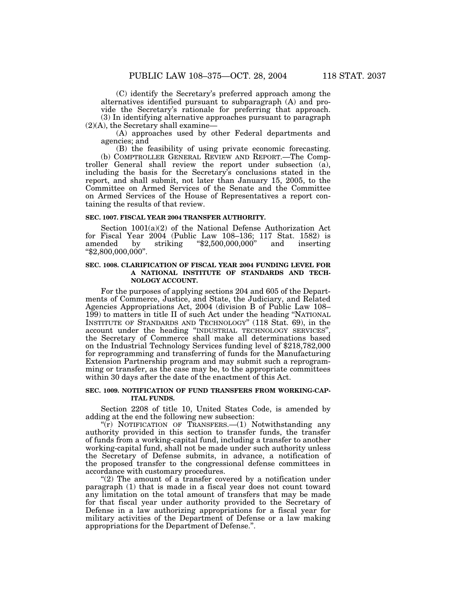(C) identify the Secretary's preferred approach among the alternatives identified pursuant to subparagraph (A) and provide the Secretary's rationale for preferring that approach. (3) In identifying alternative approaches pursuant to paragraph

 $(2)(A)$ , the Secretary shall examine—

(A) approaches used by other Federal departments and agencies; and

(B) the feasibility of using private economic forecasting. (b) COMPTROLLER GENERAL REVIEW AND REPORT.—The Comptroller General shall review the report under subsection (a), including the basis for the Secretary's conclusions stated in the report, and shall submit, not later than January 15, 2005, to the Committee on Armed Services of the Senate and the Committee on Armed Services of the House of Representatives a report containing the results of that review.

#### **SEC. 1007. FISCAL YEAR 2004 TRANSFER AUTHORITY.**

Section 1001(a)(2) of the National Defense Authorization Act for Fiscal Year 2004 (Public Law 108–136; 117 Stat. 1582) is amended by striking ''\$2,500,000,000'' and inserting  $" $2,800,000,000"$ .

# **SEC. 1008. CLARIFICATION OF FISCAL YEAR 2004 FUNDING LEVEL FOR A NATIONAL INSTITUTE OF STANDARDS AND TECH-NOLOGY ACCOUNT.**

For the purposes of applying sections 204 and 605 of the Departments of Commerce, Justice, and State, the Judiciary, and Related Agencies Appropriations Act, 2004 (division B of Public Law 108– 199) to matters in title II of such Act under the heading ''NATIONAL INSTITUTE OF STANDARDS AND TECHNOLOGY'' (118 Stat. 69), in the account under the heading ''INDUSTRIAL TECHNOLOGY SERVICES'', the Secretary of Commerce shall make all determinations based on the Industrial Technology Services funding level of \$218,782,000 for reprogramming and transferring of funds for the Manufacturing Extension Partnership program and may submit such a reprogramming or transfer, as the case may be, to the appropriate committees within 30 days after the date of the enactment of this Act.

# **SEC. 1009. NOTIFICATION OF FUND TRANSFERS FROM WORKING-CAP-ITAL FUNDS.**

Section 2208 of title 10, United States Code, is amended by adding at the end the following new subsection:

"(r) NOTIFICATION OF TRANSFERS. - (1) Notwithstanding any authority provided in this section to transfer funds, the transfer of funds from a working-capital fund, including a transfer to another working-capital fund, shall not be made under such authority unless the Secretary of Defense submits, in advance, a notification of the proposed transfer to the congressional defense committees in accordance with customary procedures.

" $(2)$  The amount of a transfer covered by a notification under paragraph (1) that is made in a fiscal year does not count toward any limitation on the total amount of transfers that may be made for that fiscal year under authority provided to the Secretary of Defense in a law authorizing appropriations for a fiscal year for military activities of the Department of Defense or a law making appropriations for the Department of Defense.''.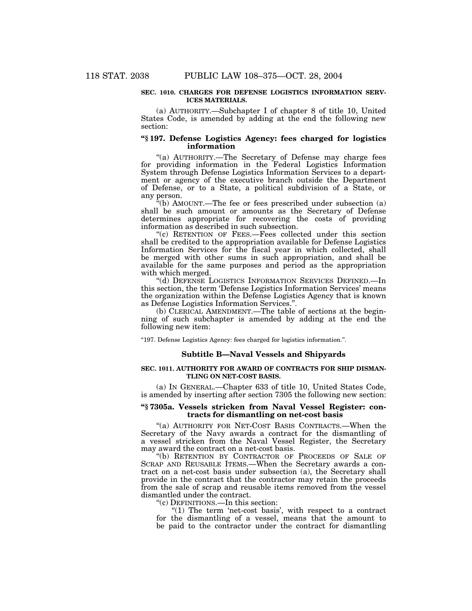## **SEC. 1010. CHARGES FOR DEFENSE LOGISTICS INFORMATION SERV-ICES MATERIALS.**

(a) AUTHORITY.—Subchapter I of chapter 8 of title 10, United States Code, is amended by adding at the end the following new section:

# **''§ 197. Defense Logistics Agency: fees charged for logistics information**

"(a) AUTHORITY.—The Secretary of Defense may charge fees for providing information in the Federal Logistics Information System through Defense Logistics Information Services to a department or agency of the executive branch outside the Department of Defense, or to a State, a political subdivision of a State, or any person.

''(b) AMOUNT.—The fee or fees prescribed under subsection (a) shall be such amount or amounts as the Secretary of Defense determines appropriate for recovering the costs of providing information as described in such subsection.

''(c) RETENTION OF FEES.—Fees collected under this section shall be credited to the appropriation available for Defense Logistics Information Services for the fiscal year in which collected, shall be merged with other sums in such appropriation, and shall be available for the same purposes and period as the appropriation with which merged.

''(d) DEFENSE LOGISTICS INFORMATION SERVICES DEFINED.—In this section, the term 'Defense Logistics Information Services' means the organization within the Defense Logistics Agency that is known as Defense Logistics Information Services.''.

(b) CLERICAL AMENDMENT.—The table of sections at the beginning of such subchapter is amended by adding at the end the following new item:

''197. Defense Logistics Agency: fees charged for logistics information.''.

#### **Subtitle B—Naval Vessels and Shipyards**

# **SEC. 1011. AUTHORITY FOR AWARD OF CONTRACTS FOR SHIP DISMAN-TLING ON NET-COST BASIS.**

(a) IN GENERAL.—Chapter 633 of title 10, United States Code, is amended by inserting after section 7305 the following new section:

# **''§ 7305a. Vessels stricken from Naval Vessel Register: contracts for dismantling on net-cost basis**

''(a) AUTHORITY FOR NET-COST BASIS CONTRACTS.—When the Secretary of the Navy awards a contract for the dismantling of a vessel stricken from the Naval Vessel Register, the Secretary may award the contract on a net-cost basis.

''(b) RETENTION BY CONTRACTOR OF PROCEEDS OF SALE OF SCRAP AND REUSABLE ITEMS.—When the Secretary awards a contract on a net-cost basis under subsection (a), the Secretary shall provide in the contract that the contractor may retain the proceeds from the sale of scrap and reusable items removed from the vessel dismantled under the contract.

''(c) DEFINITIONS.—In this section:

" $(1)$  The term 'net-cost basis', with respect to a contract for the dismantling of a vessel, means that the amount to be paid to the contractor under the contract for dismantling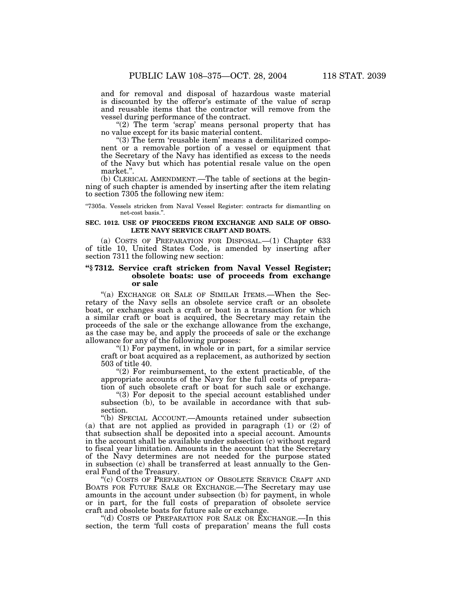and for removal and disposal of hazardous waste material is discounted by the offeror's estimate of the value of scrap and reusable items that the contractor will remove from the vessel during performance of the contract.

"(2) The term 'scrap' means personal property that has no value except for its basic material content.

"(3) The term 'reusable item' means a demilitarized component or a removable portion of a vessel or equipment that the Secretary of the Navy has identified as excess to the needs of the Navy but which has potential resale value on the open market.''.

(b) CLERICAL AMENDMENT.—The table of sections at the beginning of such chapter is amended by inserting after the item relating to section 7305 the following new item:

''7305a. Vessels stricken from Naval Vessel Register: contracts for dismantling on net-cost basis.''.

### **SEC. 1012. USE OF PROCEEDS FROM EXCHANGE AND SALE OF OBSO-LETE NAVY SERVICE CRAFT AND BOATS.**

(a) COSTS OF PREPARATION FOR DISPOSAL.—(1) Chapter 633 of title 10, United States Code, is amended by inserting after section 7311 the following new section:

# **''§ 7312. Service craft stricken from Naval Vessel Register; obsolete boats: use of proceeds from exchange or sale**

''(a) EXCHANGE OR SALE OF SIMILAR ITEMS.—When the Secretary of the Navy sells an obsolete service craft or an obsolete boat, or exchanges such a craft or boat in a transaction for which a similar craft or boat is acquired, the Secretary may retain the proceeds of the sale or the exchange allowance from the exchange, as the case may be, and apply the proceeds of sale or the exchange allowance for any of the following purposes:

"(1) For payment, in whole or in part, for a similar service craft or boat acquired as a replacement, as authorized by section 503 of title 40.

"(2) For reimbursement, to the extent practicable, of the appropriate accounts of the Navy for the full costs of preparation of such obsolete craft or boat for such sale or exchange.

''(3) For deposit to the special account established under subsection (b), to be available in accordance with that subsection.

''(b) SPECIAL ACCOUNT.—Amounts retained under subsection (a) that are not applied as provided in paragraph (1) or (2) of that subsection shall be deposited into a special account. Amounts in the account shall be available under subsection (c) without regard to fiscal year limitation. Amounts in the account that the Secretary of the Navy determines are not needed for the purpose stated in subsection (c) shall be transferred at least annually to the General Fund of the Treasury.

''(c) COSTS OF PREPARATION OF OBSOLETE SERVICE CRAFT AND BOATS FOR FUTURE SALE OR EXCHANGE.—The Secretary may use amounts in the account under subsection (b) for payment, in whole or in part, for the full costs of preparation of obsolete service craft and obsolete boats for future sale or exchange.

''(d) COSTS OF PREPARATION FOR SALE OR EXCHANGE.—In this section, the term 'full costs of preparation' means the full costs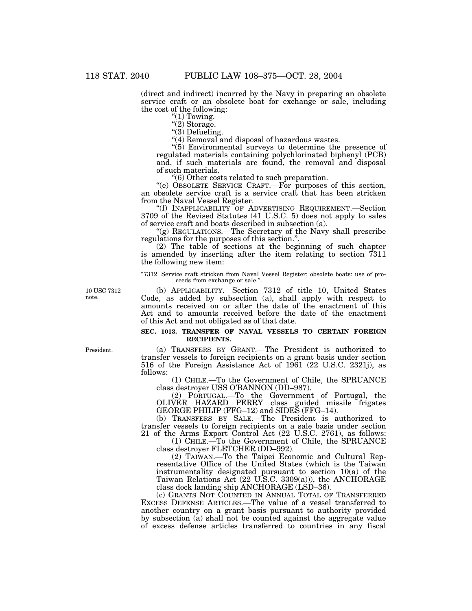(direct and indirect) incurred by the Navy in preparing an obsolete service craft or an obsolete boat for exchange or sale, including the cost of the following:

" $(1)$  Towing.

" $(2)$  Storage.

"(3) Defueling.

"(4) Removal and disposal of hazardous wastes.

''(5) Environmental surveys to determine the presence of regulated materials containing polychlorinated biphenyl (PCB) and, if such materials are found, the removal and disposal of such materials.

''(6) Other costs related to such preparation.

''(e) OBSOLETE SERVICE CRAFT.—For purposes of this section, an obsolete service craft is a service craft that has been stricken from the Naval Vessel Register.

''(f) INAPPLICABILITY OF ADVERTISING REQUIREMENT.—Section 3709 of the Revised Statutes (41 U.S.C. 5) does not apply to sales of service craft and boats described in subsection (a).

''(g) REGULATIONS.—The Secretary of the Navy shall prescribe regulations for the purposes of this section.''.

(2) The table of sections at the beginning of such chapter is amended by inserting after the item relating to section 7311 the following new item:

''7312. Service craft stricken from Naval Vessel Register; obsolete boats: use of proceeds from exchange or sale."

10 USC 7312 note.

(b) APPLICABILITY.—Section 7312 of title 10, United States Code, as added by subsection (a), shall apply with respect to amounts received on or after the date of the enactment of this Act and to amounts received before the date of the enactment of this Act and not obligated as of that date.

## **SEC. 1013. TRANSFER OF NAVAL VESSELS TO CERTAIN FOREIGN RECIPIENTS.**

(a) TRANSFERS BY GRANT.—The President is authorized to transfer vessels to foreign recipients on a grant basis under section 516 of the Foreign Assistance Act of 1961 (22 U.S.C. 2321j), as follows:

(1) CHILE.—To the Government of Chile, the SPRUANCE class destroyer USS O'BANNON (DD–987).

(2) PORTUGAL.—To the Government of Portugal, the OLIVER HAZARD PERRY class guided missile frigates GEORGE PHILIP (FFG–12) and SIDES (FFG–14).

(b) TRANSFERS BY SALE.—The President is authorized to transfer vessels to foreign recipients on a sale basis under section 21 of the Arms Export Control Act (22 U.S.C. 2761), as follows:

(1) CHILE.—To the Government of Chile, the SPRUANCE class destroyer FLETCHER (DD–992).

(2) TAIWAN.—To the Taipei Economic and Cultural Representative Office of the United States (which is the Taiwan instrumentality designated pursuant to section 10(a) of the Taiwan Relations Act (22 U.S.C. 3309(a))), the ANCHORAGE class dock landing ship ANCHORAGE (LSD–36).

(c) GRANTS NOT COUNTED IN ANNUAL TOTAL OF TRANSFERRED EXCESS DEFENSE ARTICLES.—The value of a vessel transferred to another country on a grant basis pursuant to authority provided by subsection (a) shall not be counted against the aggregate value of excess defense articles transferred to countries in any fiscal

President.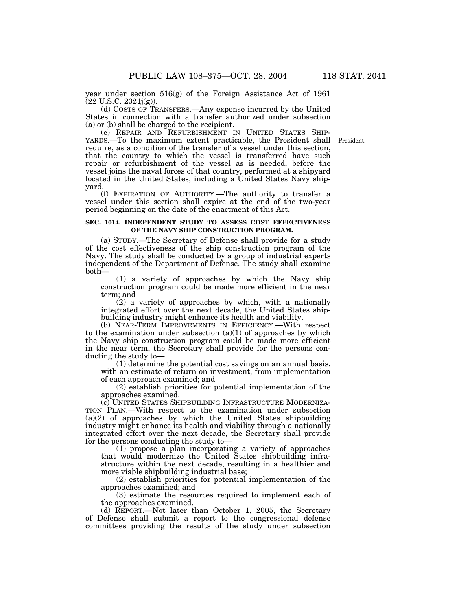year under section 516(g) of the Foreign Assistance Act of 1961 (22 U.S.C. 2321j(g)).

(d) COSTS OF TRANSFERS.—Any expense incurred by the United States in connection with a transfer authorized under subsection (a) or (b) shall be charged to the recipient.<br>(e) REPAIR AND REFURBISHMENT IN UNITED STATES SHIP-

(e) REPAIR AND REFURBISHMENT IN UNITED STATES SHIP- YARDS.—To the maximum extent practicable, the President shall President. require, as a condition of the transfer of a vessel under this section, that the country to which the vessel is transferred have such repair or refurbishment of the vessel as is needed, before the vessel joins the naval forces of that country, performed at a shipyard located in the United States, including a United States Navy shipyard.

(f) EXPIRATION OF AUTHORITY.—The authority to transfer a vessel under this section shall expire at the end of the two-year period beginning on the date of the enactment of this Act.

# **SEC. 1014. INDEPENDENT STUDY TO ASSESS COST EFFECTIVENESS OF THE NAVY SHIP CONSTRUCTION PROGRAM.**

(a) STUDY.—The Secretary of Defense shall provide for a study of the cost effectiveness of the ship construction program of the Navy. The study shall be conducted by a group of industrial experts independent of the Department of Defense. The study shall examine both—

(1) a variety of approaches by which the Navy ship construction program could be made more efficient in the near term; and

(2) a variety of approaches by which, with a nationally integrated effort over the next decade, the United States shipbuilding industry might enhance its health and viability.

(b) NEAR-TERM IMPROVEMENTS IN EFFICIENCY.—With respect to the examination under subsection  $(a)(1)$  of approaches by which the Navy ship construction program could be made more efficient in the near term, the Secretary shall provide for the persons conducting the study to—

(1) determine the potential cost savings on an annual basis, with an estimate of return on investment, from implementation of each approach examined; and

(2) establish priorities for potential implementation of the approaches examined.

(c) UNITED STATES SHIPBUILDING INFRASTRUCTURE MODERNIZA-TION PLAN.—With respect to the examination under subsection  $(a)(2)$  of approaches by which the United States shipbuilding industry might enhance its health and viability through a nationally integrated effort over the next decade, the Secretary shall provide for the persons conducting the study to—

(1) propose a plan incorporating a variety of approaches that would modernize the United States shipbuilding infrastructure within the next decade, resulting in a healthier and more viable shipbuilding industrial base;

(2) establish priorities for potential implementation of the approaches examined; and

(3) estimate the resources required to implement each of the approaches examined.

(d) REPORT.—Not later than October 1, 2005, the Secretary of Defense shall submit a report to the congressional defense committees providing the results of the study under subsection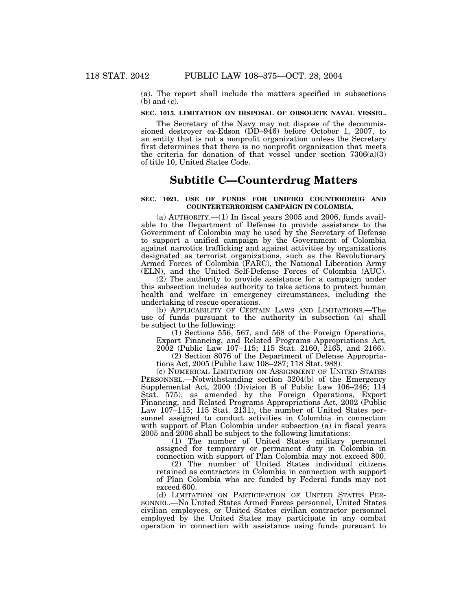(a). The report shall include the matters specified in subsections (b) and (c).

# **SEC. 1015. LIMITATION ON DISPOSAL OF OBSOLETE NAVAL VESSEL.**

The Secretary of the Navy may not dispose of the decommissioned destroyer ex-Edson (DD-946) before October 1, 2007, to an entity that is not a nonprofit organization unless the Secretary first determines that there is no nonprofit organization that meets the criteria for donation of that vessel under section  $7306(a)(3)$ of title 10, United States Code.

# **Subtitle C—Counterdrug Matters**

# **SEC. 1021. USE OF FUNDS FOR UNIFIED COUNTERDRUG AND COUNTERTERRORISM CAMPAIGN IN COLOMBIA.**

 $(a)$  AUTHORITY.— $(1)$  In fiscal years 2005 and 2006, funds available to the Department of Defense to provide assistance to the Government of Colombia may be used by the Secretary of Defense to support a unified campaign by the Government of Colombia against narcotics trafficking and against activities by organizations designated as terrorist organizations, such as the Revolutionary Armed Forces of Colombia (FARC), the National Liberation Army (ELN), and the United Self-Defense Forces of Colombia (AUC).

(2) The authority to provide assistance for a campaign under this subsection includes authority to take actions to protect human health and welfare in emergency circumstances, including the undertaking of rescue operations.

(b) APPLICABILITY OF CERTAIN LAWS AND LIMITATIONS.—The use of funds pursuant to the authority in subsection (a) shall be subject to the following:

(1) Sections 556, 567, and 568 of the Foreign Operations, Export Financing, and Related Programs Appropriations Act,

2002 (Public Law 107–115; 115 Stat. 2160, 2165, and 2166). (2) Section 8076 of the Department of Defense Appropria-

tions Act, 2005 (Public Law 108–287; 118 Stat. 988).

(c) NUMERICAL LIMITATION ON ASSIGNMENT OF UNITED STATES PERSONNEL.—Notwithstanding section 3204(b) of the Emergency Supplemental Act, 2000 (Division B of Public Law 106–246; 114 Stat. 575), as amended by the Foreign Operations, Export Financing, and Related Programs Appropriations Act, 2002 (Public Law 107–115; 115 Stat. 2131), the number of United States personnel assigned to conduct activities in Colombia in connection with support of Plan Colombia under subsection (a) in fiscal years 2005 and 2006 shall be subject to the following limitations:

(1) The number of United States military personnel assigned for temporary or permanent duty in Colombia in connection with support of Plan Colombia may not exceed 800.

(2) The number of United States individual citizens retained as contractors in Colombia in connection with support of Plan Colombia who are funded by Federal funds may not exceed 600.<br>(d) LIMITATION ON PARTICIPATION OF UNITED STATES PER-

SONNEL.—No United States Armed Forces personnel, United States civilian employees, or United States civilian contractor personnel employed by the United States may participate in any combat operation in connection with assistance using funds pursuant to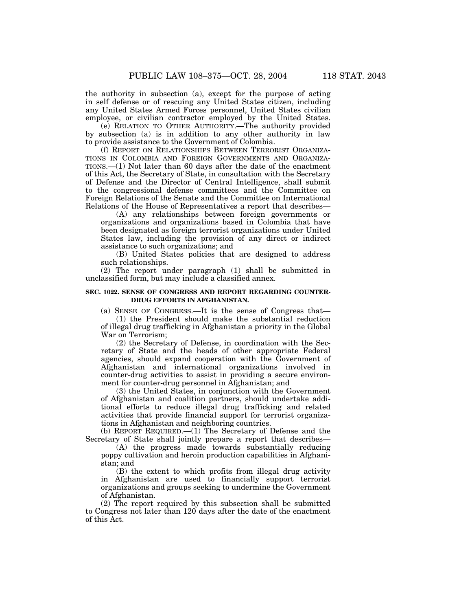the authority in subsection (a), except for the purpose of acting in self defense or of rescuing any United States citizen, including any United States Armed Forces personnel, United States civilian employee, or civilian contractor employed by the United States.

(e) RELATION TO OTHER AUTHORITY.—The authority provided by subsection (a) is in addition to any other authority in law to provide assistance to the Government of Colombia.

(f) REPORT ON RELATIONSHIPS BETWEEN TERRORIST ORGANIZA-TIONS IN COLOMBIA AND FOREIGN GOVERNMENTS AND ORGANIZA-TIONS.—(1) Not later than 60 days after the date of the enactment of this Act, the Secretary of State, in consultation with the Secretary of Defense and the Director of Central Intelligence, shall submit to the congressional defense committees and the Committee on Foreign Relations of the Senate and the Committee on International Relations of the House of Representatives a report that describes—

(A) any relationships between foreign governments or organizations and organizations based in Colombia that have been designated as foreign terrorist organizations under United States law, including the provision of any direct or indirect assistance to such organizations; and

(B) United States policies that are designed to address such relationships.

(2) The report under paragraph (1) shall be submitted in unclassified form, but may include a classified annex.

# **SEC. 1022. SENSE OF CONGRESS AND REPORT REGARDING COUNTER-DRUG EFFORTS IN AFGHANISTAN.**

(a) SENSE OF CONGRESS.—It is the sense of Congress that— (1) the President should make the substantial reduction

of illegal drug trafficking in Afghanistan a priority in the Global War on Terrorism;

(2) the Secretary of Defense, in coordination with the Secretary of State and the heads of other appropriate Federal agencies, should expand cooperation with the Government of Afghanistan and international organizations involved in counter-drug activities to assist in providing a secure environment for counter-drug personnel in Afghanistan; and

(3) the United States, in conjunction with the Government of Afghanistan and coalition partners, should undertake additional efforts to reduce illegal drug trafficking and related activities that provide financial support for terrorist organizations in Afghanistan and neighboring countries.

(b) REPORT REQUIRED.—(1) The Secretary of Defense and the Secretary of State shall jointly prepare a report that describes—

(A) the progress made towards substantially reducing poppy cultivation and heroin production capabilities in Afghanistan; and

(B) the extent to which profits from illegal drug activity in Afghanistan are used to financially support terrorist organizations and groups seeking to undermine the Government of Afghanistan.

(2) The report required by this subsection shall be submitted to Congress not later than 120 days after the date of the enactment of this Act.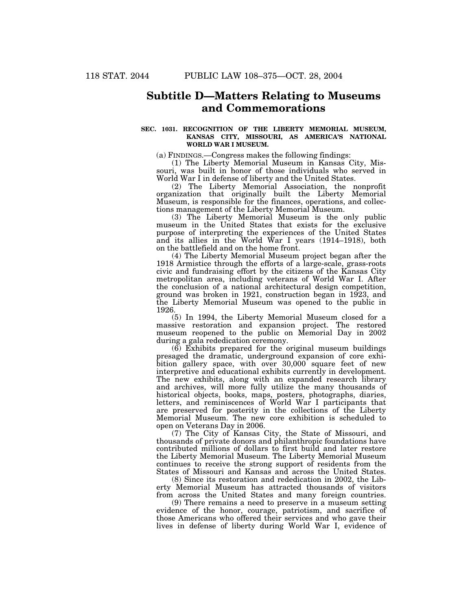# **Subtitle D—Matters Relating to Museums and Commemorations**

# **SEC. 1031. RECOGNITION OF THE LIBERTY MEMORIAL MUSEUM, KANSAS CITY, MISSOURI, AS AMERICA'S NATIONAL WORLD WAR I MUSEUM.**

(a) FINDINGS.—Congress makes the following findings:

(1) The Liberty Memorial Museum in Kansas City, Missouri, was built in honor of those individuals who served in World War I in defense of liberty and the United States.

(2) The Liberty Memorial Association, the nonprofit organization that originally built the Liberty Memorial Museum, is responsible for the finances, operations, and collections management of the Liberty Memorial Museum.

(3) The Liberty Memorial Museum is the only public museum in the United States that exists for the exclusive purpose of interpreting the experiences of the United States and its allies in the World War I years (1914–1918), both on the battlefield and on the home front.

(4) The Liberty Memorial Museum project began after the 1918 Armistice through the efforts of a large-scale, grass-roots civic and fundraising effort by the citizens of the Kansas City metropolitan area, including veterans of World War I. After the conclusion of a national architectural design competition, ground was broken in 1921, construction began in 1923, and the Liberty Memorial Museum was opened to the public in 1926.

(5) In 1994, the Liberty Memorial Museum closed for a massive restoration and expansion project. The restored museum reopened to the public on Memorial Day in 2002 during a gala rededication ceremony.

(6) Exhibits prepared for the original museum buildings presaged the dramatic, underground expansion of core exhibition gallery space, with over 30,000 square feet of new interpretive and educational exhibits currently in development. The new exhibits, along with an expanded research library and archives, will more fully utilize the many thousands of historical objects, books, maps, posters, photographs, diaries, letters, and reminiscences of World War I participants that are preserved for posterity in the collections of the Liberty Memorial Museum. The new core exhibition is scheduled to open on Veterans Day in 2006.

(7) The City of Kansas City, the State of Missouri, and thousands of private donors and philanthropic foundations have contributed millions of dollars to first build and later restore the Liberty Memorial Museum. The Liberty Memorial Museum continues to receive the strong support of residents from the States of Missouri and Kansas and across the United States.

(8) Since its restoration and rededication in 2002, the Liberty Memorial Museum has attracted thousands of visitors from across the United States and many foreign countries.

(9) There remains a need to preserve in a museum setting evidence of the honor, courage, patriotism, and sacrifice of those Americans who offered their services and who gave their lives in defense of liberty during World War I, evidence of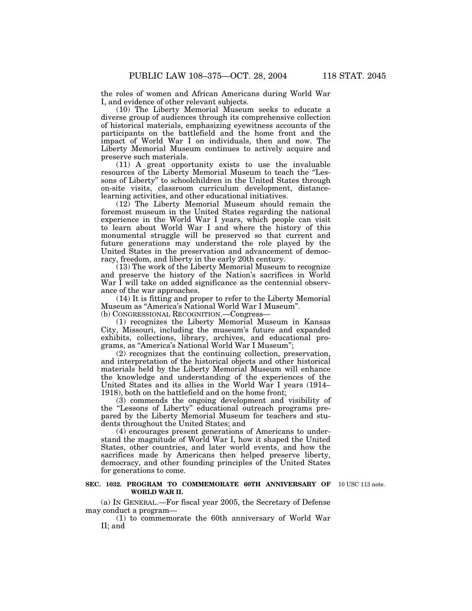the roles of women and African Americans during World War I, and evidence of other relevant subjects.

(10) The Liberty Memorial Museum seeks to educate a diverse group of audiences through its comprehensive collection of historical materials, emphasizing eyewitness accounts of the participants on the battlefield and the home front and the impact of World War I on individuals, then and now. The Liberty Memorial Museum continues to actively acquire and preserve such materials.

(11) A great opportunity exists to use the invaluable resources of the Liberty Memorial Museum to teach the ''Lessons of Liberty'' to schoolchildren in the United States through on-site visits, classroom curriculum development, distancelearning activities, and other educational initiatives.

(12) The Liberty Memorial Museum should remain the foremost museum in the United States regarding the national experience in the World War I years, which people can visit to learn about World War I and where the history of this monumental struggle will be preserved so that current and future generations may understand the role played by the United States in the preservation and advancement of democracy, freedom, and liberty in the early 20th century.

(13) The work of the Liberty Memorial Museum to recognize and preserve the history of the Nation's sacrifices in World War I will take on added significance as the centennial observance of the war approaches.

(14) It is fitting and proper to refer to the Liberty Memorial Museum as ''America's National World War I Museum''. (b) CONGRESSIONAL RECOGNITION.—Congress—

(1) recognizes the Liberty Memorial Museum in Kansas City, Missouri, including the museum's future and expanded exhibits, collections, library, archives, and educational programs, as ''America's National World War I Museum'';

(2) recognizes that the continuing collection, preservation, and interpretation of the historical objects and other historical materials held by the Liberty Memorial Museum will enhance the knowledge and understanding of the experiences of the United States and its allies in the World War I years (1914– 1918), both on the battlefield and on the home front;

(3) commends the ongoing development and visibility of the "Lessons of Liberty" educational outreach programs prepared by the Liberty Memorial Museum for teachers and students throughout the United States; and

(4) encourages present generations of Americans to understand the magnitude of World War I, how it shaped the United States, other countries, and later world events, and how the sacrifices made by Americans then helped preserve liberty, democracy, and other founding principles of the United States for generations to come.

### **SEC. 1032. PROGRAM TO COMMEMORATE 60TH ANNIVERSARY OF** 10 USC 113 note. **WORLD WAR II.**

(a) IN GENERAL.—For fiscal year 2005, the Secretary of Defense may conduct a program—

(1) to commemorate the 60th anniversary of World War II; and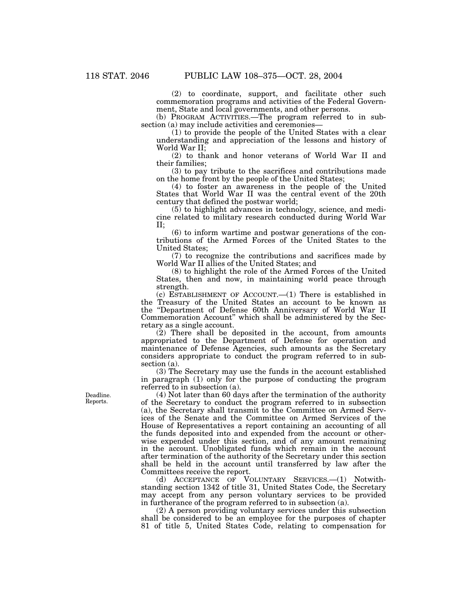(2) to coordinate, support, and facilitate other such commemoration programs and activities of the Federal Government, State and local governments, and other persons.

(b) PROGRAM ACTIVITIES.—The program referred to in subsection (a) may include activities and ceremonies—

(1) to provide the people of the United States with a clear understanding and appreciation of the lessons and history of World War II;

(2) to thank and honor veterans of World War II and their families;

(3) to pay tribute to the sacrifices and contributions made on the home front by the people of the United States;

(4) to foster an awareness in the people of the United States that World War II was the central event of the 20th century that defined the postwar world;

(5) to highlight advances in technology, science, and medicine related to military research conducted during World War II;

(6) to inform wartime and postwar generations of the contributions of the Armed Forces of the United States to the United States;

(7) to recognize the contributions and sacrifices made by World War II allies of the United States; and

(8) to highlight the role of the Armed Forces of the United States, then and now, in maintaining world peace through strength.

(c) ESTABLISHMENT OF ACCOUNT.—(1) There is established in the Treasury of the United States an account to be known as the ''Department of Defense 60th Anniversary of World War II Commemoration Account'' which shall be administered by the Secretary as a single account.

 $(2)$  There shall be deposited in the account, from amounts appropriated to the Department of Defense for operation and maintenance of Defense Agencies, such amounts as the Secretary considers appropriate to conduct the program referred to in subsection (a).

(3) The Secretary may use the funds in the account established in paragraph (1) only for the purpose of conducting the program referred to in subsection (a).

(4) Not later than 60 days after the termination of the authority of the Secretary to conduct the program referred to in subsection (a), the Secretary shall transmit to the Committee on Armed Services of the Senate and the Committee on Armed Services of the House of Representatives a report containing an accounting of all the funds deposited into and expended from the account or otherwise expended under this section, and of any amount remaining in the account. Unobligated funds which remain in the account after termination of the authority of the Secretary under this section shall be held in the account until transferred by law after the Committees receive the report.

(d) ACCEPTANCE OF VOLUNTARY SERVICES.—(1) Notwithstanding section 1342 of title 31, United States Code, the Secretary may accept from any person voluntary services to be provided in furtherance of the program referred to in subsection (a).

(2) A person providing voluntary services under this subsection shall be considered to be an employee for the purposes of chapter 81 of title 5, United States Code, relating to compensation for

Deadline. Reports.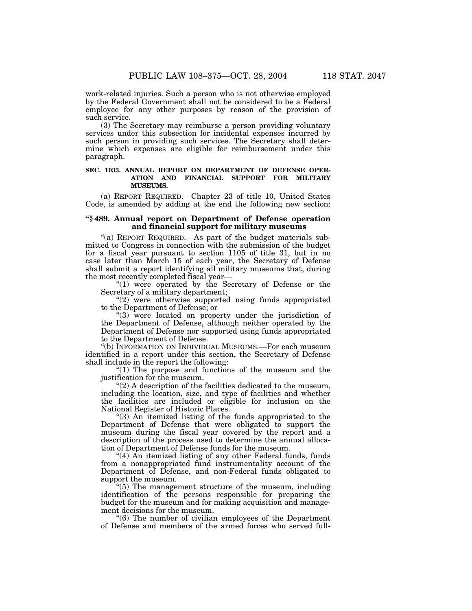work-related injuries. Such a person who is not otherwise employed by the Federal Government shall not be considered to be a Federal employee for any other purposes by reason of the provision of such service.

(3) The Secretary may reimburse a person providing voluntary services under this subsection for incidental expenses incurred by such person in providing such services. The Secretary shall determine which expenses are eligible for reimbursement under this paragraph.

# **SEC. 1033. ANNUAL REPORT ON DEPARTMENT OF DEFENSE OPER-ATION AND FINANCIAL SUPPORT FOR MILITARY MUSEUMS.**

(a) REPORT REQUIRED.—Chapter 23 of title 10, United States Code, is amended by adding at the end the following new section:

# **''§ 489. Annual report on Department of Defense operation and financial support for military museums**

''(a) REPORT REQUIRED.—As part of the budget materials submitted to Congress in connection with the submission of the budget for a fiscal year pursuant to section 1105 of title 31, but in no case later than March 15 of each year, the Secretary of Defense shall submit a report identifying all military museums that, during the most recently completed fiscal year—

"(1) were operated by the Secretary of Defense or the Secretary of a military department;

"(2) were otherwise supported using funds appropriated to the Department of Defense; or

"(3) were located on property under the jurisdiction of the Department of Defense, although neither operated by the Department of Defense nor supported using funds appropriated to the Department of Defense.

''(b) INFORMATION ON INDIVIDUAL MUSEUMS.—For each museum identified in a report under this section, the Secretary of Defense shall include in the report the following:

"(1) The purpose and functions of the museum and the justification for the museum.

''(2) A description of the facilities dedicated to the museum, including the location, size, and type of facilities and whether the facilities are included or eligible for inclusion on the National Register of Historic Places.

''(3) An itemized listing of the funds appropriated to the Department of Defense that were obligated to support the museum during the fiscal year covered by the report and a description of the process used to determine the annual allocation of Department of Defense funds for the museum.

''(4) An itemized listing of any other Federal funds, funds from a nonappropriated fund instrumentality account of the Department of Defense, and non-Federal funds obligated to support the museum.

''(5) The management structure of the museum, including identification of the persons responsible for preparing the budget for the museum and for making acquisition and management decisions for the museum.

''(6) The number of civilian employees of the Department of Defense and members of the armed forces who served full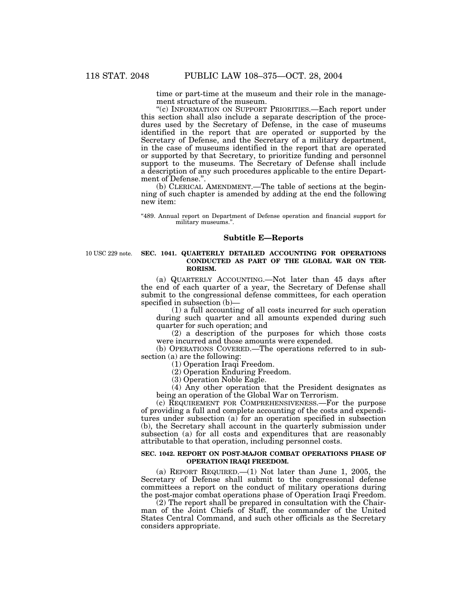time or part-time at the museum and their role in the management structure of the museum.

''(c) INFORMATION ON SUPPORT PRIORITIES.—Each report under this section shall also include a separate description of the procedures used by the Secretary of Defense, in the case of museums identified in the report that are operated or supported by the Secretary of Defense, and the Secretary of a military department, in the case of museums identified in the report that are operated or supported by that Secretary, to prioritize funding and personnel support to the museums. The Secretary of Defense shall include a description of any such procedures applicable to the entire Department of Defense.''.

(b) CLERICAL AMENDMENT.—The table of sections at the beginning of such chapter is amended by adding at the end the following new item:

''489. Annual report on Department of Defense operation and financial support for military museums.''.

# **Subtitle E—Reports**

10 USC 229 note.

# **SEC. 1041. QUARTERLY DETAILED ACCOUNTING FOR OPERATIONS CONDUCTED AS PART OF THE GLOBAL WAR ON TER-RORISM.**

(a) QUARTERLY ACCOUNTING.—Not later than 45 days after the end of each quarter of a year, the Secretary of Defense shall submit to the congressional defense committees, for each operation specified in subsection (b)—

(1) a full accounting of all costs incurred for such operation during such quarter and all amounts expended during such quarter for such operation; and

(2) a description of the purposes for which those costs were incurred and those amounts were expended.

(b) OPERATIONS COVERED.—The operations referred to in subsection (a) are the following:

(1) Operation Iraqi Freedom.

(2) Operation Enduring Freedom.

(3) Operation Noble Eagle.

(4) Any other operation that the President designates as being an operation of the Global War on Terrorism.

(c) REQUIREMENT FOR COMPREHENSIVENESS.—For the purpose of providing a full and complete accounting of the costs and expenditures under subsection (a) for an operation specified in subsection (b), the Secretary shall account in the quarterly submission under subsection (a) for all costs and expenditures that are reasonably attributable to that operation, including personnel costs.

### **SEC. 1042. REPORT ON POST-MAJOR COMBAT OPERATIONS PHASE OF OPERATION IRAQI FREEDOM.**

(a) REPORT REQUIRED.—(1) Not later than June 1, 2005, the Secretary of Defense shall submit to the congressional defense committees a report on the conduct of military operations during the post-major combat operations phase of Operation Iraqi Freedom.

(2) The report shall be prepared in consultation with the Chairman of the Joint Chiefs of Staff, the commander of the United States Central Command, and such other officials as the Secretary considers appropriate.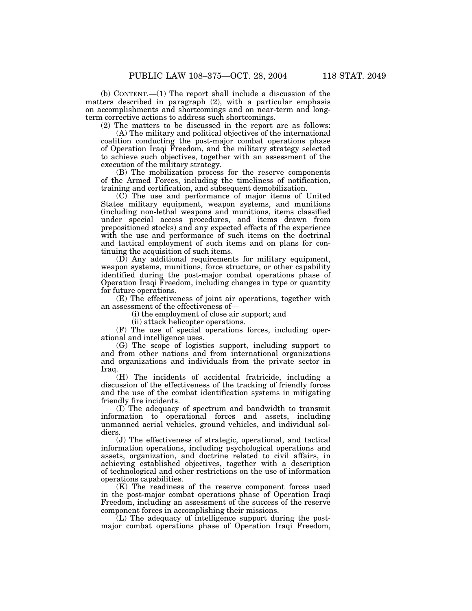(b) CONTENT.—(1) The report shall include a discussion of the matters described in paragraph (2), with a particular emphasis on accomplishments and shortcomings and on near-term and longterm corrective actions to address such shortcomings.

(2) The matters to be discussed in the report are as follows:

(A) The military and political objectives of the international coalition conducting the post-major combat operations phase of Operation Iraqi Freedom, and the military strategy selected to achieve such objectives, together with an assessment of the execution of the military strategy.

(B) The mobilization process for the reserve components of the Armed Forces, including the timeliness of notification, training and certification, and subsequent demobilization.

(C) The use and performance of major items of United States military equipment, weapon systems, and munitions (including non-lethal weapons and munitions, items classified under special access procedures, and items drawn from prepositioned stocks) and any expected effects of the experience with the use and performance of such items on the doctrinal and tactical employment of such items and on plans for continuing the acquisition of such items.

(D) Any additional requirements for military equipment, weapon systems, munitions, force structure, or other capability identified during the post-major combat operations phase of Operation Iraqi Freedom, including changes in type or quantity for future operations.

(E) The effectiveness of joint air operations, together with an assessment of the effectiveness of—

(i) the employment of close air support; and

(ii) attack helicopter operations.

(F) The use of special operations forces, including operational and intelligence uses.

(G) The scope of logistics support, including support to and from other nations and from international organizations and organizations and individuals from the private sector in Iraq.

(H) The incidents of accidental fratricide, including a discussion of the effectiveness of the tracking of friendly forces and the use of the combat identification systems in mitigating friendly fire incidents.

(I) The adequacy of spectrum and bandwidth to transmit information to operational forces and assets, including unmanned aerial vehicles, ground vehicles, and individual soldiers.

(J) The effectiveness of strategic, operational, and tactical information operations, including psychological operations and assets, organization, and doctrine related to civil affairs, in achieving established objectives, together with a description of technological and other restrictions on the use of information operations capabilities.

(K) The readiness of the reserve component forces used in the post-major combat operations phase of Operation Iraqi Freedom, including an assessment of the success of the reserve component forces in accomplishing their missions.

(L) The adequacy of intelligence support during the postmajor combat operations phase of Operation Iraqi Freedom,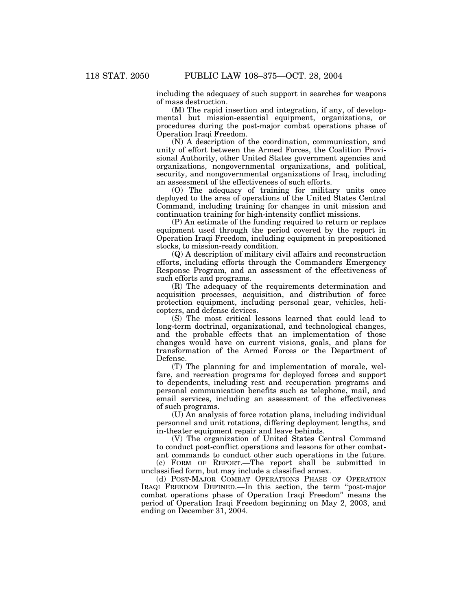including the adequacy of such support in searches for weapons of mass destruction.

(M) The rapid insertion and integration, if any, of developmental but mission-essential equipment, organizations, or procedures during the post-major combat operations phase of Operation Iraqi Freedom.

(N) A description of the coordination, communication, and unity of effort between the Armed Forces, the Coalition Provisional Authority, other United States government agencies and organizations, nongovernmental organizations, and political, security, and nongovernmental organizations of Iraq, including an assessment of the effectiveness of such efforts.

(O) The adequacy of training for military units once deployed to the area of operations of the United States Central Command, including training for changes in unit mission and continuation training for high-intensity conflict missions.

(P) An estimate of the funding required to return or replace equipment used through the period covered by the report in Operation Iraqi Freedom, including equipment in prepositioned stocks, to mission-ready condition.

(Q) A description of military civil affairs and reconstruction efforts, including efforts through the Commanders Emergency Response Program, and an assessment of the effectiveness of such efforts and programs.

(R) The adequacy of the requirements determination and acquisition processes, acquisition, and distribution of force protection equipment, including personal gear, vehicles, helicopters, and defense devices.

(S) The most critical lessons learned that could lead to long-term doctrinal, organizational, and technological changes, and the probable effects that an implementation of those changes would have on current visions, goals, and plans for transformation of the Armed Forces or the Department of Defense.

(T) The planning for and implementation of morale, welfare, and recreation programs for deployed forces and support to dependents, including rest and recuperation programs and personal communication benefits such as telephone, mail, and email services, including an assessment of the effectiveness of such programs.

(U) An analysis of force rotation plans, including individual personnel and unit rotations, differing deployment lengths, and in-theater equipment repair and leave behinds.

(V) The organization of United States Central Command to conduct post-conflict operations and lessons for other combatant commands to conduct other such operations in the future.

(c) FORM OF REPORT.—The report shall be submitted in unclassified form, but may include a classified annex.

(d) POST-MAJOR COMBAT OPERATIONS PHASE OF OPERATION IRAQI FREEDOM DEFINED.—In this section, the term ''post-major combat operations phase of Operation Iraqi Freedom'' means the period of Operation Iraqi Freedom beginning on May 2, 2003, and ending on December 31, 2004.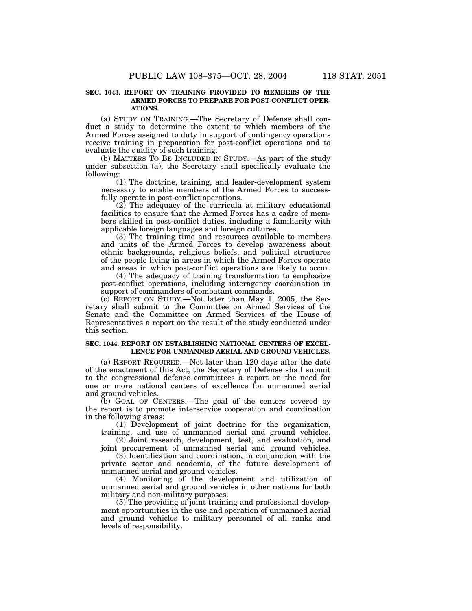# **SEC. 1043. REPORT ON TRAINING PROVIDED TO MEMBERS OF THE ARMED FORCES TO PREPARE FOR POST-CONFLICT OPER-ATIONS.**

(a) STUDY ON TRAINING.—The Secretary of Defense shall conduct a study to determine the extent to which members of the Armed Forces assigned to duty in support of contingency operations receive training in preparation for post-conflict operations and to evaluate the quality of such training.

(b) MATTERS TO BE INCLUDED IN STUDY.—As part of the study under subsection (a), the Secretary shall specifically evaluate the following:

(1) The doctrine, training, and leader-development system necessary to enable members of the Armed Forces to successfully operate in post-conflict operations.

(2) The adequacy of the curricula at military educational facilities to ensure that the Armed Forces has a cadre of members skilled in post-conflict duties, including a familiarity with applicable foreign languages and foreign cultures.

(3) The training time and resources available to members and units of the Armed Forces to develop awareness about ethnic backgrounds, religious beliefs, and political structures of the people living in areas in which the Armed Forces operate and areas in which post-conflict operations are likely to occur.

(4) The adequacy of training transformation to emphasize post-conflict operations, including interagency coordination in support of commanders of combatant commands.

(c) REPORT ON STUDY.—Not later than May 1, 2005, the Secretary shall submit to the Committee on Armed Services of the Senate and the Committee on Armed Services of the House of Representatives a report on the result of the study conducted under this section.

# **SEC. 1044. REPORT ON ESTABLISHING NATIONAL CENTERS OF EXCEL-LENCE FOR UNMANNED AERIAL AND GROUND VEHICLES.**

(a) REPORT REQUIRED.—Not later than 120 days after the date of the enactment of this Act, the Secretary of Defense shall submit to the congressional defense committees a report on the need for one or more national centers of excellence for unmanned aerial and ground vehicles.

(b) GOAL OF CENTERS.—The goal of the centers covered by the report is to promote interservice cooperation and coordination in the following areas:

(1) Development of joint doctrine for the organization, training, and use of unmanned aerial and ground vehicles.

(2) Joint research, development, test, and evaluation, and joint procurement of unmanned aerial and ground vehicles.

(3) Identification and coordination, in conjunction with the private sector and academia, of the future development of unmanned aerial and ground vehicles.

(4) Monitoring of the development and utilization of unmanned aerial and ground vehicles in other nations for both military and non-military purposes.

(5) The providing of joint training and professional development opportunities in the use and operation of unmanned aerial and ground vehicles to military personnel of all ranks and levels of responsibility.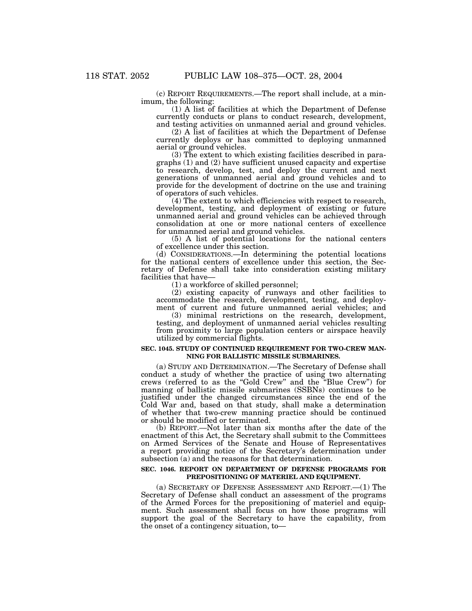(c) REPORT REQUIREMENTS.—The report shall include, at a minimum, the following:

(1) A list of facilities at which the Department of Defense currently conducts or plans to conduct research, development, and testing activities on unmanned aerial and ground vehicles.

(2) A list of facilities at which the Department of Defense currently deploys or has committed to deploying unmanned aerial or ground vehicles.

(3) The extent to which existing facilities described in paragraphs (1) and (2) have sufficient unused capacity and expertise to research, develop, test, and deploy the current and next generations of unmanned aerial and ground vehicles and to provide for the development of doctrine on the use and training of operators of such vehicles.

(4) The extent to which efficiencies with respect to research, development, testing, and deployment of existing or future unmanned aerial and ground vehicles can be achieved through consolidation at one or more national centers of excellence for unmanned aerial and ground vehicles.

(5) A list of potential locations for the national centers of excellence under this section.

(d) CONSIDERATIONS.—In determining the potential locations for the national centers of excellence under this section, the Secretary of Defense shall take into consideration existing military facilities that have—

(1) a workforce of skilled personnel;

(2) existing capacity of runways and other facilities to accommodate the research, development, testing, and deployment of current and future unmanned aerial vehicles; and

(3) minimal restrictions on the research, development, testing, and deployment of unmanned aerial vehicles resulting from proximity to large population centers or airspace heavily utilized by commercial flights.

### **SEC. 1045. STUDY OF CONTINUED REQUIREMENT FOR TWO-CREW MAN-NING FOR BALLISTIC MISSILE SUBMARINES.**

(a) STUDY AND DETERMINATION.—The Secretary of Defense shall conduct a study of whether the practice of using two alternating crews (referred to as the ''Gold Crew'' and the ''Blue Crew'') for manning of ballistic missile submarines (SSBNs) continues to be justified under the changed circumstances since the end of the Cold War and, based on that study, shall make a determination of whether that two-crew manning practice should be continued or should be modified or terminated.

(b) REPORT.—Not later than six months after the date of the enactment of this Act, the Secretary shall submit to the Committees on Armed Services of the Senate and House of Representatives a report providing notice of the Secretary's determination under subsection (a) and the reasons for that determination.

## **SEC. 1046. REPORT ON DEPARTMENT OF DEFENSE PROGRAMS FOR PREPOSITIONING OF MATERIEL AND EQUIPMENT.**

(a) SECRETARY OF DEFENSE ASSESSMENT AND REPORT.—(1) The Secretary of Defense shall conduct an assessment of the programs of the Armed Forces for the prepositioning of materiel and equipment. Such assessment shall focus on how those programs will support the goal of the Secretary to have the capability, from the onset of a contingency situation, to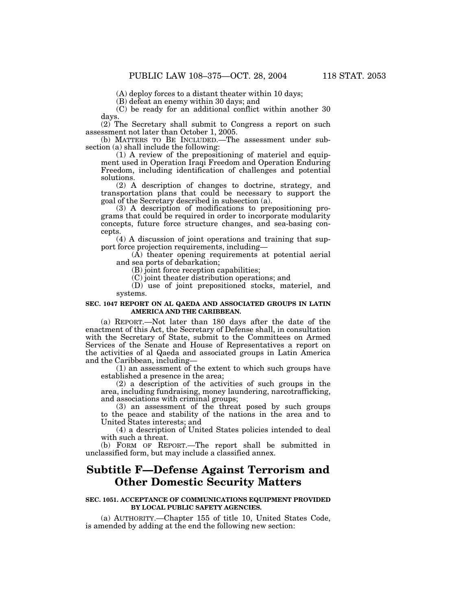(A) deploy forces to a distant theater within 10 days;

(B) defeat an enemy within 30 days; and

(C) be ready for an additional conflict within another 30 days.

(2) The Secretary shall submit to Congress a report on such assessment not later than October 1, 2005.

(b) MATTERS TO BE INCLUDED.—The assessment under subsection (a) shall include the following:

(1) A review of the prepositioning of materiel and equipment used in Operation Iraqi Freedom and Operation Enduring Freedom, including identification of challenges and potential solutions.

(2) A description of changes to doctrine, strategy, and transportation plans that could be necessary to support the goal of the Secretary described in subsection (a).

(3) A description of modifications to prepositioning programs that could be required in order to incorporate modularity concepts, future force structure changes, and sea-basing concepts.

(4) A discussion of joint operations and training that support force projection requirements, including—

(A) theater opening requirements at potential aerial and sea ports of debarkation;

(B) joint force reception capabilities;

(C) joint theater distribution operations; and

(D) use of joint prepositioned stocks, materiel, and systems.

# **SEC. 1047 REPORT ON AL QAEDA AND ASSOCIATED GROUPS IN LATIN AMERICA AND THE CARIBBEAN.**

(a) REPORT.—Not later than 180 days after the date of the enactment of this Act, the Secretary of Defense shall, in consultation with the Secretary of State, submit to the Committees on Armed Services of the Senate and House of Representatives a report on the activities of al Qaeda and associated groups in Latin America and the Caribbean, including—

(1) an assessment of the extent to which such groups have established a presence in the area;

(2) a description of the activities of such groups in the area, including fundraising, money laundering, narcotrafficking, and associations with criminal groups;

(3) an assessment of the threat posed by such groups to the peace and stability of the nations in the area and to United States interests; and

(4) a description of United States policies intended to deal with such a threat.

(b) FORM OF REPORT.—The report shall be submitted in unclassified form, but may include a classified annex.

# **Subtitle F—Defense Against Terrorism and Other Domestic Security Matters**

# **SEC. 1051. ACCEPTANCE OF COMMUNICATIONS EQUIPMENT PROVIDED BY LOCAL PUBLIC SAFETY AGENCIES.**

(a) AUTHORITY.—Chapter 155 of title 10, United States Code, is amended by adding at the end the following new section: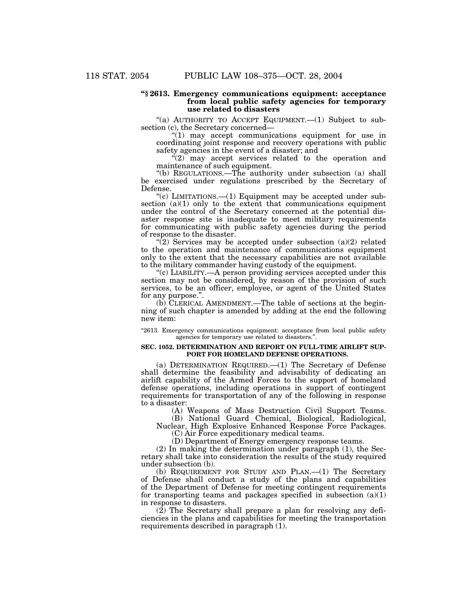## **''§ 2613. Emergency communications equipment: acceptance from local public safety agencies for temporary use related to disasters**

"(a) AUTHORITY TO ACCEPT EQUIPMENT.— $(1)$  Subject to subsection (c), the Secretary concerned—

 $''(1)$  may accept communications equipment for use in coordinating joint response and recovery operations with public safety agencies in the event of a disaster; and

"(2) may accept services related to the operation and maintenance of such equipment.

''(b) REGULATIONS.—The authority under subsection (a) shall be exercised under regulations prescribed by the Secretary of Defense.

"(c) LIMITATIONS.—(1) Equipment may be accepted under subsection (a)(1) only to the extent that communications equipment under the control of the Secretary concerned at the potential disaster response site is inadequate to meet military requirements for communicating with public safety agencies during the period of response to the disaster.

 $\sqrt{\left(2\right)}$  Services may be accepted under subsection (a)(2) related to the operation and maintenance of communications equipment only to the extent that the necessary capabilities are not available to the military commander having custody of the equipment.

''(c) LIABILITY.—A person providing services accepted under this section may not be considered, by reason of the provision of such services, to be an officer, employee, or agent of the United States for any purpose.''.

(b) CLERICAL AMENDMENT.—The table of sections at the beginning of such chapter is amended by adding at the end the following new item:

"2613. Emergency communications equipment: acceptance from local public safety agencies for temporary use related to disasters.''.

### **SEC. 1052. DETERMINATION AND REPORT ON FULL-TIME AIRLIFT SUP-PORT FOR HOMELAND DEFENSE OPERATIONS.**

(a) DETERMINATION REQUIRED.—(1) The Secretary of Defense shall determine the feasibility and advisability of dedicating an airlift capability of the Armed Forces to the support of homeland defense operations, including operations in support of contingent requirements for transportation of any of the following in response to a disaster:

(A) Weapons of Mass Destruction Civil Support Teams.

(B) National Guard Chemical, Biological, Radiological, Nuclear, High Explosive Enhanced Response Force Packages.

(C) Air Force expeditionary medical teams.

(D) Department of Energy emergency response teams.

(2) In making the determination under paragraph (1), the Secretary shall take into consideration the results of the study required under subsection (b).

(b) REQUIREMENT FOR STUDY AND PLAN.—(1) The Secretary of Defense shall conduct a study of the plans and capabilities of the Department of Defense for meeting contingent requirements for transporting teams and packages specified in subsection  $(a)(1)$ in response to disasters.

(2) The Secretary shall prepare a plan for resolving any deficiencies in the plans and capabilities for meeting the transportation requirements described in paragraph (1).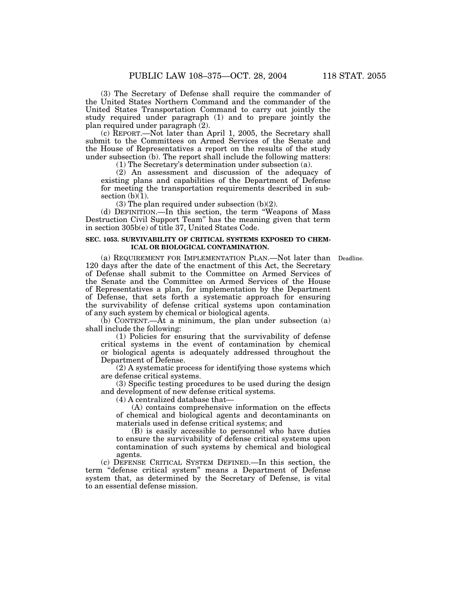(3) The Secretary of Defense shall require the commander of the United States Northern Command and the commander of the United States Transportation Command to carry out jointly the study required under paragraph (1) and to prepare jointly the plan required under paragraph (2).

(c) REPORT.—Not later than April 1, 2005, the Secretary shall submit to the Committees on Armed Services of the Senate and the House of Representatives a report on the results of the study under subsection (b). The report shall include the following matters:

(1) The Secretary's determination under subsection (a).

(2) An assessment and discussion of the adequacy of existing plans and capabilities of the Department of Defense for meeting the transportation requirements described in subsection  $(b)(1)$ .

(3) The plan required under subsection (b)(2).

(d) DEFINITION.—In this section, the term ''Weapons of Mass Destruction Civil Support Team'' has the meaning given that term in section 305b(e) of title 37, United States Code.

## **SEC. 1053. SURVIVABILITY OF CRITICAL SYSTEMS EXPOSED TO CHEM-ICAL OR BIOLOGICAL CONTAMINATION.**

(a) REQUIREMENT FOR IMPLEMENTATION PLAN.—Not later than Deadline. 120 days after the date of the enactment of this Act, the Secretary of Defense shall submit to the Committee on Armed Services of the Senate and the Committee on Armed Services of the House of Representatives a plan, for implementation by the Department of Defense, that sets forth a systematic approach for ensuring the survivability of defense critical systems upon contamination of any such system by chemical or biological agents.

(b) CONTENT.—At a minimum, the plan under subsection (a) shall include the following:

(1) Policies for ensuring that the survivability of defense critical systems in the event of contamination by chemical or biological agents is adequately addressed throughout the Department of Defense.

(2) A systematic process for identifying those systems which are defense critical systems.

(3) Specific testing procedures to be used during the design and development of new defense critical systems.

(4) A centralized database that—

(A) contains comprehensive information on the effects of chemical and biological agents and decontaminants on materials used in defense critical systems; and

(B) is easily accessible to personnel who have duties to ensure the survivability of defense critical systems upon contamination of such systems by chemical and biological agents.

(c) DEFENSE CRITICAL SYSTEM DEFINED.—In this section, the term ''defense critical system'' means a Department of Defense system that, as determined by the Secretary of Defense, is vital to an essential defense mission.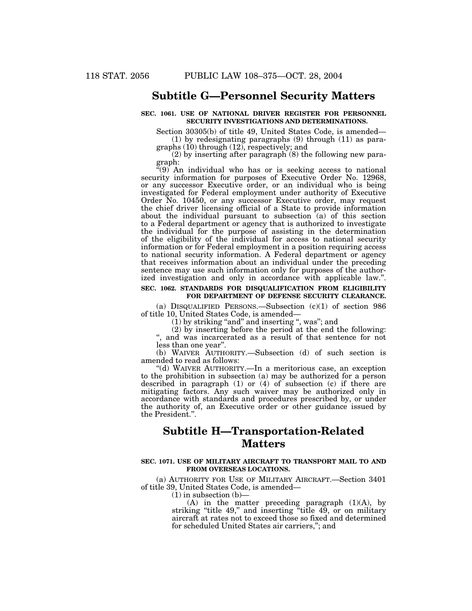# **Subtitle G—Personnel Security Matters**

# **SEC. 1061. USE OF NATIONAL DRIVER REGISTER FOR PERSONNEL SECURITY INVESTIGATIONS AND DETERMINATIONS.**

Section 30305(b) of title 49, United States Code, is amended— (1) by redesignating paragraphs (9) through (11) as paragraphs (10) through (12), respectively; and

(2) by inserting after paragraph (8) the following new paragraph:

"(9) An individual who has or is seeking access to national security information for purposes of Executive Order No. 12968, or any successor Executive order, or an individual who is being investigated for Federal employment under authority of Executive Order No. 10450, or any successor Executive order, may request the chief driver licensing official of a State to provide information about the individual pursuant to subsection  $(a)$  of this section to a Federal department or agency that is authorized to investigate the individual for the purpose of assisting in the determination of the eligibility of the individual for access to national security information or for Federal employment in a position requiring access to national security information. A Federal department or agency that receives information about an individual under the preceding sentence may use such information only for purposes of the authorized investigation and only in accordance with applicable law.''.

# **SEC. 1062. STANDARDS FOR DISQUALIFICATION FROM ELIGIBILITY FOR DEPARTMENT OF DEFENSE SECURITY CLEARANCE.**

(a) DISQUALIFIED PERSONS.—Subsection  $(c)(1)$  of section 986 of title 10, United States Code, is amended—

(1) by striking ''and'' and inserting '', was''; and

(2) by inserting before the period at the end the following: '', and was incarcerated as a result of that sentence for not

less than one year''.

(b) WAIVER AUTHORITY.—Subsection (d) of such section is amended to read as follows:

''(d) WAIVER AUTHORITY.—In a meritorious case, an exception to the prohibition in subsection (a) may be authorized for a person described in paragraph (1) or (4) of subsection (c) if there are mitigating factors. Any such waiver may be authorized only in accordance with standards and procedures prescribed by, or under the authority of, an Executive order or other guidance issued by the President.''.

# **Subtitle H—Transportation-Related Matters**

# **SEC. 1071. USE OF MILITARY AIRCRAFT TO TRANSPORT MAIL TO AND FROM OVERSEAS LOCATIONS.**

(a) AUTHORITY FOR USE OF MILITARY AIRCRAFT.—Section 3401 of title 39, United States Code, is amended—

 $(1)$  in subsection  $(b)$ -

 $(A)$  in the matter preceding paragraph  $(1)(A)$ , by striking "title 49," and inserting "title 49, or on military aircraft at rates not to exceed those so fixed and determined for scheduled United States air carriers,''; and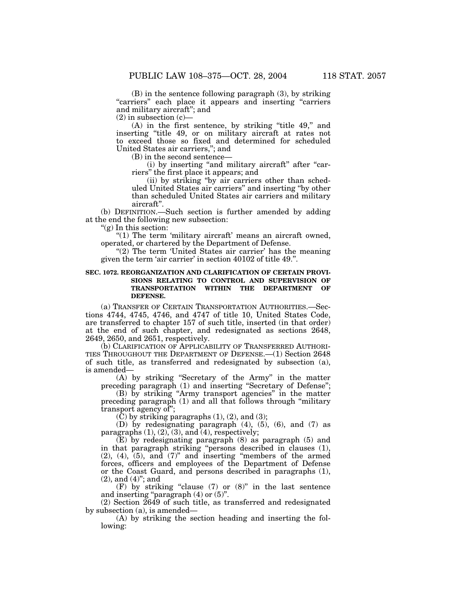(B) in the sentence following paragraph (3), by striking "carriers" each place it appears and inserting "carriers and military aircraft''; and

 $(2)$  in subsection  $(c)$ -

(A) in the first sentence, by striking "title 49," and inserting ''title 49, or on military aircraft at rates not to exceed those so fixed and determined for scheduled United States air carriers,''; and

(B) in the second sentence—

(i) by inserting "and military aircraft" after "carriers'' the first place it appears; and

(ii) by striking ''by air carriers other than scheduled United States air carriers'' and inserting ''by other than scheduled United States air carriers and military aircraft''.

(b) DEFINITION.—Such section is further amended by adding at the end the following new subsection:

''(g) In this section:

"(1) The term 'military aircraft' means an aircraft owned, operated, or chartered by the Department of Defense.

"(2) The term 'United States air carrier' has the meaning given the term 'air carrier' in section 40102 of title 49.''.

# **SEC. 1072. REORGANIZATION AND CLARIFICATION OF CERTAIN PROVI-SIONS RELATING TO CONTROL AND SUPERVISION OF TRANSPORTATION WITHIN THE DEPARTMENT OF DEFENSE.**

(a) TRANSFER OF CERTAIN TRANSPORTATION AUTHORITIES.—Sections 4744, 4745, 4746, and 4747 of title 10, United States Code, are transferred to chapter 157 of such title, inserted (in that order) at the end of such chapter, and redesignated as sections 2648, 2649, 2650, and 2651, respectively.

(b) CLARIFICATION OF APPLICABILITY OF TRANSFERRED AUTHORI-TIES THROUGHOUT THE DEPARTMENT OF DEFENSE.—(1) Section 2648 of such title, as transferred and redesignated by subsection (a), is amended—

(A) by striking ''Secretary of the Army'' in the matter preceding paragraph (1) and inserting "Secretary of Defense";

(B) by striking ''Army transport agencies'' in the matter preceding paragraph (1) and all that follows through ''military transport agency of'';

 $(C)$  by striking paragraphs  $(1)$ ,  $(2)$ , and  $(3)$ ;

(D) by redesignating paragraph (4), (5), (6), and (7) as paragraphs  $(1), (2), (3),$  and  $(4),$  respectively;

(E) by redesignating paragraph (8) as paragraph (5) and in that paragraph striking ''persons described in clauses (1), (2), (4), (5), and (7)'' and inserting ''members of the armed forces, officers and employees of the Department of Defense or the Coast Guard, and persons described in paragraphs (1), (2), and (4)''; and

(F) by striking "clause  $(7)$  or  $(8)$ " in the last sentence and inserting "paragraph  $(4)$  or  $(5)$ ".

(2) Section 2649 of such title, as transferred and redesignated by subsection (a), is amended—

(A) by striking the section heading and inserting the following: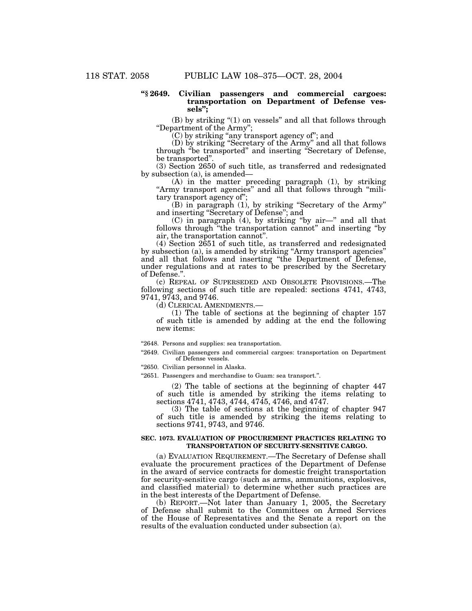# **''§ 2649. Civilian passengers and commercial cargoes: transportation on Department of Defense vessels'';**

(B) by striking "(1) on vessels" and all that follows through ''Department of the Army'';

(C) by striking ''any transport agency of''; and

(D) by striking ''Secretary of the Army'' and all that follows through ''be transported'' and inserting ''Secretary of Defense, be transported''.

(3) Section 2650 of such title, as transferred and redesignated by subsection (a), is amended—

(A) in the matter preceding paragraph (1), by striking ''Army transport agencies'' and all that follows through ''military transport agency of'';

(B) in paragraph (1), by striking ''Secretary of the Army'' and inserting ''Secretary of Defense''; and

(C) in paragraph (4), by striking ''by air—'' and all that follows through ''the transportation cannot'' and inserting ''by air, the transportation cannot''.

(4) Section 2651 of such title, as transferred and redesignated by subsection (a), is amended by striking ''Army transport agencies'' and all that follows and inserting ''the Department of Defense, under regulations and at rates to be prescribed by the Secretary of Defense.''.

(c) REPEAL OF SUPERSEDED AND OBSOLETE PROVISIONS.—The following sections of such title are repealed: sections 4741, 4743, 9741, 9743, and 9746.

(d) CLERICAL AMENDMENTS.—

(1) The table of sections at the beginning of chapter 157 of such title is amended by adding at the end the following new items:

"2648. Persons and supplies: sea transportation.

"2649. Civilian passengers and commercial cargoes: transportation on Department of Defense vessels.

"2650. Civilian personnel in Alaska.

"2651. Passengers and merchandise to Guam: sea transport.".

(2) The table of sections at the beginning of chapter 447 of such title is amended by striking the items relating to sections 4741, 4743, 4744, 4745, 4746, and 4747.

(3) The table of sections at the beginning of chapter 947 of such title is amended by striking the items relating to sections 9741, 9743, and 9746.

# **SEC. 1073. EVALUATION OF PROCUREMENT PRACTICES RELATING TO TRANSPORTATION OF SECURITY-SENSITIVE CARGO.**

(a) EVALUATION REQUIREMENT.—The Secretary of Defense shall evaluate the procurement practices of the Department of Defense in the award of service contracts for domestic freight transportation for security-sensitive cargo (such as arms, ammunitions, explosives, and classified material) to determine whether such practices are in the best interests of the Department of Defense.

(b) REPORT.—Not later than January 1, 2005, the Secretary of Defense shall submit to the Committees on Armed Services of the House of Representatives and the Senate a report on the results of the evaluation conducted under subsection (a).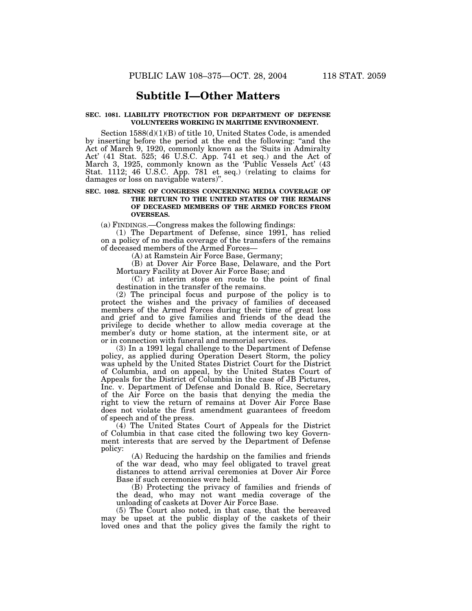# **Subtitle I—Other Matters**

# **SEC. 1081. LIABILITY PROTECTION FOR DEPARTMENT OF DEFENSE VOLUNTEERS WORKING IN MARITIME ENVIRONMENT.**

Section 1588(d)(1)(B) of title 10, United States Code, is amended by inserting before the period at the end the following: ''and the Act of March 9, 1920, commonly known as the 'Suits in Admiralty Act' (41 Stat. 525; 46 U.S.C. App. 741 et seq.) and the Act of March 3, 1925, commonly known as the 'Public Vessels Act' (43 Stat. 1112; 46 U.S.C. App. 781 et seq.) (relating to claims for damages or loss on navigable waters)''.

# **SEC. 1082. SENSE OF CONGRESS CONCERNING MEDIA COVERAGE OF THE RETURN TO THE UNITED STATES OF THE REMAINS OF DECEASED MEMBERS OF THE ARMED FORCES FROM OVERSEAS.**

(a) FINDINGS.—Congress makes the following findings:

(1) The Department of Defense, since 1991, has relied on a policy of no media coverage of the transfers of the remains of deceased members of the Armed Forces—

(A) at Ramstein Air Force Base, Germany;

(B) at Dover Air Force Base, Delaware, and the Port Mortuary Facility at Dover Air Force Base; and

(C) at interim stops en route to the point of final destination in the transfer of the remains.

(2) The principal focus and purpose of the policy is to protect the wishes and the privacy of families of deceased members of the Armed Forces during their time of great loss and grief and to give families and friends of the dead the privilege to decide whether to allow media coverage at the member's duty or home station, at the interment site, or at or in connection with funeral and memorial services.

(3) In a 1991 legal challenge to the Department of Defense policy, as applied during Operation Desert Storm, the policy was upheld by the United States District Court for the District of Columbia, and on appeal, by the United States Court of Appeals for the District of Columbia in the case of JB Pictures, Inc. v. Department of Defense and Donald B. Rice, Secretary of the Air Force on the basis that denying the media the right to view the return of remains at Dover Air Force Base does not violate the first amendment guarantees of freedom of speech and of the press.

(4) The United States Court of Appeals for the District of Columbia in that case cited the following two key Government interests that are served by the Department of Defense policy:

(A) Reducing the hardship on the families and friends of the war dead, who may feel obligated to travel great distances to attend arrival ceremonies at Dover Air Force Base if such ceremonies were held.

(B) Protecting the privacy of families and friends of the dead, who may not want media coverage of the unloading of caskets at Dover Air Force Base.

(5) The Court also noted, in that case, that the bereaved may be upset at the public display of the caskets of their loved ones and that the policy gives the family the right to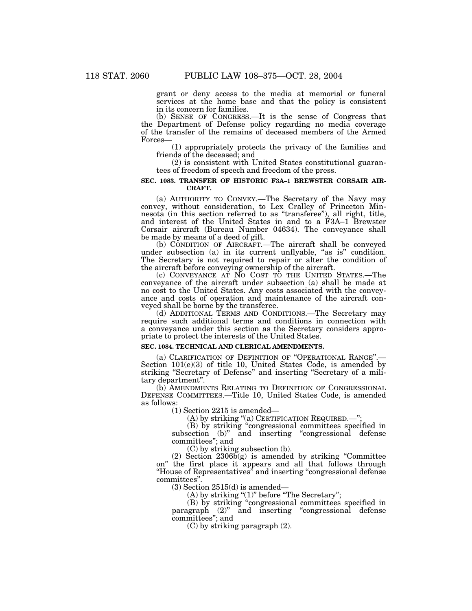grant or deny access to the media at memorial or funeral services at the home base and that the policy is consistent in its concern for families.

(b) SENSE OF CONGRESS.—It is the sense of Congress that the Department of Defense policy regarding no media coverage of the transfer of the remains of deceased members of the Armed Forces—

(1) appropriately protects the privacy of the families and friends of the deceased; and

(2) is consistent with United States constitutional guarantees of freedom of speech and freedom of the press.

# **SEC. 1083. TRANSFER OF HISTORIC F3A–1 BREWSTER CORSAIR AIR-CRAFT.**

(a) AUTHORITY TO CONVEY.—The Secretary of the Navy may convey, without consideration, to Lex Cralley of Princeton Minnesota (in this section referred to as ''transferee''), all right, title, and interest of the United States in and to a F3A–1 Brewster Corsair aircraft (Bureau Number 04634). The conveyance shall be made by means of a deed of gift.

(b) CONDITION OF AIRCRAFT.—The aircraft shall be conveyed under subsection (a) in its current unflyable, "as is" condition. The Secretary is not required to repair or alter the condition of the aircraft before conveying ownership of the aircraft.

(c) CONVEYANCE AT NO COST TO THE UNITED STATES.—The conveyance of the aircraft under subsection (a) shall be made at no cost to the United States. Any costs associated with the conveyance and costs of operation and maintenance of the aircraft conveyed shall be borne by the transferee.

(d) ADDITIONAL TERMS AND CONDITIONS.—The Secretary may require such additional terms and conditions in connection with a conveyance under this section as the Secretary considers appropriate to protect the interests of the United States.

# **SEC. 1084. TECHNICAL AND CLERICAL AMENDMENTS.**

(a) CLARIFICATION OF DEFINITION OF ''OPERATIONAL RANGE''.— Section 101(e)(3) of title 10, United States Code, is amended by striking ''Secretary of Defense'' and inserting ''Secretary of a military department''.

(b) AMENDMENTS RELATING TO DEFINITION OF CONGRESSIONAL DEFENSE COMMITTEES.—Title 10, United States Code, is amended as follows:

(1) Section 2215 is amended—

(A) by striking "(a) CERTIFICATION REQUIRED.—";

(B) by striking ''congressional committees specified in subsection (b)" and inserting "congressional defense committees''; and

(C) by striking subsection (b).

(2) Section 2306b(g) is amended by striking ''Committee on'' the first place it appears and all that follows through ''House of Representatives'' and inserting ''congressional defense committees''.

(3) Section 2515(d) is amended—

 $(A)$  by striking " $(1)$ " before "The Secretary";

(B) by striking ''congressional committees specified in paragraph (2)" and inserting "congressional defense committees''; and

(C) by striking paragraph (2).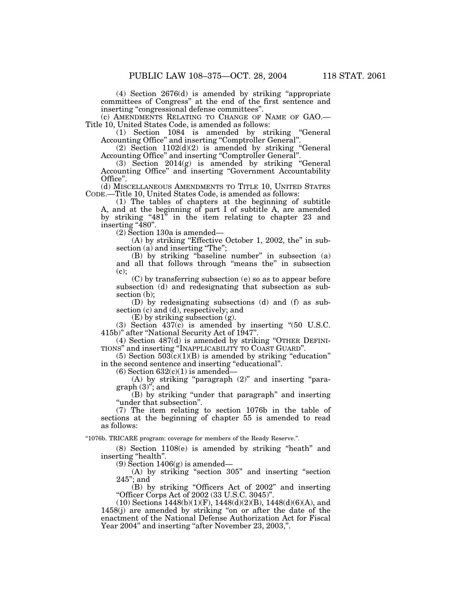(4) Section 2676(d) is amended by striking ''appropriate committees of Congress'' at the end of the first sentence and inserting "congressional defense committees"

(c) AMENDMENTS RELATING TO CHANGE OF NAME OF GAO.— Title 10, United States Code, is amended as follows:

(1) Section 1084 is amended by striking ''General Accounting Office" and inserting "Comptroller General".

(2) Section 1102(d)(2) is amended by striking ''General Accounting Office" and inserting "Comptroller General".

(3) Section 2014(g) is amended by striking ''General Accounting Office'' and inserting ''Government Accountability Office''.

(d) MISCELLANEOUS AMENDMENTS TO TITLE 10, UNITED STATES CODE.—Title 10, United States Code, is amended as follows:

(1) The tables of chapters at the beginning of subtitle A, and at the beginning of part I of subtitle A, are amended by striking "481" in the item relating to chapter 23 and inserting "480".

(2) Section 130a is amended—

(A) by striking "Effective October 1, 2002, the" in subsection (a) and inserting "The";

(B) by striking ''baseline number'' in subsection (a) and all that follows through ''means the'' in subsection (c);

(C) by transferring subsection (e) so as to appear before subsection (d) and redesignating that subsection as subsection (b);

(D) by redesignating subsections (d) and (f) as subsection (c) and (d), respectively; and

(E) by striking subsection (g).

(3) Section 437(c) is amended by inserting ''(50 U.S.C. 415b)'' after ''National Security Act of 1947''.

(4) Section 487(d) is amended by striking ''OTHER DEFINI-TIONS'' and inserting ''INAPPLICABILITY TO COAST GUARD''.

(5) Section  $503(c)(1)(B)$  is amended by striking "education" in the second sentence and inserting "educational".

 $(6)$  Section  $632(c)(1)$  is amended-

(A) by striking ''paragraph (2)'' and inserting ''paragraph (3)''; and

(B) by striking ''under that paragraph'' and inserting ''under that subsection''.

(7) The item relating to section 1076b in the table of sections at the beginning of chapter 55 is amended to read as follows:

''1076b. TRICARE program: coverage for members of the Ready Reserve.''.

(8) Section 1108(e) is amended by striking ''heath'' and inserting "health".

(9) Section  $1406(g)$  is amended—

(A) by striking ''section 305'' and inserting ''section  $245$ "; and

(B) by striking ''Officers Act of 2002'' and inserting ''Officer Corps Act of 2002 (33 U.S.C. 3045)''.

 $(10)$  Sections 1448(b)(1)(F), 1448(d)(2)(B), 1448(d)(6)(A), and 1458(j) are amended by striking ''on or after the date of the enactment of the National Defense Authorization Act for Fiscal Year 2004" and inserting "after November 23, 2003,".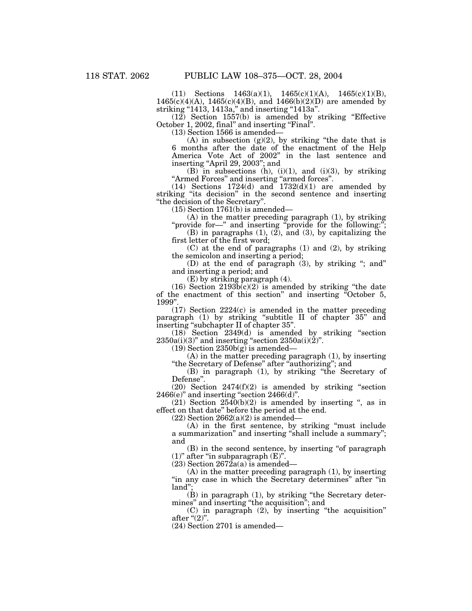(11) Sections 1463(a)(1), 1465(c)(1)(A), 1465(c)(1)(B),  $1465(c)(4)(A)$ ,  $1465(c)(4)(B)$ , and  $1466(b)(2)(D)$  are amended by striking "1413, 1413a," and inserting "1413a".

(12) Section 1557(b) is amended by striking ''Effective October 1, 2002, final" and inserting "Final".

(13) Section 1566 is amended—

(A) in subsection  $(g)(2)$ , by striking "the date that is 6 months after the date of the enactment of the Help America Vote Act of 2002'' in the last sentence and inserting ''April 29, 2003''; and

(B) in subsections (h), (i)(1), and (i)(3), by striking ''Armed Forces'' and inserting ''armed forces''.

 $(14)$  Sections  $1724(d)$  and  $1732(d)(1)$  are amended by striking "its decision" in the second sentence and inserting ''the decision of the Secretary''.

(15) Section 1761(b) is amended—

(A) in the matter preceding paragraph (1), by striking "provide for—" and inserting "provide for the following:";

(B) in paragraphs (1), (2), and (3), by capitalizing the first letter of the first word;

(C) at the end of paragraphs (1) and (2), by striking the semicolon and inserting a period;

(D) at the end of paragraph (3), by striking ''; and'' and inserting a period; and

(E) by striking paragraph (4).

 $(16)$  Section  $2193\overline{b(c)}(2)$  is amended by striking "the date of the enactment of this section'' and inserting ''October 5, 1999''.

(17) Section 2224(c) is amended in the matter preceding paragraph (1) by striking ''subtitle II of chapter 35'' and inserting ''subchapter II of chapter 35''.

(18) Section 2349(d) is amended by striking ''section  $2350a(i)(3)$ " and inserting "section  $2350a(i)(2)$ ".

 $(19)$  Section 2350b $(g)$  is amended–

(A) in the matter preceding paragraph (1), by inserting "the Secretary of Defense" after "authorizing"; and

(B) in paragraph (1), by striking ''the Secretary of Defense''.

 $(20)$  Section  $2474(f)(2)$  is amended by striking "section  $2466(e)$ " and inserting "section  $2466(d)$ ".

 $(21)$  Section  $2540(b)(2)$  is amended by inserting ", as in effect on that date'' before the period at the end.

 $(22)$  Section  $2662(a)(2)$  is amended—

(A) in the first sentence, by striking ''must include a summarization'' and inserting ''shall include a summary''; and

(B) in the second sentence, by inserting ''of paragraph  $(1)$ " after "in subparagraph  $(E)$ ".

 $(23)$  Section  $2672a(a)$  is amended—

 $(A)$  in the matter preceding paragraph  $(1)$ , by inserting "in any case in which the Secretary determines" after "in land'';

(B) in paragraph (1), by striking ''the Secretary determines'' and inserting ''the acquisition''; and

(C) in paragraph (2), by inserting ''the acquisition'' after " $(2)$ ".

(24) Section 2701 is amended—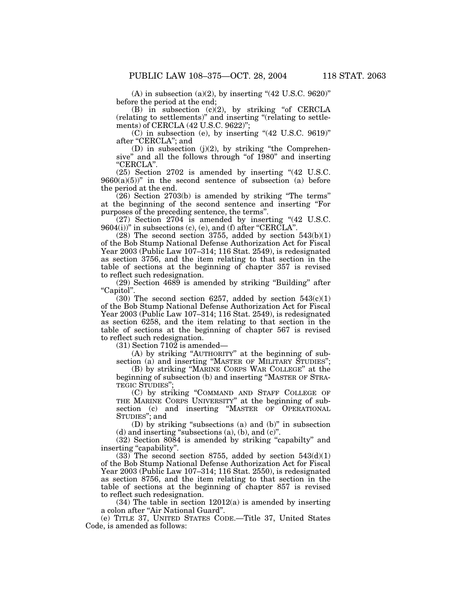$(A)$  in subsection  $(a)(2)$ , by inserting " $(42 \text{ U.S.C. } 9620)$ " before the period at the end;

 $(B)$  in subsection  $(c)(2)$ , by striking "of CERCLA (relating to settlements)'' and inserting ''(relating to settlements) of CERCLA (42 U.S.C. 9622)'';

(C) in subsection (e), by inserting ''(42 U.S.C. 9619)'' after "CERCLA"; and

(D) in subsection  $(j)(2)$ , by striking "the Comprehensive" and all the follows through "of 1980" and inserting ''CERCLA''.

(25) Section 2702 is amended by inserting ''(42 U.S.C.  $9660(a)(5)$ " in the second sentence of subsection (a) before the period at the end.

(26) Section 2703(b) is amended by striking ''The terms'' at the beginning of the second sentence and inserting ''For purposes of the preceding sentence, the terms''.

(27) Section 2704 is amended by inserting "(42 U.S.C.  $9604(i)$ )" in subsections (c), (e), and (f) after "CERCLA".

 $(28)$  The second section 3755, added by section 543(b)(1) of the Bob Stump National Defense Authorization Act for Fiscal Year 2003 (Public Law 107–314; 116 Stat. 2549), is redesignated as section 3756, and the item relating to that section in the table of sections at the beginning of chapter 357 is revised to reflect such redesignation.

(29) Section 4689 is amended by striking ''Building'' after ''Capitol''.

 $(30)$  The second section 6257, added by section 543 $(c)(1)$ of the Bob Stump National Defense Authorization Act for Fiscal Year 2003 (Public Law 107–314; 116 Stat. 2549), is redesignated as section 6258, and the item relating to that section in the table of sections at the beginning of chapter 567 is revised to reflect such redesignation.

(31) Section 7102 is amended—

(A) by striking ''AUTHORITY'' at the beginning of subsection (a) and inserting "MASTER OF MILITARY STUDIES";

(B) by striking ''MARINE CORPS WAR COLLEGE'' at the beginning of subsection (b) and inserting ''MASTER OF STRA-TEGIC STUDIES'';

(C) by striking ''COMMAND AND STAFF COLLEGE OF THE MARINE CORPS UNIVERSITY'' at the beginning of subsection (c) and inserting ''MASTER OF OPERATIONAL STUDIES''; and

(D) by striking ''subsections (a) and (b)'' in subsection  $(d)$  and inserting "subsections  $(a)$ ,  $(b)$ , and  $(c)$ ".

(32) Section 8084 is amended by striking ''capabilty'' and inserting ''capability''.

 $(33)$  The second section 8755, added by section 543 $(d)(1)$ of the Bob Stump National Defense Authorization Act for Fiscal Year 2003 (Public Law 107–314; 116 Stat. 2550), is redesignated as section 8756, and the item relating to that section in the table of sections at the beginning of chapter 857 is revised to reflect such redesignation.

(34) The table in section 12012(a) is amended by inserting a colon after ''Air National Guard''.

(e) TITLE 37, UNITED STATES CODE.—Title 37, United States Code, is amended as follows: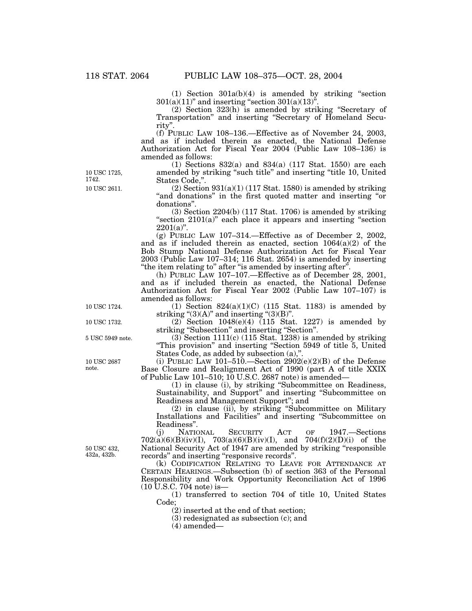(1) Section 301a(b)(4) is amended by striking ''section  $301(a)(11)$ " and inserting "section  $301(a)(13)$ ".

(2) Section 323(h) is amended by striking ''Secretary of Transportation'' and inserting ''Secretary of Homeland Security''.

(f) PUBLIC LAW 108–136.—Effective as of November 24, 2003, and as if included therein as enacted, the National Defense Authorization Act for Fiscal Year 2004 (Public Law 108–136) is amended as follows:

(1) Sections 832(a) and 834(a) (117 Stat. 1550) are each amended by striking "such title" and inserting "title 10, United States Code,''.

 $(2)$  Section 931(a)(1) (117 Stat. 1580) is amended by striking "and donations" in the first quoted matter and inserting "or donations''.

(3) Section 2204(b) (117 Stat. 1706) is amended by striking "section 2101(a)" each place it appears and inserting "section  $2201(a)$ ".

(g) PUBLIC LAW 107–314.—Effective as of December 2, 2002, and as if included therein as enacted, section  $1064(a)(2)$  of the Bob Stump National Defense Authorization Act for Fiscal Year 2003 (Public Law 107–314; 116 Stat. 2654) is amended by inserting "the item relating to" after "is amended by inserting after".

(h) PUBLIC LAW 107–107.—Effective as of December 28, 2001, and as if included therein as enacted, the National Defense Authorization Act for Fiscal Year 2002 (Public Law 107–107) is amended as follows:

(1) Section  $824(a)(1)(C)$  (115 Stat. 1183) is amended by striking " $(3)(A)$ " and inserting " $(3)(B)$ ".

 $(2)$  Section 1048 $(e)(4)$  (115 Stat. 1227) is amended by striking ''Subsection'' and inserting ''Section''.

(3) Section 1111(c) (115 Stat. 1238) is amended by striking ''This provision'' and inserting ''Section 5949 of title 5, United States Code, as added by subsection (a),''.

(i) PUBLIC LAW 101–510.—Section 2902(e)(2)(B) of the Defense Base Closure and Realignment Act of 1990 (part A of title XXIX of Public Law 101–510; 10 U.S.C. 2687 note) is amended—

(1) in clause (i), by striking ''Subcommittee on Readiness, Sustainability, and Support'' and inserting ''Subcommittee on Readiness and Management Support''; and

(2) in clause (ii), by striking ''Subcommittee on Military Installations and Facilities'' and inserting ''Subcommittee on Readiness".<br>(j) NATIONAL

(j) NATIONAL SECURITY ACT OF 1947.—Sections  $702(a)(6)(B)(iv)(I), 703(a)(6)(B)(iv)(I), and 704(f)(2)(D)(i) of the$ National Security Act of 1947 are amended by striking "responsible" records'' and inserting ''responsive records''.

(k) CODIFICATION RELATING TO LEAVE FOR ATTENDANCE AT CERTAIN HEARINGS.—Subsection (b) of section 363 of the Personal Responsibility and Work Opportunity Reconciliation Act of 1996 (10 U.S.C. 704 note) is—

(1) transferred to section 704 of title 10, United States Code;

(2) inserted at the end of that section;

(3) redesignated as subsection (c); and

 $(4)$  amended—

50 USC 432, 432a, 432b.

10 USC 2611. 10 USC 1725, 1742.

10 USC 1724.

10 USC 1732.

5 USC 5949 note.

10 USC 2687 note.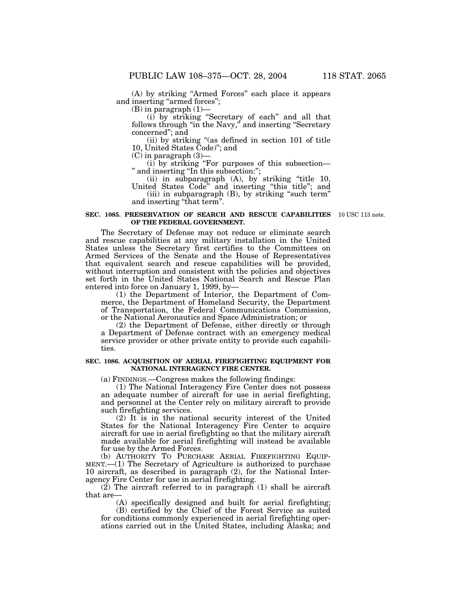(A) by striking ''Armed Forces'' each place it appears and inserting "armed forces";

 $(B)$  in paragraph  $(1)$ –

(i) by striking ''Secretary of each'' and all that follows through ''in the Navy,'' and inserting ''Secretary concerned''; and

(ii) by striking ''(as defined in section 101 of title 10, United States Code)''; and

(C) in paragraph (3)—

(i) by striking ''For purposes of this subsection— '' and inserting ''In this subsection:'';

(ii) in subparagraph (A), by striking ''title 10, United States Code'' and inserting ''this title''; and (iii) in subparagraph (B), by striking ''such term'' and inserting ''that term''.

#### **SEC. 1085. PRESERVATION OF SEARCH AND RESCUE CAPABILITIES** 10 USC 113 note. **OF THE FEDERAL GOVERNMENT.**

The Secretary of Defense may not reduce or eliminate search and rescue capabilities at any military installation in the United States unless the Secretary first certifies to the Committees on Armed Services of the Senate and the House of Representatives that equivalent search and rescue capabilities will be provided, without interruption and consistent with the policies and objectives set forth in the United States National Search and Rescue Plan entered into force on January 1, 1999, by—

(1) the Department of Interior, the Department of Commerce, the Department of Homeland Security, the Department of Transportation, the Federal Communications Commission, or the National Aeronautics and Space Administration; or

(2) the Department of Defense, either directly or through a Department of Defense contract with an emergency medical service provider or other private entity to provide such capabilities.

#### **SEC. 1086. ACQUISITION OF AERIAL FIREFIGHTING EQUIPMENT FOR NATIONAL INTERAGENCY FIRE CENTER.**

(a) FINDINGS.—Congress makes the following findings:

(1) The National Interagency Fire Center does not possess an adequate number of aircraft for use in aerial firefighting, and personnel at the Center rely on military aircraft to provide such firefighting services.

(2) It is in the national security interest of the United States for the National Interagency Fire Center to acquire aircraft for use in aerial firefighting so that the military aircraft made available for aerial firefighting will instead be available for use by the Armed Forces.

(b) AUTHORITY TO PURCHASE AERIAL FIREFIGHTING EQUIP- $MENT.$ —(1) The Secretary of Agriculture is authorized to purchase 10 aircraft, as described in paragraph (2), for the National Interagency Fire Center for use in aerial firefighting.

 $(2)$  The aircraft referred to in paragraph  $(1)$  shall be aircraft that are-

(A) specifically designed and built for aerial firefighting; (B) certified by the Chief of the Forest Service as suited for conditions commonly experienced in aerial firefighting oper-

ations carried out in the United States, including Alaska; and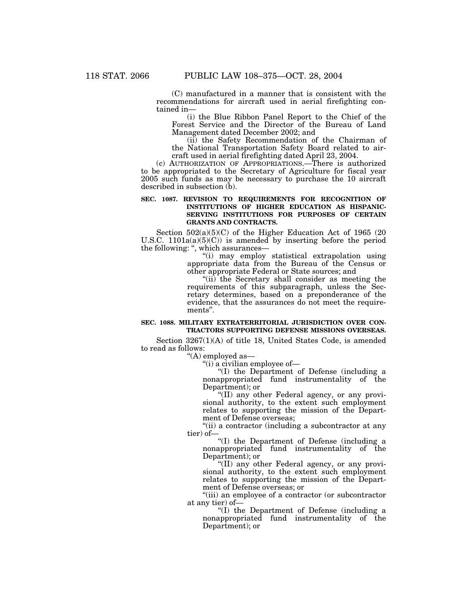(C) manufactured in a manner that is consistent with the recommendations for aircraft used in aerial firefighting contained in—

(i) the Blue Ribbon Panel Report to the Chief of the Forest Service and the Director of the Bureau of Land Management dated December 2002; and

(ii) the Safety Recommendation of the Chairman of the National Transportation Safety Board related to aircraft used in aerial firefighting dated April 23, 2004.

(c) AUTHORIZATION OF APPROPRIATIONS.—There is authorized to be appropriated to the Secretary of Agriculture for fiscal year 2005 such funds as may be necessary to purchase the 10 aircraft described in subsection (b).

#### **SEC. 1087. REVISION TO REQUIREMENTS FOR RECOGNITION OF INSTITUTIONS OF HIGHER EDUCATION AS HISPANIC-SERVING INSTITUTIONS FOR PURPOSES OF CERTAIN GRANTS AND CONTRACTS.**

Section 502(a)(5)(C) of the Higher Education Act of 1965 (20 U.S.C.  $1101a(a)(5)(C)$ ) is amended by inserting before the period the following: ", which assurances-

''(i) may employ statistical extrapolation using appropriate data from the Bureau of the Census or other appropriate Federal or State sources; and

"(ii) the Secretary shall consider as meeting the requirements of this subparagraph, unless the Secretary determines, based on a preponderance of the evidence, that the assurances do not meet the requirements''.

#### **SEC. 1088. MILITARY EXTRATERRITORIAL JURISDICTION OVER CON-TRACTORS SUPPORTING DEFENSE MISSIONS OVERSEAS.**

Section 3267(1)(A) of title 18, United States Code, is amended to read as follows:

''(A) employed as—

''(i) a civilian employee of—

''(I) the Department of Defense (including a nonappropriated fund instrumentality of the Department); or

''(II) any other Federal agency, or any provisional authority, to the extent such employment relates to supporting the mission of the Department of Defense overseas;

''(ii) a contractor (including a subcontractor at any tier) of—

''(I) the Department of Defense (including a nonappropriated fund instrumentality of the Department); or

''(II) any other Federal agency, or any provisional authority, to the extent such employment relates to supporting the mission of the Department of Defense overseas; or

''(iii) an employee of a contractor (or subcontractor at any tier) of—

''(I) the Department of Defense (including a nonappropriated fund instrumentality of the Department); or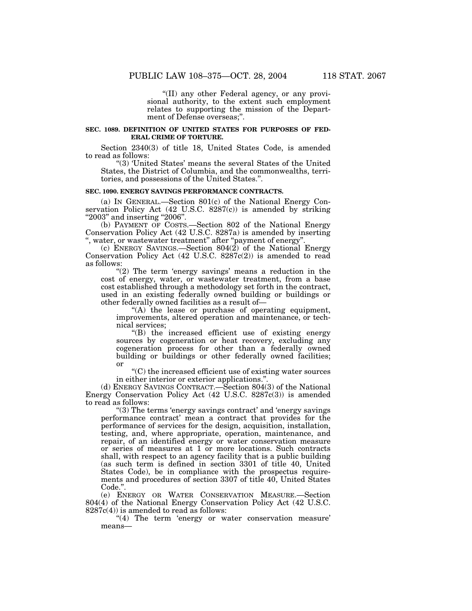''(II) any other Federal agency, or any provisional authority, to the extent such employment relates to supporting the mission of the Department of Defense overseas;".

#### **SEC. 1089. DEFINITION OF UNITED STATES FOR PURPOSES OF FED-ERAL CRIME OF TORTURE.**

Section 2340(3) of title 18, United States Code, is amended to read as follows:

''(3) 'United States' means the several States of the United States, the District of Columbia, and the commonwealths, territories, and possessions of the United States.''.

#### **SEC. 1090. ENERGY SAVINGS PERFORMANCE CONTRACTS.**

(a) IN GENERAL.—Section 801(c) of the National Energy Conservation Policy Act  $(42 \text{ U.S.C. } 8287(c))$  is amended by striking "2003" and inserting "2006".

(b) PAYMENT OF COSTS.—Section 802 of the National Energy Conservation Policy Act (42 U.S.C. 8287a) is amended by inserting '', water, or wastewater treatment'' after ''payment of energy''.

(c) ENERGY SAVINGS.—Section 804(2) of the National Energy Conservation Policy Act (42 U.S.C. 8287c(2)) is amended to read as follows:

" $(2)$  The term 'energy savings' means a reduction in the cost of energy, water, or wastewater treatment, from a base cost established through a methodology set forth in the contract, used in an existing federally owned building or buildings or other federally owned facilities as a result of—

''(A) the lease or purchase of operating equipment, improvements, altered operation and maintenance, or technical services;

''(B) the increased efficient use of existing energy sources by cogeneration or heat recovery, excluding any cogeneration process for other than a federally owned building or buildings or other federally owned facilities; or

''(C) the increased efficient use of existing water sources in either interior or exterior applications.''.

(d) ENERGY SAVINGS CONTRACT.—Section 804(3) of the National Energy Conservation Policy Act (42 U.S.C. 8287c(3)) is amended to read as follows:

''(3) The terms 'energy savings contract' and 'energy savings performance contract' mean a contract that provides for the performance of services for the design, acquisition, installation, testing, and, where appropriate, operation, maintenance, and repair, of an identified energy or water conservation measure or series of measures at 1 or more locations. Such contracts shall, with respect to an agency facility that is a public building (as such term is defined in section 3301 of title 40, United States Code), be in compliance with the prospectus requirements and procedures of section 3307 of title 40, United States Code.''.

(e) ENERGY OR WATER CONSERVATION MEASURE.—Section 804(4) of the National Energy Conservation Policy Act (42 U.S.C.  $8287c(4)$  is amended to read as follows:

"(4) The term 'energy or water conservation measure' means—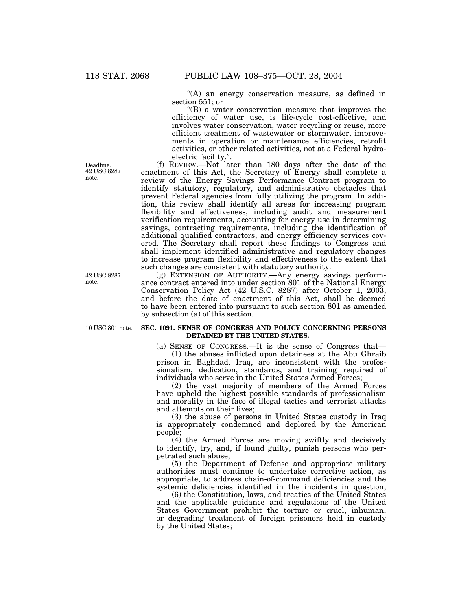''(A) an energy conservation measure, as defined in section 551; or

''(B) a water conservation measure that improves the efficiency of water use, is life-cycle cost-effective, and involves water conservation, water recycling or reuse, more efficient treatment of wastewater or stormwater, improvements in operation or maintenance efficiencies, retrofit activities, or other related activities, not at a Federal hydroelectric facility.''.

(f) REVIEW.—Not later than 180 days after the date of the enactment of this Act, the Secretary of Energy shall complete a review of the Energy Savings Performance Contract program to identify statutory, regulatory, and administrative obstacles that prevent Federal agencies from fully utilizing the program. In addition, this review shall identify all areas for increasing program flexibility and effectiveness, including audit and measurement verification requirements, accounting for energy use in determining savings, contracting requirements, including the identification of additional qualified contractors, and energy efficiency services covered. The Secretary shall report these findings to Congress and shall implement identified administrative and regulatory changes to increase program flexibility and effectiveness to the extent that such changes are consistent with statutory authority.

(g) EXTENSION OF AUTHORITY.—Any energy savings performance contract entered into under section 801 of the National Energy Conservation Policy Act (42 U.S.C. 8287) after October 1, 2003, and before the date of enactment of this Act, shall be deemed to have been entered into pursuant to such section 801 as amended by subsection (a) of this section.

#### **SEC. 1091. SENSE OF CONGRESS AND POLICY CONCERNING PERSONS DETAINED BY THE UNITED STATES.**

(a) SENSE OF CONGRESS.—It is the sense of Congress that—

(1) the abuses inflicted upon detainees at the Abu Ghraib prison in Baghdad, Iraq, are inconsistent with the professionalism, dedication, standards, and training required of individuals who serve in the United States Armed Forces;

(2) the vast majority of members of the Armed Forces have upheld the highest possible standards of professionalism and morality in the face of illegal tactics and terrorist attacks and attempts on their lives;

(3) the abuse of persons in United States custody in Iraq is appropriately condemned and deplored by the American people;

(4) the Armed Forces are moving swiftly and decisively to identify, try, and, if found guilty, punish persons who perpetrated such abuse;

(5) the Department of Defense and appropriate military authorities must continue to undertake corrective action, as appropriate, to address chain-of-command deficiencies and the systemic deficiencies identified in the incidents in question;

(6) the Constitution, laws, and treaties of the United States and the applicable guidance and regulations of the United States Government prohibit the torture or cruel, inhuman, or degrading treatment of foreign prisoners held in custody by the United States;

Deadline. 42 USC 8287 note.

42 USC 8287 note.

10 USC 801 note.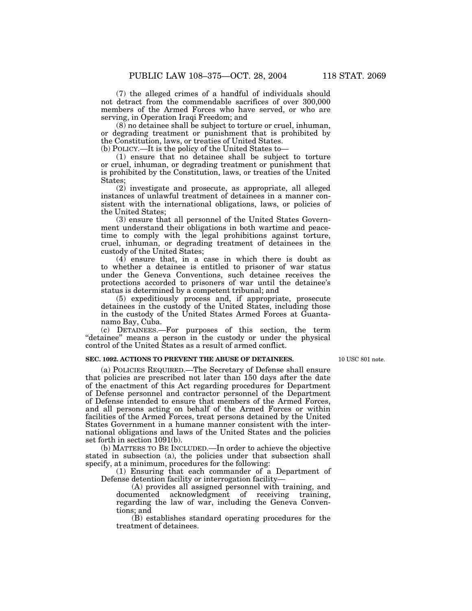(7) the alleged crimes of a handful of individuals should not detract from the commendable sacrifices of over 300,000 members of the Armed Forces who have served, or who are serving, in Operation Iraqi Freedom; and

(8) no detainee shall be subject to torture or cruel, inhuman, or degrading treatment or punishment that is prohibited by the Constitution, laws, or treaties of United States.

(b) POLICY.—It is the policy of the United States to—

(1) ensure that no detainee shall be subject to torture or cruel, inhuman, or degrading treatment or punishment that is prohibited by the Constitution, laws, or treaties of the United States;

(2) investigate and prosecute, as appropriate, all alleged instances of unlawful treatment of detainees in a manner consistent with the international obligations, laws, or policies of the United States;

(3) ensure that all personnel of the United States Government understand their obligations in both wartime and peacetime to comply with the legal prohibitions against torture, cruel, inhuman, or degrading treatment of detainees in the custody of the United States;

(4) ensure that, in a case in which there is doubt as to whether a detainee is entitled to prisoner of war status under the Geneva Conventions, such detainee receives the protections accorded to prisoners of war until the detainee's status is determined by a competent tribunal; and

(5) expeditiously process and, if appropriate, prosecute detainees in the custody of the United States, including those in the custody of the United States Armed Forces at Guantanamo Bay, Cuba.

(c) DETAINEES.—For purposes of this section, the term "detainee" means a person in the custody or under the physical control of the United States as a result of armed conflict.

#### **SEC. 1092. ACTIONS TO PREVENT THE ABUSE OF DETAINEES.**

10 USC 801 note.

(a) POLICIES REQUIRED.—The Secretary of Defense shall ensure that policies are prescribed not later than 150 days after the date of the enactment of this Act regarding procedures for Department of Defense personnel and contractor personnel of the Department of Defense intended to ensure that members of the Armed Forces, and all persons acting on behalf of the Armed Forces or within facilities of the Armed Forces, treat persons detained by the United States Government in a humane manner consistent with the international obligations and laws of the United States and the policies set forth in section 1091(b).

(b) MATTERS TO BE INCLUDED.—In order to achieve the objective stated in subsection (a), the policies under that subsection shall specify, at a minimum, procedures for the following:

(1) Ensuring that each commander of a Department of Defense detention facility or interrogation facility—

(A) provides all assigned personnel with training, and documented acknowledgment of receiving training, regarding the law of war, including the Geneva Conventions; and

(B) establishes standard operating procedures for the treatment of detainees.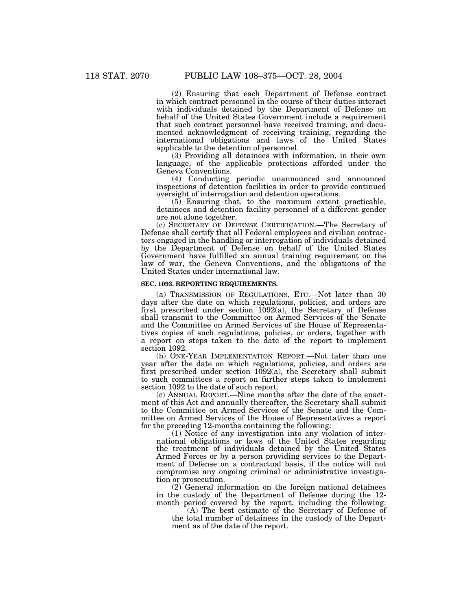(2) Ensuring that each Department of Defense contract in which contract personnel in the course of their duties interact with individuals detained by the Department of Defense on behalf of the United States Government include a requirement that such contract personnel have received training, and documented acknowledgment of receiving training, regarding the international obligations and laws of the United States applicable to the detention of personnel.

(3) Providing all detainees with information, in their own language, of the applicable protections afforded under the Geneva Conventions.

(4) Conducting periodic unannounced and announced inspections of detention facilities in order to provide continued oversight of interrogation and detention operations.

(5) Ensuring that, to the maximum extent practicable, detainees and detention facility personnel of a different gender are not alone together.

(c) SECRETARY OF DEFENSE CERTIFICATION.—The Secretary of Defense shall certify that all Federal employees and civilian contractors engaged in the handling or interrogation of individuals detained by the Department of Defense on behalf of the United States Government have fulfilled an annual training requirement on the law of war, the Geneva Conventions, and the obligations of the United States under international law.

#### **SEC. 1093. REPORTING REQUIREMENTS.**

(a) TRANSMISSION OF REGULATIONS, ETC.—Not later than 30 days after the date on which regulations, policies, and orders are first prescribed under section 1092(a), the Secretary of Defense shall transmit to the Committee on Armed Services of the Senate and the Committee on Armed Services of the House of Representatives copies of such regulations, policies, or orders, together with a report on steps taken to the date of the report to implement section 1092.

(b) ONE-YEAR IMPLEMENTATION REPORT.—Not later than one year after the date on which regulations, policies, and orders are first prescribed under section 1092(a), the Secretary shall submit to such committees a report on further steps taken to implement section 1092 to the date of such report.

(c) ANNUAL REPORT.—Nine months after the date of the enactment of this Act and annually thereafter, the Secretary shall submit to the Committee on Armed Services of the Senate and the Committee on Armed Services of the House of Representatives a report for the preceding 12-months containing the following:

(1) Notice of any investigation into any violation of international obligations or laws of the United States regarding the treatment of individuals detained by the United States Armed Forces or by a person providing services to the Department of Defense on a contractual basis, if the notice will not compromise any ongoing criminal or administrative investigation or prosecution.

(2) General information on the foreign national detainees in the custody of the Department of Defense during the 12 month period covered by the report, including the following:

(A) The best estimate of the Secretary of Defense of the total number of detainees in the custody of the Department as of the date of the report.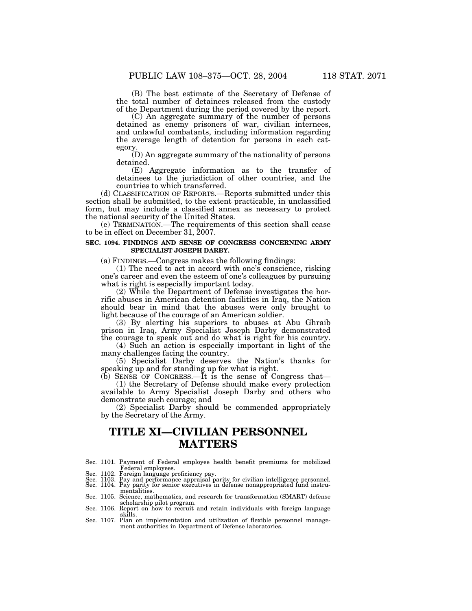(B) The best estimate of the Secretary of Defense of the total number of detainees released from the custody of the Department during the period covered by the report.

(C) An aggregate summary of the number of persons detained as enemy prisoners of war, civilian internees, and unlawful combatants, including information regarding the average length of detention for persons in each category.

(D) An aggregate summary of the nationality of persons detained.

(E) Aggregate information as to the transfer of detainees to the jurisdiction of other countries, and the countries to which transferred.

(d) CLASSIFICATION OF REPORTS.—Reports submitted under this section shall be submitted, to the extent practicable, in unclassified form, but may include a classified annex as necessary to protect the national security of the United States.

(e) TERMINATION.—The requirements of this section shall cease to be in effect on December 31, 2007.

#### **SEC. 1094. FINDINGS AND SENSE OF CONGRESS CONCERNING ARMY SPECIALIST JOSEPH DARBY.**

(a) FINDINGS.—Congress makes the following findings:

(1) The need to act in accord with one's conscience, risking one's career and even the esteem of one's colleagues by pursuing what is right is especially important today.

(2) While the Department of Defense investigates the horrific abuses in American detention facilities in Iraq, the Nation should bear in mind that the abuses were only brought to light because of the courage of an American soldier.

(3) By alerting his superiors to abuses at Abu Ghraib prison in Iraq, Army Specialist Joseph Darby demonstrated the courage to speak out and do what is right for his country.

(4) Such an action is especially important in light of the many challenges facing the country.

(5) Specialist Darby deserves the Nation's thanks for speaking up and for standing up for what is right.

(b) SENSE OF CONGRESS.—It is the sense of Congress that— (1) the Secretary of Defense should make every protection available to Army Specialist Joseph Darby and others who demonstrate such courage; and

(2) Specialist Darby should be commended appropriately by the Secretary of the Army.

## **TITLE XI—CIVILIAN PERSONNEL MATTERS**

- Sec. 1101. Payment of Federal employee health benefit premiums for mobilized
- 
- Federal employees.<br>Sec. 1102. Foreign language proficiency pay.<br>Sec. 1103. Pay and performance appraisal parity for civilian intelligence personnel.<br>Sec. 1104. Pay parity for senior executives in defense nonappropriated fu

mentalities. Sec. 1105. Science, mathematics, and research for transformation (SMART) defense scholarship pilot program.<br>Sec. 1106. Report on how to recruit and retain individuals with foreign language

skills. Sec. 1107. Plan on implementation and utilization of flexible personnel manage-

ment authorities in Department of Defense laboratories.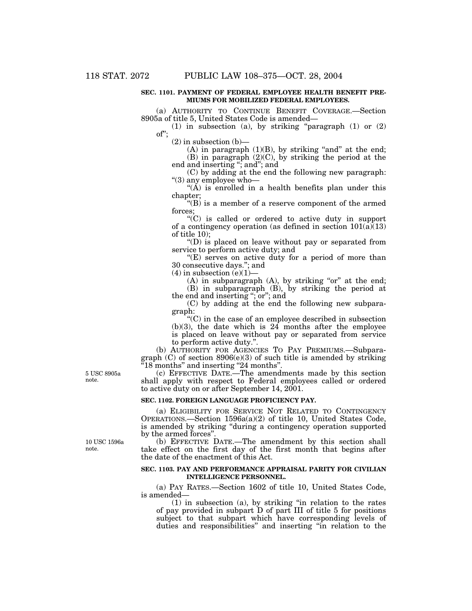#### **SEC. 1101. PAYMENT OF FEDERAL EMPLOYEE HEALTH BENEFIT PRE-MIUMS FOR MOBILIZED FEDERAL EMPLOYEES.**

(a) AUTHORITY TO CONTINUE BENEFIT COVERAGE.—Section 8905a of title 5, United States Code is amended—

(1) in subsection (a), by striking ''paragraph (1) or (2) of'';

(2) in subsection (b)—

 $(A)$  in paragraph  $(1)(B)$ , by striking "and" at the end;  $(B)$  in paragraph  $(2)(C)$ , by striking the period at the end and inserting "; and"; and

(C) by adding at the end the following new paragraph: ''(3) any employee who—

" $(\overrightarrow{A})$  is enrolled in a health benefits plan under this chapter;

" $(B)$  is a member of a reserve component of the armed forces;

''(C) is called or ordered to active duty in support of a contingency operation (as defined in section  $101(a)(13)$ ) of title 10);

''(D) is placed on leave without pay or separated from service to perform active duty; and

 $E(E)$  serves on active duty for a period of more than 30 consecutive days.''; and

 $(4)$  in subsection  $(e)(1)$ 

 $(A)$  in subparagraph  $(A)$ , by striking "or" at the end; (B) in subparagraph (B), by striking the period at

the end and inserting ''; or''; and

(C) by adding at the end the following new subparagraph:

''(C) in the case of an employee described in subsection  $(b)(3)$ , the date which is  $24$  months after the employee is placed on leave without pay or separated from service to perform active duty.''.

(b) AUTHORITY FOR AGENCIES TO PAY PREMIUMS.—Subparagraph  $(C)$  of section 8906(e)(3) of such title is amended by striking ''18 months'' and inserting ''24 months''.

(c) EFFECTIVE DATE.—The amendments made by this section shall apply with respect to Federal employees called or ordered to active duty on or after September 14, 2001.

#### **SEC. 1102. FOREIGN LANGUAGE PROFICIENCY PAY.**

(a) ELIGIBILITY FOR SERVICE NOT RELATED TO CONTINGENCY OPERATIONS.—Section 1596a(a)(2) of title 10, United States Code, is amended by striking ''during a contingency operation supported by the armed forces''.

(b) EFFECTIVE DATE.—The amendment by this section shall take effect on the first day of the first month that begins after the date of the enactment of this Act.

#### **SEC. 1103. PAY AND PERFORMANCE APPRAISAL PARITY FOR CIVILIAN INTELLIGENCE PERSONNEL.**

(a) PAY RATES.—Section 1602 of title 10, United States Code, is amended—

(1) in subsection (a), by striking ''in relation to the rates of pay provided in subpart D of part III of title 5 for positions subject to that subpart which have corresponding levels of duties and responsibilities'' and inserting ''in relation to the

10 USC 1596a note.

5 USC 8905a note.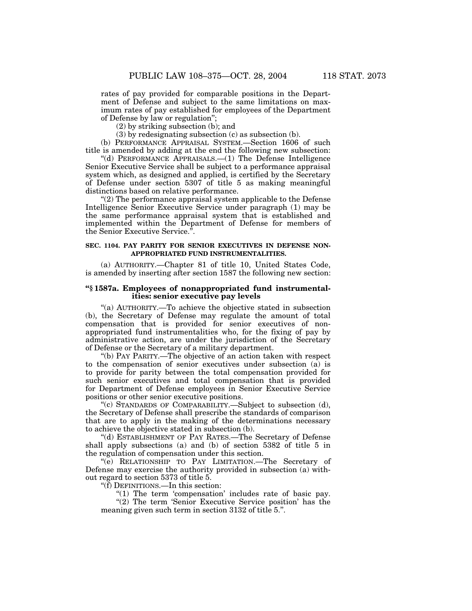rates of pay provided for comparable positions in the Department of Defense and subject to the same limitations on maximum rates of pay established for employees of the Department of Defense by law or regulation'';

(2) by striking subsection (b); and

(3) by redesignating subsection (c) as subsection (b).

(b) PERFORMANCE APPRAISAL SYSTEM.—Section 1606 of such title is amended by adding at the end the following new subsection:

''(d) PERFORMANCE APPRAISALS.—(1) The Defense Intelligence Senior Executive Service shall be subject to a performance appraisal system which, as designed and applied, is certified by the Secretary of Defense under section 5307 of title 5 as making meaningful distinctions based on relative performance.

''(2) The performance appraisal system applicable to the Defense Intelligence Senior Executive Service under paragraph (1) may be the same performance appraisal system that is established and implemented within the Department of Defense for members of the Senior Executive Service.''.

#### **SEC. 1104. PAY PARITY FOR SENIOR EXECUTIVES IN DEFENSE NON-APPROPRIATED FUND INSTRUMENTALITIES.**

(a) AUTHORITY.—Chapter 81 of title 10, United States Code, is amended by inserting after section 1587 the following new section:

### **''§ 1587a. Employees of nonappropriated fund instrumentalities: senior executive pay levels**

''(a) AUTHORITY.—To achieve the objective stated in subsection (b), the Secretary of Defense may regulate the amount of total compensation that is provided for senior executives of nonappropriated fund instrumentalities who, for the fixing of pay by administrative action, are under the jurisdiction of the Secretary of Defense or the Secretary of a military department.

''(b) PAY PARITY.—The objective of an action taken with respect to the compensation of senior executives under subsection (a) is to provide for parity between the total compensation provided for such senior executives and total compensation that is provided for Department of Defense employees in Senior Executive Service positions or other senior executive positions.

''(c) STANDARDS OF COMPARABILITY.—Subject to subsection (d), the Secretary of Defense shall prescribe the standards of comparison that are to apply in the making of the determinations necessary to achieve the objective stated in subsection (b).

''(d) ESTABLISHMENT OF PAY RATES.—The Secretary of Defense shall apply subsections (a) and (b) of section 5382 of title 5 in the regulation of compensation under this section.

''(e) RELATIONSHIP TO PAY LIMITATION.—The Secretary of Defense may exercise the authority provided in subsection (a) without regard to section 5373 of title 5.

''(f) DEFINITIONS.—In this section:

"(1) The term 'compensation' includes rate of basic pay. "(2) The term 'Senior Executive Service position' has the meaning given such term in section 3132 of title 5.''.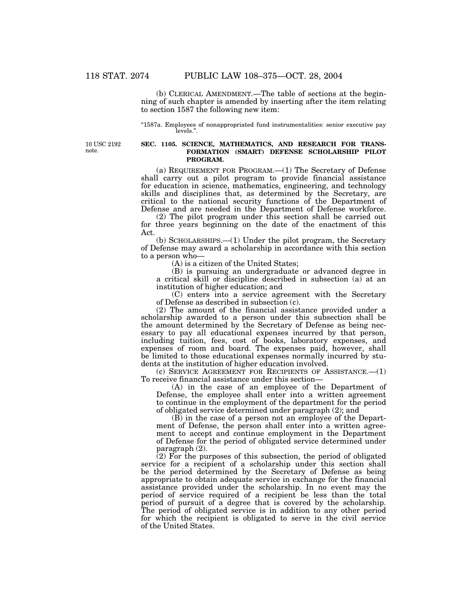(b) CLERICAL AMENDMENT.—The table of sections at the beginning of such chapter is amended by inserting after the item relating to section 1587 the following new item:

''1587a. Employees of nonappropriated fund instrumentalities: senior executive pay levels.''.

10 USC 2192 note.

#### **SEC. 1105. SCIENCE, MATHEMATICS, AND RESEARCH FOR TRANS-FORMATION (SMART) DEFENSE SCHOLARSHIP PILOT PROGRAM.**

(a) REQUIREMENT FOR PROGRAM.—(1) The Secretary of Defense shall carry out a pilot program to provide financial assistance for education in science, mathematics, engineering, and technology skills and disciplines that, as determined by the Secretary, are critical to the national security functions of the Department of Defense and are needed in the Department of Defense workforce.

(2) The pilot program under this section shall be carried out for three years beginning on the date of the enactment of this Act.

(b) SCHOLARSHIPS.—(1) Under the pilot program, the Secretary of Defense may award a scholarship in accordance with this section to a person who—

(A) is a citizen of the United States;

(B) is pursuing an undergraduate or advanced degree in a critical skill or discipline described in subsection (a) at an institution of higher education; and

(C) enters into a service agreement with the Secretary of Defense as described in subsection (c).

(2) The amount of the financial assistance provided under a scholarship awarded to a person under this subsection shall be the amount determined by the Secretary of Defense as being necessary to pay all educational expenses incurred by that person, including tuition, fees, cost of books, laboratory expenses, and expenses of room and board. The expenses paid, however, shall be limited to those educational expenses normally incurred by students at the institution of higher education involved.

(c) SERVICE AGREEMENT FOR RECIPIENTS OF ASSISTANCE.—(1) To receive financial assistance under this section—

(A) in the case of an employee of the Department of Defense, the employee shall enter into a written agreement to continue in the employment of the department for the period of obligated service determined under paragraph (2); and

(B) in the case of a person not an employee of the Department of Defense, the person shall enter into a written agreement to accept and continue employment in the Department of Defense for the period of obligated service determined under paragraph (2).

 $(2)$  For the purposes of this subsection, the period of obligated service for a recipient of a scholarship under this section shall be the period determined by the Secretary of Defense as being appropriate to obtain adequate service in exchange for the financial assistance provided under the scholarship. In no event may the period of service required of a recipient be less than the total period of pursuit of a degree that is covered by the scholarship. The period of obligated service is in addition to any other period for which the recipient is obligated to serve in the civil service of the United States.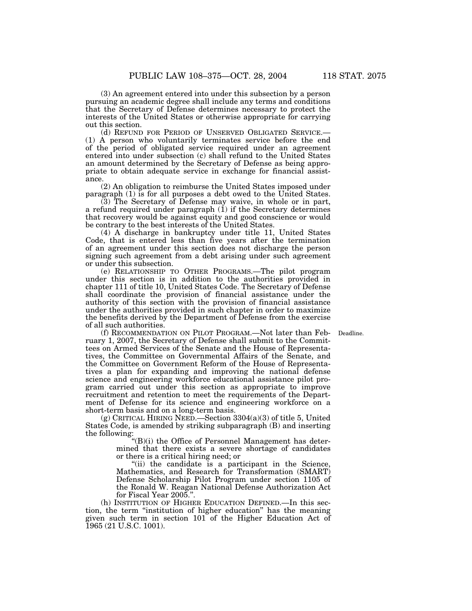(3) An agreement entered into under this subsection by a person pursuing an academic degree shall include any terms and conditions that the Secretary of Defense determines necessary to protect the interests of the United States or otherwise appropriate for carrying out this section.<br>(d) REFUND FOR PERIOD OF UNSERVED OBLIGATED SERVICE.—

 $(1)$  A person who voluntarily terminates service before the end of the period of obligated service required under an agreement entered into under subsection (c) shall refund to the United States an amount determined by the Secretary of Defense as being appropriate to obtain adequate service in exchange for financial assistance.

(2) An obligation to reimburse the United States imposed under paragraph (1) is for all purposes a debt owed to the United States.

(3) The Secretary of Defense may waive, in whole or in part, a refund required under paragraph (1) if the Secretary determines that recovery would be against equity and good conscience or would be contrary to the best interests of the United States.

(4) A discharge in bankruptcy under title 11, United States Code, that is entered less than five years after the termination of an agreement under this section does not discharge the person signing such agreement from a debt arising under such agreement or under this subsection.

(e) RELATIONSHIP TO OTHER PROGRAMS.—The pilot program under this section is in addition to the authorities provided in chapter 111 of title 10, United States Code. The Secretary of Defense shall coordinate the provision of financial assistance under the authority of this section with the provision of financial assistance under the authorities provided in such chapter in order to maximize the benefits derived by the Department of Defense from the exercise of all such authorities.

Deadline.

(f) RECOMMENDATION ON PILOT PROGRAM.—Not later than February 1, 2007, the Secretary of Defense shall submit to the Committees on Armed Services of the Senate and the House of Representatives, the Committee on Governmental Affairs of the Senate, and the Committee on Government Reform of the House of Representatives a plan for expanding and improving the national defense science and engineering workforce educational assistance pilot program carried out under this section as appropriate to improve recruitment and retention to meet the requirements of the Department of Defense for its science and engineering workforce on a short-term basis and on a long-term basis.

(g) CRITICAL HIRING NEED.—Section 3304(a)(3) of title 5, United States Code, is amended by striking subparagraph (B) and inserting the following:

''(B)(i) the Office of Personnel Management has determined that there exists a severe shortage of candidates or there is a critical hiring need; or

"(ii) the candidate is a participant in the Science, Mathematics, and Research for Transformation (SMART) Defense Scholarship Pilot Program under section 1105 of the Ronald W. Reagan National Defense Authorization Act for Fiscal Year 2005.''.

(h) INSTITUTION OF HIGHER EDUCATION DEFINED.—In this section, the term ''institution of higher education'' has the meaning given such term in section 101 of the Higher Education Act of 1965 (21 U.S.C. 1001).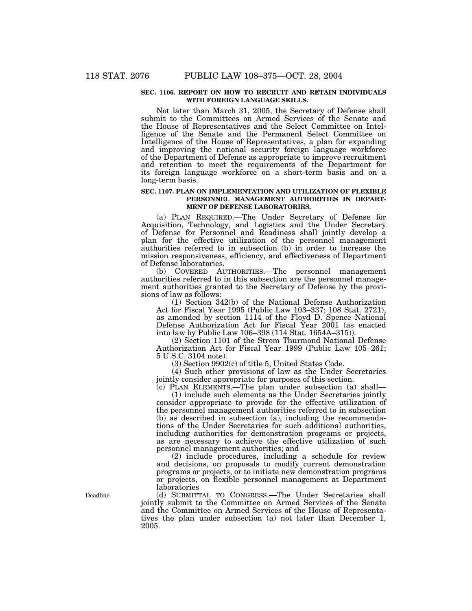#### **SEC. 1106. REPORT ON HOW TO RECRUIT AND RETAIN INDIVIDUALS WITH FOREIGN LANGUAGE SKILLS.**

Not later than March 31, 2005, the Secretary of Defense shall submit to the Committees on Armed Services of the Senate and the House of Representatives and the Select Committee on Intelligence of the Senate and the Permanent Select Committee on Intelligence of the House of Representatives, a plan for expanding and improving the national security foreign language workforce of the Department of Defense as appropriate to improve recruitment and retention to meet the requirements of the Department for its foreign language workforce on a short-term basis and on a long-term basis.

#### **SEC. 1107. PLAN ON IMPLEMENTATION AND UTILIZATION OF FLEXIBLE PERSONNEL MANAGEMENT AUTHORITIES IN DEPART-MENT OF DEFENSE LABORATORIES.**

(a) PLAN REQUIRED.—The Under Secretary of Defense for Acquisition, Technology, and Logistics and the Under Secretary of Defense for Personnel and Readiness shall jointly develop a plan for the effective utilization of the personnel management authorities referred to in subsection (b) in order to increase the mission responsiveness, efficiency, and effectiveness of Department of Defense laboratories.

(b) COVERED AUTHORITIES.—The personnel management authorities referred to in this subsection are the personnel management authorities granted to the Secretary of Defense by the provisions of law as follows:

(1) Section 342(b) of the National Defense Authorization Act for Fiscal Year 1995 (Public Law 103–337; 108 Stat. 2721), as amended by section 1114 of the Floyd D. Spence National Defense Authorization Act for Fiscal Year 2001 (as enacted into law by Public Law 106–398 (114 Stat. 1654A–315)).

(2) Section 1101 of the Strom Thurmond National Defense Authorization Act for Fiscal Year 1999 (Public Law 105–261; 5 U.S.C. 3104 note).

(3) Section 9902(c) of title 5, United States Code.

(4) Such other provisions of law as the Under Secretaries jointly consider appropriate for purposes of this section.

(c) PLAN ELEMENTS.—The plan under subsection (a) shall— (1) include such elements as the Under Secretaries jointly consider appropriate to provide for the effective utilization of the personnel management authorities referred to in subsection (b) as described in subsection (a), including the recommendations of the Under Secretaries for such additional authorities, including authorities for demonstration programs or projects, as are necessary to achieve the effective utilization of such personnel management authorities; and

(2) include procedures, including a schedule for review and decisions, on proposals to modify current demonstration programs or projects, or to initiate new demonstration programs or projects, on flexible personnel management at Department laboratories

(d) SUBMITTAL TO CONGRESS.—The Under Secretaries shall jointly submit to the Committee on Armed Services of the Senate and the Committee on Armed Services of the House of Representatives the plan under subsection (a) not later than December 1, 2005.

Deadline.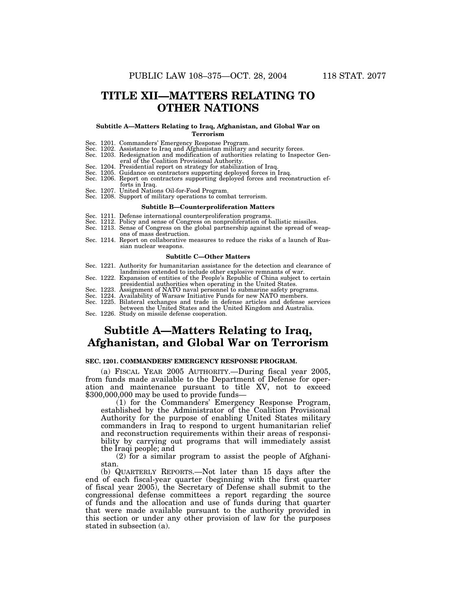### **TITLE XII—MATTERS RELATING TO OTHER NATIONS**

#### **Subtitle A—Matters Relating to Iraq, Afghanistan, and Global War on Terrorism**

- 
- Sec. 1201. Commanders' Emergency Response Program. Sec. 1202. Assistance to Iraq and Afghanistan military and security forces. Sec. 1203. Redesignation and modification of authorities relating to Inspector Gen-
- eral of the Coalition Provisional Authority.
- Sec. 1204. Presidential report on strategy for stabilization of Iraq.
- Sec. 1205. Guidance on contractors supporting deployed forces in Iraq.
- Sec. 1206. Report on contractors supporting deployed forces and reconstruction efforts in Iraq.
- 
- Sec. 1207. United Nations Oil-for-Food Program. Sec. 1208. Support of military operations to combat terrorism.

#### **Subtitle B—Counterproliferation Matters**

- Sec. 1211. Defense international counterproliferation programs.
- Sec. 1212. Policy and sense of Congress on nonproliferation of ballistic missiles.
- Sec. 1213. Sense of Congress on the global partnership against the spread of weapons of mass destruction.
- Sec. 1214. Report on collaborative measures to reduce the risks of a launch of Russian nuclear weapons.

#### **Subtitle C—Other Matters**

- Sec. 1221. Authority for humanitarian assistance for the detection and clearance of landmines extended to include other explosive remnants of war.
- Sec. 1222. Expansion of entities of the People's Republic of China subject to certain presidential authorities when operating in the United States.
- 
- Sec. 1223. Assignment of NATO naval personnel to submarine safety programs. Sec. 1224. Availability of Warsaw Initiative Funds for new NATO members.
- Sec. 1225. Bilateral exchanges and trade in defense articles and defense services

between the United States and the United Kingdom and Australia.

Sec. 1226. Study on missile defense cooperation.

### **Subtitle A—Matters Relating to Iraq, Afghanistan, and Global War on Terrorism**

#### **SEC. 1201. COMMANDERS' EMERGENCY RESPONSE PROGRAM.**

(a) FISCAL YEAR 2005 AUTHORITY.—During fiscal year 2005, from funds made available to the Department of Defense for operation and maintenance pursuant to title XV, not to exceed \$300,000,000 may be used to provide funds—

(1) for the Commanders' Emergency Response Program, established by the Administrator of the Coalition Provisional Authority for the purpose of enabling United States military commanders in Iraq to respond to urgent humanitarian relief and reconstruction requirements within their areas of responsibility by carrying out programs that will immediately assist the Iraqi people; and

(2) for a similar program to assist the people of Afghanistan.

(b) QUARTERLY REPORTS.—Not later than 15 days after the end of each fiscal-year quarter (beginning with the first quarter of fiscal year 2005), the Secretary of Defense shall submit to the congressional defense committees a report regarding the source of funds and the allocation and use of funds during that quarter that were made available pursuant to the authority provided in this section or under any other provision of law for the purposes stated in subsection (a).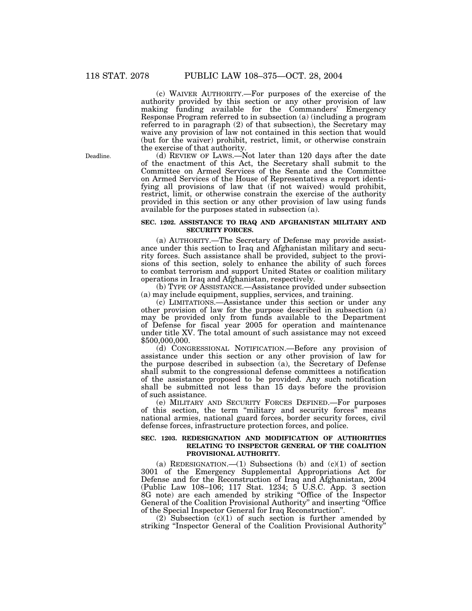(c) WAIVER AUTHORITY.—For purposes of the exercise of the authority provided by this section or any other provision of law making funding available for the Commanders' Emergency Response Program referred to in subsection (a) (including a program referred to in paragraph (2) of that subsection), the Secretary may waive any provision of law not contained in this section that would (but for the waiver) prohibit, restrict, limit, or otherwise constrain the exercise of that authority.

(d) REVIEW OF LAWS.—Not later than 120 days after the date of the enactment of this Act, the Secretary shall submit to the Committee on Armed Services of the Senate and the Committee on Armed Services of the House of Representatives a report identifying all provisions of law that (if not waived) would prohibit, restrict, limit, or otherwise constrain the exercise of the authority provided in this section or any other provision of law using funds available for the purposes stated in subsection (a).

#### **SEC. 1202. ASSISTANCE TO IRAQ AND AFGHANISTAN MILITARY AND SECURITY FORCES.**

(a) AUTHORITY.—The Secretary of Defense may provide assistance under this section to Iraq and Afghanistan military and security forces. Such assistance shall be provided, subject to the provisions of this section, solely to enhance the ability of such forces to combat terrorism and support United States or coalition military operations in Iraq and Afghanistan, respectively.

(b) TYPE OF ASSISTANCE.—Assistance provided under subsection (a) may include equipment, supplies, services, and training.

(c) LIMITATIONS.—Assistance under this section or under any other provision of law for the purpose described in subsection (a) may be provided only from funds available to the Department of Defense for fiscal year 2005 for operation and maintenance under title XV. The total amount of such assistance may not exceed \$500,000,000.

(d) CONGRESSIONAL NOTIFICATION.—Before any provision of assistance under this section or any other provision of law for the purpose described in subsection (a), the Secretary of Defense shall submit to the congressional defense committees a notification of the assistance proposed to be provided. Any such notification shall be submitted not less than 15 days before the provision of such assistance.

(e) MILITARY AND SECURITY FORCES DEFINED.—For purposes of this section, the term ''military and security forces'' means national armies, national guard forces, border security forces, civil defense forces, infrastructure protection forces, and police.

#### **SEC. 1203. REDESIGNATION AND MODIFICATION OF AUTHORITIES RELATING TO INSPECTOR GENERAL OF THE COALITION PROVISIONAL AUTHORITY.**

(a) REDESIGNATION.— $(1)$  Subsections (b) and  $(c)(1)$  of section 3001 of the Emergency Supplemental Appropriations Act for Defense and for the Reconstruction of Iraq and Afghanistan, 2004 (Public Law 108–106; 117 Stat. 1234; 5 U.S.C. App. 3 section 8G note) are each amended by striking ''Office of the Inspector General of the Coalition Provisional Authority'' and inserting ''Office of the Special Inspector General for Iraq Reconstruction''.

 $(2)$  Subsection  $(c)(1)$  of such section is further amended by striking ''Inspector General of the Coalition Provisional Authority''

Deadline.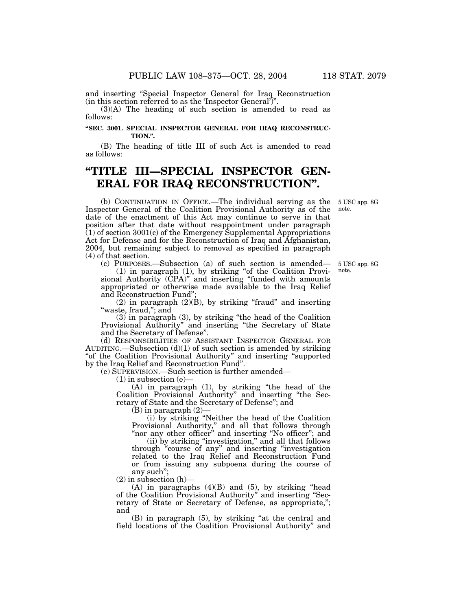(in this section referred to as the 'Inspector General')''. (3)(A) The heading of such section is amended to read as follows:

#### **''SEC. 3001. SPECIAL INSPECTOR GENERAL FOR IRAQ RECONSTRUC-TION.''.**

(B) The heading of title III of such Act is amended to read as follows:

# **''TITLE III—SPECIAL INSPECTOR GEN-ERAL FOR IRAQ RECONSTRUCTION''.**

(b) CONTINUATION IN OFFICE.—The individual serving as the Inspector General of the Coalition Provisional Authority as of the date of the enactment of this Act may continue to serve in that position after that date without reappointment under paragraph  $(1)$  of section 3001 $(c)$  of the Emergency Supplemental Appropriations Act for Defense and for the Reconstruction of Iraq and Afghanistan, 2004, but remaining subject to removal as specified in paragraph (4) of that section.

(c) PURPOSES.—Subsection (a) of such section is amended— 5 USC app. 8G (1) in paragraph (1), by striking ''of the Coalition Provisional Authority (CPA)'' and inserting ''funded with amounts appropriated or otherwise made available to the Iraq Relief and Reconstruction Fund'';

 $(2)$  in paragraph  $(2)(B)$ , by striking "fraud" and inserting "waste, fraud,"; and

(3) in paragraph (3), by striking ''the head of the Coalition Provisional Authority" and inserting "the Secretary of State and the Secretary of Defense''.

(d) RESPONSIBILITIES OF ASSISTANT INSPECTOR GENERAL FOR AUDITING.—Subsection  $(d)(1)$  of such section is amended by striking " of the Coalition Provisional Authority" and inserting "supported" by the Iraq Relief and Reconstruction Fund''.

(e) SUPERVISION.—Such section is further amended—

 $(1)$  in subsection  $(e)$ —

(A) in paragraph (1), by striking ''the head of the Coalition Provisional Authority'' and inserting ''the Secretary of State and the Secretary of Defense''; and

 $(B)$  in paragraph  $(2)$ 

(i) by striking ''Neither the head of the Coalition Provisional Authority,'' and all that follows through "nor any other officer" and inserting "No officer"; and

(ii) by striking ''investigation,'' and all that follows through "course of any" and inserting "investigation related to the Iraq Relief and Reconstruction Fund or from issuing any subpoena during the course of any such'';

 $(2)$  in subsection  $(h)$ –

 $(A)$  in paragraphs  $(4)(B)$  and  $(5)$ , by striking "head of the Coalition Provisional Authority'' and inserting ''Secretary of State or Secretary of Defense, as appropriate,''; and

(B) in paragraph (5), by striking ''at the central and field locations of the Coalition Provisional Authority'' and

note.

5 USC app. 8G note.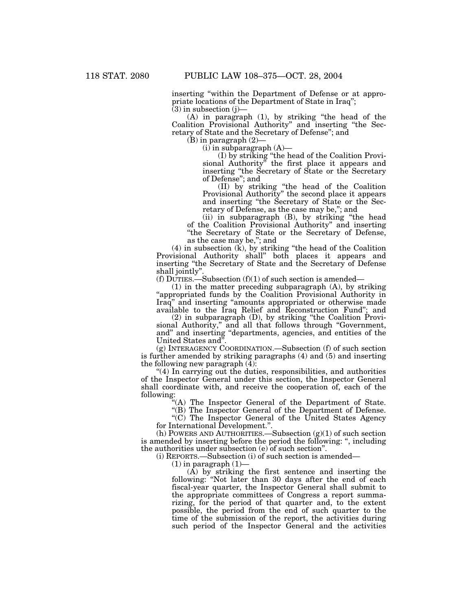inserting ''within the Department of Defense or at appropriate locations of the Department of State in Iraq'';

 $(3)$  in subsection  $(j)$ —

(A) in paragraph (1), by striking ''the head of the Coalition Provisional Authority'' and inserting ''the Secretary of State and the Secretary of Defense''; and

(B) in paragraph (2)—

 $(i)$  in subparagraph  $(A)$ —

(I) by striking ''the head of the Coalition Provisional Authority'' the first place it appears and inserting ''the Secretary of State or the Secretary of Defense''; and

(II) by striking ''the head of the Coalition Provisional Authority'' the second place it appears and inserting ''the Secretary of State or the Secretary of Defense, as the case may be,''; and

(ii) in subparagraph (B), by striking ''the head of the Coalition Provisional Authority'' and inserting ''the Secretary of State or the Secretary of Defense, as the case may be,''; and

(4) in subsection (k), by striking ''the head of the Coalition Provisional Authority shall'' both places it appears and inserting ''the Secretary of State and the Secretary of Defense shall jointly''.

(f) DUTIES.—Subsection  $(f)(1)$  of such section is amended—

(1) in the matter preceding subparagraph (A), by striking "appropriated funds by the Coalition Provisional Authority in Iraq'' and inserting ''amounts appropriated or otherwise made available to the Iraq Relief and Reconstruction Fund''; and

(2) in subparagraph (D), by striking ''the Coalition Provisional Authority,'' and all that follows through ''Government, and'' and inserting ''departments, agencies, and entities of the United States and''.

(g) INTERAGENCY COORDINATION.—Subsection (f) of such section is further amended by striking paragraphs (4) and (5) and inserting the following new paragraph  $(\overline{4})$ :

''(4) In carrying out the duties, responsibilities, and authorities of the Inspector General under this section, the Inspector General shall coordinate with, and receive the cooperation of, each of the following:

"(A) The Inspector General of the Department of State.

"(B) The Inspector General of the Department of Defense.

''(C) The Inspector General of the United States Agency for International Development.''.

(h) POWERS AND AUTHORITIES.—Subsection  $(g)(1)$  of such section is amended by inserting before the period the following: '', including the authorities under subsection (e) of such section''.

(i) REPORTS.—Subsection (i) of such section is amended—

 $(1)$  in paragraph  $(1)$ 

(A) by striking the first sentence and inserting the following: ''Not later than 30 days after the end of each fiscal-year quarter, the Inspector General shall submit to the appropriate committees of Congress a report summarizing, for the period of that quarter and, to the extent possible, the period from the end of such quarter to the time of the submission of the report, the activities during such period of the Inspector General and the activities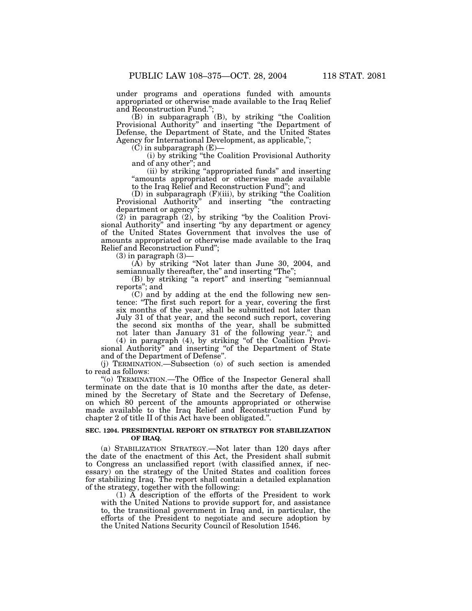under programs and operations funded with amounts appropriated or otherwise made available to the Iraq Relief and Reconstruction Fund.'';

(B) in subparagraph (B), by striking ''the Coalition Provisional Authority'' and inserting ''the Department of Defense, the Department of State, and the United States Agency for International Development, as applicable,'';

 $(C)$  in subparagraph  $(E)$ –

(i) by striking ''the Coalition Provisional Authority and of any other''; and

(ii) by striking ''appropriated funds'' and inserting ''amounts appropriated or otherwise made available to the Iraq Relief and Reconstruction Fund''; and

(D) in subparagraph (F)(iii), by striking ''the Coalition Provisional Authority'' and inserting ''the contracting department or agency";

 $(2)$  in paragraph  $(2)$ , by striking "by the Coalition Provisional Authority'' and inserting ''by any department or agency of the United States Government that involves the use of amounts appropriated or otherwise made available to the Iraq Relief and Reconstruction Fund'';

 $(3)$  in paragraph  $(3)$ 

(A) by striking ''Not later than June 30, 2004, and semiannually thereafter, the" and inserting "The";

(B) by striking "a report" and inserting "semiannual reports''; and

(C) and by adding at the end the following new sentence: ''The first such report for a year, covering the first six months of the year, shall be submitted not later than July 31 of that year, and the second such report, covering the second six months of the year, shall be submitted not later than January 31 of the following year.''; and

(4) in paragraph (4), by striking ''of the Coalition Provisional Authority" and inserting "of the Department of State and of the Department of Defense''.

(j) TERMINATION.—Subsection (o) of such section is amended to read as follows:

''(o) TERMINATION.—The Office of the Inspector General shall terminate on the date that is 10 months after the date, as determined by the Secretary of State and the Secretary of Defense, on which 80 percent of the amounts appropriated or otherwise made available to the Iraq Relief and Reconstruction Fund by chapter 2 of title II of this Act have been obligated.''.

#### **SEC. 1204. PRESIDENTIAL REPORT ON STRATEGY FOR STABILIZATION OF IRAQ.**

(a) STABILIZATION STRATEGY.—Not later than 120 days after the date of the enactment of this Act, the President shall submit to Congress an unclassified report (with classified annex, if necessary) on the strategy of the United States and coalition forces for stabilizing Iraq. The report shall contain a detailed explanation of the strategy, together with the following:

(1) A description of the efforts of the President to work with the United Nations to provide support for, and assistance to, the transitional government in Iraq and, in particular, the efforts of the President to negotiate and secure adoption by the United Nations Security Council of Resolution 1546.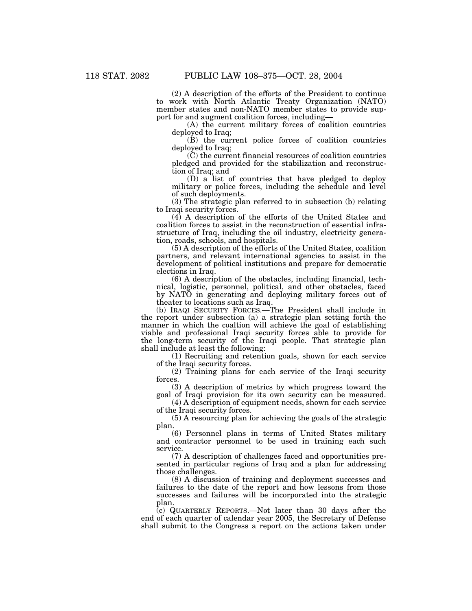(2) A description of the efforts of the President to continue to work with North Atlantic Treaty Organization (NATO) member states and non-NATO member states to provide support for and augment coalition forces, including—

(A) the current military forces of coalition countries deployed to Iraq;

(B) the current police forces of coalition countries deployed to Iraq;

(C) the current financial resources of coalition countries pledged and provided for the stabilization and reconstruction of Iraq; and

 $(D)$  a list of countries that have pledged to deploy military or police forces, including the schedule and level of such deployments.

(3) The strategic plan referred to in subsection (b) relating to Iraqi security forces.

(4) A description of the efforts of the United States and coalition forces to assist in the reconstruction of essential infrastructure of Iraq, including the oil industry, electricity generation, roads, schools, and hospitals.

(5) A description of the efforts of the United States, coalition partners, and relevant international agencies to assist in the development of political institutions and prepare for democratic elections in Iraq.

(6) A description of the obstacles, including financial, technical, logistic, personnel, political, and other obstacles, faced by NATO in generating and deploying military forces out of theater to locations such as Iraq.

(b) IRAQI SECURITY FORCES.—The President shall include in the report under subsection (a) a strategic plan setting forth the manner in which the coaltion will achieve the goal of establishing viable and professional Iraqi security forces able to provide for the long-term security of the Iraqi people. That strategic plan shall include at least the following:

(1) Recruiting and retention goals, shown for each service of the Iraqi security forces.

(2) Training plans for each service of the Iraqi security forces.

(3) A description of metrics by which progress toward the goal of Iraqi provision for its own security can be measured.

(4) A description of equipment needs, shown for each service of the Iraqi security forces.

(5) A resourcing plan for achieving the goals of the strategic plan.

(6) Personnel plans in terms of United States military and contractor personnel to be used in training each such service.

(7) A description of challenges faced and opportunities presented in particular regions of Iraq and a plan for addressing those challenges.

(8) A discussion of training and deployment successes and failures to the date of the report and how lessons from those successes and failures will be incorporated into the strategic plan.

(c) QUARTERLY REPORTS.—Not later than 30 days after the end of each quarter of calendar year 2005, the Secretary of Defense shall submit to the Congress a report on the actions taken under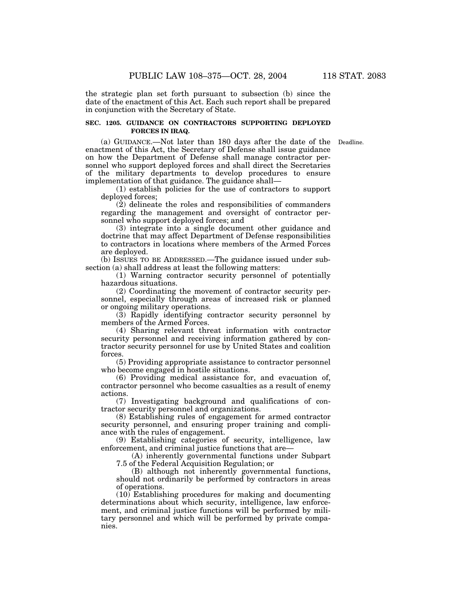the strategic plan set forth pursuant to subsection (b) since the date of the enactment of this Act. Each such report shall be prepared in conjunction with the Secretary of State.

### **SEC. 1205. GUIDANCE ON CONTRACTORS SUPPORTING DEPLOYED FORCES IN IRAQ.**

(a) GUIDANCE.—Not later than 180 days after the date of the Deadline. enactment of this Act, the Secretary of Defense shall issue guidance on how the Department of Defense shall manage contractor personnel who support deployed forces and shall direct the Secretaries of the military departments to develop procedures to ensure implementation of that guidance. The guidance shall—

(1) establish policies for the use of contractors to support deployed forces;

(2) delineate the roles and responsibilities of commanders regarding the management and oversight of contractor personnel who support deployed forces; and

(3) integrate into a single document other guidance and doctrine that may affect Department of Defense responsibilities to contractors in locations where members of the Armed Forces are deployed.

(b) ISSUES TO BE ADDRESSED.—The guidance issued under subsection (a) shall address at least the following matters:

(1) Warning contractor security personnel of potentially hazardous situations.

(2) Coordinating the movement of contractor security personnel, especially through areas of increased risk or planned or ongoing military operations.

(3) Rapidly identifying contractor security personnel by members of the Armed Forces.

(4) Sharing relevant threat information with contractor security personnel and receiving information gathered by contractor security personnel for use by United States and coalition forces.

(5) Providing appropriate assistance to contractor personnel who become engaged in hostile situations.

(6) Providing medical assistance for, and evacuation of, contractor personnel who become casualties as a result of enemy actions.

(7) Investigating background and qualifications of contractor security personnel and organizations.

(8) Establishing rules of engagement for armed contractor security personnel, and ensuring proper training and compliance with the rules of engagement.

(9) Establishing categories of security, intelligence, law enforcement, and criminal justice functions that are—

(A) inherently governmental functions under Subpart 7.5 of the Federal Acquisition Regulation; or

(B) although not inherently governmental functions, should not ordinarily be performed by contractors in areas of operations.

(10) Establishing procedures for making and documenting determinations about which security, intelligence, law enforcement, and criminal justice functions will be performed by military personnel and which will be performed by private companies.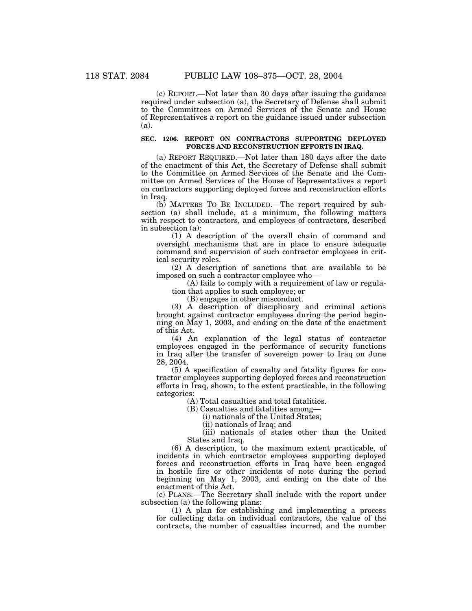(c) REPORT.—Not later than 30 days after issuing the guidance required under subsection (a), the Secretary of Defense shall submit to the Committees on Armed Services of the Senate and House of Representatives a report on the guidance issued under subsection (a).

#### **SEC. 1206. REPORT ON CONTRACTORS SUPPORTING DEPLOYED FORCES AND RECONSTRUCTION EFFORTS IN IRAQ.**

(a) REPORT REQUIRED.—Not later than 180 days after the date of the enactment of this Act, the Secretary of Defense shall submit to the Committee on Armed Services of the Senate and the Committee on Armed Services of the House of Representatives a report on contractors supporting deployed forces and reconstruction efforts in Iraq.

(b) MATTERS TO BE INCLUDED.—The report required by subsection (a) shall include, at a minimum, the following matters with respect to contractors, and employees of contractors, described in subsection (a):

(1) A description of the overall chain of command and oversight mechanisms that are in place to ensure adequate command and supervision of such contractor employees in critical security roles.

(2) A description of sanctions that are available to be imposed on such a contractor employee who—

(A) fails to comply with a requirement of law or regulation that applies to such employee; or

(B) engages in other misconduct.

(3) A description of disciplinary and criminal actions brought against contractor employees during the period beginning on May 1, 2003, and ending on the date of the enactment of this Act.

(4) An explanation of the legal status of contractor employees engaged in the performance of security functions in Iraq after the transfer of sovereign power to Iraq on June 28, 2004.

(5) A specification of casualty and fatality figures for contractor employees supporting deployed forces and reconstruction efforts in Iraq, shown, to the extent practicable, in the following categories:

(A) Total casualties and total fatalities.

(B) Casualties and fatalities among—

(i) nationals of the United States;

(ii) nationals of Iraq; and

(iii) nationals of states other than the United States and Iraq.

(6) A description, to the maximum extent practicable, of incidents in which contractor employees supporting deployed forces and reconstruction efforts in Iraq have been engaged in hostile fire or other incidents of note during the period beginning on May 1, 2003, and ending on the date of the enactment of this Act.

(c) PLANS.—The Secretary shall include with the report under subsection (a) the following plans:

(1) A plan for establishing and implementing a process for collecting data on individual contractors, the value of the contracts, the number of casualties incurred, and the number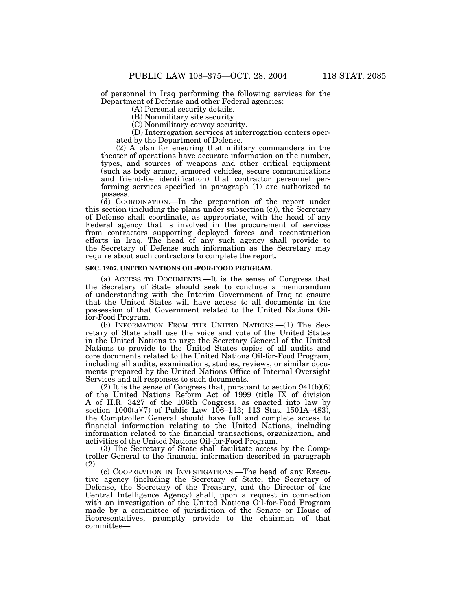of personnel in Iraq performing the following services for the Department of Defense and other Federal agencies:

(A) Personal security details.

(B) Nonmilitary site security.

(C) Nonmilitary convoy security.

(D) Interrogation services at interrogation centers operated by the Department of Defense.

(2) A plan for ensuring that military commanders in the theater of operations have accurate information on the number, types, and sources of weapons and other critical equipment (such as body armor, armored vehicles, secure communications and friend-foe identification) that contractor personnel performing services specified in paragraph (1) are authorized to possess.

(d) COORDINATION.—In the preparation of the report under this section (including the plans under subsection (c)), the Secretary of Defense shall coordinate, as appropriate, with the head of any Federal agency that is involved in the procurement of services from contractors supporting deployed forces and reconstruction efforts in Iraq. The head of any such agency shall provide to the Secretary of Defense such information as the Secretary may require about such contractors to complete the report.

#### **SEC. 1207. UNITED NATIONS OIL-FOR-FOOD PROGRAM.**

(a) ACCESS TO DOCUMENTS.—It is the sense of Congress that the Secretary of State should seek to conclude a memorandum of understanding with the Interim Government of Iraq to ensure that the United States will have access to all documents in the possession of that Government related to the United Nations Oilfor-Food Program.

(b) INFORMATION FROM THE UNITED NATIONS.—(1) The Secretary of State shall use the voice and vote of the United States in the United Nations to urge the Secretary General of the United Nations to provide to the United States copies of all audits and core documents related to the United Nations Oil-for-Food Program, including all audits, examinations, studies, reviews, or similar documents prepared by the United Nations Office of Internal Oversight Services and all responses to such documents.

 $(2)$  It is the sense of Congress that, pursuant to section  $941(b)(6)$ of the United Nations Reform Act of 1999 (title IX of division A of H.R. 3427 of the 106th Congress, as enacted into law by section 1000(a)(7) of Public Law 106–113; 113 Stat. 1501A–483), the Comptroller General should have full and complete access to financial information relating to the United Nations, including information related to the financial transactions, organization, and activities of the United Nations Oil-for-Food Program.

(3) The Secretary of State shall facilitate access by the Comptroller General to the financial information described in paragraph (2).

(c) COOPERATION IN INVESTIGATIONS.—The head of any Executive agency (including the Secretary of State, the Secretary of Defense, the Secretary of the Treasury, and the Director of the Central Intelligence Agency) shall, upon a request in connection with an investigation of the United Nations Oil-for-Food Program made by a committee of jurisdiction of the Senate or House of Representatives, promptly provide to the chairman of that committee—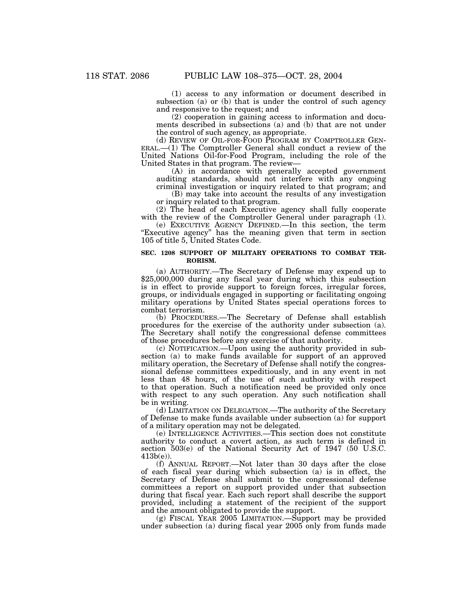(1) access to any information or document described in subsection (a) or (b) that is under the control of such agency and responsive to the request; and

(2) cooperation in gaining access to information and documents described in subsections (a) and (b) that are not under the control of such agency, as appropriate.<br>(d) REVIEW OF OIL-FOR-FOOD PROGRAM BY COMPTROLLER GEN-

 $ERAL.$ —(1) The Comptroller General shall conduct a review of the United Nations Oil-for-Food Program, including the role of the United States in that program. The review—

(A) in accordance with generally accepted government auditing standards, should not interfere with any ongoing criminal investigation or inquiry related to that program; and

(B) may take into account the results of any investigation or inquiry related to that program.

(2) The head of each Executive agency shall fully cooperate with the review of the Comptroller General under paragraph (1).

(e) EXECUTIVE AGENCY DEFINED.—In this section, the term "Executive agency" has the meaning given that term in section 105 of title 5, United States Code.

#### **SEC. 1208 SUPPORT OF MILITARY OPERATIONS TO COMBAT TER-RORISM.**

(a) AUTHORITY.—The Secretary of Defense may expend up to \$25,000,000 during any fiscal year during which this subsection is in effect to provide support to foreign forces, irregular forces, groups, or individuals engaged in supporting or facilitating ongoing military operations by United States special operations forces to combat terrorism.

(b) PROCEDURES.—The Secretary of Defense shall establish procedures for the exercise of the authority under subsection (a). The Secretary shall notify the congressional defense committees of those procedures before any exercise of that authority.

(c) NOTIFICATION.—Upon using the authority provided in subsection (a) to make funds available for support of an approved military operation, the Secretary of Defense shall notify the congressional defense committees expeditiously, and in any event in not less than 48 hours, of the use of such authority with respect to that operation. Such a notification need be provided only once with respect to any such operation. Any such notification shall be in writing.

(d) LIMITATION ON DELEGATION.—The authority of the Secretary of Defense to make funds available under subsection (a) for support of a military operation may not be delegated.

(e) INTELLIGENCE ACTIVITIES.—This section does not constitute authority to conduct a covert action, as such term is defined in section 503(e) of the National Security Act of 1947 (50 U.S.C. 413b(e)).

(f) ANNUAL REPORT.—Not later than 30 days after the close of each fiscal year during which subsection (a) is in effect, the Secretary of Defense shall submit to the congressional defense committees a report on support provided under that subsection during that fiscal year. Each such report shall describe the support provided, including a statement of the recipient of the support and the amount obligated to provide the support.

(g) FISCAL YEAR 2005 LIMITATION.—Support may be provided under subsection (a) during fiscal year 2005 only from funds made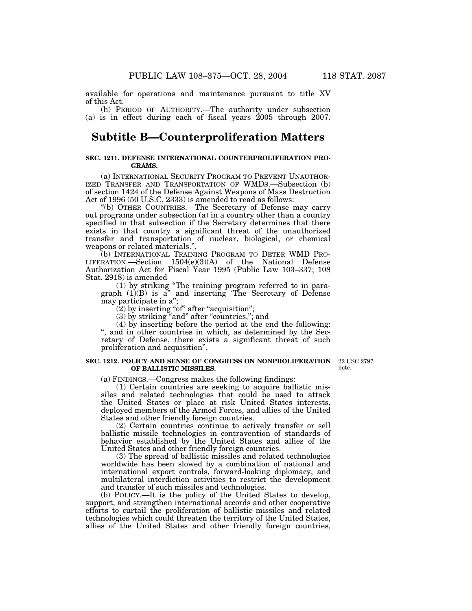available for operations and maintenance pursuant to title XV of this Act.

(h) PERIOD OF AUTHORITY.—The authority under subsection (a) is in effect during each of fiscal years 2005 through 2007.

### **Subtitle B—Counterproliferation Matters**

#### **SEC. 1211. DEFENSE INTERNATIONAL COUNTERPROLIFERATION PRO-GRAMS.**

(a) INTERNATIONAL SECURITY PROGRAM TO PREVENT UNAUTHOR-IZED TRANSFER AND TRANSPORTATION OF WMDS.—Subsection (b) of section 1424 of the Defense Against Weapons of Mass Destruction Act of 1996 (50 U.S.C. 2333) is amended to read as follows:

''(b) OTHER COUNTRIES.—The Secretary of Defense may carry out programs under subsection (a) in a country other than a country specified in that subsection if the Secretary determines that there exists in that country a significant threat of the unauthorized transfer and transportation of nuclear, biological, or chemical weapons or related materials.''.

(b) INTERNATIONAL TRAINING PROGRAM TO DETER WMD PRO-LIFERATION.—Section 1504(e)(3)(A) of the National Defense Authorization Act for Fiscal Year 1995 (Public Law 103–337; 108 Stat. 2918) is amended—

(1) by striking ''The training program referred to in paragraph (1)(B) is a'' and inserting 'The Secretary of Defense may participate in a'';

 $(2)$  by inserting "of" after "acquisition";

(3) by striking "and" after "countries,"; and

(4) by inserting before the period at the end the following: '', and in other countries in which, as determined by the Secretary of Defense, there exists a significant threat of such proliferation and acquisition''.

#### **SEC. 1212. POLICY AND SENSE OF CONGRESS ON NONPROLIFERATION OF BALLISTIC MISSILES.**

22 USC 2797 note.

(a) FINDINGS.—Congress makes the following findings:

(1) Certain countries are seeking to acquire ballistic missiles and related technologies that could be used to attack the United States or place at risk United States interests, deployed members of the Armed Forces, and allies of the United States and other friendly foreign countries.

(2) Certain countries continue to actively transfer or sell ballistic missile technologies in contravention of standards of behavior established by the United States and allies of the United States and other friendly foreign countries.

(3) The spread of ballistic missiles and related technologies worldwide has been slowed by a combination of national and international export controls, forward-looking diplomacy, and multilateral interdiction activities to restrict the development and transfer of such missiles and technologies.

(b) POLICY.—It is the policy of the United States to develop, support, and strengthen international accords and other cooperative efforts to curtail the proliferation of ballistic missiles and related technologies which could threaten the territory of the United States, allies of the United States and other friendly foreign countries,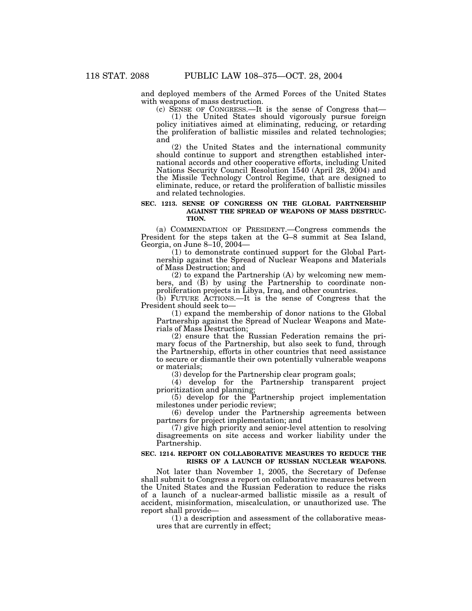and deployed members of the Armed Forces of the United States with weapons of mass destruction.

(c) SENSE OF CONGRESS.—It is the sense of Congress that— (1) the United States should vigorously pursue foreign policy initiatives aimed at eliminating, reducing, or retarding the proliferation of ballistic missiles and related technologies; and

(2) the United States and the international community should continue to support and strengthen established international accords and other cooperative efforts, including United Nations Security Council Resolution 1540 (April 28, 2004) and the Missile Technology Control Regime, that are designed to eliminate, reduce, or retard the proliferation of ballistic missiles and related technologies.

#### **SEC. 1213. SENSE OF CONGRESS ON THE GLOBAL PARTNERSHIP AGAINST THE SPREAD OF WEAPONS OF MASS DESTRUC-TION.**

(a) COMMENDATION OF PRESIDENT.—Congress commends the President for the steps taken at the G–8 summit at Sea Island, Georgia, on June 8–10, 2004—

(1) to demonstrate continued support for the Global Partnership against the Spread of Nuclear Weapons and Materials of Mass Destruction; and

(2) to expand the Partnership (A) by welcoming new members, and (B) by using the Partnership to coordinate nonproliferation projects in Libya, Iraq, and other countries.

(b) FUTURE ACTIONS.—It is the sense of Congress that the President should seek to—

(1) expand the membership of donor nations to the Global Partnership against the Spread of Nuclear Weapons and Materials of Mass Destruction;

(2) ensure that the Russian Federation remains the primary focus of the Partnership, but also seek to fund, through the Partnership, efforts in other countries that need assistance to secure or dismantle their own potentially vulnerable weapons or materials;

(3) develop for the Partnership clear program goals;

(4) develop for the Partnership transparent project prioritization and planning;

(5) develop for the Partnership project implementation milestones under periodic review;

(6) develop under the Partnership agreements between partners for project implementation; and

(7) give high priority and senior-level attention to resolving disagreements on site access and worker liability under the Partnership.

#### **SEC. 1214. REPORT ON COLLABORATIVE MEASURES TO REDUCE THE RISKS OF A LAUNCH OF RUSSIAN NUCLEAR WEAPONS.**

Not later than November 1, 2005, the Secretary of Defense shall submit to Congress a report on collaborative measures between the United States and the Russian Federation to reduce the risks of a launch of a nuclear-armed ballistic missile as a result of accident, misinformation, miscalculation, or unauthorized use. The report shall provide—

(1) a description and assessment of the collaborative measures that are currently in effect;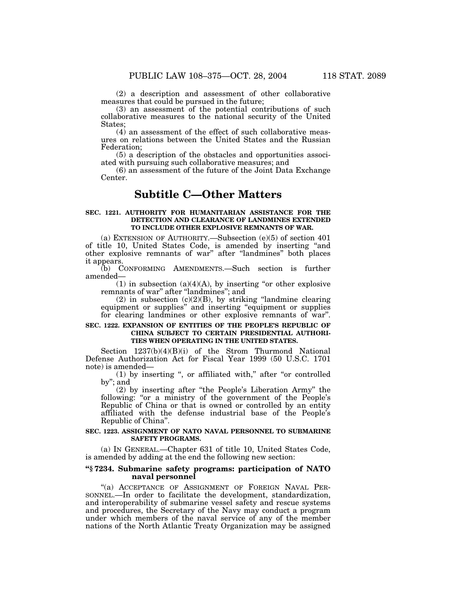(2) a description and assessment of other collaborative measures that could be pursued in the future;

(3) an assessment of the potential contributions of such collaborative measures to the national security of the United States;

(4) an assessment of the effect of such collaborative measures on relations between the United States and the Russian Federation;

(5) a description of the obstacles and opportunities associated with pursuing such collaborative measures; and

(6) an assessment of the future of the Joint Data Exchange Center.

### **Subtitle C—Other Matters**

#### **SEC. 1221. AUTHORITY FOR HUMANITARIAN ASSISTANCE FOR THE DETECTION AND CLEARANCE OF LANDMINES EXTENDED TO INCLUDE OTHER EXPLOSIVE REMNANTS OF WAR.**

(a) EXTENSION OF AUTHORITY.—Subsection (e)(5) of section 401 of title 10, United States Code, is amended by inserting ''and other explosive remnants of war'' after ''landmines'' both places it appears.

(b) CONFORMING AMENDMENTS.—Such section is further amended—

(1) in subsection (a)(4)(A), by inserting "or other explosive remnants of war'' after ''landmines''; and

 $(2)$  in subsection  $(c)(2)(B)$ , by striking "landmine clearing equipment or supplies'' and inserting ''equipment or supplies for clearing landmines or other explosive remnants of war''.

#### **SEC. 1222. EXPANSION OF ENTITIES OF THE PEOPLE'S REPUBLIC OF CHINA SUBJECT TO CERTAIN PRESIDENTIAL AUTHORI-TIES WHEN OPERATING IN THE UNITED STATES.**

Section 1237(b)(4)(B)(i) of the Strom Thurmond National Defense Authorization Act for Fiscal Year 1999 (50 U.S.C. 1701 note) is amended—

(1) by inserting '', or affiliated with,'' after ''or controlled by''; and

(2) by inserting after ''the People's Liberation Army'' the following: "or a ministry of the government of the People's Republic of China or that is owned or controlled by an entity affiliated with the defense industrial base of the People's Republic of China''.

#### **SEC. 1223. ASSIGNMENT OF NATO NAVAL PERSONNEL TO SUBMARINE SAFETY PROGRAMS.**

(a) IN GENERAL.—Chapter 631 of title 10, United States Code, is amended by adding at the end the following new section:

#### **''§ 7234. Submarine safety programs: participation of NATO naval personnel**

"(a) ACCEPTANCE OF ASSIGNMENT OF FOREIGN NAVAL PER-SONNEL.—In order to facilitate the development, standardization, and interoperability of submarine vessel safety and rescue systems and procedures, the Secretary of the Navy may conduct a program under which members of the naval service of any of the member nations of the North Atlantic Treaty Organization may be assigned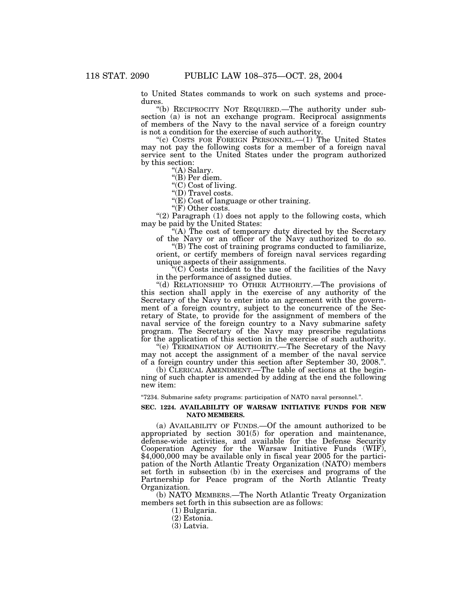to United States commands to work on such systems and procedures.

"(b) RECIPROCITY NOT REQUIRED. The authority under subsection (a) is not an exchange program. Reciprocal assignments of members of the Navy to the naval service of a foreign country is not a condition for the exercise of such authority.

''(c) COSTS FOR FOREIGN PERSONNEL.—(1) The United States may not pay the following costs for a member of a foreign naval service sent to the United States under the program authorized by this section:

''(A) Salary.

''(B) Per diem.

''(C) Cost of living.

"(D) Travel costs.

" $(E)$  Cost of language or other training.

"(F) Other costs.

" $(2)$  Paragraph  $(1)$  does not apply to the following costs, which may be paid by the United States:

"(A) The cost of temporary duty directed by the Secretary of the Navy or an officer of the Navy authorized to do so.

''(B) The cost of training programs conducted to familiarize, orient, or certify members of foreign naval services regarding unique aspects of their assignments.

''(C) Costs incident to the use of the facilities of the Navy in the performance of assigned duties.

"(d) RELATIONSHIP TO OTHER AUTHORITY.—The provisions of this section shall apply in the exercise of any authority of the Secretary of the Navy to enter into an agreement with the government of a foreign country, subject to the concurrence of the Secretary of State, to provide for the assignment of members of the naval service of the foreign country to a Navy submarine safety program. The Secretary of the Navy may prescribe regulations for the application of this section in the exercise of such authority.

"(e) TERMINATION OF AUTHORITY.—The Secretary of the Navy may not accept the assignment of a member of the naval service of a foreign country under this section after September 30, 2008.''.

(b) CLERICAL AMENDMENT.—The table of sections at the beginning of such chapter is amended by adding at the end the following new item:

''7234. Submarine safety programs: participation of NATO naval personnel.''.

#### **SEC. 1224. AVAILABILITY OF WARSAW INITIATIVE FUNDS FOR NEW NATO MEMBERS.**

(a) AVAILABILITY OF FUNDS.—Of the amount authorized to be appropriated by section 301(5) for operation and maintenance, defense-wide activities, and available for the Defense Security Cooperation Agency for the Warsaw Initiative Funds (WIF), \$4,000,000 may be available only in fiscal year 2005 for the participation of the North Atlantic Treaty Organization (NATO) members set forth in subsection (b) in the exercises and programs of the Partnership for Peace program of the North Atlantic Treaty Organization.

(b) NATO MEMBERS.—The North Atlantic Treaty Organization members set forth in this subsection are as follows:

(1) Bulgaria.

- (2) Estonia.
- (3) Latvia.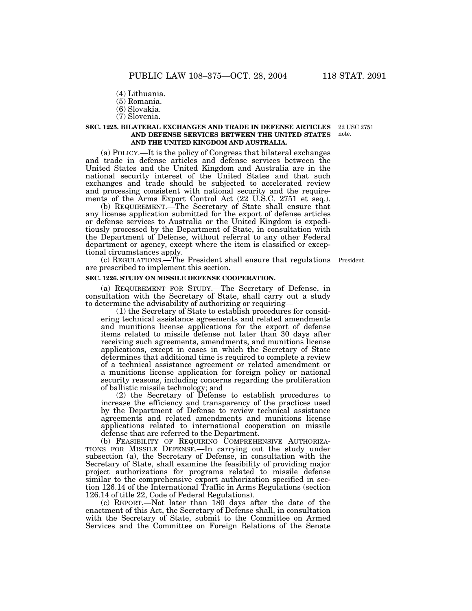- (4) Lithuania.
- (5) Romania.
- (6) Slovakia.
- (7) Slovenia.

#### **SEC. 1225. BILATERAL EXCHANGES AND TRADE IN DEFENSE ARTICLES AND DEFENSE SERVICES BETWEEN THE UNITED STATES AND THE UNITED KINGDOM AND AUSTRALIA.** 22 USC 2751 note.

(a) POLICY.—It is the policy of Congress that bilateral exchanges and trade in defense articles and defense services between the United States and the United Kingdom and Australia are in the national security interest of the United States and that such exchanges and trade should be subjected to accelerated review and processing consistent with national security and the requirements of the Arms Export Control Act (22 U.S.C. 2751 et seq.).

(b) REQUIREMENT.—The Secretary of State shall ensure that any license application submitted for the export of defense articles or defense services to Australia or the United Kingdom is expeditiously processed by the Department of State, in consultation with the Department of Defense, without referral to any other Federal department or agency, except where the item is classified or exceptional circumstances apply.

(c) REGULATIONS.—The President shall ensure that regulations President. are prescribed to implement this section.

#### **SEC. 1226. STUDY ON MISSILE DEFENSE COOPERATION.**

(a) REQUIREMENT FOR STUDY.—The Secretary of Defense, in consultation with the Secretary of State, shall carry out a study to determine the advisability of authorizing or requiring—

(1) the Secretary of State to establish procedures for considering technical assistance agreements and related amendments and munitions license applications for the export of defense items related to missile defense not later than 30 days after receiving such agreements, amendments, and munitions license applications, except in cases in which the Secretary of State determines that additional time is required to complete a review of a technical assistance agreement or related amendment or a munitions license application for foreign policy or national security reasons, including concerns regarding the proliferation of ballistic missile technology; and

(2) the Secretary of Defense to establish procedures to increase the efficiency and transparency of the practices used by the Department of Defense to review technical assistance agreements and related amendments and munitions license applications related to international cooperation on missile defense that are referred to the Department.

(b) FEASIBILITY OF REQUIRING COMPREHENSIVE AUTHORIZA- TIONS FOR MISSILE DEFENSE.—In carrying out the study under subsection (a), the Secretary of Defense, in consultation with the Secretary of State, shall examine the feasibility of providing major project authorizations for programs related to missile defense similar to the comprehensive export authorization specified in section 126.14 of the International Traffic in Arms Regulations (section 126.14 of title 22, Code of Federal Regulations).

(c) REPORT.—Not later than  $180$  days after the date of the enactment of this Act, the Secretary of Defense shall, in consultation with the Secretary of State, submit to the Committee on Armed Services and the Committee on Foreign Relations of the Senate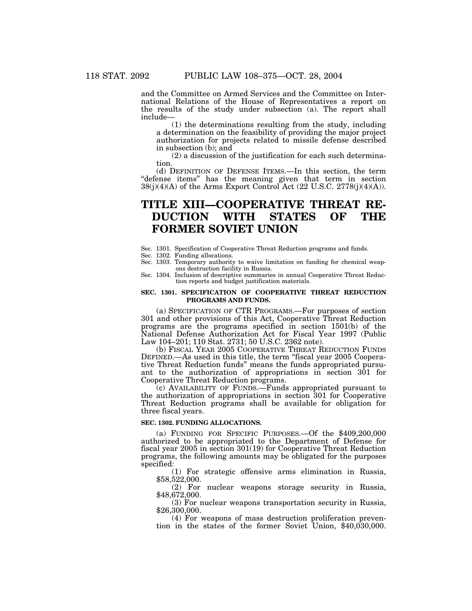and the Committee on Armed Services and the Committee on International Relations of the House of Representatives a report on the results of the study under subsection (a). The report shall include—

(1) the determinations resulting from the study, including a determination on the feasibility of providing the major project authorization for projects related to missile defense described in subsection (b); and

(2) a discussion of the justification for each such determination.

(d) DEFINITION OF DEFENSE ITEMS.—In this section, the term ''defense items'' has the meaning given that term in section  $38(j)(4)(A)$  of the Arms Export Control Act (22 U.S.C. 2778 $(j)(4)(A)$ ).

# **TITLE XIII—COOPERATIVE THREAT RE-DUCTION WITH STATES OF THE FORMER SOVIET UNION**

Sec. 1301. Specification of Cooperative Threat Reduction programs and funds.

Sec. 1302. Funding allocations.

- Sec. 1303. Temporary authority to waive limitation on funding for chemical weapons destruction facility in Russia.
- Sec. 1304. Inclusion of descriptive summaries in annual Cooperative Threat Reduction reports and budget justification materials.

#### **SEC. 1301. SPECIFICATION OF COOPERATIVE THREAT REDUCTION PROGRAMS AND FUNDS.**

(a) SPECIFICATION OF CTR PROGRAMS.—For purposes of section 301 and other provisions of this Act, Cooperative Threat Reduction programs are the programs specified in section 1501(b) of the National Defense Authorization Act for Fiscal Year 1997 (Public Law 104–201; 110 Stat. 2731; 50 U.S.C. 2362 note).

(b) FISCAL YEAR 2005 COOPERATIVE THREAT REDUCTION FUNDS DEFINED.—As used in this title, the term ''fiscal year 2005 Cooperative Threat Reduction funds'' means the funds appropriated pursuant to the authorization of appropriations in section 301 for Cooperative Threat Reduction programs.

(c) AVAILABILITY OF FUNDS.—Funds appropriated pursuant to the authorization of appropriations in section 301 for Cooperative Threat Reduction programs shall be available for obligation for three fiscal years.

#### **SEC. 1302. FUNDING ALLOCATIONS.**

(a) FUNDING FOR SPECIFIC PURPOSES.—Of the \$409,200,000 authorized to be appropriated to the Department of Defense for fiscal year 2005 in section 301(19) for Cooperative Threat Reduction programs, the following amounts may be obligated for the purposes specified:

(1) For strategic offensive arms elimination in Russia, \$58,522,000.

(2) For nuclear weapons storage security in Russia, \$48,672,000.

(3) For nuclear weapons transportation security in Russia, \$26,300,000.

(4) For weapons of mass destruction proliferation prevention in the states of the former Soviet Union, \$40,030,000.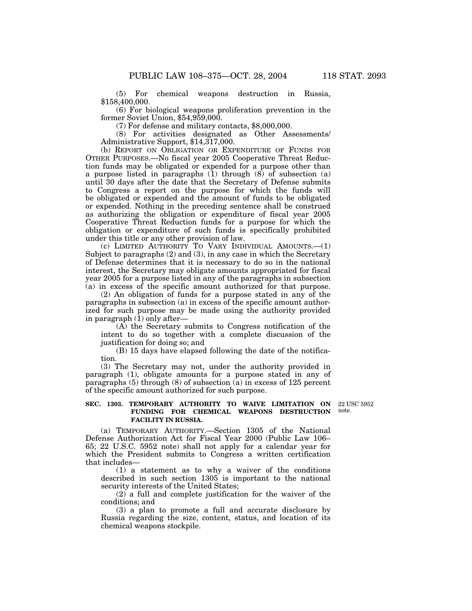(5) For chemical weapons destruction in Russia, \$158,400,000.

(6) For biological weapons proliferation prevention in the former Soviet Union, \$54,959,000.

(7) For defense and military contacts, \$8,000,000.

(8) For activities designated as Other Assessments/ Administrative Support, \$14,317,000.

(b) REPORT ON OBLIGATION OR EXPENDITURE OF FUNDS FOR OTHER PURPOSES.—No fiscal year 2005 Cooperative Threat Reduction funds may be obligated or expended for a purpose other than a purpose listed in paragraphs  $(1)$  through  $(8)$  of subsection  $(a)$ until 30 days after the date that the Secretary of Defense submits to Congress a report on the purpose for which the funds will be obligated or expended and the amount of funds to be obligated or expended. Nothing in the preceding sentence shall be construed as authorizing the obligation or expenditure of fiscal year 2005 Cooperative Threat Reduction funds for a purpose for which the obligation or expenditure of such funds is specifically prohibited under this title or any other provision of law.

(c) LIMITED AUTHORITY TO VARY INDIVIDUAL AMOUNTS.—(1) Subject to paragraphs (2) and (3), in any case in which the Secretary of Defense determines that it is necessary to do so in the national interest, the Secretary may obligate amounts appropriated for fiscal year 2005 for a purpose listed in any of the paragraphs in subsection (a) in excess of the specific amount authorized for that purpose.

(2) An obligation of funds for a purpose stated in any of the paragraphs in subsection (a) in excess of the specific amount authorized for such purpose may be made using the authority provided in paragraph  $(1)$  only after—

(A) the Secretary submits to Congress notification of the intent to do so together with a complete discussion of the justification for doing so; and

(B) 15 days have elapsed following the date of the notification.

(3) The Secretary may not, under the authority provided in paragraph (1), obligate amounts for a purpose stated in any of paragraphs  $(5)$  through  $(8)$  of subsection  $(a)$  in excess of 125 percent of the specific amount authorized for such purpose.

#### **SEC. 1303. TEMPORARY AUTHORITY TO WAIVE LIMITATION ON FUNDING FOR CHEMICAL WEAPONS DESTRUCTION FACILITY IN RUSSIA.**

22 USC 5952 note.

(a) TEMPORARY AUTHORITY.—Section 1305 of the National Defense Authorization Act for Fiscal Year 2000 (Public Law 106– 65; 22 U.S.C. 5952 note) shall not apply for a calendar year for which the President submits to Congress a written certification that includes—

(1) a statement as to why a waiver of the conditions described in such section 1305 is important to the national security interests of the United States;

(2) a full and complete justification for the waiver of the conditions; and

(3) a plan to promote a full and accurate disclosure by Russia regarding the size, content, status, and location of its chemical weapons stockpile.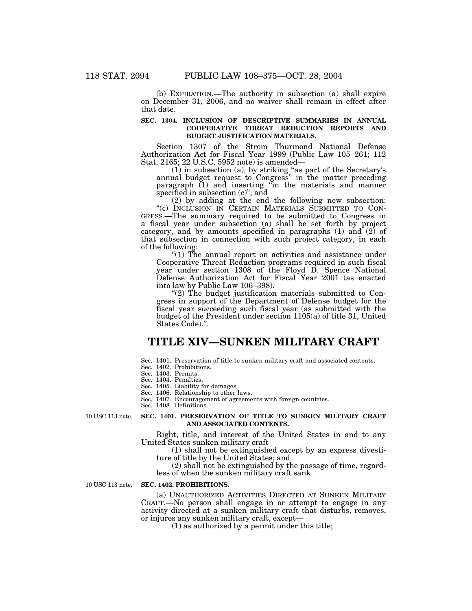(b) EXPIRATION.—The authority in subsection (a) shall expire on December 31, 2006, and no waiver shall remain in effect after that date.

#### **SEC. 1304. INCLUSION OF DESCRIPTIVE SUMMARIES IN ANNUAL COOPERATIVE THREAT REDUCTION REPORTS AND BUDGET JUSTIFICATION MATERIALS.**

Section 1307 of the Strom Thurmond National Defense Authorization Act for Fiscal Year 1999 (Public Law 105–261; 112 Stat. 2165; 22 U.S.C. 5952 note) is amended—

(1) in subsection (a), by striking ''as part of the Secretary's annual budget request to Congress'' in the matter preceding paragraph (1) and inserting ''in the materials and manner specified in subsection (c)''; and

(2) by adding at the end the following new subsection: GRESS.—The summary required to be submitted to Congress in a fiscal year under subsection (a) shall be set forth by project category, and by amounts specified in paragraphs (1) and (2) of that subsection in connection with such project category, in each

of the following: " $(1)$  The annual report on activities and assistance under Cooperative Threat Reduction programs required in such fiscal year under section 1308 of the Floyd D. Spence National Defense Authorization Act for Fiscal Year 2001 (as enacted into law by Public Law 106–398).

''(2) The budget justification materials submitted to Congress in support of the Department of Defense budget for the fiscal year succeeding such fiscal year (as submitted with the budget of the President under section 1105(a) of title 31, United States Code).''.

## **TITLE XIV—SUNKEN MILITARY CRAFT**

Sec. 1401. Preservation of title to sunken military craft and associated contents.

Sec. 1402. Prohibitions.

Sec. 1403. Permits.

Sec. 1404. Penalties.

Sec. 1405. Liability for damages. Sec. 1406. Relationship to other laws.

Sec. 1407. Encouragement of agreements with foreign countries.

Sec. 1408. Definitions.

10 USC 113 note.

#### **SEC. 1401. PRESERVATION OF TITLE TO SUNKEN MILITARY CRAFT AND ASSOCIATED CONTENTS.**

Right, title, and interest of the United States in and to any United States sunken military craft—

(1) shall not be extinguished except by an express divestiture of title by the United States; and

(2) shall not be extinguished by the passage of time, regardless of when the sunken military craft sank.

10 USC 113 note.

#### **SEC. 1402. PROHIBITIONS.**

(a) UNAUTHORIZED ACTIVITIES DIRECTED AT SUNKEN MILITARY CRAFT.—No person shall engage in or attempt to engage in any activity directed at a sunken military craft that disturbs, removes, or injures any sunken military craft, except—

(1) as authorized by a permit under this title;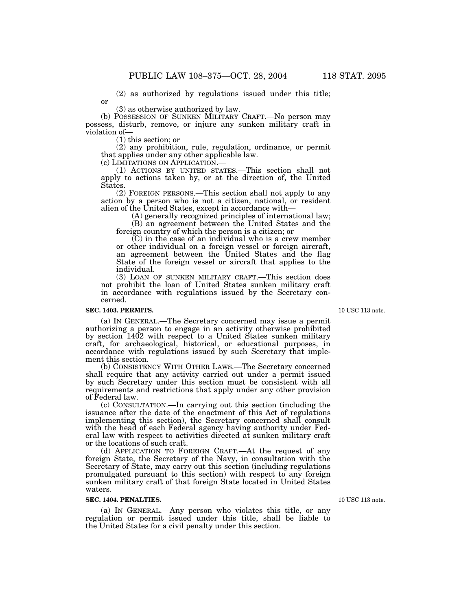(2) as authorized by regulations issued under this title;

(3) as otherwise authorized by law.

(b) POSSESSION OF SUNKEN MILITARY CRAFT.—No person may possess, disturb, remove, or injure any sunken military craft in violation of—

(1) this section; or

or

(2) any prohibition, rule, regulation, ordinance, or permit that applies under any other applicable law.<br>(c) LIMITATIONS ON APPLICATION.—

(1) ACTIONS BY UNITED STATES.—This section shall not apply to actions taken by, or at the direction of, the United States.

(2) FOREIGN PERSONS.—This section shall not apply to any action by a person who is not a citizen, national, or resident alien of the United States, except in accordance with—

(A) generally recognized principles of international law;

(B) an agreement between the United States and the foreign country of which the person is a citizen; or

 $(C)$  in the case of an individual who is a crew member or other individual on a foreign vessel or foreign aircraft, an agreement between the United States and the flag State of the foreign vessel or aircraft that applies to the individual.

(3) LOAN OF SUNKEN MILITARY CRAFT.—This section does not prohibit the loan of United States sunken military craft in accordance with regulations issued by the Secretary concerned.

#### **SEC. 1403. PERMITS.**

(a) IN GENERAL.—The Secretary concerned may issue a permit authorizing a person to engage in an activity otherwise prohibited by section 1402 with respect to a United States sunken military craft, for archaeological, historical, or educational purposes, in accordance with regulations issued by such Secretary that implement this section.

(b) CONSISTENCY WITH OTHER LAWS.—The Secretary concerned shall require that any activity carried out under a permit issued by such Secretary under this section must be consistent with all requirements and restrictions that apply under any other provision of Federal law.

(c) CONSULTATION.—In carrying out this section (including the issuance after the date of the enactment of this Act of regulations implementing this section), the Secretary concerned shall consult with the head of each Federal agency having authority under Federal law with respect to activities directed at sunken military craft or the locations of such craft.

(d) APPLICATION TO FOREIGN CRAFT.—At the request of any foreign State, the Secretary of the Navy, in consultation with the Secretary of State, may carry out this section (including regulations promulgated pursuant to this section) with respect to any foreign sunken military craft of that foreign State located in United States waters.

#### **SEC. 1404. PENALTIES.**

(a) IN GENERAL.—Any person who violates this title, or any regulation or permit issued under this title, shall be liable to the United States for a civil penalty under this section.

10 USC 113 note.

10 USC 113 note.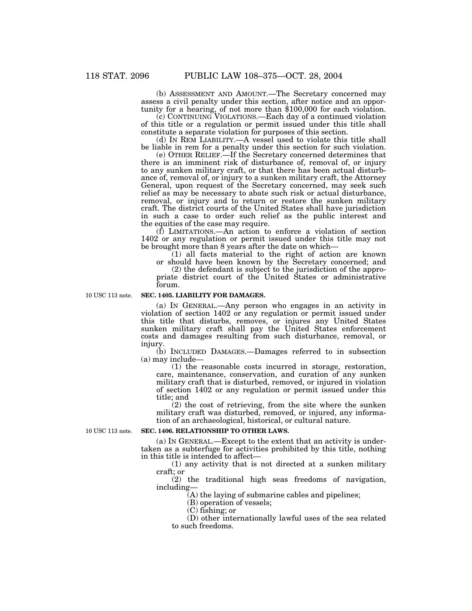(b) ASSESSMENT AND AMOUNT.—The Secretary concerned may assess a civil penalty under this section, after notice and an opportunity for a hearing, of not more than \$100,000 for each violation.

(c) CONTINUING VIOLATIONS.—Each day of a continued violation of this title or a regulation or permit issued under this title shall constitute a separate violation for purposes of this section.

(d) IN REM LIABILITY.—A vessel used to violate this title shall be liable in rem for a penalty under this section for such violation.

(e) OTHER RELIEF.—If the Secretary concerned determines that there is an imminent risk of disturbance of, removal of, or injury to any sunken military craft, or that there has been actual disturbance of, removal of, or injury to a sunken military craft, the Attorney General, upon request of the Secretary concerned, may seek such relief as may be necessary to abate such risk or actual disturbance, removal, or injury and to return or restore the sunken military craft. The district courts of the United States shall have jurisdiction in such a case to order such relief as the public interest and the equities of the case may require.

(f) LIMITATIONS.—An action to enforce a violation of section 1402 or any regulation or permit issued under this title may not be brought more than 8 years after the date on which—

(1) all facts material to the right of action are known or should have been known by the Secretary concerned; and

(2) the defendant is subject to the jurisdiction of the appropriate district court of the United States or administrative

forum.

10 USC 113 note.

#### **SEC. 1405. LIABILITY FOR DAMAGES.**

(a) IN GENERAL.—Any person who engages in an activity in violation of section 1402 or any regulation or permit issued under this title that disturbs, removes, or injures any United States sunken military craft shall pay the United States enforcement costs and damages resulting from such disturbance, removal, or injury.

(b) INCLUDED DAMAGES.—Damages referred to in subsection (a) may include—

(1) the reasonable costs incurred in storage, restoration, care, maintenance, conservation, and curation of any sunken military craft that is disturbed, removed, or injured in violation of section 1402 or any regulation or permit issued under this title; and

(2) the cost of retrieving, from the site where the sunken military craft was disturbed, removed, or injured, any information of an archaeological, historical, or cultural nature.

10 USC 113 note.

#### **SEC. 1406. RELATIONSHIP TO OTHER LAWS.**

(a) IN GENERAL.—Except to the extent that an activity is undertaken as a subterfuge for activities prohibited by this title, nothing in this title is intended to affect—

(1) any activity that is not directed at a sunken military craft; or

(2) the traditional high seas freedoms of navigation, including—

(A) the laying of submarine cables and pipelines;

(B) operation of vessels;

(C) fishing; or

(D) other internationally lawful uses of the sea related to such freedoms.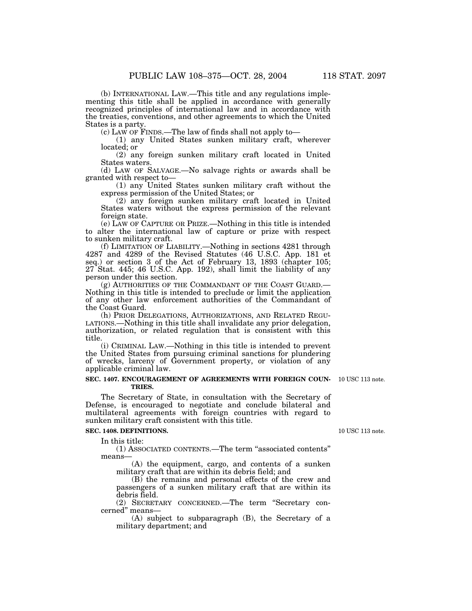(b) INTERNATIONAL LAW.—This title and any regulations implementing this title shall be applied in accordance with generally recognized principles of international law and in accordance with the treaties, conventions, and other agreements to which the United States is a party.

(c) LAW OF FINDS.—The law of finds shall not apply to—

(1) any United States sunken military craft, wherever located; or

(2) any foreign sunken military craft located in United States waters.

(d) LAW OF SALVAGE.—No salvage rights or awards shall be granted with respect to—

(1) any United States sunken military craft without the express permission of the United States; or

(2) any foreign sunken military craft located in United States waters without the express permission of the relevant foreign state.

(e) LAW OF CAPTURE OR PRIZE.—Nothing in this title is intended to alter the international law of capture or prize with respect to sunken military craft.

(f) LIMITATION OF LIABILITY.—Nothing in sections 4281 through 4287 and 4289 of the Revised Statutes (46 U.S.C. App. 181 et seq.) or section 3 of the Act of February 13, 1893 (chapter 105; 27 Stat. 445; 46 U.S.C. App. 192), shall limit the liability of any person under this section.<br>
(g) AUTHORITIES OF THE COMMANDANT OF THE COAST GUARD.—

Nothing in this title is intended to preclude or limit the application of any other law enforcement authorities of the Commandant of the Coast Guard.<br>(h) Prior Delegations, Authorizations, and Related Regu-

LATIONS.—Nothing in this title shall invalidate any prior delegation, authorization, or related regulation that is consistent with this title.

(i) CRIMINAL LAW.—Nothing in this title is intended to prevent the United States from pursuing criminal sanctions for plundering of wrecks, larceny of Government property, or violation of any applicable criminal law.

#### **SEC. 1407. ENCOURAGEMENT OF AGREEMENTS WITH FOREIGN COUN-**10 USC 113 note. **TRIES.**

The Secretary of State, in consultation with the Secretary of Defense, is encouraged to negotiate and conclude bilateral and multilateral agreements with foreign countries with regard to sunken military craft consistent with this title.

#### **SEC. 1408. DEFINITIONS.**

In this title:

(1) ASSOCIATED CONTENTS.—The term ''associated contents'' means—

(A) the equipment, cargo, and contents of a sunken military craft that are within its debris field; and

(B) the remains and personal effects of the crew and passengers of a sunken military craft that are within its debris field.

(2) SECRETARY CONCERNED.—The term ''Secretary concerned'' means—

(A) subject to subparagraph (B), the Secretary of a military department; and

10 USC 113 note.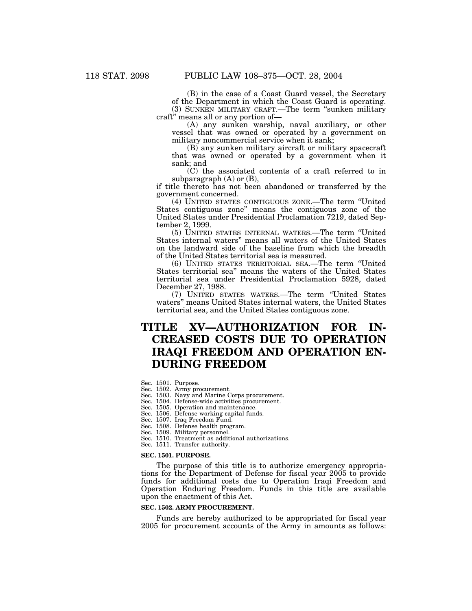(B) in the case of a Coast Guard vessel, the Secretary of the Department in which the Coast Guard is operating. (3) SUNKEN MILITARY CRAFT.—The term ''sunken military craft'' means all or any portion of—

(A) any sunken warship, naval auxiliary, or other vessel that was owned or operated by a government on military noncommercial service when it sank;

(B) any sunken military aircraft or military spacecraft that was owned or operated by a government when it sank; and

(C) the associated contents of a craft referred to in subparagraph  $(A)$  or  $(B)$ ,

if title thereto has not been abandoned or transferred by the government concerned.

(4) UNITED STATES CONTIGUOUS ZONE.—The term ''United States contiguous zone'' means the contiguous zone of the United States under Presidential Proclamation 7219, dated September 2, 1999.

(5) UNITED STATES INTERNAL WATERS.—The term ''United States internal waters'' means all waters of the United States on the landward side of the baseline from which the breadth of the United States territorial sea is measured.

(6) UNITED STATES TERRITORIAL SEA.—The term ''United States territorial sea'' means the waters of the United States territorial sea under Presidential Proclamation 5928, dated December 27, 1988.

(7) UNITED STATES WATERS.—The term ''United States waters'' means United States internal waters, the United States territorial sea, and the United States contiguous zone.

# **TITLE XV—AUTHORIZATION FOR IN-CREASED COSTS DUE TO OPERATION IRAQI FREEDOM AND OPERATION EN-DURING FREEDOM**

- Sec. 1501. Purpose.
- Sec. 1502. Army procurement.
- Sec. 1503. Navy and Marine Corps procurement.
- Sec. 1504. Defense-wide activities procurement.
- Sec. 1505. Operation and maintenance. Sec. 1506. Defense working capital funds.
- Sec. 1507. Iraq Freedom Fund.
- Sec. 1508. Defense health program.
- Sec. 1509. Military personnel.
- Sec. 1510. Treatment as additional authorizations.
- Sec. 1511. Transfer authority.

#### **SEC. 1501. PURPOSE.**

The purpose of this title is to authorize emergency appropriations for the Department of Defense for fiscal year 2005 to provide funds for additional costs due to Operation Iraqi Freedom and Operation Enduring Freedom. Funds in this title are available upon the enactment of this Act.

#### **SEC. 1502. ARMY PROCUREMENT.**

Funds are hereby authorized to be appropriated for fiscal year 2005 for procurement accounts of the Army in amounts as follows: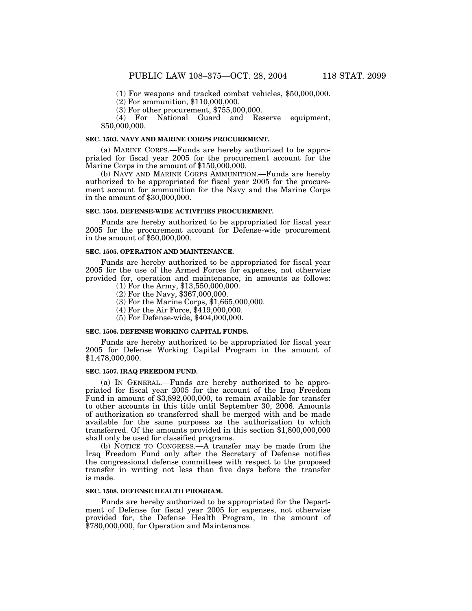(1) For weapons and tracked combat vehicles, \$50,000,000.

(2) For ammunition, \$110,000,000.

(3) For other procurement, \$755,000,000.

(4) For National Guard and Reserve equipment, \$50,000,000.

#### **SEC. 1503. NAVY AND MARINE CORPS PROCUREMENT.**

(a) MARINE CORPS.—Funds are hereby authorized to be appropriated for fiscal year 2005 for the procurement account for the Marine Corps in the amount of \$150,000,000.

(b) NAVY AND MARINE CORPS AMMUNITION.—Funds are hereby authorized to be appropriated for fiscal year 2005 for the procurement account for ammunition for the Navy and the Marine Corps in the amount of \$30,000,000.

### **SEC. 1504. DEFENSE-WIDE ACTIVITIES PROCUREMENT.**

Funds are hereby authorized to be appropriated for fiscal year 2005 for the procurement account for Defense-wide procurement in the amount of \$50,000,000.

#### **SEC. 1505. OPERATION AND MAINTENANCE.**

Funds are hereby authorized to be appropriated for fiscal year 2005 for the use of the Armed Forces for expenses, not otherwise provided for, operation and maintenance, in amounts as follows:

- (1) For the Army, \$13,550,000,000.
- (2) For the Navy, \$367,000,000.
- (3) For the Marine Corps, \$1,665,000,000.
- (4) For the Air Force, \$419,000,000.
- (5) For Defense-wide, \$404,000,000.

#### **SEC. 1506. DEFENSE WORKING CAPITAL FUNDS.**

Funds are hereby authorized to be appropriated for fiscal year 2005 for Defense Working Capital Program in the amount of \$1,478,000,000.

## **SEC. 1507. IRAQ FREEDOM FUND.**

(a) IN GENERAL.—Funds are hereby authorized to be appropriated for fiscal year 2005 for the account of the Iraq Freedom Fund in amount of \$3,892,000,000, to remain available for transfer to other accounts in this title until September 30, 2006. Amounts of authorization so transferred shall be merged with and be made available for the same purposes as the authorization to which transferred. Of the amounts provided in this section \$1,800,000,000 shall only be used for classified programs.

(b) NOTICE TO CONGRESS.—A transfer may be made from the Iraq Freedom Fund only after the Secretary of Defense notifies the congressional defense committees with respect to the proposed transfer in writing not less than five days before the transfer is made.

#### **SEC. 1508. DEFENSE HEALTH PROGRAM.**

Funds are hereby authorized to be appropriated for the Department of Defense for fiscal year 2005 for expenses, not otherwise provided for, the Defense Health Program, in the amount of \$780,000,000, for Operation and Maintenance.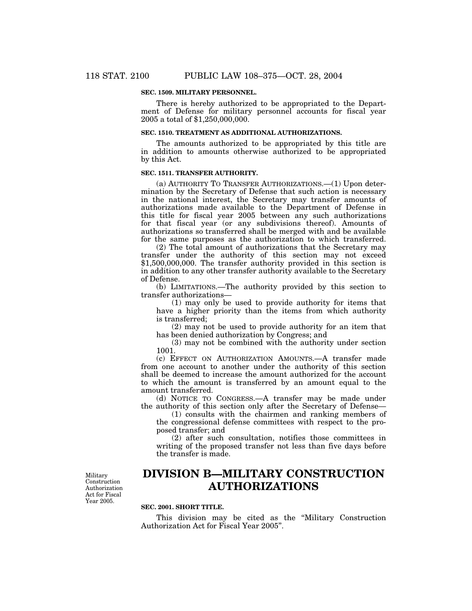#### **SEC. 1509. MILITARY PERSONNEL.**

There is hereby authorized to be appropriated to the Department of Defense for military personnel accounts for fiscal year 2005 a total of \$1,250,000,000.

# **SEC. 1510. TREATMENT AS ADDITIONAL AUTHORIZATIONS.**

The amounts authorized to be appropriated by this title are in addition to amounts otherwise authorized to be appropriated by this Act.

#### **SEC. 1511. TRANSFER AUTHORITY.**

(a) AUTHORITY TO TRANSFER AUTHORIZATIONS.—(1) Upon determination by the Secretary of Defense that such action is necessary in the national interest, the Secretary may transfer amounts of authorizations made available to the Department of Defense in this title for fiscal year 2005 between any such authorizations for that fiscal year (or any subdivisions thereof). Amounts of authorizations so transferred shall be merged with and be available for the same purposes as the authorization to which transferred.

(2) The total amount of authorizations that the Secretary may transfer under the authority of this section may not exceed \$1,500,000,000. The transfer authority provided in this section is in addition to any other transfer authority available to the Secretary of Defense.

(b) LIMITATIONS.—The authority provided by this section to transfer authorizations—

(1) may only be used to provide authority for items that have a higher priority than the items from which authority is transferred;

(2) may not be used to provide authority for an item that has been denied authorization by Congress; and

(3) may not be combined with the authority under section 1001.

(c) EFFECT ON AUTHORIZATION AMOUNTS.—A transfer made from one account to another under the authority of this section shall be deemed to increase the amount authorized for the account to which the amount is transferred by an amount equal to the amount transferred.

(d) NOTICE TO CONGRESS.—A transfer may be made under the authority of this section only after the Secretary of Defense—

(1) consults with the chairmen and ranking members of the congressional defense committees with respect to the proposed transfer; and

(2) after such consultation, notifies those committees in writing of the proposed transfer not less than five days before the transfer is made.

**DIVISION B—MILITARY CONSTRUCTION AUTHORIZATIONS**

#### **SEC. 2001. SHORT TITLE.**

This division may be cited as the ''Military Construction Authorization Act for Fiscal Year 2005''.

Military Construction Authorization Act for Fiscal Year 2005.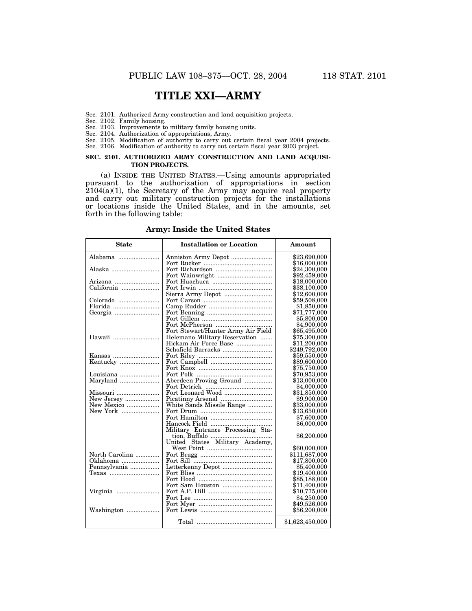# **TITLE XXI—ARMY**

- Sec. 2101. Authorized Army construction and land acquisition projects.
- Sec. 2102. Family housing.
- Sec. 2103. Improvements to military family housing units.
- Sec. 2104. Authorization of appropriations, Army.
- Sec. 2105. Modification of authority to carry out certain fiscal year 2004 projects.
- Sec. 2106. Modification of authority to carry out certain fiscal year 2003 project.

#### **SEC. 2101. AUTHORIZED ARMY CONSTRUCTION AND LAND ACQUISI-TION PROJECTS.**

(a) INSIDE THE UNITED STATES.—Using amounts appropriated pursuant to the authorization of appropriations in section  $2104(a)(1)$ , the Secretary of the Army may acquire real property and carry out military construction projects for the installations or locations inside the United States, and in the amounts, set forth in the following table:

| <b>State</b>   | <b>Installation or Location</b>    | Amount          |
|----------------|------------------------------------|-----------------|
| Alabama        |                                    | \$23,690,000    |
|                |                                    | \$16,000,000    |
| Alaska         |                                    | \$24,300,000    |
|                |                                    | \$92,459,000    |
| Arizona        |                                    | \$18,000,000    |
| California     |                                    | \$38,100,000    |
|                | Sierra Army Depot                  | \$12,600,000    |
| Colorado       |                                    | \$59,508,000    |
| Florida        |                                    | \$1,850,000     |
|                |                                    | \$71,777,000    |
|                |                                    | \$5,800,000     |
|                |                                    | \$4,900,000     |
|                | Fort Stewart/Hunter Army Air Field | \$65,495,000    |
| Hawaii         | Helemano Military Reservation      | \$75,300,000    |
|                | Hickam Air Force Base              | \$11,200,000    |
|                | Schofield Barracks                 | \$249,792,000   |
| Kansas         |                                    | \$59,550,000    |
| Kentucky       |                                    | \$89,600,000    |
|                |                                    | \$75,750,000    |
| Louisiana      |                                    | \$70,953,000    |
| Maryland       | Aberdeen Proving Ground            | \$13,000,000    |
|                |                                    | \$4,000,000     |
| Missouri       | Fort Leonard Wood                  | \$31,850,000    |
| New Jersey     |                                    | \$9,900,000     |
| New Mexico     | White Sands Missile Range          | \$33,000,000    |
| New York       |                                    | \$13,650,000    |
|                |                                    | \$7,600,000     |
|                |                                    | \$6,000,000     |
|                | Military Entrance Processing Sta-  |                 |
|                |                                    | \$6,200,000     |
|                | United States Military Academy,    |                 |
|                |                                    | \$60,000,000    |
| North Carolina |                                    | \$111,687,000   |
| Oklahoma       |                                    | \$17,800,000    |
| Pennsylvania   | Letterkenny Depot                  | \$5,400,000     |
|                |                                    | \$19,400,000    |
|                |                                    | \$85,188,000    |
|                |                                    | \$11,400,000    |
| Virginia       |                                    | \$10,775,000    |
|                |                                    | \$4,250,000     |
|                |                                    | \$49,526,000    |
| Washington     |                                    | \$56,200,000    |
|                |                                    | \$1,623,450,000 |

**Army: Inside the United States**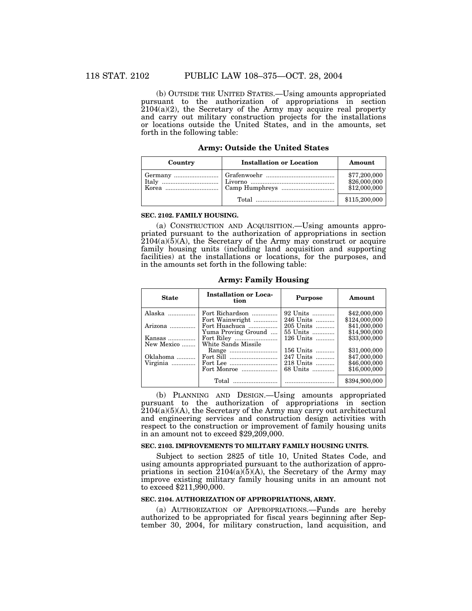(b) OUTSIDE THE UNITED STATES.—Using amounts appropriated pursuant to the authorization of appropriations in section  $2104(a)(2)$ , the Secretary of the Army may acquire real property and carry out military construction projects for the installations or locations outside the United States, and in the amounts, set forth in the following table:

| <b>Army: Outside the United States</b> |  |  |  |
|----------------------------------------|--|--|--|
|----------------------------------------|--|--|--|

| Country | <b>Installation or Location</b> | Amount                                       |
|---------|---------------------------------|----------------------------------------------|
|         |                                 | \$77,200,000<br>\$26,000,000<br>\$12,000,000 |
|         |                                 | \$115,200,000                                |

## **SEC. 2102. FAMILY HOUSING.**

(a) CONSTRUCTION AND ACQUISITION.—Using amounts appropriated pursuant to the authorization of appropriations in section  $2104(a)(5)(A)$ , the Secretary of the Army may construct or acquire family housing units (including land acquisition and supporting facilities) at the installations or locations, for the purposes, and in the amounts set forth in the following table:

| <b>State</b>     | <b>Installation or Loca-</b><br>tion | <b>Purpose</b> | Amount        |
|------------------|--------------------------------------|----------------|---------------|
| Alaska           | Fort Richardson                      | 92 Units       | \$42,000,000  |
|                  | Fort Wainwright                      | 246 Units      | \$124,000,000 |
| Arizona $\ldots$ | Fort Huachuca                        | 205 Units      | \$41,000,000  |
|                  | Yuma Proving Ground                  | 55 Units       | \$14,900,000  |
| Kansas           |                                      | 126 Units      | \$33,000,000  |
| New Mexico       | White Sands Missile                  |                |               |
|                  |                                      | 156 Units      | \$31,000,000  |
| Oklahoma         |                                      | 247 Units      | \$47,000,000  |
| Virginia         |                                      | 218 Units      | \$46,000,000  |
|                  | Fort Monroe                          | 68 Units       | \$16,000,000  |
|                  |                                      |                | \$394,900,000 |

**Army: Family Housing**

(b) PLANNING AND DESIGN.—Using amounts appropriated pursuant to the authorization of appropriations in section  $2104(a)(5)(A)$ , the Secretary of the Army may carry out architectural and engineering services and construction design activities with respect to the construction or improvement of family housing units in an amount not to exceed \$29,209,000.

#### **SEC. 2103. IMPROVEMENTS TO MILITARY FAMILY HOUSING UNITS.**

Subject to section 2825 of title 10, United States Code, and using amounts appropriated pursuant to the authorization of appropriations in section  $\overline{2104(a)(5)}$  a), the Secretary of the Army may improve existing military family housing units in an amount not to exceed \$211,990,000.

# **SEC. 2104. AUTHORIZATION OF APPROPRIATIONS, ARMY.**

(a) AUTHORIZATION OF APPROPRIATIONS.—Funds are hereby authorized to be appropriated for fiscal years beginning after September 30, 2004, for military construction, land acquisition, and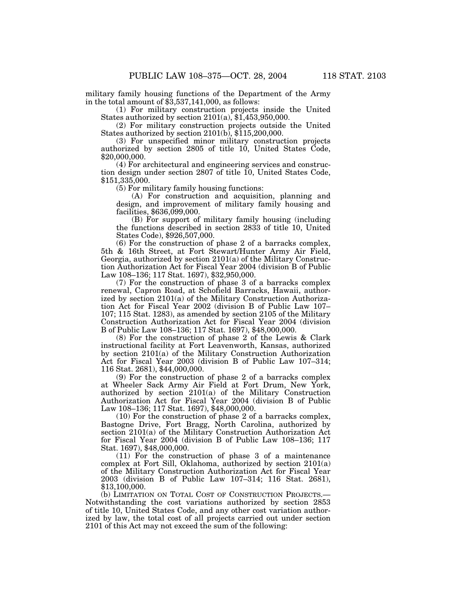military family housing functions of the Department of the Army in the total amount of \$3,537,141,000, as follows:

(1) For military construction projects inside the United States authorized by section 2101(a), \$1,453,950,000.

(2) For military construction projects outside the United States authorized by section 2101(b), \$115,200,000.

(3) For unspecified minor military construction projects authorized by section 2805 of title 10, United States Code, \$20,000,000.

(4) For architectural and engineering services and construction design under section 2807 of title 10, United States Code, \$151,335,000.

(5) For military family housing functions:

(A) For construction and acquisition, planning and design, and improvement of military family housing and facilities, \$636,099,000.

(B) For support of military family housing (including the functions described in section 2833 of title 10, United States Code), \$926,507,000.

(6) For the construction of phase 2 of a barracks complex, 5th & 16th Street, at Fort Stewart/Hunter Army Air Field, Georgia, authorized by section 2101(a) of the Military Construction Authorization Act for Fiscal Year 2004 (division B of Public Law 108–136; 117 Stat. 1697), \$32,950,000.

(7) For the construction of phase 3 of a barracks complex renewal, Capron Road, at Schofield Barracks, Hawaii, authorized by section 2101(a) of the Military Construction Authorization Act for Fiscal Year 2002 (division B of Public Law 107– 107; 115 Stat. 1283), as amended by section 2105 of the Military Construction Authorization Act for Fiscal Year 2004 (division B of Public Law 108–136; 117 Stat. 1697), \$48,000,000.

(8) For the construction of phase 2 of the Lewis & Clark instructional facility at Fort Leavenworth, Kansas, authorized by section 2101(a) of the Military Construction Authorization Act for Fiscal Year 2003 (division B of Public Law 107–314; 116 Stat. 2681), \$44,000,000.

(9) For the construction of phase 2 of a barracks complex at Wheeler Sack Army Air Field at Fort Drum, New York, authorized by section 2101(a) of the Military Construction Authorization Act for Fiscal Year 2004 (division B of Public Law 108–136; 117 Stat. 1697), \$48,000,000.

(10) For the construction of phase 2 of a barracks complex, Bastogne Drive, Fort Bragg, North Carolina, authorized by section 2101(a) of the Military Construction Authorization Act for Fiscal Year 2004 (division B of Public Law 108–136; 117 Stat. 1697), \$48,000,000.

(11) For the construction of phase 3 of a maintenance complex at Fort Sill, Oklahoma, authorized by section 2101(a) of the Military Construction Authorization Act for Fiscal Year 2003 (division B of Public Law 107–314; 116 Stat. 2681), \$13,100,000.

(b) LIMITATION ON TOTAL COST OF CONSTRUCTION PROJECTS.— Notwithstanding the cost variations authorized by section 2853 of title 10, United States Code, and any other cost variation authorized by law, the total cost of all projects carried out under section 2101 of this Act may not exceed the sum of the following: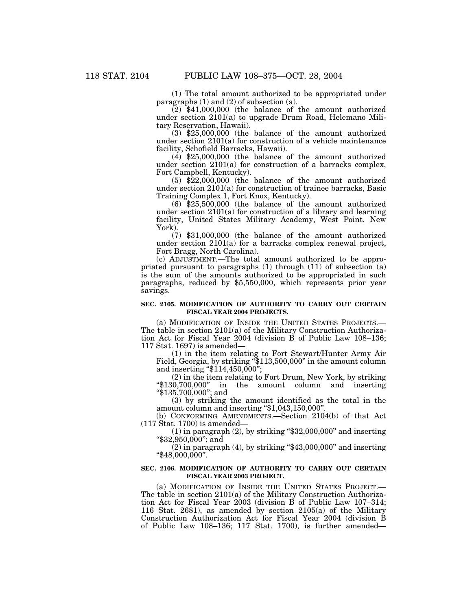(1) The total amount authorized to be appropriated under paragraphs  $(1)$  and  $(2)$  of subsection  $(a)$ .

 $(2)$  \$41,000,000 (the balance of the amount authorized under section 2101(a) to upgrade Drum Road, Helemano Military Reservation, Hawaii).

(3) \$25,000,000 (the balance of the amount authorized under section 2101(a) for construction of a vehicle maintenance facility, Schofield Barracks, Hawaii).

(4) \$25,000,000 (the balance of the amount authorized under section 2101(a) for construction of a barracks complex, Fort Campbell, Kentucky).

(5) \$22,000,000 (the balance of the amount authorized under section 2101(a) for construction of trainee barracks, Basic Training Complex 1, Fort Knox, Kentucky).

(6) \$25,500,000 (the balance of the amount authorized under section 2101(a) for construction of a library and learning facility, United States Military Academy, West Point, New York).

(7) \$31,000,000 (the balance of the amount authorized under section 2101(a) for a barracks complex renewal project, Fort Bragg, North Carolina).

(c) ADJUSTMENT.—The total amount authorized to be appropriated pursuant to paragraphs  $(1)$  through  $(11)$  of subsection  $(a)$ is the sum of the amounts authorized to be appropriated in such paragraphs, reduced by \$5,550,000, which represents prior year savings.

#### **SEC. 2105. MODIFICATION OF AUTHORITY TO CARRY OUT CERTAIN FISCAL YEAR 2004 PROJECTS.**

(a) MODIFICATION OF INSIDE THE UNITED STATES PROJECTS.— The table in section 2101(a) of the Military Construction Authorization Act for Fiscal Year 2004 (division B of Public Law 108–136; 117 Stat. 1697) is amended—

(1) in the item relating to Fort Stewart/Hunter Army Air Field, Georgia, by striking ''\$113,500,000'' in the amount column and inserting "\$114,450,000";

(2) in the item relating to Fort Drum, New York, by striking " $$130,700,000"$  in the amount column and inserting the amount column and inserting ''\$135,700,000''; and

(3) by striking the amount identified as the total in the amount column and inserting ''\$1,043,150,000''.

(b) CONFORMING AMENDMENTS.—Section 2104(b) of that Act (117 Stat. 1700) is amended—

 $(1)$  in paragraph  $(2)$ , by striking "\$32,000,000" and inserting ''\$32,950,000''; and

 $(2)$  in paragraph  $(4)$ , by striking "\$43,000,000" and inserting ''\$48,000,000''.

#### **SEC. 2106. MODIFICATION OF AUTHORITY TO CARRY OUT CERTAIN FISCAL YEAR 2003 PROJECT.**

(a) MODIFICATION OF INSIDE THE UNITED STATES PROJECT.— The table in section  $2101(a)$  of the Military Construction Authorization Act for Fiscal Year 2003 (division B of Public Law 107–314; 116 Stat. 2681), as amended by section 2105(a) of the Military Construction Authorization Act for Fiscal Year 2004 (division B of Public Law 108–136; 117 Stat. 1700), is further amended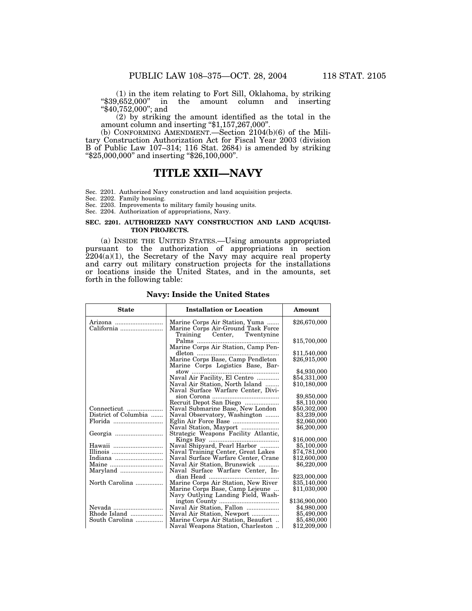(1) in the item relating to Fort Sill, Oklahoma, by striking " $$39,652,000"$ " in the amount column and inserting ''\$40,752,000''; and

(2) by striking the amount identified as the total in the amount column and inserting ''\$1,157,267,000''.

(b) CONFORMING AMENDMENT.—Section 2104(b)(6) of the Military Construction Authorization Act for Fiscal Year 2003 (division B of Public Law 107–314; 116 Stat. 2684) is amended by striking ''\$25,000,000'' and inserting ''\$26,100,000''.

# **TITLE XXII—NAVY**

Sec. 2201. Authorized Navy construction and land acquisition projects.

Sec. 2202. Family housing.

Sec. 2203. Improvements to military family housing units.

Sec. 2204. Authorization of appropriations, Navy.

### **SEC. 2201. AUTHORIZED NAVY CONSTRUCTION AND LAND ACQUISI-TION PROJECTS.**

(a) INSIDE THE UNITED STATES.—Using amounts appropriated pursuant to the authorization of appropriations in section  $2204(a)(1)$ , the Secretary of the Navy may acquire real property and carry out military construction projects for the installations or locations inside the United States, and in the amounts, set forth in the following table:

| \$26,670,000<br>Marine Corps Air Station, Yuma<br>Arizona<br>Marine Corps Air-Ground Task Force<br>California<br>Training Center, Twentynine<br>\$15,700,000<br>Palms<br>Marine Corps Air Station, Camp Pen-<br>\$11,540,000<br>dleton $\ldots$<br>Marine Corps Base, Camp Pendleton<br>\$26,915,000<br>Marine Corps Logistics Base, Bar-<br>\$4,930,000<br>$stow$<br>\$54,331,000<br>Naval Air Facility, El Centro<br>Naval Air Station, North Island<br>\$10,180,000<br>Naval Surface Warfare Center, Divi-<br>\$9,850,000<br>Recruit Depot San Diego<br>\$8,110,000<br>${\bf Connecticut} \ \ldots \ldots \ldots \ldots \ldots \ldots$<br>Naval Submarine Base, New London<br>\$50,302,000<br>District of Columbia<br>\$3,239,000<br>Naval Observatory, Washington<br>Florida<br>\$2,060,000<br>\$6,200,000<br>Strategic Weapons Facility Atlantic,<br>\$16,000,000<br>Naval Shipyard, Pearl Harbor<br>Hawaii<br>\$5,100,000<br>Illinois<br>\$74.781.000<br>Naval Training Center, Great Lakes<br>\$12,600,000<br>Indiana<br>Naval Surface Warfare Center, Crane<br>\$6,220,000<br>Naval Air Station, Brunswick<br>Maryland<br>Naval Surface Warfare Center, In-<br>dian Head<br>\$23,000,000<br>Marine Corps Air Station, New River<br>North Carolina<br>\$35,140,000<br>\$11.030.000<br>Marine Corps Base, Camp Lejeune | <b>State</b> | <b>Installation or Location</b> | Amount |
|------------------------------------------------------------------------------------------------------------------------------------------------------------------------------------------------------------------------------------------------------------------------------------------------------------------------------------------------------------------------------------------------------------------------------------------------------------------------------------------------------------------------------------------------------------------------------------------------------------------------------------------------------------------------------------------------------------------------------------------------------------------------------------------------------------------------------------------------------------------------------------------------------------------------------------------------------------------------------------------------------------------------------------------------------------------------------------------------------------------------------------------------------------------------------------------------------------------------------------------------------------------------------------------------------------------------------|--------------|---------------------------------|--------|
|                                                                                                                                                                                                                                                                                                                                                                                                                                                                                                                                                                                                                                                                                                                                                                                                                                                                                                                                                                                                                                                                                                                                                                                                                                                                                                                              |              |                                 |        |
|                                                                                                                                                                                                                                                                                                                                                                                                                                                                                                                                                                                                                                                                                                                                                                                                                                                                                                                                                                                                                                                                                                                                                                                                                                                                                                                              |              |                                 |        |
|                                                                                                                                                                                                                                                                                                                                                                                                                                                                                                                                                                                                                                                                                                                                                                                                                                                                                                                                                                                                                                                                                                                                                                                                                                                                                                                              |              |                                 |        |
|                                                                                                                                                                                                                                                                                                                                                                                                                                                                                                                                                                                                                                                                                                                                                                                                                                                                                                                                                                                                                                                                                                                                                                                                                                                                                                                              |              |                                 |        |
|                                                                                                                                                                                                                                                                                                                                                                                                                                                                                                                                                                                                                                                                                                                                                                                                                                                                                                                                                                                                                                                                                                                                                                                                                                                                                                                              |              |                                 |        |
|                                                                                                                                                                                                                                                                                                                                                                                                                                                                                                                                                                                                                                                                                                                                                                                                                                                                                                                                                                                                                                                                                                                                                                                                                                                                                                                              |              |                                 |        |
|                                                                                                                                                                                                                                                                                                                                                                                                                                                                                                                                                                                                                                                                                                                                                                                                                                                                                                                                                                                                                                                                                                                                                                                                                                                                                                                              |              |                                 |        |
|                                                                                                                                                                                                                                                                                                                                                                                                                                                                                                                                                                                                                                                                                                                                                                                                                                                                                                                                                                                                                                                                                                                                                                                                                                                                                                                              |              |                                 |        |
|                                                                                                                                                                                                                                                                                                                                                                                                                                                                                                                                                                                                                                                                                                                                                                                                                                                                                                                                                                                                                                                                                                                                                                                                                                                                                                                              |              |                                 |        |
|                                                                                                                                                                                                                                                                                                                                                                                                                                                                                                                                                                                                                                                                                                                                                                                                                                                                                                                                                                                                                                                                                                                                                                                                                                                                                                                              |              |                                 |        |
|                                                                                                                                                                                                                                                                                                                                                                                                                                                                                                                                                                                                                                                                                                                                                                                                                                                                                                                                                                                                                                                                                                                                                                                                                                                                                                                              |              |                                 |        |
|                                                                                                                                                                                                                                                                                                                                                                                                                                                                                                                                                                                                                                                                                                                                                                                                                                                                                                                                                                                                                                                                                                                                                                                                                                                                                                                              |              |                                 |        |
|                                                                                                                                                                                                                                                                                                                                                                                                                                                                                                                                                                                                                                                                                                                                                                                                                                                                                                                                                                                                                                                                                                                                                                                                                                                                                                                              |              |                                 |        |
|                                                                                                                                                                                                                                                                                                                                                                                                                                                                                                                                                                                                                                                                                                                                                                                                                                                                                                                                                                                                                                                                                                                                                                                                                                                                                                                              |              |                                 |        |
|                                                                                                                                                                                                                                                                                                                                                                                                                                                                                                                                                                                                                                                                                                                                                                                                                                                                                                                                                                                                                                                                                                                                                                                                                                                                                                                              |              |                                 |        |
|                                                                                                                                                                                                                                                                                                                                                                                                                                                                                                                                                                                                                                                                                                                                                                                                                                                                                                                                                                                                                                                                                                                                                                                                                                                                                                                              |              |                                 |        |
|                                                                                                                                                                                                                                                                                                                                                                                                                                                                                                                                                                                                                                                                                                                                                                                                                                                                                                                                                                                                                                                                                                                                                                                                                                                                                                                              |              |                                 |        |
|                                                                                                                                                                                                                                                                                                                                                                                                                                                                                                                                                                                                                                                                                                                                                                                                                                                                                                                                                                                                                                                                                                                                                                                                                                                                                                                              |              |                                 |        |
|                                                                                                                                                                                                                                                                                                                                                                                                                                                                                                                                                                                                                                                                                                                                                                                                                                                                                                                                                                                                                                                                                                                                                                                                                                                                                                                              |              |                                 |        |
|                                                                                                                                                                                                                                                                                                                                                                                                                                                                                                                                                                                                                                                                                                                                                                                                                                                                                                                                                                                                                                                                                                                                                                                                                                                                                                                              |              |                                 |        |
|                                                                                                                                                                                                                                                                                                                                                                                                                                                                                                                                                                                                                                                                                                                                                                                                                                                                                                                                                                                                                                                                                                                                                                                                                                                                                                                              |              |                                 |        |
|                                                                                                                                                                                                                                                                                                                                                                                                                                                                                                                                                                                                                                                                                                                                                                                                                                                                                                                                                                                                                                                                                                                                                                                                                                                                                                                              |              |                                 |        |
|                                                                                                                                                                                                                                                                                                                                                                                                                                                                                                                                                                                                                                                                                                                                                                                                                                                                                                                                                                                                                                                                                                                                                                                                                                                                                                                              |              |                                 |        |
|                                                                                                                                                                                                                                                                                                                                                                                                                                                                                                                                                                                                                                                                                                                                                                                                                                                                                                                                                                                                                                                                                                                                                                                                                                                                                                                              |              |                                 |        |
| Navy Outlying Landing Field, Wash-<br>\$136,900,000                                                                                                                                                                                                                                                                                                                                                                                                                                                                                                                                                                                                                                                                                                                                                                                                                                                                                                                                                                                                                                                                                                                                                                                                                                                                          |              |                                 |        |
|                                                                                                                                                                                                                                                                                                                                                                                                                                                                                                                                                                                                                                                                                                                                                                                                                                                                                                                                                                                                                                                                                                                                                                                                                                                                                                                              |              |                                 |        |
| Naval Air Station, Fallon<br>\$4,980,000<br>Nevada<br>Rhode Island<br>\$5,490,000                                                                                                                                                                                                                                                                                                                                                                                                                                                                                                                                                                                                                                                                                                                                                                                                                                                                                                                                                                                                                                                                                                                                                                                                                                            |              |                                 |        |
| Naval Air Station, Newport<br>South Carolina<br>Marine Corps Air Station, Beaufort<br>\$5,480,000                                                                                                                                                                                                                                                                                                                                                                                                                                                                                                                                                                                                                                                                                                                                                                                                                                                                                                                                                                                                                                                                                                                                                                                                                            |              |                                 |        |
| Naval Weapons Station, Charleston<br>\$12,209,000                                                                                                                                                                                                                                                                                                                                                                                                                                                                                                                                                                                                                                                                                                                                                                                                                                                                                                                                                                                                                                                                                                                                                                                                                                                                            |              |                                 |        |

#### **Navy: Inside the United States**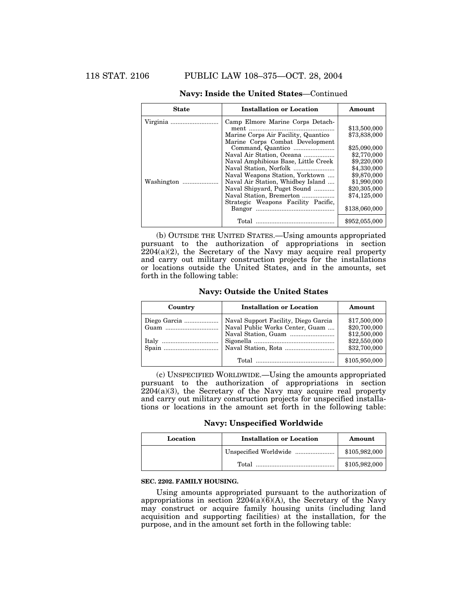| <b>State</b> | <b>Installation or Location</b>     | Amount        |
|--------------|-------------------------------------|---------------|
| Virginia     | Camp Elmore Marine Corps Detach-    |               |
|              |                                     | \$13,500,000  |
|              | Marine Corps Air Facility, Quantico | \$73,838,000  |
|              | Marine Corps Combat Development     |               |
|              |                                     | \$25,090,000  |
|              | Naval Air Station, Oceana           | \$2,770,000   |
|              | Naval Amphibious Base, Little Creek | \$9,220,000   |
|              |                                     | \$4,330,000   |
|              | Naval Weapons Station, Yorktown     | \$9,870,000   |
| Washington   | Naval Air Station, Whidbey Island   | \$1,990,000   |
|              | Naval Shipyard, Puget Sound         | \$20,305,000  |
|              | Naval Station, Bremerton            | \$74,125,000  |
|              | Strategic Weapons Facility Pacific, |               |
|              |                                     | \$138,060,000 |
|              |                                     | \$952,055,000 |

# **Navy: Inside the United States**—Continued

(b) OUTSIDE THE UNITED STATES.—Using amounts appropriated pursuant to the authorization of appropriations in section 2204(a)(2), the Secretary of the Navy may acquire real property and carry out military construction projects for the installations or locations outside the United States, and in the amounts, set forth in the following table:

# **Navy: Outside the United States**

| Country      | <b>Installation or Location</b>      | Amount        |
|--------------|--------------------------------------|---------------|
| Diego Garcia | Naval Support Facility, Diego Garcia | \$17,500,000  |
|              | Naval Public Works Center, Guam      | \$20,700,000  |
|              |                                      | \$12,500,000  |
|              |                                      | \$22,550,000  |
|              |                                      | \$32,700,000  |
|              |                                      | \$105,950,000 |

(c) UNSPECIFIED WORLDWIDE.—Using the amounts appropriated pursuant to the authorization of appropriations in section  $2204(a)(3)$ , the Secretary of the Navy may acquire real property and carry out military construction projects for unspecified installations or locations in the amount set forth in the following table:

**Navy: Unspecified Worldwide**

| Location | <b>Installation or Location</b> | Amount        |
|----------|---------------------------------|---------------|
|          |                                 | \$105,982,000 |
|          | Total                           | \$105,982,000 |

## **SEC. 2202. FAMILY HOUSING.**

Using amounts appropriated pursuant to the authorization of appropriations in section  $2204(a)(6)(A)$ , the Secretary of the Navy may construct or acquire family housing units (including land acquisition and supporting facilities) at the installation, for the purpose, and in the amount set forth in the following table: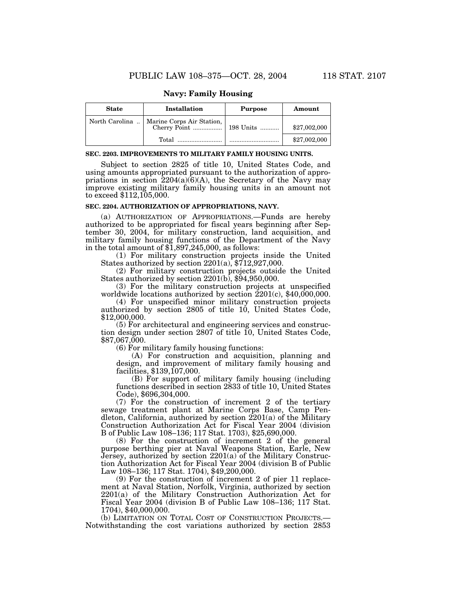## **Navy: Family Housing**

| <b>State</b>   | <b>Installation</b>       | <b>Purpose</b> | Amount       |
|----------------|---------------------------|----------------|--------------|
| North Carolina | Marine Corps Air Station, |                | \$27,002,000 |
|                | Total                     |                | \$27,002,000 |

#### **SEC. 2203. IMPROVEMENTS TO MILITARY FAMILY HOUSING UNITS.**

Subject to section 2825 of title 10, United States Code, and using amounts appropriated pursuant to the authorization of appropriations in section  $\frac{2204(a)(6)(A)}{b}$ , the Secretary of the Navy may improve existing military family housing units in an amount not to exceed \$112,105,000.

### **SEC. 2204. AUTHORIZATION OF APPROPRIATIONS, NAVY.**

(a) AUTHORIZATION OF APPROPRIATIONS.—Funds are hereby authorized to be appropriated for fiscal years beginning after September 30, 2004, for military construction, land acquisition, and military family housing functions of the Department of the Navy in the total amount of  $$1,897,245,000$ , as follows:

(1) For military construction projects inside the United States authorized by section  $2201(a)$ ,  $\frac{2712,927,000}{a}$ .

(2) For military construction projects outside the United States authorized by section 2201(b), \$94,950,000.

(3) For the military construction projects at unspecified worldwide locations authorized by section  $2201(c)$ , \$40,000,000.

(4) For unspecified minor military construction projects authorized by section 2805 of title 10, United States Code, \$12,000,000.

(5) For architectural and engineering services and construction design under section 2807 of title 10, United States Code, \$87,067,000.

(6) For military family housing functions:

(A) For construction and acquisition, planning and design, and improvement of military family housing and facilities, \$139,107,000.

(B) For support of military family housing (including functions described in section 2833 of title 10, United States Code), \$696,304,000.

(7) For the construction of increment 2 of the tertiary sewage treatment plant at Marine Corps Base, Camp Pendleton, California, authorized by section  $2201(a)$  of the Military Construction Authorization Act for Fiscal Year 2004 (division B of Public Law 108–136; 117 Stat. 1703), \$25,690,000.

(8) For the construction of increment 2 of the general purpose berthing pier at Naval Weapons Station, Earle, New Jersey, authorized by section 2201(a) of the Military Construction Authorization Act for Fiscal Year 2004 (division B of Public Law 108–136; 117 Stat. 1704), \$49,200,000.

(9) For the construction of increment 2 of pier 11 replacement at Naval Station, Norfolk, Virginia, authorized by section 2201(a) of the Military Construction Authorization Act for Fiscal Year 2004 (division B of Public Law 108–136; 117 Stat. 1704), \$40,000,000.<br>(b) LIMITATION ON TOTAL COST OF CONSTRUCTION PROJECTS.—

Notwithstanding the cost variations authorized by section 2853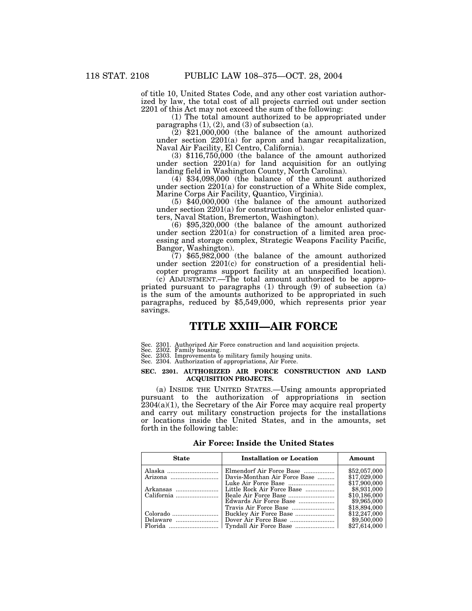of title 10, United States Code, and any other cost variation authorized by law, the total cost of all projects carried out under section 2201 of this Act may not exceed the sum of the following:

(1) The total amount authorized to be appropriated under paragraphs  $(1)$ ,  $(2)$ , and  $(3)$  of subsection  $(a)$ .

 $(2)$  \$21,000,000 (the balance of the amount authorized under section 2201(a) for apron and hangar recapitalization, Naval Air Facility, El Centro, California).

(3) \$116,750,000 (the balance of the amount authorized under section 2201(a) for land acquisition for an outlying landing field in Washington County, North Carolina).

(4) \$34,098,000 (the balance of the amount authorized under section 2201(a) for construction of a White Side complex, Marine Corps Air Facility, Quantico, Virginia).

(5) \$40,000,000 (the balance of the amount authorized under section 2201(a) for construction of bachelor enlisted quarters, Naval Station, Bremerton, Washington).

 $(6)$  \$95,320,000 (the balance of the amount authorized under section 2201(a) for construction of a limited area processing and storage complex, Strategic Weapons Facility Pacific, Bangor, Washington).

 $(7)$  \$65,982,000 (the balance of the amount authorized under section 2201(c) for construction of a presidential helicopter programs support facility at an unspecified location).

(c) ADJUSTMENT.—The total amount authorized to be appropriated pursuant to paragraphs (1) through (9) of subsection (a) is the sum of the amounts authorized to be appropriated in such paragraphs, reduced by \$5,549,000, which represents prior year savings.

# **TITLE XXIII—AIR FORCE**

Sec. 2301. Authorized Air Force construction and land acquisition projects.

Sec. 2302. Family housing. Sec. 2303. Improvements to military family housing units. Sec. 2304. Authorization of appropriations, Air Force.

### **SEC. 2301. AUTHORIZED AIR FORCE CONSTRUCTION AND LAND ACQUISITION PROJECTS.**

(a) INSIDE THE UNITED STATES.—Using amounts appropriated pursuant to the authorization of appropriations in section  $2304(a)(1)$ , the Secretary of the Air Force may acquire real property and carry out military construction projects for the installations or locations inside the United States, and in the amounts, set forth in the following table:

| Air Force: Inside the United States |  |  |  |
|-------------------------------------|--|--|--|
|-------------------------------------|--|--|--|

| <b>State</b> | <b>Installation or Location</b> | Amount                       |
|--------------|---------------------------------|------------------------------|
| Alaska       | Elmendorf Air Force Base        | \$52,057,000                 |
|              | Davis-Monthan Air Force Base    | \$17,029,000<br>\$17,900,000 |
| Arkansas     | Little Rock Air Force Base      | \$8,931,000                  |
|              |                                 | \$10,186,000                 |
|              | Edwards Air Force Base          | \$9,965,000                  |
|              |                                 | \$18,894,000                 |
|              |                                 | \$12,247,000                 |
| Delaware     |                                 | \$9,500,000                  |
|              |                                 | \$27,614,000                 |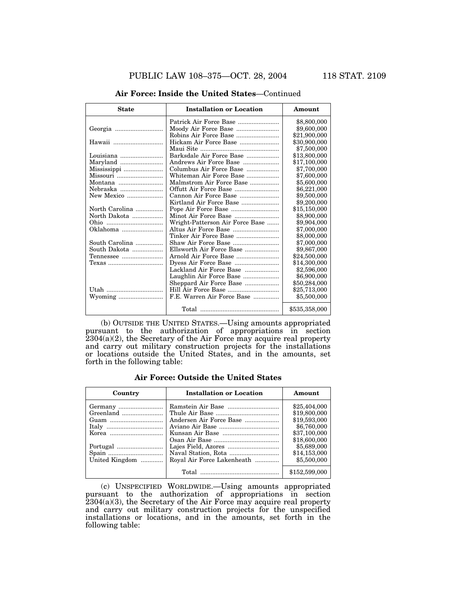| <b>State</b>   | <b>Installation or Location</b> | Amount        |
|----------------|---------------------------------|---------------|
|                |                                 | \$8,800,000   |
|                |                                 | \$9,600,000   |
|                |                                 | \$21,900,000  |
| Hawaii         | Hickam Air Force Base           | \$30,900,000  |
|                |                                 | \$7,500,000   |
| Louisiana      | Barksdale Air Force Base        | \$13,800,000  |
| Maryland       | Andrews Air Force Base          | \$17,100,000  |
| Mississippi    | Columbus Air Force Base         | \$7,700,000   |
| Missouri       | Whiteman Air Force Base         | \$7,600,000   |
| Montana        | Malmstrom Air Force Base        | \$5,600,000   |
| Nebraska       | Offutt Air Force Base           | \$6,221,000   |
| New Mexico     |                                 | \$9,500,000   |
|                | Kirtland Air Force Base         | \$9,200,000   |
| North Carolina |                                 | \$15,150,000  |
| North Dakota   |                                 | \$8,900,000   |
|                | Wright-Patterson Air Force Base | \$9,904,000   |
| Oklahoma       |                                 | \$7,000,000   |
|                | Tinker Air Force Base           | \$8,000,000   |
| South Carolina | Shaw Air Force Base             | \$7,000,000   |
| South Dakota   | Ellsworth Air Force Base        | \$9,867,000   |
| Tennessee      |                                 | \$24,500,000  |
| Texas          |                                 | \$14,300,000  |
|                | Lackland Air Force Base         | \$2,596,000   |
|                | Laughlin Air Force Base         | \$6,900,000   |
|                | Sheppard Air Force Base         | \$50,284,000  |
| Utah           |                                 | \$25,713,000  |
| Wyoming        | F.E. Warren Air Force Base      | \$5,500,000   |
|                |                                 | \$535,358,000 |

### **Air Force: Inside the United States**—Continued

(b) OUTSIDE THE UNITED STATES.—Using amounts appropriated pursuant to the authorization of appropriations in section  $2304(a)(2)$ , the Secretary of the Air Force may acquire real property and carry out military construction projects for the installations or locations outside the United States, and in the amounts, set forth in the following table:

# **Air Force: Outside the United States**

| Country        | <b>Installation or Location</b> | Amount        |
|----------------|---------------------------------|---------------|
|                |                                 | \$25,404,000  |
| Greenland      |                                 | \$19,800,000  |
| Guam           | Andersen Air Force Base         | \$19,593,000  |
|                |                                 | \$6,760,000   |
|                |                                 | \$37,100,000  |
|                |                                 | \$18,600,000  |
|                |                                 | \$5,689,000   |
|                |                                 | \$14,153,000  |
| United Kingdom | Royal Air Force Lakenheath      | \$5,500,000   |
|                |                                 | \$152,599,000 |

(c) UNSPECIFIED WORLDWIDE.—Using amounts appropriated pursuant to the authorization of appropriations in section 2304(a)(3), the Secretary of the Air Force may acquire real property and carry out military construction projects for the unspecified installations or locations, and in the amounts, set forth in the following table: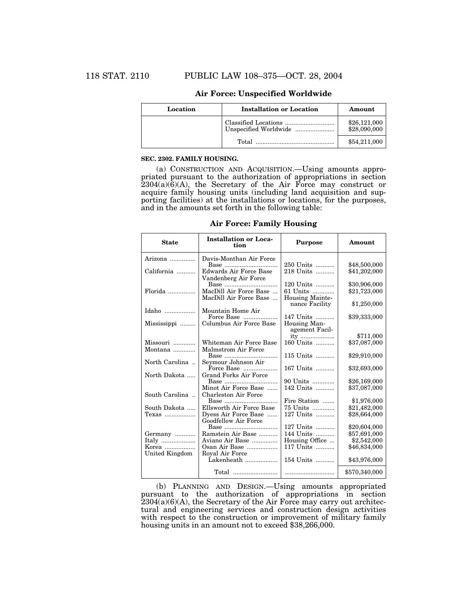| Location | <b>Installation or Location</b> | Amount                       |
|----------|---------------------------------|------------------------------|
|          |                                 | \$26,121,000<br>\$28,090,000 |
|          | Total                           | \$54,211,000                 |

# **Air Force: Unspecified Worldwide**

#### **SEC. 2302. FAMILY HOUSING.**

(a) CONSTRUCTION AND ACQUISITION.—Using amounts appropriated pursuant to the authorization of appropriations in section  $2304(a)(6)(A)$ , the Secretary of the Air Force may construct or acquire family housing units (including land acquisition and supporting facilities) at the installations or locations, for the purposes, and in the amounts set forth in the following table:

# **Air Force: Family Housing**

| <b>State</b>          | <b>Installation or Loca-</b><br>tion                                     | <b>Purpose</b>                                  | Amount                       |
|-----------------------|--------------------------------------------------------------------------|-------------------------------------------------|------------------------------|
| Arizona               | Davis-Monthan Air Force                                                  |                                                 |                              |
| California            | Base<br>Edwards Air Force Base<br>Vandenberg Air Force                   | 250 Units<br>218 Units                          | \$48,500,000<br>\$41,202,000 |
|                       | Base<br>MacDill Air Force Base<br>MacDill Air Force Base                 | 120 Units<br>61 Units<br><b>Housing Mainte-</b> | \$30,906,000<br>\$21,723,000 |
| Idaho                 | Mountain Home Air                                                        | nance Facility                                  | \$1,250,000                  |
| Mississippi           | Force Base<br>Columbus Air Force Base                                    | 147 Units<br>Housing Man-<br>agement Facil-     | \$39,333,000                 |
|                       |                                                                          | ity                                             | \$711,000                    |
| Missouri<br>Montana   | Whiteman Air Force Base<br>Malmstrom Air Force                           | 160 Units                                       | \$37,087,000                 |
|                       |                                                                          | 115 Units                                       | \$29,910,000                 |
| North Carolina        | Seymour Johnson Air<br>Force Base                                        | 167 Units                                       | \$32,693,000                 |
| North Dakota          | <b>Grand Forks Air Force</b>                                             | 90 Units                                        | \$26,169,000                 |
| South Carolina        | Minot Air Force Base<br>Charleston Air Force                             | 142 Units                                       | \$37,087,000                 |
|                       |                                                                          | Fire Station                                    | \$1,976,000                  |
| South Dakota<br>Texas | Ellsworth Air Force Base<br>Dyess Air Force Base<br>Goodfellow Air Force | 75 Units<br>127 Units                           | \$21,482,000<br>\$28,664,000 |
|                       | Base                                                                     | 127 Units                                       | \$20,604,000                 |
| Germany               | Ramstein Air Base                                                        | 144 Units                                       | \$57,691,000                 |
| Italy                 | Aviano Air Base                                                          | Housing Office                                  | \$2,542,000                  |
| Korea                 | Osan Air Base                                                            | 117 Units                                       | \$46,834,000                 |
| United Kingdom        | Royal Air Force<br>Lakenheath                                            | 154 Units                                       | \$43,976,000                 |
|                       | Total                                                                    |                                                 | \$570,340,000                |

(b) PLANNING AND DESIGN.—Using amounts appropriated pursuant to the authorization of appropriations in section  $2304(a)(6)(A)$ , the Secretary of the Air Force may carry out architectural and engineering services and construction design activities with respect to the construction or improvement of military family housing units in an amount not to exceed \$38,266,000.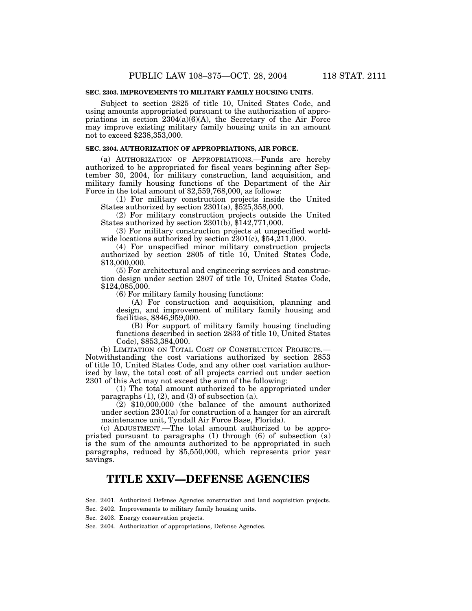# **SEC. 2303. IMPROVEMENTS TO MILITARY FAMILY HOUSING UNITS.**

Subject to section 2825 of title 10, United States Code, and using amounts appropriated pursuant to the authorization of appropriations in section  $2304(a)(6)(A)$ , the Secretary of the Air Force may improve existing military family housing units in an amount not to exceed \$238,353,000.

## **SEC. 2304. AUTHORIZATION OF APPROPRIATIONS, AIR FORCE.**

(a) AUTHORIZATION OF APPROPRIATIONS.—Funds are hereby authorized to be appropriated for fiscal years beginning after September 30, 2004, for military construction, land acquisition, and military family housing functions of the Department of the Air Force in the total amount of \$2,559,768,000, as follows:

(1) For military construction projects inside the United States authorized by section 2301(a), \$525,358,000.

(2) For military construction projects outside the United States authorized by section 2301(b), \$142,771,000.

(3) For military construction projects at unspecified worldwide locations authorized by section  $2301(c)$ , \$54,211,000.

(4) For unspecified minor military construction projects authorized by section 2805 of title 10, United States Code, \$13,000,000.

(5) For architectural and engineering services and construction design under section 2807 of title 10, United States Code, \$124,085,000.

(6) For military family housing functions:

(A) For construction and acquisition, planning and design, and improvement of military family housing and facilities, \$846,959,000.

(B) For support of military family housing (including functions described in section 2833 of title 10, United States Code), \$853,384,000.

(b) LIMITATION ON TOTAL COST OF CONSTRUCTION PROJECTS.— Notwithstanding the cost variations authorized by section 2853 of title 10, United States Code, and any other cost variation authorized by law, the total cost of all projects carried out under section 2301 of this Act may not exceed the sum of the following:

(1) The total amount authorized to be appropriated under paragraphs  $(1)$ ,  $(2)$ , and  $(3)$  of subsection  $(a)$ .

 $(2)$  \$10,000,000 (the balance of the amount authorized under section 2301(a) for construction of a hanger for an aircraft maintenance unit, Tyndall Air Force Base, Florida).

(c) ADJUSTMENT.—The total amount authorized to be appropriated pursuant to paragraphs (1) through (6) of subsection (a) is the sum of the amounts authorized to be appropriated in such paragraphs, reduced by \$5,550,000, which represents prior year savings.

# **TITLE XXIV—DEFENSE AGENCIES**

Sec. 2401. Authorized Defense Agencies construction and land acquisition projects.

Sec. 2402. Improvements to military family housing units.

Sec. 2403. Energy conservation projects.

Sec. 2404. Authorization of appropriations, Defense Agencies.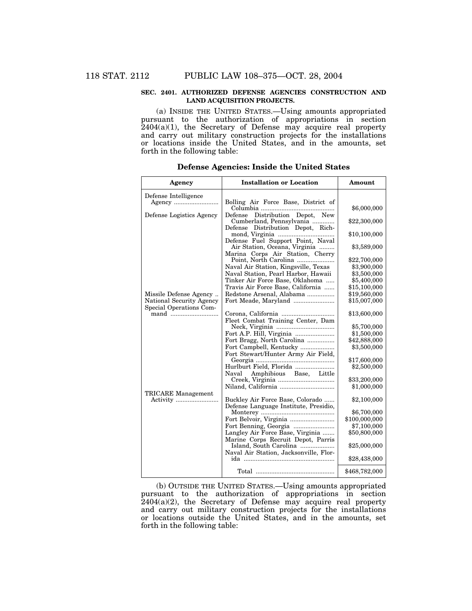### **SEC. 2401. AUTHORIZED DEFENSE AGENCIES CONSTRUCTION AND LAND ACQUISITION PROJECTS.**

(a) INSIDE THE UNITED STATES.—Using amounts appropriated pursuant to the authorization of appropriations in section  $2404(a)(1)$ , the Secretary of Defense may acquire real property and carry out military construction projects for the installations or locations inside the United States, and in the amounts, set forth in the following table:

| Agency                          | <b>Installation or Location</b>                                    | Amount                       |
|---------------------------------|--------------------------------------------------------------------|------------------------------|
| Defense Intelligence            | Bolling Air Force Base, District of                                |                              |
| Defense Logistics Agency        | Defense Distribution Depot, New                                    | \$6,000,000                  |
|                                 | Cumberland, Pennsylvania<br>Defense Distribution Depot, Rich-      | \$22,300,000                 |
|                                 |                                                                    | \$10,100,000                 |
|                                 | Defense Fuel Support Point, Naval<br>Air Station, Oceana, Virginia | \$3,589,000                  |
|                                 | Marina Corps Air Station, Cherry<br>Point, North Carolina          | \$22,700,000                 |
|                                 | Naval Air Station, Kingsville, Texas                               | \$3,900,000                  |
|                                 | Naval Station, Pearl Harbor, Hawaii                                | \$3,500,000                  |
|                                 | Tinker Air Force Base, Oklahoma                                    | \$5,400,000                  |
|                                 | Travis Air Force Base, California                                  | \$15,100,000                 |
| Missile Defense Agency          | Redstone Arsenal, Alabama                                          | \$19,560,000                 |
| National Security Agency        | Fort Meade, Maryland                                               | \$15,007,000                 |
| Special Operations Com-<br>mand |                                                                    | \$13,600,000                 |
|                                 | Fleet Combat Training Center, Dam                                  |                              |
|                                 |                                                                    | \$5,700,000                  |
|                                 |                                                                    | \$1,500,000                  |
|                                 | Fort Bragg, North Carolina                                         | \$42,888,000                 |
|                                 | Fort Campbell, Kentucky<br>Fort Stewart/Hunter Army Air Field,     | \$3,500,000                  |
|                                 |                                                                    | \$17,600,000                 |
|                                 | Hurlburt Field, Florida                                            | \$2,500,000                  |
|                                 | Naval Amphibious Base, Little                                      |                              |
|                                 |                                                                    | \$33,200,000                 |
| <b>TRICARE</b> Management       |                                                                    | \$1,000,000                  |
|                                 | Buckley Air Force Base, Colorado                                   | \$2,100,000                  |
|                                 | Defense Language Institute, Presidio,                              |                              |
|                                 | Fort Belvoir, Virginia                                             | \$6,700,000<br>\$100,000,000 |
|                                 |                                                                    | \$7,100,000                  |
|                                 | Langley Air Force Base, Virginia                                   | \$50,800,000                 |
|                                 | Marine Corps Recruit Depot, Parris                                 |                              |
|                                 | Island, South Carolina<br>Naval Air Station, Jacksonville, Flor-   | \$25,000,000                 |
|                                 |                                                                    | \$28,438,000                 |
|                                 |                                                                    | \$468,782,000                |

**Defense Agencies: Inside the United States**

(b) OUTSIDE THE UNITED STATES.—Using amounts appropriated pursuant to the authorization of appropriations in section  $2404(a)(2)$ , the Secretary of Defense may acquire real property and carry out military construction projects for the installations or locations outside the United States, and in the amounts, set forth in the following table: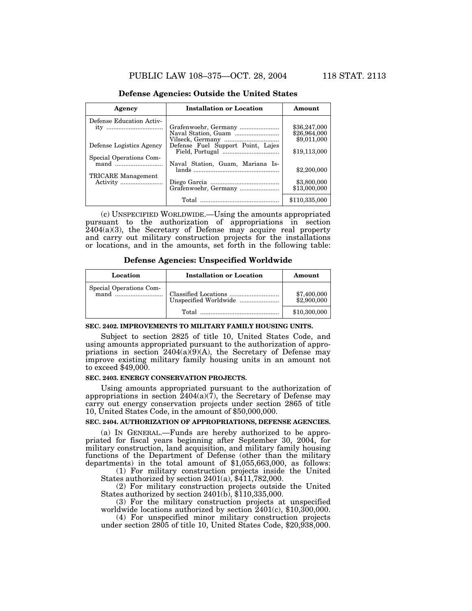#### **Defense Agencies: Outside the United States**

| Agency                   | <b>Installation or Location</b>   | Amount        |
|--------------------------|-----------------------------------|---------------|
| Defense Education Activ- |                                   |               |
| ity                      | Grafenwoehr, Germany              | \$36,247,000  |
|                          |                                   | \$26,964,000  |
|                          |                                   | \$9,011,000   |
| Defense Logistics Agency | Defense Fuel Support Point, Lajes |               |
|                          |                                   | \$19,113,000  |
| Special Operations Com-  |                                   |               |
| mand $\ldots$            | Naval Station, Guam, Mariana Is-  |               |
|                          |                                   | \$2,200,000   |
| TRICARE Management       |                                   |               |
|                          |                                   | \$3,800,000   |
|                          | Grafenwoehr, Germany              | \$13,000,000  |
|                          |                                   | \$110,335,000 |
|                          |                                   |               |

(c) UNSPECIFIED WORLDWIDE.—Using the amounts appropriated pursuant to the authorization of appropriations in section  $2404(a)(3)$ , the Secretary of Defense may acquire real property and carry out military construction projects for the installations or locations, and in the amounts, set forth in the following table:

**Defense Agencies: Unspecified Worldwide**

| Location | <b>Installation or Location</b> | Amount                     |
|----------|---------------------------------|----------------------------|
|          |                                 | \$7,400,000<br>\$2,900,000 |
|          | Total                           | \$10,300,000               |

#### **SEC. 2402. IMPROVEMENTS TO MILITARY FAMILY HOUSING UNITS.**

Subject to section 2825 of title 10, United States Code, and using amounts appropriated pursuant to the authorization of appropriations in section  $2404(a)\overline{(9)}(A)$ , the Secretary of Defense may improve existing military family housing units in an amount not to exceed \$49,000.

# **SEC. 2403. ENERGY CONSERVATION PROJECTS.**

Using amounts appropriated pursuant to the authorization of appropriations in section  $\dot{2}404(a)(\dot{7})$ , the Secretary of Defense may carry out energy conservation projects under section 2865 of title 10, United States Code, in the amount of \$50,000,000.

### **SEC. 2404. AUTHORIZATION OF APPROPRIATIONS, DEFENSE AGENCIES.**

(a) IN GENERAL.—Funds are hereby authorized to be appropriated for fiscal years beginning after September 30, 2004, for military construction, land acquisition, and military family housing functions of the Department of Defense (other than the military departments) in the total amount of \$1,055,663,000, as follows:

(1) For military construction projects inside the United States authorized by section  $2401(a)$ ,  $\frac{2411}{782,000}$ .

(2) For military construction projects outside the United States authorized by section 2401(b), \$110,335,000.

(3) For the military construction projects at unspecified worldwide locations authorized by section  $2401(c)$ , \$10,300,000.

(4) For unspecified minor military construction projects under section 2805 of title 10, United States Code, \$20,938,000.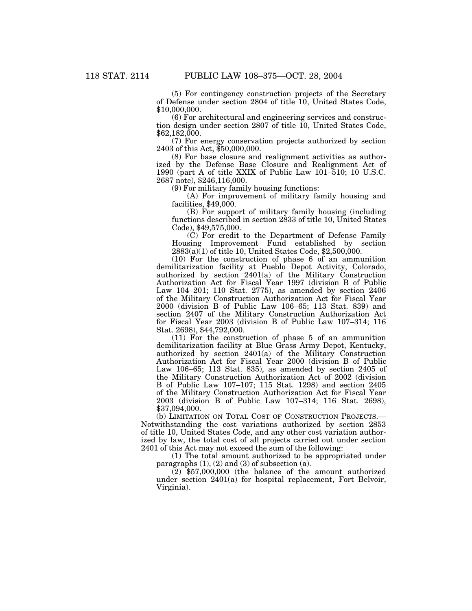(5) For contingency construction projects of the Secretary of Defense under section 2804 of title 10, United States Code, \$10,000,000.

(6) For architectural and engineering services and construction design under section 2807 of title 10, United States Code, \$62,182,000.

(7) For energy conservation projects authorized by section 2403 of this Act, \$50,000,000.

(8) For base closure and realignment activities as authorized by the Defense Base Closure and Realignment Act of 1990 (part A of title XXIX of Public Law 101–510; 10 U.S.C. 2687 note), \$246,116,000.

(9) For military family housing functions:

(A) For improvement of military family housing and facilities, \$49,000.

(B) For support of military family housing (including functions described in section 2833 of title 10, United States Code), \$49,575,000.

(C) For credit to the Department of Defense Family Housing Improvement Fund established by section  $2883(a)\overline{(1)}$  of title 10, United States Code, \$2,500,000.

(10) For the construction of phase 6 of an ammunition demilitarization facility at Pueblo Depot Activity, Colorado, authorized by section 2401(a) of the Military Construction Authorization Act for Fiscal Year 1997 (division B of Public Law 104–201; 110 Stat. 2775), as amended by section 2406 of the Military Construction Authorization Act for Fiscal Year 2000 (division B of Public Law 106–65; 113 Stat. 839) and section 2407 of the Military Construction Authorization Act for Fiscal Year 2003 (division B of Public Law 107–314; 116 Stat. 2698), \$44,792,000.

(11) For the construction of phase 5 of an ammunition demilitarization facility at Blue Grass Army Depot, Kentucky, authorized by section 2401(a) of the Military Construction Authorization Act for Fiscal Year 2000 (division B of Public Law 106–65; 113 Stat. 835), as amended by section 2405 of the Military Construction Authorization Act of 2002 (division B of Public Law 107–107; 115 Stat. 1298) and section 2405 of the Military Construction Authorization Act for Fiscal Year 2003 (division B of Public Law 107–314; 116 Stat. 2698), \$37,094,000.

(b) LIMITATION ON TOTAL COST OF CONSTRUCTION PROJECTS.— Notwithstanding the cost variations authorized by section 2853 of title 10, United States Code, and any other cost variation authorized by law, the total cost of all projects carried out under section 2401 of this Act may not exceed the sum of the following:

(1) The total amount authorized to be appropriated under paragraphs  $(1)$ ,  $(2)$  and  $(3)$  of subsection  $(a)$ .

 $(2)$  \$57,000,000 (the balance of the amount authorized under section 2401(a) for hospital replacement, Fort Belvoir, Virginia).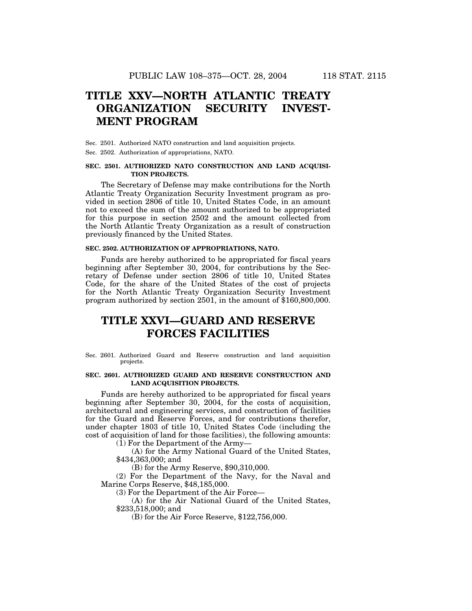# **TITLE XXV—NORTH ATLANTIC TREATY ORGANIZATION SECURITY INVEST-MENT PROGRAM**

Sec. 2501. Authorized NATO construction and land acquisition projects. Sec. 2502. Authorization of appropriations, NATO.

### **SEC. 2501. AUTHORIZED NATO CONSTRUCTION AND LAND ACQUISI-TION PROJECTS.**

The Secretary of Defense may make contributions for the North Atlantic Treaty Organization Security Investment program as provided in section 2806 of title 10, United States Code, in an amount not to exceed the sum of the amount authorized to be appropriated for this purpose in section 2502 and the amount collected from the North Atlantic Treaty Organization as a result of construction previously financed by the United States.

#### **SEC. 2502. AUTHORIZATION OF APPROPRIATIONS, NATO.**

Funds are hereby authorized to be appropriated for fiscal years beginning after September 30, 2004, for contributions by the Secretary of Defense under section 2806 of title 10, United States Code, for the share of the United States of the cost of projects for the North Atlantic Treaty Organization Security Investment program authorized by section 2501, in the amount of \$160,800,000.

# **TITLE XXVI—GUARD AND RESERVE FORCES FACILITIES**

Sec. 2601. Authorized Guard and Reserve construction and land acquisition projects.

#### **SEC. 2601. AUTHORIZED GUARD AND RESERVE CONSTRUCTION AND LAND ACQUISITION PROJECTS.**

Funds are hereby authorized to be appropriated for fiscal years beginning after September 30, 2004, for the costs of acquisition, architectural and engineering services, and construction of facilities for the Guard and Reserve Forces, and for contributions therefor, under chapter 1803 of title 10, United States Code (including the cost of acquisition of land for those facilities), the following amounts:

(1) For the Department of the Army—

(A) for the Army National Guard of the United States, \$434,363,000; and

(B) for the Army Reserve, \$90,310,000.

(2) For the Department of the Navy, for the Naval and Marine Corps Reserve, \$48,185,000.

(3) For the Department of the Air Force—

(A) for the Air National Guard of the United States, \$233,518,000; and

(B) for the Air Force Reserve, \$122,756,000.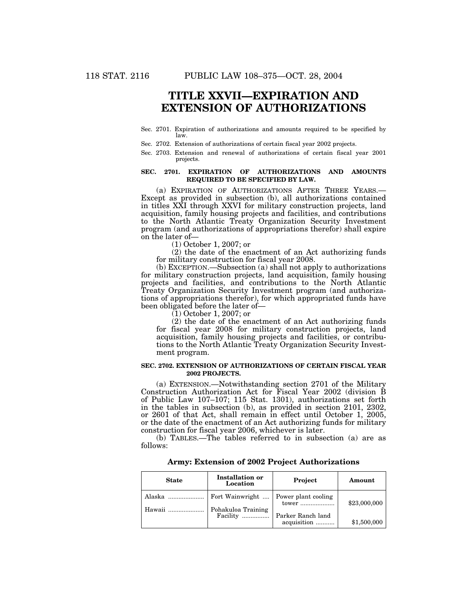# **TITLE XXVII—EXPIRATION AND EXTENSION OF AUTHORIZATIONS**

- Sec. 2701. Expiration of authorizations and amounts required to be specified by law.
- Sec. 2702. Extension of authorizations of certain fiscal year 2002 projects.
- Sec. 2703. Extension and renewal of authorizations of certain fiscal year 2001 projects.

### **SEC. 2701. EXPIRATION OF AUTHORIZATIONS AND AMOUNTS REQUIRED TO BE SPECIFIED BY LAW.**

(a) EXPIRATION OF AUTHORIZATIONS AFTER THREE YEARS.— Except as provided in subsection (b), all authorizations contained in titles XXI through XXVI for military construction projects, land acquisition, family housing projects and facilities, and contributions to the North Atlantic Treaty Organization Security Investment program (and authorizations of appropriations therefor) shall expire on the later of—

(1) October 1, 2007; or

(2) the date of the enactment of an Act authorizing funds for military construction for fiscal year 2008.

(b) EXCEPTION.—Subsection (a) shall not apply to authorizations for military construction projects, land acquisition, family housing projects and facilities, and contributions to the North Atlantic Treaty Organization Security Investment program (and authorizations of appropriations therefor), for which appropriated funds have been obligated before the later of—

(1) October 1, 2007; or

(2) the date of the enactment of an Act authorizing funds for fiscal year 2008 for military construction projects, land acquisition, family housing projects and facilities, or contributions to the North Atlantic Treaty Organization Security Investment program.

#### **SEC. 2702. EXTENSION OF AUTHORIZATIONS OF CERTAIN FISCAL YEAR 2002 PROJECTS.**

(a) EXTENSION.—Notwithstanding section 2701 of the Military Construction Authorization Act for Fiscal Year 2002 (division B of Public Law 107–107; 115 Stat. 1301), authorizations set forth in the tables in subsection (b), as provided in section 2101, 2302, or 2601 of that Act, shall remain in effect until October 1, 2005, or the date of the enactment of an Act authorizing funds for military construction for fiscal year 2006, whichever is later.

(b) TABLES.—The tables referred to in subsection (a) are as follows:

**Army: Extension of 2002 Project Authorizations**

| <b>State</b> | <b>Installation or</b><br>Location     | Project                          | Amount       |
|--------------|----------------------------------------|----------------------------------|--------------|
| Alaska       | Fort Wainwright    Power plant cooling |                                  | \$23,000,000 |
| Hawaii       | Pohakuloa Training<br>Facility         | Parker Ranch land<br>acquisition | \$1,500,000  |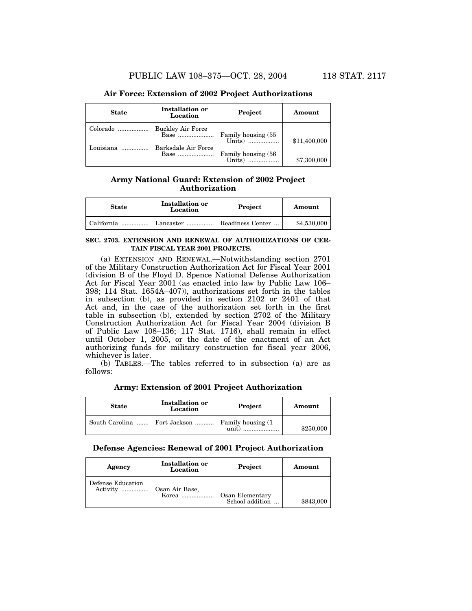# **Air Force: Extension of 2002 Project Authorizations**

| <b>State</b>          | <b>Installation or</b><br>Location                      | Project                             | Amount       |
|-----------------------|---------------------------------------------------------|-------------------------------------|--------------|
| Colorado<br>Louisiana | <b>Buckley Air Force</b><br>Base<br>Barksdale Air Force | Family housing (55)<br>Units)       | \$11,400,000 |
|                       | Base                                                    | Family housing (56<br>$\text{This}$ | \$7,300,000  |

# **Army National Guard: Extension of 2002 Project Authorization**

| <b>State</b> | <b>Installation or</b><br>Location | Project          | Amount      |
|--------------|------------------------------------|------------------|-------------|
| California   | Lancaster                          | Readiness Center | \$4,530,000 |

#### **SEC. 2703. EXTENSION AND RENEWAL OF AUTHORIZATIONS OF CER-TAIN FISCAL YEAR 2001 PROJECTS.**

(a) EXTENSION AND RENEWAL.—Notwithstanding section 2701 of the Military Construction Authorization Act for Fiscal Year 2001 (division B of the Floyd D. Spence National Defense Authorization Act for Fiscal Year 2001 (as enacted into law by Public Law 106– 398; 114 Stat. 1654A–407)), authorizations set forth in the tables in subsection (b), as provided in section 2102 or 2401 of that Act and, in the case of the authorization set forth in the first table in subsection (b), extended by section 2702 of the Military Construction Authorization Act for Fiscal Year 2004 (division B of Public Law 108–136; 117 Stat. 1716), shall remain in effect until October 1, 2005, or the date of the enactment of an Act authorizing funds for military construction for fiscal year 2006, whichever is later.

(b) TABLES.—The tables referred to in subsection (a) are as follows:

| <b>State</b> | <b>Installation or</b><br>Location | Project                     | Amount    |
|--------------|------------------------------------|-----------------------------|-----------|
|              | South Carolina    Fort Jackson     | Family housing (1)<br>unit) | \$250,000 |

## **Army: Extension of 2001 Project Authorization**

# **Defense Agencies: Renewal of 2001 Project Authorization**

| Agency            | Installation or<br>Location | Project         | Amount    |
|-------------------|-----------------------------|-----------------|-----------|
| Defense Education | Osan Air Base,              | Osan Elementary | \$843,000 |
| Activity          | $Korea$                     | School addition |           |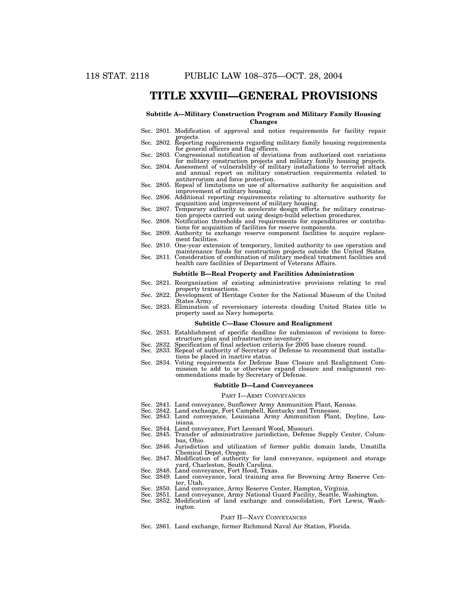# **TITLE XXVIII—GENERAL PROVISIONS**

#### **Subtitle A—Military Construction Program and Military Family Housing Changes**

- Sec. 2801. Modification of approval and notice requirements for facility repair projects. Sec. 2802. Reporting requirements regarding military family housing requirements
- for general officers and flag officers. Sec. 2803. Congressional notification of deviations from authorized cost variations
- for military construction projects and military family housing projects. Sec. 2804. Assessment of vulnerability of military installations to terrorist attack
- and annual report on military construction requirements related to antiterrorism and force protection.
- Sec. 2805. Repeal of limitations on use of alternative authority for acquisition and improvement of military housing.
- Sec. 2806. Additional reporting requirements relating to alternative authority for acquisition and improvement of military housing.
- Sec. 2807. Temporary authority to accelerate design efforts for military construction projects carried out using design-build selection procedures.
- Sec. 2808. Notification thresholds and requirements for expenditures or contributions for acquisition of facilities for reserve components.
- Sec. 2809. Authority to exchange reserve component facilities to acquire replacement facilities.
- Sec. 2810. One-year extension of temporary, limited authority to use operation and maintenance funds for construction projects outside the United States. Sec. 2811. Consideration of combination of military medical treatment facilities and
- health care facilities of Department of Veterans Affairs.

#### **Subtitle B—Real Property and Facilities Administration**

- Sec. 2821. Reorganization of existing administrative provisions relating to real property transactions.
- Sec. 2822. Development of Heritage Center for the National Museum of the United States Army.
- Sec. 2823. Elimination of reversionary interests clouding United States title to property used as Navy homeports.

#### **Subtitle C—Base Closure and Realignment**

- Sec. 2831. Establishment of specific deadline for submission of revisions to force-
- structure plan and infrastructure inventory. Sec. 2832. Specification of final selection criteria for 2005 base closure round.
- Sec. 2833. Repeal of authority of Secretary of Defense to recommend that installations be placed in inactive status.
- Sec. 2834. Voting requirements for Defense Base Closure and Realignment Commission to add to or otherwise expand closure and realignment recommendations made by Secretary of Defense.

#### **Subtitle D—Land Conveyances**

#### PART I—ARMY CONVEYANCES

- 
- Sec. 2841. Land conveyance, Sunflower Army Ammunition Plant, Kansas. Sec. 2842. Land exchange, Fort Campbell, Kentucky and Tennessee.
- Sec. 2843. Land conveyance, Louisiana Army Ammunition Plant, Doyline, Louisiana.
- Sec. 2844. Land conveyance, Fort Leonard Wood, Missouri.
- Sec. 2845. Transfer of administrative jurisdiction, Defense Supply Center, Columbus, Ohio.
- Sec. 2846. Jurisdiction and utilization of former public domain lands, Umatilla Chemical Depot, Oregon. Sec. 2847. Modification of authority for land conveyance, equipment and storage
- yard, Charleston, South Carolina. Sec. 2848. Land conveyance, Fort Hood, Texas.
- 
- Sec. 2849. Land conveyance, local training area for Browning Army Reserve Center, Utah.
- Sec. 2850. Land conveyance, Army Reserve Center, Hampton, Virginia.
- Sec. 2851. Land conveyance, Army National Guard Facility, Seattle, Washington. Sec. 2852. Modification of land exchange and consolidation, Fort Lewis, Washington.

#### PART II—NAVY CONVEYANCES

Sec. 2861. Land exchange, former Richmond Naval Air Station, Florida.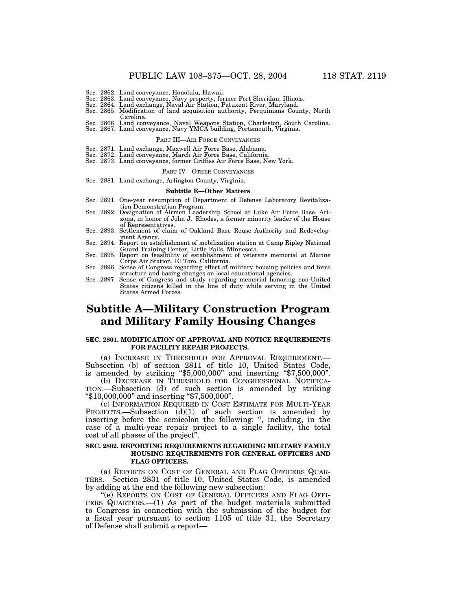- Sec. 2862. Land conveyance, Honolulu, Hawaii. Sec. 2863. Land conveyance, Navy property, former Fort Sheridan, Illinois.
- Sec. 2864. Land exchange, Naval Air Station, Patuxent River, Maryland. Sec. 2865. Modification of land acquisition authority, Perquimans County, North
- Carolina.
- Sec. 2866. Land conveyance, Naval Weapons Station, Charleston, South Carolina.
- Sec. 2867. Land conveyance, Navy YMCA building, Portsmouth, Virginia.

### PART III—AIR FORCE CONVEYANCES

- 
- Sec. 2871. Land exchange, Maxwell Air Force Base, Alabama. Sec. 2872. Land conveyance, March Air Force Base, California.
- Sec. 2873. Land conveyance, former Griffiss Air Force Base, New York.

#### PART IV—OTHER CONVEYANCES

Sec. 2881. Land exchange, Arlington County, Virginia.

#### **Subtitle E—Other Matters**

- Sec. 2891. One-year resumption of Department of Defense Laboratory Revitalization Demonstration Program.
- Sec. 2892. Designation of Airmen Leadership School at Luke Air Force Base, Arizona, in honor of John J. Rhodes, a former minority leader of the House of Representatives.
- Sec. 2893. Settlement of claim of Oakland Base Reuse Authority and Redevelopment Agency.
- Sec. 2894. Report on establishment of mobilization station at Camp Ripley National Guard Training Center, Little Falls, Minnesota. Sec. 2895. Report on feasibility of establishment of veterans memorial at Marine
- Corps Air Station, El Toro, California.
- Sec. 2896. Sense of Congress regarding effect of military housing policies and force structure and basing changes on local educational agencies. Sec. 2897. Sense of Congress and study regarding memorial honoring non-United
- States citizens killed in the line of duty while serving in the United States Armed Forces.

# **Subtitle A—Military Construction Program and Military Family Housing Changes**

#### **SEC. 2801. MODIFICATION OF APPROVAL AND NOTICE REQUIREMENTS FOR FACILITY REPAIR PROJECTS.**

(a) INCREASE IN THRESHOLD FOR APPROVAL REQUIREMENT.— Subsection (b) of section 2811 of title 10, United States Code, is amended by striking ''\$5,000,000'' and inserting ''\$7,500,000''.

(b) DECREASE IN THRESHOLD FOR CONGRESSIONAL NOTIFICA-TION.—Subsection (d) of such section is amended by striking ''\$10,000,000'' and inserting ''\$7,500,000''.

(c) INFORMATION REQUIRED IN COST ESTIMATE FOR MULTI-YEAR PROJECTS.—Subsection (d)(1) of such section is amended by inserting before the semicolon the following: ", including, in the case of a multi-year repair project to a single facility, the total cost of all phases of the project''.

#### **SEC. 2802. REPORTING REQUIREMENTS REGARDING MILITARY FAMILY HOUSING REQUIREMENTS FOR GENERAL OFFICERS AND FLAG OFFICERS.**

(a) REPORTS ON COST OF GENERAL AND FLAG OFFICERS QUAR- TERS.—Section 2831 of title 10, United States Code, is amended by adding at the end the following new subsection:

''(e) REPORTS ON COST OF GENERAL OFFICERS AND FLAG OFFI- CERS QUARTERS.—(1) As part of the budget materials submitted to Congress in connection with the submission of the budget for a fiscal year pursuant to section 1105 of title 31, the Secretary of Defense shall submit a report—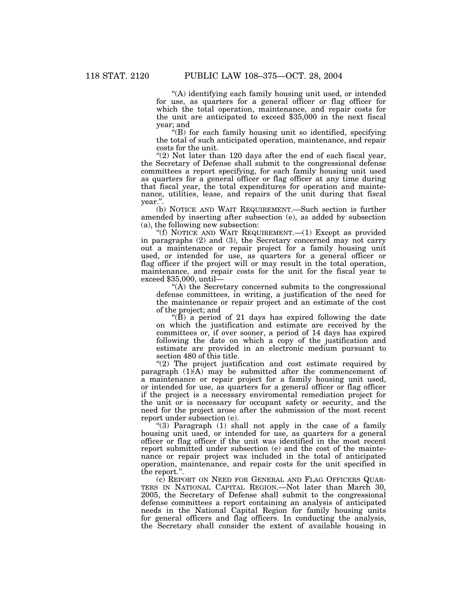''(A) identifying each family housing unit used, or intended for use, as quarters for a general officer or flag officer for which the total operation, maintenance, and repair costs for the unit are anticipated to exceed \$35,000 in the next fiscal year; and

 $H(x)$  for each family housing unit so identified, specifying the total of such anticipated operation, maintenance, and repair costs for the unit.

" $(2)$  Not later than 120 days after the end of each fiscal year, the Secretary of Defense shall submit to the congressional defense committees a report specifying, for each family housing unit used as quarters for a general officer or flag officer at any time during that fiscal year, the total expenditures for operation and maintenance, utilities, lease, and repairs of the unit during that fiscal year.''.

(b) NOTICE AND WAIT REQUIREMENT.—Such section is further amended by inserting after subsection (e), as added by subsection (a), the following new subsection:

"(f) NOTICE AND WAIT REQUIREMENT.-(1) Except as provided in paragraphs (2) and (3), the Secretary concerned may not carry out a maintenance or repair project for a family housing unit used, or intended for use, as quarters for a general officer or flag officer if the project will or may result in the total operation, maintenance, and repair costs for the unit for the fiscal year to exceed \$35,000, until—

''(A) the Secretary concerned submits to the congressional defense committees, in writing, a justification of the need for the maintenance or repair project and an estimate of the cost of the project; and

" $(\dot{B})$  a period of 21 days has expired following the date on which the justification and estimate are received by the committees or, if over sooner, a period of 14 days has expired following the date on which a copy of the justification and estimate are provided in an electronic medium pursuant to section 480 of this title.

"(2) The project justification and cost estimate required by paragraph  $(1)(A)$  may be submitted after the commencement of a maintenance or repair project for a family housing unit used, or intended for use, as quarters for a general officer or flag officer if the project is a necessary enviromental remediation project for the unit or is necessary for occupant safety or security, and the need for the project arose after the submission of the most recent report under subsection (e).

" $(3)$  Paragraph  $(1)$  shall not apply in the case of a family housing unit used, or intended for use, as quarters for a general officer or flag officer if the unit was identified in the most recent report submitted under subsection (e) and the cost of the maintenance or repair project was included in the total of anticipated operation, maintenance, and repair costs for the unit specified in the report.''.

(c) REPORT ON NEED FOR GENERAL AND FLAG OFFICERS QUAR- TERS IN NATIONAL CAPITAL REGION.—Not later than March 30, 2005, the Secretary of Defense shall submit to the congressional defense committees a report containing an analysis of anticipated needs in the National Capital Region for family housing units for general officers and flag officers. In conducting the analysis, the Secretary shall consider the extent of available housing in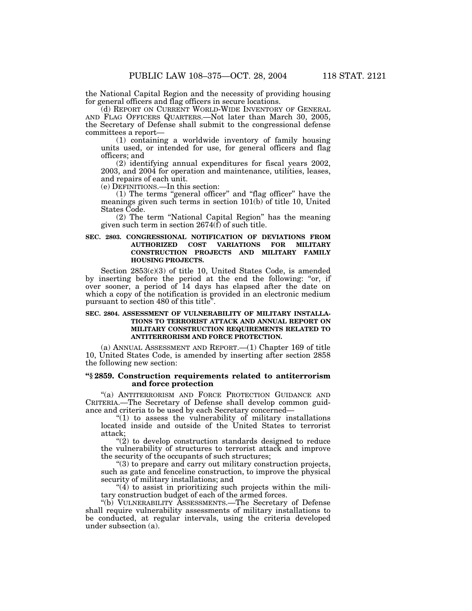the National Capital Region and the necessity of providing housing for general officers and flag officers in secure locations.

(d) REPORT ON CURRENT WORLD-WIDE INVENTORY OF GENERAL AND FLAG OFFICERS QUARTERS.—Not later than March 30, 2005, the Secretary of Defense shall submit to the congressional defense committees a report—

(1) containing a worldwide inventory of family housing units used, or intended for use, for general officers and flag officers; and

(2) identifying annual expenditures for fiscal years 2002, 2003, and 2004 for operation and maintenance, utilities, leases, and repairs of each unit.

(e) DEFINITIONS.—In this section:

(1) The terms ''general officer'' and ''flag officer'' have the meanings given such terms in section 101(b) of title 10, United States Code.

(2) The term ''National Capital Region'' has the meaning given such term in section  $2674(\hat{f})$  of such title.

### **SEC. 2803. CONGRESSIONAL NOTIFICATION OF DEVIATIONS FROM AUTHORIZED COST VARIATIONS FOR MILITARY CONSTRUCTION PROJECTS AND MILITARY FAMILY HOUSING PROJECTS.**

Section 2853(c)(3) of title 10, United States Code, is amended by inserting before the period at the end the following: "or, if over sooner, a period of 14 days has elapsed after the date on which a copy of the notification is provided in an electronic medium pursuant to section 480 of this title''.

### **SEC. 2804. ASSESSMENT OF VULNERABILITY OF MILITARY INSTALLA-TIONS TO TERRORIST ATTACK AND ANNUAL REPORT ON MILITARY CONSTRUCTION REQUIREMENTS RELATED TO ANTITERRORISM AND FORCE PROTECTION.**

(a) ANNUAL ASSESSMENT AND REPORT.—(1) Chapter 169 of title 10, United States Code, is amended by inserting after section 2858 the following new section:

## **''§ 2859. Construction requirements related to antiterrorism and force protection**

''(a) ANTITERRORISM AND FORCE PROTECTION GUIDANCE AND CRITERIA.—The Secretary of Defense shall develop common guidance and criteria to be used by each Secretary concerned—

" $(1)$  to assess the vulnerability of military installations located inside and outside of the United States to terrorist attack;

"(2) to develop construction standards designed to reduce the vulnerability of structures to terrorist attack and improve the security of the occupants of such structures;

''(3) to prepare and carry out military construction projects, such as gate and fenceline construction, to improve the physical security of military installations; and

" $(4)$  to assist in prioritizing such projects within the military construction budget of each of the armed forces.

''(b) VULNERABILITY ASSESSMENTS.—The Secretary of Defense shall require vulnerability assessments of military installations to be conducted, at regular intervals, using the criteria developed under subsection (a).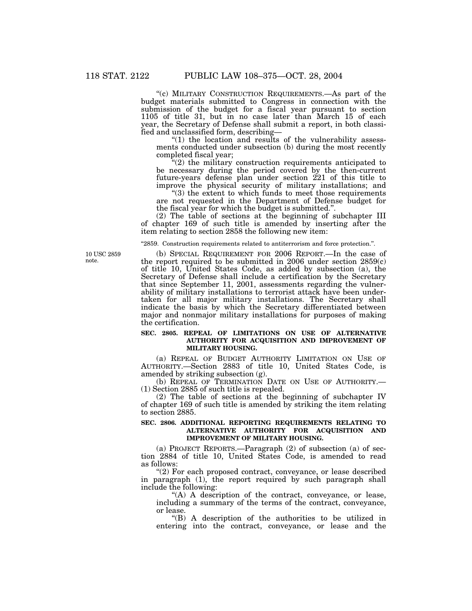''(c) MILITARY CONSTRUCTION REQUIREMENTS.—As part of the budget materials submitted to Congress in connection with the submission of the budget for a fiscal year pursuant to section 1105 of title 31, but in no case later than March 15 of each year, the Secretary of Defense shall submit a report, in both classified and unclassified form, describing—

" $(1)$  the location and results of the vulnerability assessments conducted under subsection (b) during the most recently completed fiscal year;

 $(2)$  the military construction requirements anticipated to be necessary during the period covered by the then-current future-years defense plan under section 221 of this title to improve the physical security of military installations; and

''(3) the extent to which funds to meet those requirements are not requested in the Department of Defense budget for the fiscal year for which the budget is submitted.''.

(2) The table of sections at the beginning of subchapter III of chapter 169 of such title is amended by inserting after the item relating to section 2858 the following new item:

''2859. Construction requirements related to antiterrorism and force protection.''.

10 USC 2859 note.

(b) SPECIAL REQUIREMENT FOR 2006 REPORT.—In the case of the report required to be submitted in 2006 under section  $2859(c)$ of title 10, United States Code, as added by subsection (a), the Secretary of Defense shall include a certification by the Secretary that since September 11, 2001, assessments regarding the vulnerability of military installations to terrorist attack have been undertaken for all major military installations. The Secretary shall indicate the basis by which the Secretary differentiated between major and nonmajor military installations for purposes of making the certification.

# **SEC. 2805. REPEAL OF LIMITATIONS ON USE OF ALTERNATIVE AUTHORITY FOR ACQUISITION AND IMPROVEMENT OF MILITARY HOUSING.**

(a) REPEAL OF BUDGET AUTHORITY LIMITATION ON USE OF AUTHORITY.—Section 2883 of title 10, United States Code, is amended by striking subsection (g).

(b) REPEAL OF TERMINATION DATE ON USE OF AUTHORITY.— (1) Section 2885 of such title is repealed.

(2) The table of sections at the beginning of subchapter IV of chapter 169 of such title is amended by striking the item relating to section 2885.

#### **SEC. 2806. ADDITIONAL REPORTING REQUIREMENTS RELATING TO ALTERNATIVE AUTHORITY FOR ACQUISITION AND IMPROVEMENT OF MILITARY HOUSING.**

(a) PROJECT REPORTS.—Paragraph (2) of subsection (a) of section 2884 of title 10, United States Code, is amended to read as follows:

''(2) For each proposed contract, conveyance, or lease described in paragraph (1), the report required by such paragraph shall include the following:

''(A) A description of the contract, conveyance, or lease, including a summary of the terms of the contract, conveyance, or lease.

''(B) A description of the authorities to be utilized in entering into the contract, conveyance, or lease and the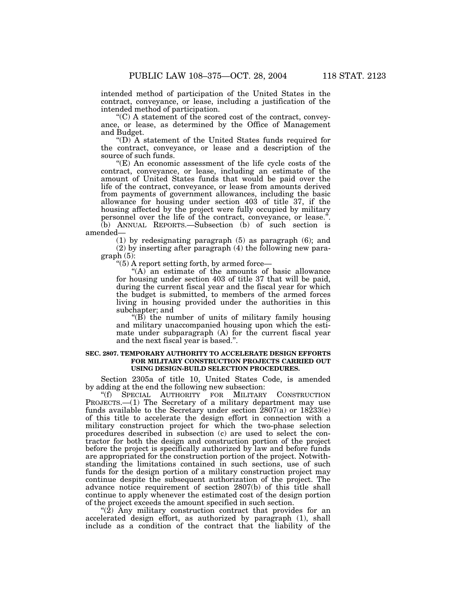intended method of participation of the United States in the contract, conveyance, or lease, including a justification of the intended method of participation.

''(C) A statement of the scored cost of the contract, conveyance, or lease, as determined by the Office of Management and Budget.

''(D) A statement of the United States funds required for the contract, conveyance, or lease and a description of the source of such funds.

''(E) An economic assessment of the life cycle costs of the contract, conveyance, or lease, including an estimate of the amount of United States funds that would be paid over the life of the contract, conveyance, or lease from amounts derived from payments of government allowances, including the basic allowance for housing under section 403 of title 37, if the housing affected by the project were fully occupied by military personnel over the life of the contract, conveyance, or lease.''.  $(b)$  ANNUAL REPORTS.—Subsection  $(b)$  of such section is amended—

(1) by redesignating paragraph (5) as paragraph (6); and (2) by inserting after paragraph (4) the following new paragraph (5):

''(5) A report setting forth, by armed force—

"(A) an estimate of the amounts of basic allowance for housing under section 403 of title 37 that will be paid, during the current fiscal year and the fiscal year for which the budget is submitted, to members of the armed forces living in housing provided under the authorities in this subchapter; and

" $(B)$  the number of units of military family housing and military unaccompanied housing upon which the estimate under subparagraph (A) for the current fiscal year and the next fiscal year is based.''.

#### **SEC. 2807. TEMPORARY AUTHORITY TO ACCELERATE DESIGN EFFORTS FOR MILITARY CONSTRUCTION PROJECTS CARRIED OUT USING DESIGN-BUILD SELECTION PROCEDURES.**

Section 2305a of title 10, United States Code, is amended by adding at the end the following new subsection:

"(f) SPECIAL AUTHORITY FOR MILITARY CONSTRUCTION PROJECTS.—(1) The Secretary of a military department may use funds available to the Secretary under section  $\frac{2807(a)}{a}$  or  $\frac{18233(e)}{b}$ of this title to accelerate the design effort in connection with a military construction project for which the two-phase selection procedures described in subsection (c) are used to select the contractor for both the design and construction portion of the project before the project is specifically authorized by law and before funds are appropriated for the construction portion of the project. Notwithstanding the limitations contained in such sections, use of such funds for the design portion of a military construction project may continue despite the subsequent authorization of the project. The advance notice requirement of section 2807(b) of this title shall continue to apply whenever the estimated cost of the design portion of the project exceeds the amount specified in such section.

''(2) Any military construction contract that provides for an accelerated design effort, as authorized by paragraph (1), shall include as a condition of the contract that the liability of the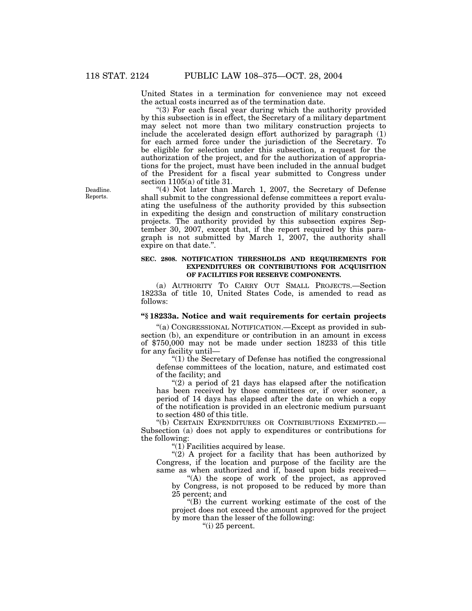United States in a termination for convenience may not exceed the actual costs incurred as of the termination date.

''(3) For each fiscal year during which the authority provided by this subsection is in effect, the Secretary of a military department may select not more than two military construction projects to include the accelerated design effort authorized by paragraph (1) for each armed force under the jurisdiction of the Secretary. To be eligible for selection under this subsection, a request for the authorization of the project, and for the authorization of appropriations for the project, must have been included in the annual budget of the President for a fiscal year submitted to Congress under section 1105(a) of title 31.

" $(4)$  Not later than March 1, 2007, the Secretary of Defense shall submit to the congressional defense committees a report evaluating the usefulness of the authority provided by this subsection in expediting the design and construction of military construction projects. The authority provided by this subsection expires September 30, 2007, except that, if the report required by this paragraph is not submitted by March 1, 2007, the authority shall expire on that date.''.

## **SEC. 2808. NOTIFICATION THRESHOLDS AND REQUIREMENTS FOR EXPENDITURES OR CONTRIBUTIONS FOR ACQUISITION OF FACILITIES FOR RESERVE COMPONENTS.**

(a) AUTHORITY TO CARRY OUT SMALL PROJECTS.—Section 18233a of title 10, United States Code, is amended to read as follows:

# **''§ 18233a. Notice and wait requirements for certain projects**

''(a) CONGRESSIONAL NOTIFICATION.—Except as provided in subsection (b), an expenditure or contribution in an amount in excess of \$750,000 may not be made under section 18233 of this title for any facility until—

''(1) the Secretary of Defense has notified the congressional defense committees of the location, nature, and estimated cost of the facility; and

 $\degree$ (2) a period of 21 days has elapsed after the notification has been received by those committees or, if over sooner, a period of 14 days has elapsed after the date on which a copy of the notification is provided in an electronic medium pursuant to section 480 of this title.

''(b) CERTAIN EXPENDITURES OR CONTRIBUTIONS EXEMPTED.— Subsection (a) does not apply to expenditures or contributions for the following:

''(1) Facilities acquired by lease.

" $(2)$  A project for a facility that has been authorized by Congress, if the location and purpose of the facility are the same as when authorized and if, based upon bids received—

''(A) the scope of work of the project, as approved by Congress, is not proposed to be reduced by more than 25 percent; and

''(B) the current working estimate of the cost of the project does not exceed the amount approved for the project by more than the lesser of the following:

" $(i)$  25 percent.

Deadline. Reports.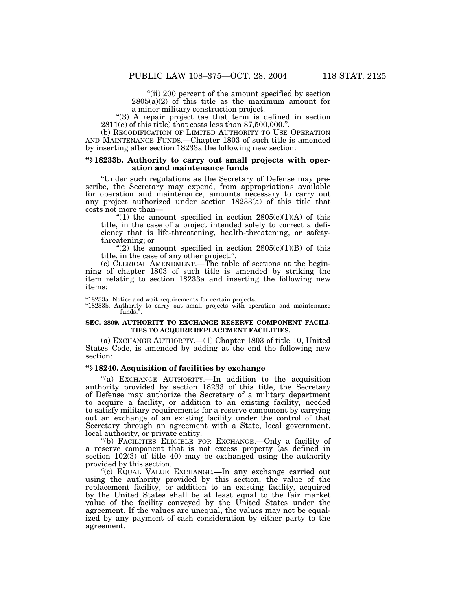"(ii) 200 percent of the amount specified by section  $2805(a)(2)$  of this title as the maximum amount for a minor military construction project.

''(3) A repair project (as that term is defined in section  $2811(e)$  of this title) that costs less than \$7,500,000.

(b) RECODIFICATION OF LIMITED AUTHORITY TO USE OPERATION AND MAINTENANCE FUNDS.—Chapter 1803 of such title is amended by inserting after section 18233a the following new section:

### **''§ 18233b. Authority to carry out small projects with operation and maintenance funds**

''Under such regulations as the Secretary of Defense may prescribe, the Secretary may expend, from appropriations available for operation and maintenance, amounts necessary to carry out any project authorized under section 18233(a) of this title that costs not more than—

"(1) the amount specified in section  $2805(c)(1)(A)$  of this title, in the case of a project intended solely to correct a deficiency that is life-threatening, health-threatening, or safetythreatening; or

"(2) the amount specified in section  $2805(c)(1)(B)$  of this title, in the case of any other project.''.

(c) CLERICAL AMENDMENT.—The table of sections at the beginning of chapter 1803 of such title is amended by striking the item relating to section 18233a and inserting the following new items:

''18233a. Notice and wait requirements for certain projects.

"18233b. Authority to carry out small projects with operation and maintenance funds.''.

#### **SEC. 2809. AUTHORITY TO EXCHANGE RESERVE COMPONENT FACILI-TIES TO ACQUIRE REPLACEMENT FACILITIES.**

(a) EXCHANGE AUTHORITY.—(1) Chapter 1803 of title 10, United States Code, is amended by adding at the end the following new section:

## **''§ 18240. Acquisition of facilities by exchange**

"(a) EXCHANGE AUTHORITY.—In addition to the acquisition authority provided by section 18233 of this title, the Secretary of Defense may authorize the Secretary of a military department to acquire a facility, or addition to an existing facility, needed to satisfy military requirements for a reserve component by carrying out an exchange of an existing facility under the control of that Secretary through an agreement with a State, local government, local authority, or private entity.

''(b) FACILITIES ELIGIBLE FOR EXCHANGE.—Only a facility of a reserve component that is not excess property (as defined in section  $102(3)$  of title 40) may be exchanged using the authority provided by this section.

''(c) EQUAL VALUE EXCHANGE.—In any exchange carried out using the authority provided by this section, the value of the replacement facility, or addition to an existing facility, acquired by the United States shall be at least equal to the fair market value of the facility conveyed by the United States under the agreement. If the values are unequal, the values may not be equalized by any payment of cash consideration by either party to the agreement.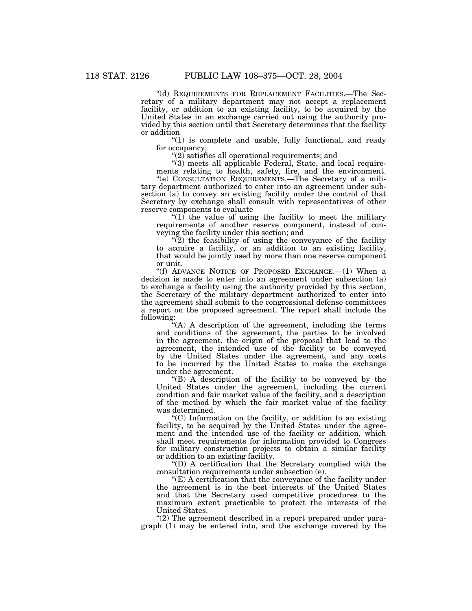"(d) REQUIREMENTS FOR REPLACEMENT FACILITIES.—The Secretary of a military department may not accept a replacement facility, or addition to an existing facility, to be acquired by the United States in an exchange carried out using the authority provided by this section until that Secretary determines that the facility or addition—

"(1) is complete and usable, fully functional, and ready for occupancy;

 $''(2)$  satisfies all operational requirements; and

"(3) meets all applicable Federal, State, and local requirements relating to health, safety, fire, and the environment.

''(e) CONSULTATION REQUIREMENTS.—The Secretary of a military department authorized to enter into an agreement under subsection (a) to convey an existing facility under the control of that Secretary by exchange shall consult with representatives of other reserve components to evaluate—

" $(1)$  the value of using the facility to meet the military requirements of another reserve component, instead of conveying the facility under this section; and

 $\sqrt{\left(2\right)}$  the feasibility of using the conveyance of the facility to acquire a facility, or an addition to an existing facility, that would be jointly used by more than one reserve component or unit.

''(f) ADVANCE NOTICE OF PROPOSED EXCHANGE.—(1) When a decision is made to enter into an agreement under subsection (a) to exchange a facility using the authority provided by this section, the Secretary of the military department authorized to enter into the agreement shall submit to the congressional defense committees a report on the proposed agreement. The report shall include the following:

'(A) A description of the agreement, including the terms and conditions of the agreement, the parties to be involved in the agreement, the origin of the proposal that lead to the agreement, the intended use of the facility to be conveyed by the United States under the agreement, and any costs to be incurred by the United States to make the exchange under the agreement.

''(B) A description of the facility to be conveyed by the United States under the agreement, including the current condition and fair market value of the facility, and a description of the method by which the fair market value of the facility was determined.

''(C) Information on the facility, or addition to an existing facility, to be acquired by the United States under the agreement and the intended use of the facility or addition, which shall meet requirements for information provided to Congress for military construction projects to obtain a similar facility or addition to an existing facility.

''(D) A certification that the Secretary complied with the consultation requirements under subsection (e).

''(E) A certification that the conveyance of the facility under the agreement is in the best interests of the United States and that the Secretary used competitive procedures to the maximum extent practicable to protect the interests of the United States.

"(2) The agreement described in a report prepared under paragraph (1) may be entered into, and the exchange covered by the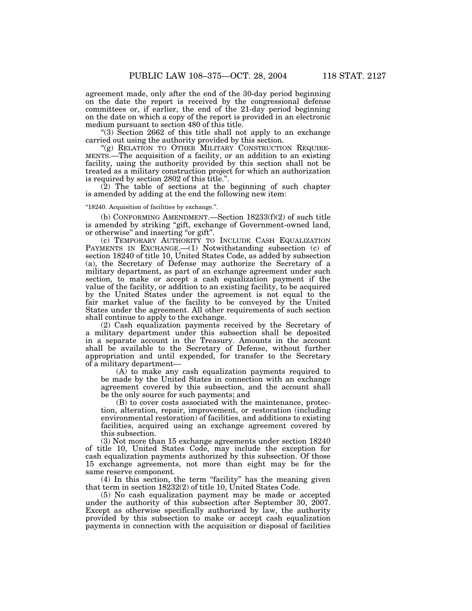agreement made, only after the end of the 30-day period beginning on the date the report is received by the congressional defense committees or, if earlier, the end of the 21-day period beginning on the date on which a copy of the report is provided in an electronic medium pursuant to section 480 of this title.

''(3) Section 2662 of this title shall not apply to an exchange carried out using the authority provided by this section.<br>"(g) RELATION TO OTHER MILITARY CONSTRUCTION REQUIRE-

MENTS.—The acquisition of a facility, or an addition to an existing facility, using the authority provided by this section shall not be treated as a military construction project for which an authorization is required by section 2802 of this title.''.

 $(2)$  The table of sections at the beginning of such chapter is amended by adding at the end the following new item:

#### ''18240. Acquisition of facilities by exchange.''.

(b) CONFORMING AMENDMENT.—Section  $18233(f)(2)$  of such title is amended by striking "gift, exchange of Government-owned land, or otherwise'' and inserting ''or gift''.

(c) TEMPORARY AUTHORITY TO INCLUDE CASH EQUALIZATION PAYMENTS IN EXCHANGE.—(1) Notwithstanding subsection (c) of section 18240 of title 10, United States Code, as added by subsection (a), the Secretary of Defense may authorize the Secretary of a military department, as part of an exchange agreement under such section, to make or accept a cash equalization payment if the value of the facility, or addition to an existing facility, to be acquired by the United States under the agreement is not equal to the fair market value of the facility to be conveyed by the United States under the agreement. All other requirements of such section shall continue to apply to the exchange.

(2) Cash equalization payments received by the Secretary of a military department under this subsection shall be deposited in a separate account in the Treasury. Amounts in the account shall be available to the Secretary of Defense, without further appropriation and until expended, for transfer to the Secretary of a military department—

(A) to make any cash equalization payments required to be made by the United States in connection with an exchange agreement covered by this subsection, and the account shall be the only source for such payments; and

(B) to cover costs associated with the maintenance, protection, alteration, repair, improvement, or restoration (including environmental restoration) of facilities, and additions to existing facilities, acquired using an exchange agreement covered by this subsection.

(3) Not more than 15 exchange agreements under section 18240 of title 10, United States Code, may include the exception for cash equalization payments authorized by this subsection. Of those 15 exchange agreements, not more than eight may be for the same reserve component.

(4) In this section, the term ''facility'' has the meaning given that term in section 18232(2) of title 10, United States Code.

(5) No cash equalization payment may be made or accepted under the authority of this subsection after September 30, 2007. Except as otherwise specifically authorized by law, the authority provided by this subsection to make or accept cash equalization payments in connection with the acquisition or disposal of facilities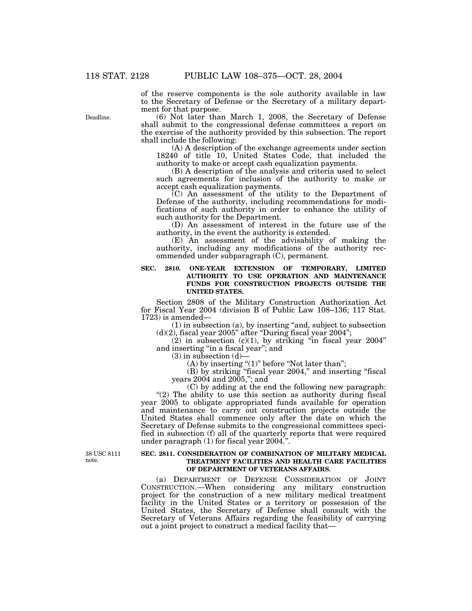of the reserve components is the sole authority available in law to the Secretary of Defense or the Secretary of a military department for that purpose.

(6) Not later than March 1, 2008, the Secretary of Defense shall submit to the congressional defense committees a report on the exercise of the authority provided by this subsection. The report shall include the following:

(A) A description of the exchange agreements under section 18240 of title 10, United States Code, that included the authority to make or accept cash equalization payments.

(B) A description of the analysis and criteria used to select such agreements for inclusion of the authority to make or accept cash equalization payments.

 $(C)$  An assessment of the utility to the Department of Defense of the authority, including recommendations for modifications of such authority in order to enhance the utility of such authority for the Department.

(D) An assessment of interest in the future use of the authority, in the event the authority is extended.

(E) An assessment of the advisability of making the authority, including any modifications of the authority recommended under subparagraph (C), permanent.

#### **SEC. 2810. ONE-YEAR EXTENSION OF TEMPORARY, LIMITED AUTHORITY TO USE OPERATION AND MAINTENANCE FUNDS FOR CONSTRUCTION PROJECTS OUTSIDE THE UNITED STATES.**

Section 2808 of the Military Construction Authorization Act for Fiscal Year 2004 (division B of Public Law 108–136; 117 Stat. 1723) is amended—

(1) in subsection (a), by inserting ''and, subject to subsection  $(d)(2)$ , fiscal year 2005" after "During fiscal year 2004";

 $(2)$  in subsection  $(c)(1)$ , by striking "in fiscal year 2004" and inserting ''in a fiscal year''; and

 $(3)$  in subsection  $(d)$ 

 $(A)$  by inserting " $(1)$ " before "Not later than";

(B) by striking ''fiscal year 2004,'' and inserting ''fiscal years 2004 and 2005,''; and

(C) by adding at the end the following new paragraph: "(2) The ability to use this section as authority during fiscal year 2005 to obligate appropriated funds available for operation and maintenance to carry out construction projects outside the United States shall commence only after the date on which the Secretary of Defense submits to the congressional committees specified in subsection (f) all of the quarterly reports that were required under paragraph (1) for fiscal year 2004.''.

38 USC 8111 note.

#### **SEC. 2811. CONSIDERATION OF COMBINATION OF MILITARY MEDICAL TREATMENT FACILITIES AND HEALTH CARE FACILITIES OF DEPARTMENT OF VETERANS AFFAIRS.**

(a) DEPARTMENT OF DEFENSE CONSIDERATION OF JOINT CONSTRUCTION.—When considering any military construction project for the construction of a new military medical treatment facility in the United States or a territory or possession of the United States, the Secretary of Defense shall consult with the Secretary of Veterans Affairs regarding the feasibility of carrying out a joint project to construct a medical facility that—

Deadline.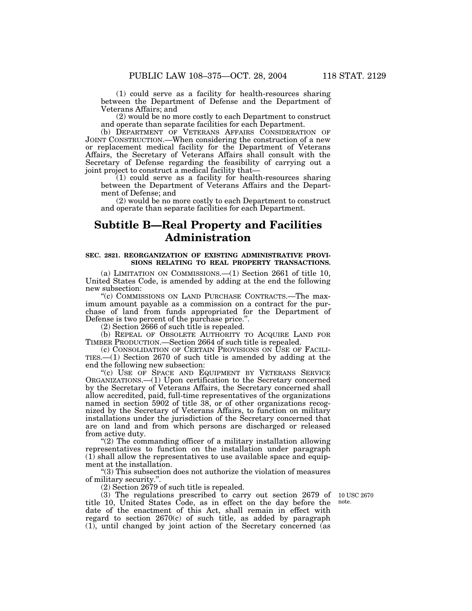(1) could serve as a facility for health-resources sharing between the Department of Defense and the Department of Veterans Affairs; and

(2) would be no more costly to each Department to construct and operate than separate facilities for each Department.

(b) DEPARTMENT OF VETERANS AFFAIRS CONSIDERATION OF JOINT CONSTRUCTION.—When considering the construction of a new or replacement medical facility for the Department of Veterans Affairs, the Secretary of Veterans Affairs shall consult with the Secretary of Defense regarding the feasibility of carrying out a joint project to construct a medical facility that—

 $(1)$  could serve as a facility for health-resources sharing between the Department of Veterans Affairs and the Department of Defense; and

(2) would be no more costly to each Department to construct and operate than separate facilities for each Department.

# **Subtitle B—Real Property and Facilities Administration**

#### **SEC. 2821. REORGANIZATION OF EXISTING ADMINISTRATIVE PROVI-SIONS RELATING TO REAL PROPERTY TRANSACTIONS.**

(a) LIMITATION ON COMMISSIONS.—(1) Section 2661 of title 10, United States Code, is amended by adding at the end the following new subsection:

''(c) COMMISSIONS ON LAND PURCHASE CONTRACTS.—The maximum amount payable as a commission on a contract for the purchase of land from funds appropriated for the Department of Defense is two percent of the purchase price.''.

(2) Section 2666 of such title is repealed.

(b) REPEAL OF OBSOLETE AUTHORITY TO ACQUIRE LAND FOR TIMBER PRODUCTION.—Section 2664 of such title is repealed.

(c) CONSOLIDATION OF CERTAIN PROVISIONS ON USE OF FACILITIES.—(1) Section 2670 of such title is amended by adding at the end the following new subsection:

"(c) USE OF SPACE AND EQUIPMENT BY VETERANS SERVICE ORGANIZATIONS.—(1) Upon certification to the Secretary concerned by the Secretary of Veterans Affairs, the Secretary concerned shall allow accredited, paid, full-time representatives of the organizations named in section 5902 of title 38, or of other organizations recognized by the Secretary of Veterans Affairs, to function on military installations under the jurisdiction of the Secretary concerned that are on land and from which persons are discharged or released from active duty.

"(2) The commanding officer of a military installation allowing representatives to function on the installation under paragraph  $(1)$  shall allow the representatives to use available space and equipment at the installation.

''(3) This subsection does not authorize the violation of measures of military security."

(2) Section 2679 of such title is repealed.

(3) The regulations prescribed to carry out section 2679 of title 10, United States Code, as in effect on the day before the date of the enactment of this Act, shall remain in effect with regard to section 2670(c) of such title, as added by paragraph (1), until changed by joint action of the Secretary concerned (as

10 USC 2670 note.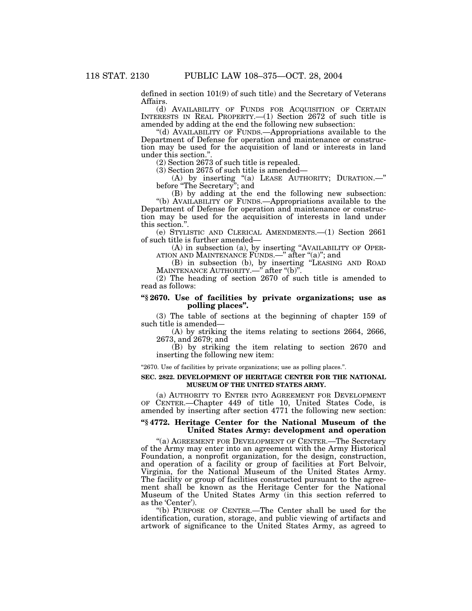defined in section 101(9) of such title) and the Secretary of Veterans Affairs.

(d) AVAILABILITY OF FUNDS FOR ACQUISITION OF CERTAIN INTERESTS IN REAL PROPERTY.—(1) Section 2672 of such title is amended by adding at the end the following new subsection:

''(d) AVAILABILITY OF FUNDS.—Appropriations available to the Department of Defense for operation and maintenance or construction may be used for the acquisition of land or interests in land under this section.''.

(2) Section 2673 of such title is repealed.

(3) Section 2675 of such title is amended—

(A) by inserting ''(a) LEASE AUTHORITY; DURATION.—'' before ''The Secretary''; and

(B) by adding at the end the following new subsection: ''(b) AVAILABILITY OF FUNDS.—Appropriations available to the Department of Defense for operation and maintenance or construction may be used for the acquisition of interests in land under this section.''.

(e) STYLISTIC AND CLERICAL AMENDMENTS.—(1) Section 2661 of such title is further amended—

(A) in subsection (a), by inserting ''AVAILABILITY OF OPER-ATION AND MAINTENANCE FUNDS.—'' after ''(a)''; and

(B) in subsection (b), by inserting ''LEASING AND ROAD MAINTENANCE AUTHORITY.—'' after ''(b)''.

(2) The heading of section 2670 of such title is amended to read as follows:

## **''§ 2670. Use of facilities by private organizations; use as polling places''.**

(3) The table of sections at the beginning of chapter 159 of such title is amended—

(A) by striking the items relating to sections 2664, 2666, 2673, and 2679; and

(B) by striking the item relating to section 2670 and inserting the following new item:

"2670. Use of facilities by private organizations; use as polling places.".

#### **SEC. 2822. DEVELOPMENT OF HERITAGE CENTER FOR THE NATIONAL MUSEUM OF THE UNITED STATES ARMY.**

(a) AUTHORITY TO ENTER INTO AGREEMENT FOR DEVELOPMENT OF CENTER.—Chapter 449 of title 10, United States Code, is amended by inserting after section 4771 the following new section:

## **''§ 4772. Heritage Center for the National Museum of the United States Army: development and operation**

''(a) AGREEMENT FOR DEVELOPMENT OF CENTER.—The Secretary of the Army may enter into an agreement with the Army Historical Foundation, a nonprofit organization, for the design, construction, and operation of a facility or group of facilities at Fort Belvoir, Virginia, for the National Museum of the United States Army. The facility or group of facilities constructed pursuant to the agreement shall be known as the Heritage Center for the National Museum of the United States Army (in this section referred to as the 'Center').

''(b) PURPOSE OF CENTER.—The Center shall be used for the identification, curation, storage, and public viewing of artifacts and artwork of significance to the United States Army, as agreed to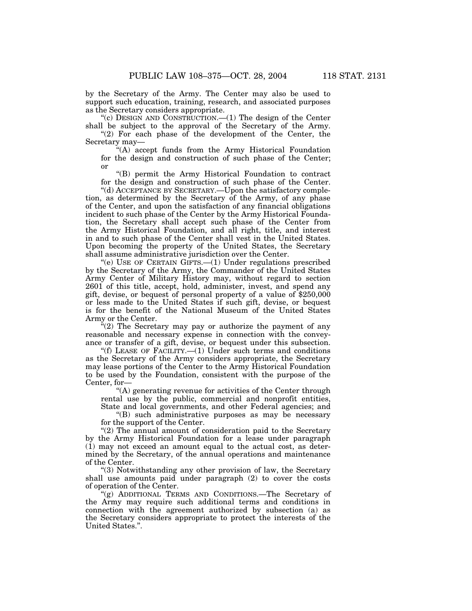by the Secretary of the Army. The Center may also be used to support such education, training, research, and associated purposes as the Secretary considers appropriate.

''(c) DESIGN AND CONSTRUCTION.—(1) The design of the Center shall be subject to the approval of the Secretary of the Army.

" $(2)$  For each phase of the development of the Center, the Secretary may—

''(A) accept funds from the Army Historical Foundation for the design and construction of such phase of the Center; or

''(B) permit the Army Historical Foundation to contract for the design and construction of such phase of the Center.

''(d) ACCEPTANCE BY SECRETARY.—Upon the satisfactory completion, as determined by the Secretary of the Army, of any phase of the Center, and upon the satisfaction of any financial obligations incident to such phase of the Center by the Army Historical Foundation, the Secretary shall accept such phase of the Center from the Army Historical Foundation, and all right, title, and interest in and to such phase of the Center shall vest in the United States. Upon becoming the property of the United States, the Secretary shall assume administrative jurisdiction over the Center.

''(e) USE OF CERTAIN GIFTS.—(1) Under regulations prescribed by the Secretary of the Army, the Commander of the United States Army Center of Military History may, without regard to section 2601 of this title, accept, hold, administer, invest, and spend any gift, devise, or bequest of personal property of a value of \$250,000 or less made to the United States if such gift, devise, or bequest is for the benefit of the National Museum of the United States Army or the Center.

"(2) The Secretary may pay or authorize the payment of any reasonable and necessary expense in connection with the conveyance or transfer of a gift, devise, or bequest under this subsection.

"(f) LEASE OF FACILITY.—(1) Under such terms and conditions as the Secretary of the Army considers appropriate, the Secretary may lease portions of the Center to the Army Historical Foundation to be used by the Foundation, consistent with the purpose of the Center, for—

''(A) generating revenue for activities of the Center through rental use by the public, commercial and nonprofit entities, State and local governments, and other Federal agencies; and

''(B) such administrative purposes as may be necessary for the support of the Center.

"(2) The annual amount of consideration paid to the Secretary by the Army Historical Foundation for a lease under paragraph (1) may not exceed an amount equal to the actual cost, as determined by the Secretary, of the annual operations and maintenance of the Center.

''(3) Notwithstanding any other provision of law, the Secretary shall use amounts paid under paragraph (2) to cover the costs of operation of the Center.

''(g) ADDITIONAL TERMS AND CONDITIONS.—The Secretary of the Army may require such additional terms and conditions in connection with the agreement authorized by subsection (a) as the Secretary considers appropriate to protect the interests of the United States.''.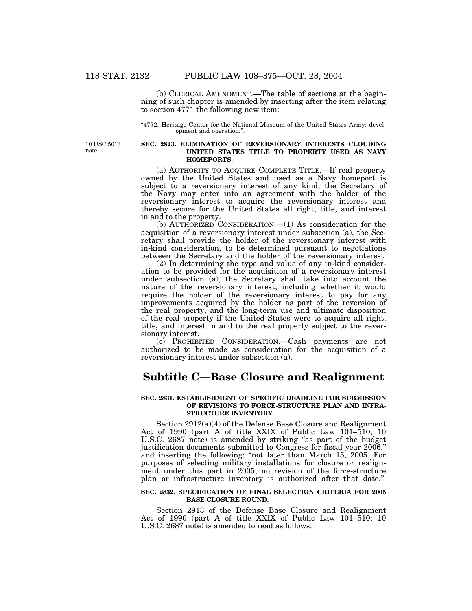(b) CLERICAL AMENDMENT.—The table of sections at the beginning of such chapter is amended by inserting after the item relating to section 4771 the following new item:

''4772. Heritage Center for the National Museum of the United States Army: development and operation.''.

10 USC 5013 note.

#### **SEC. 2823. ELIMINATION OF REVERSIONARY INTERESTS CLOUDING UNITED STATES TITLE TO PROPERTY USED AS NAVY HOMEPORTS.**

(a) AUTHORITY TO ACQUIRE COMPLETE TITLE.—If real property owned by the United States and used as a Navy homeport is subject to a reversionary interest of any kind, the Secretary of the Navy may enter into an agreement with the holder of the reversionary interest to acquire the reversionary interest and thereby secure for the United States all right, title, and interest in and to the property.

(b) AUTHORIZED CONSIDERATION.—(1) As consideration for the acquisition of a reversionary interest under subsection (a), the Secretary shall provide the holder of the reversionary interest with in-kind consideration, to be determined pursuant to negotiations between the Secretary and the holder of the reversionary interest.

(2) In determining the type and value of any in-kind consideration to be provided for the acquisition of a reversionary interest under subsection (a), the Secretary shall take into account the nature of the reversionary interest, including whether it would require the holder of the reversionary interest to pay for any improvements acquired by the holder as part of the reversion of the real property, and the long-term use and ultimate disposition of the real property if the United States were to acquire all right, title, and interest in and to the real property subject to the reversionary interest.

(c) PROHIBITED CONSIDERATION.—Cash payments are not authorized to be made as consideration for the acquisition of a reversionary interest under subsection (a).

# **Subtitle C—Base Closure and Realignment**

### **SEC. 2831. ESTABLISHMENT OF SPECIFIC DEADLINE FOR SUBMISSION OF REVISIONS TO FORCE-STRUCTURE PLAN AND INFRA-STRUCTURE INVENTORY.**

Section 2912(a)(4) of the Defense Base Closure and Realignment Act of 1990 (part A of title XXIX of Public Law 101–510; 10 U.S.C. 2687 note) is amended by striking "as part of the budget justification documents submitted to Congress for fiscal year 2006.'' and inserting the following: "not later than March 15, 2005. For purposes of selecting military installations for closure or realignment under this part in 2005, no revision of the force-structure plan or infrastructure inventory is authorized after that date.''.

#### **SEC. 2832. SPECIFICATION OF FINAL SELECTION CRITERIA FOR 2005 BASE CLOSURE ROUND.**

Section 2913 of the Defense Base Closure and Realignment Act of 1990 (part A of title XXIX of Public Law 101–510; 10 U.S.C. 2687 note) is amended to read as follows: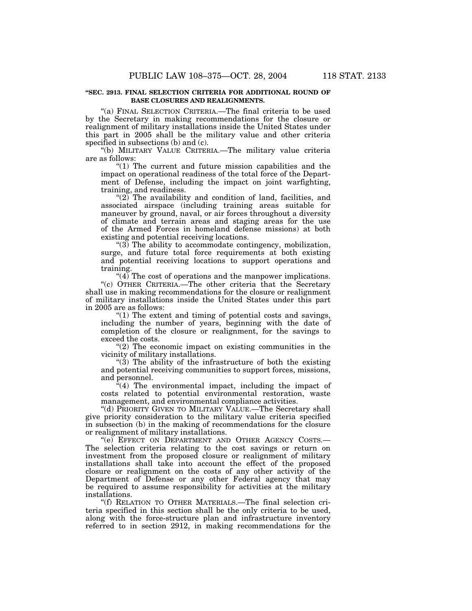#### **''SEC. 2913. FINAL SELECTION CRITERIA FOR ADDITIONAL ROUND OF BASE CLOSURES AND REALIGNMENTS.**

''(a) FINAL SELECTION CRITERIA.—The final criteria to be used by the Secretary in making recommendations for the closure or realignment of military installations inside the United States under this part in 2005 shall be the military value and other criteria specified in subsections (b) and (c).

''(b) MILITARY VALUE CRITERIA.—The military value criteria are as follows:

" $(1)$  The current and future mission capabilities and the impact on operational readiness of the total force of the Department of Defense, including the impact on joint warfighting, training, and readiness.

" $(2)$  The availability and condition of land, facilities, and associated airspace (including training areas suitable for maneuver by ground, naval, or air forces throughout a diversity of climate and terrain areas and staging areas for the use of the Armed Forces in homeland defense missions) at both existing and potential receiving locations.

"(3) The ability to accommodate contingency, mobilization, surge, and future total force requirements at both existing and potential receiving locations to support operations and training.

" $(4)$  The cost of operations and the manpower implications. ''(c) OTHER CRITERIA.—The other criteria that the Secretary shall use in making recommendations for the closure or realignment of military installations inside the United States under this part in 2005 are as follows:

" $(1)$  The extent and timing of potential costs and savings, including the number of years, beginning with the date of completion of the closure or realignment, for the savings to exceed the costs.

"(2) The economic impact on existing communities in the vicinity of military installations.

''(3) The ability of the infrastructure of both the existing and potential receiving communities to support forces, missions, and personnel.

 $\alpha^2(4)$  The environmental impact, including the impact of costs related to potential environmental restoration, waste management, and environmental compliance activities.

"(d) PRIORITY GIVEN TO MILITARY VALUE.—The Secretary shall give priority consideration to the military value criteria specified in subsection (b) in the making of recommendations for the closure or realignment of military installations.

"(e) EFFECT ON DEPARTMENT AND OTHER AGENCY COSTS.-The selection criteria relating to the cost savings or return on investment from the proposed closure or realignment of military installations shall take into account the effect of the proposed closure or realignment on the costs of any other activity of the Department of Defense or any other Federal agency that may be required to assume responsibility for activities at the military installations.

''(f) RELATION TO OTHER MATERIALS.—The final selection criteria specified in this section shall be the only criteria to be used, along with the force-structure plan and infrastructure inventory referred to in section 2912, in making recommendations for the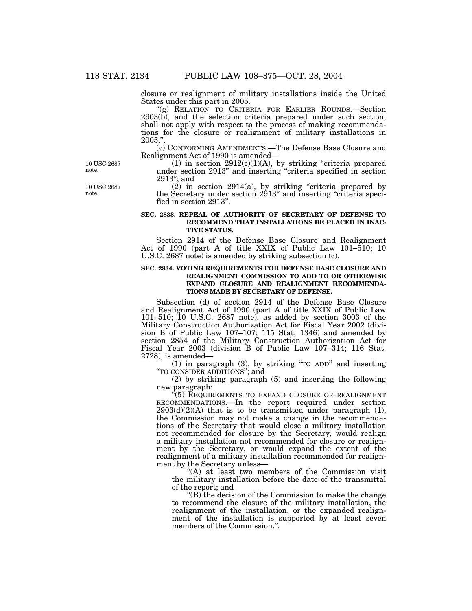closure or realignment of military installations inside the United States under this part in 2005.

''(g) RELATION TO CRITERIA FOR EARLIER ROUNDS.—Section 2903(b), and the selection criteria prepared under such section, shall not apply with respect to the process of making recommendations for the closure or realignment of military installations in 2005.''.

(c) CONFORMING AMENDMENTS.—The Defense Base Closure and Realignment Act of 1990 is amended—

(1) in section  $2912(c)(1)(A)$ , by striking "criteria prepared under section 2913'' and inserting ''criteria specified in section 2913''; and

 $(2)$  in section 2914(a), by striking "criteria prepared by the Secretary under section 2913" and inserting "criteria specified in section 2913''.

#### **SEC. 2833. REPEAL OF AUTHORITY OF SECRETARY OF DEFENSE TO RECOMMEND THAT INSTALLATIONS BE PLACED IN INAC-TIVE STATUS.**

Section 2914 of the Defense Base Closure and Realignment Act of 1990 (part A of title XXIX of Public Law 101–510; 10 U.S.C. 2687 note) is amended by striking subsection (c).

#### **SEC. 2834. VOTING REQUIREMENTS FOR DEFENSE BASE CLOSURE AND REALIGNMENT COMMISSION TO ADD TO OR OTHERWISE EXPAND CLOSURE AND REALIGNMENT RECOMMENDA-TIONS MADE BY SECRETARY OF DEFENSE.**

Subsection (d) of section 2914 of the Defense Base Closure and Realignment Act of 1990 (part A of title XXIX of Public Law 101–510; 10 U.S.C. 2687 note), as added by section 3003 of the Military Construction Authorization Act for Fiscal Year 2002 (division B of Public Law  $107-107$ ; 115 Stat, 1346) and amended by section 2854 of the Military Construction Authorization Act for Fiscal Year 2003 (division B of Public Law 107–314; 116 Stat. 2728), is amended—

(1) in paragraph (3), by striking ''TO ADD'' and inserting ''TO CONSIDER ADDITIONS''; and

(2) by striking paragraph (5) and inserting the following new paragraph:

''(5) REQUIREMENTS TO EXPAND CLOSURE OR REALIGNMENT RECOMMENDATIONS.—In the report required under section  $2903(d)(2)(A)$  that is to be transmitted under paragraph (1), the Commission may not make a change in the recommendations of the Secretary that would close a military installation not recommended for closure by the Secretary, would realign a military installation not recommended for closure or realignment by the Secretary, or would expand the extent of the realignment of a military installation recommended for realignment by the Secretary unless—

''(A) at least two members of the Commission visit the military installation before the date of the transmittal of the report; and

 $\mathrm{``(B)}$  the decision of the Commission to make the change to recommend the closure of the military installation, the realignment of the installation, or the expanded realignment of the installation is supported by at least seven members of the Commission.''.

10 USC 2687 note.

10 USC 2687 note.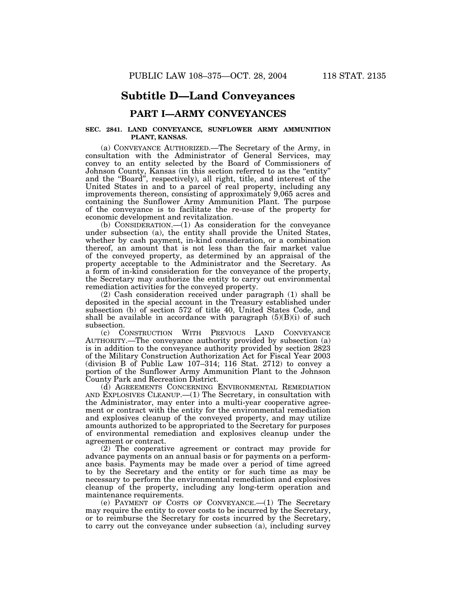## **Subtitle D—Land Conveyances**

### **PART I—ARMY CONVEYANCES**

#### **SEC. 2841. LAND CONVEYANCE, SUNFLOWER ARMY AMMUNITION PLANT, KANSAS.**

(a) CONVEYANCE AUTHORIZED.—The Secretary of the Army, in consultation with the Administrator of General Services, may convey to an entity selected by the Board of Commissioners of Johnson County, Kansas (in this section referred to as the ''entity'' and the ''Board'', respectively), all right, title, and interest of the United States in and to a parcel of real property, including any improvements thereon, consisting of approximately 9,065 acres and containing the Sunflower Army Ammunition Plant. The purpose of the conveyance is to facilitate the re-use of the property for economic development and revitalization.

(b) CONSIDERATION.—(1) As consideration for the conveyance under subsection (a), the entity shall provide the United States, whether by cash payment, in-kind consideration, or a combination thereof, an amount that is not less than the fair market value of the conveyed property, as determined by an appraisal of the property acceptable to the Administrator and the Secretary. As a form of in-kind consideration for the conveyance of the property, the Secretary may authorize the entity to carry out environmental remediation activities for the conveyed property.

(2) Cash consideration received under paragraph (1) shall be deposited in the special account in the Treasury established under subsection (b) of section 572 of title 40, United States Code, and shall be available in accordance with paragraph  $(5)(B)(i)$  of such subsection.

(c) CONSTRUCTION WITH PREVIOUS LAND CONVEYANCE AUTHORITY.—The conveyance authority provided by subsection (a) is in addition to the conveyance authority provided by section 2823 of the Military Construction Authorization Act for Fiscal Year 2003 (division B of Public Law 107–314; 116 Stat. 2712) to convey a portion of the Sunflower Army Ammunition Plant to the Johnson County Park and Recreation District.

(d) AGREEMENTS CONCERNING ENVIRONMENTAL REMEDIATION AND EXPLOSIVES CLEANUP.—(1) The Secretary, in consultation with the Administrator, may enter into a multi-year cooperative agreement or contract with the entity for the environmental remediation and explosives cleanup of the conveyed property, and may utilize amounts authorized to be appropriated to the Secretary for purposes of environmental remediation and explosives cleanup under the agreement or contract.

(2) The cooperative agreement or contract may provide for advance payments on an annual basis or for payments on a performance basis. Payments may be made over a period of time agreed to by the Secretary and the entity or for such time as may be necessary to perform the environmental remediation and explosives cleanup of the property, including any long-term operation and maintenance requirements.

(e) PAYMENT OF COSTS OF CONVEYANCE.—(1) The Secretary may require the entity to cover costs to be incurred by the Secretary, or to reimburse the Secretary for costs incurred by the Secretary, to carry out the conveyance under subsection (a), including survey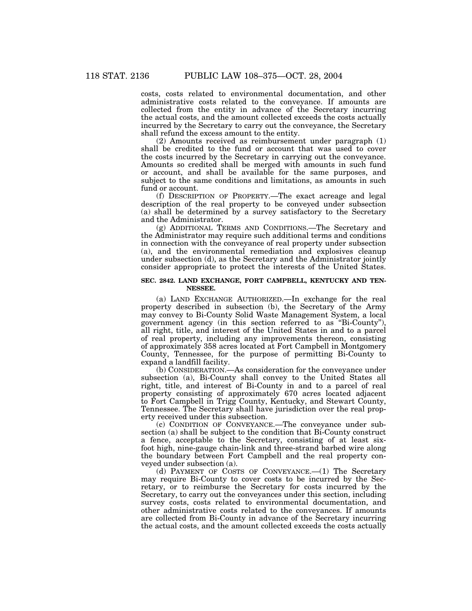costs, costs related to environmental documentation, and other administrative costs related to the conveyance. If amounts are collected from the entity in advance of the Secretary incurring the actual costs, and the amount collected exceeds the costs actually incurred by the Secretary to carry out the conveyance, the Secretary shall refund the excess amount to the entity.

(2) Amounts received as reimbursement under paragraph (1) shall be credited to the fund or account that was used to cover the costs incurred by the Secretary in carrying out the conveyance. Amounts so credited shall be merged with amounts in such fund or account, and shall be available for the same purposes, and subject to the same conditions and limitations, as amounts in such fund or account.

(f) DESCRIPTION OF PROPERTY.—The exact acreage and legal description of the real property to be conveyed under subsection (a) shall be determined by a survey satisfactory to the Secretary and the Administrator.

(g) ADDITIONAL TERMS AND CONDITIONS.—The Secretary and the Administrator may require such additional terms and conditions in connection with the conveyance of real property under subsection (a), and the environmental remediation and explosives cleanup under subsection (d), as the Secretary and the Administrator jointly consider appropriate to protect the interests of the United States.

#### **SEC. 2842. LAND EXCHANGE, FORT CAMPBELL, KENTUCKY AND TEN-NESSEE.**

(a) LAND EXCHANGE AUTHORIZED.—In exchange for the real property described in subsection (b), the Secretary of the Army may convey to Bi-County Solid Waste Management System, a local government agency (in this section referred to as ''Bi-County''), all right, title, and interest of the United States in and to a parcel of real property, including any improvements thereon, consisting of approximately 358 acres located at Fort Campbell in Montgomery County, Tennessee, for the purpose of permitting Bi-County to expand a landfill facility.

(b) CONSIDERATION.—As consideration for the conveyance under subsection (a), Bi-County shall convey to the United States all right, title, and interest of Bi-County in and to a parcel of real property consisting of approximately 670 acres located adjacent to Fort Campbell in Trigg County, Kentucky, and Stewart County, Tennessee. The Secretary shall have jurisdiction over the real property received under this subsection.

(c) CONDITION OF CONVEYANCE.—The conveyance under subsection (a) shall be subject to the condition that Bi-County construct a fence, acceptable to the Secretary, consisting of at least sixfoot high, nine-gauge chain-link and three-strand barbed wire along the boundary between Fort Campbell and the real property conveyed under subsection (a).

(d) PAYMENT OF COSTS OF CONVEYANCE.—(1) The Secretary may require Bi-County to cover costs to be incurred by the Secretary, or to reimburse the Secretary for costs incurred by the Secretary, to carry out the conveyances under this section, including survey costs, costs related to environmental documentation, and other administrative costs related to the conveyances. If amounts are collected from Bi-County in advance of the Secretary incurring the actual costs, and the amount collected exceeds the costs actually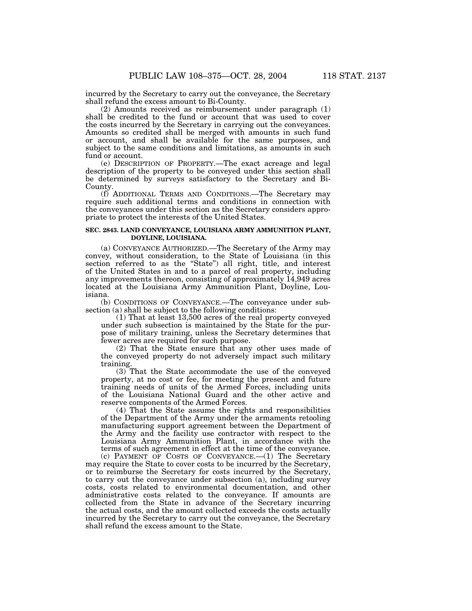incurred by the Secretary to carry out the conveyance, the Secretary shall refund the excess amount to Bi-County.

(2) Amounts received as reimbursement under paragraph (1) shall be credited to the fund or account that was used to cover the costs incurred by the Secretary in carrying out the conveyances. Amounts so credited shall be merged with amounts in such fund or account, and shall be available for the same purposes, and subject to the same conditions and limitations, as amounts in such fund or account.

(e) DESCRIPTION OF PROPERTY.—The exact acreage and legal description of the property to be conveyed under this section shall be determined by surveys satisfactory to the Secretary and Bi-County.

(f) ADDITIONAL TERMS AND CONDITIONS.—The Secretary may require such additional terms and conditions in connection with the conveyances under this section as the Secretary considers appropriate to protect the interests of the United States.

#### **SEC. 2843. LAND CONVEYANCE, LOUISIANA ARMY AMMUNITION PLANT, DOYLINE, LOUISIANA.**

(a) CONVEYANCE AUTHORIZED.—The Secretary of the Army may convey, without consideration, to the State of Louisiana (in this section referred to as the "State") all right, title, and interest of the United States in and to a parcel of real property, including any improvements thereon, consisting of approximately 14,949 acres located at the Louisiana Army Ammunition Plant, Doyline, Louisiana.

(b) CONDITIONS OF CONVEYANCE.—The conveyance under subsection (a) shall be subject to the following conditions:

(1) That at least 13,500 acres of the real property conveyed under such subsection is maintained by the State for the purpose of military training, unless the Secretary determines that fewer acres are required for such purpose.

(2) That the State ensure that any other uses made of the conveyed property do not adversely impact such military training.

(3) That the State accommodate the use of the conveyed property, at no cost or fee, for meeting the present and future training needs of units of the Armed Forces, including units of the Louisiana National Guard and the other active and reserve components of the Armed Forces.

(4) That the State assume the rights and responsibilities of the Department of the Army under the armaments retooling manufacturing support agreement between the Department of the Army and the facility use contractor with respect to the Louisiana Army Ammunition Plant, in accordance with the terms of such agreement in effect at the time of the conveyance. (c) PAYMENT OF COSTS OF CONVEYANCE.—(1) The Secretary

may require the State to cover costs to be incurred by the Secretary, or to reimburse the Secretary for costs incurred by the Secretary, to carry out the conveyance under subsection (a), including survey costs, costs related to environmental documentation, and other administrative costs related to the conveyance. If amounts are collected from the State in advance of the Secretary incurring the actual costs, and the amount collected exceeds the costs actually incurred by the Secretary to carry out the conveyance, the Secretary shall refund the excess amount to the State.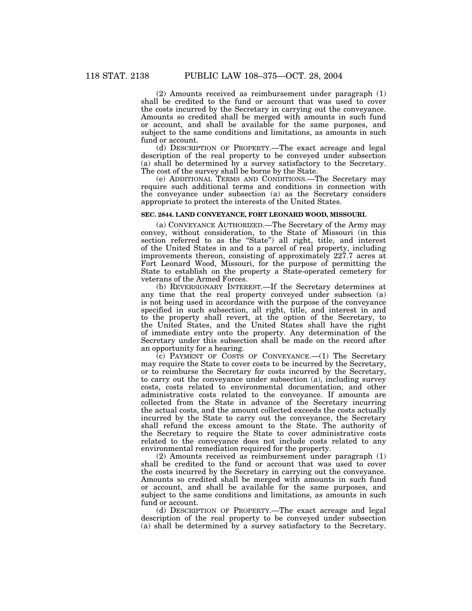(2) Amounts received as reimbursement under paragraph (1) shall be credited to the fund or account that was used to cover the costs incurred by the Secretary in carrying out the conveyance. Amounts so credited shall be merged with amounts in such fund or account, and shall be available for the same purposes, and subject to the same conditions and limitations, as amounts in such fund or account.

(d) DESCRIPTION OF PROPERTY.—The exact acreage and legal description of the real property to be conveyed under subsection (a) shall be determined by a survey satisfactory to the Secretary. The cost of the survey shall be borne by the State.

(e) ADDITIONAL TERMS AND CONDITIONS.—The Secretary may require such additional terms and conditions in connection with the conveyance under subsection (a) as the Secretary considers appropriate to protect the interests of the United States.

#### **SEC. 2844. LAND CONVEYANCE, FORT LEONARD WOOD, MISSOURI.**

(a) CONVEYANCE AUTHORIZED.—The Secretary of the Army may convey, without consideration, to the State of Missouri (in this section referred to as the ''State'') all right, title, and interest of the United States in and to a parcel of real property, including improvements thereon, consisting of approximately 227.7 acres at Fort Leonard Wood, Missouri, for the purpose of permitting the State to establish on the property a State-operated cemetery for veterans of the Armed Forces.

(b) REVERSIONARY INTEREST.—If the Secretary determines at any time that the real property conveyed under subsection (a) is not being used in accordance with the purpose of the conveyance specified in such subsection, all right, title, and interest in and to the property shall revert, at the option of the Secretary, to the United States, and the United States shall have the right of immediate entry onto the property. Any determination of the Secretary under this subsection shall be made on the record after an opportunity for a hearing.

 $(c)$  PAYMENT OF COSTS OF CONVEYANCE.— $(1)$  The Secretary may require the State to cover costs to be incurred by the Secretary, or to reimburse the Secretary for costs incurred by the Secretary, to carry out the conveyance under subsection (a), including survey costs, costs related to environmental documentation, and other administrative costs related to the conveyance. If amounts are collected from the State in advance of the Secretary incurring the actual costs, and the amount collected exceeds the costs actually incurred by the State to carry out the conveyance, the Secretary shall refund the excess amount to the State. The authority of the Secretary to require the State to cover administrative costs related to the conveyance does not include costs related to any environmental remediation required for the property.

(2) Amounts received as reimbursement under paragraph (1) shall be credited to the fund or account that was used to cover the costs incurred by the Secretary in carrying out the conveyance. Amounts so credited shall be merged with amounts in such fund or account, and shall be available for the same purposes, and subject to the same conditions and limitations, as amounts in such fund or account.

(d) DESCRIPTION OF PROPERTY.—The exact acreage and legal description of the real property to be conveyed under subsection (a) shall be determined by a survey satisfactory to the Secretary.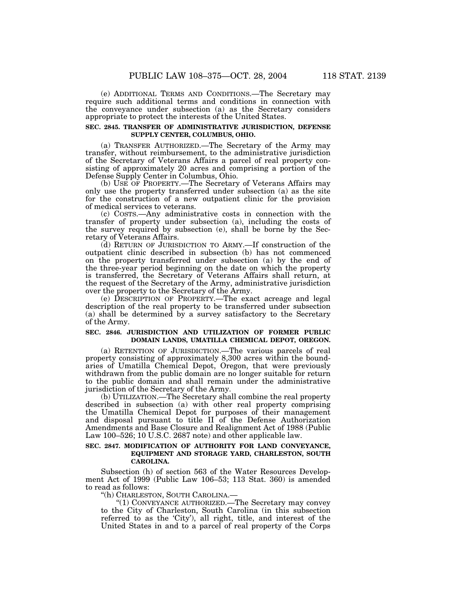(e) ADDITIONAL TERMS AND CONDITIONS.—The Secretary may require such additional terms and conditions in connection with the conveyance under subsection (a) as the Secretary considers appropriate to protect the interests of the United States.

#### **SEC. 2845. TRANSFER OF ADMINISTRATIVE JURISDICTION, DEFENSE SUPPLY CENTER, COLUMBUS, OHIO.**

(a) TRANSFER AUTHORIZED.—The Secretary of the Army may transfer, without reimbursement, to the administrative jurisdiction of the Secretary of Veterans Affairs a parcel of real property consisting of approximately 20 acres and comprising a portion of the Defense Supply Center in Columbus, Ohio.

(b) USE OF PROPERTY.—The Secretary of Veterans Affairs may only use the property transferred under subsection (a) as the site for the construction of a new outpatient clinic for the provision of medical services to veterans.

(c) COSTS.—Any administrative costs in connection with the transfer of property under subsection (a), including the costs of the survey required by subsection (e), shall be borne by the Secretary of Veterans Affairs.

(d) RETURN OF JURISDICTION TO ARMY.—If construction of the outpatient clinic described in subsection (b) has not commenced on the property transferred under subsection (a) by the end of the three-year period beginning on the date on which the property is transferred, the Secretary of Veterans Affairs shall return, at the request of the Secretary of the Army, administrative jurisdiction over the property to the Secretary of the Army.

(e) DESCRIPTION OF PROPERTY.—The exact acreage and legal description of the real property to be transferred under subsection (a) shall be determined by a survey satisfactory to the Secretary of the Army.

#### **SEC. 2846. JURISDICTION AND UTILIZATION OF FORMER PUBLIC DOMAIN LANDS, UMATILLA CHEMICAL DEPOT, OREGON.**

(a) RETENTION OF JURISDICTION.—The various parcels of real property consisting of approximately 8,300 acres within the boundaries of Umatilla Chemical Depot, Oregon, that were previously withdrawn from the public domain are no longer suitable for return to the public domain and shall remain under the administrative jurisdiction of the Secretary of the Army.

(b) UTILIZATION.—The Secretary shall combine the real property described in subsection (a) with other real property comprising the Umatilla Chemical Depot for purposes of their management and disposal pursuant to title II of the Defense Authorization Amendments and Base Closure and Realignment Act of 1988 (Public Law 100–526; 10 U.S.C. 2687 note) and other applicable law.

#### **SEC. 2847. MODIFICATION OF AUTHORITY FOR LAND CONVEYANCE, EQUIPMENT AND STORAGE YARD, CHARLESTON, SOUTH CAROLINA.**

Subsection (h) of section 563 of the Water Resources Development Act of 1999 (Public Law 106–53; 113 Stat. 360) is amended to read as follows:

''(h) CHARLESTON, SOUTH CAROLINA.—

''(1) CONVEYANCE AUTHORIZED.—The Secretary may convey to the City of Charleston, South Carolina (in this subsection referred to as the 'City'), all right, title, and interest of the United States in and to a parcel of real property of the Corps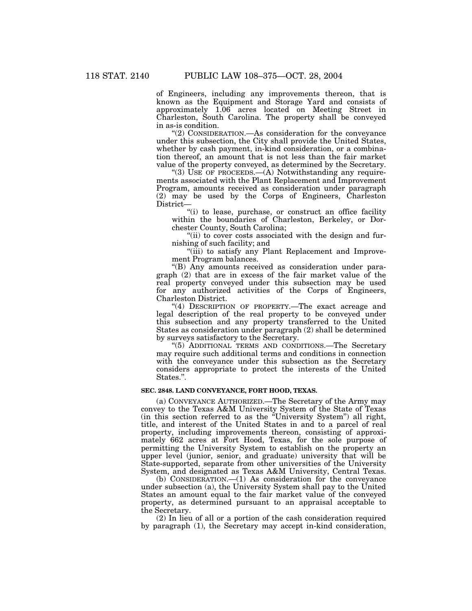of Engineers, including any improvements thereon, that is known as the Equipment and Storage Yard and consists of approximately 1.06 acres located on Meeting Street in Charleston, South Carolina. The property shall be conveyed in as-is condition.

''(2) CONSIDERATION.—As consideration for the conveyance under this subsection, the City shall provide the United States, whether by cash payment, in-kind consideration, or a combination thereof, an amount that is not less than the fair market value of the property conveyed, as determined by the Secretary.

"(3) USE OF PROCEEDS.—(A) Notwithstanding any requirements associated with the Plant Replacement and Improvement Program, amounts received as consideration under paragraph (2) may be used by the Corps of Engineers, Charleston District—

"(i) to lease, purchase, or construct an office facility within the boundaries of Charleston, Berkeley, or Dorchester County, South Carolina;

''(ii) to cover costs associated with the design and furnishing of such facility; and

"(iii) to satisfy any Plant Replacement and Improvement Program balances.

''(B) Any amounts received as consideration under paragraph (2) that are in excess of the fair market value of the real property conveyed under this subsection may be used for any authorized activities of the Corps of Engineers, Charleston District.

''(4) DESCRIPTION OF PROPERTY.—The exact acreage and legal description of the real property to be conveyed under this subsection and any property transferred to the United States as consideration under paragraph (2) shall be determined by surveys satisfactory to the Secretary.

''(5) ADDITIONAL TERMS AND CONDITIONS.—The Secretary may require such additional terms and conditions in connection with the conveyance under this subsection as the Secretary considers appropriate to protect the interests of the United States.''.

#### **SEC. 2848. LAND CONVEYANCE, FORT HOOD, TEXAS.**

(a) CONVEYANCE AUTHORIZED.—The Secretary of the Army may convey to the Texas A&M University System of the State of Texas (in this section referred to as the ''University System'') all right, title, and interest of the United States in and to a parcel of real property, including improvements thereon, consisting of approximately 662 acres at Fort Hood, Texas, for the sole purpose of permitting the University System to establish on the property an upper level (junior, senior, and graduate) university that will be State-supported, separate from other universities of the University System, and designated as Texas A&M University, Central Texas.

(b) CONSIDERATION.—(1) As consideration for the conveyance under subsection (a), the University System shall pay to the United States an amount equal to the fair market value of the conveyed property, as determined pursuant to an appraisal acceptable to the Secretary.

(2) In lieu of all or a portion of the cash consideration required by paragraph (1), the Secretary may accept in-kind consideration,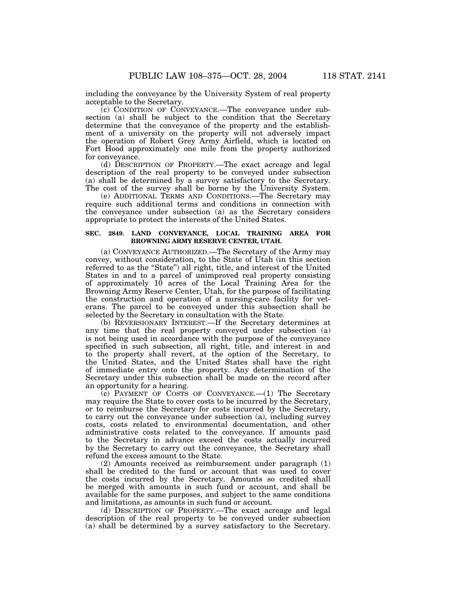including the conveyance by the University System of real property acceptable to the Secretary.

(c) CONDITION OF CONVEYANCE.—The conveyance under subsection (a) shall be subject to the condition that the Secretary determine that the conveyance of the property and the establishment of a university on the property will not adversely impact the operation of Robert Grey Army Airfield, which is located on Fort Hood approximately one mile from the property authorized for conveyance.

(d) DESCRIPTION OF PROPERTY.—The exact acreage and legal description of the real property to be conveyed under subsection (a) shall be determined by a survey satisfactory to the Secretary. The cost of the survey shall be borne by the University System.

(e) ADDITIONAL TERMS AND CONDITIONS.—The Secretary may require such additional terms and conditions in connection with the conveyance under subsection (a) as the Secretary considers appropriate to protect the interests of the United States.

#### **SEC. 2849. LAND CONVEYANCE, LOCAL TRAINING AREA FOR BROWNING ARMY RESERVE CENTER, UTAH.**

(a) CONVEYANCE AUTHORIZED.—The Secretary of the Army may convey, without consideration, to the State of Utah (in this section referred to as the "State") all right, title, and interest of the United States in and to a parcel of unimproved real property consisting of approximately 10 acres of the Local Training Area for the Browning Army Reserve Center, Utah, for the purpose of facilitating the construction and operation of a nursing-care facility for veterans. The parcel to be conveyed under this subsection shall be selected by the Secretary in consultation with the State.

(b) REVERSIONARY INTEREST.—If the Secretary determines at any time that the real property conveyed under subsection (a) is not being used in accordance with the purpose of the conveyance specified in such subsection, all right, title, and interest in and to the property shall revert, at the option of the Secretary, to the United States, and the United States shall have the right of immediate entry onto the property. Any determination of the Secretary under this subsection shall be made on the record after an opportunity for a hearing.

 $(c)$  PAYMENT OF COSTS OF CONVEYANCE.  $-(1)$  The Secretary may require the State to cover costs to be incurred by the Secretary, or to reimburse the Secretary for costs incurred by the Secretary, to carry out the conveyance under subsection (a), including survey costs, costs related to environmental documentation, and other administrative costs related to the conveyance. If amounts paid to the Secretary in advance exceed the costs actually incurred by the Secretary to carry out the conveyance, the Secretary shall refund the excess amount to the State.

(2) Amounts received as reimbursement under paragraph (1) shall be credited to the fund or account that was used to cover the costs incurred by the Secretary. Amounts so credited shall be merged with amounts in such fund or account, and shall be available for the same purposes, and subject to the same conditions and limitations, as amounts in such fund or account.

(d) DESCRIPTION OF PROPERTY.—The exact acreage and legal description of the real property to be conveyed under subsection (a) shall be determined by a survey satisfactory to the Secretary.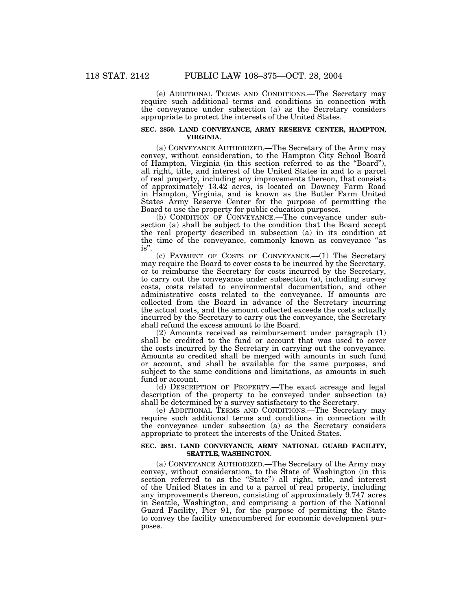(e) ADDITIONAL TERMS AND CONDITIONS.—The Secretary may require such additional terms and conditions in connection with the conveyance under subsection (a) as the Secretary considers appropriate to protect the interests of the United States.

#### **SEC. 2850. LAND CONVEYANCE, ARMY RESERVE CENTER, HAMPTON, VIRGINIA.**

(a) CONVEYANCE AUTHORIZED.—The Secretary of the Army may convey, without consideration, to the Hampton City School Board of Hampton, Virginia (in this section referred to as the ''Board''), all right, title, and interest of the United States in and to a parcel of real property, including any improvements thereon, that consists of approximately 13.42 acres, is located on Downey Farm Road in Hampton, Virginia, and is known as the Butler Farm United States Army Reserve Center for the purpose of permitting the Board to use the property for public education purposes.

(b) CONDITION OF CONVEYANCE.—The conveyance under subsection (a) shall be subject to the condition that the Board accept the real property described in subsection (a) in its condition at the time of the conveyance, commonly known as conveyance "as is''.

(c) PAYMENT OF COSTS OF CONVEYANCE.—(1) The Secretary may require the Board to cover costs to be incurred by the Secretary, or to reimburse the Secretary for costs incurred by the Secretary, to carry out the conveyance under subsection (a), including survey costs, costs related to environmental documentation, and other administrative costs related to the conveyance. If amounts are collected from the Board in advance of the Secretary incurring the actual costs, and the amount collected exceeds the costs actually incurred by the Secretary to carry out the conveyance, the Secretary shall refund the excess amount to the Board.

(2) Amounts received as reimbursement under paragraph (1) shall be credited to the fund or account that was used to cover the costs incurred by the Secretary in carrying out the conveyance. Amounts so credited shall be merged with amounts in such fund or account, and shall be available for the same purposes, and subject to the same conditions and limitations, as amounts in such fund or account.

(d) DESCRIPTION OF PROPERTY.—The exact acreage and legal description of the property to be conveyed under subsection (a) shall be determined by a survey satisfactory to the Secretary.

(e) ADDITIONAL TERMS AND CONDITIONS.—The Secretary may require such additional terms and conditions in connection with the conveyance under subsection (a) as the Secretary considers appropriate to protect the interests of the United States.

#### **SEC. 2851. LAND CONVEYANCE, ARMY NATIONAL GUARD FACILITY, SEATTLE, WASHINGTON.**

(a) CONVEYANCE AUTHORIZED.—The Secretary of the Army may convey, without consideration, to the State of Washington (in this section referred to as the "State") all right, title, and interest of the United States in and to a parcel of real property, including any improvements thereon, consisting of approximately 9.747 acres in Seattle, Washington, and comprising a portion of the National Guard Facility, Pier 91, for the purpose of permitting the State to convey the facility unencumbered for economic development purposes.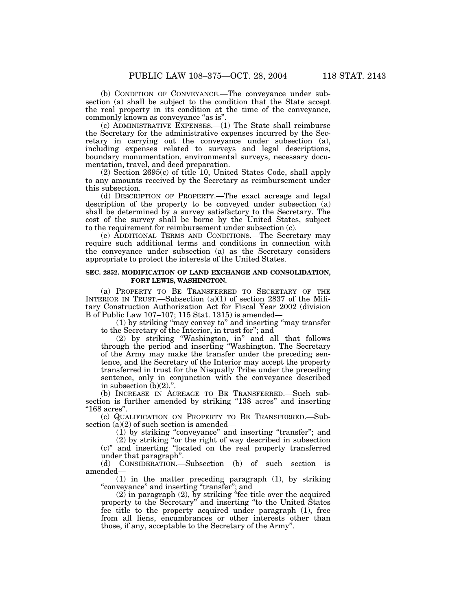(b) CONDITION OF CONVEYANCE.—The conveyance under subsection (a) shall be subject to the condition that the State accept the real property in its condition at the time of the conveyance, commonly known as conveyance "as is".

(c) ADMINISTRATIVE EXPENSES.—(1) The State shall reimburse the Secretary for the administrative expenses incurred by the Secretary in carrying out the conveyance under subsection (a), including expenses related to surveys and legal descriptions, boundary monumentation, environmental surveys, necessary documentation, travel, and deed preparation.

(2) Section 2695(c) of title 10, United States Code, shall apply to any amounts received by the Secretary as reimbursement under this subsection.

(d) DESCRIPTION OF PROPERTY.—The exact acreage and legal description of the property to be conveyed under subsection (a) shall be determined by a survey satisfactory to the Secretary. The cost of the survey shall be borne by the United States, subject to the requirement for reimbursement under subsection (c).

(e) ADDITIONAL TERMS AND CONDITIONS.—The Secretary may require such additional terms and conditions in connection with the conveyance under subsection (a) as the Secretary considers appropriate to protect the interests of the United States.

#### **SEC. 2852. MODIFICATION OF LAND EXCHANGE AND CONSOLIDATION, FORT LEWIS, WASHINGTON.**

(a) PROPERTY TO BE TRANSFERRED TO SECRETARY OF THE INTERIOR IN TRUST.—Subsection (a)(1) of section 2837 of the Military Construction Authorization Act for Fiscal Year 2002 (division B of Public Law 107–107; 115 Stat. 1315) is amended—

(1) by striking ''may convey to'' and inserting ''may transfer to the Secretary of the Interior, in trust for''; and

(2) by striking ''Washington, in'' and all that follows through the period and inserting ''Washington. The Secretary of the Army may make the transfer under the preceding sentence, and the Secretary of the Interior may accept the property transferred in trust for the Nisqually Tribe under the preceding sentence, only in conjunction with the conveyance described in subsection  $(b)(2)$ .".

(b) INCREASE IN ACREAGE TO BE TRANSFERRED.—Such subsection is further amended by striking "138 acres" and inserting ''168 acres''.

(c) QUALIFICATION ON PROPERTY TO BE TRANSFERRED.—Subsection  $(a)(2)$  of such section is amended—

(1) by striking ''conveyance'' and inserting ''transfer''; and

(2) by striking ''or the right of way described in subsection (c)'' and inserting ''located on the real property transferred under that paragraph''.

(d) CONSIDERATION.—Subsection (b) of such section is amended—

(1) in the matter preceding paragraph (1), by striking ''conveyance'' and inserting ''transfer''; and

(2) in paragraph (2), by striking ''fee title over the acquired property to the Secretary'' and inserting ''to the United States fee title to the property acquired under paragraph (1), free from all liens, encumbrances or other interests other than those, if any, acceptable to the Secretary of the Army''.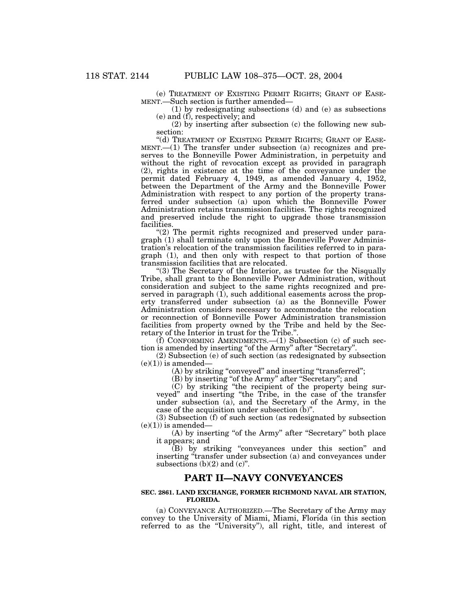(e) TREATMENT OF EXISTING PERMIT RIGHTS; GRANT OF EASE- MENT.—Such section is further amended—

(1) by redesignating subsections (d) and (e) as subsections (e) and (f), respectively; and

(2) by inserting after subsection (c) the following new subsection:

"(d) TREATMENT OF EXISTING PERMIT RIGHTS; GRANT OF EASE-MENT.—(1) The transfer under subsection (a) recognizes and preserves to the Bonneville Power Administration, in perpetuity and without the right of revocation except as provided in paragraph (2), rights in existence at the time of the conveyance under the permit dated February 4, 1949, as amended January 4, 1952, between the Department of the Army and the Bonneville Power Administration with respect to any portion of the property transferred under subsection (a) upon which the Bonneville Power Administration retains transmission facilities. The rights recognized and preserved include the right to upgrade those transmission facilities.

''(2) The permit rights recognized and preserved under paragraph (1) shall terminate only upon the Bonneville Power Administration's relocation of the transmission facilities referred to in paragraph (1), and then only with respect to that portion of those transmission facilities that are relocated.

"(3) The Secretary of the Interior, as trustee for the Nisqually Tribe, shall grant to the Bonneville Power Administration, without consideration and subject to the same rights recognized and preserved in paragraph (1), such additional easements across the property transferred under subsection (a) as the Bonneville Power Administration considers necessary to accommodate the relocation or reconnection of Bonneville Power Administration transmission facilities from property owned by the Tribe and held by the Secretary of the Interior in trust for the Tribe.''.

 $(f)$  CONFORMING AMENDMENTS.  $-(1)$  Subsection (c) of such section is amended by inserting "of the Army" after "Secretary".

(2) Subsection (e) of such section (as redesignated by subsection  $(e)(1)$ ) is amended—

(A) by striking "conveyed" and inserting "transferred";

(B) by inserting "of the Army" after "Secretary"; and

(C) by striking ''the recipient of the property being surveyed'' and inserting ''the Tribe, in the case of the transfer under subsection (a), and the Secretary of the Army, in the case of the acquisition under subsection (b)''.

(3) Subsection (f) of such section (as redesignated by subsection  $(e)(1)$  is amended—

(A) by inserting "of the Army" after "Secretary" both place it appears; and

(B) by striking ''conveyances under this section'' and inserting "transfer under subsection (a) and conveyances under subsections  $(b)(2)$  and  $(c)$ ".

## **PART II—NAVY CONVEYANCES**

#### **SEC. 2861. LAND EXCHANGE, FORMER RICHMOND NAVAL AIR STATION, FLORIDA.**

(a) CONVEYANCE AUTHORIZED.—The Secretary of the Army may convey to the University of Miami, Miami, Florida (in this section referred to as the ''University''), all right, title, and interest of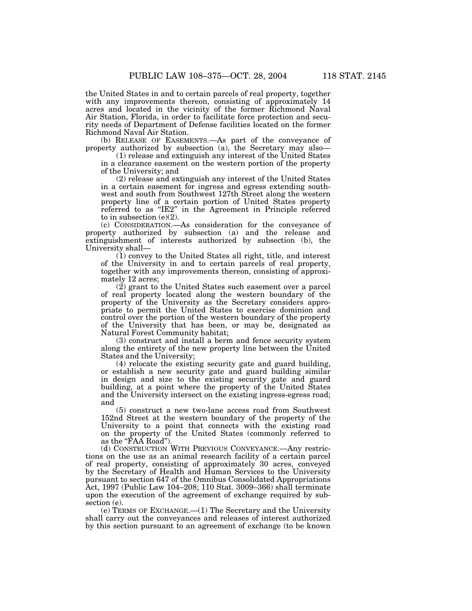the United States in and to certain parcels of real property, together with any improvements thereon, consisting of approximately 14 acres and located in the vicinity of the former Richmond Naval Air Station, Florida, in order to facilitate force protection and security needs of Department of Defense facilities located on the former Richmond Naval Air Station.

(b) RELEASE OF EASEMENTS.—As part of the conveyance of property authorized by subsection (a), the Secretary may also—

(1) release and extinguish any interest of the United States in a clearance easement on the western portion of the property of the University; and

(2) release and extinguish any interest of the United States in a certain easement for ingress and egress extending southwest and south from Southwest 127th Street along the western property line of a certain portion of United States property referred to as ''IE2'' in the Agreement in Principle referred to in subsection  $(e)(2)$ .

(c) CONSIDERATION.—As consideration for the conveyance of property authorized by subsection (a) and the release and extinguishment of interests authorized by subsection (b), the University shall—

(1) convey to the United States all right, title, and interest of the University in and to certain parcels of real property, together with any improvements thereon, consisting of approximately 12 acres;

(2) grant to the United States such easement over a parcel of real property located along the western boundary of the property of the University as the Secretary considers appropriate to permit the United States to exercise dominion and control over the portion of the western boundary of the property of the University that has been, or may be, designated as Natural Forest Community habitat;

(3) construct and install a berm and fence security system along the entirety of the new property line between the United States and the University;

(4) relocate the existing security gate and guard building, or establish a new security gate and guard building similar in design and size to the existing security gate and guard building, at a point where the property of the United States and the University intersect on the existing ingress-egress road; and

(5) construct a new two-lane access road from Southwest 152nd Street at the western boundary of the property of the University to a point that connects with the existing road on the property of the United States (commonly referred to as the "FAA Road").

(d) CONSTRUCTION WITH PREVIOUS CONVEYANCE.—Any restrictions on the use as an animal research facility of a certain parcel of real property, consisting of approximately 30 acres, conveyed by the Secretary of Health and Human Services to the University pursuant to section 647 of the Omnibus Consolidated Appropriations Act, 1997 (Public Law 104–208; 110 Stat. 3009–366) shall terminate upon the execution of the agreement of exchange required by subsection (e).

(e) TERMS OF EXCHANGE.—(1) The Secretary and the University shall carry out the conveyances and releases of interest authorized by this section pursuant to an agreement of exchange (to be known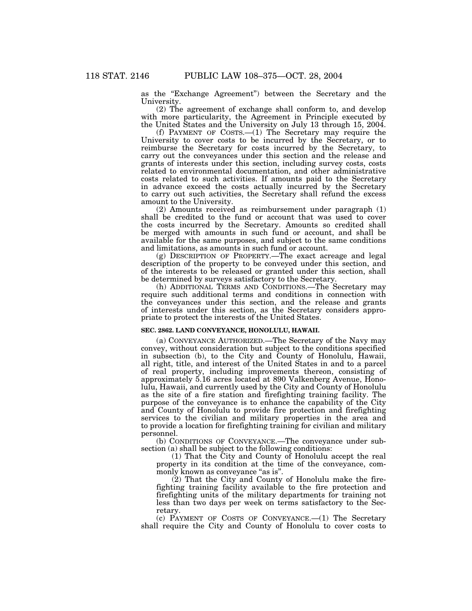as the ''Exchange Agreement'') between the Secretary and the University.

(2) The agreement of exchange shall conform to, and develop with more particularity, the Agreement in Principle executed by the United States and the University on July 13 through 15, 2004.

(f) PAYMENT OF COSTS.—(1) The Secretary may require the University to cover costs to be incurred by the Secretary, or to reimburse the Secretary for costs incurred by the Secretary, to carry out the conveyances under this section and the release and grants of interests under this section, including survey costs, costs related to environmental documentation, and other administrative costs related to such activities. If amounts paid to the Secretary in advance exceed the costs actually incurred by the Secretary to carry out such activities, the Secretary shall refund the excess amount to the University.

(2) Amounts received as reimbursement under paragraph (1) shall be credited to the fund or account that was used to cover the costs incurred by the Secretary. Amounts so credited shall be merged with amounts in such fund or account, and shall be available for the same purposes, and subject to the same conditions and limitations, as amounts in such fund or account.

(g) DESCRIPTION OF PROPERTY.—The exact acreage and legal description of the property to be conveyed under this section, and of the interests to be released or granted under this section, shall be determined by surveys satisfactory to the Secretary.

(h) ADDITIONAL TERMS AND CONDITIONS.—The Secretary may require such additional terms and conditions in connection with the conveyances under this section, and the release and grants of interests under this section, as the Secretary considers appropriate to protect the interests of the United States.

#### **SEC. 2862. LAND CONVEYANCE, HONOLULU, HAWAII.**

(a) CONVEYANCE AUTHORIZED.—The Secretary of the Navy may convey, without consideration but subject to the conditions specified in subsection (b), to the City and County of Honolulu, Hawaii, all right, title, and interest of the United States in and to a parcel of real property, including improvements thereon, consisting of approximately 5.16 acres located at 890 Valkenberg Avenue, Honolulu, Hawaii, and currently used by the City and County of Honolulu as the site of a fire station and firefighting training facility. The purpose of the conveyance is to enhance the capability of the City and County of Honolulu to provide fire protection and firefighting services to the civilian and military properties in the area and to provide a location for firefighting training for civilian and military personnel.

(b) CONDITIONS OF CONVEYANCE.—The conveyance under subsection (a) shall be subject to the following conditions:

(1) That the City and County of Honolulu accept the real property in its condition at the time of the conveyance, commonly known as conveyance ''as is''.

(2) That the City and County of Honolulu make the firefighting training facility available to the fire protection and firefighting units of the military departments for training not less than two days per week on terms satisfactory to the Secretary.

(c) PAYMENT OF COSTS OF CONVEYANCE.—(1) The Secretary shall require the City and County of Honolulu to cover costs to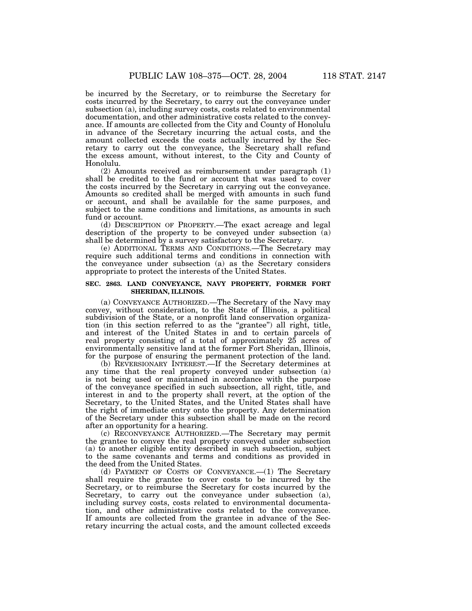be incurred by the Secretary, or to reimburse the Secretary for costs incurred by the Secretary, to carry out the conveyance under subsection (a), including survey costs, costs related to environmental documentation, and other administrative costs related to the conveyance. If amounts are collected from the City and County of Honolulu in advance of the Secretary incurring the actual costs, and the amount collected exceeds the costs actually incurred by the Secretary to carry out the conveyance, the Secretary shall refund the excess amount, without interest, to the City and County of Honolulu.

(2) Amounts received as reimbursement under paragraph (1) shall be credited to the fund or account that was used to cover the costs incurred by the Secretary in carrying out the conveyance. Amounts so credited shall be merged with amounts in such fund or account, and shall be available for the same purposes, and subject to the same conditions and limitations, as amounts in such fund or account.

(d) DESCRIPTION OF PROPERTY.—The exact acreage and legal description of the property to be conveyed under subsection (a) shall be determined by a survey satisfactory to the Secretary.

(e) ADDITIONAL TERMS AND CONDITIONS.—The Secretary may require such additional terms and conditions in connection with the conveyance under subsection (a) as the Secretary considers appropriate to protect the interests of the United States.

#### **SEC. 2863. LAND CONVEYANCE, NAVY PROPERTY, FORMER FORT SHERIDAN, ILLINOIS.**

(a) CONVEYANCE AUTHORIZED.—The Secretary of the Navy may convey, without consideration, to the State of Illinois, a political subdivision of the State, or a nonprofit land conservation organization (in this section referred to as the "grantee") all right, title, and interest of the United States in and to certain parcels of real property consisting of a total of approximately 25 acres of environmentally sensitive land at the former Fort Sheridan, Illinois, for the purpose of ensuring the permanent protection of the land.

(b) REVERSIONARY INTEREST.—If the Secretary determines at any time that the real property conveyed under subsection (a) is not being used or maintained in accordance with the purpose of the conveyance specified in such subsection, all right, title, and interest in and to the property shall revert, at the option of the Secretary, to the United States, and the United States shall have the right of immediate entry onto the property. Any determination of the Secretary under this subsection shall be made on the record after an opportunity for a hearing.

(c) RECONVEYANCE AUTHORIZED.—The Secretary may permit the grantee to convey the real property conveyed under subsection (a) to another eligible entity described in such subsection, subject to the same covenants and terms and conditions as provided in the deed from the United States.

(d) PAYMENT OF COSTS OF CONVEYANCE.—(1) The Secretary shall require the grantee to cover costs to be incurred by the Secretary, or to reimburse the Secretary for costs incurred by the Secretary, to carry out the conveyance under subsection (a), including survey costs, costs related to environmental documentation, and other administrative costs related to the conveyance. If amounts are collected from the grantee in advance of the Secretary incurring the actual costs, and the amount collected exceeds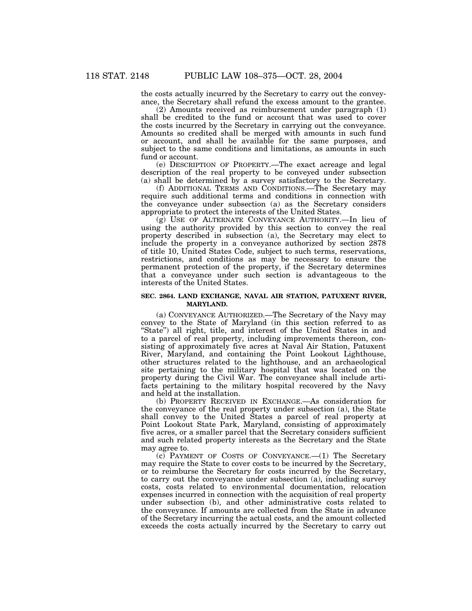the costs actually incurred by the Secretary to carry out the conveyance, the Secretary shall refund the excess amount to the grantee.

(2) Amounts received as reimbursement under paragraph (1) shall be credited to the fund or account that was used to cover the costs incurred by the Secretary in carrying out the conveyance. Amounts so credited shall be merged with amounts in such fund or account, and shall be available for the same purposes, and subject to the same conditions and limitations, as amounts in such fund or account.

(e) DESCRIPTION OF PROPERTY.—The exact acreage and legal description of the real property to be conveyed under subsection (a) shall be determined by a survey satisfactory to the Secretary.

(f) ADDITIONAL TERMS AND CONDITIONS.—The Secretary may require such additional terms and conditions in connection with the conveyance under subsection (a) as the Secretary considers appropriate to protect the interests of the United States.

(g) USE OF ALTERNATE CONVEYANCE AUTHORITY.—In lieu of using the authority provided by this section to convey the real property described in subsection (a), the Secretary may elect to include the property in a conveyance authorized by section 2878 of title 10, United States Code, subject to such terms, reservations, restrictions, and conditions as may be necessary to ensure the permanent protection of the property, if the Secretary determines that a conveyance under such section is advantageous to the interests of the United States.

#### **SEC. 2864. LAND EXCHANGE, NAVAL AIR STATION, PATUXENT RIVER, MARYLAND.**

(a) CONVEYANCE AUTHORIZED.—The Secretary of the Navy may convey to the State of Maryland (in this section referred to as "State") all right, title, and interest of the United States in and to a parcel of real property, including improvements thereon, consisting of approximately five acres at Naval Air Station, Patuxent River, Maryland, and containing the Point Lookout Lighthouse, other structures related to the lighthouse, and an archaeological site pertaining to the military hospital that was located on the property during the Civil War. The conveyance shall include artifacts pertaining to the military hospital recovered by the Navy and held at the installation.

(b) PROPERTY RECEIVED IN EXCHANGE.—As consideration for the conveyance of the real property under subsection (a), the State shall convey to the United States a parcel of real property at Point Lookout State Park, Maryland, consisting of approximately five acres, or a smaller parcel that the Secretary considers sufficient and such related property interests as the Secretary and the State may agree to.

(c) PAYMENT OF COSTS OF CONVEYANCE.—(1) The Secretary may require the State to cover costs to be incurred by the Secretary, or to reimburse the Secretary for costs incurred by the Secretary, to carry out the conveyance under subsection (a), including survey costs, costs related to environmental documentation, relocation expenses incurred in connection with the acquisition of real property under subsection (b), and other administrative costs related to the conveyance. If amounts are collected from the State in advance of the Secretary incurring the actual costs, and the amount collected exceeds the costs actually incurred by the Secretary to carry out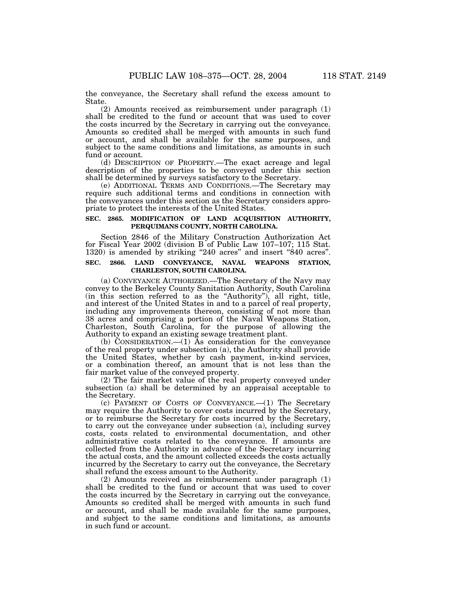the conveyance, the Secretary shall refund the excess amount to State.

(2) Amounts received as reimbursement under paragraph (1) shall be credited to the fund or account that was used to cover the costs incurred by the Secretary in carrying out the conveyance. Amounts so credited shall be merged with amounts in such fund or account, and shall be available for the same purposes, and subject to the same conditions and limitations, as amounts in such fund or account.

(d) DESCRIPTION OF PROPERTY.—The exact acreage and legal description of the properties to be conveyed under this section shall be determined by surveys satisfactory to the Secretary.

(e) ADDITIONAL TERMS AND CONDITIONS.—The Secretary may require such additional terms and conditions in connection with the conveyances under this section as the Secretary considers appropriate to protect the interests of the United States.

#### **SEC. 2865. MODIFICATION OF LAND ACQUISITION AUTHORITY, PERQUIMANS COUNTY, NORTH CAROLINA.**

Section 2846 of the Military Construction Authorization Act for Fiscal Year 2002 (division B of Public Law 107–107; 115 Stat. 1320) is amended by striking "240 acres" and insert "840 acres".

#### **SEC. 2866. LAND CONVEYANCE, NAVAL WEAPONS STATION, CHARLESTON, SOUTH CAROLINA.**

(a) CONVEYANCE AUTHORIZED.—The Secretary of the Navy may convey to the Berkeley County Sanitation Authority, South Carolina (in this section referred to as the ''Authority''), all right, title, and interest of the United States in and to a parcel of real property, including any improvements thereon, consisting of not more than 38 acres and comprising a portion of the Naval Weapons Station, Charleston, South Carolina, for the purpose of allowing the Authority to expand an existing sewage treatment plant.

(b) CONSIDERATION.—(1) As consideration for the conveyance of the real property under subsection (a), the Authority shall provide the United States, whether by cash payment, in-kind services, or a combination thereof, an amount that is not less than the fair market value of the conveyed property.

(2) The fair market value of the real property conveyed under subsection (a) shall be determined by an appraisal acceptable to the Secretary.

(c) PAYMENT OF COSTS OF CONVEYANCE.—(1) The Secretary may require the Authority to cover costs incurred by the Secretary, or to reimburse the Secretary for costs incurred by the Secretary, to carry out the conveyance under subsection (a), including survey costs, costs related to environmental documentation, and other administrative costs related to the conveyance. If amounts are collected from the Authority in advance of the Secretary incurring the actual costs, and the amount collected exceeds the costs actually incurred by the Secretary to carry out the conveyance, the Secretary shall refund the excess amount to the Authority.

(2) Amounts received as reimbursement under paragraph (1) shall be credited to the fund or account that was used to cover the costs incurred by the Secretary in carrying out the conveyance. Amounts so credited shall be merged with amounts in such fund or account, and shall be made available for the same purposes, and subject to the same conditions and limitations, as amounts in such fund or account.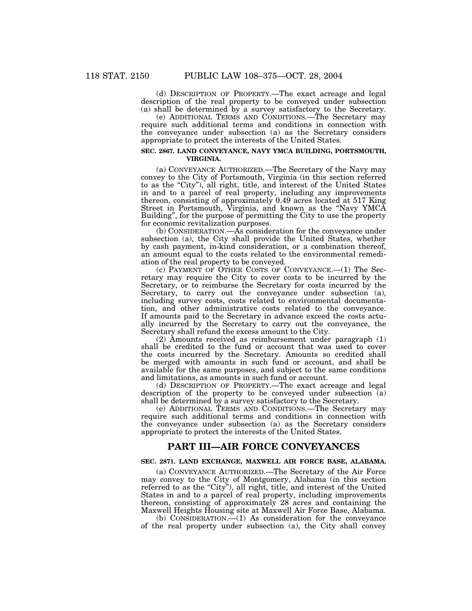(d) DESCRIPTION OF PROPERTY.—The exact acreage and legal description of the real property to be conveyed under subsection (a) shall be determined by a survey satisfactory to the Secretary.

(e) ADDITIONAL TERMS AND CONDITIONS.—The Secretary may require such additional terms and conditions in connection with the conveyance under subsection (a) as the Secretary considers appropriate to protect the interests of the United States.

#### **SEC. 2867. LAND CONVEYANCE, NAVY YMCA BUILDING, PORTSMOUTH, VIRGINIA.**

(a) CONVEYANCE AUTHORIZED.—The Secretary of the Navy may convey to the City of Portsmouth, Virginia (in this section referred to as the ''City''), all right, title, and interest of the United States in and to a parcel of real property, including any improvements thereon, consisting of approximately 0.49 acres located at 517 King Street in Portsmouth, Virginia, and known as the ''Navy YMCA Building'', for the purpose of permitting the City to use the property for economic revitalization purposes.

 $(b)$  CONSIDERATION.—As consideration for the conveyance under subsection (a), the City shall provide the United States, whether by cash payment, in-kind consideration, or a combination thereof, an amount equal to the costs related to the environmental remediation of the real property to be conveyed.

(c) PAYMENT OF OTHER COSTS OF CONVEYANCE.—(1) The Secretary may require the City to cover costs to be incurred by the Secretary, or to reimburse the Secretary for costs incurred by the Secretary, to carry out the conveyance under subsection (a), including survey costs, costs related to environmental documentation, and other administrative costs related to the conveyance. If amounts paid to the Secretary in advance exceed the costs actually incurred by the Secretary to carry out the conveyance, the Secretary shall refund the excess amount to the City.

(2) Amounts received as reimbursement under paragraph (1) shall be credited to the fund or account that was used to cover the costs incurred by the Secretary. Amounts so credited shall be merged with amounts in such fund or account, and shall be available for the same purposes, and subject to the same conditions and limitations, as amounts in such fund or account.

(d) DESCRIPTION OF PROPERTY.—The exact acreage and legal description of the property to be conveyed under subsection  $(a)$ shall be determined by a survey satisfactory to the Secretary.

(e) ADDITIONAL TERMS AND CONDITIONS.—The Secretary may require such additional terms and conditions in connection with the conveyance under subsection (a) as the Secretary considers appropriate to protect the interests of the United States.

### **PART III—AIR FORCE CONVEYANCES**

#### **SEC. 2871. LAND EXCHANGE, MAXWELL AIR FORCE BASE, ALABAMA.**

(a) CONVEYANCE AUTHORIZED.—The Secretary of the Air Force may convey to the City of Montgomery, Alabama (in this section referred to as the "City"), all right, title, and interest of the United States in and to a parcel of real property, including improvements thereon, consisting of approximately 28 acres and containing the Maxwell Heights Housing site at Maxwell Air Force Base, Alabama.

(b) CONSIDERATION.—(1) As consideration for the conveyance of the real property under subsection (a), the City shall convey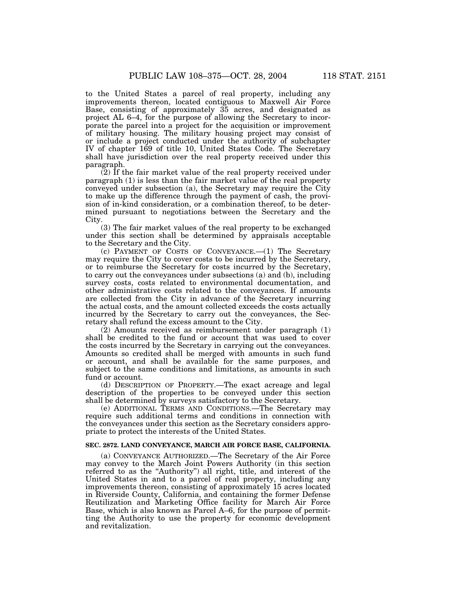to the United States a parcel of real property, including any improvements thereon, located contiguous to Maxwell Air Force Base, consisting of approximately 35 acres, and designated as project AL 6–4, for the purpose of allowing the Secretary to incorporate the parcel into a project for the acquisition or improvement

of military housing. The military housing project may consist of or include a project conducted under the authority of subchapter IV of chapter 169 of title 10, United States Code. The Secretary shall have jurisdiction over the real property received under this paragraph.

(2) If the fair market value of the real property received under paragraph (1) is less than the fair market value of the real property conveyed under subsection (a), the Secretary may require the City to make up the difference through the payment of cash, the provision of in-kind consideration, or a combination thereof, to be determined pursuant to negotiations between the Secretary and the City.

(3) The fair market values of the real property to be exchanged under this section shall be determined by appraisals acceptable to the Secretary and the City.

(c) PAYMENT OF COSTS OF CONVEYANCE.—(1) The Secretary may require the City to cover costs to be incurred by the Secretary, or to reimburse the Secretary for costs incurred by the Secretary, to carry out the conveyances under subsections (a) and (b), including survey costs, costs related to environmental documentation, and other administrative costs related to the conveyances. If amounts are collected from the City in advance of the Secretary incurring the actual costs, and the amount collected exceeds the costs actually incurred by the Secretary to carry out the conveyances, the Secretary shall refund the excess amount to the City.

(2) Amounts received as reimbursement under paragraph (1) shall be credited to the fund or account that was used to cover the costs incurred by the Secretary in carrying out the conveyances. Amounts so credited shall be merged with amounts in such fund or account, and shall be available for the same purposes, and subject to the same conditions and limitations, as amounts in such fund or account.

(d) DESCRIPTION OF PROPERTY.—The exact acreage and legal description of the properties to be conveyed under this section shall be determined by surveys satisfactory to the Secretary.

(e) ADDITIONAL TERMS AND CONDITIONS.—The Secretary may require such additional terms and conditions in connection with the conveyances under this section as the Secretary considers appropriate to protect the interests of the United States.

#### **SEC. 2872. LAND CONVEYANCE, MARCH AIR FORCE BASE, CALIFORNIA.**

(a) CONVEYANCE AUTHORIZED.—The Secretary of the Air Force may convey to the March Joint Powers Authority (in this section referred to as the ''Authority'') all right, title, and interest of the United States in and to a parcel of real property, including any improvements thereon, consisting of approximately 15 acres located in Riverside County, California, and containing the former Defense Reutilization and Marketing Office facility for March Air Force Base, which is also known as Parcel A–6, for the purpose of permitting the Authority to use the property for economic development and revitalization.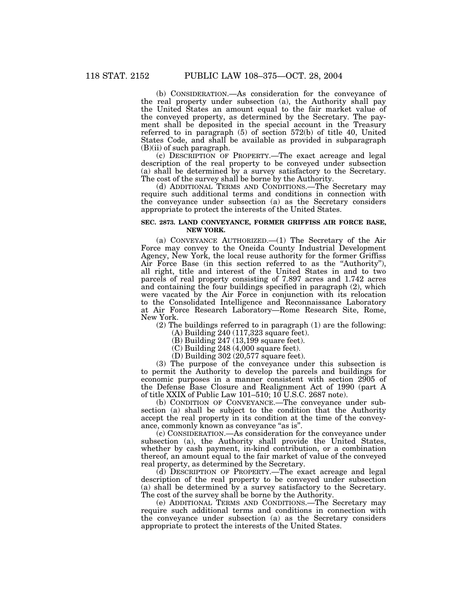(b) CONSIDERATION.—As consideration for the conveyance of the real property under subsection (a), the Authority shall pay the United States an amount equal to the fair market value of the conveyed property, as determined by the Secretary. The payment shall be deposited in the special account in the Treasury referred to in paragraph (5) of section 572(b) of title 40, United States Code, and shall be available as provided in subparagraph  $(B)(ii)$  of such paragraph.

(c) DESCRIPTION OF PROPERTY.—The exact acreage and legal description of the real property to be conveyed under subsection (a) shall be determined by a survey satisfactory to the Secretary. The cost of the survey shall be borne by the Authority.

(d) ADDITIONAL TERMS AND CONDITIONS.—The Secretary may require such additional terms and conditions in connection with the conveyance under subsection (a) as the Secretary considers appropriate to protect the interests of the United States.

#### **SEC. 2873. LAND CONVEYANCE, FORMER GRIFFISS AIR FORCE BASE, NEW YORK.**

(a) CONVEYANCE AUTHORIZED.—(1) The Secretary of the Air Force may convey to the Oneida County Industrial Development Agency, New York, the local reuse authority for the former Griffiss Air Force Base (in this section referred to as the ''Authority''), all right, title and interest of the United States in and to two parcels of real property consisting of 7.897 acres and 1.742 acres and containing the four buildings specified in paragraph (2), which were vacated by the Air Force in conjunction with its relocation to the Consolidated Intelligence and Reconnaissance Laboratory at Air Force Research Laboratory—Rome Research Site, Rome, New York.

(2) The buildings referred to in paragraph (1) are the following:

(A) Building 240 (117,323 square feet).

 $(B)$  Building 247 (13,199 square feet).

 $(C)$  Building 248 (4,000 square feet).

(D) Building 302 (20,577 square feet).

(3) The purpose of the conveyance under this subsection is to permit the Authority to develop the parcels and buildings for economic purposes in a manner consistent with section 2905 of the Defense Base Closure and Realignment Act of 1990 (part A of title XXIX of Public Law 101–510; 10 U.S.C. 2687 note).

(b) CONDITION OF CONVEYANCE.—The conveyance under subsection (a) shall be subject to the condition that the Authority accept the real property in its condition at the time of the conveyance, commonly known as conveyance "as is".

(c) CONSIDERATION.—As consideration for the conveyance under subsection (a), the Authority shall provide the United States, whether by cash payment, in-kind contribution, or a combination thereof, an amount equal to the fair market of value of the conveyed real property, as determined by the Secretary.

(d) DESCRIPTION OF PROPERTY.—The exact acreage and legal description of the real property to be conveyed under subsection (a) shall be determined by a survey satisfactory to the Secretary. The cost of the survey shall be borne by the Authority.

(e) ADDITIONAL TERMS AND CONDITIONS.—The Secretary may require such additional terms and conditions in connection with the conveyance under subsection (a) as the Secretary considers appropriate to protect the interests of the United States.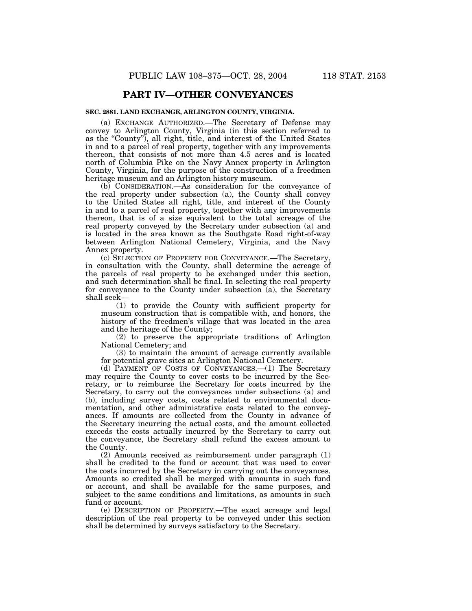## **PART IV—OTHER CONVEYANCES**

#### **SEC. 2881. LAND EXCHANGE, ARLINGTON COUNTY, VIRGINIA.**

(a) EXCHANGE AUTHORIZED.—The Secretary of Defense may convey to Arlington County, Virginia (in this section referred to as the "County"), all right, title, and interest of the United States in and to a parcel of real property, together with any improvements thereon, that consists of not more than 4.5 acres and is located north of Columbia Pike on the Navy Annex property in Arlington County, Virginia, for the purpose of the construction of a freedmen heritage museum and an Arlington history museum.

(b) CONSIDERATION.—As consideration for the conveyance of the real property under subsection (a), the County shall convey to the United States all right, title, and interest of the County in and to a parcel of real property, together with any improvements thereon, that is of a size equivalent to the total acreage of the real property conveyed by the Secretary under subsection (a) and is located in the area known as the Southgate Road right-of-way between Arlington National Cemetery, Virginia, and the Navy Annex property.

(c) SELECTION OF PROPERTY FOR CONVEYANCE.—The Secretary, in consultation with the County, shall determine the acreage of the parcels of real property to be exchanged under this section, and such determination shall be final. In selecting the real property for conveyance to the County under subsection (a), the Secretary shall seek—

(1) to provide the County with sufficient property for museum construction that is compatible with, and honors, the history of the freedmen's village that was located in the area and the heritage of the County;

(2) to preserve the appropriate traditions of Arlington National Cemetery; and

(3) to maintain the amount of acreage currently available for potential grave sites at Arlington National Cemetery.

(d) PAYMENT OF COSTS OF CONVEYANCES.—(1) The Secretary may require the County to cover costs to be incurred by the Secretary, or to reimburse the Secretary for costs incurred by the Secretary, to carry out the conveyances under subsections (a) and (b), including survey costs, costs related to environmental documentation, and other administrative costs related to the conveyances. If amounts are collected from the County in advance of the Secretary incurring the actual costs, and the amount collected exceeds the costs actually incurred by the Secretary to carry out the conveyance, the Secretary shall refund the excess amount to the County.

(2) Amounts received as reimbursement under paragraph (1) shall be credited to the fund or account that was used to cover the costs incurred by the Secretary in carrying out the conveyances. Amounts so credited shall be merged with amounts in such fund or account, and shall be available for the same purposes, and subject to the same conditions and limitations, as amounts in such fund or account.

(e) DESCRIPTION OF PROPERTY.—The exact acreage and legal description of the real property to be conveyed under this section shall be determined by surveys satisfactory to the Secretary.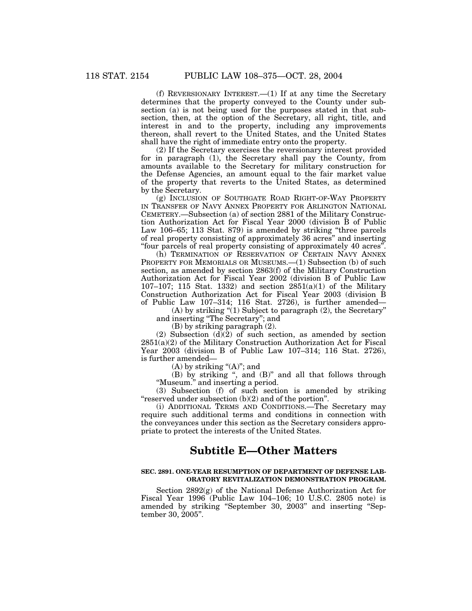(f) REVERSIONARY INTEREST.— $(1)$  If at any time the Secretary determines that the property conveyed to the County under subsection (a) is not being used for the purposes stated in that subsection, then, at the option of the Secretary, all right, title, and interest in and to the property, including any improvements thereon, shall revert to the United States, and the United States shall have the right of immediate entry onto the property.

(2) If the Secretary exercises the reversionary interest provided for in paragraph (1), the Secretary shall pay the County, from amounts available to the Secretary for military construction for the Defense Agencies, an amount equal to the fair market value of the property that reverts to the United States, as determined by the Secretary.

(g) INCLUSION OF SOUTHGATE ROAD RIGHT-OF-WAY PROPERTY IN TRANSFER OF NAVY ANNEX PROPERTY FOR ARLINGTON NATIONAL CEMETERY.—Subsection (a) of section 2881 of the Military Construction Authorization Act for Fiscal Year 2000 (division B of Public Law 106–65; 113 Stat. 879) is amended by striking ''three parcels of real property consisting of approximately 36 acres'' and inserting ''four parcels of real property consisting of approximately 40 acres''.

(h) TERMINATION OF RESERVATION OF CERTAIN NAVY ANNEX PROPERTY FOR MEMORIALS OR MUSEUMS.—(1) Subsection (b) of such section, as amended by section 2863(f) of the Military Construction Authorization Act for Fiscal Year 2002 (division B of Public Law 107–107; 115 Stat. 1332) and section 2851(a)(1) of the Military Construction Authorization Act for Fiscal Year 2003 (division B of Public Law 107–314; 116 Stat. 2726), is further amended—

(A) by striking "(1) Subject to paragraph (2), the Secretary" and inserting ''The Secretary''; and

(B) by striking paragraph (2).

(2) Subsection  $(d)(2)$  of such section, as amended by section  $2851(a)(2)$  of the Military Construction Authorization Act for Fiscal Year 2003 (division B of Public Law 107–314; 116 Stat. 2726), is further amended—

(A) by striking " $(A)$ "; and

(B) by striking ", and  $(B)$ " and all that follows through ''Museum.'' and inserting a period.

(3) Subsection (f) of such section is amended by striking "reserved under subsection  $(b)(2)$  and of the portion".

(i) ADDITIONAL TERMS AND CONDITIONS.—The Secretary may require such additional terms and conditions in connection with the conveyances under this section as the Secretary considers appropriate to protect the interests of the United States.

## **Subtitle E—Other Matters**

#### **SEC. 2891. ONE-YEAR RESUMPTION OF DEPARTMENT OF DEFENSE LAB-ORATORY REVITALIZATION DEMONSTRATION PROGRAM.**

Section 2892(g) of the National Defense Authorization Act for Fiscal Year 1996 (Public Law 104–106; 10 U.S.C. 2805 note) is amended by striking ''September 30, 2003'' and inserting ''September 30, 2005''.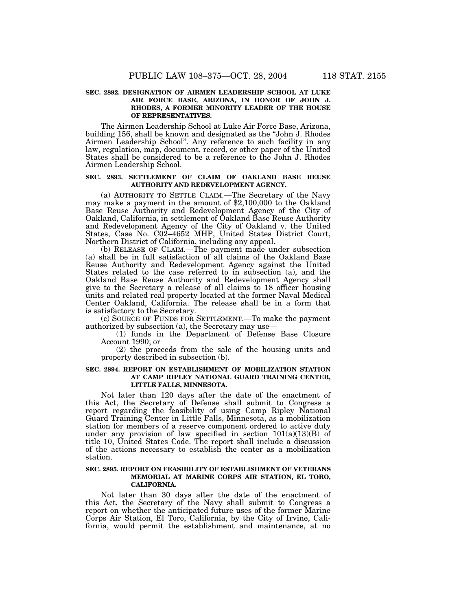#### **SEC. 2892. DESIGNATION OF AIRMEN LEADERSHIP SCHOOL AT LUKE AIR FORCE BASE, ARIZONA, IN HONOR OF JOHN J. RHODES, A FORMER MINORITY LEADER OF THE HOUSE OF REPRESENTATIVES.**

The Airmen Leadership School at Luke Air Force Base, Arizona, building 156, shall be known and designated as the ''John J. Rhodes Airmen Leadership School''. Any reference to such facility in any law, regulation, map, document, record, or other paper of the United States shall be considered to be a reference to the John J. Rhodes Airmen Leadership School.

#### **SEC. 2893. SETTLEMENT OF CLAIM OF OAKLAND BASE REUSE AUTHORITY AND REDEVELOPMENT AGENCY.**

(a) AUTHORITY TO SETTLE CLAIM.—The Secretary of the Navy may make a payment in the amount of \$2,100,000 to the Oakland Base Reuse Authority and Redevelopment Agency of the City of Oakland, California, in settlement of Oakland Base Reuse Authority and Redevelopment Agency of the City of Oakland v. the United States, Case No. C02–4652 MHP, United States District Court, Northern District of California, including any appeal.

(b) RELEASE OF CLAIM.—The payment made under subsection (a) shall be in full satisfaction of all claims of the Oakland Base Reuse Authority and Redevelopment Agency against the United States related to the case referred to in subsection (a), and the Oakland Base Reuse Authority and Redevelopment Agency shall give to the Secretary a release of all claims to 18 officer housing units and related real property located at the former Naval Medical Center Oakland, California. The release shall be in a form that is satisfactory to the Secretary.

(c) SOURCE OF FUNDS FOR SETTLEMENT.—To make the payment authorized by subsection (a), the Secretary may use—

(1) funds in the Department of Defense Base Closure Account 1990; or

(2) the proceeds from the sale of the housing units and property described in subsection (b).

#### **SEC. 2894. REPORT ON ESTABLISHMENT OF MOBILIZATION STATION AT CAMP RIPLEY NATIONAL GUARD TRAINING CENTER, LITTLE FALLS, MINNESOTA.**

Not later than 120 days after the date of the enactment of this Act, the Secretary of Defense shall submit to Congress a report regarding the feasibility of using Camp Ripley National Guard Training Center in Little Falls, Minnesota, as a mobilization station for members of a reserve component ordered to active duty under any provision of law specified in section  $101(a)(13)(B)$  of title 10, United States Code. The report shall include a discussion of the actions necessary to establish the center as a mobilization station.

#### **SEC. 2895. REPORT ON FEASIBILITY OF ESTABLISHMENT OF VETERANS MEMORIAL AT MARINE CORPS AIR STATION, EL TORO, CALIFORNIA.**

Not later than 30 days after the date of the enactment of this Act, the Secretary of the Navy shall submit to Congress a report on whether the anticipated future uses of the former Marine Corps Air Station, El Toro, California, by the City of Irvine, California, would permit the establishment and maintenance, at no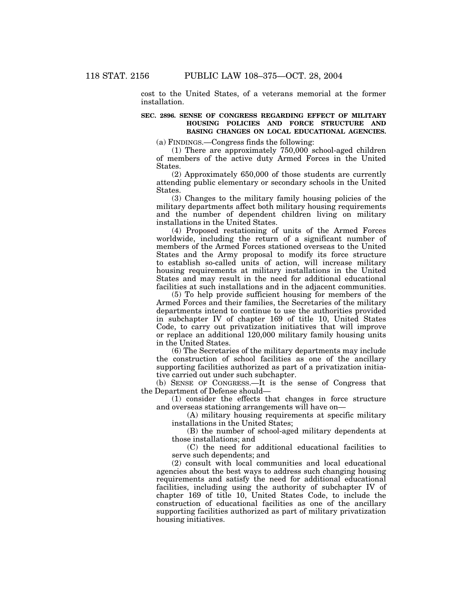cost to the United States, of a veterans memorial at the former installation.

#### **SEC. 2896. SENSE OF CONGRESS REGARDING EFFECT OF MILITARY HOUSING POLICIES AND FORCE STRUCTURE AND BASING CHANGES ON LOCAL EDUCATIONAL AGENCIES.**

(a) FINDINGS.—Congress finds the following:

(1) There are approximately 750,000 school-aged children of members of the active duty Armed Forces in the United States.

(2) Approximately 650,000 of those students are currently attending public elementary or secondary schools in the United States.

(3) Changes to the military family housing policies of the military departments affect both military housing requirements and the number of dependent children living on military installations in the United States.

(4) Proposed restationing of units of the Armed Forces worldwide, including the return of a significant number of members of the Armed Forces stationed overseas to the United States and the Army proposal to modify its force structure to establish so-called units of action, will increase military housing requirements at military installations in the United States and may result in the need for additional educational facilities at such installations and in the adjacent communities.

(5) To help provide sufficient housing for members of the Armed Forces and their families, the Secretaries of the military departments intend to continue to use the authorities provided in subchapter IV of chapter 169 of title 10, United States Code, to carry out privatization initiatives that will improve or replace an additional 120,000 military family housing units in the United States.

(6) The Secretaries of the military departments may include the construction of school facilities as one of the ancillary supporting facilities authorized as part of a privatization initiative carried out under such subchapter.

(b) SENSE OF CONGRESS.—It is the sense of Congress that the Department of Defense should—

(1) consider the effects that changes in force structure and overseas stationing arrangements will have on—

(A) military housing requirements at specific military installations in the United States;

(B) the number of school-aged military dependents at those installations; and

(C) the need for additional educational facilities to serve such dependents; and

(2) consult with local communities and local educational agencies about the best ways to address such changing housing requirements and satisfy the need for additional educational facilities, including using the authority of subchapter IV of chapter 169 of title 10, United States Code, to include the construction of educational facilities as one of the ancillary supporting facilities authorized as part of military privatization housing initiatives.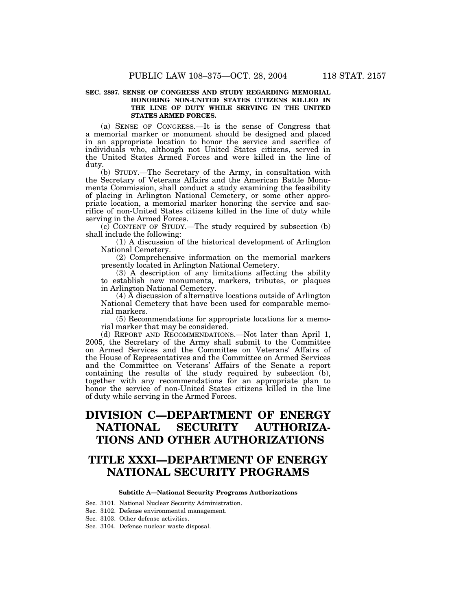#### **SEC. 2897. SENSE OF CONGRESS AND STUDY REGARDING MEMORIAL HONORING NON-UNITED STATES CITIZENS KILLED IN THE LINE OF DUTY WHILE SERVING IN THE UNITED STATES ARMED FORCES.**

(a) SENSE OF CONGRESS.—It is the sense of Congress that a memorial marker or monument should be designed and placed in an appropriate location to honor the service and sacrifice of individuals who, although not United States citizens, served in the United States Armed Forces and were killed in the line of duty.

(b) STUDY.—The Secretary of the Army, in consultation with the Secretary of Veterans Affairs and the American Battle Monuments Commission, shall conduct a study examining the feasibility of placing in Arlington National Cemetery, or some other appropriate location, a memorial marker honoring the service and sacrifice of non-United States citizens killed in the line of duty while serving in the Armed Forces.

(c) CONTENT OF STUDY.—The study required by subsection (b) shall include the following:

(1) A discussion of the historical development of Arlington National Cemetery.

(2) Comprehensive information on the memorial markers presently located in Arlington National Cemetery.

(3) A description of any limitations affecting the ability to establish new monuments, markers, tributes, or plaques in Arlington National Cemetery.

(4) A discussion of alternative locations outside of Arlington National Cemetery that have been used for comparable memorial markers.

(5) Recommendations for appropriate locations for a memorial marker that may be considered.

(d) REPORT AND RECOMMENDATIONS.—Not later than April 1, 2005, the Secretary of the Army shall submit to the Committee on Armed Services and the Committee on Veterans' Affairs of the House of Representatives and the Committee on Armed Services and the Committee on Veterans' Affairs of the Senate a report containing the results of the study required by subsection (b), together with any recommendations for an appropriate plan to honor the service of non-United States citizens killed in the line of duty while serving in the Armed Forces.

# **DIVISION C—DEPARTMENT OF ENERGY NATIONAL SECURITY AUTHORIZA-TIONS AND OTHER AUTHORIZATIONS**

# **TITLE XXXI—DEPARTMENT OF ENERGY NATIONAL SECURITY PROGRAMS**

#### **Subtitle A—National Security Programs Authorizations**

Sec. 3101. National Nuclear Security Administration.

Sec. 3102. Defense environmental management.

Sec. 3103. Other defense activities.

Sec. 3104. Defense nuclear waste disposal.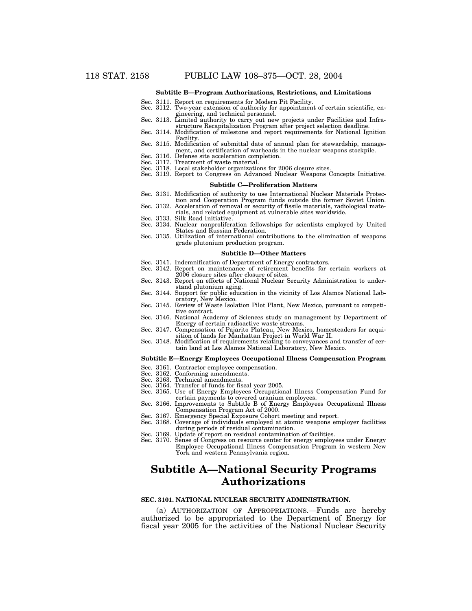#### **Subtitle B—Program Authorizations, Restrictions, and Limitations**

- Sec. 3111. Report on requirements for Modern Pit Facility.
- Sec. 3112. Two-year extension of authority for appointment of certain scientific, engineering, and technical personnel.
- Sec. 3113. Limited authority to carry out new projects under Facilities and Infrastructure Recapitalization Program after project selection deadline.
- Sec. 3114. Modification of milestone and report requirements for National Ignition Facility.
- Sec. 3115. Modification of submittal date of annual plan for stewardship, management, and certification of warheads in the nuclear weapons stockpile.
- Sec. 3116. Defense site acceleration completion. Sec. 3117. Treatment of waste material.
- Sec. 3118. Local stakeholder organizations for 2006 closure sites.
- Sec. 3119. Report to Congress on Advanced Nuclear Weapons Concepts Initiative.

#### **Subtitle C—Proliferation Matters**

- Sec. 3131. Modification of authority to use International Nuclear Materials Protection and Cooperation Program funds outside the former Soviet Union. Sec. 3132. Acceleration of removal or security of fissile materials, radiological mate-
- rials, and related equipment at vulnerable sites worldwide. Sec. 3133. Silk Road Initiative.
- 
- Sec. 3134. Nuclear nonproliferation fellowships for scientists employed by United States and Russian Federation.
- Sec. 3135. Utilization of international contributions to the elimination of weapons grade plutonium production program.

#### **Subtitle D—Other Matters**

- Sec. 3141. Indemnification of Department of Energy contractors.
- Sec. 3142. Report on maintenance of retirement benefits for certain workers at 2006 closure sites after closure of sites.
- Sec. 3143. Report on efforts of National Nuclear Security Administration to understand plutonium aging.
- Sec. 3144. Support for public education in the vicinity of Los Alamos National Laboratory, New Mexico.
- Sec. 3145. Review of Waste Isolation Pilot Plant, New Mexico, pursuant to competitive contract.
- Sec. 3146. National Academy of Sciences study on management by Department of Energy of certain radioactive waste streams.
- Sec. 3147. Compensation of Pajarito Plateau, New Mexico, homesteaders for acquisition of lands for Manhattan Project in World War II.
- Sec. 3148. Modification of requirements relating to conveyances and transfer of certain land at Los Alamos National Laboratory, New Mexico.

#### **Subtitle E—Energy Employees Occupational Illness Compensation Program**

- Sec. 3161. Contractor employee compensation. Sec. 3162. Conforming amendments.
- 
- 
- Sec. 3163. Technical amendments. Sec. 3164. Transfer of funds for fiscal year 2005.
- Sec. 3165. Use of Energy Employees Occupational Illness Compensation Fund for certain payments to covered uranium employees.
- Sec. 3166. Improvements to Subtitle B of Energy Employees Occupational Illness Compensation Program Act of 2000.
- 
- Sec. 3167. Emergency Special Exposure Cohort meeting and report. Sec. 3168. Coverage of individuals employed at atomic weapons employer facilities during periods of residual contamination. Sec. 3169. Update of report on residual contamination of facilities.
- 
- Sec. 3170. Sense of Congress on resource center for energy employees under Energy Employee Occupational Illness Compensation Program in western New York and western Pennsylvania region.

# **Subtitle A—National Security Programs Authorizations**

#### **SEC. 3101. NATIONAL NUCLEAR SECURITY ADMINISTRATION.**

(a) AUTHORIZATION OF APPROPRIATIONS.—Funds are hereby authorized to be appropriated to the Department of Energy for fiscal year 2005 for the activities of the National Nuclear Security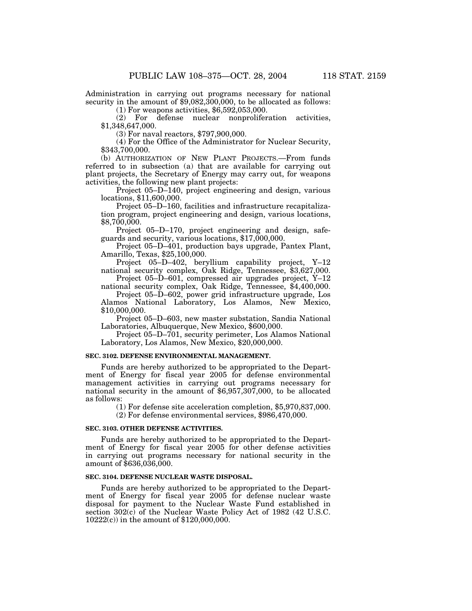Administration in carrying out programs necessary for national security in the amount of \$9,082,300,000, to be allocated as follows:

(1) For weapons activities, \$6,592,053,000.

(2) For defense nuclear nonproliferation activities, \$1,348,647,000.

(3) For naval reactors, \$797,900,000.

(4) For the Office of the Administrator for Nuclear Security, \$343,700,000.

(b) AUTHORIZATION OF NEW PLANT PROJECTS.—From funds referred to in subsection (a) that are available for carrying out plant projects, the Secretary of Energy may carry out, for weapons activities, the following new plant projects:

Project 05–D–140, project engineering and design, various locations, \$11,600,000.

Project 05–D–160, facilities and infrastructure recapitalization program, project engineering and design, various locations, \$8,700,000.

Project 05–D–170, project engineering and design, safeguards and security, various locations, \$17,000,000.

Project 05–D–401, production bays upgrade, Pantex Plant, Amarillo, Texas, \$25,100,000.

Project 05–D–402, beryllium capability project, Y–12 national security complex, Oak Ridge, Tennessee, \$3,627,000.

Project 05–D–601, compressed air upgrades project, Y–12 national security complex, Oak Ridge, Tennessee, \$4,400,000.

Project 05–D–602, power grid infrastructure upgrade, Los Alamos National Laboratory, Los Alamos, New Mexico, \$10,000,000.

Project 05–D–603, new master substation, Sandia National Laboratories, Albuquerque, New Mexico, \$600,000.

Project 05–D–701, security perimeter, Los Alamos National Laboratory, Los Alamos, New Mexico, \$20,000,000.

#### **SEC. 3102. DEFENSE ENVIRONMENTAL MANAGEMENT.**

Funds are hereby authorized to be appropriated to the Department of Energy for fiscal year 2005 for defense environmental management activities in carrying out programs necessary for national security in the amount of \$6,957,307,000, to be allocated as follows:

(1) For defense site acceleration completion, \$5,970,837,000.

(2) For defense environmental services, \$986,470,000.

#### **SEC. 3103. OTHER DEFENSE ACTIVITIES.**

Funds are hereby authorized to be appropriated to the Department of Energy for fiscal year 2005 for other defense activities in carrying out programs necessary for national security in the amount of \$636,036,000.

#### **SEC. 3104. DEFENSE NUCLEAR WASTE DISPOSAL.**

Funds are hereby authorized to be appropriated to the Department of Energy for fiscal year 2005 for defense nuclear waste disposal for payment to the Nuclear Waste Fund established in section 302(c) of the Nuclear Waste Policy Act of 1982 (42 U.S.C. 10222(c)) in the amount of \$120,000,000.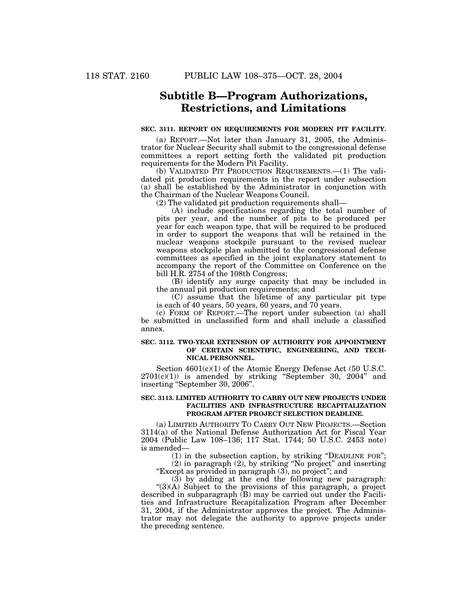# **Subtitle B—Program Authorizations, Restrictions, and Limitations**

#### **SEC. 3111. REPORT ON REQUIREMENTS FOR MODERN PIT FACILITY.**

(a) REPORT.—Not later than January 31, 2005, the Administrator for Nuclear Security shall submit to the congressional defense committees a report setting forth the validated pit production requirements for the Modern Pit Facility.

(b) VALIDATED PIT PRODUCTION REQUIREMENTS.—(1) The validated pit production requirements in the report under subsection (a) shall be established by the Administrator in conjunction with the Chairman of the Nuclear Weapons Council.

(2) The validated pit production requirements shall—

(A) include specifications regarding the total number of pits per year, and the number of pits to be produced per year for each weapon type, that will be required to be produced in order to support the weapons that will be retained in the nuclear weapons stockpile pursuant to the revised nuclear weapons stockpile plan submitted to the congressional defense committees as specified in the joint explanatory statement to accompany the report of the Committee on Conference on the bill H.R. 2754 of the 108th Congress;

(B) identify any surge capacity that may be included in the annual pit production requirements; and

(C) assume that the lifetime of any particular pit type is each of 40 years, 50 years, 60 years, and 70 years.

(c) FORM OF REPORT.—The report under subsection (a) shall be submitted in unclassified form and shall include a classified annex.

#### **SEC. 3112. TWO-YEAR EXTENSION OF AUTHORITY FOR APPOINTMENT OF CERTAIN SCIENTIFIC, ENGINEERING, AND TECH-NICAL PERSONNEL.**

Section 4601(c)(1) of the Atomic Energy Defense Act (50 U.S.C.  $2701(c)(1)$  is amended by striking "September 30, 2004" and inserting "September 30, 2006".

#### **SEC. 3113. LIMITED AUTHORITY TO CARRY OUT NEW PROJECTS UNDER FACILITIES AND INFRASTRUCTURE RECAPITALIZATION PROGRAM AFTER PROJECT SELECTION DEADLINE.**

(a) LIMITED AUTHORITY TO CARRY OUT NEW PROJECTS.—Section 3114(a) of the National Defense Authorization Act for Fiscal Year 2004 (Public Law 108–136; 117 Stat. 1744; 50 U.S.C. 2453 note) is amended—

(1) in the subsection caption, by striking ''DEADLINE FOR''; (2) in paragraph (2), by striking ''No project'' and inserting

"Except as provided in paragraph (3), no project"; and

 $(3)$  by adding at the end the following new paragraph: "(3)(A) Subject to the provisions of this paragraph, a project described in subparagraph (B) may be carried out under the Facilities and Infrastructure Recapitalization Program after December 31, 2004, if the Administrator approves the project. The Administrator may not delegate the authority to approve projects under the preceding sentence.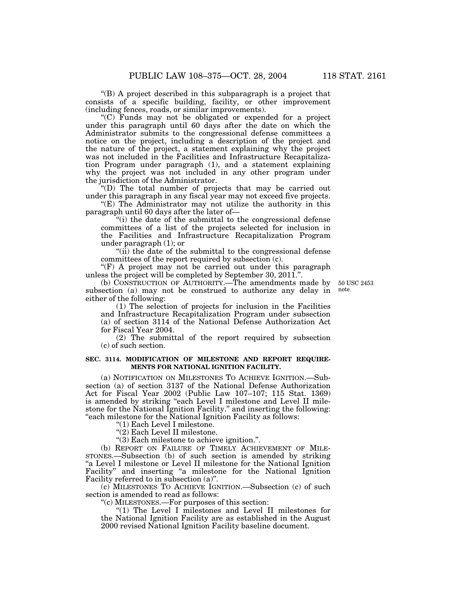''(B) A project described in this subparagraph is a project that consists of a specific building, facility, or other improvement (including fences, roads, or similar improvements).

''(C) Funds may not be obligated or expended for a project under this paragraph until 60 days after the date on which the Administrator submits to the congressional defense committees a notice on the project, including a description of the project and the nature of the project, a statement explaining why the project was not included in the Facilities and Infrastructure Recapitalization Program under paragraph (1), and a statement explaining why the project was not included in any other program under the jurisdiction of the Administrator.

''(D) The total number of projects that may be carried out under this paragraph in any fiscal year may not exceed five projects.

''(E) The Administrator may not utilize the authority in this paragraph until 60 days after the later of—

''(i) the date of the submittal to the congressional defense committees of a list of the projects selected for inclusion in the Facilities and Infrastructure Recapitalization Program under paragraph (1); or

"(ii) the date of the submittal to the congressional defense committees of the report required by subsection (c).

" $(F)$  A project may not be carried out under this paragraph unless the project will be completed by September 30, 2011.''.

(b) CONSTRUCTION OF AUTHORITY.—The amendments made by subsection (a) may not be construed to authorize any delay in either of the following:

50 USC 2453 note.

(1) The selection of projects for inclusion in the Facilities and Infrastructure Recapitalization Program under subsection (a) of section 3114 of the National Defense Authorization Act for Fiscal Year 2004.

(2) The submittal of the report required by subsection (c) of such section.

#### **SEC. 3114. MODIFICATION OF MILESTONE AND REPORT REQUIRE-MENTS FOR NATIONAL IGNITION FACILITY.**

(a) NOTIFICATION ON MILESTONES TO ACHIEVE IGNITION.—Subsection (a) of section 3137 of the National Defense Authorization Act for Fiscal Year 2002 (Public Law 107–107; 115 Stat. 1369) is amended by striking "each Level I milestone and Level II milestone for the National Ignition Facility.'' and inserting the following: ''each milestone for the National Ignition Facility as follows:

''(1) Each Level I milestone.

''(2) Each Level II milestone.

''(3) Each milestone to achieve ignition.''.

(b) REPORT ON FAILURE OF TIMELY ACHIEVEMENT OF MILE-STONES.—Subsection (b) of such section is amended by striking "a Level I milestone or Level II milestone for the National Ignition Facility" and inserting "a milestone for the National Ignition Facility referred to in subsection (a)''.

(c) MILESTONES TO ACHIEVE IGNITION.—Subsection (c) of such section is amended to read as follows:

''(c) MILESTONES.—For purposes of this section:

" $(1)$  The Level I milestones and Level II milestones for the National Ignition Facility are as established in the August 2000 revised National Ignition Facility baseline document.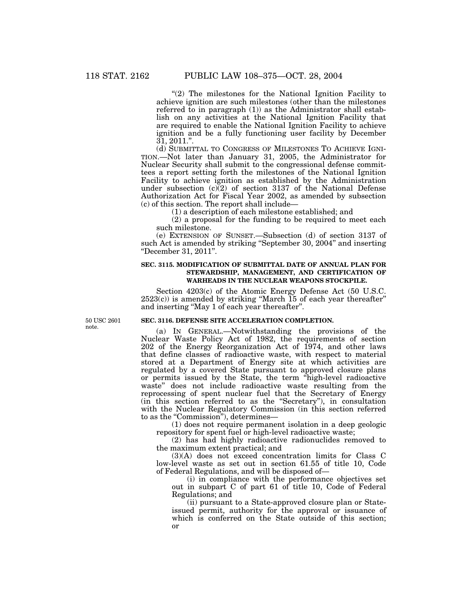"(2) The milestones for the National Ignition Facility to achieve ignition are such milestones (other than the milestones referred to in paragraph (1)) as the Administrator shall establish on any activities at the National Ignition Facility that are required to enable the National Ignition Facility to achieve ignition and be a fully functioning user facility by December 31, 2011.''.

(d) SUBMITTAL TO CONGRESS OF MILESTONES TO ACHIEVE IGNI-TION.—Not later than January 31, 2005, the Administrator for Nuclear Security shall submit to the congressional defense committees a report setting forth the milestones of the National Ignition Facility to achieve ignition as established by the Administration under subsection  $(c)(2)$  of section 3137 of the National Defense Authorization Act for Fiscal Year 2002, as amended by subsection (c) of this section. The report shall include—

(1) a description of each milestone established; and

(2) a proposal for the funding to be required to meet each such milestone.

(e) EXTENSION OF SUNSET.—Subsection (d) of section 3137 of such Act is amended by striking "September 30, 2004" and inserting ''December 31, 2011''.

#### **SEC. 3115. MODIFICATION OF SUBMITTAL DATE OF ANNUAL PLAN FOR STEWARDSHIP, MANAGEMENT, AND CERTIFICATION OF WARHEADS IN THE NUCLEAR WEAPONS STOCKPILE.**

Section 4203(c) of the Atomic Energy Defense Act (50 U.S.C.  $2523(c)$ ) is amended by striking "March 15 of each year thereafter" and inserting ''May 1 of each year thereafter''.

50 USC 2601 note.

#### **SEC. 3116. DEFENSE SITE ACCELERATION COMPLETION.**

(a) IN GENERAL.—Notwithstanding the provisions of the Nuclear Waste Policy Act of 1982, the requirements of section 202 of the Energy Reorganization Act of 1974, and other laws that define classes of radioactive waste, with respect to material stored at a Department of Energy site at which activities are regulated by a covered State pursuant to approved closure plans or permits issued by the State, the term ''high-level radioactive waste'' does not include radioactive waste resulting from the reprocessing of spent nuclear fuel that the Secretary of Energy (in this section referred to as the ''Secretary''), in consultation with the Nuclear Regulatory Commission (in this section referred to as the "Commission"), determines—

(1) does not require permanent isolation in a deep geologic repository for spent fuel or high-level radioactive waste;

(2) has had highly radioactive radionuclides removed to the maximum extent practical; and

(3)(A) does not exceed concentration limits for Class C low-level waste as set out in section 61.55 of title 10, Code of Federal Regulations, and will be disposed of—

(i) in compliance with the performance objectives set out in subpart C of part 61 of title 10, Code of Federal Regulations; and

(ii) pursuant to a State-approved closure plan or Stateissued permit, authority for the approval or issuance of which is conferred on the State outside of this section; or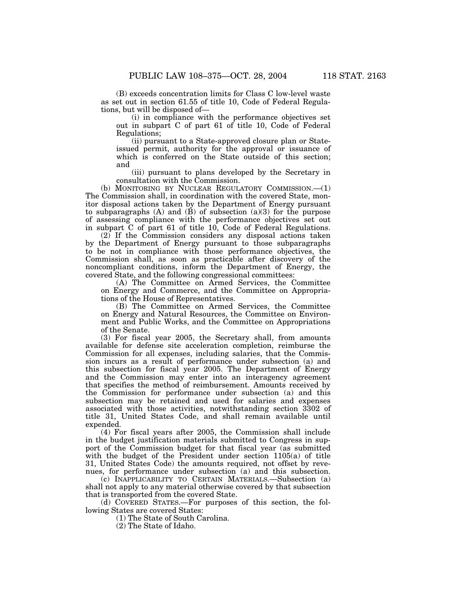(B) exceeds concentration limits for Class C low-level waste as set out in section 61.55 of title 10, Code of Federal Regulations, but will be disposed of—

(i) in compliance with the performance objectives set out in subpart C of part 61 of title 10, Code of Federal Regulations;

(ii) pursuant to a State-approved closure plan or Stateissued permit, authority for the approval or issuance of which is conferred on the State outside of this section; and

(iii) pursuant to plans developed by the Secretary in consultation with the Commission.

(b) MONITORING BY NUCLEAR REGULATORY COMMISSION.—(1) The Commission shall, in coordination with the covered State, monitor disposal actions taken by the Department of Energy pursuant to subparagraphs  $(A)$  and  $(B)$  of subsection  $(a)(3)$  for the purpose of assessing compliance with the performance objectives set out in subpart C of part 61 of title 10, Code of Federal Regulations.

 $(2)$  If the Commission considers any disposal actions taken by the Department of Energy pursuant to those subparagraphs to be not in compliance with those performance objectives, the Commission shall, as soon as practicable after discovery of the noncompliant conditions, inform the Department of Energy, the covered State, and the following congressional committees:

(A) The Committee on Armed Services, the Committee on Energy and Commerce, and the Committee on Appropriations of the House of Representatives.

(B) The Committee on Armed Services, the Committee on Energy and Natural Resources, the Committee on Environment and Public Works, and the Committee on Appropriations of the Senate.

(3) For fiscal year 2005, the Secretary shall, from amounts available for defense site acceleration completion, reimburse the Commission for all expenses, including salaries, that the Commission incurs as a result of performance under subsection (a) and this subsection for fiscal year 2005. The Department of Energy and the Commission may enter into an interagency agreement that specifies the method of reimbursement. Amounts received by the Commission for performance under subsection (a) and this subsection may be retained and used for salaries and expenses associated with those activities, notwithstanding section 3302 of title 31, United States Code, and shall remain available until expended.

(4) For fiscal years after 2005, the Commission shall include in the budget justification materials submitted to Congress in support of the Commission budget for that fiscal year (as submitted with the budget of the President under section 1105(a) of title 31, United States Code) the amounts required, not offset by revenues, for performance under subsection (a) and this subsection.

(c) INAPPLICABILITY TO CERTAIN MATERIALS.—Subsection (a) shall not apply to any material otherwise covered by that subsection that is transported from the covered State.

(d) COVERED STATES.—For purposes of this section, the following States are covered States:

(1) The State of South Carolina.

(2) The State of Idaho.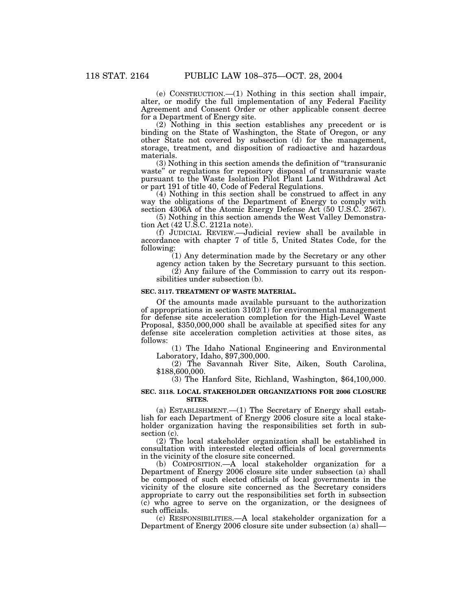(e) CONSTRUCTION.—(1) Nothing in this section shall impair, alter, or modify the full implementation of any Federal Facility Agreement and Consent Order or other applicable consent decree for a Department of Energy site.

(2) Nothing in this section establishes any precedent or is binding on the State of Washington, the State of Oregon, or any other State not covered by subsection (d) for the management, storage, treatment, and disposition of radioactive and hazardous materials.

(3) Nothing in this section amends the definition of ''transuranic waste'' or regulations for repository disposal of transuranic waste pursuant to the Waste Isolation Pilot Plant Land Withdrawal Act or part 191 of title 40, Code of Federal Regulations.

(4) Nothing in this section shall be construed to affect in any way the obligations of the Department of Energy to comply with section 4306A of the Atomic Energy Defense Act (50 U.S.C. 2567).

(5) Nothing in this section amends the West Valley Demonstration Act (42 U.S.C. 2121a note).

(f) JUDICIAL REVIEW.—Judicial review shall be available in accordance with chapter 7 of title 5, United States Code, for the following:

(1) Any determination made by the Secretary or any other agency action taken by the Secretary pursuant to this section.

 $(2)$  Any failure of the Commission to carry out its responsibilities under subsection (b).

#### **SEC. 3117. TREATMENT OF WASTE MATERIAL.**

Of the amounts made available pursuant to the authorization of appropriations in section  $3102(1)$  for environmental management for defense site acceleration completion for the High-Level Waste Proposal, \$350,000,000 shall be available at specified sites for any defense site acceleration completion activities at those sites, as follows:

(1) The Idaho National Engineering and Environmental Laboratory, Idaho, \$97,300,000.

(2) The Savannah River Site, Aiken, South Carolina, \$188,600,000.

(3) The Hanford Site, Richland, Washington, \$64,100,000.

#### **SEC. 3118. LOCAL STAKEHOLDER ORGANIZATIONS FOR 2006 CLOSURE SITES.**

(a) ESTABLISHMENT.—(1) The Secretary of Energy shall establish for each Department of Energy 2006 closure site a local stakeholder organization having the responsibilities set forth in subsection (c).

(2) The local stakeholder organization shall be established in consultation with interested elected officials of local governments in the vicinity of the closure site concerned.

(b) COMPOSITION.—A local stakeholder organization for a Department of Energy 2006 closure site under subsection (a) shall be composed of such elected officials of local governments in the vicinity of the closure site concerned as the Secretary considers appropriate to carry out the responsibilities set forth in subsection (c) who agree to serve on the organization, or the designees of such officials.

(c) RESPONSIBILITIES.—A local stakeholder organization for a Department of Energy 2006 closure site under subsection (a) shall—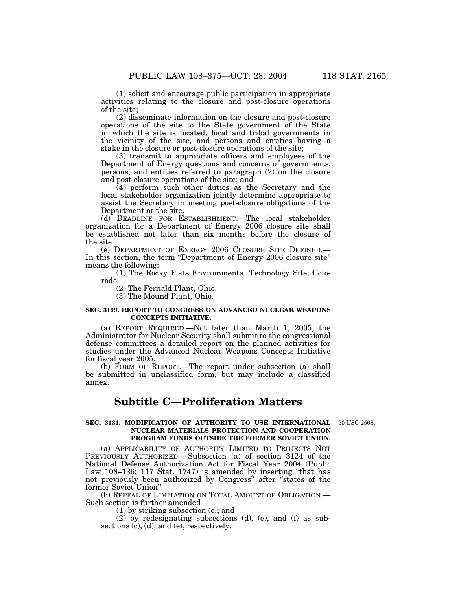(1) solicit and encourage public participation in appropriate activities relating to the closure and post-closure operations of the site;

(2) disseminate information on the closure and post-closure operations of the site to the State government of the State in which the site is located, local and tribal governments in the vicinity of the site, and persons and entities having a stake in the closure or post-closure operations of the site;

(3) transmit to appropriate officers and employees of the Department of Energy questions and concerns of governments, persons, and entities referred to paragraph (2) on the closure and post-closure operations of the site; and

(4) perform such other duties as the Secretary and the local stakeholder organization jointly determine appropriate to assist the Secretary in meeting post-closure obligations of the Department at the site.

(d) DEADLINE FOR ESTABLISHMENT.—The local stakeholder organization for a Department of Energy 2006 closure site shall be established not later than six months before the closure of the site.

(e) DEPARTMENT OF ENERGY 2006 CLOSURE SITE DEFINED.— In this section, the term "Department of Energy 2006 closure site" means the following:

(1) The Rocky Flats Environmental Technology Site, Colorado.

(2) The Fernald Plant, Ohio.

(3) The Mound Plant, Ohio.

#### **SEC. 3119. REPORT TO CONGRESS ON ADVANCED NUCLEAR WEAPONS CONCEPTS INITIATIVE.**

(a) REPORT REQUIRED.—Not later than March 1, 2005, the Administrator for Nuclear Security shall submit to the congressional defense committees a detailed report on the planned activities for studies under the Advanced Nuclear Weapons Concepts Initiative for fiscal year 2005.

(b) FORM OF REPORT.—The report under subsection (a) shall be submitted in unclassified form, but may include a classified annex.

# **Subtitle C—Proliferation Matters**

#### **SEC. 3131. MODIFICATION OF AUTHORITY TO USE INTERNATIONAL** 50 USC 2568. **NUCLEAR MATERIALS PROTECTION AND COOPERATION PROGRAM FUNDS OUTSIDE THE FORMER SOVIET UNION.**

(a) APPLICABILITY OF AUTHORITY LIMITED TO PROJECTS NOT PREVIOUSLY AUTHORIZED.—Subsection (a) of section 3124 of the National Defense Authorization Act for Fiscal Year 2004 (Public Law 108–136; 117 Stat. 1747) is amended by inserting ''that has not previously been authorized by Congress'' after ''states of the former Soviet Union''.

(b) REPEAL OF LIMITATION ON TOTAL AMOUNT OF OBLIGATION.— Such section is further amended—

(1) by striking subsection (c); and

(2) by redesignating subsections (d), (e), and (f) as subsections (c), (d), and (e), respectively.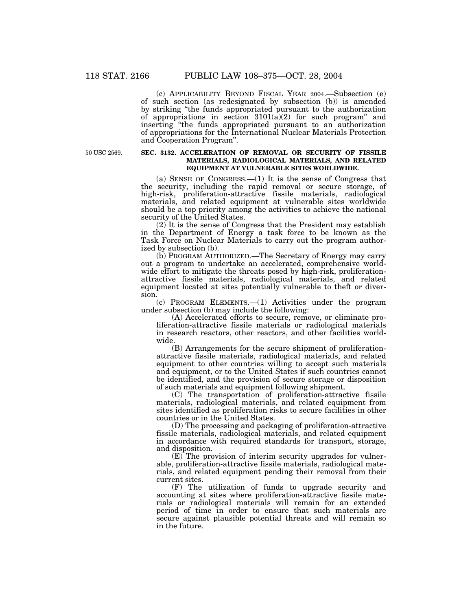(c) APPLICABILITY BEYOND FISCAL YEAR 2004.—Subsection (e) of such section (as redesignated by subsection (b)) is amended by striking ''the funds appropriated pursuant to the authorization of appropriations in section  $3101(a)(2)$  for such program" and inserting ''the funds appropriated pursuant to an authorization of appropriations for the International Nuclear Materials Protection and Cooperation Program''.

50 USC 2569.

#### **SEC. 3132. ACCELERATION OF REMOVAL OR SECURITY OF FISSILE MATERIALS, RADIOLOGICAL MATERIALS, AND RELATED EQUIPMENT AT VULNERABLE SITES WORLDWIDE.**

(a) SENSE OF CONGRESS.—(1) It is the sense of Congress that the security, including the rapid removal or secure storage, of high-risk, proliferation-attractive fissile materials, radiological materials, and related equipment at vulnerable sites worldwide should be a top priority among the activities to achieve the national security of the United States.

(2) It is the sense of Congress that the President may establish in the Department of Energy a task force to be known as the Task Force on Nuclear Materials to carry out the program authorized by subsection (b).

(b) PROGRAM AUTHORIZED.—The Secretary of Energy may carry out a program to undertake an accelerated, comprehensive worldwide effort to mitigate the threats posed by high-risk, proliferationattractive fissile materials, radiological materials, and related equipment located at sites potentially vulnerable to theft or diversion.

(c) PROGRAM ELEMENTS.—(1) Activities under the program under subsection (b) may include the following:

(A) Accelerated efforts to secure, remove, or eliminate proliferation-attractive fissile materials or radiological materials in research reactors, other reactors, and other facilities worldwide.

(B) Arrangements for the secure shipment of proliferationattractive fissile materials, radiological materials, and related equipment to other countries willing to accept such materials and equipment, or to the United States if such countries cannot be identified, and the provision of secure storage or disposition of such materials and equipment following shipment.

(C) The transportation of proliferation-attractive fissile materials, radiological materials, and related equipment from sites identified as proliferation risks to secure facilities in other countries or in the United States.

(D) The processing and packaging of proliferation-attractive fissile materials, radiological materials, and related equipment in accordance with required standards for transport, storage, and disposition.

(E) The provision of interim security upgrades for vulnerable, proliferation-attractive fissile materials, radiological materials, and related equipment pending their removal from their current sites.

(F) The utilization of funds to upgrade security and accounting at sites where proliferation-attractive fissile materials or radiological materials will remain for an extended period of time in order to ensure that such materials are secure against plausible potential threats and will remain so in the future.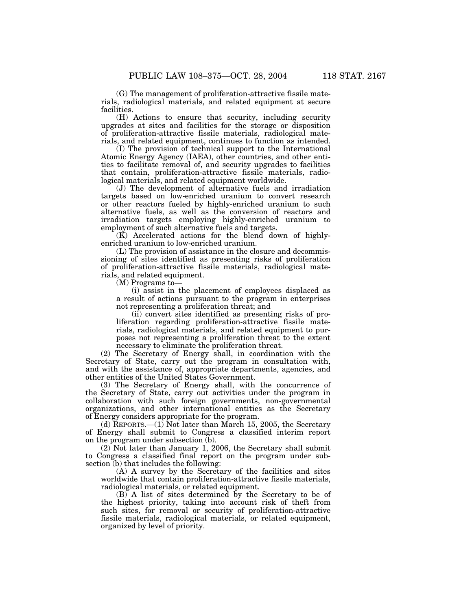(G) The management of proliferation-attractive fissile materials, radiological materials, and related equipment at secure facilities.

(H) Actions to ensure that security, including security upgrades at sites and facilities for the storage or disposition of proliferation-attractive fissile materials, radiological materials, and related equipment, continues to function as intended.

(I) The provision of technical support to the International Atomic Energy Agency (IAEA), other countries, and other entities to facilitate removal of, and security upgrades to facilities that contain, proliferation-attractive fissile materials, radiological materials, and related equipment worldwide.

(J) The development of alternative fuels and irradiation targets based on low-enriched uranium to convert research or other reactors fueled by highly-enriched uranium to such alternative fuels, as well as the conversion of reactors and irradiation targets employing highly-enriched uranium to employment of such alternative fuels and targets.

(K) Accelerated actions for the blend down of highlyenriched uranium to low-enriched uranium.

(L) The provision of assistance in the closure and decommissioning of sites identified as presenting risks of proliferation of proliferation-attractive fissile materials, radiological materials, and related equipment.

(M) Programs to—

(i) assist in the placement of employees displaced as a result of actions pursuant to the program in enterprises not representing a proliferation threat; and

(ii) convert sites identified as presenting risks of proliferation regarding proliferation-attractive fissile materials, radiological materials, and related equipment to purposes not representing a proliferation threat to the extent necessary to eliminate the proliferation threat.

(2) The Secretary of Energy shall, in coordination with the Secretary of State, carry out the program in consultation with, and with the assistance of, appropriate departments, agencies, and other entities of the United States Government.

(3) The Secretary of Energy shall, with the concurrence of the Secretary of State, carry out activities under the program in collaboration with such foreign governments, non-governmental organizations, and other international entities as the Secretary of Energy considers appropriate for the program.

(d)  $\text{REPORTS.} \text{---}(1)$  Not later than March 15, 2005, the Secretary of Energy shall submit to Congress a classified interim report on the program under subsection (b).

(2) Not later than January 1, 2006, the Secretary shall submit to Congress a classified final report on the program under subsection (b) that includes the following:

(A) A survey by the Secretary of the facilities and sites worldwide that contain proliferation-attractive fissile materials, radiological materials, or related equipment.

(B) A list of sites determined by the Secretary to be of the highest priority, taking into account risk of theft from such sites, for removal or security of proliferation-attractive fissile materials, radiological materials, or related equipment, organized by level of priority.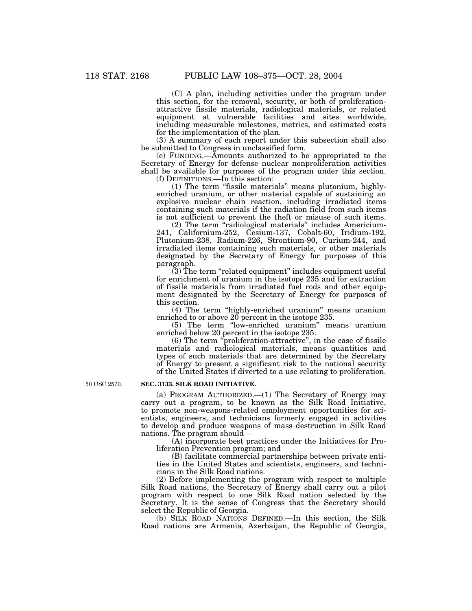(C) A plan, including activities under the program under this section, for the removal, security, or both of proliferationattractive fissile materials, radiological materials, or related equipment at vulnerable facilities and sites worldwide, including measurable milestones, metrics, and estimated costs for the implementation of the plan.

(3) A summary of each report under this subsection shall also be submitted to Congress in unclassified form.

(e) FUNDING.—Amounts authorized to be appropriated to the Secretary of Energy for defense nuclear nonproliferation activities shall be available for purposes of the program under this section.

(f) DEFINITIONS.—In this section:

(1) The term ''fissile materials'' means plutonium, highlyenriched uranium, or other material capable of sustaining an explosive nuclear chain reaction, including irradiated items containing such materials if the radiation field from such items is not sufficient to prevent the theft or misuse of such items.

(2) The term ''radiological materials'' includes Americium-241, Californium-252, Cesium-137, Cobalt-60, Iridium-192, Plutonium-238, Radium-226, Strontium-90, Curium-244, and irradiated items containing such materials, or other materials designated by the Secretary of Energy for purposes of this paragraph.

 $(3)$  The term "related equipment" includes equipment useful for enrichment of uranium in the isotope 235 and for extraction of fissile materials from irradiated fuel rods and other equipment designated by the Secretary of Energy for purposes of this section.

(4) The term "highly-enriched uranium" means uranium enriched to or above 20 percent in the isotope 235.

(5) The term ''low-enriched uranium'' means uranium enriched below 20 percent in the isotope 235.

(6) The term ''proliferation-attractive'', in the case of fissile materials and radiological materials, means quantities and types of such materials that are determined by the Secretary of Energy to present a significant risk to the national security of the United States if diverted to a use relating to proliferation.

50 USC 2570.

#### **SEC. 3133. SILK ROAD INITIATIVE.**

(a) PROGRAM AUTHORIZED.—(1) The Secretary of Energy may carry out a program, to be known as the Silk Road Initiative, to promote non-weapons-related employment opportunities for scientists, engineers, and technicians formerly engaged in activities to develop and produce weapons of mass destruction in Silk Road nations. The program should—

(A) incorporate best practices under the Initiatives for Proliferation Prevention program; and

(B) facilitate commercial partnerships between private entities in the United States and scientists, engineers, and technicians in the Silk Road nations.

(2) Before implementing the program with respect to multiple Silk Road nations, the Secretary of Energy shall carry out a pilot program with respect to one Silk Road nation selected by the Secretary. It is the sense of Congress that the Secretary should select the Republic of Georgia.

(b) SILK ROAD NATIONS DEFINED.—In this section, the Silk Road nations are Armenia, Azerbaijan, the Republic of Georgia,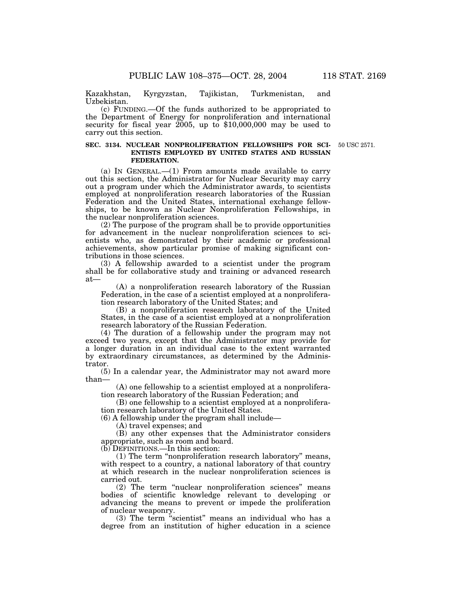Kazakhstan, Kyrgyzstan, Tajikistan, Turkmenistan, and Uzbekistan.

(c) FUNDING.—Of the funds authorized to be appropriated to the Department of Energy for nonproliferation and international security for fiscal year  $2005$ , up to \$10,000,000 may be used to carry out this section.

#### **SEC. 3134. NUCLEAR NONPROLIFERATION FELLOWSHIPS FOR SCI-ENTISTS EMPLOYED BY UNITED STATES AND RUSSIAN FEDERATION.**

50 USC 2571.

(a) In GENERAL.—(1) From amounts made available to carry out this section, the Administrator for Nuclear Security may carry out a program under which the Administrator awards, to scientists employed at nonproliferation research laboratories of the Russian Federation and the United States, international exchange fellowships, to be known as Nuclear Nonproliferation Fellowships, in the nuclear nonproliferation sciences.

(2) The purpose of the program shall be to provide opportunities for advancement in the nuclear nonproliferation sciences to scientists who, as demonstrated by their academic or professional achievements, show particular promise of making significant contributions in those sciences.

(3) A fellowship awarded to a scientist under the program shall be for collaborative study and training or advanced research at—

(A) a nonproliferation research laboratory of the Russian Federation, in the case of a scientist employed at a nonproliferation research laboratory of the United States; and

(B) a nonproliferation research laboratory of the United States, in the case of a scientist employed at a nonproliferation research laboratory of the Russian Federation.

(4) The duration of a fellowship under the program may not exceed two years, except that the Administrator may provide for a longer duration in an individual case to the extent warranted by extraordinary circumstances, as determined by the Administrator.

(5) In a calendar year, the Administrator may not award more than—

(A) one fellowship to a scientist employed at a nonproliferation research laboratory of the Russian Federation; and

(B) one fellowship to a scientist employed at a nonproliferation research laboratory of the United States.

(6) A fellowship under the program shall include—

(A) travel expenses; and

(B) any other expenses that the Administrator considers appropriate, such as room and board.

(b) DEFINITIONS.—In this section:

(1) The term ''nonproliferation research laboratory'' means, with respect to a country, a national laboratory of that country at which research in the nuclear nonproliferation sciences is carried out.

(2) The term ''nuclear nonproliferation sciences'' means bodies of scientific knowledge relevant to developing or advancing the means to prevent or impede the proliferation of nuclear weaponry.

(3) The term ''scientist'' means an individual who has a degree from an institution of higher education in a science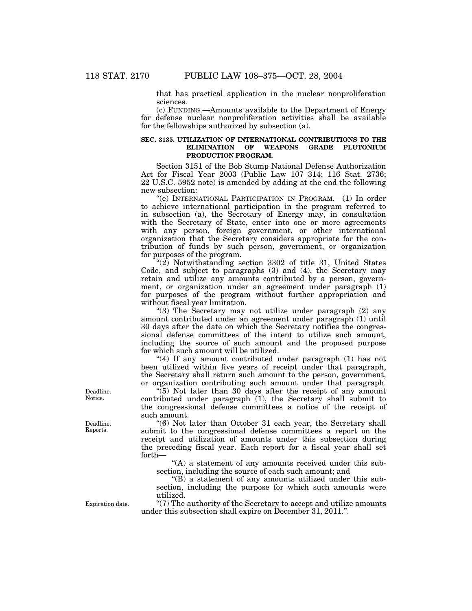that has practical application in the nuclear nonproliferation sciences.

(c) FUNDING.—Amounts available to the Department of Energy for defense nuclear nonproliferation activities shall be available for the fellowships authorized by subsection (a).

#### **SEC. 3135. UTILIZATION OF INTERNATIONAL CONTRIBUTIONS TO THE ELIMINATION OF WEAPONS GRADE PLUTONIUM PRODUCTION PROGRAM.**

Section 3151 of the Bob Stump National Defense Authorization Act for Fiscal Year 2003 (Public Law 107–314; 116 Stat. 2736; 22 U.S.C. 5952 note) is amended by adding at the end the following new subsection:

''(e) INTERNATIONAL PARTICIPATION IN PROGRAM.—(1) In order to achieve international participation in the program referred to in subsection (a), the Secretary of Energy may, in consultation with the Secretary of State, enter into one or more agreements with any person, foreign government, or other international organization that the Secretary considers appropriate for the contribution of funds by such person, government, or organization for purposes of the program.

 $\mathcal{L}(2)$  Notwithstanding section 3302 of title 31, United States Code, and subject to paragraphs (3) and (4), the Secretary may retain and utilize any amounts contributed by a person, government, or organization under an agreement under paragraph (1) for purposes of the program without further appropriation and without fiscal year limitation.

"(3) The Secretary may not utilize under paragraph  $(2)$  any amount contributed under an agreement under paragraph (1) until 30 days after the date on which the Secretary notifies the congressional defense committees of the intent to utilize such amount, including the source of such amount and the proposed purpose for which such amount will be utilized.

"(4) If any amount contributed under paragraph (1) has not been utilized within five years of receipt under that paragraph, the Secretary shall return such amount to the person, government, or organization contributing such amount under that paragraph.

 $(5)$  Not later than 30 days after the receipt of any amount contributed under paragraph (1), the Secretary shall submit to the congressional defense committees a notice of the receipt of such amount.

"(6) Not later than October 31 each year, the Secretary shall submit to the congressional defense committees a report on the receipt and utilization of amounts under this subsection during the preceding fiscal year. Each report for a fiscal year shall set forth—

"(A) a statement of any amounts received under this subsection, including the source of each such amount; and

''(B) a statement of any amounts utilized under this subsection, including the purpose for which such amounts were utilized.

''(7) The authority of the Secretary to accept and utilize amounts under this subsection shall expire on December 31, 2011.''.

Deadline. Notice.

Deadline. Reports.

Expiration date.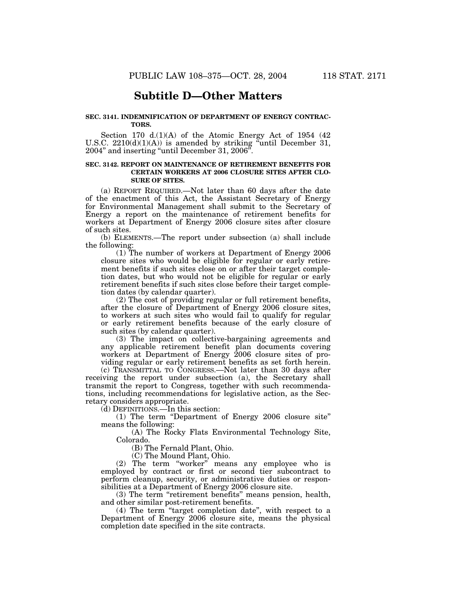## **Subtitle D—Other Matters**

#### **SEC. 3141. INDEMNIFICATION OF DEPARTMENT OF ENERGY CONTRAC-TORS.**

Section 170 d.(1)(A) of the Atomic Energy Act of 1954 (42 U.S.C. 2210(d)(1)(A)) is amended by striking "until December 31, 2004'' and inserting ''until December 31, 2006''.

## **SEC. 3142. REPORT ON MAINTENANCE OF RETIREMENT BENEFITS FOR CERTAIN WORKERS AT 2006 CLOSURE SITES AFTER CLO-SURE OF SITES.**

(a) REPORT REQUIRED.—Not later than 60 days after the date of the enactment of this Act, the Assistant Secretary of Energy for Environmental Management shall submit to the Secretary of Energy a report on the maintenance of retirement benefits for workers at Department of Energy 2006 closure sites after closure of such sites.

(b) ELEMENTS.—The report under subsection (a) shall include the following:

(1) The number of workers at Department of Energy 2006 closure sites who would be eligible for regular or early retirement benefits if such sites close on or after their target completion dates, but who would not be eligible for regular or early retirement benefits if such sites close before their target completion dates (by calendar quarter).

(2) The cost of providing regular or full retirement benefits, after the closure of Department of Energy 2006 closure sites, to workers at such sites who would fail to qualify for regular or early retirement benefits because of the early closure of such sites (by calendar quarter).

(3) The impact on collective-bargaining agreements and any applicable retirement benefit plan documents covering workers at Department of Energy 2006 closure sites of providing regular or early retirement benefits as set forth herein.

(c) TRANSMITTAL TO CONGRESS.—Not later than 30 days after receiving the report under subsection (a), the Secretary shall transmit the report to Congress, together with such recommendations, including recommendations for legislative action, as the Secretary considers appropriate.

(d) DEFINITIONS.—In this section:

(1) The term ''Department of Energy 2006 closure site'' means the following:

(A) The Rocky Flats Environmental Technology Site, Colorado.

(B) The Fernald Plant, Ohio.

(C) The Mound Plant, Ohio.

(2) The term ''worker'' means any employee who is employed by contract or first or second tier subcontract to perform cleanup, security, or administrative duties or responsibilities at a Department of Energy 2006 closure site.

(3) The term ''retirement benefits'' means pension, health, and other similar post-retirement benefits.

(4) The term ''target completion date'', with respect to a Department of Energy 2006 closure site, means the physical completion date specified in the site contracts.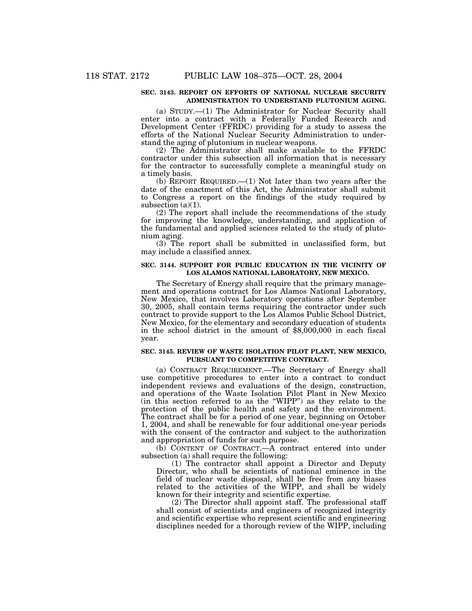## **SEC. 3143. REPORT ON EFFORTS OF NATIONAL NUCLEAR SECURITY ADMINISTRATION TO UNDERSTAND PLUTONIUM AGING.**

(a) STUDY.—(1) The Administrator for Nuclear Security shall enter into a contract with a Federally Funded Research and Development Center (FFRDC) providing for a study to assess the efforts of the National Nuclear Security Administration to understand the aging of plutonium in nuclear weapons.

(2) The Administrator shall make available to the FFRDC contractor under this subsection all information that is necessary for the contractor to successfully complete a meaningful study on a timely basis.

(b) REPORT REQUIRED.—(1) Not later than two years after the date of the enactment of this Act, the Administrator shall submit to Congress a report on the findings of the study required by subsection  $(a)(1)$ .

(2) The report shall include the recommendations of the study for improving the knowledge, understanding, and application of the fundamental and applied sciences related to the study of plutonium aging.

(3) The report shall be submitted in unclassified form, but may include a classified annex.

## **SEC. 3144. SUPPORT FOR PUBLIC EDUCATION IN THE VICINITY OF LOS ALAMOS NATIONAL LABORATORY, NEW MEXICO.**

The Secretary of Energy shall require that the primary management and operations contract for Los Alamos National Laboratory, New Mexico, that involves Laboratory operations after September 30, 2005, shall contain terms requiring the contractor under such contract to provide support to the Los Alamos Public School District, New Mexico, for the elementary and secondary education of students in the school district in the amount of \$8,000,000 in each fiscal year.

### **SEC. 3145. REVIEW OF WASTE ISOLATION PILOT PLANT, NEW MEXICO, PURSUANT TO COMPETITIVE CONTRACT.**

(a) CONTRACT REQUIREMENT.—The Secretary of Energy shall use competitive procedures to enter into a contract to conduct independent reviews and evaluations of the design, construction, and operations of the Waste Isolation Pilot Plant in New Mexico (in this section referred to as the ''WIPP'') as they relate to the protection of the public health and safety and the environment. The contract shall be for a period of one year, beginning on October 1, 2004, and shall be renewable for four additional one-year periods with the consent of the contractor and subject to the authorization and appropriation of funds for such purpose.

(b) CONTENT OF CONTRACT.—A contract entered into under subsection (a) shall require the following:

(1) The contractor shall appoint a Director and Deputy Director, who shall be scientists of national eminence in the field of nuclear waste disposal, shall be free from any biases related to the activities of the WIPP, and shall be widely known for their integrity and scientific expertise.

(2) The Director shall appoint staff. The professional staff shall consist of scientists and engineers of recognized integrity and scientific expertise who represent scientific and engineering disciplines needed for a thorough review of the WIPP, including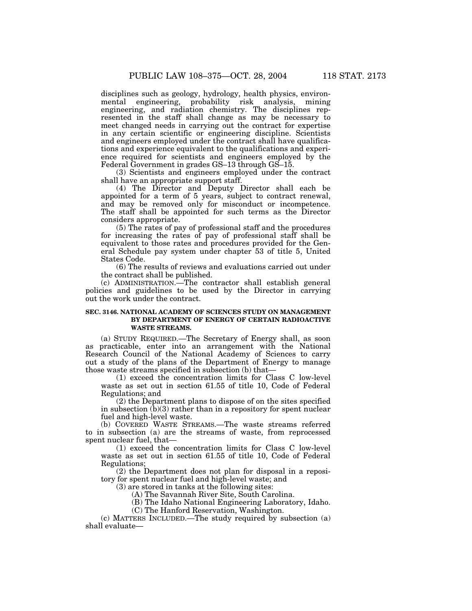disciplines such as geology, hydrology, health physics, environmental engineering, probability risk analysis, mining engineering, and radiation chemistry. The disciplines represented in the staff shall change as may be necessary to meet changed needs in carrying out the contract for expertise in any certain scientific or engineering discipline. Scientists and engineers employed under the contract shall have qualifications and experience equivalent to the qualifications and experience required for scientists and engineers employed by the Federal Government in grades GS–13 through GS–15.

(3) Scientists and engineers employed under the contract shall have an appropriate support staff.

(4) The Director and Deputy Director shall each be appointed for a term of 5 years, subject to contract renewal, and may be removed only for misconduct or incompetence. The staff shall be appointed for such terms as the Director considers appropriate.

(5) The rates of pay of professional staff and the procedures for increasing the rates of pay of professional staff shall be equivalent to those rates and procedures provided for the General Schedule pay system under chapter 53 of title 5, United States Code.

(6) The results of reviews and evaluations carried out under the contract shall be published.

(c) ADMINISTRATION.—The contractor shall establish general policies and guidelines to be used by the Director in carrying out the work under the contract.

## **SEC. 3146. NATIONAL ACADEMY OF SCIENCES STUDY ON MANAGEMENT BY DEPARTMENT OF ENERGY OF CERTAIN RADIOACTIVE WASTE STREAMS.**

(a) STUDY REQUIRED.—The Secretary of Energy shall, as soon as practicable, enter into an arrangement with the National Research Council of the National Academy of Sciences to carry out a study of the plans of the Department of Energy to manage those waste streams specified in subsection (b) that—

(1) exceed the concentration limits for Class C low-level waste as set out in section 61.55 of title 10, Code of Federal Regulations; and

(2) the Department plans to dispose of on the sites specified in subsection (b)(3) rather than in a repository for spent nuclear fuel and high-level waste.

(b) COVERED WASTE STREAMS.—The waste streams referred to in subsection (a) are the streams of waste, from reprocessed spent nuclear fuel, that—

(1) exceed the concentration limits for Class C low-level waste as set out in section 61.55 of title 10, Code of Federal Regulations;

(2) the Department does not plan for disposal in a repository for spent nuclear fuel and high-level waste; and

(3) are stored in tanks at the following sites:

(A) The Savannah River Site, South Carolina.

(B) The Idaho National Engineering Laboratory, Idaho.

(C) The Hanford Reservation, Washington.

(c) MATTERS INCLUDED.—The study required by subsection (a) shall evaluate—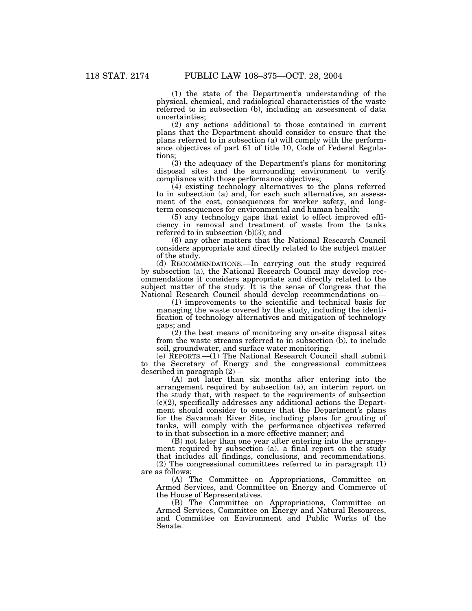(1) the state of the Department's understanding of the physical, chemical, and radiological characteristics of the waste referred to in subsection (b), including an assessment of data uncertainties;

(2) any actions additional to those contained in current plans that the Department should consider to ensure that the plans referred to in subsection (a) will comply with the performance objectives of part 61 of title 10, Code of Federal Regulations;

(3) the adequacy of the Department's plans for monitoring disposal sites and the surrounding environment to verify compliance with those performance objectives;

(4) existing technology alternatives to the plans referred to in subsection (a) and, for each such alternative, an assessment of the cost, consequences for worker safety, and longterm consequences for environmental and human health;

(5) any technology gaps that exist to effect improved efficiency in removal and treatment of waste from the tanks referred to in subsection (b)(3); and

(6) any other matters that the National Research Council considers appropriate and directly related to the subject matter of the study.

(d) RECOMMENDATIONS.—In carrying out the study required by subsection (a), the National Research Council may develop recommendations it considers appropriate and directly related to the subject matter of the study. It is the sense of Congress that the National Research Council should develop recommendations on—

(1) improvements to the scientific and technical basis for managing the waste covered by the study, including the identification of technology alternatives and mitigation of technology gaps; and

(2) the best means of monitoring any on-site disposal sites from the waste streams referred to in subsection (b), to include soil, groundwater, and surface water monitoring.

(e) REPORTS.—(1) The National Research Council shall submit to the Secretary of Energy and the congressional committees described in paragraph (2)—

(A) not later than six months after entering into the arrangement required by subsection (a), an interim report on the study that, with respect to the requirements of subsection (c)(2), specifically addresses any additional actions the Department should consider to ensure that the Department's plans for the Savannah River Site, including plans for grouting of tanks, will comply with the performance objectives referred to in that subsection in a more effective manner; and

(B) not later than one year after entering into the arrangement required by subsection (a), a final report on the study that includes all findings, conclusions, and recommendations. (2) The congressional committees referred to in paragraph (1) are as follows:

(A) The Committee on Appropriations, Committee on Armed Services, and Committee on Energy and Commerce of the House of Representatives.

(B) The Committee on Appropriations, Committee on Armed Services, Committee on Energy and Natural Resources, and Committee on Environment and Public Works of the Senate.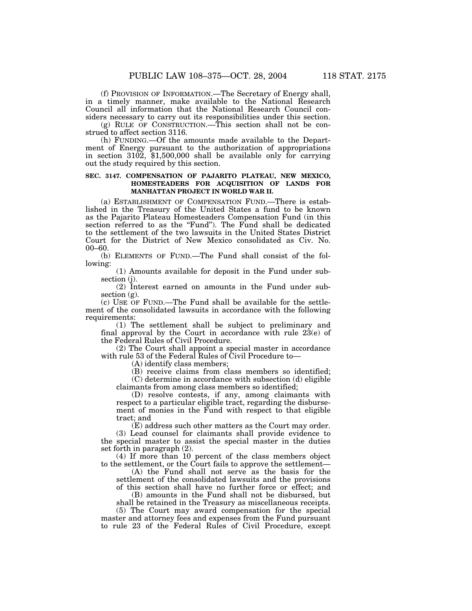(f) PROVISION OF INFORMATION.—The Secretary of Energy shall, in a timely manner, make available to the National Research Council all information that the National Research Council considers necessary to carry out its responsibilities under this section.

(g) RULE OF CONSTRUCTION.—This section shall not be construed to affect section 3116.

(h) FUNDING.—Of the amounts made available to the Department of Energy pursuant to the authorization of appropriations in section 3102, \$1,500,000 shall be available only for carrying out the study required by this section.

## **SEC. 3147. COMPENSATION OF PAJARITO PLATEAU, NEW MEXICO, HOMESTEADERS FOR ACQUISITION OF LANDS FOR MANHATTAN PROJECT IN WORLD WAR II.**

(a) ESTABLISHMENT OF COMPENSATION FUND.—There is established in the Treasury of the United States a fund to be known as the Pajarito Plateau Homesteaders Compensation Fund (in this section referred to as the "Fund"). The Fund shall be dedicated to the settlement of the two lawsuits in the United States District Court for the District of New Mexico consolidated as Civ. No. 00–60.

(b) ELEMENTS OF FUND.—The Fund shall consist of the following:

(1) Amounts available for deposit in the Fund under subsection (j).

(2) Interest earned on amounts in the Fund under subsection  $(g)$ .

(c) USE OF FUND.—The Fund shall be available for the settlement of the consolidated lawsuits in accordance with the following requirements:

(1) The settlement shall be subject to preliminary and final approval by the Court in accordance with rule  $2\dot{3}(e)$  of the Federal Rules of Civil Procedure.

(2) The Court shall appoint a special master in accordance with rule 53 of the Federal Rules of Civil Procedure to—

(A) identify class members;

(B) receive claims from class members so identified;

(C) determine in accordance with subsection (d) eligible claimants from among class members so identified;

(D) resolve contests, if any, among claimants with respect to a particular eligible tract, regarding the disbursement of monies in the Fund with respect to that eligible tract; and

(E) address such other matters as the Court may order.

(3) Lead counsel for claimants shall provide evidence to the special master to assist the special master in the duties set forth in paragraph (2).

(4) If more than 10 percent of the class members object to the settlement, or the Court fails to approve the settlement—

(A) the Fund shall not serve as the basis for the settlement of the consolidated lawsuits and the provisions of this section shall have no further force or effect; and

(B) amounts in the Fund shall not be disbursed, but

shall be retained in the Treasury as miscellaneous receipts. (5) The Court may award compensation for the special

master and attorney fees and expenses from the Fund pursuant to rule 23 of the Federal Rules of Civil Procedure, except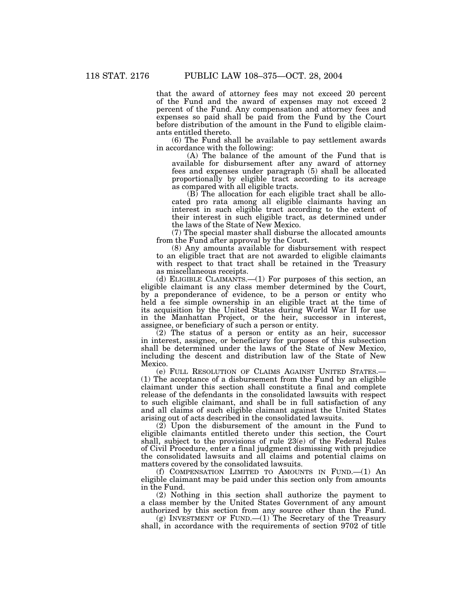that the award of attorney fees may not exceed 20 percent of the Fund and the award of expenses may not exceed 2 percent of the Fund. Any compensation and attorney fees and expenses so paid shall be paid from the Fund by the Court before distribution of the amount in the Fund to eligible claimants entitled thereto.

(6) The Fund shall be available to pay settlement awards in accordance with the following:

(A) The balance of the amount of the Fund that is available for disbursement after any award of attorney fees and expenses under paragraph (5) shall be allocated proportionally by eligible tract according to its acreage as compared with all eligible tracts.

(B) The allocation for each eligible tract shall be allocated pro rata among all eligible claimants having an interest in such eligible tract according to the extent of their interest in such eligible tract, as determined under the laws of the State of New Mexico.

(7) The special master shall disburse the allocated amounts from the Fund after approval by the Court.

(8) Any amounts available for disbursement with respect to an eligible tract that are not awarded to eligible claimants with respect to that tract shall be retained in the Treasury as miscellaneous receipts.

(d) ELIGIBLE CLAIMANTS.—(1) For purposes of this section, an eligible claimant is any class member determined by the Court, by a preponderance of evidence, to be a person or entity who held a fee simple ownership in an eligible tract at the time of its acquisition by the United States during World War II for use in the Manhattan Project, or the heir, successor in interest, assignee, or beneficiary of such a person or entity.

 $(2)$  The status of a person or entity as an heir, successor in interest, assignee, or beneficiary for purposes of this subsection shall be determined under the laws of the State of New Mexico, including the descent and distribution law of the State of New Mexico.

(e) FULL RESOLUTION OF CLAIMS AGAINST UNITED STATES.— (1) The acceptance of a disbursement from the Fund by an eligible claimant under this section shall constitute a final and complete release of the defendants in the consolidated lawsuits with respect to such eligible claimant, and shall be in full satisfaction of any and all claims of such eligible claimant against the United States arising out of acts described in the consolidated lawsuits.

(2) Upon the disbursement of the amount in the Fund to eligible claimants entitled thereto under this section, the Court shall, subject to the provisions of rule 23(e) of the Federal Rules of Civil Procedure, enter a final judgment dismissing with prejudice the consolidated lawsuits and all claims and potential claims on matters covered by the consolidated lawsuits.

(f) COMPENSATION LIMITED TO AMOUNTS IN FUND.—(1) An eligible claimant may be paid under this section only from amounts in the Fund.

(2) Nothing in this section shall authorize the payment to a class member by the United States Government of any amount authorized by this section from any source other than the Fund.

(g) INVESTMENT OF FUND. $-(1)$  The Secretary of the Treasury shall, in accordance with the requirements of section 9702 of title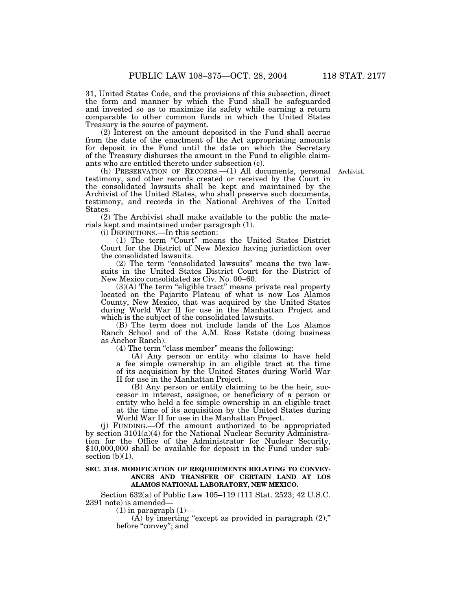31, United States Code, and the provisions of this subsection, direct the form and manner by which the Fund shall be safeguarded and invested so as to maximize its safety while earning a return comparable to other common funds in which the United States Treasury is the source of payment.

(2) Interest on the amount deposited in the Fund shall accrue from the date of the enactment of the Act appropriating amounts for deposit in the Fund until the date on which the Secretary of the Treasury disburses the amount in the Fund to eligible claimants who are entitled thereto under subsection (c).

Archivist.

(h) PRESERVATION OF RECORDS.—(1) All documents, personal testimony, and other records created or received by the Court in the consolidated lawsuits shall be kept and maintained by the Archivist of the United States, who shall preserve such documents, testimony, and records in the National Archives of the United States.

(2) The Archivist shall make available to the public the materials kept and maintained under paragraph (1).

(i) DEFINITIONS.—In this section:

(1) The term ''Court'' means the United States District Court for the District of New Mexico having jurisdiction over the consolidated lawsuits.

(2) The term ''consolidated lawsuits'' means the two lawsuits in the United States District Court for the District of New Mexico consolidated as Civ. No. 00–60.

 $(3)(A)$  The term "eligible tract" means private real property located on the Pajarito Plateau of what is now Los Alamos County, New Mexico, that was acquired by the United States during World War II for use in the Manhattan Project and which is the subject of the consolidated lawsuits.

(B) The term does not include lands of the Los Alamos Ranch School and of the A.M. Ross Estate (doing business as Anchor Ranch).

 $(4)$  The term "class member" means the following:

(A) Any person or entity who claims to have held a fee simple ownership in an eligible tract at the time of its acquisition by the United States during World War II for use in the Manhattan Project.

(B) Any person or entity claiming to be the heir, successor in interest, assignee, or beneficiary of a person or entity who held a fee simple ownership in an eligible tract at the time of its acquisition by the United States during World War II for use in the Manhattan Project.

(j) FUNDING.—Of the amount authorized to be appropriated by section 3101(a)(4) for the National Nuclear Security Administration for the Office of the Administrator for Nuclear Security, \$10,000,000 shall be available for deposit in the Fund under subsection  $(b)(1)$ .

#### **SEC. 3148. MODIFICATION OF REQUIREMENTS RELATING TO CONVEY-ANCES AND TRANSFER OF CERTAIN LAND AT LOS ALAMOS NATIONAL LABORATORY, NEW MEXICO.**

Section 632(a) of Public Law 105–119 (111 Stat. 2523; 42 U.S.C. 2391 note) is amended—

 $(1)$  in paragraph  $(1)$ —

 $(A)$  by inserting "except as provided in paragraph  $(2)$ ," before "convey"; and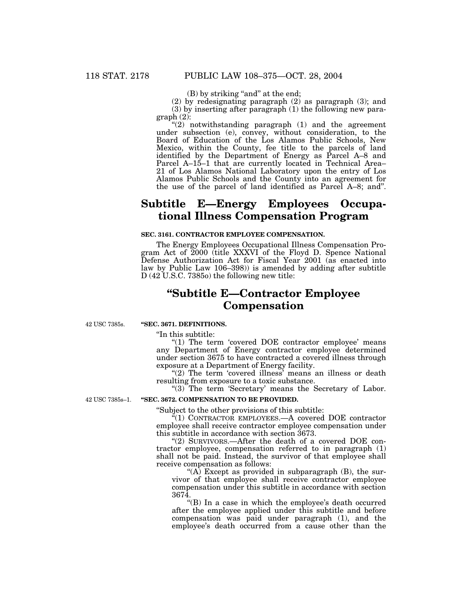(B) by striking "and" at the end;

(2) by redesignating paragraph (2) as paragraph (3); and

(3) by inserting after paragraph (1) the following new paragraph (2):

" $(2)$  notwithstanding paragraph  $(1)$  and the agreement under subsection (e), convey, without consideration, to the Board of Education of the Los Alamos Public Schools, New Mexico, within the County, fee title to the parcels of land identified by the Department of Energy as Parcel A–8 and Parcel A–15–1 that are currently located in Technical Area– 21 of Los Alamos National Laboratory upon the entry of Los Alamos Public Schools and the County into an agreement for the use of the parcel of land identified as Parcel A–8; and''.

## **Subtitle E—Energy Employees Occupational Illness Compensation Program**

## **SEC. 3161. CONTRACTOR EMPLOYEE COMPENSATION.**

The Energy Employees Occupational Illness Compensation Program Act of 2000 (title XXXVI of the Floyd D. Spence National Defense Authorization Act for Fiscal Year 2001 (as enacted into law by Public Law 106–398)) is amended by adding after subtitle D (42 U.S.C. 7385o) the following new title:

# **''Subtitle E—Contractor Employee Compensation**

42 USC 7385s.

## **''SEC. 3671. DEFINITIONS.**

''In this subtitle:

"(1) The term 'covered DOE contractor employee' means any Department of Energy contractor employee determined under section 3675 to have contracted a covered illness through exposure at a Department of Energy facility.

" $(2)$  The term 'covered illness' means an illness or death resulting from exposure to a toxic substance.

"(3) The term 'Secretary' means the Secretary of Labor.

42 USC 7385s–1.

## **''SEC. 3672. COMPENSATION TO BE PROVIDED.**

''Subject to the other provisions of this subtitle:

''(1) CONTRACTOR EMPLOYEES.—A covered DOE contractor employee shall receive contractor employee compensation under this subtitle in accordance with section 3673.

"(2) SURVIVORS.—After the death of a covered DOE contractor employee, compensation referred to in paragraph (1) shall not be paid. Instead, the survivor of that employee shall receive compensation as follows:

"(A) Except as provided in subparagraph  $(B)$ , the survivor of that employee shall receive contractor employee compensation under this subtitle in accordance with section 3674.

''(B) In a case in which the employee's death occurred after the employee applied under this subtitle and before compensation was paid under paragraph (1), and the employee's death occurred from a cause other than the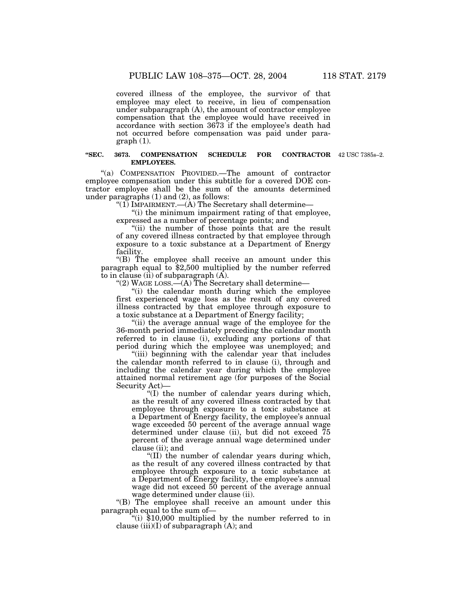covered illness of the employee, the survivor of that employee may elect to receive, in lieu of compensation under subparagraph (A), the amount of contractor employee compensation that the employee would have received in accordance with section 3673 if the employee's death had not occurred before compensation was paid under paragraph (1).

#### **"SEC. 3673. COMPENSATION SCHEDULE FOR EMPLOYEES.** 42 USC 7385s–2.

''(a) COMPENSATION PROVIDED.—The amount of contractor employee compensation under this subtitle for a covered DOE contractor employee shall be the sum of the amounts determined under paragraphs  $(1)$  and  $(2)$ , as follows:

"(1) IMPAIRMENT.— $(A)$  The Secretary shall determine—

"(i) the minimum impairment rating of that employee, expressed as a number of percentage points; and

''(ii) the number of those points that are the result of any covered illness contracted by that employee through exposure to a toxic substance at a Department of Energy facility.

''(B) The employee shall receive an amount under this paragraph equal to \$2,500 multiplied by the number referred to in clause (ii) of subparagraph  $(A)$ .

"(2) WAGE LOSS.—(A) The Secretary shall determine—

''(i) the calendar month during which the employee first experienced wage loss as the result of any covered illness contracted by that employee through exposure to a toxic substance at a Department of Energy facility;

"(ii) the average annual wage of the employee for the 36-month period immediately preceding the calendar month referred to in clause (i), excluding any portions of that period during which the employee was unemployed; and

''(iii) beginning with the calendar year that includes the calendar month referred to in clause (i), through and including the calendar year during which the employee attained normal retirement age (for purposes of the Social Security Act)—

''(I) the number of calendar years during which, as the result of any covered illness contracted by that employee through exposure to a toxic substance at a Department of Energy facility, the employee's annual wage exceeded 50 percent of the average annual wage determined under clause (ii), but did not exceed 75 percent of the average annual wage determined under clause (ii); and

 $^{\circ}$ (II) the number of calendar years during which, as the result of any covered illness contracted by that employee through exposure to a toxic substance at a Department of Energy facility, the employee's annual wage did not exceed 50 percent of the average annual wage determined under clause (ii).

"(B) The employee shall receive an amount under this paragraph equal to the sum of—

"(i)  $$10,000$  multiplied by the number referred to in clause  $(iii)(I)$  of subparagraph  $(A)$ ; and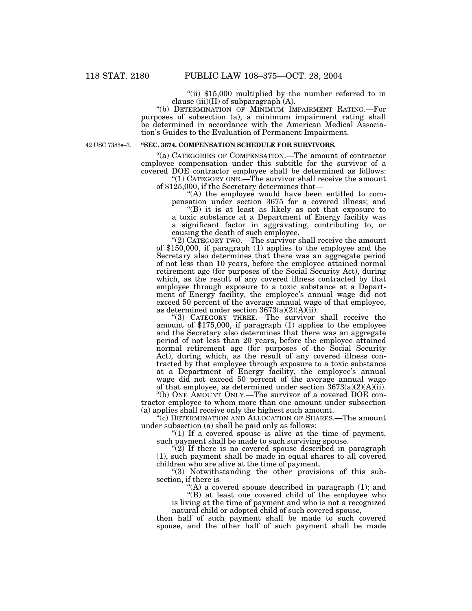"(ii) \$15,000 multiplied by the number referred to in clause (iii)(II) of subparagraph  $(A)$ .

''(b) DETERMINATION OF MINIMUM IMPAIRMENT RATING.—For purposes of subsection (a), a minimum impairment rating shall be determined in accordance with the American Medical Association's Guides to the Evaluation of Permanent Impairment.

42 USC 7385s–3.

## **''SEC. 3674. COMPENSATION SCHEDULE FOR SURVIVORS.**

''(a) CATEGORIES OF COMPENSATION.—The amount of contractor employee compensation under this subtitle for the survivor of a covered DOE contractor employee shall be determined as follows: "(1) CATEGORY ONE.—The survivor shall receive the amount

of \$125,000, if the Secretary determines that—

"(A) the employee would have been entitled to compensation under section 3675 for a covered illness; and ''(B) it is at least as likely as not that exposure to a toxic substance at a Department of Energy facility was a significant factor in aggravating, contributing to, or

causing the death of such employee.

''(2) CATEGORY TWO.—The survivor shall receive the amount of \$150,000, if paragraph (1) applies to the employee and the Secretary also determines that there was an aggregate period of not less than 10 years, before the employee attained normal retirement age (for purposes of the Social Security Act), during which, as the result of any covered illness contracted by that employee through exposure to a toxic substance at a Department of Energy facility, the employee's annual wage did not exceed 50 percent of the average annual wage of that employee, as determined under section  $3673(a)(2)(A)(ii)$ .

''(3) CATEGORY THREE.—The survivor shall receive the amount of \$175,000, if paragraph (1) applies to the employee and the Secretary also determines that there was an aggregate period of not less than 20 years, before the employee attained normal retirement age (for purposes of the Social Security Act), during which, as the result of any covered illness contracted by that employee through exposure to a toxic substance at a Department of Energy facility, the employee's annual wage did not exceed 50 percent of the average annual wage of that employee, as determined under section  $3673(a)(2)(A)(ii)$ .

''(b) ONE AMOUNT ONLY.—The survivor of a covered DOE contractor employee to whom more than one amount under subsection (a) applies shall receive only the highest such amount.

<sup>'(c)</sup> DETERMINATION AND ALLOCATION OF SHARES.—The amount under subsection (a) shall be paid only as follows:

"(1) If a covered spouse is alive at the time of payment, such payment shall be made to such surviving spouse.

 $\sqrt{\frac{2}{2}}$  If there is no covered spouse described in paragraph (1), such payment shall be made in equal shares to all covered children who are alive at the time of payment.

''(3) Notwithstanding the other provisions of this subsection, if there is—

"(A) a covered spouse described in paragraph (1); and

''(B) at least one covered child of the employee who is living at the time of payment and who is not a recognized

natural child or adopted child of such covered spouse,

then half of such payment shall be made to such covered spouse, and the other half of such payment shall be made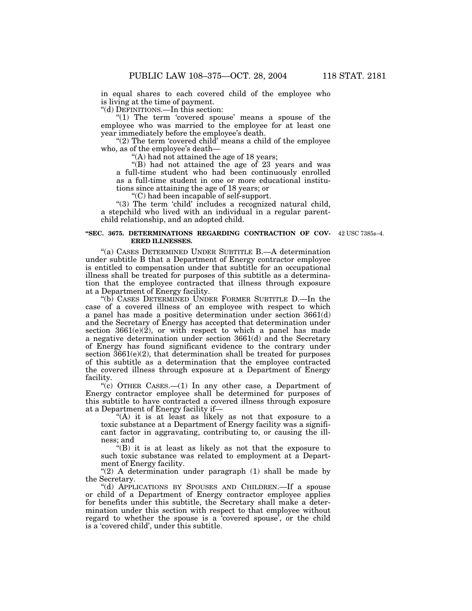in equal shares to each covered child of the employee who is living at the time of payment.

''(d) DEFINITIONS.—In this section:

" $(1)$  The term 'covered spouse' means a spouse of the employee who was married to the employee for at least one year immediately before the employee's death.

" $(2)$  The term 'covered child' means a child of the employee who, as of the employee's death—

''(A) had not attained the age of 18 years;

''(B) had not attained the age of 23 years and was a full-time student who had been continuously enrolled as a full-time student in one or more educational institutions since attaining the age of 18 years; or

''(C) had been incapable of self-support.

" $(3)$  The term 'child' includes a recognized natural child, a stepchild who lived with an individual in a regular parentchild relationship, and an adopted child.

#### **''SEC. 3675. DETERMINATIONS REGARDING CONTRACTION OF COV-**42 USC 7385s–4. **ERED ILLNESSES.**

''(a) CASES DETERMINED UNDER SUBTITLE B.—A determination under subtitle B that a Department of Energy contractor employee is entitled to compensation under that subtitle for an occupational illness shall be treated for purposes of this subtitle as a determination that the employee contracted that illness through exposure at a Department of Energy facility.

''(b) CASES DETERMINED UNDER FORMER SUBTITLE D.—In the case of a covered illness of an employee with respect to which a panel has made a positive determination under section 3661(d) and the Secretary of Energy has accepted that determination under section  $3661(e)(2)$ , or with respect to which a panel has made a negative determination under section 3661(d) and the Secretary of Energy has found significant evidence to the contrary under section  $3661(e)(2)$ , that determination shall be treated for purposes of this subtitle as a determination that the employee contracted the covered illness through exposure at a Department of Energy facility.

"(c) OTHER CASES.—(1) In any other case, a Department of Energy contractor employee shall be determined for purposes of this subtitle to have contracted a covered illness through exposure at a Department of Energy facility if—

"(A) it is at least as likely as not that exposure to a toxic substance at a Department of Energy facility was a significant factor in aggravating, contributing to, or causing the illness; and

''(B) it is at least as likely as not that the exposure to such toxic substance was related to employment at a Department of Energy facility.

" $(2)$  A determination under paragraph  $(1)$  shall be made by the Secretary.

''(d) APPLICATIONS BY SPOUSES AND CHILDREN.—If a spouse or child of a Department of Energy contractor employee applies for benefits under this subtitle, the Secretary shall make a determination under this section with respect to that employee without regard to whether the spouse is a 'covered spouse', or the child is a 'covered child', under this subtitle.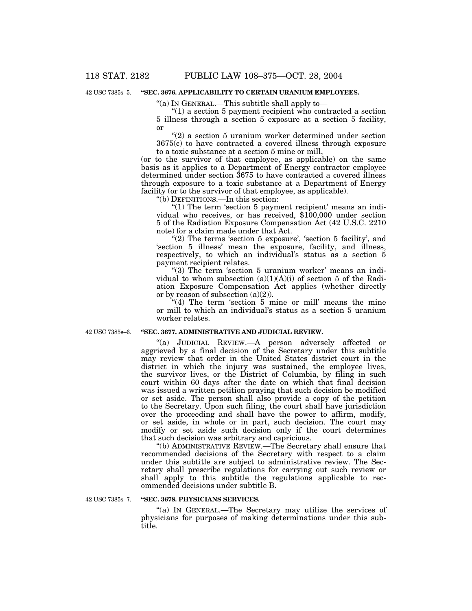42 USC 7385s–5.

## **''SEC. 3676. APPLICABILITY TO CERTAIN URANIUM EMPLOYEES.**

''(a) IN GENERAL.—This subtitle shall apply to—

 $(1)$  a section 5 payment recipient who contracted a section 5 illness through a section 5 exposure at a section 5 facility, or

''(2) a section 5 uranium worker determined under section 3675(c) to have contracted a covered illness through exposure to a toxic substance at a section 5 mine or mill,

(or to the survivor of that employee, as applicable) on the same basis as it applies to a Department of Energy contractor employee determined under section 3675 to have contracted a covered illness through exposure to a toxic substance at a Department of Energy facility (or to the survivor of that employee, as applicable).

''(b) DEFINITIONS.—In this section:

" $(1)$  The term 'section 5 payment recipient' means an individual who receives, or has received, \$100,000 under section 5 of the Radiation Exposure Compensation Act (42 U.S.C. 2210 note) for a claim made under that Act.

"(2) The terms 'section 5 exposure', 'section 5 facility', and 'section 5 illness' mean the exposure, facility, and illness, respectively, to which an individual's status as a section 5 payment recipient relates.

"(3) The term 'section 5 uranium worker' means an individual to whom subsection  $(a)(1)(A)(i)$  of section 5 of the Radiation Exposure Compensation Act applies (whether directly or by reason of subsection  $(a)(2)$ ).

"(4) The term 'section 5 mine or mill' means the mine or mill to which an individual's status as a section 5 uranium worker relates.

42 USC 7385s–6.

### **''SEC. 3677. ADMINISTRATIVE AND JUDICIAL REVIEW.**

''(a) JUDICIAL REVIEW.—A person adversely affected or aggrieved by a final decision of the Secretary under this subtitle may review that order in the United States district court in the district in which the injury was sustained, the employee lives, the survivor lives, or the District of Columbia, by filing in such court within 60 days after the date on which that final decision was issued a written petition praying that such decision be modified or set aside. The person shall also provide a copy of the petition to the Secretary. Upon such filing, the court shall have jurisdiction over the proceeding and shall have the power to affirm, modify, or set aside, in whole or in part, such decision. The court may modify or set aside such decision only if the court determines that such decision was arbitrary and capricious.

''(b) ADMINISTRATIVE REVIEW.—The Secretary shall ensure that recommended decisions of the Secretary with respect to a claim under this subtitle are subject to administrative review. The Secretary shall prescribe regulations for carrying out such review or shall apply to this subtitle the regulations applicable to recommended decisions under subtitle B.

42 USC 7385s–7.

#### **''SEC. 3678. PHYSICIANS SERVICES.**

"(a) IN GENERAL.—The Secretary may utilize the services of physicians for purposes of making determinations under this subtitle.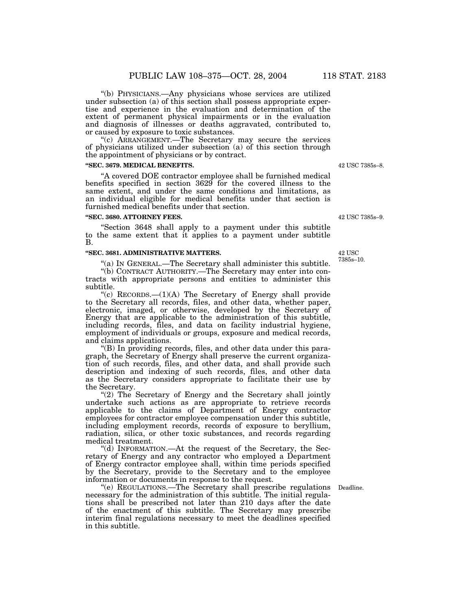''(b) PHYSICIANS.—Any physicians whose services are utilized under subsection (a) of this section shall possess appropriate expertise and experience in the evaluation and determination of the extent of permanent physical impairments or in the evaluation and diagnosis of illnesses or deaths aggravated, contributed to, or caused by exposure to toxic substances.

''(c) ARRANGEMENT.—The Secretary may secure the services of physicians utilized under subsection (a) of this section through the appointment of physicians or by contract.

## **''SEC. 3679. MEDICAL BENEFITS.**

''A covered DOE contractor employee shall be furnished medical benefits specified in section 3629 for the covered illness to the same extent, and under the same conditions and limitations, as an individual eligible for medical benefits under that section is furnished medical benefits under that section.

#### **''SEC. 3680. ATTORNEY FEES.**

''Section 3648 shall apply to a payment under this subtitle to the same extent that it applies to a payment under subtitle B.

## **''SEC. 3681. ADMINISTRATIVE MATTERS.**

"(a) IN GENERAL.—The Secretary shall administer this subtitle. ''(b) CONTRACT AUTHORITY.—The Secretary may enter into contracts with appropriate persons and entities to administer this subtitle.

"(c)  $RECORDS. (1)(A)$  The Secretary of Energy shall provide to the Secretary all records, files, and other data, whether paper, electronic, imaged, or otherwise, developed by the Secretary of Energy that are applicable to the administration of this subtitle, including records, files, and data on facility industrial hygiene, employment of individuals or groups, exposure and medical records, and claims applications.

''(B) In providing records, files, and other data under this paragraph, the Secretary of Energy shall preserve the current organization of such records, files, and other data, and shall provide such description and indexing of such records, files, and other data as the Secretary considers appropriate to facilitate their use by the Secretary.

"(2) The Secretary of Energy and the Secretary shall jointly undertake such actions as are appropriate to retrieve records applicable to the claims of Department of Energy contractor employees for contractor employee compensation under this subtitle, including employment records, records of exposure to beryllium, radiation, silica, or other toxic substances, and records regarding medical treatment.

''(d) INFORMATION.—At the request of the Secretary, the Secretary of Energy and any contractor who employed a Department of Energy contractor employee shall, within time periods specified by the Secretary, provide to the Secretary and to the employee information or documents in response to the request.

''(e) REGULATIONS.—The Secretary shall prescribe regulations Deadline. necessary for the administration of this subtitle. The initial regulations shall be prescribed not later than 210 days after the date of the enactment of this subtitle. The Secretary may prescribe interim final regulations necessary to meet the deadlines specified in this subtitle.

42 USC 7385s–9.

42 USC 7385s–8.

42 USC 7385s–10.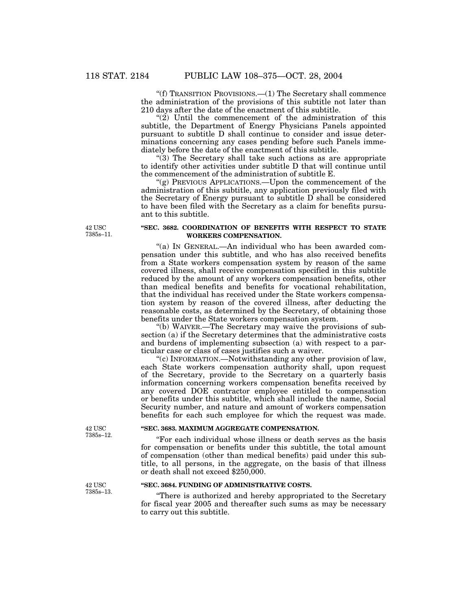''(f) TRANSITION PROVISIONS.—(1) The Secretary shall commence the administration of the provisions of this subtitle not later than 210 days after the date of the enactment of this subtitle.

" $(2)$  Until the commencement of the administration of this subtitle, the Department of Energy Physicians Panels appointed pursuant to subtitle D shall continue to consider and issue determinations concerning any cases pending before such Panels immediately before the date of the enactment of this subtitle.

''(3) The Secretary shall take such actions as are appropriate to identify other activities under subtitle D that will continue until the commencement of the administration of subtitle E.

''(g) PREVIOUS APPLICATIONS.—Upon the commencement of the administration of this subtitle, any application previously filed with the Secretary of Energy pursuant to subtitle D shall be considered to have been filed with the Secretary as a claim for benefits pursuant to this subtitle.

42 USC 7385s–11.

### **''SEC. 3682. COORDINATION OF BENEFITS WITH RESPECT TO STATE WORKERS COMPENSATION.**

"(a) In GENERAL.—An individual who has been awarded compensation under this subtitle, and who has also received benefits from a State workers compensation system by reason of the same covered illness, shall receive compensation specified in this subtitle reduced by the amount of any workers compensation benefits, other than medical benefits and benefits for vocational rehabilitation, that the individual has received under the State workers compensation system by reason of the covered illness, after deducting the reasonable costs, as determined by the Secretary, of obtaining those benefits under the State workers compensation system.

''(b) WAIVER.—The Secretary may waive the provisions of subsection (a) if the Secretary determines that the administrative costs and burdens of implementing subsection (a) with respect to a particular case or class of cases justifies such a waiver.

''(c) INFORMATION.—Notwithstanding any other provision of law, each State workers compensation authority shall, upon request of the Secretary, provide to the Secretary on a quarterly basis information concerning workers compensation benefits received by any covered DOE contractor employee entitled to compensation or benefits under this subtitle, which shall include the name, Social Security number, and nature and amount of workers compensation benefits for each such employee for which the request was made.

## **''SEC. 3683. MAXIMUM AGGREGATE COMPENSATION.**

''For each individual whose illness or death serves as the basis for compensation or benefits under this subtitle, the total amount of compensation (other than medical benefits) paid under this subtitle, to all persons, in the aggregate, on the basis of that illness or death shall not exceed \$250,000.

### **''SEC. 3684. FUNDING OF ADMINISTRATIVE COSTS.**

''There is authorized and hereby appropriated to the Secretary for fiscal year 2005 and thereafter such sums as may be necessary to carry out this subtitle.

42 USC 7385s–12.

42 USC 7385s–13.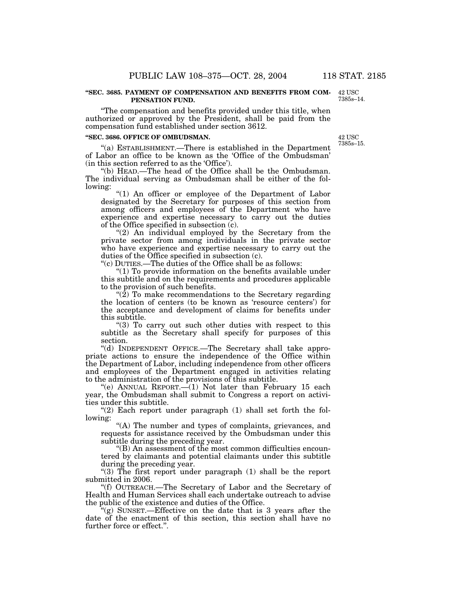#### **''SEC. 3685. PAYMENT OF COMPENSATION AND BENEFITS FROM COM-PENSATION FUND.**

''The compensation and benefits provided under this title, when authorized or approved by the President, shall be paid from the compensation fund established under section 3612.

#### **''SEC. 3686. OFFICE OF OMBUDSMAN.**

''(a) ESTABLISHMENT.—There is established in the Department of Labor an office to be known as the 'Office of the Ombudsman' (in this section referred to as the 'Office').

''(b) HEAD.—The head of the Office shall be the Ombudsman. The individual serving as Ombudsman shall be either of the following:

"(1) An officer or employee of the Department of Labor designated by the Secretary for purposes of this section from among officers and employees of the Department who have experience and expertise necessary to carry out the duties of the Office specified in subsection (c).

"(2) An individual employed by the Secretary from the private sector from among individuals in the private sector who have experience and expertise necessary to carry out the duties of the Office specified in subsection (c).

''(c) DUTIES.—The duties of the Office shall be as follows:

" $(1)$  To provide information on the benefits available under this subtitle and on the requirements and procedures applicable to the provision of such benefits.

"(2) To make recommendations to the Secretary regarding the location of centers (to be known as 'resource centers') for the acceptance and development of claims for benefits under this subtitle.

" $(3)$  To carry out such other duties with respect to this subtitle as the Secretary shall specify for purposes of this section.

''(d) INDEPENDENT OFFICE.—The Secretary shall take appropriate actions to ensure the independence of the Office within the Department of Labor, including independence from other officers and employees of the Department engaged in activities relating to the administration of the provisions of this subtitle.

"(e) ANNUAL REPORT.—(1) Not later than February 15 each year, the Ombudsman shall submit to Congress a report on activities under this subtitle.

" $(2)$  Each report under paragraph  $(1)$  shall set forth the following:

''(A) The number and types of complaints, grievances, and requests for assistance received by the Ombudsman under this subtitle during the preceding year.

''(B) An assessment of the most common difficulties encountered by claimants and potential claimants under this subtitle during the preceding year.

''(3) The first report under paragraph (1) shall be the report submitted in 2006.

''(f) OUTREACH.—The Secretary of Labor and the Secretary of Health and Human Services shall each undertake outreach to advise the public of the existence and duties of the Office.

''(g) SUNSET.—Effective on the date that is 3 years after the date of the enactment of this section, this section shall have no further force or effect.''.

**42 USC** 7385s–15.

42 USC 7385s–14.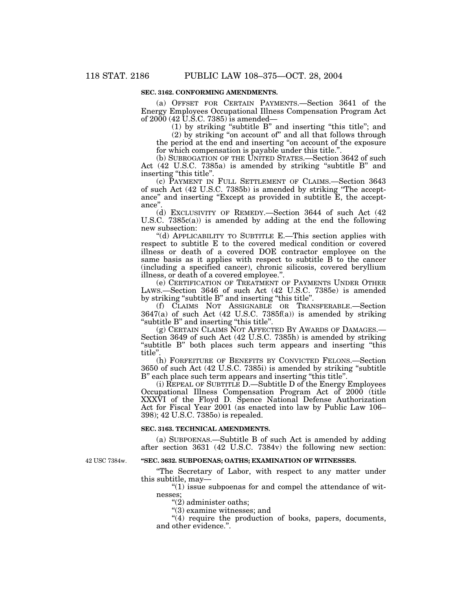## **SEC. 3162. CONFORMING AMENDMENTS.**

(a) OFFSET FOR CERTAIN PAYMENTS.—Section 3641 of the Energy Employees Occupational Illness Compensation Program Act of  $2000(42 \text{ U}.\text{\text{S.C.}} 7385)$  is amended—

(1) by striking ''subtitle B'' and inserting ''this title''; and

(2) by striking ''on account of'' and all that follows through the period at the end and inserting ''on account of the exposure for which compensation is payable under this title.''.

(b) SUBROGATION OF THE UNITED STATES.—Section 3642 of such Act (42 U.S.C. 7385a) is amended by striking "subtitle B" and inserting "this title".

(c) PAYMENT IN FULL SETTLEMENT OF CLAIMS.—Section 3643 of such Act (42 U.S.C. 7385b) is amended by striking ''The acceptance" and inserting "Except as provided in subtitle E, the acceptance''.

(d) EXCLUSIVITY OF REMEDY.—Section 3644 of such Act (42 U.S.C. 7385c(a)) is amended by adding at the end the following new subsection:

''(d) APPLICABILITY TO SUBTITLE E.—This section applies with respect to subtitle E to the covered medical condition or covered illness or death of a covered DOE contractor employee on the same basis as it applies with respect to subtitle  $B$  to the cancer (including a specified cancer), chronic silicosis, covered beryllium illness, or death of a covered employee.''.

(e) CERTIFICATION OF TREATMENT OF PAYMENTS UNDER OTHER LAWS.—Section 3646 of such Act (42 U.S.C. 7385e) is amended by striking "subtitle B" and inserting "this title".

(f) CLAIMS NOT ASSIGNABLE OR TRANSFERABLE.—Section 3647(a) of such Act (42 U.S.C. 7385f(a)) is amended by striking ''subtitle B'' and inserting ''this title''.

(g) CERTAIN CLAIMS NOT AFFECTED BY AWARDS OF DAMAGES.— Section 3649 of such Act (42 U.S.C. 7385h) is amended by striking "subtitle B" both places such term appears and inserting "this" title''.

(h) FORFEITURE OF BENEFITS BY CONVICTED FELONS.—Section 3650 of such Act (42 U.S.C. 7385i) is amended by striking ''subtitle B" each place such term appears and inserting "this title".

(i) REPEAL OF SUBTITLE D.—Subtitle D of the Energy Employees Occupational Illness Compensation Program Act of 2000 (title XXXVI of the Floyd D. Spence National Defense Authorization Act for Fiscal Year 2001 (as enacted into law by Public Law 106– 398); 42 U.S.C. 7385o) is repealed.

#### **SEC. 3163. TECHNICAL AMENDMENTS.**

(a) SUBPOENAS.—Subtitle B of such Act is amended by adding after section 3631 (42 U.S.C. 7384v) the following new section:

42 USC 7384w.

## **''SEC. 3632. SUBPOENAS; OATHS; EXAMINATION OF WITNESSES.**

''The Secretary of Labor, with respect to any matter under this subtitle, may—

 $''(1)$  issue subpoenas for and compel the attendance of witnesses;

''(2) administer oaths;

''(3) examine witnesses; and

"(4) require the production of books, papers, documents, and other evidence.''.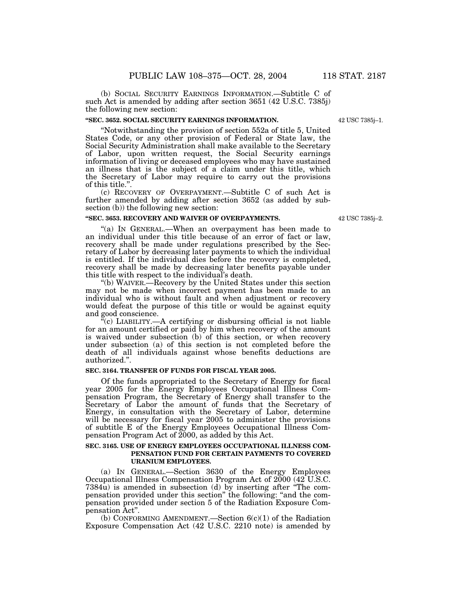42 USC 7385j–1.

(b) SOCIAL SECURITY EARNINGS INFORMATION.—Subtitle C of such Act is amended by adding after section 3651 (42 U.S.C. 7385j) the following new section:

#### **''SEC. 3652. SOCIAL SECURITY EARNINGS INFORMATION.**

''Notwithstanding the provision of section 552a of title 5, United States Code, or any other provision of Federal or State law, the Social Security Administration shall make available to the Secretary of Labor, upon written request, the Social Security earnings information of living or deceased employees who may have sustained an illness that is the subject of a claim under this title, which the Secretary of Labor may require to carry out the provisions of this title.''.

(c) RECOVERY OF OVERPAYMENT.—Subtitle C of such Act is further amended by adding after section 3652 (as added by subsection (b)) the following new section:

#### **''SEC. 3653. RECOVERY AND WAIVER OF OVERPAYMENTS.**

''(a) IN GENERAL.—When an overpayment has been made to an individual under this title because of an error of fact or law, recovery shall be made under regulations prescribed by the Secretary of Labor by decreasing later payments to which the individual is entitled. If the individual dies before the recovery is completed, recovery shall be made by decreasing later benefits payable under this title with respect to the individual's death.

''(b) WAIVER.—Recovery by the United States under this section may not be made when incorrect payment has been made to an individual who is without fault and when adjustment or recovery would defeat the purpose of this title or would be against equity and good conscience.

 $\mathcal{F}(c)$  LIABILITY.—A certifying or disbursing official is not liable for an amount certified or paid by him when recovery of the amount is waived under subsection (b) of this section, or when recovery under subsection (a) of this section is not completed before the death of all individuals against whose benefits deductions are authorized.''.

## **SEC. 3164. TRANSFER OF FUNDS FOR FISCAL YEAR 2005.**

Of the funds appropriated to the Secretary of Energy for fiscal year 2005 for the Energy Employees Occupational Illness Compensation Program, the Secretary of Energy shall transfer to the Secretary of Labor the amount of funds that the Secretary of Energy, in consultation with the Secretary of Labor, determine will be necessary for fiscal year 2005 to administer the provisions of subtitle E of the Energy Employees Occupational Illness Compensation Program Act of 2000, as added by this Act.

#### **SEC. 3165. USE OF ENERGY EMPLOYEES OCCUPATIONAL ILLNESS COM-PENSATION FUND FOR CERTAIN PAYMENTS TO COVERED URANIUM EMPLOYEES.**

(a) IN GENERAL.—Section 3630 of the Energy Employees Occupational Illness Compensation Program Act of 2000 (42 U.S.C.  $7384\bar{u}$ ) is amended in subsection (d) by inserting after "The compensation provided under this section'' the following: ''and the compensation provided under section 5 of the Radiation Exposure Compensation Act''.

(b) CONFORMING AMENDMENT.—Section  $6(c)(1)$  of the Radiation Exposure Compensation Act (42 U.S.C. 2210 note) is amended by

42 USC 7385j–2.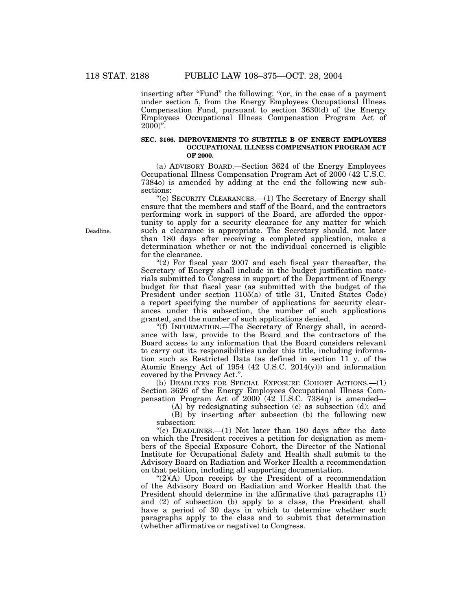inserting after "Fund" the following: "(or, in the case of a payment under section 5, from the Energy Employees Occupational Illness Compensation Fund, pursuant to section  $3630(d)$  of the Energy Employees Occupational Illness Compensation Program Act of  $2000$ <sup>"</sup>.

## **SEC. 3166. IMPROVEMENTS TO SUBTITLE B OF ENERGY EMPLOYEES OCCUPATIONAL ILLNESS COMPENSATION PROGRAM ACT OF 2000.**

(a) ADVISORY BOARD.—Section 3624 of the Energy Employees Occupational Illness Compensation Program Act of 2000 (42 U.S.C. 7384o) is amended by adding at the end the following new subsections:

''(e) SECURITY CLEARANCES.—(1) The Secretary of Energy shall ensure that the members and staff of the Board, and the contractors performing work in support of the Board, are afforded the opportunity to apply for a security clearance for any matter for which such a clearance is appropriate. The Secretary should, not later than 180 days after receiving a completed application, make a determination whether or not the individual concerned is eligible for the clearance.

" $(2)$  For fiscal year 2007 and each fiscal year thereafter, the Secretary of Energy shall include in the budget justification materials submitted to Congress in support of the Department of Energy budget for that fiscal year (as submitted with the budget of the President under section 1105(a) of title 31, United States Code) a report specifying the number of applications for security clearances under this subsection, the number of such applications granted, and the number of such applications denied.

''(f) INFORMATION.—The Secretary of Energy shall, in accordance with law, provide to the Board and the contractors of the Board access to any information that the Board considers relevant to carry out its responsibilities under this title, including information such as Restricted Data (as defined in section 11 y. of the Atomic Energy Act of 1954 (42 U.S.C. 2014(y))) and information covered by the Privacy Act.''.

(b) DEADLINES FOR SPECIAL EXPOSURE COHORT ACTIONS.—(1) Section 3626 of the Energy Employees Occupational Illness Compensation Program Act of 2000 (42 U.S.C. 7384q) is amended—

(A) by redesignating subsection (c) as subsection (d); and

(B) by inserting after subsection (b) the following new subsection:

"(c) DEADLINES.—(1) Not later than 180 days after the date on which the President receives a petition for designation as members of the Special Exposure Cohort, the Director of the National Institute for Occupational Safety and Health shall submit to the Advisory Board on Radiation and Worker Health a recommendation on that petition, including all supporting documentation.

 $\Gamma(2)(A)$  Upon receipt by the President of a recommendation of the Advisory Board on Radiation and Worker Health that the President should determine in the affirmative that paragraphs (1) and (2) of subsection (b) apply to a class, the President shall have a period of 30 days in which to determine whether such paragraphs apply to the class and to submit that determination (whether affirmative or negative) to Congress.

Deadline.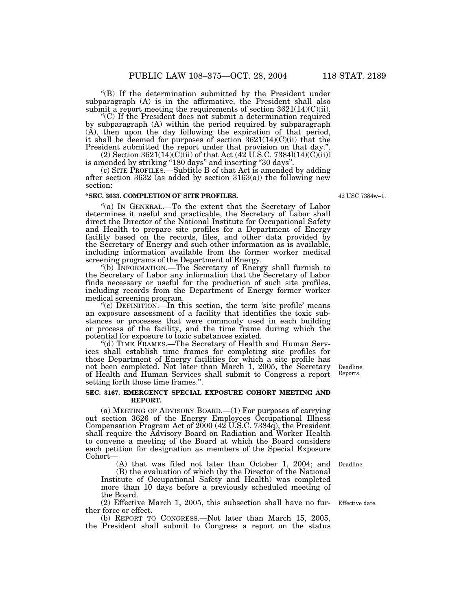''(B) If the determination submitted by the President under subparagraph (A) is in the affirmative, the President shall also submit a report meeting the requirements of section  $3621(14)(C)(ii)$ .

''(C) If the President does not submit a determination required by subparagraph (A) within the period required by subparagraph (A), then upon the day following the expiration of that period, it shall be deemed for purposes of section 3621(14)(C)(ii) that the President submitted the report under that provision on that day.''.

 $(2)$  Section 3621(14)(C)(ii) of that Act (42 U.S.C. 7384l(14)(C)(ii)) is amended by striking ''180 days'' and inserting ''30 days''.

(c) SITE PROFILES.—Subtitle B of that Act is amended by adding after section 3632 (as added by section 3163(a)) the following new section:

## **''SEC. 3633. COMPLETION OF SITE PROFILES.**

"(a) IN GENERAL.—To the extent that the Secretary of Labor determines it useful and practicable, the Secretary of Labor shall direct the Director of the National Institute for Occupational Safety and Health to prepare site profiles for a Department of Energy facility based on the records, files, and other data provided by the Secretary of Energy and such other information as is available, including information available from the former worker medical screening programs of the Department of Energy.

''(b) INFORMATION.—The Secretary of Energy shall furnish to the Secretary of Labor any information that the Secretary of Labor finds necessary or useful for the production of such site profiles, including records from the Department of Energy former worker medical screening program.

"(c) DEFINITION.—In this section, the term 'site profile' means an exposure assessment of a facility that identifies the toxic substances or processes that were commonly used in each building or process of the facility, and the time frame during which the potential for exposure to toxic substances existed.

''(d) TIME FRAMES.—The Secretary of Health and Human Services shall establish time frames for completing site profiles for those Department of Energy facilities for which a site profile has not been completed. Not later than March 1, 2005, the Secretary of Health and Human Services shall submit to Congress a report setting forth those time frames.''.

#### **SEC. 3167. EMERGENCY SPECIAL EXPOSURE COHORT MEETING AND REPORT.**

(a) MEETING OF ADVISORY BOARD.—(1) For purposes of carrying out section 3626 of the Energy Employees Occupational Illness Compensation Program Act of 2000 (42 U.S.C. 7384q), the President shall require the Advisory Board on Radiation and Worker Health to convene a meeting of the Board at which the Board considers each petition for designation as members of the Special Exposure Cohort—

(A) that was filed not later than October 1, 2004; and

(B) the evaluation of which (by the Director of the National Institute of Occupational Safety and Health) was completed more than 10 days before a previously scheduled meeting of the Board.

(2) Effective March 1, 2005, this subsection shall have no further force or effect.

(b) REPORT TO CONGRESS.—Not later than March 15, 2005, the President shall submit to Congress a report on the status

Effective date.

Deadline.

Deadline. Reports.

42 USC 7384w–1.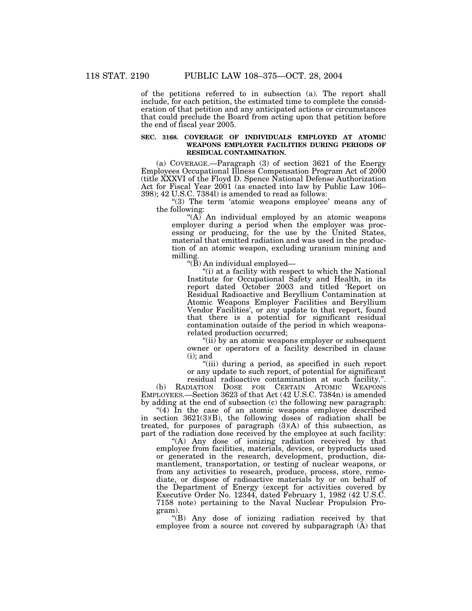of the petitions referred to in subsection (a). The report shall

include, for each petition, the estimated time to complete the consideration of that petition and any anticipated actions or circumstances that could preclude the Board from acting upon that petition before the end of fiscal year 2005.

### **SEC. 3168. COVERAGE OF INDIVIDUALS EMPLOYED AT ATOMIC WEAPONS EMPLOYER FACILITIES DURING PERIODS OF RESIDUAL CONTAMINATION.**

(a) COVERAGE.—Paragraph (3) of section 3621 of the Energy Employees Occupational Illness Compensation Program Act of 2000 (title XXXVI of the Floyd D. Spence National Defense Authorization Act for Fiscal Year 2001 (as enacted into law by Public Law 106– 398); 42 U.S.C. 7384l) is amended to read as follows:

"(3) The term 'atomic weapons employee' means any of the following:

" $(A)$  An individual employed by an atomic weapons" employer during a period when the employer was processing or producing, for the use by the United States, material that emitted radiation and was used in the production of an atomic weapon, excluding uranium mining and milling.

''(B) An individual employed—

"(i) at a facility with respect to which the National Institute for Occupational Safety and Health, in its report dated October 2003 and titled 'Report on Residual Radioactive and Beryllium Contamination at Atomic Weapons Employer Facilities and Beryllium Vendor Facilities', or any update to that report, found that there is a potential for significant residual contamination outside of the period in which weaponsrelated production occurred;

" $(ii)$  by an atomic weapons employer or subsequent owner or operators of a facility described in clause  $(i)$ ; and

"(iii) during a period, as specified in such report or any update to such report, of potential for significant residual radioactive contamination at such facility.''.

(b) RADIATION DOSE FOR CERTAIN ATOMIC WEAPONS EMPLOYEES.—Section 3623 of that Act (42 U.S.C. 7384n) is amended by adding at the end of subsection (c) the following new paragraph:

 $(4)$  In the case of an atomic weapons employee described in section 3621(3)(B), the following doses of radiation shall be treated, for purposes of paragraph  $(3)(A)$  of this subsection, as part of the radiation dose received by the employee at such facility:

''(A) Any dose of ionizing radiation received by that employee from facilities, materials, devices, or byproducts used or generated in the research, development, production, dismantlement, transportation, or testing of nuclear weapons, or from any activities to research, produce, process, store, remediate, or dispose of radioactive materials by or on behalf of the Department of Energy (except for activities covered by Executive Order No. 12344, dated February 1, 1982 (42 U.S.C. 7158 note) pertaining to the Naval Nuclear Propulsion Program).

''(B) Any dose of ionizing radiation received by that employee from a source not covered by subparagraph (A) that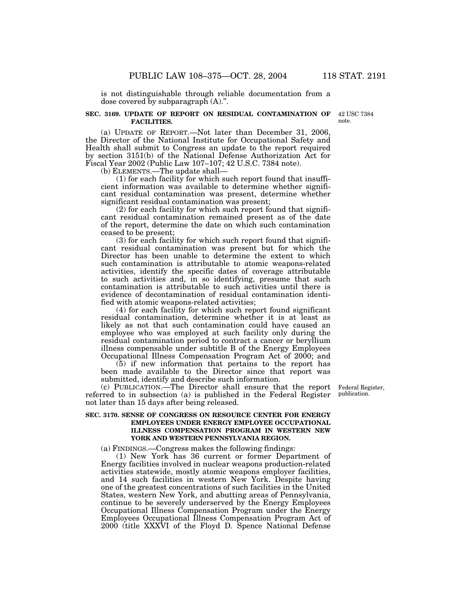is not distinguishable through reliable documentation from a dose covered by subparagraph (A).''.

### **SEC. 3169. UPDATE OF REPORT ON RESIDUAL CONTAMINATION OF FACILITIES.**

(a) UPDATE OF REPORT.—Not later than December 31, 2006, the Director of the National Institute for Occupational Safety and Health shall submit to Congress an update to the report required by section 3151(b) of the National Defense Authorization Act for Fiscal Year 2002 (Public Law 107–107; 42 U.S.C. 7384 note).

(b) ELEMENTS.—The update shall—

(1) for each facility for which such report found that insufficient information was available to determine whether significant residual contamination was present, determine whether significant residual contamination was present;

(2) for each facility for which such report found that significant residual contamination remained present as of the date of the report, determine the date on which such contamination ceased to be present;

(3) for each facility for which such report found that significant residual contamination was present but for which the Director has been unable to determine the extent to which such contamination is attributable to atomic weapons-related activities, identify the specific dates of coverage attributable to such activities and, in so identifying, presume that such contamination is attributable to such activities until there is evidence of decontamination of residual contamination identified with atomic weapons-related activities;

(4) for each facility for which such report found significant residual contamination, determine whether it is at least as likely as not that such contamination could have caused an employee who was employed at such facility only during the residual contamination period to contract a cancer or beryllium illness compensable under subtitle B of the Energy Employees Occupational Illness Compensation Program Act of 2000; and

(5) if new information that pertains to the report has been made available to the Director since that report was submitted, identify and describe such information.

(c) PUBLICATION.—The Director shall ensure that the report referred to in subsection (a) is published in the Federal Register not later than 15 days after being released.

### **SEC. 3170. SENSE OF CONGRESS ON RESOURCE CENTER FOR ENERGY EMPLOYEES UNDER ENERGY EMPLOYEE OCCUPATIONAL ILLNESS COMPENSATION PROGRAM IN WESTERN NEW YORK AND WESTERN PENNSYLVANIA REGION.**

(a) FINDINGS.—Congress makes the following findings:

(1) New York has 36 current or former Department of Energy facilities involved in nuclear weapons production-related activities statewide, mostly atomic weapons employer facilities, and 14 such facilities in western New York. Despite having one of the greatest concentrations of such facilities in the United States, western New York, and abutting areas of Pennsylvania, continue to be severely underserved by the Energy Employees Occupational Illness Compensation Program under the Energy Employees Occupational Illness Compensation Program Act of 2000 (title XXXVI of the Floyd D. Spence National Defense

Federal Register, publication.

42 USC 7384 note.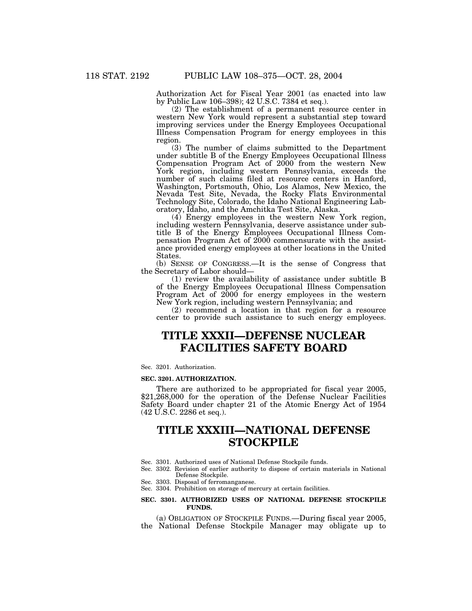Authorization Act for Fiscal Year 2001 (as enacted into law by Public Law 106–398); 42 U.S.C. 7384 et seq.).

(2) The establishment of a permanent resource center in western New York would represent a substantial step toward improving services under the Energy Employees Occupational Illness Compensation Program for energy employees in this region.

(3) The number of claims submitted to the Department under subtitle B of the Energy Employees Occupational Illness Compensation Program Act of 2000 from the western New York region, including western Pennsylvania, exceeds the number of such claims filed at resource centers in Hanford, Washington, Portsmouth, Ohio, Los Alamos, New Mexico, the Nevada Test Site, Nevada, the Rocky Flats Environmental Technology Site, Colorado, the Idaho National Engineering Laboratory, Idaho, and the Amchitka Test Site, Alaska.

(4) Energy employees in the western New York region, including western Pennsylvania, deserve assistance under subtitle B of the Energy Employees Occupational Illness Compensation Program Act of 2000 commensurate with the assistance provided energy employees at other locations in the United States.

(b) SENSE OF CONGRESS.—It is the sense of Congress that the Secretary of Labor should—

(1) review the availability of assistance under subtitle B of the Energy Employees Occupational Illness Compensation Program Act of 2000 for energy employees in the western New York region, including western Pennsylvania; and

(2) recommend a location in that region for a resource center to provide such assistance to such energy employees.

## **TITLE XXXII—DEFENSE NUCLEAR FACILITIES SAFETY BOARD**

#### Sec. 3201. Authorization.

#### **SEC. 3201. AUTHORIZATION.**

There are authorized to be appropriated for fiscal year 2005, \$21,268,000 for the operation of the Defense Nuclear Facilities Safety Board under chapter 21 of the Atomic Energy Act of 1954 (42 U.S.C. 2286 et seq.).

## **TITLE XXXIII—NATIONAL DEFENSE STOCKPILE**

- Sec. 3301. Authorized uses of National Defense Stockpile funds.
- Sec. 3302. Revision of earlier authority to dispose of certain materials in National Defense Stockpile.
- Sec. 3303. Disposal of ferromanganese.
- Sec. 3304. Prohibition on storage of mercury at certain facilities.

### **SEC. 3301. AUTHORIZED USES OF NATIONAL DEFENSE STOCKPILE FUNDS.**

(a) OBLIGATION OF STOCKPILE FUNDS.—During fiscal year 2005, the National Defense Stockpile Manager may obligate up to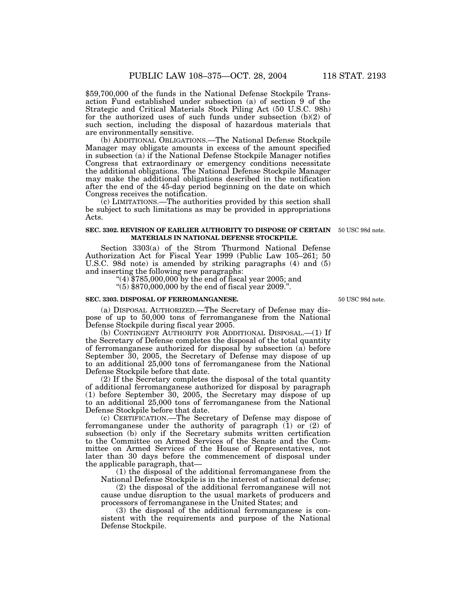\$59,700,000 of the funds in the National Defense Stockpile Transaction Fund established under subsection (a) of section 9 of the Strategic and Critical Materials Stock Piling Act (50 U.S.C. 98h) for the authorized uses of such funds under subsection (b)(2) of such section, including the disposal of hazardous materials that are environmentally sensitive.

(b) ADDITIONAL OBLIGATIONS.—The National Defense Stockpile Manager may obligate amounts in excess of the amount specified in subsection (a) if the National Defense Stockpile Manager notifies Congress that extraordinary or emergency conditions necessitate the additional obligations. The National Defense Stockpile Manager may make the additional obligations described in the notification after the end of the 45-day period beginning on the date on which Congress receives the notification.

 $\chi$ <sub>c</sub>) LIMITATIONS.—The authorities provided by this section shall be subject to such limitations as may be provided in appropriations Acts.

#### **SEC. 3302. REVISION OF EARLIER AUTHORITY TO DISPOSE OF CERTAIN** 50 USC 98d note. **MATERIALS IN NATIONAL DEFENSE STOCKPILE.**

Section 3303(a) of the Strom Thurmond National Defense Authorization Act for Fiscal Year 1999 (Public Law 105–261; 50 U.S.C. 98d note) is amended by striking paragraphs (4) and (5) and inserting the following new paragraphs:

"(4)  $$785,000,000$  by the end of fiscal year 2005; and

''(5) \$870,000,000 by the end of fiscal year 2009.''.

#### **SEC. 3303. DISPOSAL OF FERROMANGANESE.**

(a) DISPOSAL AUTHORIZED.—The Secretary of Defense may dispose of up to 50,000 tons of ferromanganese from the National Defense Stockpile during fiscal year 2005.

(b) CONTINGENT AUTHORITY FOR ADDITIONAL DISPOSAL.—(1) If the Secretary of Defense completes the disposal of the total quantity of ferromanganese authorized for disposal by subsection (a) before September 30, 2005, the Secretary of Defense may dispose of up to an additional 25,000 tons of ferromanganese from the National Defense Stockpile before that date.

(2) If the Secretary completes the disposal of the total quantity of additional ferromanganese authorized for disposal by paragraph (1) before September 30, 2005, the Secretary may dispose of up to an additional 25,000 tons of ferromanganese from the National Defense Stockpile before that date.

(c) CERTIFICATION.—The Secretary of Defense may dispose of ferromanganese under the authority of paragraph (1) or (2) of subsection (b) only if the Secretary submits written certification to the Committee on Armed Services of the Senate and the Committee on Armed Services of the House of Representatives, not later than 30 days before the commencement of disposal under the applicable paragraph, that—

(1) the disposal of the additional ferromanganese from the National Defense Stockpile is in the interest of national defense;

(2) the disposal of the additional ferromanganese will not cause undue disruption to the usual markets of producers and processors of ferromanganese in the United States; and

(3) the disposal of the additional ferromanganese is consistent with the requirements and purpose of the National Defense Stockpile.

50 USC 98d note.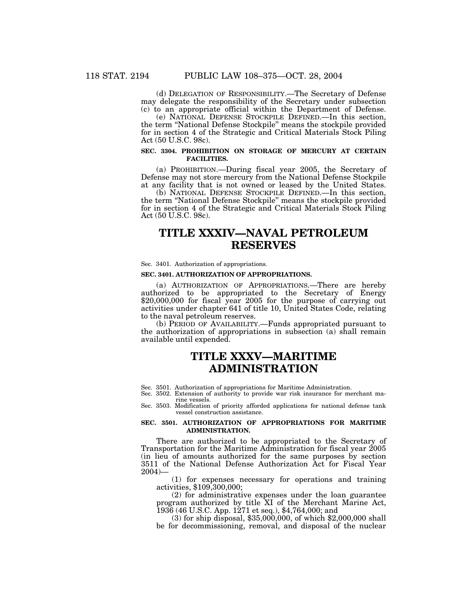(d) DELEGATION OF RESPONSIBILITY.—The Secretary of Defense may delegate the responsibility of the Secretary under subsection (c) to an appropriate official within the Department of Defense.

(e) NATIONAL DEFENSE STOCKPILE DEFINED.—In this section, the term ''National Defense Stockpile'' means the stockpile provided for in section 4 of the Strategic and Critical Materials Stock Piling Act (50 U.S.C. 98c).

## **SEC. 3304. PROHIBITION ON STORAGE OF MERCURY AT CERTAIN FACILITIES.**

(a) PROHIBITION.—During fiscal year 2005, the Secretary of Defense may not store mercury from the National Defense Stockpile at any facility that is not owned or leased by the United States.

(b) NATIONAL DEFENSE STOCKPILE DEFINED.—In this section, the term ''National Defense Stockpile'' means the stockpile provided for in section 4 of the Strategic and Critical Materials Stock Piling Act (50 U.S.C. 98c).

## **TITLE XXXIV—NAVAL PETROLEUM RESERVES**

Sec. 3401. Authorization of appropriations.

#### **SEC. 3401. AUTHORIZATION OF APPROPRIATIONS.**

(a) AUTHORIZATION OF APPROPRIATIONS.—There are hereby authorized to be appropriated to the Secretary of Energy \$20,000,000 for fiscal year 2005 for the purpose of carrying out activities under chapter 641 of title 10, United States Code, relating to the naval petroleum reserves.

(b) PERIOD OF AVAILABILITY.—Funds appropriated pursuant to the authorization of appropriations in subsection (a) shall remain available until expended.

## **TITLE XXXV—MARITIME ADMINISTRATION**

Sec. 3501. Authorization of appropriations for Maritime Administration.

Sec. 3502. Extension of authority to provide war risk insurance for merchant marine vessels.

Sec. 3503. Modification of priority afforded applications for national defense tank vessel construction assistance.

#### **SEC. 3501. AUTHORIZATION OF APPROPRIATIONS FOR MARITIME ADMINISTRATION.**

There are authorized to be appropriated to the Secretary of Transportation for the Maritime Administration for fiscal year 2005 (in lieu of amounts authorized for the same purposes by section 3511 of the National Defense Authorization Act for Fiscal Year 2004)—

(1) for expenses necessary for operations and training activities, \$109,300,000;

(2) for administrative expenses under the loan guarantee program authorized by title XI of the Merchant Marine Act, 1936 (46 U.S.C. App. 1271 et seq.), \$4,764,000; and

(3) for ship disposal, \$35,000,000, of which \$2,000,000 shall be for decommissioning, removal, and disposal of the nuclear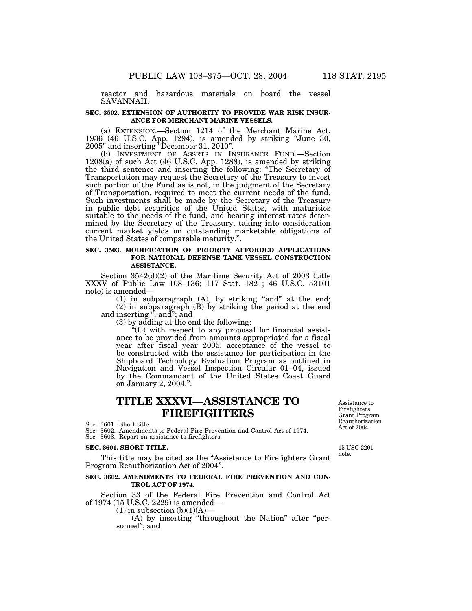reactor and hazardous materials on board the vessel SAVANNAH.

#### **SEC. 3502. EXTENSION OF AUTHORITY TO PROVIDE WAR RISK INSUR-ANCE FOR MERCHANT MARINE VESSELS.**

(a) EXTENSION.—Section 1214 of the Merchant Marine Act, 1936 (46 U.S.C. App. 1294), is amended by striking ''June 30, 2005'' and inserting ''December 31, 2010''.

(b) INVESTMENT OF ASSETS IN INSURANCE FUND.—Section 1208(a) of such Act (46 U.S.C. App. 1288), is amended by striking the third sentence and inserting the following: ''The Secretary of Transportation may request the Secretary of the Treasury to invest such portion of the Fund as is not, in the judgment of the Secretary of Transportation, required to meet the current needs of the fund. Such investments shall be made by the Secretary of the Treasury in public debt securities of the United States, with maturities suitable to the needs of the fund, and bearing interest rates determined by the Secretary of the Treasury, taking into consideration current market yields on outstanding marketable obligations of the United States of comparable maturity.''.

## **SEC. 3503. MODIFICATION OF PRIORITY AFFORDED APPLICATIONS FOR NATIONAL DEFENSE TANK VESSEL CONSTRUCTION ASSISTANCE.**

Section 3542(d)(2) of the Maritime Security Act of 2003 (title XXXV of Public Law 108–136; 117 Stat. 1821; 46 U.S.C. 53101 note) is amended—

 $(1)$  in subparagraph  $(A)$ , by striking "and" at the end; (2) in subparagraph (B) by striking the period at the end and inserting "; and"; and

(3) by adding at the end the following:

 $f(C)$  with respect to any proposal for financial assistance to be provided from amounts appropriated for a fiscal year after fiscal year 2005, acceptance of the vessel to be constructed with the assistance for participation in the Shipboard Technology Evaluation Program as outlined in Navigation and Vessel Inspection Circular 01–04, issued by the Commandant of the United States Coast Guard on January 2, 2004.''.

## **TITLE XXXVI—ASSISTANCE TO FIREFIGHTERS**

Sec. 3601. Short title.

Sec. 3602. Amendments to Federal Fire Prevention and Control Act of 1974. Sec. 3603. Report on assistance to firefighters.

#### **SEC. 3601. SHORT TITLE.**

This title may be cited as the "Assistance to Firefighters Grant" Program Reauthorization Act of 2004''.

## **SEC. 3602. AMENDMENTS TO FEDERAL FIRE PREVENTION AND CON-TROL ACT OF 1974.**

Section 33 of the Federal Fire Prevention and Control Act of 1974 (15 U.S.C. 2229) is amended—

 $(1)$  in subsection  $(b)(1)(A)$ 

(A) by inserting "throughout the Nation" after "personnel''; and

Assistance to Firefighters Grant Program Reauthorization Act of 2004.

15 USC 2201 note.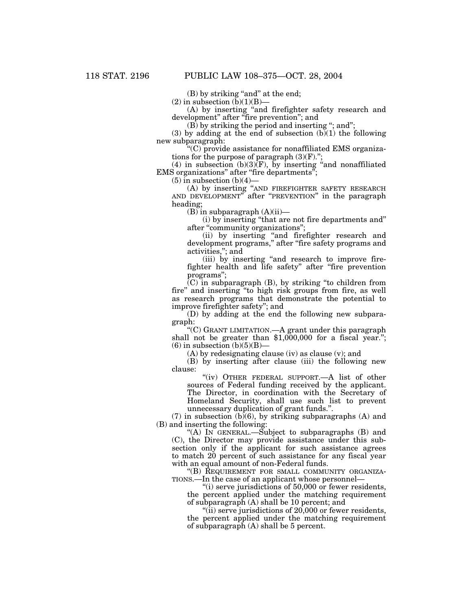(B) by striking "and" at the end;

 $(2)$  in subsection  $(b)(1)(B)$ —

(A) by inserting ''and firefighter safety research and development'' after ''fire prevention''; and

(B) by striking the period and inserting ''; and'';

(3) by adding at the end of subsection  $(b)(1)$  the following new subparagraph:

''(C) provide assistance for nonaffiliated EMS organizations for the purpose of paragraph  $(3)(F)$ .";

(4) in subsection (b)(3)(F), by inserting "and nonaffiliated EMS organizations" after "fire departments";

 $(5)$  in subsection  $(b)(4)$ —

(A) by inserting ''AND FIREFIGHTER SAFETY RESEARCH AND DEVELOPMENT'' after ''PREVENTION'' in the paragraph heading;

 $(B)$  in subparagraph  $(A)(ii)$ —

(i) by inserting ''that are not fire departments and'' after "community organizations";

(ii) by inserting ''and firefighter research and development programs,'' after ''fire safety programs and activities,''; and

(iii) by inserting ''and research to improve firefighter health and life safety" after "fire prevention programs'';

 $(C)$  in subparagraph  $(B)$ , by striking "to children from fire'' and inserting ''to high risk groups from fire, as well as research programs that demonstrate the potential to improve firefighter safety''; and

(D) by adding at the end the following new subparagraph:

''(C) GRANT LIMITATION.—A grant under this paragraph shall not be greater than \$1,000,000 for a fiscal year.'';  $(6)$  in subsection  $(b)(5)(B)$ —

(A) by redesignating clause (iv) as clause (v); and

(B) by inserting after clause (iii) the following new clause:

''(iv) OTHER FEDERAL SUPPORT.—A list of other sources of Federal funding received by the applicant. The Director, in coordination with the Secretary of Homeland Security, shall use such list to prevent unnecessary duplication of grant funds.''.

(7) in subsection  $(b)(6)$ , by striking subparagraphs (A) and (B) and inserting the following:

"(A) IN GENERAL.—Subject to subparagraphs  $(B)$  and (C), the Director may provide assistance under this subsection only if the applicant for such assistance agrees to match 20 percent of such assistance for any fiscal year with an equal amount of non-Federal funds.

"(B) REQUIREMENT FOR SMALL COMMUNITY ORGANIZA-TIONS.—In the case of an applicant whose personnel—

"(i) serve jurisdictions of 50,000 or fewer residents, the percent applied under the matching requirement of subparagraph (A) shall be 10 percent; and

" $(iii)$  serve jurisdictions of 20,000 or fewer residents, the percent applied under the matching requirement of subparagraph (A) shall be 5 percent.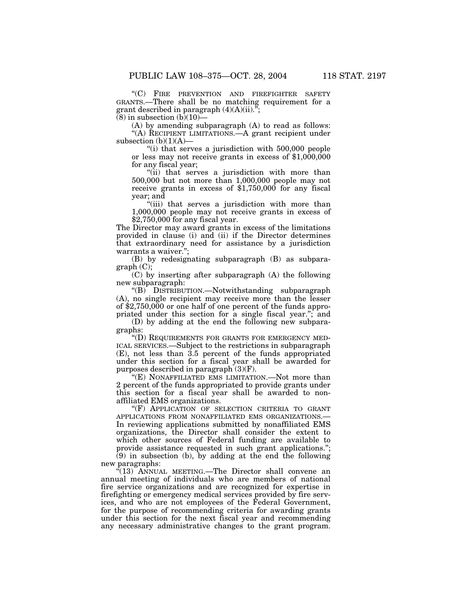''(C) FIRE PREVENTION AND FIREFIGHTER SAFETY GRANTS.—There shall be no matching requirement for a grant described in paragraph  $(4)(A)(ii)$ .";

 $(8)$  in subsection  $(b)(10)$ —

(A) by amending subparagraph (A) to read as follows: ''(A) RECIPIENT LIMITATIONS.—A grant recipient under subsection  $(b)(1)(A)$ —

"(i) that serves a jurisdiction with 500,000 people or less may not receive grants in excess of  $$1,000,000$ for any fiscal year;

''(ii) that serves a jurisdiction with more than 500,000 but not more than 1,000,000 people may not receive grants in excess of \$1,750,000 for any fiscal year; and

"(iii) that serves a jurisdiction with more than 1,000,000 people may not receive grants in excess of \$2,750,000 for any fiscal year.

The Director may award grants in excess of the limitations provided in clause (i) and (ii) if the Director determines that extraordinary need for assistance by a jurisdiction warrants a waiver.'';

(B) by redesignating subparagraph (B) as subpara $graph (C);$ 

(C) by inserting after subparagraph (A) the following new subparagraph:

''(B) DISTRIBUTION.—Notwithstanding subparagraph (A), no single recipient may receive more than the lesser of \$2,750,000 or one half of one percent of the funds appropriated under this section for a single fiscal year.''; and

(D) by adding at the end the following new subparagraphs:

''(D) REQUIREMENTS FOR GRANTS FOR EMERGENCY MED-ICAL SERVICES.—Subject to the restrictions in subparagraph (E), not less than 3.5 percent of the funds appropriated under this section for a fiscal year shall be awarded for purposes described in paragraph (3)(F).

''(E) NONAFFILIATED EMS LIMITATION.—Not more than 2 percent of the funds appropriated to provide grants under this section for a fiscal year shall be awarded to nonaffiliated EMS organizations.

"(F) APPLICATION OF SELECTION CRITERIA TO GRANT APPLICATIONS FROM NONAFFILIATED EMS ORGANIZATIONS.— In reviewing applications submitted by nonaffiliated EMS organizations, the Director shall consider the extent to which other sources of Federal funding are available to provide assistance requested in such grant applications.";  $(9)$  in subsection (b), by adding at the end the following new paragraphs:

 $\sqrt{13}$  ANNUAL MEETING.—The Director shall convene an annual meeting of individuals who are members of national fire service organizations and are recognized for expertise in firefighting or emergency medical services provided by fire services, and who are not employees of the Federal Government, for the purpose of recommending criteria for awarding grants under this section for the next fiscal year and recommending any necessary administrative changes to the grant program.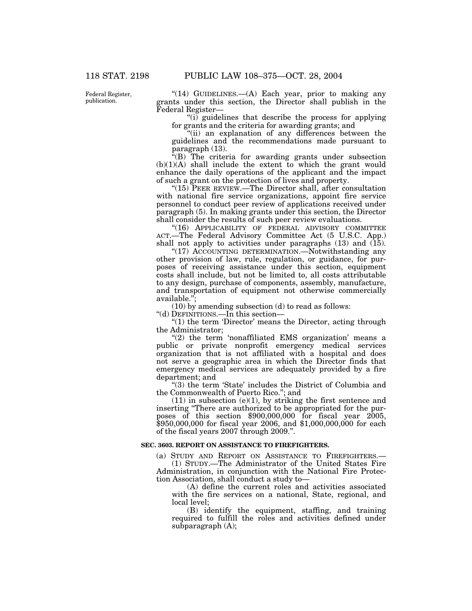Federal Register, publication.

" $(14)$  GUIDELINES.— $(A)$  Each year, prior to making any grants under this section, the Director shall publish in the Federal Register—

''(i) guidelines that describe the process for applying for grants and the criteria for awarding grants; and

"(ii) an explanation of any differences between the guidelines and the recommendations made pursuant to paragraph (13).

''(B) The criteria for awarding grants under subsection  $(b)(1)(A)$  shall include the extent to which the grant would enhance the daily operations of the applicant and the impact of such a grant on the protection of lives and property.

"(15) PEER REVIEW.—The Director shall, after consultation with national fire service organizations, appoint fire service personnel to conduct peer review of applications received under paragraph (5). In making grants under this section, the Director shall consider the results of such peer review evaluations.

"(16) APPLICABILITY OF FEDERAL ADVISORY COMMITTEE ACT.—The Federal Advisory Committee Act (5 U.S.C. App.) shall not apply to activities under paragraphs  $(13)$  and  $(15)$ .

"(17) ACCOUNTING DETERMINATION.—Notwithstanding any other provision of law, rule, regulation, or guidance, for purposes of receiving assistance under this section, equipment costs shall include, but not be limited to, all costs attributable to any design, purchase of components, assembly, manufacture, and transportation of equipment not otherwise commercially available.'';

(10) by amending subsection (d) to read as follows:

''(d) DEFINITIONS.—In this section—

" $(1)$  the term 'Director' means the Director, acting through the Administrator;

" $(2)$  the term 'nonaffiliated EMS organization' means a public or private nonprofit emergency medical services organization that is not affiliated with a hospital and does not serve a geographic area in which the Director finds that emergency medical services are adequately provided by a fire department; and

''(3) the term 'State' includes the District of Columbia and the Commonwealth of Puerto Rico.''; and

 $(11)$  in subsection  $(e)(1)$ , by striking the first sentence and inserting ''There are authorized to be appropriated for the purposes of this section \$900,000,000 for fiscal year 2005, \$950,000,000 for fiscal year 2006, and \$1,000,000,000 for each of the fiscal years 2007 through 2009.''.

## **SEC. 3603. REPORT ON ASSISTANCE TO FIREFIGHTERS.**

(a) STUDY AND REPORT ON ASSISTANCE TO FIREFIGHTERS.—

(1) STUDY.—The Administrator of the United States Fire Administration, in conjunction with the National Fire Protection Association, shall conduct a study to—

(A) define the current roles and activities associated with the fire services on a national, State, regional, and local level;

(B) identify the equipment, staffing, and training required to fulfill the roles and activities defined under subparagraph (A);